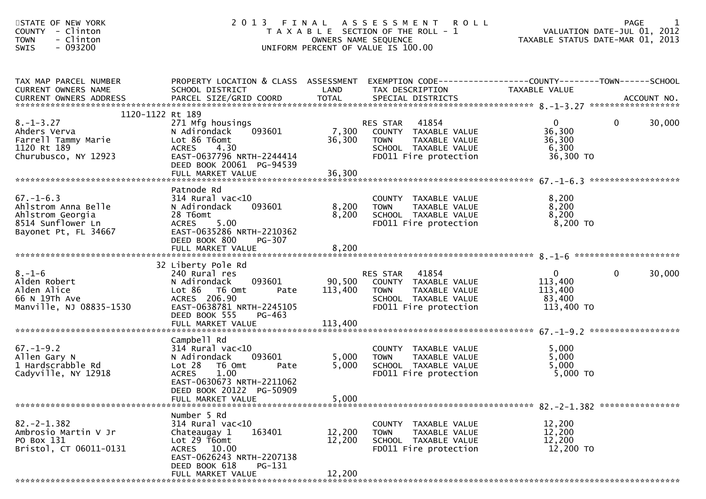| STATE OF NEW YORK<br><b>COUNTY</b><br>- Clinton<br>- Clinton<br><b>TOWN</b><br>- 093200<br>SWIS                                                                                                                                                                  |                                                                                                                                                                                               | OWNERS NAME SEQUENCE       | 2013 FINAL ASSESSMENT<br><b>ROLL</b><br>T A X A B L E SECTION OF THE ROLL - 1<br>UNIFORM PERCENT OF VALUE IS 100.00        | PAGE 1<br>VALUATION DATE-JUL 01, 2012<br>TAXABLE STATUS DATE MARE 21, 2012 |                       |
|------------------------------------------------------------------------------------------------------------------------------------------------------------------------------------------------------------------------------------------------------------------|-----------------------------------------------------------------------------------------------------------------------------------------------------------------------------------------------|----------------------------|----------------------------------------------------------------------------------------------------------------------------|----------------------------------------------------------------------------|-----------------------|
| TAX MAP PARCEL NUMBER<br>CURRENT OWNERS NAME<br>CONNERS ADDRESS FORCEL SIZE/GRID COORD TOTAL SPECIAL DISTRICTS AND BELL AND MERS ADDRESS FORCEL SIZE/GRID COORD TOTAL SPECIAL DISTRICTS AND MERS ADDRESS FOR THE SERVER AND A SERVER AND TOTAL SPECIAL DISTRICTS | PROPERTY LOCATION & CLASS ASSESSMENT EXEMPTION CODE---------------COUNTY-------TOWN------SCHOOL<br>SCHOOL DISTRICT                                                                            | LAND                       | TAX DESCRIPTION                                                                                                            | TAXABLE VALUE                                                              |                       |
| 1120-1122 Rt 189<br>$8. - 1 - 3.27$<br>Ahders Verva<br>Farrell Tammy Marie<br>1120 Rt 189<br>Churubusco, NY 12923                                                                                                                                                | 271 Mfg housings<br>093601<br>N Adirondack<br>Lot 86 T6omt<br>ACRES<br>4.30<br>EAST-0637796 NRTH-2244414<br>DEED BOOK 20061 PG-94539<br>FULL MARKET VALUE                                     | 7,300<br>36,300<br>36,300  | RES STAR<br>41854<br>COUNTY TAXABLE VALUE<br>TAXABLE VALUE<br><b>TOWN</b><br>SCHOOL TAXABLE VALUE<br>FD011 Fire protection | $\overline{0}$<br>36,300<br>36,300<br>6,300<br>36,300 TO                   | $\mathbf 0$<br>30,000 |
| $67. - 1 - 6.3$<br>Ahlstrom Anna Belle<br>Ahlstrom Georgia<br>8514 Sunflower Ln<br>Bayonet Pt, FL 34667                                                                                                                                                          | Patnode Rd<br>314 Rural vac<10<br>093601<br>N Adirondack<br>28 T6omt<br>5.00<br>ACRES<br>EAST-0635286 NRTH-2210362<br>DEED BOOK 800<br>PG-307<br>FULL MARKET VALUE                            | 8,200<br>8,200<br>8,200    | COUNTY TAXABLE VALUE<br><b>TOWN</b><br>TAXABLE VALUE<br>SCHOOL TAXABLE VALUE<br>FD011 Fire protection                      | 8,200<br>8,200<br>8,200<br>8,200 TO                                        |                       |
| $8. - 1 - 6$<br>Alden Robert<br>Alden Alice<br>66 N 19Th Ave<br>Manville, NJ 08835-1530                                                                                                                                                                          | 32 Liberty Pole Rd<br>240 Rural res<br>093601<br>N Adirondack<br>Lot 86 T6 Omt<br>Pate<br>ACRES 206.90<br>EAST-0638781 NRTH-2245105<br>DEED BOOK 555<br>PG-463                                | 90,500<br>113,400          | RES STAR 41854<br>COUNTY TAXABLE VALUE<br><b>TOWN</b><br>TAXABLE VALUE<br>SCHOOL TAXABLE VALUE<br>FD011 Fire protection    | $\mathbf{0}$<br>113,400<br>113,400<br>83,400<br>113,400 TO                 | $\mathbf 0$<br>30,000 |
| $67. - 1 - 9.2$<br>Allen Gary N<br>1 Hardscrabble Rd<br>Cadyville, NY 12918                                                                                                                                                                                      | Campbell Rd<br>$314$ Rural vac<10<br>093601<br>N Adirondack<br>Lot 28<br>T6 Omt<br>Pate<br><b>ACRES</b><br>1.00<br>EAST-0630673 NRTH-2211062<br>DEED BOOK 20122 PG-50909<br>FULL MARKET VALUE | 5,000<br>5,000<br>5,000    | COUNTY TAXABLE VALUE<br>TAXABLE VALUE<br><b>TOWN</b><br>SCHOOL TAXABLE VALUE<br>FD011 Fire protection                      | 5,000<br>5,000<br>5,000<br>5,000 TO                                        |                       |
| $82. -2 - 1.382$<br>Ambrosio Martin V Jr<br>PO Box 131<br>Bristol, CT 06011-0131                                                                                                                                                                                 | Number 5 Rd<br>$314$ Rural vac<10<br>Chateaugay 1<br>163401<br>Lot 29 T6omt<br>ACRES 10.00<br>EAST-0626243 NRTH-2207138<br>DEED BOOK 618<br>PG-131<br>FULL MARKET VALUE                       | 12,200<br>12,200<br>12,200 | COUNTY TAXABLE VALUE<br><b>TOWN</b><br>TAXABLE VALUE<br>SCHOOL TAXABLE VALUE<br>FD011 Fire protection                      | 12,200<br>12,200<br>12,200<br>12,200 TO                                    |                       |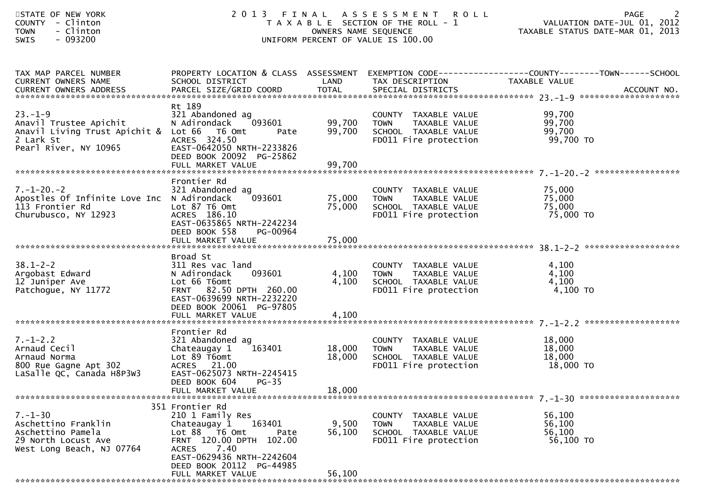| STATE OF NEW YORK<br>- Clinton<br><b>COUNTY</b><br>- Clinton<br><b>TOWN</b><br>$-093200$<br><b>SWIS</b>                     |                                                                                                                                                                                                    |                            | 2013 FINAL ASSESSMENT<br><b>ROLL</b><br>T A X A B L E SECTION OF THE ROLL - 1<br>OWNERS NAME SEQUENCE<br>UNIFORM PERCENT OF VALUE IS 100.00 | <b>PAGE</b><br>VALUATION DATE-JUL 01, 2012<br>TAXABLE STATUS DATE-MAR 01, 2013                                    |
|-----------------------------------------------------------------------------------------------------------------------------|----------------------------------------------------------------------------------------------------------------------------------------------------------------------------------------------------|----------------------------|---------------------------------------------------------------------------------------------------------------------------------------------|-------------------------------------------------------------------------------------------------------------------|
| TAX MAP PARCEL NUMBER<br><b>CURRENT OWNERS NAME</b>                                                                         | SCHOOL DISTRICT                                                                                                                                                                                    | LAND                       | TAX DESCRIPTION                                                                                                                             | PROPERTY LOCATION & CLASS ASSESSMENT EXEMPTION CODE----------------COUNTY-------TOWN------SCHOOL<br>TAXABLE VALUE |
| $23. -1 - 9$<br>Anavil Trustee Apichit<br>Anavil Living Trust Apichit & Lot 66 T6 Omt<br>2 Lark St<br>Pearl River, NY 10965 | Rt 189<br>321 Abandoned ag<br>093601<br>N Adirondack<br>Pate<br>ACRES 324.50<br>EAST-0642050 NRTH-2233826<br>DEED BOOK 20092 PG-25862                                                              | 99,700<br>99,700           | COUNTY TAXABLE VALUE<br><b>TOWN</b><br>TAXABLE VALUE<br>SCHOOL TAXABLE VALUE<br>FD011 Fire protection                                       | 99,700<br>99,700<br>99,700<br>99,700 TO                                                                           |
|                                                                                                                             |                                                                                                                                                                                                    |                            |                                                                                                                                             |                                                                                                                   |
| $7. - 1 - 20. - 2$<br>Apostles Of Infinite Love Inc N Adirondack<br>113 Frontier Rd<br>Churubusco, NY 12923                 | Frontier Rd<br>321 Abandoned ag<br>093601<br>Lot 87 T6 Omt<br>ACRES 186.10<br>EAST-0635865 NRTH-2242234<br>DEED BOOK 558<br>PG-00964                                                               | 75,000<br>75,000           | COUNTY TAXABLE VALUE<br>TAXABLE VALUE<br><b>TOWN</b><br>SCHOOL TAXABLE VALUE<br>FD011 Fire protection                                       | 75,000<br>75,000<br>75,000<br>75,000 TO                                                                           |
|                                                                                                                             | FULL MARKET VALUE                                                                                                                                                                                  | 75,000                     |                                                                                                                                             |                                                                                                                   |
|                                                                                                                             |                                                                                                                                                                                                    |                            |                                                                                                                                             |                                                                                                                   |
| $38.1 - 2 - 2$<br>Argobast Edward<br>12 Juniper Ave<br>Patchogue, NY 11772                                                  | Broad St<br>311 Res vac land<br>093601<br>N Adirondack<br>Lot 66 T6omt<br>82.50 DPTH 260.00<br><b>FRNT</b><br>EAST-0639699 NRTH-2232220<br>DEED BOOK 20061 PG-97805<br>FULL MARKET VALUE           | 4,100<br>4,100<br>4,100    | COUNTY TAXABLE VALUE<br>TAXABLE VALUE<br><b>TOWN</b><br>SCHOOL TAXABLE VALUE<br>FD011 Fire protection                                       | 4,100<br>4,100<br>4,100<br>4,100 TO                                                                               |
|                                                                                                                             | Frontier Rd                                                                                                                                                                                        |                            |                                                                                                                                             |                                                                                                                   |
| $7. - 1 - 2.2$<br>Arnaud Cecil<br>Arnaud Norma<br>800 Rue Gagne Apt 302<br>LaSalle QC, Canada H8P3W3                        | 321 Abandoned ag<br>163401<br>Chateaugay 1<br>Lot 89 T6omt<br>ACRES 21.00<br>EAST-0625073 NRTH-2245415<br>DEED BOOK 604<br>$PG-35$<br>FULL MARKET VALUE                                            | 18,000<br>18,000<br>18,000 | COUNTY TAXABLE VALUE<br>TAXABLE VALUE<br><b>TOWN</b><br>SCHOOL TAXABLE VALUE<br>FD011 Fire protection                                       | 18,000<br>18,000<br>18,000<br>18,000 TO                                                                           |
|                                                                                                                             |                                                                                                                                                                                                    |                            |                                                                                                                                             |                                                                                                                   |
| $7. - 1 - 30$<br>Aschettino Franklin<br>Aschettino Pamela<br>29 North Locust Ave<br>West Long Beach, NJ 07764               | 351 Frontier Rd<br>210 1 Family Res<br>163401<br>Chateaugay 1<br>Lot 88 T6 Omt<br>Pate<br>FRNT 120.00 DPTH 102.00<br>7.40<br><b>ACRES</b><br>EAST-0629436 NRTH-2242604<br>DEED BOOK 20112 PG-44985 | 9,500<br>56,100            | COUNTY TAXABLE VALUE<br><b>TOWN</b><br>TAXABLE VALUE<br>SCHOOL TAXABLE VALUE<br>FD011 Fire protection                                       | 56,100<br>56,100<br>56,100<br>56,100 TO                                                                           |
|                                                                                                                             | FULL MARKET VALUE                                                                                                                                                                                  | 56,100                     |                                                                                                                                             |                                                                                                                   |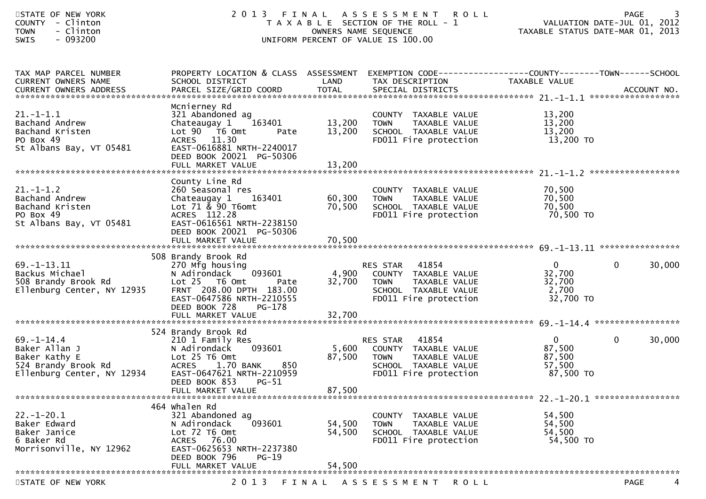| STATE OF NEW YORK<br>COUNTY - Clinton<br>- Clinton<br><b>TOWN</b><br>$-093200$<br><b>SWIS</b>           |                                                                                                                                                                                                 |                            | 2013 FINAL ASSESSMENT ROLL<br>T A X A B L E SECTION OF THE ROLL - 1<br>OWNERS NAME SEQUENCE<br>UNIFORM PERCENT OF VALUE IS 100.00 | VALUATION DATE-JUL 01, 2012<br>TAXABLE STATUS DATE-MAR 01, 2013 | <b>PAGE</b>            |
|---------------------------------------------------------------------------------------------------------|-------------------------------------------------------------------------------------------------------------------------------------------------------------------------------------------------|----------------------------|-----------------------------------------------------------------------------------------------------------------------------------|-----------------------------------------------------------------|------------------------|
| TAX MAP PARCEL NUMBER<br>CURRENT OWNERS NAME                                                            | PROPERTY LOCATION & CLASS ASSESSMENT<br>SCHOOL DISTRICT                                                                                                                                         | LAND                       | EXEMPTION CODE------------------COUNTY--------TOWN------SCHOOL<br>TAX DESCRIPTION                                                 | TAXABLE VALUE                                                   |                        |
| $21. - 1 - 1.1$<br>Bachand Andrew<br>Bachand Kristen<br>PO Box 49<br>St Albans Bay, VT 05481            | Mcnierney Rd<br>321 Abandoned ag<br>Chateaugay 1<br>163401<br>Lot 90 76 0<br>Pate<br>ACRES 11.30<br>EAST-0616881 NRTH-2240017<br>DEED BOOK 20021 PG-50306<br>FULL MARKET VALUE                  | 13,200<br>13,200<br>13,200 | COUNTY TAXABLE VALUE<br>TAXABLE VALUE<br><b>TOWN</b><br>SCHOOL TAXABLE VALUE<br>FD011 Fire protection                             | 13,200<br>13,200<br>13,200<br>13,200 TO                         |                        |
| $21.-1-1.2$<br>Bachand Andrew<br>Bachand Kristen<br>PO Box 49<br>St Albans Bay, VT 05481                | County Line Rd<br>260 Seasonal res<br>163401<br>Chateaugay 1<br>Lot $71 \& 90$ T6omt<br>ACRES 112.28<br>EAST-0616561 NRTH-2238150<br>DEED BOOK 20021 PG-50306<br>FULL MARKET VALUE              | 60,300<br>70,500<br>70,500 | COUNTY TAXABLE VALUE<br><b>TOWN</b><br>TAXABLE VALUE<br>SCHOOL TAXABLE VALUE<br>FD011 Fire protection                             | 70,500<br>70,500<br>70,500<br>70,500 TO                         |                        |
| $69. -1 - 13.11$<br>Backus Michael<br>508 Brandy Brook Rd<br>Ellenburg Center, NY 12935                 | 508 Brandy Brook Rd<br>270 Mfg housing<br>N Adirondack<br>093601<br>Lot 25 T6 Omt<br>Pate<br>FRNT 208.00 DPTH 183.00<br>EAST-0647586 NRTH-2210555<br>DEED BOOK 728<br>PG-178                    | 4,900<br>32,700            | 41854<br>RES STAR<br>COUNTY TAXABLE VALUE<br>TAXABLE VALUE<br><b>TOWN</b><br>SCHOOL TAXABLE VALUE<br>FD011 Fire protection        | $\mathbf{0}$<br>32,700<br>32,700<br>2,700<br>32,700 TO          | $\mathbf{0}$<br>30,000 |
| $69. - 1 - 14.4$<br>Baker Allan J<br>Baker Kathy E<br>524 Brandy Brook Rd<br>Ellenburg Center, NY 12934 | 524 Brandy Brook Rd<br>210 1 Family Res<br>093601<br>N Adirondack<br>Lot 25 T6 Omt<br>850<br><b>ACRES</b><br>1.70 BANK<br>EAST-0647621 NRTH-2210959<br>DEED BOOK 853 PG-51<br>FULL MARKET VALUE | 5,600<br>87,500<br>87,500  | 41854<br>RES STAR<br>COUNTY TAXABLE VALUE<br>TAXABLE VALUE<br><b>TOWN</b><br>SCHOOL TAXABLE VALUE<br>FD011 Fire protection        | $\mathbf{0}$<br>87,500<br>87,500<br>57,500<br>87,500 TO         | $\mathbf{0}$<br>30,000 |
| $22. - 1 - 20.1$<br>Baker Edward<br>Baker Janice<br>6 Baker Rd<br>Morrisonville, NY 12962               | 464 Whalen Rd<br>321 Abandoned ag<br>093601<br>N Adirondack<br>Lot 72 T6 Omt<br>ACRES<br>76.00<br>EAST-0625653 NRTH-2237380<br>DEED BOOK 796<br>$PG-19$<br>FULL MARKET VALUE                    | 54,500<br>54,500<br>54,500 | COUNTY TAXABLE VALUE<br>TAXABLE VALUE<br><b>TOWN</b><br>SCHOOL TAXABLE VALUE<br>FD011 Fire protection                             | 54,500<br>54,500<br>54,500<br>54,500 TO                         |                        |
| STATE OF NEW YORK                                                                                       | 2 0 1 3                                                                                                                                                                                         | FINAL                      | ASSESSMENT ROLL                                                                                                                   |                                                                 | 4<br>PAGE              |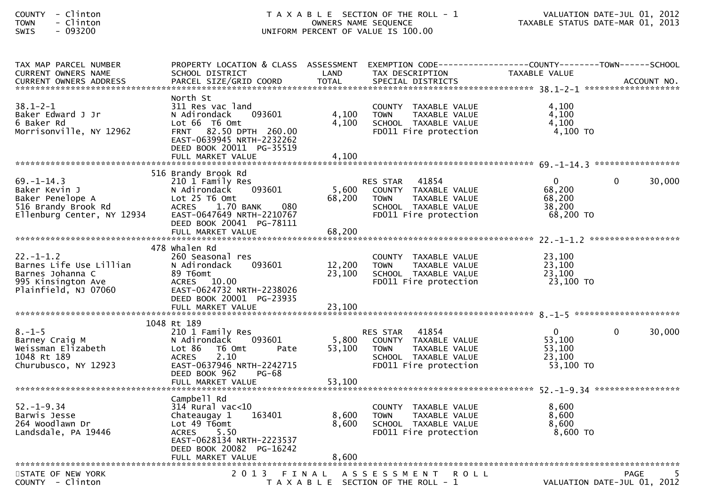| <b>COUNTY</b> | Clinton   |
|---------------|-----------|
| <b>TOWN</b>   | - Clinton |
| $\sim$ $\sim$ | ______    |

| TAX MAP PARCEL NUMBER<br><b>CURRENT OWNERS NAME</b>                                                          | PROPERTY LOCATION & CLASS ASSESSMENT<br>SCHOOL DISTRICT                                                                                                                                              | LAND                      | EXEMPTION CODE-----------------COUNTY-------TOWN------SCHOOL<br>TAX DESCRIPTION                                                   | TAXABLE VALUE                                             |                                                  |
|--------------------------------------------------------------------------------------------------------------|------------------------------------------------------------------------------------------------------------------------------------------------------------------------------------------------------|---------------------------|-----------------------------------------------------------------------------------------------------------------------------------|-----------------------------------------------------------|--------------------------------------------------|
|                                                                                                              |                                                                                                                                                                                                      |                           |                                                                                                                                   |                                                           |                                                  |
|                                                                                                              |                                                                                                                                                                                                      |                           |                                                                                                                                   |                                                           |                                                  |
| $38.1 - 2 - 1$<br>Baker Edward J Jr<br>6 Baker Rd<br>Morrisonville, NY 12962                                 | North St<br>311 Res vac land<br>N Adirondack<br>093601<br>Lot 66 T6 Omt<br>82.50 DPTH 260.00<br><b>FRNT</b><br>EAST-0639945 NRTH-2232262<br>DEED BOOK 20011 PG-35519<br>FULL MARKET VALUE            | 4,100<br>4.100<br>4.100   | COUNTY TAXABLE VALUE<br>TAXABLE VALUE<br><b>TOWN</b><br>SCHOOL TAXABLE VALUE<br>FD011 Fire protection                             | 4.100<br>4,100<br>4,100<br>$4,100$ TO                     |                                                  |
|                                                                                                              |                                                                                                                                                                                                      |                           |                                                                                                                                   |                                                           |                                                  |
| $69. - 1 - 14.3$<br>Baker Kevin J<br>Baker Penelope A<br>516 Brandy Brook Rd<br>Ellenburg Center, NY 12934   | 516 Brandy Brook Rd<br>210 1 Family Res<br>093601<br>N Adirondack<br>Lot 25 T6 Omt<br><b>ACRES</b><br>1.70 BANK<br>080<br>EAST-0647649 NRTH-2210767<br>DEED BOOK 20041 PG-78111<br>FULL MARKET VALUE | 5,600<br>68,200<br>68,200 | 41854<br>RES STAR<br>COUNTY TAXABLE VALUE<br>TAXABLE VALUE<br><b>TOWN</b><br>SCHOOL TAXABLE VALUE<br>FD011 Fire protection        | $\mathbf{0}$<br>68,200<br>68,200<br>38,200<br>68,200 TO   | $\Omega$<br>30,000                               |
|                                                                                                              | 478 whalen Rd                                                                                                                                                                                        |                           |                                                                                                                                   |                                                           |                                                  |
| $22. - 1 - 1.2$<br>Barnes Life Use Lillian<br>Barnes Johanna C<br>995 Kinsington Ave<br>Plainfield, NJ 07060 | 260 Seasonal res<br>N Adirondack<br>093601<br>89 T6omt<br>10.00<br><b>ACRES</b><br>EAST-0624732 NRTH-2238026<br>DEED BOOK 20001 PG-23935                                                             | 12,200<br>23,100          | COUNTY TAXABLE VALUE<br>TAXABLE VALUE<br><b>TOWN</b><br>SCHOOL TAXABLE VALUE<br>FD011 Fire protection                             | 23,100<br>23,100<br>23,100<br>23,100 TO                   |                                                  |
|                                                                                                              |                                                                                                                                                                                                      |                           |                                                                                                                                   |                                                           |                                                  |
|                                                                                                              | 1048 Rt 189                                                                                                                                                                                          |                           |                                                                                                                                   |                                                           |                                                  |
| $8. - 1 - 5$<br>Barney Craig M<br>Weissman Elizabeth<br>1048 Rt 189<br>Churubusco, NY 12923                  | 210 1 Family Res<br>093601<br>N Adirondack<br>Lot 86<br>T6 Omt<br>Pate<br>2.10<br><b>ACRES</b><br>EAST-0637946 NRTH-2242715<br>DEED BOOK 962<br><b>PG-68</b><br>FULL MARKET VALUE                    | 5,800<br>53,100<br>53,100 | 41854<br><b>RES STAR</b><br>COUNTY TAXABLE VALUE<br><b>TOWN</b><br>TAXABLE VALUE<br>SCHOOL TAXABLE VALUE<br>FD011 Fire protection | $\overline{0}$<br>53,100<br>53,100<br>23,100<br>53,100 TO | 30,000<br>$\Omega$                               |
|                                                                                                              | Campbell Rd                                                                                                                                                                                          |                           |                                                                                                                                   |                                                           |                                                  |
| $52. - 1 - 9.34$<br>Barwis Jesse<br>264 Woodlawn Dr<br>Landsdale, PA 19446                                   | $314$ Rural vac<10<br>Chateaugay 1<br>163401<br>Lot 49 T6omt<br><b>ACRES</b><br>5.50<br>EAST-0628134 NRTH-2223537<br>DEED BOOK 20082 PG-16242                                                        | 8,600<br>8.600            | COUNTY TAXABLE VALUE<br><b>TOWN</b><br>TAXABLE VALUE<br>SCHOOL TAXABLE VALUE<br>FD011 Fire protection                             | 8,600<br>8,600<br>8,600<br>8,600 TO                       |                                                  |
|                                                                                                              |                                                                                                                                                                                                      |                           |                                                                                                                                   |                                                           |                                                  |
| STATE OF NEW YORK<br>COUNTY - Clinton                                                                        | 2 0 1 3                                                                                                                                                                                              |                           | FINAL ASSESSMENT<br><b>ROLL</b><br>T A X A B L E SECTION OF THE ROLL - 1                                                          |                                                           | <b>PAGE</b><br>-5<br>VALUATION DATE-JUL 01, 2012 |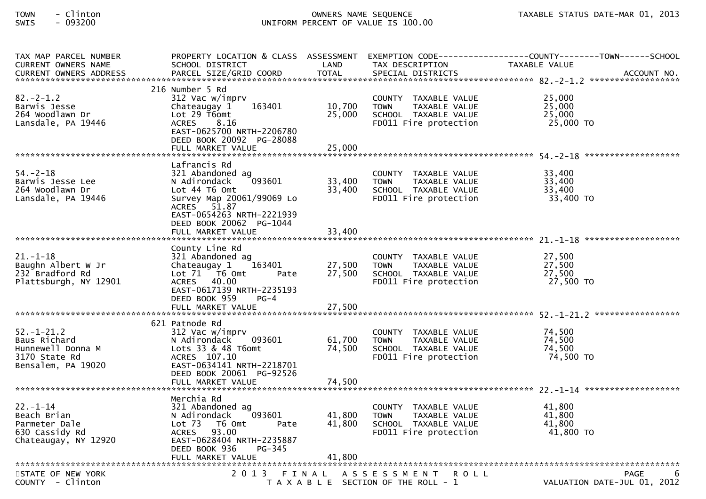| TAX MAP PARCEL NUMBER<br><b>CURRENT OWNERS NAME</b>                                         | PROPERTY LOCATION & CLASS ASSESSMENT<br>SCHOOL DISTRICT                                                                                                                                              | LAND                       | TAX DESCRIPTION                                                                                       | EXEMPTION CODE-----------------COUNTY-------TOWN------SCHOOL<br><b>TAXABLE VALUE</b> |
|---------------------------------------------------------------------------------------------|------------------------------------------------------------------------------------------------------------------------------------------------------------------------------------------------------|----------------------------|-------------------------------------------------------------------------------------------------------|--------------------------------------------------------------------------------------|
| $82 - 2 - 1.2$<br>Barwis Jesse<br>264 Woodlawn Dr<br>Lansdale, PA 19446                     | 216 Number 5 Rd<br>312 Vac w/imprv<br>163401<br>Chateaugay 1<br>Lot $29$ T6omt<br><b>ACRES</b><br>8.16<br>EAST-0625700 NRTH-2206780<br>DEED BOOK 20092 PG-28088<br>FULL MARKET VALUE                 | 10,700<br>25,000<br>25,000 | COUNTY TAXABLE VALUE<br>TAXABLE VALUE<br><b>TOWN</b><br>SCHOOL TAXABLE VALUE<br>FD011 Fire protection | 25,000<br>25,000<br>25,000<br>25,000 TO                                              |
| $54. - 2 - 18$<br>Barwis Jesse Lee<br>264 Woodlawn Dr<br>Lansdale, PA 19446                 | Lafrancis Rd<br>321 Abandoned ag<br>N Adirondack<br>093601<br>Lot 44 T6 Omt<br>Survey Map 20061/99069 Lo<br>ACRES 51.87<br>EAST-0654263 NRTH-2221939<br>DEED BOOK 20062 PG-1044<br>FULL MARKET VALUE | 33,400<br>33,400<br>33,400 | COUNTY TAXABLE VALUE<br><b>TOWN</b><br>TAXABLE VALUE<br>SCHOOL TAXABLE VALUE<br>FD011 Fire protection | 33,400<br>33,400<br>33,400<br>33,400 TO                                              |
| $21. - 1 - 18$<br>Baughn Albert W Jr<br>232 Bradford Rd<br>Plattsburgh, NY 12901            | County Line Rd<br>321 Abandoned ag<br>Chateaugay 1<br>163401<br>Lot $71$ T6 Omt<br>Pate<br>ACRES 40.00<br>EAST-0617139 NRTH-2235193<br>DEED BOOK 959<br>$PG-4$<br>FULL MARKET VALUE                  | 27,500<br>27,500<br>27,500 | COUNTY TAXABLE VALUE<br><b>TOWN</b><br>TAXABLE VALUE<br>SCHOOL TAXABLE VALUE<br>FD011 Fire protection | 27,500<br>27,500<br>27,500<br>27,500 TO                                              |
| $52 - 1 - 21.2$<br>Baus Richard<br>Hunnewell Donna M<br>3170 State Rd<br>Bensalem, PA 19020 | 621 Patnode Rd<br>312 Vac w/imprv<br>093601<br>N Adirondack<br>Lots $33$ & $48$ T6omt<br>ACRES 107.10<br>EAST-0634141 NRTH-2218701<br>DEED BOOK 20061 PG-92526<br>FULL MARKET VALUE                  | 61,700<br>74,500<br>74,500 | COUNTY TAXABLE VALUE<br><b>TOWN</b><br>TAXABLE VALUE<br>SCHOOL TAXABLE VALUE<br>FD011 Fire protection | 74,500<br>74,500<br>74,500<br>74,500 TO                                              |
| $22. - 1 - 14$<br>Beach Brian<br>Parmeter Dale<br>630 Cassidy Rd<br>Chateaugay, NY 12920    | Merchia Rd<br>321 Abandoned ag<br>093601<br>N Adirondack<br>Lot 73  T6 0mt<br>Pate<br>ACRES 93.00<br>EAST-0628404 NRTH-2235887<br>DEED BOOK 936<br>PG-345                                            | 41,800<br>41,800           | COUNTY TAXABLE VALUE<br><b>TOWN</b><br>TAXABLE VALUE<br>SCHOOL TAXABLE VALUE<br>FD011 Fire protection | 41.800<br>41,800<br>41,800<br>41,800 TO                                              |
| STATE OF NEW YORK<br>COUNTY - Clinton                                                       |                                                                                                                                                                                                      |                            | 2013 FINAL ASSESSMENT ROLL<br>T A X A B L E SECTION OF THE ROLL - 1                                   | PAGE<br>6<br>VALUATION DATE-JUL 01, 2012                                             |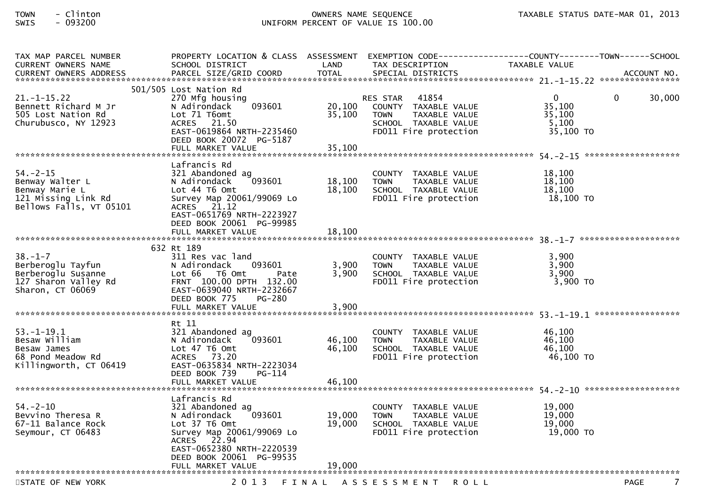| TAX MAP PARCEL NUMBER<br>CURRENT OWNERS NAME<br><b>CURRENT OWNERS ADDRESS</b>                         | PROPERTY LOCATION & CLASS ASSESSMENT<br>SCHOOL DISTRICT<br>PARCEL SIZE/GRID COORD                                                                                                   | LAND<br><b>TOTAL</b>       | EXEMPTION CODE-----------------COUNTY--------TOWN------SCHOOL<br>TAX DESCRIPTION<br>SPECIAL DISTRICTS                      | <b>TAXABLE VALUE</b>                               | ACCOUNT NO.            |
|-------------------------------------------------------------------------------------------------------|-------------------------------------------------------------------------------------------------------------------------------------------------------------------------------------|----------------------------|----------------------------------------------------------------------------------------------------------------------------|----------------------------------------------------|------------------------|
| $21. - 1 - 15.22$<br>Bennett Richard M Jr<br>505 Lost Nation Rd<br>Churubusco, NY 12923               | 501/505 Lost Nation Rd<br>270 Mfg housing<br>093601<br>N Adirondack<br>Lot 71 T6omt<br>ACRES 21.50<br>EAST-0619864 NRTH-2235460<br>DEED BOOK 20072 PG-5187<br>FULL MARKET VALUE     | 20,100<br>35,100<br>35,100 | 41854<br>RES STAR<br>COUNTY TAXABLE VALUE<br>TAXABLE VALUE<br><b>TOWN</b><br>SCHOOL TAXABLE VALUE<br>FD011 Fire protection | $\Omega$<br>35,100<br>35,100<br>5,100<br>35,100 TO | $\mathbf{0}$<br>30,000 |
|                                                                                                       | Lafrancis Rd                                                                                                                                                                        |                            |                                                                                                                            |                                                    |                        |
| $54. - 2 - 15$<br>Benway Walter L<br>Benway Marie L<br>121 Missing Link Rd<br>Bellows Falls, VT 05101 | 321 Abandoned ag<br>093601<br>N Adirondack<br>Lot 44 76 0mt<br>Survey Map 20061/99069 Lo<br>ACRES 21.12<br>EAST-0651769 NRTH-2223927<br>DEED BOOK 20061 PG-99985                    | 18,100<br>18,100           | COUNTY TAXABLE VALUE<br><b>TOWN</b><br>TAXABLE VALUE<br>SCHOOL TAXABLE VALUE<br>FD011 Fire protection                      | 18,100<br>18,100<br>18,100<br>$18,100$ TO          |                        |
|                                                                                                       | 632 Rt 189                                                                                                                                                                          |                            |                                                                                                                            |                                                    |                        |
| $38. - 1 - 7$<br>Berberoglu Tayfun<br>Berberoglu Susanne<br>127 Sharon Valley Rd<br>Sharon, CT 06069  | 311 Res vac land<br>N Adirondack<br>093601<br>Lot 66  T6 0mt<br>Pate<br>FRNT 100.00 DPTH 132.00<br>EAST-0639040 NRTH-2232667<br>DEED BOOK 775<br><b>PG-280</b><br>FULL MARKET VALUE | 3,900<br>3,900<br>3,900    | COUNTY TAXABLE VALUE<br>TAXABLE VALUE<br><b>TOWN</b><br>SCHOOL TAXABLE VALUE<br>FD011 Fire protection                      | 3,900<br>3,900<br>3,900<br>$3,900$ TO              |                        |
|                                                                                                       | Rt 11                                                                                                                                                                               |                            |                                                                                                                            |                                                    |                        |
| $53. - 1 - 19.1$<br>Besaw William<br>Besaw James<br>68 Pond Meadow Rd<br>Killingworth, CT 06419       | 321 Abandoned ag<br>093601<br>N Adirondack<br>Lot 47 T6 Omt<br>ACRES 73.20<br>EAST-0635834 NRTH-2223034<br>DEED BOOK 739<br>PG-114                                                  | 46,100<br>46,100           | COUNTY TAXABLE VALUE<br><b>TOWN</b><br>TAXABLE VALUE<br>SCHOOL TAXABLE VALUE<br>FD011 Fire protection                      | 46,100<br>46,100<br>46,100<br>46,100 TO            |                        |
|                                                                                                       | Lafrancis Rd                                                                                                                                                                        |                            |                                                                                                                            |                                                    |                        |
| $54. - 2 - 10$<br>Bevvino Theresa R<br>67-11 Balance Rock<br>Seymour, CT 06483                        | 321 Abandoned ag<br>093601<br>N Adirondack<br>Lot 37 T6 Omt<br>Survey Map 20061/99069 Lo<br>ACRES 22.94<br>EAST-0652380 NRTH-2220539<br>DEED BOOK 20061 PG-99535                    | 19,000<br>19,000           | COUNTY TAXABLE VALUE<br><b>TOWN</b><br>TAXABLE VALUE<br>SCHOOL TAXABLE VALUE<br>FD011 Fire protection                      | 19,000<br>19,000<br>19,000<br>19,000 TO            |                        |
|                                                                                                       | FULL MARKET VALUE                                                                                                                                                                   | 19,000                     |                                                                                                                            |                                                    |                        |
| STATE OF NEW YORK                                                                                     | 2 0 1 3                                                                                                                                                                             |                            | FINAL ASSESSMENT<br><b>ROLL</b>                                                                                            |                                                    | 7<br><b>PAGE</b>       |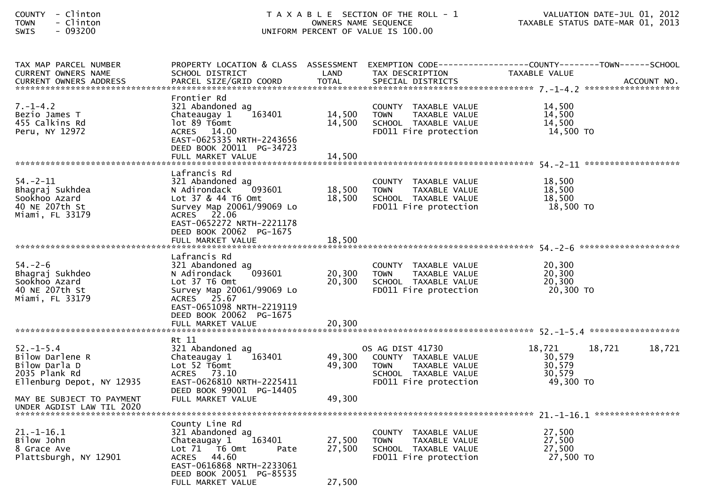| COUNTY - Clinton<br>TOWN<br>- Clinton<br>SWIS<br>$-093200$                                    |                                                                                                                                                                                      | OWNERS NAME SEQUENCE       | T A X A B L E SECTION OF THE ROLL - 1<br>UNIFORM PERCENT OF VALUE IS 100.00                                                      | VALUATION DATE-JUL 01, 2012<br>TAXABLE STATUS DATE-MAR 01, 2013                      |        |
|-----------------------------------------------------------------------------------------------|--------------------------------------------------------------------------------------------------------------------------------------------------------------------------------------|----------------------------|----------------------------------------------------------------------------------------------------------------------------------|--------------------------------------------------------------------------------------|--------|
| TAX MAP PARCEL NUMBER<br>CURRENT OWNERS NAME                                                  | PROPERTY LOCATION & CLASS ASSESSMENT<br>SCHOOL DISTRICT                                                                                                                              | LAND                       | TAX DESCRIPTION                                                                                                                  | EXEMPTION CODE-----------------COUNTY-------TOWN------SCHOOL<br><b>TAXABLE VALUE</b> |        |
| $7. - 1 - 4.2$<br>Bezio James T<br>455 Calkins Rd<br>Peru, NY 12972                           | Frontier Rd<br>321 Abandoned ag<br>163401<br>Chateaugay 1<br>lot 89 T6omt<br>ACRES 14.00<br>EAST-0625335 NRTH-2243656<br>DEED BOOK 20011 PG-34723<br>FULL MARKET VALUE               | 14,500<br>14,500<br>14,500 | COUNTY TAXABLE VALUE<br>TAXABLE VALUE<br><b>TOWN</b><br>SCHOOL TAXABLE VALUE<br>FD011 Fire protection                            | 14,500<br>14,500<br>14,500<br>14,500 TO                                              |        |
|                                                                                               |                                                                                                                                                                                      |                            |                                                                                                                                  |                                                                                      |        |
| $54. - 2 - 11$<br>Bhagraj Sukhdea<br>Sookhoo Azard<br>40 NE 207th St<br>Miami, FL 33179       | Lafrancis Rd<br>321 Abandoned ag<br>093601<br>N Adirondack<br>Lot 37 & 44 T6 Omt<br>Survey Map 20061/99069 Lo<br>ACRES 22.06<br>EAST-0652272 NRTH-2221178<br>DEED BOOK 20062 PG-1675 | 18,500<br>18,500           | COUNTY TAXABLE VALUE<br><b>TOWN</b><br>TAXABLE VALUE<br>SCHOOL TAXABLE VALUE<br>FD011 Fire protection                            | 18,500<br>18,500<br>18,500<br>18,500 TO                                              |        |
|                                                                                               |                                                                                                                                                                                      |                            |                                                                                                                                  |                                                                                      |        |
| $54. - 2 - 6$<br>Bhagraj Sukhdeo<br>Sookhoo Azard<br>40 NE 207th St<br>Miami, FL 33179        | Lafrancis Rd<br>321 Abandoned ag<br>093601<br>N Adirondack<br>Lot 37 T6 Omt<br>Survey Map 20061/99069 Lo<br>ACRES 25.67<br>EAST-0651098 NRTH-2219119<br>DEED BOOK 20062 PG-1675      | 20,300<br>20,300           | COUNTY TAXABLE VALUE<br><b>TOWN</b><br>TAXABLE VALUE<br>SCHOOL TAXABLE VALUE<br>FD011 Fire protection                            | 20,300<br>20,300<br>20,300<br>20,300 TO                                              |        |
|                                                                                               | FULL MARKET VALUE                                                                                                                                                                    | 20,300                     |                                                                                                                                  |                                                                                      |        |
|                                                                                               | Rt 11                                                                                                                                                                                |                            |                                                                                                                                  |                                                                                      |        |
| 52. – 1–5.4<br>Bilow Darlene R<br>Bilow Darla D<br>2035 Plank Rd<br>Ellenburg Depot, NY 12935 | 321 Abandoned ag<br>Chateaugay 1<br>163401<br>Lot 52 T6omt<br>ACRES 73.10<br>EAST-0626810 NRTH-2225411<br>DEED BOOK 99001 PG-14405                                                   | 49,300                     | OS AG DIST 41730<br>49,300 COUNTY TAXABLE VALUE<br>TAXABLE VALUE<br><b>TOWN</b><br>SCHOOL TAXABLE VALUE<br>FD011 Fire protection | 18,721<br>18,721<br>30,579<br>30,579<br>30,579<br>49,300 TO                          | 18,721 |
| MAY BE SUBJECT TO PAYMENT<br>UNDER AGDIST LAW TIL 2020                                        | FULL MARKET VALUE                                                                                                                                                                    | 49,300                     |                                                                                                                                  |                                                                                      |        |
|                                                                                               |                                                                                                                                                                                      |                            |                                                                                                                                  |                                                                                      |        |
| 21.-1-16.1<br>Bilow John<br>8 Grace Ave<br>Plattsburgh, NY 12901                              | County Line Rd<br>321 Abandoned ag<br>Chateaugay 1<br>163401<br>Lot 71  T6 0mt<br>Pate<br>ACRES 44.60<br>EAST-0616868 NRTH-2233061<br>DEED BOOK 20051 PG-85535<br>FULL MARKET VALUE  | 27,500<br>27,500<br>27,500 | COUNTY TAXABLE VALUE<br>TAXABLE VALUE<br><b>TOWN</b><br>SCHOOL TAXABLE VALUE<br>FD011 Fire protection                            | 27,500<br>27,500<br>27,500<br>27,500 TO                                              |        |
|                                                                                               |                                                                                                                                                                                      |                            |                                                                                                                                  |                                                                                      |        |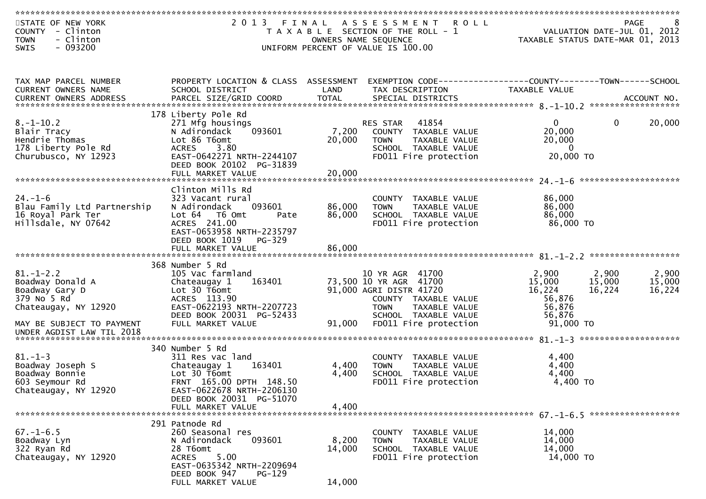| STATE OF NEW YORK<br>2013 FINAL ASSESSMENT ROLL<br>8 PAGE<br>VALUATION DATE-JUL 01, 2012<br>TAXARLE STATUS DATE WAS 01, 2012<br>COUNTY - Clinton<br>T A X A B L E SECTION OF THE ROLL - 1<br>- Clinton<br>TAXABLE STATUS DATE-MAR 01, 2013<br><b>TOWN</b><br>OWNERS NAME SEQUENCE |                        |
|-----------------------------------------------------------------------------------------------------------------------------------------------------------------------------------------------------------------------------------------------------------------------------------|------------------------|
| $-093200$<br>UNIFORM PERCENT OF VALUE IS 100.00<br><b>SWIS</b>                                                                                                                                                                                                                    |                        |
|                                                                                                                                                                                                                                                                                   |                        |
| PROPERTY LOCATION & CLASS ASSESSMENT<br>EXEMPTION CODE------------------COUNTY--------TOWN------SCHOOL<br>TAX MAP PARCEL NUMBER<br>CURRENT OWNERS NAME<br>SCHOOL DISTRICT<br>LAND<br>TAX DESCRIPTION<br>TAXABLE VALUE                                                             |                        |
|                                                                                                                                                                                                                                                                                   |                        |
| 178 Liberty Pole Rd<br>$8. - 1 - 10.2$<br>41854<br>271 Mfg housings<br>RES STAR<br>0                                                                                                                                                                                              | 20,000<br>$\mathbf{0}$ |
| 093601<br>20,000<br>7,200 COUNTY TAXABLE VALUE<br>Blair Tracy<br>N Adirondack                                                                                                                                                                                                     |                        |
| Hendrie Thomas<br>Lot 86 T6omt<br>20,000<br>20,000<br><b>TOWN</b><br>TAXABLE VALUE<br>178 Liberty Pole Rd<br>ACRES 3.80<br>SCHOOL TAXABLE VALUE<br>$\overline{0}$                                                                                                                 |                        |
| Churubusco, NY 12923<br>EAST-0642271 NRTH-2244107<br>FD011 Fire protection<br>20,000 TO<br>DEED BOOK 20102 PG-31839                                                                                                                                                               |                        |
| 20,000<br>FULL MARKET VALUE                                                                                                                                                                                                                                                       |                        |
| Clinton Mills Rd<br>$24. - 1 - 6$<br>86,000<br>323 Vacant rural<br>COUNTY TAXABLE VALUE                                                                                                                                                                                           |                        |
| 86,000<br>Blau Family Ltd Partnership<br>093601<br>86,000<br>N Adirondack<br>TAXABLE VALUE<br><b>TOWN</b>                                                                                                                                                                         |                        |
| 16 Royal Park Ter<br>86,000<br>Lot 64 T6 Omt<br>86,000<br>SCHOOL TAXABLE VALUE<br>Pate                                                                                                                                                                                            |                        |
| Hillsdale, NY 07642<br>ACRES 241.00<br>86,000 TO<br>FD011 Fire protection<br>EAST-0653958 NRTH-2235797<br>DEED BOOK 1019<br>PG-329                                                                                                                                                |                        |
|                                                                                                                                                                                                                                                                                   |                        |
| 368 Number 5 Rd                                                                                                                                                                                                                                                                   |                        |
| $81. - 1 - 2.2$<br>105 Vac farmland<br>10 YR AGR 41700<br>2,900<br>2,900                                                                                                                                                                                                          | 2,900                  |
| Boadway Donald A<br>163401<br>73,500 10 YR AGR 41700<br>15,000<br>15,000<br>Chateaugay 1                                                                                                                                                                                          | 15,000                 |
| 16,224<br>Lot 30 T6omt<br>91,000 AGRI DISTR 41720<br>16,224<br>Boadway Gary D<br>56,876<br>379 No 5 Rd<br>ACRES 113.90<br>COUNTY TAXABLE VALUE                                                                                                                                    | 16,224                 |
| EAST-0622193 NRTH-2207723<br>Chateaugay, NY 12920<br>56,876<br><b>TOWN</b><br>TAXABLE VALUE                                                                                                                                                                                       |                        |
| DEED BOOK 20031 PG-52433<br>56,876<br>SCHOOL TAXABLE VALUE<br>91,000 TO<br>91,000<br>FD011 Fire protection<br>MAY BE SUBJECT TO PAYMENT<br>FULL MARKET VALUE                                                                                                                      |                        |
| UNDER AGDIST LAW TIL 2018                                                                                                                                                                                                                                                         |                        |
|                                                                                                                                                                                                                                                                                   |                        |
| 340 Number 5 Rd<br>$81. - 1 - 3$<br>4,400<br>311 Res vac land<br>COUNTY TAXABLE VALUE                                                                                                                                                                                             |                        |
| 4,400<br>Boadway Joseph S<br>163401<br>4,400<br>Chateaugay 1<br><b>TOWN</b><br>TAXABLE VALUE                                                                                                                                                                                      |                        |
| Boadway Bonnie<br>Lot 30 T6omt<br>4,400<br>4,400<br>SCHOOL TAXABLE VALUE<br>$4.400$ TO                                                                                                                                                                                            |                        |
| 603 Seymour Rd<br>FRNT 165.00 DPTH 148.50<br>FD011 Fire protection<br>EAST-0622678 NRTH-2206130<br>Chateaugay, NY 12920                                                                                                                                                           |                        |
| DEED BOOK 20031 PG-51070                                                                                                                                                                                                                                                          |                        |
| 4,400<br>FULL MARKET VALUE                                                                                                                                                                                                                                                        |                        |
| 291 Patnode Rd                                                                                                                                                                                                                                                                    |                        |
| $67. - 1 - 6.5$<br>260 Seasonal res<br>14,000<br>COUNTY TAXABLE VALUE                                                                                                                                                                                                             |                        |
| 14,000<br>Boadway Lyn<br>N Adirondack<br>093601<br>8,200<br><b>TOWN</b><br>TAXABLE VALUE<br>322 Ryan Rd<br>28 T6omt<br>14,000<br>SCHOOL TAXABLE VALUE<br>14,000                                                                                                                   |                        |
| 5.00<br>Chateaugay, NY 12920<br><b>ACRES</b><br>FD011 Fire protection<br>14,000 TO                                                                                                                                                                                                |                        |
| EAST-0635342 NRTH-2209694<br>DEED BOOK 947<br>$PG-129$                                                                                                                                                                                                                            |                        |
| 14,000<br>FULL MARKET VALUE                                                                                                                                                                                                                                                       |                        |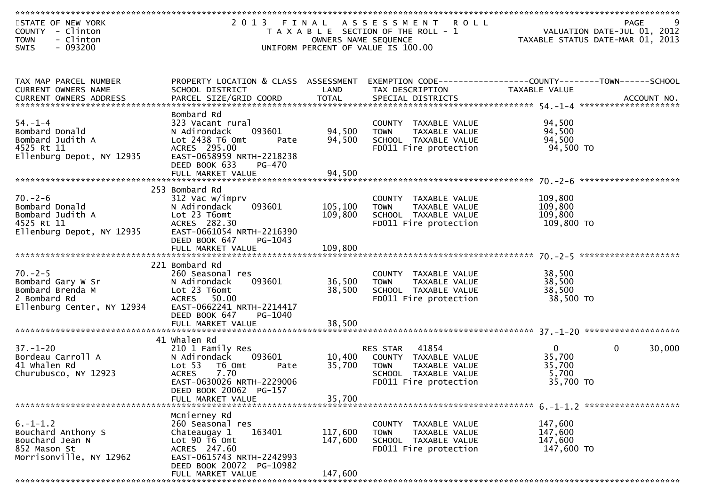| STATE OF NEW YORK<br>COUNTY - Clinton<br>- Clinton<br><b>TOWN</b><br>SWIS<br>$-093200$                                                   |                                                                                                                                                                     | OWNERS NAME SEQUENCE | 2013 FINAL ASSESSMENT ROLL<br>T A X A B L E SECTION OF THE ROLL - 1<br>UNIFORM PERCENT OF VALUE IS 100.00                                              | 0 L L<br>VALUATION DATE-JUL 01, 2012<br>TAXABLE STATUS DATE-MAR 01, 2013        | 9<br>PAGE              |
|------------------------------------------------------------------------------------------------------------------------------------------|---------------------------------------------------------------------------------------------------------------------------------------------------------------------|----------------------|--------------------------------------------------------------------------------------------------------------------------------------------------------|---------------------------------------------------------------------------------|------------------------|
|                                                                                                                                          |                                                                                                                                                                     |                      |                                                                                                                                                        |                                                                                 |                        |
| TAX MAP PARCEL NUMBER<br>CURRENT OWNERS NAME                                                                                             | PROPERTY LOCATION & CLASS ASSESSMENT<br>SCHOOL DISTRICT<br><b>Example 18 The LAND</b>                                                                               |                      | TAX DESCRIPTION                                                                                                                                        | EXEMPTION CODE------------------COUNTY--------TOWN------SCHOOL<br>TAXABLE VALUE |                        |
| $54. - 1 - 4$<br>Bombard Donald<br>Bombard Judith A<br>4525 Rt 11<br>Ellenburg Depot, NY 12935                                           | Bombard Rd<br>323 Vacant rural<br>093601<br>N Adirondack<br>Lot 2438 T6 Omt<br>Pate<br>ACRES 295.00<br>EAST-0658959 NRTH-2218238<br>DEED BOOK 633<br>PG-470         | 94,500<br>94,500     | COUNTY TAXABLE VALUE<br>TOWN     TAXABLE VALUE<br>IOWN<br>SCHOOL TAXABLE VALUE<br>ID011 Fire protection<br>FD011 Fire protection                       | 94,500<br>94,500<br>94,500<br>94,500 TO                                         |                        |
|                                                                                                                                          |                                                                                                                                                                     |                      |                                                                                                                                                        |                                                                                 |                        |
| $70. - 2 - 6$<br>Formbard Donald<br>Bombard Judith A<br>4525 Rt 11<br>Ellenburg Depot, NY 12935                                          | 253 Bombard Rd<br>312 Vac w/imprv<br>093601<br>N Adirondack<br>Lot 23 T6omt<br>ACRES 282.30<br>EAST-0661054 NRTH-2216390<br>DEED BOOK 647<br>PG-1043                | 105,100<br>109,800   | COUNTY TAXABLE VALUE<br><b>TOWN</b><br>TAXABLE VALUE<br>SCHOOL TAXABLE VALUE<br>FD011 Fire protection                                                  | 109,800<br>109,800<br>109,800<br>109,800 TO                                     |                        |
|                                                                                                                                          |                                                                                                                                                                     |                      |                                                                                                                                                        |                                                                                 |                        |
| $70. -2 - 5$<br>ro.<br>Bombard Gary W Sr<br>Bombard Brenda M<br>2 Bombard Rd<br>Ellenburg Center, NY 12934<br>Ellenburg Center, NY 12934 | 221 Bombard Rd<br>260 Seasonal res<br>093601<br>N Adirondack<br>Lot 23 T6omt<br>ACRES 50.00<br>EAST-0662241 NRTH-2214417<br>DEED BOOK 647<br>PG-1040                | 36,500<br>38,500     | COUNTY TAXABLE VALUE<br>TOWN TAXABLE VALUE<br>COUOCL TAXABLE VALUE<br>TOWN TAXAPLE<br>SCHOOL TAXABLE VALUE<br>Time protection<br>FD011 Fire protection | 38,500<br>38,500<br>38,500<br>38,500 TO                                         |                        |
|                                                                                                                                          | FULL MARKET VALUE                                                                                                                                                   | 38,500               |                                                                                                                                                        |                                                                                 |                        |
|                                                                                                                                          | 41 Whalen Rd                                                                                                                                                        |                      |                                                                                                                                                        |                                                                                 |                        |
| $37. - 1 - 20$<br>Bordeau Carroll A<br>41 Whalen Rd<br>Churubusco, NY 12923                                                              | 210 1 Family Res<br>093601<br>N Adirondack<br>Lot 53 T6 Omt<br>Pate<br><b>ACRES</b><br>7.70<br>EAST-0630026 NRTH-2229006<br>DEED BOOK 20062 PG-157                  | 10,400<br>35,700     | RES STAR 41854<br>COUNTY TAXABLE VALUE<br><b>TOWN</b><br>TAXABLE VALUE<br>SCHOOL TAXABLE VALUE<br>FD011 Fire protection                                | $\overline{0}$<br>35,700<br>35,700<br>5,700<br>35,700 TO                        | $\mathbf{0}$<br>30,000 |
|                                                                                                                                          | FULL MARKET VALUE                                                                                                                                                   | 35,700               |                                                                                                                                                        |                                                                                 |                        |
|                                                                                                                                          |                                                                                                                                                                     |                      |                                                                                                                                                        |                                                                                 |                        |
| $6. - 1 - 1.2$<br>Bouchard Anthony S<br>Bouchard Jean N<br>852 Mason St<br>Morrisonville, NY 12962                                       | Mcnierney Rd<br>260 Seasonal res<br>Chateaugay 1<br>163401<br>Lot $90$ $\overline{16}$ Omt<br>ACRES 247.60<br>EAST-0615743 NRTH-2242993<br>DEED BOOK 20072 PG-10982 | 117,600<br>147,600   | COUNTY TAXABLE VALUE<br><b>TOWN</b><br>TAXABLE VALUE<br>SCHOOL TAXABLE VALUE<br>FD011 Fire protection                                                  | 147,600<br>147,600<br>147,600<br>147,600 TO                                     |                        |
|                                                                                                                                          | FULL MARKET VALUE                                                                                                                                                   | 147,600              |                                                                                                                                                        |                                                                                 |                        |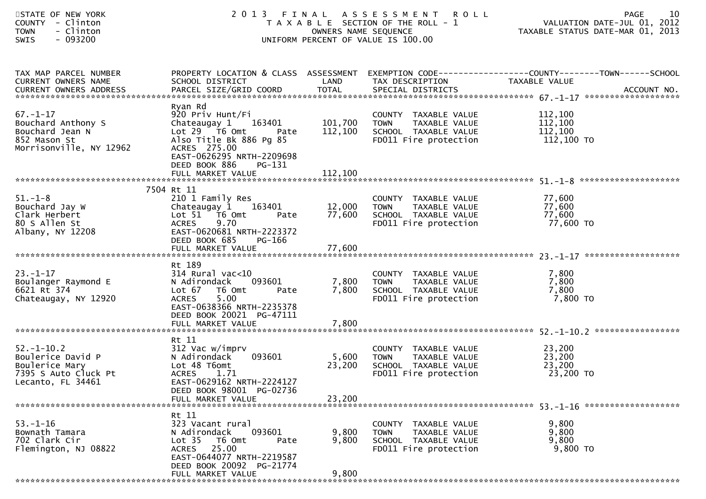| STATE OF NEW YORK<br>COUNTY - Clinton<br>- Clinton<br><b>TOWN</b><br>$-093200$<br><b>SWIS</b>        |                                                                                                                                                                                                    | OWNERS NAME SEQUENCE       | 2013 FINAL ASSESSMENT<br><b>ROLL</b><br>T A X A B L E SECTION OF THE ROLL - 1<br>UNIFORM PERCENT OF VALUE IS 100.00 | 10<br><b>PAGE</b><br>VALUATION DATE-JUL 01, 2012<br>TAXABLE STATUS DATE-MAR 01, 2013                              |
|------------------------------------------------------------------------------------------------------|----------------------------------------------------------------------------------------------------------------------------------------------------------------------------------------------------|----------------------------|---------------------------------------------------------------------------------------------------------------------|-------------------------------------------------------------------------------------------------------------------|
| TAX MAP PARCEL NUMBER<br>CURRENT OWNERS NAME                                                         | SCHOOL DISTRICT                                                                                                                                                                                    | LAND                       | TAX DESCRIPTION                                                                                                     | PROPERTY LOCATION & CLASS ASSESSMENT EXEMPTION CODE----------------COUNTY-------TOWN------SCHOOL<br>TAXABLE VALUE |
| $67. - 1 - 17$<br>Bouchard Anthony S<br>Bouchard Jean N<br>852 Mason St<br>Morrisonville, NY 12962   | Ryan Rd<br>920 Priv Hunt/Fi<br>Chateaugay 1<br>163401<br>Lot $29$ $\overline{16}$ Omt<br>Pate<br>Also Title Bk 886 Pg 85<br>ACRES 275.00<br>EAST-0626295 NRTH-2209698<br>DEED BOOK 886<br>$PG-131$ | 101,700<br>112,100         | COUNTY TAXABLE VALUE<br>TAXABLE VALUE<br>TOWN<br>SCHOOL TAXABLE VALUE<br>FD011 Fire protection                      | 112,100<br>112,100<br>112,100<br>112,100 TO                                                                       |
|                                                                                                      |                                                                                                                                                                                                    |                            |                                                                                                                     |                                                                                                                   |
| $51. - 1 - 8$<br>Bouchard Jay W<br>Clark Herbert<br>80 S Allen St<br>Albany, NY 12208                | 7504 Rt 11<br>210 1 Family Res<br>Chateaugay 1 163401<br>Lot 51 76 0mt<br>Pate<br>9.70<br><b>ACRES</b><br>EAST-0620681 NRTH-2223372<br>DEED BOOK 685<br>PG-166<br>FULL MARKET VALUE                | 12,000<br>77,600<br>77,600 | COUNTY TAXABLE VALUE<br>TAXABLE VALUE<br>TOWN<br>SCHOOL TAXABLE VALUE<br>FD011 Fire protection                      | 77,600<br>77,600<br>77,600<br>77,600 TO                                                                           |
| $23. - 1 - 17$<br>Boulanger Raymond E<br>6621 Rt 374<br>Chateaugay, NY 12920                         | Rt 189<br>$314$ Rural vac<10<br>093601<br>N Adirondack<br>Lot 67<br>T6 Omt<br>Pate<br>5.00<br><b>ACRES</b><br>EAST-0638366 NRTH-2235378<br>DEED BOOK 20021 PG-47111<br>FULL MARKET VALUE           | 7,800<br>7,800<br>7,800    | COUNTY TAXABLE VALUE<br>TAXABLE VALUE<br>TOWN<br>SCHOOL TAXABLE VALUE<br>FD011 Fire protection                      | 7,800<br>7,800<br>7,800<br>7,800 TO                                                                               |
|                                                                                                      | Rt 11                                                                                                                                                                                              |                            |                                                                                                                     |                                                                                                                   |
| $52. - 1 - 10.2$<br>Boulerice David P<br>Boulerice Mary<br>7395 S Auto Cluck Pt<br>Lecanto, FL 34461 | 312 Vac w/imprv<br>093601<br>N Adirondack<br>Lot 48 T6omt<br>ACRES 1.71<br>EAST-0629162 NRTH-2224127                                                                                               | 5,600<br>23,200            | COUNTY TAXABLE VALUE<br>TAXABLE VALUE<br>TOWN<br>SCHOOL TAXABLE VALUE<br>FD011 Fire protection                      | 23,200<br>23,200<br>23,200<br>23,200 TO                                                                           |
|                                                                                                      | DEED BOOK 98001 PG-02736<br>FULL MARKET VALUE                                                                                                                                                      | 23,200                     |                                                                                                                     |                                                                                                                   |
| $53. - 1 - 16$<br>Bownath Tamara<br>702 Clark Cir<br>Flemington, NJ 08822                            | Rt 11<br>323 Vacant rural<br>093601<br>N Adirondack<br>Lot <sub>35</sub><br>T6 Omt<br>Pate<br>ACRES 25.00<br>EAST-0644077 NRTH-2219587<br>DEED BOOK 20092 PG-21774<br>FULL MARKET VALUE            | 9,800<br>9,800<br>9,800    | COUNTY TAXABLE VALUE<br><b>TOWN</b><br>TAXABLE VALUE<br>SCHOOL TAXABLE VALUE<br>FD011 Fire protection               | 9,800<br>9,800<br>9,800<br>9,800 TO                                                                               |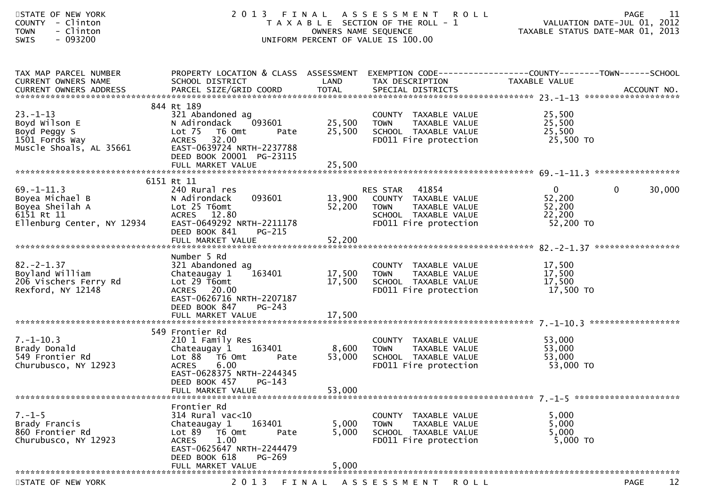| STATE OF NEW YORK<br>COUNTY - Clinton<br>- Clinton<br><b>TOWN</b><br>$-093200$<br><b>SWIS</b>      | 2 0 1 3                                                                                                                                                                        | OWNERS NAME SEQUENCE       | FINAL ASSESSMENT ROLL<br>T A X A B L E SECTION OF THE ROLL - 1<br>UNIFORM PERCENT OF VALUE IS 100.00                       |                                                         | 11<br>PAGE<br>VALUATION DATE-JUL 01, 2012<br>TAXABLE STATUS DATE-MAR 01, 2013 |
|----------------------------------------------------------------------------------------------------|--------------------------------------------------------------------------------------------------------------------------------------------------------------------------------|----------------------------|----------------------------------------------------------------------------------------------------------------------------|---------------------------------------------------------|-------------------------------------------------------------------------------|
| TAX MAP PARCEL NUMBER<br>CURRENT OWNERS NAME                                                       | PROPERTY LOCATION & CLASS ASSESSMENT EXEMPTION CODE----------------COUNTY-------TOWN------SCHOOL<br>SCHOOL DISTRICT                                                            | LAND                       | TAX DESCRIPTION                                                                                                            | TAXABLE VALUE                                           |                                                                               |
| $23. - 1 - 13$<br>Boyd Wilson E<br>Boyd Peggy S<br>1501 Fords Way<br>Muscle Shoals, AL 35661       | 844 Rt 189<br>321 Abandoned ag<br>N Adirondack<br>093601<br>Lot 75 T6 Omt<br>Pate<br>32.00<br><b>ACRES</b><br>EAST-0639724 NRTH-2237788<br>DEED BOOK 20001 PG-23115            | 25,500<br>25,500           | COUNTY TAXABLE VALUE<br>TAXABLE VALUE<br><b>TOWN</b><br>SCHOOL TAXABLE VALUE<br>FD011 Fire protection                      | 25,500<br>25,500<br>25,500<br>25,500 TO                 |                                                                               |
|                                                                                                    |                                                                                                                                                                                |                            |                                                                                                                            |                                                         |                                                                               |
| $69. - 1 - 11.3$<br>Boyea Michael B<br>Boyea Sheilah A<br>6151 Rt 11<br>Ellenburg Center, NY 12934 | 6151 Rt 11<br>240 Rural res<br>093601<br>N Adirondack<br>Lot 25 T6omt<br>ACRES 12.80<br>EAST-0649292 NRTH-2211178<br>DEED BOOK 841<br>$PG-215$<br>FULL MARKET VALUE            | 13,900<br>52,200<br>52,200 | RES STAR<br>41854<br>COUNTY TAXABLE VALUE<br>TAXABLE VALUE<br><b>TOWN</b><br>SCHOOL TAXABLE VALUE<br>FD011 Fire protection | $\mathbf{0}$<br>52,200<br>52,200<br>22,200<br>52,200 TO | 0<br>30,000                                                                   |
| $82 - 2 - 1.37$<br>Boyland William<br>206 Vischers Ferry Rd<br>Rexford, NY 12148                   | Number 5 Rd<br>321 Abandoned ag<br>Chateaugay 1<br>163401<br>Lot $29$ T6omt<br>ACRES 20.00<br>EAST-0626716 NRTH-2207187<br>DEED BOOK 847<br>$PG-243$                           | 17,500<br>17,500           | COUNTY TAXABLE VALUE<br>TAXABLE VALUE<br><b>TOWN</b><br>SCHOOL TAXABLE VALUE<br>FD011 Fire protection                      | 17,500<br>17,500<br>17,500<br>17,500 TO                 |                                                                               |
|                                                                                                    | 549 Frontier Rd                                                                                                                                                                |                            |                                                                                                                            |                                                         |                                                                               |
| $7. - 1 - 10.3$<br>Brady Donald<br>549 Frontier Rd<br>Churubusco, NY 12923                         | 210 1 Family Res<br>163401<br>Chateaugay 1<br>Lot 88 T6 Omt<br>Pate<br>6.00<br><b>ACRES</b><br>EAST-0628375 NRTH-2244345<br>DEED BOOK 457 PG-143<br>FULL MARKET VALUE          | 8,600<br>53,000<br>53,000  | COUNTY TAXABLE VALUE<br><b>TOWN</b><br>TAXABLE VALUE<br>SCHOOL TAXABLE VALUE<br>FD011 Fire protection                      | 53,000<br>53,000<br>53,000<br>53,000 TO                 |                                                                               |
|                                                                                                    |                                                                                                                                                                                |                            |                                                                                                                            |                                                         |                                                                               |
| $7. - 1 - 5$<br>Brady Francis<br>860 Frontier Rd<br>Churubusco, NY 12923                           | Frontier Rd<br>$314$ Rural vac<10<br>163401<br>Chateaugay 1<br>Lot 89<br>T6 Omt<br>Pate<br>1.00<br><b>ACRES</b><br>EAST-0625647 NRTH-2244479<br>DEED BOOK 618<br><b>PG-269</b> | 5,000<br>5,000             | COUNTY TAXABLE VALUE<br><b>TOWN</b><br>TAXABLE VALUE<br>SCHOOL TAXABLE VALUE<br>FD011 Fire protection                      | 5,000<br>5,000<br>5,000<br>5,000 TO                     |                                                                               |
|                                                                                                    | FULL MARKET VALUE                                                                                                                                                              | 5,000                      |                                                                                                                            |                                                         |                                                                               |
| STATE OF NEW YORK                                                                                  | 2 0 1 3                                                                                                                                                                        | FINAL                      | ASSESSMENT ROLL                                                                                                            |                                                         | 12<br>PAGE                                                                    |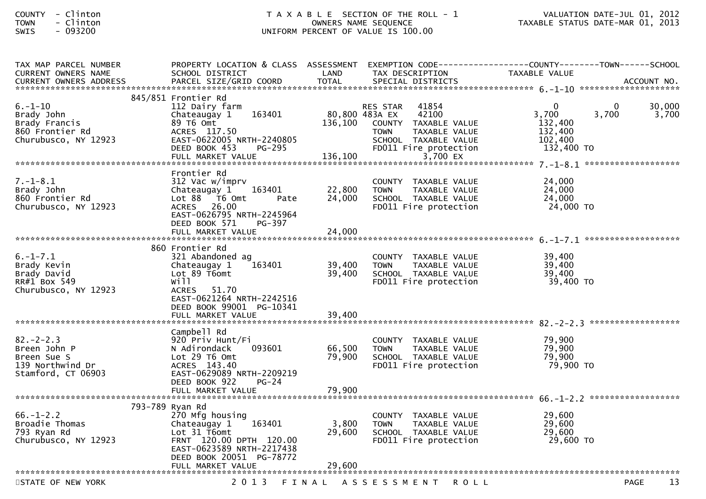| TAX MAP PARCEL NUMBER<br><b>CURRENT OWNERS NAME</b>                                     | PROPERTY LOCATION & CLASS ASSESSMENT<br>SCHOOL DISTRICT                                                                                                                   | LAND               | TAX DESCRIPTION                                                                                                                                                   | TAXABLE VALUE                                                        |                   |                 |
|-----------------------------------------------------------------------------------------|---------------------------------------------------------------------------------------------------------------------------------------------------------------------------|--------------------|-------------------------------------------------------------------------------------------------------------------------------------------------------------------|----------------------------------------------------------------------|-------------------|-----------------|
|                                                                                         |                                                                                                                                                                           |                    |                                                                                                                                                                   |                                                                      |                   |                 |
| $6. - 1 - 10$<br>Brady John<br>Brady Francis<br>860 Frontier Rd<br>Churubusco, NY 12923 | 845/851 Frontier Rd<br>112 Dairy farm<br>163401<br>Chateaugay 1<br>89 T6 Omt<br>ACRES 117.50<br>EAST-0622005 NRTH-2240805<br>DEED BOOK 453<br>PG-295<br>FULL MARKET VALUE | 136,100<br>136,100 | 41854<br>RES STAR<br>42100<br>80,800 483A EX<br>COUNTY TAXABLE VALUE<br>TAXABLE VALUE<br><b>TOWN</b><br>SCHOOL TAXABLE VALUE<br>FD011 Fire protection<br>3,700 EX | $\mathbf{0}$<br>3,700<br>132,400<br>132,400<br>102,400<br>132,400 TO | $\Omega$<br>3,700 | 30,000<br>3,700 |
|                                                                                         | Frontier Rd                                                                                                                                                               |                    |                                                                                                                                                                   |                                                                      |                   |                 |
| $7. - 1 - 8.1$<br>Brady John<br>860 Frontier Rd<br>Churubusco, NY 12923                 | 312 Vac w/imprv<br>163401<br>Chateaugay 1<br>Lot $88$ $\overline{76}$ Omt<br>Pate<br>ACRES 26.00<br>EAST-0626795 NRTH-2245964<br>DEED BOOK 571<br>PG-397                  | 22,800<br>24,000   | COUNTY TAXABLE VALUE<br><b>TOWN</b><br>TAXABLE VALUE<br>SCHOOL TAXABLE VALUE<br>FD011 Fire protection                                                             | 24,000<br>24,000<br>24,000<br>24,000 TO                              |                   |                 |
|                                                                                         | FULL MARKET VALUE                                                                                                                                                         | 24,000             |                                                                                                                                                                   |                                                                      |                   |                 |
|                                                                                         | 860 Frontier Rd                                                                                                                                                           |                    |                                                                                                                                                                   |                                                                      |                   |                 |
| $6. - 1 - 7.1$<br>Brady Kevin<br>Brady David<br>RR#1 Box 549<br>Churubusco, NY 12923    | 321 Abandoned ag<br>163401<br>Chateaugay 1<br>Lot 89 T6omt<br>will<br>ACRES 51.70<br>EAST-0621264 NRTH-2242516                                                            | 39,400<br>39,400   | COUNTY TAXABLE VALUE<br><b>TOWN</b><br>TAXABLE VALUE<br>SCHOOL TAXABLE VALUE<br>FD011 Fire protection                                                             | 39,400<br>39,400<br>39,400<br>39,400 TO                              |                   |                 |
|                                                                                         | DEED BOOK 99001 PG-10341<br>FULL MARKET VALUE                                                                                                                             | 39,400             |                                                                                                                                                                   |                                                                      |                   |                 |
|                                                                                         | Campbell Rd                                                                                                                                                               |                    |                                                                                                                                                                   |                                                                      |                   |                 |
| $82 - 2 - 2.3$<br>Breen John P<br>Breen Sue S<br>139 Northwind Dr<br>Stamford, CT 06903 | 920 Priv Hunt/Fi<br>093601<br>N Adirondack<br>Lot 29 T6 Omt<br>ACRES 143.40<br>EAST-0629089 NRTH-2209219<br>DEED BOOK 922<br>$PG-24$                                      | 66,500<br>79,900   | COUNTY TAXABLE VALUE<br><b>TOWN</b><br>TAXABLE VALUE<br>SCHOOL TAXABLE VALUE<br>FD011 Fire protection                                                             | 79,900<br>79,900<br>79,900<br>79,900 TO                              |                   |                 |
|                                                                                         |                                                                                                                                                                           |                    |                                                                                                                                                                   |                                                                      |                   |                 |
| $66. - 1 - 2.2$<br>Broadie Thomas<br>793 Ryan Rd<br>Churubusco, NY 12923                | 793-789 Ryan Rd<br>270 Mfg housing<br>Chateaugay 1<br>163401<br>Lot 31 T6omt<br>FRNT 120.00 DPTH 120.00<br>EAST-0623589 NRTH-2217438<br>DEED BOOK 20051 PG-78772          | 3,800<br>29,600    | COUNTY TAXABLE VALUE<br>TAXABLE VALUE<br><b>TOWN</b><br>SCHOOL TAXABLE VALUE<br>FD011 Fire protection                                                             | 29,600<br>29,600<br>29,600<br>29,600 TO                              |                   |                 |
|                                                                                         | FULL MARKET VALUE                                                                                                                                                         | 29,600             |                                                                                                                                                                   |                                                                      |                   |                 |
| STATE OF NEW YORK                                                                       | 2 0 1 3                                                                                                                                                                   |                    | FINAL ASSESSMENT ROLL                                                                                                                                             |                                                                      | <b>PAGE</b>       | 13              |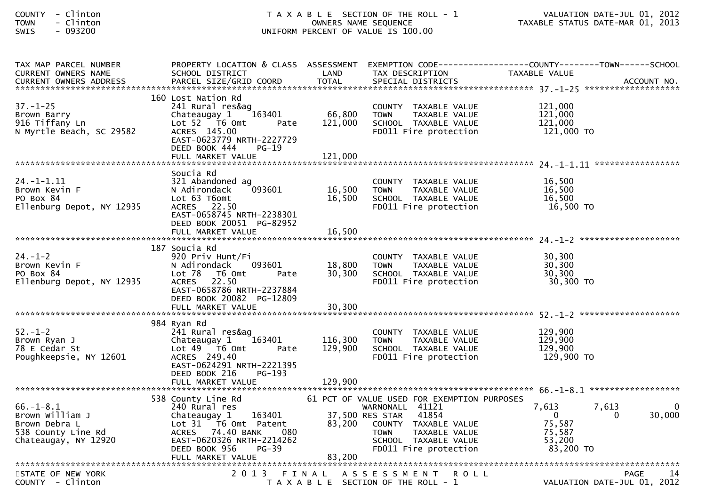| COUNTY        | Clinton |
|---------------|---------|
| <b>TOWN</b>   | Clinton |
| <b>CINITC</b> | nazznn  |

| TAX MAP PARCEL NUMBER     |                           |         |                                             | PROPERTY LOCATION & CLASS ASSESSMENT EXEMPTION CODE----------------COUNTY-------TOWN------SCHOOL |
|---------------------------|---------------------------|---------|---------------------------------------------|--------------------------------------------------------------------------------------------------|
| CURRENT OWNERS NAME       | SCHOOL DISTRICT           | LAND    | TAX DESCRIPTION                             | TAXABLE VALUE                                                                                    |
|                           |                           |         |                                             |                                                                                                  |
|                           |                           |         |                                             |                                                                                                  |
|                           | 160 Lost Nation Rd        |         |                                             |                                                                                                  |
| $37. - 1 - 25$            | 241 Rural res&ag          |         | COUNTY TAXABLE VALUE                        | 121,000                                                                                          |
| Brown Barry               | 163401<br>Chateaugay 1    | 66,800  | TAXABLE VALUE<br><b>TOWN</b>                | 121,000                                                                                          |
| 916 Tiffany Ln            | Lot 52  T6 Omt<br>Pate    | 121,000 | SCHOOL TAXABLE VALUE                        | 121,000                                                                                          |
| N Myrtle Beach, SC 29582  | ACRES 145.00              |         | FD011 Fire protection                       | 121,000 TO                                                                                       |
|                           | EAST-0623779 NRTH-2227729 |         |                                             |                                                                                                  |
|                           | DEED BOOK 444<br>$PG-19$  |         |                                             |                                                                                                  |
|                           | FULL MARKET VALUE         | 121,000 |                                             |                                                                                                  |
|                           |                           |         |                                             |                                                                                                  |
|                           | Soucia Rd                 |         |                                             |                                                                                                  |
| $24. - 1 - 1.11$          | 321 Abandoned ag          |         | COUNTY TAXABLE VALUE                        | 16,500                                                                                           |
| Brown Kevin F             | 093601<br>N Adirondack    | 16,500  | TAXABLE VALUE<br><b>TOWN</b>                | 16,500                                                                                           |
| PO Box 84                 | Lot 63 T6omt              | 16,500  | SCHOOL TAXABLE VALUE                        | 16,500                                                                                           |
| Ellenburg Depot, NY 12935 | ACRES 22.50               |         | FD011 Fire protection                       | 16,500 TO                                                                                        |
|                           | EAST-0658745 NRTH-2238301 |         |                                             |                                                                                                  |
|                           | DEED BOOK 20051 PG-82952  |         |                                             |                                                                                                  |
|                           | FULL MARKET VALUE         | 16,500  |                                             |                                                                                                  |
|                           |                           |         |                                             |                                                                                                  |
|                           | 187 Soucia Rd             |         |                                             |                                                                                                  |
| $24. - 1 - 2$             | 920 Priv Hunt/Fi          |         | COUNTY TAXABLE VALUE                        | 30,300                                                                                           |
| Brown Kevin F             | N Adirondack<br>093601    | 18,800  | <b>TOWN</b><br>TAXABLE VALUE                | 30,300                                                                                           |
| PO Box 84                 | Lot 78<br>T6 Omt<br>Pate  | 30.300  | SCHOOL TAXABLE VALUE                        | 30,300                                                                                           |
| Ellenburg Depot, NY 12935 | 22.50<br><b>ACRES</b>     |         | FD011 Fire protection                       | 30,300 TO                                                                                        |
|                           | EAST-0658786 NRTH-2237884 |         |                                             |                                                                                                  |
|                           | DEED BOOK 20082 PG-12809  |         |                                             |                                                                                                  |
|                           |                           |         |                                             |                                                                                                  |
|                           |                           |         |                                             |                                                                                                  |
|                           | 984 Ryan Rd               |         |                                             |                                                                                                  |
| $52 - 1 - 2$              | 241 Rural res&ag          |         | COUNTY TAXABLE VALUE                        | 129,900                                                                                          |
| Brown Ryan J              | Chateaugay 1<br>163401    | 116,300 | <b>TOWN</b><br>TAXABLE VALUE                | 129,900                                                                                          |
| 78 E Cedar St             | Lot 49 T6 Omt<br>Pate     | 129,900 | SCHOOL TAXABLE VALUE                        | 129,900                                                                                          |
| Poughkeepsie, NY 12601    | ACRES 249.40              |         | FD011 Fire protection                       | 129,900 TO                                                                                       |
|                           | EAST-0624291 NRTH-2221395 |         |                                             |                                                                                                  |
|                           | DEED BOOK 216<br>PG-193   |         |                                             |                                                                                                  |
|                           | FULL MARKET VALUE         | 129,900 |                                             |                                                                                                  |
|                           |                           |         |                                             |                                                                                                  |
|                           | 538 County Line Rd        |         | 61 PCT OF VALUE USED FOR EXEMPTION PURPOSES |                                                                                                  |
| $66. - 1 - 8.1$           | 240 Rural res             |         | WARNONALL 41121                             | 7,613<br>7,613                                                                                   |
| Brown William J           | Chateaugay 1<br>163401    |         | 37,500 RES STAR<br>41854                    | 30,000<br>$\mathbf{0}$<br>$\Omega$                                                               |
| Brown Debra L             | Lot 31 T6 Omt Patent      | 83,200  | COUNTY TAXABLE VALUE                        | 75,587                                                                                           |
| 538 County Line Rd        | ACRES 74.40 BANK<br>- 080 |         | TAXABLE VALUE<br><b>TOWN</b>                | 75,587                                                                                           |
| Chateaugay, NY 12920      | EAST-0620326 NRTH-2214262 |         | SCHOOL TAXABLE VALUE                        | 53,200                                                                                           |
|                           | $PG-39$<br>DEED BOOK 956  |         | FD011 Fire protection                       | 83,200 TO                                                                                        |
|                           |                           |         |                                             |                                                                                                  |
|                           |                           |         |                                             |                                                                                                  |
| STATE OF NEW YORK         |                           |         | 2013 FINAL ASSESSMENT<br><b>ROLL</b>        | PAGE<br>14                                                                                       |
| COUNTY - Clinton          |                           |         | T A X A B L E SECTION OF THE ROLL - 1       | VALUATION DATE-JUL 01, 2012                                                                      |
|                           |                           |         |                                             |                                                                                                  |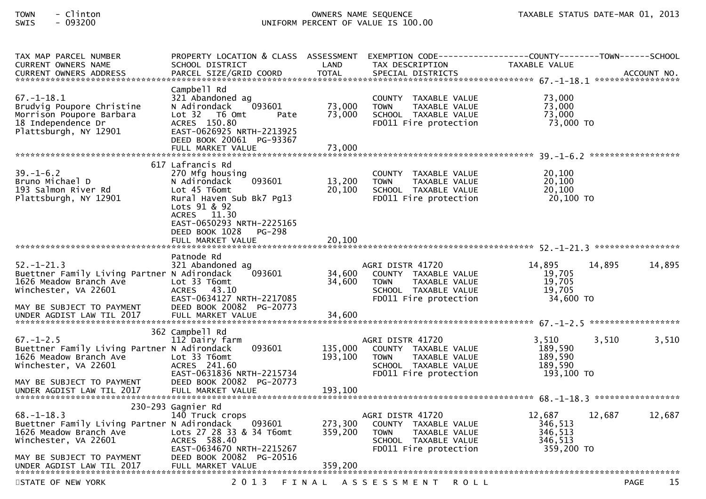| TAX MAP PARCEL NUMBER<br>CURRENT OWNERS NAME<br>CURRENT OWNERS ADDRESS                                                                                                      | PROPERTY LOCATION & CLASS ASSESSMENT<br>SCHOOL DISTRICT<br>PARCEL SIZE/GRID COORD                                                                                                                 | LAND<br><b>TOTAL</b>       | EXEMPTION        CODE-----------------COUNTY-------TOWN------SCHOOL<br>TAX DESCRIPTION<br>SPECIAL DISTRICTS                              | TAXABLE VALUE                                         | ACCOUNT NO.       |
|-----------------------------------------------------------------------------------------------------------------------------------------------------------------------------|---------------------------------------------------------------------------------------------------------------------------------------------------------------------------------------------------|----------------------------|------------------------------------------------------------------------------------------------------------------------------------------|-------------------------------------------------------|-------------------|
| $67. - 1 - 18.1$<br>Brudvig Poupore Christine<br>Morrison Poupore Barbara<br>18 Independence Dr<br>Plattsburgh, NY 12901                                                    | Campbell Rd<br>321 Abandoned ag<br>093601<br>N Adirondack<br>Lot 32 76 0mt<br>Pate<br>ACRES 150.80<br>EAST-0626925 NRTH-2213925<br>DEED BOOK 20061 PG-93367<br>FULL MARKET VALUE                  | 73,000<br>73,000<br>73,000 | COUNTY TAXABLE VALUE<br><b>TOWN</b><br>TAXABLE VALUE<br>SCHOOL TAXABLE VALUE<br>FD011 Fire protection                                    | 73,000<br>73,000<br>73,000<br>73,000 TO               |                   |
| $39. - 1 - 6.2$<br>Bruno Michael D<br>193 Salmon River Rd<br>Plattsburgh, NY 12901                                                                                          | 617 Lafrancis Rd<br>270 Mfg housing<br>093601<br>N Adirondack<br>Lot 45 T6omt<br>Rural Haven Sub Bk7 Pg13<br>Lots 91 & 92<br>ACRES 11.30<br>EAST-0650293 NRTH-2225165<br>DEED BOOK 1028<br>PG-298 | 13,200<br>20,100           | COUNTY TAXABLE VALUE<br><b>TOWN</b><br>TAXABLE VALUE<br>SCHOOL TAXABLE VALUE<br>FD011 Fire protection                                    | 20,100<br>20,100<br>20,100<br>20,100 TO               |                   |
| $52. - 1 - 21.3$<br>Buettner Family Living Partner N Adirondack<br>1626 Meadow Branch Ave<br>Winchester, VA 22601<br>MAY BE SUBJECT TO PAYMENT                              | Patnode Rd<br>321 Abandoned ag<br>093601<br>Lot 33 T6omt<br>ACRES 43.10<br>EAST-0634127 NRTH-2217085<br>DEED BOOK 20082 PG-20773                                                                  | 34,600<br>34,600           | AGRI DISTR 41720<br>COUNTY TAXABLE VALUE<br><b>TOWN</b><br>TAXABLE VALUE<br>SCHOOL TAXABLE VALUE<br>FD011 Fire protection                | 14,895<br>19,705<br>19,705<br>19,705<br>34,600 TO     | 14,895<br>14,895  |
| $67. - 1 - 2.5$<br>Buettner Family Living Partner N Adirondack<br>1626 Meadow Branch Ave<br>Winchester, VA 22601<br>MAY BE SUBJECT TO PAYMENT                               | 362 Campbell Rd<br>112 Dairy farm<br>093601<br>Lot 33 T6omt<br>ACRES 241.60<br>EAST-0631836 NRTH-2215734<br>DEED BOOK 20082 PG-20773                                                              | 135,000<br>193,100         | AGRI DISTR 41720<br>COUNTY TAXABLE VALUE<br><b>TOWN</b><br>TAXABLE VALUE<br>SCHOOL TAXABLE VALUE<br>FD011 Fire protection                | 3,510<br>189,590<br>189,590<br>189,590<br>193,100 TO  | 3,510<br>3,510    |
| $68. - 1 - 18.3$<br>Buettner Family Living Partner N Adirondack<br>1626 Meadow Branch Ave<br>Winchester, VA 22601<br>MAY BE SUBJECT TO PAYMENT<br>UNDER AGDIST LAW TIL 2017 | 230-293 Gagnier Rd<br>140 Truck crops<br>093601<br>Lots 27 28 33 & 34 T6omt<br>ACRES 588.40<br>EAST-0634670 NRTH-2215267<br>DEED BOOK 20082 PG-20516<br>FULL MARKET VALUE                         | 359,200<br>359,200         | AGRI DISTR 41720<br>273,300 COUNTY TAXABLE VALUE<br><b>TOWN</b><br><b>TAXABLE VALUE</b><br>SCHOOL TAXABLE VALUE<br>FD011 Fire protection | 12,687<br>346,513<br>346,513<br>346,513<br>359,200 TO | 12,687<br>12,687  |
| STATE OF NEW YORK                                                                                                                                                           | 2 0 1 3<br>FINAL                                                                                                                                                                                  |                            | A S S E S S M E N T<br>R O L L                                                                                                           |                                                       | 15<br><b>PAGE</b> |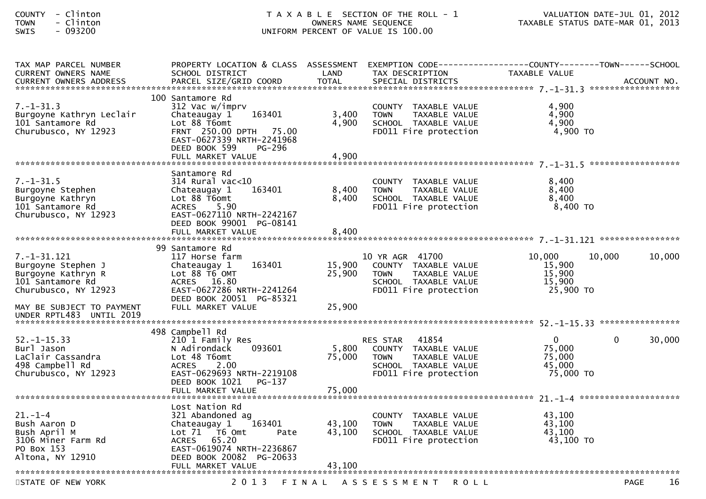| - Clinton<br><b>COUNTY</b><br>- Clinton<br><b>TOWN</b><br>$-093200$<br>SWIS                                                                                                                                           | T A X A B L E SECTION OF THE ROLL - 1<br>OWNERS NAME SEQUENCE<br>UNIFORM PERCENT OF VALUE IS 100.00                                                                                            |                            |                                                                                                                                   | VALUATION DATE-JUL 01, 2012<br>TAXABLE STATUS DATE-MAR 01, 2013               |        |
|-----------------------------------------------------------------------------------------------------------------------------------------------------------------------------------------------------------------------|------------------------------------------------------------------------------------------------------------------------------------------------------------------------------------------------|----------------------------|-----------------------------------------------------------------------------------------------------------------------------------|-------------------------------------------------------------------------------|--------|
| TAX MAP PARCEL NUMBER<br>CURRENT OWNERS NAME<br>CURRENT OWNERS ADDRESS PARCEL SIZE/GRID COORD TOTAL SPECIAL DISTRICTS AND MOLE ACCOUNT NOLE AND MOTHERS ADDRESS THE SPECIAL SPECIAL DISTRICTS AND MOLE AND ACCOUNT NO | PROPERTY LOCATION & CLASS ASSESSMENT<br>SCHOOL DISTRICT                                                                                                                                        | LAND                       | TAX DESCRIPTION                                                                                                                   | EXEMPTION CODE-----------------COUNTY-------TOWN------SCHOOL<br>TAXABLE VALUE |        |
| $7. - 1 - 31.3$<br>Burgoyne Kathryn Leclair<br>101 Santamore Rd<br>Churubusco, NY 12923                                                                                                                               | 100 Santamore Rd<br>312 Vac w/imprv<br>163401<br>Chateaugay 1<br>Lot 88 T6omt<br>FRNT 250.00 DPTH 75.00<br>EAST-0627339 NRTH-2241968<br>DEED BOOK 599<br><b>PG-296</b><br>FULL MARKET VALUE    | 3,400<br>4,900<br>4,900    | COUNTY TAXABLE VALUE<br><b>TOWN</b><br>TAXABLE VALUE<br>SCHOOL TAXABLE VALUE<br>FD011 Fire protection                             | 4,900<br>4,900<br>4,900<br>4,900 TO                                           |        |
| $7. - 1 - 31.5$<br>Burgoyne Stephen<br>Burgoyne Kathryn<br>101 Santamore Rd<br>Churubusco, NY 12923                                                                                                                   | Santamore Rd<br>314 Rural vac<10<br>163401<br>Chateaugay 1<br>Lot 88 T6omt<br><b>ACRES</b><br>5.90<br>EAST-0627110 NRTH-2242167<br>DEED BOOK 99001 PG-08141<br>FULL MARKET VALUE               | 8,400<br>8,400<br>8,400    | COUNTY TAXABLE VALUE<br>TAXABLE VALUE<br><b>TOWN</b><br>SCHOOL TAXABLE VALUE<br>FD011 Fire protection                             | 8,400<br>8,400<br>8,400<br>8,400 TO                                           |        |
| $7. - 1 - 31.121$<br>Burgoyne Stephen J<br>Burgoyne Kathryn R<br>101 Santamore Rd<br>Churubusco, NY 12923                                                                                                             | 99 Santamore Rd<br>117 Horse farm<br>163401<br>Chateaugay 1<br>Lot 88 T6 OMT<br>ACRES 16.80<br>EAST-0627286 NRTH-2241264<br>DEED BOOK 20051 PG-85321                                           | 15,900<br>25,900<br>25,900 | 10 YR AGR 41700<br>COUNTY TAXABLE VALUE<br>TAXABLE VALUE<br><b>TOWN</b><br>SCHOOL TAXABLE VALUE<br>FD011 Fire protection          | 10,000<br>10,000<br>15,900<br>15,900<br>15,900<br>25,900 TO                   | 10,000 |
| MAY BE SUBJECT TO PAYMENT<br>UNDER RPTL483 UNTIL 2019                                                                                                                                                                 | FULL MARKET VALUE                                                                                                                                                                              |                            |                                                                                                                                   |                                                                               |        |
| $52. - 1 - 15.33$<br>Burl Jason<br>LaClair Cassandra<br>498 Campbell Rd<br>Churubusco, NY 12923                                                                                                                       | 498 Campbell Rd<br>210 1 Family Res<br>093601<br>N Adirondack<br>Lot 48 T6omt<br>2.00<br>ACRES<br>EAST-0629693 NRTH-2219108<br>DEED BOOK 1021<br>PG-137<br>FULL MARKET VALUE                   | 5,800<br>75,000<br>75,000  | 41854<br><b>RES STAR</b><br>COUNTY TAXABLE VALUE<br>TAXABLE VALUE<br><b>TOWN</b><br>SCHOOL TAXABLE VALUE<br>FD011 Fire protection | $\mathbf{0}$<br>$\Omega$<br>75,000<br>75,000<br>45,000<br>75,000 TO           | 30,000 |
| $21. - 1 - 4$<br>Bush Aaron D<br>Bush April M<br>3106 Miner Farm Rd<br>PO Box 153<br>Altona, NY 12910                                                                                                                 | Lost Nation Rd<br>321 Abandoned ag<br>163401<br>Chateaugay 1<br>Lot $71$ T6 Omt<br>Pate<br>65.20<br><b>ACRES</b><br>EAST-0619074 NRTH-2236867<br>DEED BOOK 20082 PG-20633<br>FULL MARKET VALUE | 43,100<br>43,100<br>43,100 | COUNTY TAXABLE VALUE<br><b>TOWN</b><br>TAXABLE VALUE<br>SCHOOL TAXABLE VALUE<br>FD011 Fire protection                             | 43,100<br>43,100<br>43,100<br>43,100 TO                                       |        |

STATE OF NEW YORK 2013 FINAL ASSESSMENT ROLL PAGE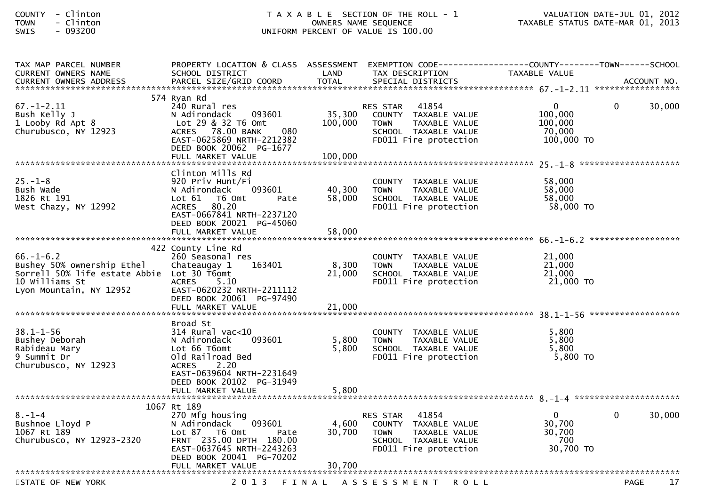| <b>COUNTY</b> | Clinton |
|---------------|---------|
| <b>TOWN</b>   | Clinton |
| -----         | 003300  |

| TAX MAP PARCEL NUMBER<br><b>CURRENT OWNERS NAME</b>                                                                                      | PROPERTY LOCATION & CLASS ASSESSMENT<br>SCHOOL DISTRICT                                                                                                                              | LAND                         | EXEMPTION        CODE-----------------COUNTY-------TOWN------SCHOOL<br>TAX DESCRIPTION                                            | TAXABLE VALUE                                              |             |        |
|------------------------------------------------------------------------------------------------------------------------------------------|--------------------------------------------------------------------------------------------------------------------------------------------------------------------------------------|------------------------------|-----------------------------------------------------------------------------------------------------------------------------------|------------------------------------------------------------|-------------|--------|
|                                                                                                                                          |                                                                                                                                                                                      |                              |                                                                                                                                   |                                                            |             |        |
|                                                                                                                                          |                                                                                                                                                                                      |                              |                                                                                                                                   |                                                            |             |        |
| $67. - 1 - 2.11$<br>Bush Kelly J<br>1 Looby Rd Apt 8<br>Churubusco, NY 12923                                                             | 574 Ryan Rd<br>240 Rural res<br>N Adirondack<br>093601<br>Lot 29 & 32 T6 Omt<br>080<br>ACRES 78.00 BANK<br>EAST-0625869 NRTH-2212382<br>DEED BOOK 20062 PG-1677<br>FULL MARKET VALUE | 35,300<br>100,000<br>100,000 | 41854<br>RES STAR<br>COUNTY TAXABLE VALUE<br><b>TOWN</b><br>TAXABLE VALUE<br>SCHOOL TAXABLE VALUE<br>FD011 Fire protection        | $\mathbf{0}$<br>100,000<br>100,000<br>70,000<br>100,000 TO | $\Omega$    | 30,000 |
|                                                                                                                                          |                                                                                                                                                                                      |                              |                                                                                                                                   |                                                            |             |        |
| $25. - 1 - 8$<br>Bush Wade<br>1826 Rt 191<br>West Chazy, NY 12992                                                                        | Clinton Mills Rd<br>920 Priv Hunt/Fi<br>093601<br>N Adirondack<br>Lot 61 76 0mt<br>Pate<br>80.20<br>ACRES<br>EAST-0667841 NRTH-2237120<br>DEED BOOK 20021 PG-45060                   | 40,300<br>58,000             | COUNTY TAXABLE VALUE<br><b>TOWN</b><br>TAXABLE VALUE<br>SCHOOL TAXABLE VALUE<br>FD011 Fire protection                             | 58,000<br>58,000<br>58,000<br>58,000 TO                    |             |        |
|                                                                                                                                          | FULL MARKET VALUE                                                                                                                                                                    | 58,000                       |                                                                                                                                   |                                                            |             |        |
| $66. - 1 - 6.2$<br>Bushey 50% ownership Ethel<br>Sorrell 50% life estate Abbie Lot 30 T6omt<br>10 Williams St<br>Lyon Mountain, NY 12952 | 422 County Line Rd<br>260 Seasonal res<br>163401<br>Chateaugay 1<br><b>ACRES</b><br>5.10<br>EAST-0620232 NRTH-2211112<br>DEED BOOK 20061 PG-97490                                    | 8,300<br>21,000              | COUNTY TAXABLE VALUE<br>TAXABLE VALUE<br><b>TOWN</b><br>SCHOOL TAXABLE VALUE<br>FD011 Fire protection                             | 21,000<br>21,000<br>21,000<br>21,000 TO                    |             |        |
|                                                                                                                                          | FULL MARKET VALUE                                                                                                                                                                    | 21,000                       |                                                                                                                                   |                                                            |             |        |
| $38.1 - 1 - 56$<br>Bushey Deborah<br>Rabideau Mary<br>9 Summit Dr<br>Churubusco, NY 12923                                                | Broad St<br>$314$ Rural vac< $10$<br>093601<br>N Adirondack<br>Lot 66 T6omt<br>Old Railroad Bed<br>2.20<br><b>ACRES</b><br>EAST-0639604 NRTH-2231649                                 | 5,800<br>5,800               | COUNTY TAXABLE VALUE<br><b>TOWN</b><br>TAXABLE VALUE<br>SCHOOL TAXABLE VALUE<br>FD011 Fire protection                             | 5,800<br>5,800<br>5,800<br>5,800 TO                        |             |        |
|                                                                                                                                          | DEED BOOK 20102 PG-31949                                                                                                                                                             |                              |                                                                                                                                   |                                                            |             |        |
|                                                                                                                                          |                                                                                                                                                                                      |                              |                                                                                                                                   |                                                            |             |        |
|                                                                                                                                          | 1067 Rt 189                                                                                                                                                                          |                              |                                                                                                                                   |                                                            |             |        |
| 8.–1–4<br>Bushnoe Lloyd P<br>1067 Rt 189<br>Churubusco, NY 12923-2320                                                                    | 270 Mfg housing<br>N Adirondack<br>093601<br>Lot 87 76 0mt<br>Pate<br>FRNT 235.00 DPTH 180.00<br>EAST-0637645 NRTH-2243263<br>DEED BOOK 20041 PG-70202                               | 4,600<br>30,700              | 41854<br>RES STAR<br>COUNTY TAXABLE VALUE<br><b>TAXABLE VALUE</b><br><b>TOWN</b><br>SCHOOL TAXABLE VALUE<br>FD011 Fire protection | $\Omega$<br>30,700<br>30,700<br>700<br>30,700 TO           | 0           | 30,000 |
|                                                                                                                                          | FULL MARKET VALUE                                                                                                                                                                    | 30,700                       |                                                                                                                                   |                                                            |             |        |
| STATE OF NEW YORK                                                                                                                        | 2 0 1 3                                                                                                                                                                              | FINAL                        | A S S E S S M E N T<br><b>ROLL</b>                                                                                                |                                                            | <b>PAGE</b> | 17     |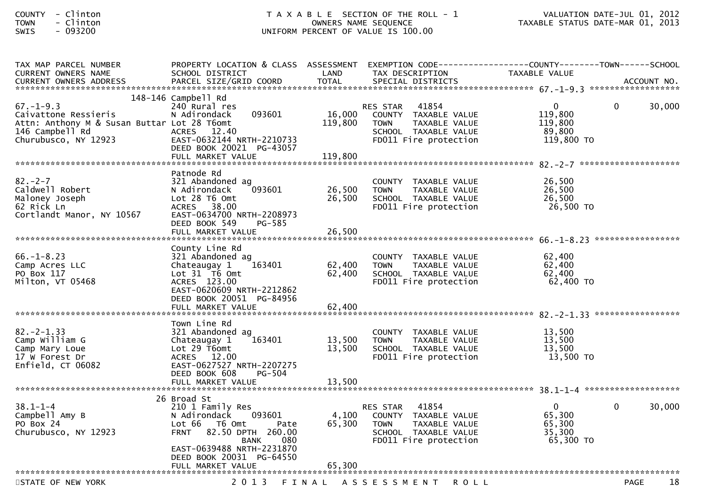| TAX MAP PARCEL NUMBER<br><b>CURRENT OWNERS NAME</b>                                                            | PROPERTY LOCATION & CLASS ASSESSMENT<br>SCHOOL DISTRICT                                                                                                | LAND                         | EXEMPTION CODE-----------------COUNTY-------TOWN------SCHOOL<br>TAX DESCRIPTION                                                   | TAXABLE VALUE                                          |              |        |
|----------------------------------------------------------------------------------------------------------------|--------------------------------------------------------------------------------------------------------------------------------------------------------|------------------------------|-----------------------------------------------------------------------------------------------------------------------------------|--------------------------------------------------------|--------------|--------|
| $67. - 1 - 9.3$                                                                                                | 148-146 Campbell Rd<br>240 Rural res                                                                                                                   |                              | 41854                                                                                                                             | $\mathbf 0$                                            | $\mathbf{0}$ | 30,000 |
| Caivattone Ressieris<br>Attn: Anthony M & Susan Buttar Lot 28 T6omt<br>146 Campbell Rd<br>Churubusco, NY 12923 | 093601<br>N Adirondack<br>ACRES 12.40<br>EAST-0632144 NRTH-2210733<br>DEED BOOK 20021 PG-43057<br>FULL MARKET VALUE                                    | 16,000<br>119,800<br>119,800 | RES STAR<br>COUNTY TAXABLE VALUE<br><b>TOWN</b><br>TAXABLE VALUE<br>SCHOOL TAXABLE VALUE<br>FD011 Fire protection                 | 119,800<br>119,800<br>89,800<br>119,800 TO             |              |        |
|                                                                                                                | Patnode Rd                                                                                                                                             |                              |                                                                                                                                   |                                                        |              |        |
| $82 - 2 - 7$<br>Caldwell Robert<br>Maloney Joseph<br>62 Rick Ln<br>Cortlandt Manor, NY 10567                   | 321 Abandoned ag<br>093601<br>N Adirondack<br>Lot 28 T6 Omt<br>ACRES 38.00<br>EAST-0634700 NRTH-2208973<br>DEED BOOK 549<br>PG-585                     | 26,500<br>26,500             | COUNTY TAXABLE VALUE<br><b>TOWN</b><br>TAXABLE VALUE<br>SCHOOL TAXABLE VALUE<br>FD011 Fire protection                             | 26.500<br>26,500<br>26,500<br>26,500 TO                |              |        |
|                                                                                                                | FULL MARKET VALUE                                                                                                                                      | 26,500                       |                                                                                                                                   |                                                        |              |        |
| $66. - 1 - 8.23$<br>Camp Acres LLC<br>PO Box 117<br>Milton, VT 05468                                           | County Line Rd<br>321 Abandoned ag<br>163401<br>Chateaugay 1<br>Lot 31 T6 Omt<br>ACRES 123.00<br>EAST-0620609 NRTH-2212862<br>DEED BOOK 20051 PG-84956 | 62,400<br>62,400             | COUNTY TAXABLE VALUE<br><b>TOWN</b><br>TAXABLE VALUE<br>SCHOOL TAXABLE VALUE<br>FD011 Fire protection                             | 62,400<br>62,400<br>62,400<br>62,400 TO                |              |        |
|                                                                                                                | FULL MARKET VALUE                                                                                                                                      | 62,400                       |                                                                                                                                   |                                                        |              |        |
|                                                                                                                | Town Line Rd                                                                                                                                           |                              |                                                                                                                                   |                                                        |              |        |
| $82 - 2 - 1.33$<br>Camp William G<br>Camp Mary Loue<br>17 W Forest Dr<br>Enfield, CT 06082                     | 321 Abandoned ag<br>163401<br>Chateaugay 1<br>Lot 29 T6omt<br>ACRES 12.00<br>EAST-0627527 NRTH-2207275<br>DEED BOOK 608<br>PG-504                      | 13,500<br>13.500             | COUNTY TAXABLE VALUE<br><b>TOWN</b><br>TAXABLE VALUE<br>SCHOOL TAXABLE VALUE<br>FD011 Fire protection                             | 13,500<br>13,500<br>13.500<br>13,500 TO                |              |        |
|                                                                                                                | FULL MARKET VALUE                                                                                                                                      | 13,500                       |                                                                                                                                   |                                                        |              |        |
|                                                                                                                | 26 Broad St                                                                                                                                            |                              |                                                                                                                                   |                                                        |              |        |
| $38.1 - 1 - 4$<br>Campbell Amy B<br>PO Box 24<br>Churubusco, NY 12923                                          | 210 1 Family Res<br>N Adirondack<br>093601<br>Lot 66  T6 0mt<br>Pate<br>82.50 DPTH 260.00<br><b>FRNT</b><br><b>BANK</b><br>080                         | 4,100<br>65,300              | 41854<br><b>RES STAR</b><br>COUNTY TAXABLE VALUE<br>TAXABLE VALUE<br><b>TOWN</b><br>SCHOOL TAXABLE VALUE<br>FD011 Fire protection | $\mathbf 0$<br>65,300<br>65,300<br>35,300<br>65,300 TO | $\Omega$     | 30,000 |
|                                                                                                                | EAST-0639488 NRTH-2231870<br>DEED BOOK 20031 PG-64550                                                                                                  |                              |                                                                                                                                   |                                                        |              |        |
|                                                                                                                | FULL MARKET VALUE                                                                                                                                      | 65,300                       |                                                                                                                                   |                                                        |              |        |
| STATE OF NEW YORK                                                                                              | 2 0 1 3                                                                                                                                                |                              | FINAL ASSESSMENT ROLL                                                                                                             |                                                        | <b>PAGE</b>  | 18     |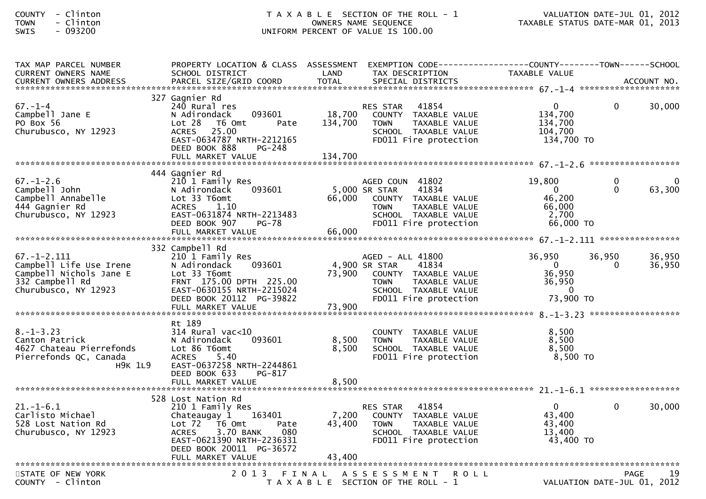| <b>COUNTY</b> | Clinton   |
|---------------|-----------|
| <b>TOWN</b>   | - Clinton |
|               | .         |

| TAX MAP PARCEL NUMBER<br>CURRENT OWNERS NAME                                                                       | PROPERTY LOCATION & CLASS ASSESSMENT<br>SCHOOL DISTRICT                                                                                                                                 | LAND                    | EXEMPTION CODE------------------COUNTY--------TOWN------SCHOOL<br>TAX DESCRIPTION                                                                   | <b>TAXABLE VALUE</b>                                                |                          |                  |
|--------------------------------------------------------------------------------------------------------------------|-----------------------------------------------------------------------------------------------------------------------------------------------------------------------------------------|-------------------------|-----------------------------------------------------------------------------------------------------------------------------------------------------|---------------------------------------------------------------------|--------------------------|------------------|
|                                                                                                                    |                                                                                                                                                                                         |                         |                                                                                                                                                     |                                                                     |                          |                  |
| $67. - 1 - 4$<br>Campbell Jane E<br>PO Box 56<br>Churubusco, NY 12923                                              | 327 Gagnier Rd<br>240 Rural res<br>093601<br>N Adirondack<br>Lot 28<br>T6 Omt<br>Pate<br>25.00<br><b>ACRES</b><br>EAST-0634787 NRTH-2212165<br>DEED BOOK 888<br>PG-248                  | 18,700<br>134,700       | 41854<br><b>RES STAR</b><br>COUNTY TAXABLE VALUE<br>TAXABLE VALUE<br><b>TOWN</b><br>SCHOOL TAXABLE VALUE<br>FD011 Fire protection                   | $\mathbf{0}$<br>134,700<br>134,700<br>104,700<br>134,700 TO         | 0                        | 30,000           |
|                                                                                                                    |                                                                                                                                                                                         |                         |                                                                                                                                                     |                                                                     |                          |                  |
| $67. - 1 - 2.6$<br>Campbell John<br>Campbell Annabelle<br>444 Gagnier Rd<br>Churubusco, NY 12923                   | 444 Gagnier Rd<br>210 1 Family Res<br>093601<br>N Adirondack<br>Lot 33 T6omt<br><b>ACRES</b><br>1.10<br>EAST-0631874 NRTH-2213483<br>DEED BOOK 907<br>$PG-78$<br>FULL MARKET VALUE      | 66,000<br>66,000        | AGED COUN 41802<br>5,000 SR STAR<br>41834<br>COUNTY TAXABLE VALUE<br><b>TOWN</b><br>TAXABLE VALUE<br>SCHOOL TAXABLE VALUE<br>FD011 Fire protection  | 19,800<br>$\mathbf{0}$<br>46,200<br>66,000<br>2,700<br>66,000 TO    | 0<br>0                   | 63,300           |
|                                                                                                                    | 332 Campbell Rd                                                                                                                                                                         |                         |                                                                                                                                                     |                                                                     |                          |                  |
| $67. - 1 - 2.111$<br>Campbell Life Use Irene<br>Campbell Nichols Jane E<br>332 Campbell Rd<br>Churubusco, NY 12923 | 210 1 Family Res<br>093601<br>N Adirondack<br>Lot 33 T6omt<br>FRNT 175.00 DPTH 225.00<br>EAST-0630155 NRTH-2215024<br>DEED BOOK 20112 PG-39822                                          | 73,900                  | AGED - ALL 41800<br>4,900 SR STAR<br>41834<br>COUNTY TAXABLE VALUE<br><b>TOWN</b><br>TAXABLE VALUE<br>SCHOOL TAXABLE VALUE<br>FD011 Fire protection | 36,950<br>$\mathbf{0}$<br>36,950<br>36,950<br>$\Omega$<br>73,900 TO | 36,950<br>$\overline{0}$ | 36,950<br>36,950 |
|                                                                                                                    |                                                                                                                                                                                         |                         |                                                                                                                                                     |                                                                     |                          |                  |
| $8. - 1 - 3.23$<br>Canton Patrick<br>4627 Chateau Pierrefonds<br>Pierrefonds QC, Canada<br><b>H9K 1L9</b>          | Rt 189<br>$314$ Rural vac<10<br>N Adirondack<br>093601<br>Lot 86 T6omt<br>5.40<br><b>ACRES</b><br>EAST-0637258 NRTH-2244861<br>DEED BOOK 633<br>PG-817<br>FULL MARKET VALUE             | 8,500<br>8,500<br>8,500 | COUNTY TAXABLE VALUE<br>TAXABLE VALUE<br><b>TOWN</b><br>SCHOOL TAXABLE VALUE<br>FD011 Fire protection                                               | 8,500<br>8,500<br>8,500<br>8,500 TO                                 |                          |                  |
|                                                                                                                    |                                                                                                                                                                                         |                         |                                                                                                                                                     |                                                                     |                          |                  |
| $21. - 1 - 6.1$<br>Carlisto Michael<br>528 Lost Nation Rd<br>Churubusco, NY 12923                                  | 528 Lost Nation Rd<br>210 1 Family Res<br>Chateaugay 1<br>163401<br>Lot 72  T6 Omt<br>Pate<br><b>ACRES</b><br>3.70 BANK<br>080<br>EAST-0621390 NRTH-2236331<br>DEED BOOK 20011 PG-36572 | 7,200<br>43,400         | 41854<br><b>RES STAR</b><br>COUNTY TAXABLE VALUE<br>TAXABLE VALUE<br><b>TOWN</b><br>SCHOOL TAXABLE VALUE<br>FD011 Fire protection                   | $\overline{0}$<br>43,400<br>43,400<br>13,400<br>43,400 TO           | $\Omega$                 | 30,000           |
|                                                                                                                    |                                                                                                                                                                                         |                         |                                                                                                                                                     |                                                                     |                          |                  |
| STATE OF NEW YORK<br>COUNTY - Clinton                                                                              |                                                                                                                                                                                         |                         | 2013 FINAL ASSESSMENT<br><b>ROLL</b><br>T A X A B L E SECTION OF THE ROLL - 1                                                                       | VALUATION DATE-JUL 01, 2012                                         | <b>PAGE</b>              | 19               |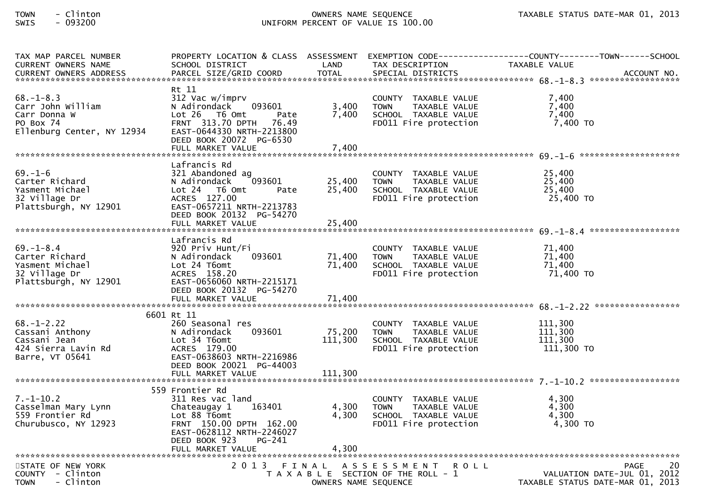| TAX MAP PARCEL NUMBER                        |                           |                      |                                       | PROPERTY LOCATION & CLASS ASSESSMENT EXEMPTION CODE----------------COUNTY-------TOWN------SCHOOL |
|----------------------------------------------|---------------------------|----------------------|---------------------------------------|--------------------------------------------------------------------------------------------------|
| <b>CURRENT OWNERS NAME</b>                   | SCHOOL DISTRICT           | LAND                 | TAX DESCRIPTION                       | TAXABLE VALUE                                                                                    |
| CURRENT OWNERS ADDRESS                       | PARCEL SIZE/GRID COORD    | <b>TOTAL</b>         | SPECIAL DISTRICTS                     | ACCOUNT NO.                                                                                      |
|                                              |                           |                      |                                       |                                                                                                  |
|                                              | Rt 11                     |                      |                                       |                                                                                                  |
| $68. - 1 - 8.3$                              | 312 Vac w/imprv           |                      | COUNTY TAXABLE VALUE                  | 7,400                                                                                            |
| Carr John William                            | N Adirondack<br>093601    | 3,400                | <b>TOWN</b><br>TAXABLE VALUE          | 7,400                                                                                            |
| Carr Donna W                                 | $Lot 26$ T6 Omt<br>Pate   | 7,400                | SCHOOL TAXABLE VALUE                  | 7,400                                                                                            |
| PO Box 74                                    | FRNT 313.70 DPTH<br>76.49 |                      | FD011 Fire protection                 | 7,400 TO                                                                                         |
| Ellenburg Center, NY 12934                   | EAST-0644330 NRTH-2213800 |                      |                                       |                                                                                                  |
|                                              | DEED BOOK 20072 PG-6530   |                      |                                       |                                                                                                  |
|                                              | FULL MARKET VALUE         | 7,400                |                                       |                                                                                                  |
|                                              |                           |                      |                                       |                                                                                                  |
|                                              | Lafrancis Rd              |                      |                                       |                                                                                                  |
| $69. - 1 - 6$                                | 321 Abandoned ag          |                      | COUNTY TAXABLE VALUE                  | 25,400                                                                                           |
| Carter Richard                               | 093601<br>N Adirondack    | 25,400               | <b>TOWN</b><br>TAXABLE VALUE          | 25,400                                                                                           |
| Yasment Michael                              | Lot 24  T6 0mt<br>Pate    | 25,400               | SCHOOL TAXABLE VALUE                  | 25,400                                                                                           |
| 32 Village Dr                                | ACRES 127.00              |                      | FD011 Fire protection                 | 25,400 TO                                                                                        |
| Plattsburgh, NY 12901                        | EAST-0657211 NRTH-2213783 |                      |                                       |                                                                                                  |
|                                              | DEED BOOK 20132 PG-54270  |                      |                                       |                                                                                                  |
|                                              |                           |                      |                                       |                                                                                                  |
|                                              |                           |                      |                                       |                                                                                                  |
|                                              | Lafrancis Rd              |                      |                                       |                                                                                                  |
| $69. - 1 - 8.4$                              | 920 Priv Hunt/Fi          |                      | COUNTY TAXABLE VALUE                  | 71,400                                                                                           |
| Carter Richard                               | 093601<br>N Adirondack    | 71,400               | TAXABLE VALUE<br><b>TOWN</b>          | 71,400                                                                                           |
| Yasment Michael                              | Lot 24 T6omt              | 71,400               | SCHOOL TAXABLE VALUE                  | 71,400                                                                                           |
| 32 Village Dr                                | ACRES 158.20              |                      | FD011 Fire protection                 | 71,400 TO                                                                                        |
| Plattsburgh, NY 12901                        | EAST-0656060 NRTH-2215171 |                      |                                       |                                                                                                  |
|                                              | DEED BOOK 20132 PG-54270  |                      |                                       |                                                                                                  |
|                                              |                           |                      |                                       |                                                                                                  |
|                                              |                           |                      |                                       |                                                                                                  |
|                                              | 6601 Rt 11                |                      |                                       |                                                                                                  |
| $68. - 1 - 2.22$                             | 260 Seasonal res          |                      | COUNTY TAXABLE VALUE                  | 111,300                                                                                          |
| Cassani Anthony                              | N Adirondack<br>093601    | 75,200               | <b>TOWN</b><br>TAXABLE VALUE          | 111,300                                                                                          |
| Cassani Jean                                 | Lot 34 T6omt              | 111,300              | SCHOOL TAXABLE VALUE                  | 111,300                                                                                          |
| 424 Sierra Lavin Rd                          | ACRES 179.00              |                      | FD011 Fire protection                 | 111,300 TO                                                                                       |
| Barre, VT 05641                              | EAST-0638603 NRTH-2216986 |                      |                                       |                                                                                                  |
|                                              | DEED BOOK 20021 PG-44003  |                      |                                       |                                                                                                  |
|                                              |                           |                      |                                       |                                                                                                  |
|                                              |                           |                      |                                       |                                                                                                  |
|                                              | 559 Frontier Rd           |                      |                                       |                                                                                                  |
| $7. - 1 - 10.2$                              | 311 Res vac land          |                      | COUNTY TAXABLE VALUE                  | 4,300                                                                                            |
| Casselman Mary Lynn                          | 163401<br>Chateaugay 1    | 4,300                | TAXABLE VALUE<br><b>TOWN</b>          | 4,300                                                                                            |
| 559 Frontier Rd                              | Lot 88 T6omt              | 4,300                | SCHOOL TAXABLE VALUE                  | 4,300                                                                                            |
| Churubusco, NY 12923                         | FRNT 150.00 DPTH 162.00   |                      | FD011 Fire protection                 | 4,300 TO                                                                                         |
|                                              | EAST-0628112 NRTH-2246027 |                      |                                       |                                                                                                  |
|                                              | DEED BOOK 923<br>$PG-241$ |                      |                                       |                                                                                                  |
|                                              |                           |                      |                                       |                                                                                                  |
|                                              |                           |                      |                                       |                                                                                                  |
| STATE OF NEW YORK                            |                           |                      | 2013 FINAL ASSESSMENT<br><b>ROLL</b>  | 20<br><b>PAGE</b>                                                                                |
| COUNTY - Clinton<br>- Clinton<br><b>TOWN</b> |                           |                      | T A X A B L E SECTION OF THE ROLL - 1 | VALUATION DATE-JUL 01, 2012                                                                      |
|                                              |                           | OWNERS NAME SEQUENCE |                                       | TAXABLE STATUS DATE-MAR 01, 2013                                                                 |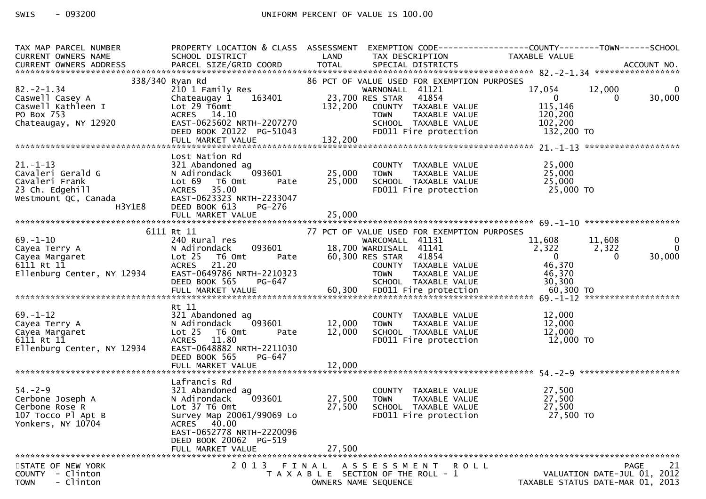# SWIS - 093200 CONTROLLER UNIFORM PERCENT OF VALUE IS 100.00

| TAX MAP PARCEL NUMBER<br>CURRENT OWNERS NAME                                                               | PROPERTY LOCATION & CLASS ASSESSMENT<br>SCHOOL DISTRICT                                                                                                                   | LAND                       | EXEMPTION CODE-----------------COUNTY-------TOWN------SCHOOL<br>TAX DESCRIPTION                                                                                            | TAXABLE VALUE                                                      |                                                                               |
|------------------------------------------------------------------------------------------------------------|---------------------------------------------------------------------------------------------------------------------------------------------------------------------------|----------------------------|----------------------------------------------------------------------------------------------------------------------------------------------------------------------------|--------------------------------------------------------------------|-------------------------------------------------------------------------------|
| CONNERS ADDRESS FORCEL SIZE/GRID COORD TOTAL SPECIAL DISTRICTS AND BELL OF ACCOUNT NO.                     |                                                                                                                                                                           |                            |                                                                                                                                                                            |                                                                    |                                                                               |
| $82 - 2 - 1.34$<br>Caswell Casey A<br>Caswell Kathleen I<br>PO Box 753<br>Chateaugay, NY 12920             | 338/340 Ryan Rd<br>210 1 Family Res<br>163401<br>Chateaugay 1<br>Lot 29 T6omt<br>ACRES 14.10<br>EAST-0625602 NRTH-2207270                                                 | 132,200                    | 86 PCT OF VALUE USED FOR EXEMPTION PURPOSES<br>WARNONALL 41121<br>23,700 RES STAR<br>41854<br>COUNTY TAXABLE VALUE<br>TAXABLE VALUE<br><b>TOWN</b><br>SCHOOL TAXABLE VALUE | 17,054<br>$\overline{\mathbf{0}}$<br>115,146<br>120,200<br>102,200 | 12,000<br>0<br>30,000<br>$\Omega$                                             |
|                                                                                                            | DEED BOOK 20122 PG-51043<br>FULL MARKET VALUE                                                                                                                             | 132,200                    | FD011 Fire protection                                                                                                                                                      | 132,200 TO                                                         |                                                                               |
|                                                                                                            |                                                                                                                                                                           |                            |                                                                                                                                                                            |                                                                    |                                                                               |
| $21. - 1 - 13$<br>Cavaleri Gerald G<br>Cavaleri Frank<br>23 Ch. Edgehill<br>Westmount QC, Canada<br>H3Y1E8 | Lost Nation Rd<br>321 Abandoned ag<br>093601<br>N Adirondack<br>Lot 69 T6 Omt<br>Pate<br><b>ACRES</b><br>35.00<br>EAST-0623323 NRTH-2233047<br>DEED BOOK 613<br>PG-276    | 25,000<br>25,000           | COUNTY TAXABLE VALUE<br>TAXABLE VALUE<br><b>TOWN</b><br>SCHOOL TAXABLE VALUE<br>FDO11 Fire protection                                                                      | 25,000<br>25,000<br>25,000<br>25,000 TO                            |                                                                               |
|                                                                                                            | FULL MARKET VALUE                                                                                                                                                         | 25,000                     |                                                                                                                                                                            |                                                                    |                                                                               |
|                                                                                                            | 6111 Rt 11                                                                                                                                                                |                            | 77 PCT OF VALUE USED FOR EXEMPTION PURPOSES                                                                                                                                |                                                                    |                                                                               |
| $69. - 1 - 10$<br>oy.-1-10<br>Cayea Terry A<br>Cayea Margaret<br>6111 Rt 11<br>Ellenburg Center, NY 12934  | 240 Rural res<br>093601<br>N Adirondack<br>Lot <sub>25</sub><br>T6 Omt<br>Pate<br><b>ACRES</b><br>21.20<br>EAST-0649786 NRTH-2210323<br>DEED BOOK 565<br>PG-647           |                            | WARCOMALL 41131<br>18,700 WARDISALL 41141<br>60,300 RES STAR 41854<br>COUNTY TAXABLE VALUE<br><b>TOWN</b><br>TAXABLE VALUE<br>TAXABLE VALUE<br>SCHOOL TAXABLE VALUE        | 11,608<br>2,322<br>$\overline{0}$<br>46,370<br>46,370<br>30,300    | 11,608<br>$\mathbf{0}$<br>$\mathbf{0}$<br>2,322<br>30,000<br>$\Omega$         |
|                                                                                                            | Rt 11                                                                                                                                                                     |                            |                                                                                                                                                                            |                                                                    |                                                                               |
| 69.-1-12<br>Cayea Terry A<br>Cayea Margaret<br>6111 Rt 11<br>Ellenburg Center, NY 12934                    | 321 Abandoned ag<br>093601<br>N Adirondack<br>Lot 25 T6 Omt<br>Pate<br><b>ACRES</b><br>11.80<br>EAST-0648882 NRTH-2211030<br>DEED BOOK 565<br>PG-647<br>FULL MARKET VALUE | 12,000<br>12,000<br>12,000 | COUNTY TAXABLE VALUE<br><b>TOWN</b><br>TOWN     TAXABLE VALUE<br>SCHOOL  TAXABLE VALUE<br>FDO11 Fire protection<br>FD011 Fire protection                                   | 12,000<br>12,000<br>12,000<br>12,000 TO                            |                                                                               |
|                                                                                                            |                                                                                                                                                                           |                            |                                                                                                                                                                            |                                                                    |                                                                               |
| $54. - 2 - 9$<br>S4.-2<br>Cerbone Joseph A<br>Cerbone Rose R<br>107 Tocco Pl Apt B<br>Yonkers, NY 10704    | Lafrancis Rd<br>321 Abandoned ag<br>093601<br>N Adirondack<br>Lot 37 T6 Omt<br>Survey Map 20061/99069 Lo<br>ACRES 40.00<br>EAST-0652778 NRTH-2220096                      | 27,500<br>27,500           | COUNTY<br>TAXABLE VALUE<br><b>TOWN</b><br>TAXABLE VALUE<br>SCHOOL TAXABLE VALUE<br>FD011 Fire protection                                                                   | 27,500<br>27,500<br>27,500<br>27,500 TO                            |                                                                               |
|                                                                                                            | DEED BOOK 20062 PG-519<br>FULL MARKET VALUE                                                                                                                               | 27,500                     |                                                                                                                                                                            |                                                                    |                                                                               |
|                                                                                                            |                                                                                                                                                                           |                            |                                                                                                                                                                            |                                                                    |                                                                               |
| STATE OF NEW YORK<br>COUNTY - Clinton<br>- Clinton<br><b>TOWN</b>                                          | 2 0 1 3<br>FINAL                                                                                                                                                          |                            | ASSESSMENT ROLL<br>T A X A B L E SECTION OF THE ROLL - 1<br>OWNERS NAME SEQUENCE                                                                                           |                                                                    | 21<br>PAGE<br>VALUATION DATE-JUL 01, 2012<br>TAXABLE STATUS DATE-MAR 01, 2013 |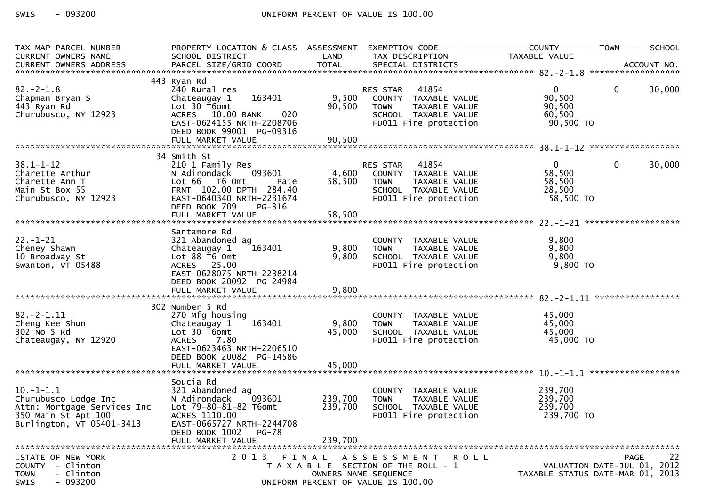| TAX MAP PARCEL NUMBER<br>CURRENT OWNERS NAME<br>CURRENT OWNERS ADDRESS                                                 | PROPERTY LOCATION & CLASS ASSESSMENT<br>SCHOOL DISTRICT                                                                                                                     | LAND                          | EXEMPTION CODE------------------COUNTY--------TOWN------SCHOOL<br>TAX DESCRIPTION                                                | TAXABLE VALUE                                           |                                                                                      |
|------------------------------------------------------------------------------------------------------------------------|-----------------------------------------------------------------------------------------------------------------------------------------------------------------------------|-------------------------------|----------------------------------------------------------------------------------------------------------------------------------|---------------------------------------------------------|--------------------------------------------------------------------------------------|
|                                                                                                                        |                                                                                                                                                                             |                               |                                                                                                                                  |                                                         |                                                                                      |
| $82 - 2 - 1.8$<br>Chapman Bryan S<br>443 Ryan Rd<br>Churubusco, NY 12923                                               | 443 Ryan Rd<br>240 Rural res<br>163401<br>Chateaugay 1<br>Lot 30 T6omt<br>ACRES 10.00 BANK<br>020<br>EAST-0624155 NRTH-2208706<br>DEED BOOK 99001 PG-09316                  | 9,500<br>90,500               | 41854<br>RES STAR<br>COUNTY TAXABLE VALUE<br><b>TOWN</b><br>TAXABLE VALUE<br>SCHOOL TAXABLE VALUE<br>FD011 Fire protection       | $\mathbf{0}$<br>90,500<br>90,500<br>60,500<br>90,500 TO | 30,000<br>$\mathbf{0}$                                                               |
|                                                                                                                        |                                                                                                                                                                             |                               |                                                                                                                                  |                                                         |                                                                                      |
| $38.1 - 1 - 12$<br>Charette Arthur<br>Charette Ann T<br>Main St Box 55<br>Churubusco, NY 12923                         | 34 Smith St<br>210 1 Family Res<br>N Adirondack 093601<br>Lot 66 T6 Omt<br>Pate<br>FRNT 102.00 DPTH 284.40<br>EAST-0640340 NRTH-2231674<br>DEED BOOK 709<br>PG-316          | 58,500                        | 41854<br>RES STAR<br>4,600 COUNTY TAXABLE VALUE<br>TAXABLE VALUE<br><b>TOWN</b><br>SCHOOL TAXABLE VALUE<br>FD011 Fire protection | $\mathbf{0}$<br>58,500<br>58,500<br>28,500<br>58,500 TO | 30,000<br>$\mathbf{0}$                                                               |
|                                                                                                                        |                                                                                                                                                                             |                               |                                                                                                                                  |                                                         |                                                                                      |
| $22. - 1 - 21$<br>Cheney Shawn<br>10 Broadway St<br>Swanton, VT 05488                                                  | Santamore Rd<br>321 Abandoned ag<br>163401<br>Chateaugay 1<br>Lot 88 T6 Omt<br>ACRES 25.00<br>EAST-0628075 NRTH-2238214<br>DEED BOOK 20092 PG-24984                         | 9,800<br>9,800                | COUNTY TAXABLE VALUE<br>TAXABLE VALUE<br><b>TOWN</b><br>SCHOOL TAXABLE VALUE<br>FD011 Fire protection                            | 9,800<br>9,800<br>9,800<br>$9,800$ TO                   |                                                                                      |
|                                                                                                                        |                                                                                                                                                                             |                               |                                                                                                                                  |                                                         |                                                                                      |
| $82. -2 - 1.11$<br>Cheng Kee Shun<br>302 No 5 Rd<br>Chateaugay, NY 12920                                               | 302 Number 5 Rd<br>270 Mfg housing<br>163401<br>Chateaugay 1<br>Lot 30 T6omt<br>7.80<br>ACRES<br>EAST-0623463 NRTH-2206510<br>DEED BOOK 20082 PG-14586<br>FULL MARKET VALUE | 9,800<br>45,000<br>45,000     | COUNTY TAXABLE VALUE<br><b>TOWN</b><br>TAXABLE VALUE<br>SCHOOL TAXABLE VALUE<br>FD011 Fire protection                            | 45,000<br>45,000<br>45,000<br>45,000 TO                 |                                                                                      |
|                                                                                                                        | Soucia Rd                                                                                                                                                                   |                               |                                                                                                                                  |                                                         |                                                                                      |
| $10.-1-1.1$<br>Churubusco Lodge Inc<br>Attn: Mortgage Services Inc<br>350 Main St Apt 100<br>Burlington, VT 05401-3413 | 321 Abandoned ag<br>N Adirondack<br>093601<br>Lot 79-80-81-82 T6omt<br>ACRES 1110.00<br>EAST-0665727 NRTH-2244708<br>DEED BOOK 1002<br><b>PG-78</b><br>FULL MARKET VALUE    | 239,700<br>239,700<br>239,700 | COUNTY TAXABLE VALUE<br>TAXABLE VALUE<br><b>TOWN</b><br>SCHOOL TAXABLE VALUE<br>FD011 Fire protection                            | 239,700<br>239,700<br>239,700<br>239,700 TO             |                                                                                      |
| STATE OF NEW YORK<br>COUNTY - Clinton<br>- Clinton<br><b>TOWN</b><br>$-093200$<br>SWIS                                 | 2 0 1 3                                                                                                                                                                     | FINAL                         | ASSESSMENT ROLL<br>T A X A B L E SECTION OF THE ROLL - 1<br>OWNERS NAME SEQUENCE<br>UNIFORM PERCENT OF VALUE IS 100.00           |                                                         | 22<br><b>PAGE</b><br>VALUATION DATE-JUL 01, 2012<br>TAXABLE STATUS DATE-MAR 01, 2013 |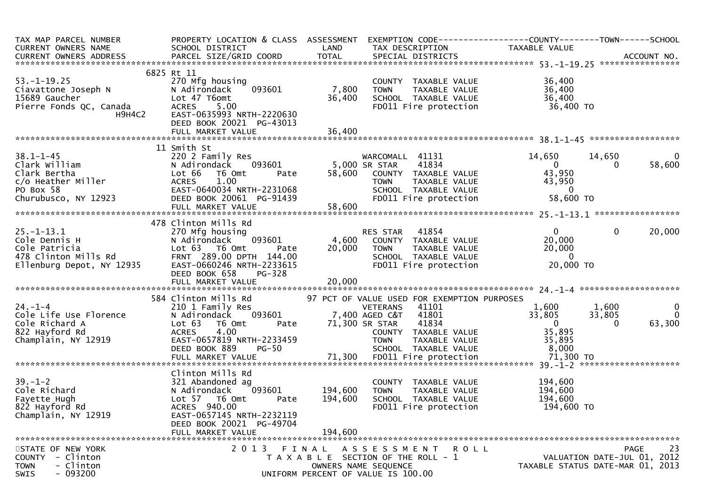| TAX MAP PARCEL NUMBER<br>CURRENT OWNERS NAME                                                                             | PROPERTY LOCATION & CLASS ASSESSMENT<br>SCHOOL DISTRICT                                                                                                                                                                                                                                                                                                                    | LAND                          | TAX DESCRIPTION                                                                                                                                                                                        | EXEMPTION CODE-----------------COUNTY-------TOWN------SCHOOL<br>TAXABLE VALUE                 |                                          |
|--------------------------------------------------------------------------------------------------------------------------|----------------------------------------------------------------------------------------------------------------------------------------------------------------------------------------------------------------------------------------------------------------------------------------------------------------------------------------------------------------------------|-------------------------------|--------------------------------------------------------------------------------------------------------------------------------------------------------------------------------------------------------|-----------------------------------------------------------------------------------------------|------------------------------------------|
| $53. - 1 - 19.25$<br>Pierre Fonds QC, Canada<br>H9H4C2                                                                   | 6825 Rt 11<br>270 Mfg housing<br>093601<br><b>ACRES</b><br>5.00<br>EAST-0635993 NRTH-2220630<br>DEED BOOK 20021 PG-43013                                                                                                                                                                                                                                                   | 7,800<br>36,400               | COUNTY TAXABLE VALUE<br><b>TOWN</b><br>TAXABLE VALUE<br>SCHOOL TAXABLE VALUE<br>FD011 Fire protection                                                                                                  | 36,400<br>36,400<br>36,400<br>36,400 TO                                                       |                                          |
|                                                                                                                          |                                                                                                                                                                                                                                                                                                                                                                            |                               |                                                                                                                                                                                                        |                                                                                               |                                          |
| $38.1 - 1 - 45$<br>Clark William<br>Clark Bertha<br>c/o Heather Miller<br>PO Rox 58<br>PO Box 58<br>Churubusco, NY 12923 | 11 Smith St<br>220 2 Family Res<br>093601<br>N Adirondack<br>Pate<br>Lot 66<br>T6 Omt<br><b>ACRES</b><br>1.00<br>EAST-0640034 NRTH-2231068<br>DEED BOOK 20061 PG-91439<br>FULL MARKET VALUE                                                                                                                                                                                | 5,000 SR STAR<br>58,600       | WARCOMALL 41131<br>41834<br>58,600 COUNTY TAXABLE VALUE<br><b>TOWN</b><br>TAXABLE VALUE<br>SCHOOL TAXABLE VALUE<br>FD011 Fire protection                                                               | 14,650<br>14,650<br>$\overline{0}$<br>0<br>43,950<br>43,950<br>$\overline{0}$<br>58,600 TO    | $\bf{0}$<br>58,600                       |
| $25. - 1 - 13.1$<br>Cole Dennis H<br>Cole Patricia<br>478 Clinton Mills Rd<br>Ellenburg Depot, NY 12935                  | 478 Clinton Mills Rd<br>$\begin{array}{r} 270 \text{ m} \\ \text{N} \text{ Adirondeck} \\ \text{Lot } 63 \text{ T6} \\ \text{Tot } 63 \text{ V} \\ \text{FRNT } 289.00 \text{ DP} \\ \text{CAT} - 0660246 \text{ N} \\ \text{DRED B0OK } 658 \\ \text{NFT V} \end{array}$<br>N Adirondack 093601<br>Pate<br>FRNT 289.00 DPTH 144.00<br>EAST-0660246 NRTH-2233615<br>PG-328 | 20,000                        | RES STAR 41854<br>4,600 COUNTY TAXABLE VALUE<br><b>TOWN</b><br>TAXABLE VALUE<br>SCHOOL TAXABLE VALUE<br>FD011 Fire protection                                                                          | $\mathbf{0}$<br>$\mathbf 0$<br>20,000<br>20,000<br>$\overline{0}$<br>20,000 TO                | 20,000                                   |
| $24. - 1 - 4$<br>Cole Life Use Florence<br>Cole Richard A<br>822 Hayford Rd<br>Champlain, NY 12919                       | 584 Clinton Mills Rd<br>210 1 Family Res<br>Res<br>093601<br>N Adirondack<br>Lot 63<br>T6 Omt<br>Pate<br>4.00<br><b>ACRES</b><br>EAST-0657819 NRTH-2233459<br>DEED BOOK 889<br>$PG-50$                                                                                                                                                                                     |                               | 97 PCT OF VALUE USED FOR EXEMPTION PURPOSES<br>41101<br>VETERANS<br>7,400 AGED C&T<br>41801<br>71,300 SR STAR<br>41834<br>COUNTY TAXABLE VALUE<br><b>TOWN</b><br>TAXABLE VALUE<br>SCHOOL TAXABLE VALUE | 1,600<br>1,600<br>33,805<br>33,805<br>$\overline{0}$<br>$\Omega$<br>35,895<br>35,895<br>8,000 | $\mathbf{0}$<br>$\overline{0}$<br>63,300 |
| $39. - 1 - 2$<br>Cole Richard<br>Fayette Hugh<br>822 Hayford Rd<br>Champlain, NY 12919                                   | Clinton Mills Rd<br>321 Abandoned ag<br>093601<br>N Adirondack<br>Lot 57 T6 Omt<br>Pate<br>ACRES 940.00<br>EAST-0657145 NRTH-2232119<br>DEED BOOK 20021 PG-49704<br>FULL MARKET VALUE                                                                                                                                                                                      | 194,600<br>194,600<br>194,600 | COUNTY TAXABLE VALUE<br><b>TOWN</b><br>TAXABLE VALUE<br>SCHOOL TAXABLE VALUE<br>FD011 Fire protection                                                                                                  | 194,600<br>194,600<br>194,600<br>194,600 TO                                                   |                                          |
| STATE OF NEW YORK<br>COUNTY - Clinton<br>- Clinton<br><b>TOWN</b><br>$-093200$<br><b>SWIS</b>                            | 2013 FINAL                                                                                                                                                                                                                                                                                                                                                                 |                               | ASSESSMENT ROLL<br>T A X A B L E SECTION OF THE ROLL - 1<br>OWNERS NAME SEQUENCE<br>UNIFORM PERCENT OF VALUE IS 100.00                                                                                 | VALUATION DATE-JUL 01, 2012<br>TAXABLE STATUS DATE-MAR 01, 2013                               | 23<br>PAGE                               |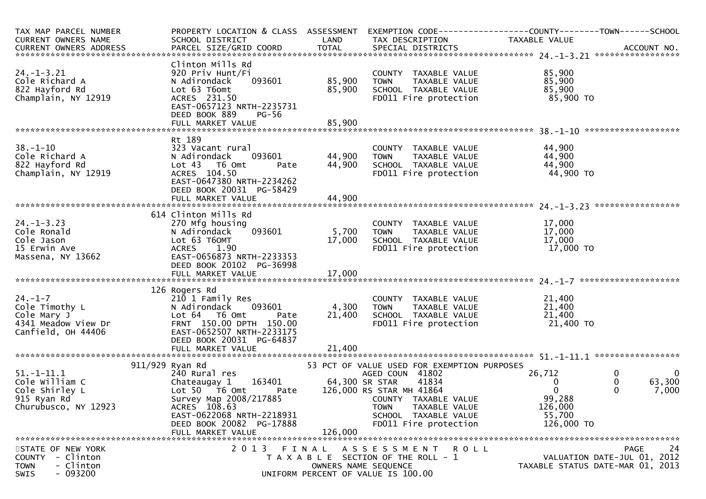| TAX MAP PARCEL NUMBER<br><b>CURRENT OWNERS NAME</b>                                                     | PROPERTY LOCATION & CLASS ASSESSMENT EXEMPTION CODE----------------COUNTY-------TOWN------SCHOOL<br>SCHOOL DISTRICT                                                                                                     | LAND                 | TAX DESCRIPTION                                                                                                                                                                                       | TAXABLE VALUE                                                        |                                                                   |
|---------------------------------------------------------------------------------------------------------|-------------------------------------------------------------------------------------------------------------------------------------------------------------------------------------------------------------------------|----------------------|-------------------------------------------------------------------------------------------------------------------------------------------------------------------------------------------------------|----------------------------------------------------------------------|-------------------------------------------------------------------|
| $24. - 1 - 3.21$<br>Cole Richard A<br>822 Hayford Rd<br>Champlain, NY 12919                             | Clinton Mills Rd<br>920 Priv Hunt/Fi<br>093601<br>N Adirondack<br>Lot 63 T6omt<br>ACRES 231.50<br>EAST-0657123 NRTH-2235731<br>DEED BOOK 889<br>PG-56                                                                   | 85,900<br>85,900     | COUNTY TAXABLE VALUE<br>TAXABLE VALUE<br><b>TOWN</b><br>SCHOOL TAXABLE VALUE<br>FD011 Fire protection                                                                                                 | 85,900<br>85,900<br>85,900<br>85,900 TO                              |                                                                   |
|                                                                                                         |                                                                                                                                                                                                                         |                      |                                                                                                                                                                                                       |                                                                      |                                                                   |
| $38. - 1 - 10$<br>Cole Richard A<br>822 Hayford Rd<br>Champlain, NY 12919                               | Rt 189<br>323 Vacant rural<br>093601<br>N Adirondack<br>Lot 43 T6 Omt<br>Pate<br>ACRES 104.50<br>EAST-0647380 NRTH-2234262<br>DEED BOOK 20031 PG-58429                                                                  | 44,900<br>44,900     | COUNTY TAXABLE VALUE<br><b>TOWN</b><br>TAXABLE VALUE<br>SCHOOL TAXABLE VALUE<br>FD011 Fire protection                                                                                                 | 44,900<br>44,900<br>44,900<br>44,900 TO                              |                                                                   |
|                                                                                                         |                                                                                                                                                                                                                         |                      |                                                                                                                                                                                                       |                                                                      |                                                                   |
| $24. - 1 - 3.23$<br>Cole Ronald<br>Cole Jason<br>15 Erwin Ave<br>Massena, NY 13662                      | 614 Clinton Mills Rd<br>270 Mfg housing<br>093601<br>N Adirondack<br>Lot 63 T6OMT<br>1.90<br><b>ACRES</b><br>EAST-0656873 NRTH-2233353<br>DEED BOOK 20102 PG-36998                                                      | 5,700<br>17,000      | COUNTY TAXABLE VALUE<br>TAXABLE VALUE<br><b>TOWN</b><br>SCHOOL TAXABLE VALUE<br>FD011 Fire protection                                                                                                 | 17,000<br>17,000<br>17,000<br>17,000 TO                              |                                                                   |
|                                                                                                         | 126 Rogers Rd                                                                                                                                                                                                           |                      |                                                                                                                                                                                                       |                                                                      |                                                                   |
| $24. - 1 - 7$<br>Cole Timothy L<br>Cole Mary J<br>4341 Meadow View Dr<br>Canfield, OH 44406             | 210 1 Family Res<br>093601<br>N Adirondack<br>Lot 64 T6 Omt<br>Pate<br>FRNT 150.00 DPTH 150.00<br>EAST-0652507 NRTH-2233175<br>DEED BOOK 20031 PG-64837                                                                 | 4,300<br>21,400      | COUNTY TAXABLE VALUE<br><b>TOWN</b><br>TAXABLE VALUE<br>SCHOOL TAXABLE VALUE<br>FD011 Fire protection                                                                                                 | 21,400<br>21,400<br>21,400<br>21,400 TO                              |                                                                   |
|                                                                                                         | FULL MARKET VALUE                                                                                                                                                                                                       | 21,400               |                                                                                                                                                                                                       |                                                                      |                                                                   |
| $51. - 1 - 11.1$<br>Cole William C<br>Cole Shirley L<br>915 Ryan Rd<br>Churubusco, NY 12923             | 911/929 Ryan Rd<br>240 Rural res<br>Chateaugay 1 163401 64,300 SR STAR<br>Lot 50 T6 Omt<br>Pate<br>Survey Map 2008/217885<br>ACRES 108.63<br>EAST-0622068 NRTH-2218931<br>DEED BOOK 20082 PG-17888<br>FULL MARKET VALUE | 126,000              | 53 PCT OF VALUE USED FOR EXEMPTION PURPOSES<br>AGED COUN 41802<br>41834<br>126,000 RS STAR MH 41864<br>COUNTY TAXABLE VALUE<br>TAXABLE VALUE<br>TOWN<br>SCHOOL TAXABLE VALUE<br>FD011 Fire protection | 26,712<br>0<br>$\Omega$<br>99,288<br>126,000<br>55,700<br>126,000 TO | $\mathbf 0$<br>$\overline{0}$<br>$\Omega$<br>63,300<br>0<br>7,000 |
| STATE OF NEW YORK<br>- Clinton<br><b>COUNTY</b><br>- Clinton<br><b>TOWN</b><br>$-093200$<br><b>SWIS</b> |                                                                                                                                                                                                                         | OWNERS NAME SEQUENCE | 2013 FINAL ASSESSMENT ROLL<br>T A X A B L E SECTION OF THE ROLL - 1<br>UNIFORM PERCENT OF VALUE IS 100.00                                                                                             | TAXABLE STATUS DATE-MAR 01, 2013                                     | 24<br><b>PAGE</b><br>VALUATION DATE-JUL 01, 2012                  |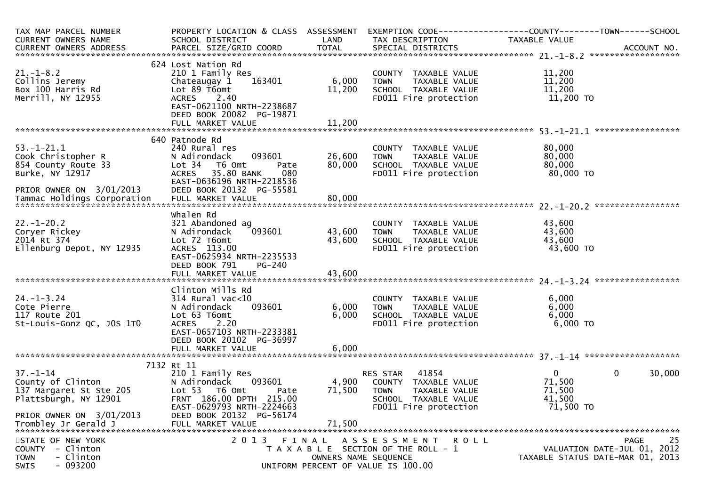| TAX MAP PARCEL NUMBER<br>CURRENT OWNERS NAME                                                                                               | PROPERTY LOCATION & CLASS ASSESSMENT<br>SCHOOL DISTRICT                                                                                                                                        | LAND                      | TAX DESCRIPTION                                                                                                            | EXEMPTION CODE-----------------COUNTY-------TOWN------SCHOOL<br>TAXABLE VALUE |                                                  |
|--------------------------------------------------------------------------------------------------------------------------------------------|------------------------------------------------------------------------------------------------------------------------------------------------------------------------------------------------|---------------------------|----------------------------------------------------------------------------------------------------------------------------|-------------------------------------------------------------------------------|--------------------------------------------------|
|                                                                                                                                            |                                                                                                                                                                                                |                           |                                                                                                                            |                                                                               |                                                  |
|                                                                                                                                            |                                                                                                                                                                                                |                           |                                                                                                                            |                                                                               |                                                  |
| $21. - 1 - 8.2$<br>Collins Jeremy<br>Box 100 Harris Rd<br>Merrill, NY 12955                                                                | 624 Lost Nation Rd<br>210 1 Family Res<br>163401<br>Chateaugay 1<br>Lot 89 T6omt<br>2.40<br><b>ACRES</b><br>EAST-0621100 NRTH-2238687<br>DEED BOOK 20082 PG-19871                              | 6,000<br>11,200           | COUNTY TAXABLE VALUE<br>TAXABLE VALUE<br><b>TOWN</b><br>SCHOOL TAXABLE VALUE<br>FD011 Fire protection                      | 11,200<br>11,200<br>11,200<br>11,200 TO                                       |                                                  |
|                                                                                                                                            |                                                                                                                                                                                                |                           |                                                                                                                            |                                                                               |                                                  |
| $53. - 1 - 21.1$<br>Cook Christopher R<br>854 County Route 33<br>Burke, NY 12917<br>PRIOR OWNER ON 3/01/2013                               | 640 Patnode Rd<br>240 Rural res<br>093601<br>N Adirondack<br>Lot <sub>34</sub><br>T6 Omt<br>Pate<br>35.80 BANK<br>080<br><b>ACRES</b><br>EAST-0636196 NRTH-2218536<br>DEED BOOK 20132 PG-55581 | 26,600<br>80,000          | COUNTY TAXABLE VALUE<br><b>TOWN</b><br>TAXABLE VALUE<br>SCHOOL TAXABLE VALUE<br>FD011 Fire protection                      | 80,000<br>80,000<br>80,000<br>80,000 TO                                       |                                                  |
|                                                                                                                                            |                                                                                                                                                                                                |                           |                                                                                                                            |                                                                               |                                                  |
|                                                                                                                                            |                                                                                                                                                                                                |                           |                                                                                                                            |                                                                               |                                                  |
| $22. - 1 - 20.2$<br>Coryer Rickey<br>2014 Rt 374<br>Ellenburg Depot, NY 12935                                                              | whalen Rd<br>321 Abandoned ag<br>093601<br>N Adirondack<br>Lot 72 T6omt<br>ACRES 113.00<br>EAST-0625934 NRTH-2235533<br>DEED BOOK 791<br>PG-240                                                | 43,600<br>43,600          | COUNTY TAXABLE VALUE<br>TAXABLE VALUE<br><b>TOWN</b><br>SCHOOL TAXABLE VALUE<br>FD011 Fire protection                      | 43,600<br>43,600<br>43,600<br>43,600 TO                                       |                                                  |
|                                                                                                                                            |                                                                                                                                                                                                |                           |                                                                                                                            |                                                                               |                                                  |
| $24. - 1 - 3.24$<br>Cote Pierre<br>117 Route 201<br>St-Louis-Gonz QC, JOS 1TO                                                              | Clinton Mills Rd<br>$314$ Rural vac<10<br>093601<br>N Adirondack<br>Lot 63 T6omt<br><b>ACRES</b><br>2.20<br>EAST-0657103 NRTH-2233381<br>DEED BOOK 20102 PG-36997<br>FULL MARKET VALUE         | 6,000<br>6,000<br>6,000   | COUNTY TAXABLE VALUE<br><b>TOWN</b><br>TAXABLE VALUE<br>SCHOOL TAXABLE VALUE<br>FD011 Fire protection                      | 6,000<br>6,000<br>6,000<br>6,000 TO                                           |                                                  |
|                                                                                                                                            |                                                                                                                                                                                                |                           |                                                                                                                            |                                                                               |                                                  |
| $37 - 1 - 14$<br>County of Clinton<br>137 Margaret St Ste 205<br>Plattsburgh, NY 12901<br>PRIOR OWNER ON 3/01/2013<br>Trombley Jr Gerald J | 7132 Rt 11<br>210 1 Family Res<br>N Adirondack<br>093601<br>Lot 53  T6 Omt<br>Pate<br>FRNT 186.00 DPTH 215.00<br>EAST-0629793 NRTH-2224663<br>DEED BOOK 20132 PG-56174<br>FULL MARKET VALUE    | 4,900<br>71,500<br>71,500 | 41854<br>RES STAR<br>COUNTY TAXABLE VALUE<br><b>TOWN</b><br>TAXABLE VALUE<br>SCHOOL TAXABLE VALUE<br>FD011 Fire protection | $\overline{0}$<br>71,500<br>71,500<br>41,500<br>71,500 TO                     | $\mathbf 0$<br>30,000                            |
| STATE OF NEW YORK<br>COUNTY - Clinton<br><b>TOWN</b><br>- Clinton<br>$-093200$<br>SWIS                                                     | 2 0 1 3<br>FINAL                                                                                                                                                                               | OWNERS NAME SEQUENCE      | A S S E S S M E N T<br>R O L L<br>T A X A B L E SECTION OF THE ROLL - 1<br>UNIFORM PERCENT OF VALUE IS 100.00              | TAXABLE STATUS DATE-MAR 01, 2013                                              | 25<br><b>PAGE</b><br>VALUATION DATE-JUL 01, 2012 |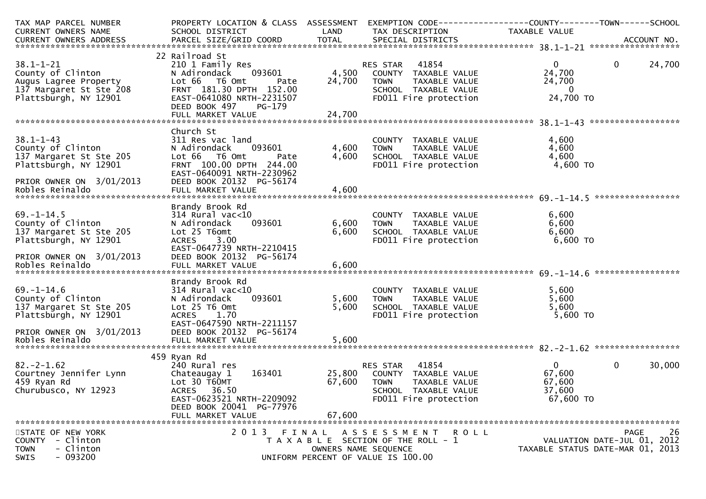| TAX MAP PARCEL NUMBER      | PROPERTY LOCATION & CLASS ASSESSMENT                 |        | EXEMPTION CODE------------------COUNTY--------TOWN------SCHOOL      |                                  |              |            |
|----------------------------|------------------------------------------------------|--------|---------------------------------------------------------------------|----------------------------------|--------------|------------|
| CURRENT OWNERS NAME        | SCHOOL DISTRICT                                      | LAND   | TAX DESCRIPTION                                                     | TAXABLE VALUE                    |              |            |
|                            |                                                      |        |                                                                     |                                  |              |            |
|                            |                                                      |        |                                                                     |                                  |              |            |
|                            | 22 Railroad St                                       |        |                                                                     |                                  |              |            |
| $38.1 - 1 - 21$            | 210 1 Family Res                                     |        | RES STAR 41854                                                      | $\overline{0}$                   | $\mathbf{0}$ | 24,700     |
| County of Clinton          | 093601<br>N Adirondack                               |        | 4,500 COUNTY TAXABLE VALUE                                          | 24,700                           |              |            |
| Augus Lagree Property      | Lot 66 T6 Omt<br>Pate                                | 24,700 | <b>TOWN</b><br>TAXABLE VALUE                                        | 24,700                           |              |            |
| 137 Margaret St Ste 208    | FRNT 181.30 DPTH 152.00                              |        | SCHOOL TAXABLE VALUE                                                | $\bf{0}$                         |              |            |
| Plattsburgh, NY 12901      | EAST-0641080 NRTH-2231507<br>DEED BOOK 497<br>PG-179 |        | FD011 Fire protection                                               | 24,700 TO                        |              |            |
|                            |                                                      |        |                                                                     |                                  |              |            |
|                            |                                                      |        |                                                                     |                                  |              |            |
|                            | Church St                                            |        |                                                                     |                                  |              |            |
| $38.1 - 1 - 43$            | 311 Res vac land                                     |        | COUNTY TAXABLE VALUE                                                | 4,600                            |              |            |
| County of Clinton          | 093601<br>N Adirondack                               | 4,600  | TAXABLE VALUE<br><b>TOWN</b>                                        | 4,600                            |              |            |
| 137 Margaret St Ste 205    | Lot 66 T6 Omt                                        | 4,600  |                                                                     | 4,600                            |              |            |
| Plattsburgh, NY 12901      | Pate<br>FRNT 100.00 DPTH 244.00                      |        | SCHOOL TAXABLE VALUE<br>FDO11 Fire protection                       | 4,600 TO                         |              |            |
|                            | EAST-0640091 NRTH-2230962                            |        |                                                                     |                                  |              |            |
| PRIOR OWNER ON 3/01/2013   |                                                      |        |                                                                     |                                  |              |            |
|                            | DEED BOOK 20132 PG-56174                             |        |                                                                     |                                  |              |            |
|                            |                                                      |        |                                                                     |                                  |              |            |
|                            |                                                      |        |                                                                     |                                  |              |            |
|                            | Brandy Brook Rd                                      |        |                                                                     |                                  |              |            |
| $69. - 1 - 14.5$           | $314$ Rural vac<10                                   |        | COUNTY TAXABLE VALUE                                                | 6,600                            |              |            |
| County of Clinton          | 093601<br>N Adirondack                               | 6,600  | TOWN      TAXABLE  VALUE<br>SCHOOL    TAXABLE  VALUE                | 6,600                            |              |            |
| 137 Margaret St Ste 205    | Lot 25 T6omt                                         | 6,600  |                                                                     | 6,600                            |              |            |
| Plattsburgh, NY 12901      | 3.00<br><b>ACRES</b>                                 |        | FD011 Fire protection                                               | 6,600 TO                         |              |            |
|                            | EAST-0647739 NRTH-2210415                            |        |                                                                     |                                  |              |            |
| PRIOR OWNER ON 3/01/2013   | DEED BOOK 20132 PG-56174                             |        |                                                                     |                                  |              |            |
|                            |                                                      |        |                                                                     |                                  |              |            |
|                            |                                                      |        |                                                                     |                                  |              |            |
|                            | Brandy Brook Rd                                      |        |                                                                     |                                  |              |            |
| $69. - 1 - 14.6$           | $314$ Rural vac< $10$                                |        | COUNTY TAXABLE VALUE                                                | 5,600                            |              |            |
| County of Clinton          | 093601<br>N Adirondack                               | 5,600  | TOWN TAXABLE VALUE<br>SCHOOL TAXABLE VALUE<br>FD011 Fire protection | 5,600                            |              |            |
| 137 Margaret St Ste 205    | Lot 25 T6 Omt                                        | 5,600  |                                                                     | 5,600                            |              |            |
| Plattsburgh, NY 12901      | 1.70<br><b>ACRES</b>                                 |        |                                                                     | 5,600 TO                         |              |            |
|                            | EAST-0647590 NRTH-2211157                            |        |                                                                     |                                  |              |            |
| PRIOR OWNER ON 3/01/2013   | DEED BOOK 20132 PG-56174                             |        |                                                                     |                                  |              |            |
| Robles Reinaldo            | FULL MARKET VALUE                                    | 5,600  |                                                                     |                                  |              |            |
|                            |                                                      |        |                                                                     |                                  |              |            |
|                            | 459 Ryan Rd                                          |        |                                                                     |                                  |              |            |
| $82. -2 - 1.62$            | 240 Rural res                                        |        | RES STAR 41854                                                      | $\overline{0}$                   | $\mathbf{0}$ | 30,000     |
| Courtney Jennifer Lynn     | 163401<br>Chateaugay 1                               | 25,800 | COUNTY TAXABLE VALUE                                                | 67,600                           |              |            |
| 459 Ryan Rd                | Lot 30 T60MT                                         | 67,600 | <b>TOWN</b><br>TAXABLE VALUE                                        | 67,600                           |              |            |
| Churubusco, NY 12923       | ACRES 36.50                                          |        | SCHOOL TAXABLE VALUE                                                | 37,600                           |              |            |
|                            | EAST-0623521 NRTH-2209092                            |        | FD011 Fire protection                                               | 67,600 TO                        |              |            |
|                            | DEED BOOK 20041 PG-77976                             |        |                                                                     |                                  |              |            |
|                            | FULL MARKET VALUE                                    | 67,600 |                                                                     |                                  |              |            |
|                            |                                                      |        |                                                                     |                                  |              |            |
| STATE OF NEW YORK          | 2013 FINAL                                           |        | A S S E S S M E N T<br>R O L L                                      |                                  |              | 26<br>PAGE |
| - Clinton<br><b>COUNTY</b> |                                                      |        | T A X A B L E SECTION OF THE ROLL - 1                               | VALUATION DATE-JUL 01, 2012      |              |            |
| <b>TOWN</b><br>- Clinton   |                                                      |        | OWNERS NAME SEQUENCE                                                | TAXABLE STATUS DATE-MAR 01, 2013 |              |            |
| $-093200$<br><b>SWIS</b>   |                                                      |        | UNIFORM PERCENT OF VALUE IS 100.00                                  |                                  |              |            |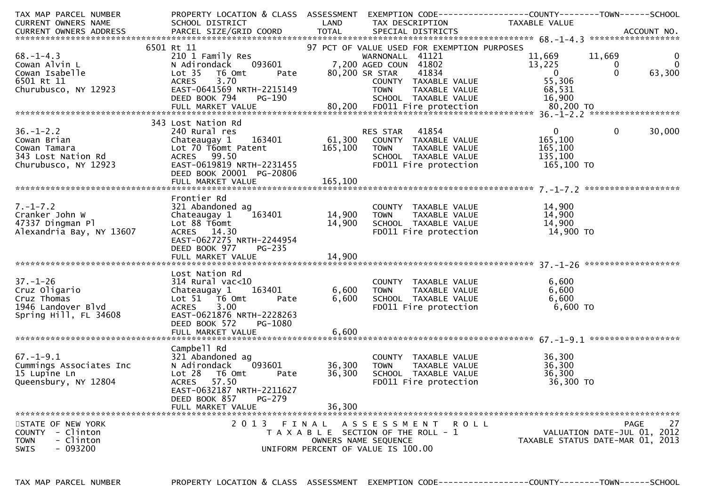| TAX MAP PARCEL NUMBER                                                                                                                                                                                                                  | PROPERTY LOCATION & CLASS ASSESSMENT          |                 | EXEMPTION CODE------------------COUNTY--------TOWN------SCHOOL      |                           |                                  |
|----------------------------------------------------------------------------------------------------------------------------------------------------------------------------------------------------------------------------------------|-----------------------------------------------|-----------------|---------------------------------------------------------------------|---------------------------|----------------------------------|
| CURRENT OWNERS NAME                                                                                                                                                                                                                    | SCHOOL DISTRICT<br><b>Example 18 The LAND</b> |                 | TAX DESCRIPTION                                                     | <b>TAXABLE VALUE</b>      |                                  |
|                                                                                                                                                                                                                                        |                                               |                 |                                                                     |                           |                                  |
|                                                                                                                                                                                                                                        |                                               |                 |                                                                     |                           |                                  |
|                                                                                                                                                                                                                                        | 6501 Rt 11                                    |                 | 97 PCT OF VALUE USED FOR EXEMPTION PURPOSES                         | 11,669 11,669<br>13.225   |                                  |
| $68. - 1 - 4.3$                                                                                                                                                                                                                        | 210 1 Family Res                              |                 | WARNONALL 41121                                                     |                           | $\overline{0}$                   |
| $Cowan$ $Alvin$ $L$                                                                                                                                                                                                                    | N Adirondack 093601                           |                 | 7,200 AGED COUN 41802                                               |                           | $\mathbf 0$                      |
| Cowan Isabelle                                                                                                                                                                                                                         | Lot 35<br>T6 Omt<br>Pate                      | 80,200 SR STAR  | 41834                                                               | $\overline{0}$            | 63,300<br>$\Omega$               |
|                                                                                                                                                                                                                                        |                                               |                 |                                                                     |                           |                                  |
|                                                                                                                                                                                                                                        |                                               |                 |                                                                     |                           |                                  |
|                                                                                                                                                                                                                                        |                                               |                 |                                                                     |                           |                                  |
|                                                                                                                                                                                                                                        |                                               |                 |                                                                     |                           |                                  |
| COWAL ISSUE IT AND TAXABLE VALUE<br>6501 Rt 11 65,306 ACRES 3.70 COUNTY TAXABLE VALUE 55,306<br>Churubusco, NY 12923 BEED BOOK 794 PG-190 SCHOOL TAXABLE VALUE 68,531<br>FULL MARKET VALUE 80,200 FD011 Fire protection 80,200 TO FULL |                                               |                 |                                                                     |                           |                                  |
|                                                                                                                                                                                                                                        | 343 Lost Nation Rd                            |                 |                                                                     |                           |                                  |
| $36. - 1 - 2.2$                                                                                                                                                                                                                        | 240 Rural res                                 |                 | RES STAR 41854                                                      | $\overline{0}$            | $\mathbf 0$<br>30,000            |
| Cowan Brian                                                                                                                                                                                                                            |                                               |                 |                                                                     | 165,100                   |                                  |
|                                                                                                                                                                                                                                        | Lot 70 T6omt Patent                           | 165,100         | TOWN<br>TAXABLE VALUE                                               | 165,100                   |                                  |
|                                                                                                                                                                                                                                        | ACRES 99.50                                   |                 |                                                                     | 135,100                   |                                  |
| Cowan Brian<br>Cowan Tamara<br>343 Lost Nation Rd<br>Allenson NY 12923                                                                                                                                                                 | EAST-0619819 NRTH-2231455                     |                 | SCHOOL TAXABLE VALUE<br>FDO11 Fire protection                       | $135,100$ TO $165,100$ TO |                                  |
|                                                                                                                                                                                                                                        | DEED BOOK 20001 PG-20806                      |                 |                                                                     |                           |                                  |
|                                                                                                                                                                                                                                        |                                               |                 |                                                                     |                           |                                  |
|                                                                                                                                                                                                                                        |                                               |                 |                                                                     |                           |                                  |
|                                                                                                                                                                                                                                        | Frontier Rd                                   |                 |                                                                     |                           |                                  |
| $7. - 1 - 7.2$                                                                                                                                                                                                                         | 321 Abandoned ag                              |                 | COUNTY TAXABLE VALUE                                                | 14,900                    |                                  |
| Cranker John W                                                                                                                                                                                                                         | Chateaugay 1                                  | $163401$ 14,900 | <b>TOWN</b>                                                         | 14,900                    |                                  |
| 47337 Dingman Pl                                                                                                                                                                                                                       | Lot 88 T6omt                                  | 14,900          | TOWN TAXABLE VALUE<br>SCHOOL TAXABLE VALUE                          | 14,900                    |                                  |
| Alexandria Bay, NY 13607                                                                                                                                                                                                               | ACRES 14.30                                   |                 | FD011 Fire protection                                               | 14,900 TO                 |                                  |
|                                                                                                                                                                                                                                        | EAST-0627275 NRTH-2244954                     |                 |                                                                     |                           |                                  |
|                                                                                                                                                                                                                                        | DEED BOOK 977<br>PG-235                       |                 |                                                                     |                           |                                  |
|                                                                                                                                                                                                                                        |                                               |                 |                                                                     |                           |                                  |
|                                                                                                                                                                                                                                        |                                               |                 |                                                                     |                           |                                  |
|                                                                                                                                                                                                                                        | Lost Nation Rd                                |                 |                                                                     |                           |                                  |
| $37 - 1 - 26$                                                                                                                                                                                                                          | $314$ Rural vac<10                            |                 | COUNTY TAXABLE VALUE                                                | 6,600                     |                                  |
| Cruz Oligario                                                                                                                                                                                                                          | 163401<br>Chateaugay 1                        | 6,600           |                                                                     | 6,600                     |                                  |
| Cruz Thomas                                                                                                                                                                                                                            | Lot 51 T6 Omt<br>Pate                         | 6,600           | TOWN TAXABLE VALUE<br>SCHOOL TAXABLE VALUE<br>FD011 Fire protection | 6,600                     |                                  |
| 1946 Landover Blvd                                                                                                                                                                                                                     | 3.00<br><b>ACRES</b>                          |                 |                                                                     | 6,600 TO                  |                                  |
| Spring Hill, FL 34608                                                                                                                                                                                                                  | EAST-0621876 NRTH-2228263                     |                 |                                                                     |                           |                                  |
|                                                                                                                                                                                                                                        | DEED BOOK 572<br>PG-1080                      |                 |                                                                     |                           |                                  |
|                                                                                                                                                                                                                                        |                                               |                 |                                                                     |                           |                                  |
|                                                                                                                                                                                                                                        |                                               |                 |                                                                     |                           |                                  |
|                                                                                                                                                                                                                                        | Campbell Rd                                   |                 |                                                                     |                           |                                  |
| $67. - 1 - 9.1$                                                                                                                                                                                                                        | 321 Abandoned ag                              |                 | COUNTY TAXABLE VALUE                                                | 36,300                    |                                  |
| Cummings Associates Inc                                                                                                                                                                                                                | 093601<br>N Adirondack                        | 36,300          | TAXABLE VALUE<br><b>TOWN</b>                                        | 36,300                    |                                  |
| 15 Lupine Ln                                                                                                                                                                                                                           | Lot 28<br>T6 Omt<br>Pate                      | 36,300          | SCHOOL TAXABLE VALUE                                                | 36,300                    |                                  |
| Queensbury, NY 12804                                                                                                                                                                                                                   | 57.50<br><b>ACRES</b>                         |                 | FD011 Fire protection                                               | 36,300 TO                 |                                  |
|                                                                                                                                                                                                                                        | EAST-0632187 NRTH-2211627                     |                 |                                                                     |                           |                                  |
|                                                                                                                                                                                                                                        | DEED BOOK 857<br>PG-279                       |                 |                                                                     |                           |                                  |
|                                                                                                                                                                                                                                        | FULL MARKET VALUE                             | 36,300          |                                                                     |                           |                                  |
|                                                                                                                                                                                                                                        |                                               |                 |                                                                     |                           |                                  |
| STATE OF NEW YORK                                                                                                                                                                                                                      | 2013 FINAL                                    |                 | A S S E S S M E N T<br>R O L L                                      |                           | 27<br><b>PAGE</b>                |
| - Clinton<br>COUNTY                                                                                                                                                                                                                    |                                               |                 | T A X A B L E SECTION OF THE ROLL - 1                               |                           | VALUATION DATE-JUL 01, 2012      |
| - Clinton<br><b>TOWN</b>                                                                                                                                                                                                               |                                               |                 | OWNERS NAME SEQUENCE                                                |                           | TAXABLE STATUS DATE-MAR 01, 2013 |
| $-093200$<br>SWIS                                                                                                                                                                                                                      |                                               |                 | UNIFORM PERCENT OF VALUE IS 100.00                                  |                           |                                  |
|                                                                                                                                                                                                                                        |                                               |                 |                                                                     |                           |                                  |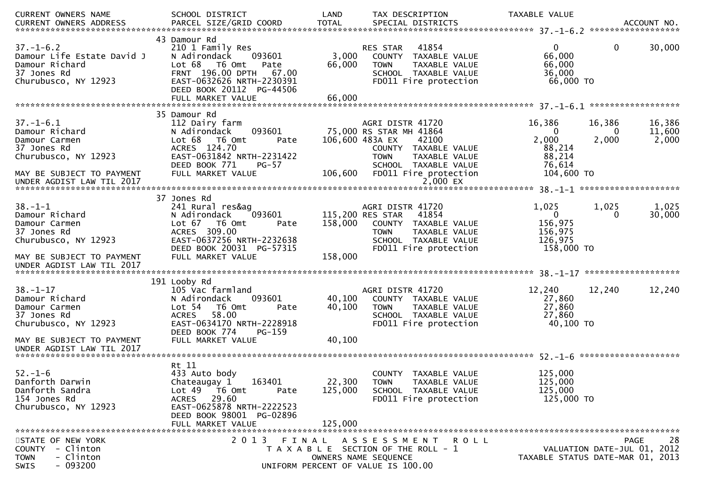| ACCOUNT NO.<br>******************<br>43 Damour Rd<br>$37. - 1 - 6.2$<br>30,000<br>41854<br>$\mathbf{0}$<br>210 1 Family Res<br>RES STAR<br>0<br>66,000<br>Damour Life Estate David J<br>3,000<br>N Adirondack<br>093601<br>COUNTY TAXABLE VALUE<br>66,000<br>Damour Richard<br>Lot 68 T6 Omt<br>66,000<br>Pate<br>TAXABLE VALUE<br><b>TOWN</b><br>37 Jones Rd<br>FRNT 196.00 DPTH<br>36,000<br>67.00<br>SCHOOL TAXABLE VALUE<br>66,000 TO<br>Churubusco, NY 12923<br>EAST-0632626 NRTH-2230391<br>FD011 Fire protection<br>DEED BOOK 20112 PG-44506<br>66,000<br>FULL MARKET VALUE<br>35 Damour Rd<br>16,386<br>112 Dairy farm<br>AGRI DISTR 41720<br>16,386<br>16,386<br>093601<br>75,000 RS STAR MH 41864<br>11,600<br>0<br>N Adirondack<br>0<br>2,000<br>T6 Omt<br>106,600 483A EX<br>2,000<br>2,000<br>Lot 68<br>42100<br>Pate<br>ACRES 124.70<br>88,214<br>COUNTY TAXABLE VALUE<br>EAST-0631842 NRTH-2231422<br>88,214<br>Churubusco, NY 12923<br><b>TOWN</b><br>TAXABLE VALUE<br>DEED BOOK 771<br>76,614<br>$PG-57$<br>SCHOOL TAXABLE VALUE<br>106,600<br>FULL MARKET VALUE<br>FD011 Fire protection<br>104,600 TO<br>MAY BE SUBJECT TO PAYMENT<br>2,000 EX<br>UNDER AGDIST LAW TIL 2017<br>37 Jones Rd<br>$38. - 1 - 1$<br>241 Rural res&ag<br>AGRI DISTR 41720<br>1,025<br>1,025<br>1,025<br>115,200 RES STAR<br>41854<br>$\mathbf{0}$<br>30,000<br>Damour Richard<br>N Adirondack<br>093601<br>0<br>156,975<br>Damour Carmen<br>T6 Omt<br>158,000<br>Lot 67<br>COUNTY<br>TAXABLE VALUE<br>Pate<br>ACRES 309.00<br>37 Jones Rd<br><b>TOWN</b><br>156,975<br>TAXABLE VALUE<br>EAST-0637256 NRTH-2232638<br>126,975<br>Churubusco, NY 12923<br>SCHOOL TAXABLE VALUE<br>DEED BOOK 20031 PG-57315<br>FD011 Fire protection<br>158,000 TO<br>158,000<br>FULL MARKET VALUE<br>MAY BE SUBJECT TO PAYMENT<br>UNDER AGDIST LAW TIL 2017<br>191 Looby Rd<br>12,240<br>105 Vac farmland<br>AGRI DISTR 41720<br>12,240<br>12,240<br>40,100<br>N Adirondack<br>093601<br>27,860<br>COUNTY TAXABLE VALUE<br>27,860<br>T6 Omt<br>40,100<br>TAXABLE VALUE<br>Lot $54$<br>Pate<br><b>TOWN</b><br>58.00<br>27,860<br>SCHOOL TAXABLE VALUE<br><b>ACRES</b><br>EAST-0634170 NRTH-2228918<br>FD011 Fire protection<br>40,100 TO<br>DEED BOOK 774<br>PG-159<br>FULL MARKET VALUE<br>40,100<br>MAY BE SUBJECT TO PAYMENT<br>UNDER AGDIST LAW TIL 2017<br>Rt 11<br>$52. - 1 - 6$<br>125,000<br>433 Auto body<br><b>COUNTY</b><br>TAXABLE VALUE<br>163401<br>22,300<br>125,000<br>Danforth Darwin<br>Chateaugay 1<br><b>TOWN</b><br><b>TAXABLE VALUE</b><br>Danforth Sandra<br>T6 Omt<br>125,000<br>SCHOOL TAXABLE VALUE<br>125,000<br>Lot <sub>49</sub><br>Pate<br>154 Jones Rd<br>29.60<br>FD011 Fire protection<br>125,000 TO<br><b>ACRES</b><br>EAST-0625878 NRTH-2222523<br>Churubusco, NY 12923<br>DEED BOOK 98001 PG-02896<br>FULL MARKET VALUE<br>125,000<br>2 0 1 3<br>FINAL ASSESSMENT<br>28<br><b>PAGE</b><br>R O L L<br>- Clinton<br>VALUATION DATE-JUL 01, 2012<br>T A X A B L E SECTION OF THE ROLL - 1<br>- Clinton<br>OWNERS NAME SEQUENCE<br>TAXABLE STATUS DATE-MAR 01, 2013<br>UNIFORM PERCENT OF VALUE IS 100.00 | CURRENT OWNERS NAME    | SCHOOL DISTRICT        | LAND         | TAX DESCRIPTION   | TAXABLE VALUE |  |
|---------------------------------------------------------------------------------------------------------------------------------------------------------------------------------------------------------------------------------------------------------------------------------------------------------------------------------------------------------------------------------------------------------------------------------------------------------------------------------------------------------------------------------------------------------------------------------------------------------------------------------------------------------------------------------------------------------------------------------------------------------------------------------------------------------------------------------------------------------------------------------------------------------------------------------------------------------------------------------------------------------------------------------------------------------------------------------------------------------------------------------------------------------------------------------------------------------------------------------------------------------------------------------------------------------------------------------------------------------------------------------------------------------------------------------------------------------------------------------------------------------------------------------------------------------------------------------------------------------------------------------------------------------------------------------------------------------------------------------------------------------------------------------------------------------------------------------------------------------------------------------------------------------------------------------------------------------------------------------------------------------------------------------------------------------------------------------------------------------------------------------------------------------------------------------------------------------------------------------------------------------------------------------------------------------------------------------------------------------------------------------------------------------------------------------------------------------------------------------------------------------------------------------------------------------------------------------------------------------------------------------------------------------------------------------------------------------------------------------------------------------------------------------------------------------------------------------------------------------------------------------------------------------------------------------------------------------------------------------------------------------------------------------------------------------------------------------------------------------------------|------------------------|------------------------|--------------|-------------------|---------------|--|
|                                                                                                                                                                                                                                                                                                                                                                                                                                                                                                                                                                                                                                                                                                                                                                                                                                                                                                                                                                                                                                                                                                                                                                                                                                                                                                                                                                                                                                                                                                                                                                                                                                                                                                                                                                                                                                                                                                                                                                                                                                                                                                                                                                                                                                                                                                                                                                                                                                                                                                                                                                                                                                                                                                                                                                                                                                                                                                                                                                                                                                                                                                                     | CURRENT OWNERS ADDRESS | PARCEL SIZE/GRID COORD | <b>TOTAL</b> | SPECIAL DISTRICTS |               |  |
|                                                                                                                                                                                                                                                                                                                                                                                                                                                                                                                                                                                                                                                                                                                                                                                                                                                                                                                                                                                                                                                                                                                                                                                                                                                                                                                                                                                                                                                                                                                                                                                                                                                                                                                                                                                                                                                                                                                                                                                                                                                                                                                                                                                                                                                                                                                                                                                                                                                                                                                                                                                                                                                                                                                                                                                                                                                                                                                                                                                                                                                                                                                     |                        |                        |              |                   |               |  |
|                                                                                                                                                                                                                                                                                                                                                                                                                                                                                                                                                                                                                                                                                                                                                                                                                                                                                                                                                                                                                                                                                                                                                                                                                                                                                                                                                                                                                                                                                                                                                                                                                                                                                                                                                                                                                                                                                                                                                                                                                                                                                                                                                                                                                                                                                                                                                                                                                                                                                                                                                                                                                                                                                                                                                                                                                                                                                                                                                                                                                                                                                                                     |                        |                        |              |                   |               |  |
|                                                                                                                                                                                                                                                                                                                                                                                                                                                                                                                                                                                                                                                                                                                                                                                                                                                                                                                                                                                                                                                                                                                                                                                                                                                                                                                                                                                                                                                                                                                                                                                                                                                                                                                                                                                                                                                                                                                                                                                                                                                                                                                                                                                                                                                                                                                                                                                                                                                                                                                                                                                                                                                                                                                                                                                                                                                                                                                                                                                                                                                                                                                     |                        |                        |              |                   |               |  |
|                                                                                                                                                                                                                                                                                                                                                                                                                                                                                                                                                                                                                                                                                                                                                                                                                                                                                                                                                                                                                                                                                                                                                                                                                                                                                                                                                                                                                                                                                                                                                                                                                                                                                                                                                                                                                                                                                                                                                                                                                                                                                                                                                                                                                                                                                                                                                                                                                                                                                                                                                                                                                                                                                                                                                                                                                                                                                                                                                                                                                                                                                                                     |                        |                        |              |                   |               |  |
|                                                                                                                                                                                                                                                                                                                                                                                                                                                                                                                                                                                                                                                                                                                                                                                                                                                                                                                                                                                                                                                                                                                                                                                                                                                                                                                                                                                                                                                                                                                                                                                                                                                                                                                                                                                                                                                                                                                                                                                                                                                                                                                                                                                                                                                                                                                                                                                                                                                                                                                                                                                                                                                                                                                                                                                                                                                                                                                                                                                                                                                                                                                     |                        |                        |              |                   |               |  |
|                                                                                                                                                                                                                                                                                                                                                                                                                                                                                                                                                                                                                                                                                                                                                                                                                                                                                                                                                                                                                                                                                                                                                                                                                                                                                                                                                                                                                                                                                                                                                                                                                                                                                                                                                                                                                                                                                                                                                                                                                                                                                                                                                                                                                                                                                                                                                                                                                                                                                                                                                                                                                                                                                                                                                                                                                                                                                                                                                                                                                                                                                                                     |                        |                        |              |                   |               |  |
|                                                                                                                                                                                                                                                                                                                                                                                                                                                                                                                                                                                                                                                                                                                                                                                                                                                                                                                                                                                                                                                                                                                                                                                                                                                                                                                                                                                                                                                                                                                                                                                                                                                                                                                                                                                                                                                                                                                                                                                                                                                                                                                                                                                                                                                                                                                                                                                                                                                                                                                                                                                                                                                                                                                                                                                                                                                                                                                                                                                                                                                                                                                     |                        |                        |              |                   |               |  |
|                                                                                                                                                                                                                                                                                                                                                                                                                                                                                                                                                                                                                                                                                                                                                                                                                                                                                                                                                                                                                                                                                                                                                                                                                                                                                                                                                                                                                                                                                                                                                                                                                                                                                                                                                                                                                                                                                                                                                                                                                                                                                                                                                                                                                                                                                                                                                                                                                                                                                                                                                                                                                                                                                                                                                                                                                                                                                                                                                                                                                                                                                                                     |                        |                        |              |                   |               |  |
|                                                                                                                                                                                                                                                                                                                                                                                                                                                                                                                                                                                                                                                                                                                                                                                                                                                                                                                                                                                                                                                                                                                                                                                                                                                                                                                                                                                                                                                                                                                                                                                                                                                                                                                                                                                                                                                                                                                                                                                                                                                                                                                                                                                                                                                                                                                                                                                                                                                                                                                                                                                                                                                                                                                                                                                                                                                                                                                                                                                                                                                                                                                     |                        |                        |              |                   |               |  |
|                                                                                                                                                                                                                                                                                                                                                                                                                                                                                                                                                                                                                                                                                                                                                                                                                                                                                                                                                                                                                                                                                                                                                                                                                                                                                                                                                                                                                                                                                                                                                                                                                                                                                                                                                                                                                                                                                                                                                                                                                                                                                                                                                                                                                                                                                                                                                                                                                                                                                                                                                                                                                                                                                                                                                                                                                                                                                                                                                                                                                                                                                                                     |                        |                        |              |                   |               |  |
|                                                                                                                                                                                                                                                                                                                                                                                                                                                                                                                                                                                                                                                                                                                                                                                                                                                                                                                                                                                                                                                                                                                                                                                                                                                                                                                                                                                                                                                                                                                                                                                                                                                                                                                                                                                                                                                                                                                                                                                                                                                                                                                                                                                                                                                                                                                                                                                                                                                                                                                                                                                                                                                                                                                                                                                                                                                                                                                                                                                                                                                                                                                     | $37. - 1 - 6.1$        |                        |              |                   |               |  |
|                                                                                                                                                                                                                                                                                                                                                                                                                                                                                                                                                                                                                                                                                                                                                                                                                                                                                                                                                                                                                                                                                                                                                                                                                                                                                                                                                                                                                                                                                                                                                                                                                                                                                                                                                                                                                                                                                                                                                                                                                                                                                                                                                                                                                                                                                                                                                                                                                                                                                                                                                                                                                                                                                                                                                                                                                                                                                                                                                                                                                                                                                                                     | Damour Richard         |                        |              |                   |               |  |
|                                                                                                                                                                                                                                                                                                                                                                                                                                                                                                                                                                                                                                                                                                                                                                                                                                                                                                                                                                                                                                                                                                                                                                                                                                                                                                                                                                                                                                                                                                                                                                                                                                                                                                                                                                                                                                                                                                                                                                                                                                                                                                                                                                                                                                                                                                                                                                                                                                                                                                                                                                                                                                                                                                                                                                                                                                                                                                                                                                                                                                                                                                                     | Damour Carmen          |                        |              |                   |               |  |
|                                                                                                                                                                                                                                                                                                                                                                                                                                                                                                                                                                                                                                                                                                                                                                                                                                                                                                                                                                                                                                                                                                                                                                                                                                                                                                                                                                                                                                                                                                                                                                                                                                                                                                                                                                                                                                                                                                                                                                                                                                                                                                                                                                                                                                                                                                                                                                                                                                                                                                                                                                                                                                                                                                                                                                                                                                                                                                                                                                                                                                                                                                                     | 37 Jones Rd            |                        |              |                   |               |  |
|                                                                                                                                                                                                                                                                                                                                                                                                                                                                                                                                                                                                                                                                                                                                                                                                                                                                                                                                                                                                                                                                                                                                                                                                                                                                                                                                                                                                                                                                                                                                                                                                                                                                                                                                                                                                                                                                                                                                                                                                                                                                                                                                                                                                                                                                                                                                                                                                                                                                                                                                                                                                                                                                                                                                                                                                                                                                                                                                                                                                                                                                                                                     |                        |                        |              |                   |               |  |
|                                                                                                                                                                                                                                                                                                                                                                                                                                                                                                                                                                                                                                                                                                                                                                                                                                                                                                                                                                                                                                                                                                                                                                                                                                                                                                                                                                                                                                                                                                                                                                                                                                                                                                                                                                                                                                                                                                                                                                                                                                                                                                                                                                                                                                                                                                                                                                                                                                                                                                                                                                                                                                                                                                                                                                                                                                                                                                                                                                                                                                                                                                                     |                        |                        |              |                   |               |  |
|                                                                                                                                                                                                                                                                                                                                                                                                                                                                                                                                                                                                                                                                                                                                                                                                                                                                                                                                                                                                                                                                                                                                                                                                                                                                                                                                                                                                                                                                                                                                                                                                                                                                                                                                                                                                                                                                                                                                                                                                                                                                                                                                                                                                                                                                                                                                                                                                                                                                                                                                                                                                                                                                                                                                                                                                                                                                                                                                                                                                                                                                                                                     |                        |                        |              |                   |               |  |
|                                                                                                                                                                                                                                                                                                                                                                                                                                                                                                                                                                                                                                                                                                                                                                                                                                                                                                                                                                                                                                                                                                                                                                                                                                                                                                                                                                                                                                                                                                                                                                                                                                                                                                                                                                                                                                                                                                                                                                                                                                                                                                                                                                                                                                                                                                                                                                                                                                                                                                                                                                                                                                                                                                                                                                                                                                                                                                                                                                                                                                                                                                                     |                        |                        |              |                   |               |  |
|                                                                                                                                                                                                                                                                                                                                                                                                                                                                                                                                                                                                                                                                                                                                                                                                                                                                                                                                                                                                                                                                                                                                                                                                                                                                                                                                                                                                                                                                                                                                                                                                                                                                                                                                                                                                                                                                                                                                                                                                                                                                                                                                                                                                                                                                                                                                                                                                                                                                                                                                                                                                                                                                                                                                                                                                                                                                                                                                                                                                                                                                                                                     |                        |                        |              |                   |               |  |
|                                                                                                                                                                                                                                                                                                                                                                                                                                                                                                                                                                                                                                                                                                                                                                                                                                                                                                                                                                                                                                                                                                                                                                                                                                                                                                                                                                                                                                                                                                                                                                                                                                                                                                                                                                                                                                                                                                                                                                                                                                                                                                                                                                                                                                                                                                                                                                                                                                                                                                                                                                                                                                                                                                                                                                                                                                                                                                                                                                                                                                                                                                                     |                        |                        |              |                   |               |  |
|                                                                                                                                                                                                                                                                                                                                                                                                                                                                                                                                                                                                                                                                                                                                                                                                                                                                                                                                                                                                                                                                                                                                                                                                                                                                                                                                                                                                                                                                                                                                                                                                                                                                                                                                                                                                                                                                                                                                                                                                                                                                                                                                                                                                                                                                                                                                                                                                                                                                                                                                                                                                                                                                                                                                                                                                                                                                                                                                                                                                                                                                                                                     |                        |                        |              |                   |               |  |
|                                                                                                                                                                                                                                                                                                                                                                                                                                                                                                                                                                                                                                                                                                                                                                                                                                                                                                                                                                                                                                                                                                                                                                                                                                                                                                                                                                                                                                                                                                                                                                                                                                                                                                                                                                                                                                                                                                                                                                                                                                                                                                                                                                                                                                                                                                                                                                                                                                                                                                                                                                                                                                                                                                                                                                                                                                                                                                                                                                                                                                                                                                                     |                        |                        |              |                   |               |  |
|                                                                                                                                                                                                                                                                                                                                                                                                                                                                                                                                                                                                                                                                                                                                                                                                                                                                                                                                                                                                                                                                                                                                                                                                                                                                                                                                                                                                                                                                                                                                                                                                                                                                                                                                                                                                                                                                                                                                                                                                                                                                                                                                                                                                                                                                                                                                                                                                                                                                                                                                                                                                                                                                                                                                                                                                                                                                                                                                                                                                                                                                                                                     |                        |                        |              |                   |               |  |
|                                                                                                                                                                                                                                                                                                                                                                                                                                                                                                                                                                                                                                                                                                                                                                                                                                                                                                                                                                                                                                                                                                                                                                                                                                                                                                                                                                                                                                                                                                                                                                                                                                                                                                                                                                                                                                                                                                                                                                                                                                                                                                                                                                                                                                                                                                                                                                                                                                                                                                                                                                                                                                                                                                                                                                                                                                                                                                                                                                                                                                                                                                                     |                        |                        |              |                   |               |  |
|                                                                                                                                                                                                                                                                                                                                                                                                                                                                                                                                                                                                                                                                                                                                                                                                                                                                                                                                                                                                                                                                                                                                                                                                                                                                                                                                                                                                                                                                                                                                                                                                                                                                                                                                                                                                                                                                                                                                                                                                                                                                                                                                                                                                                                                                                                                                                                                                                                                                                                                                                                                                                                                                                                                                                                                                                                                                                                                                                                                                                                                                                                                     |                        |                        |              |                   |               |  |
|                                                                                                                                                                                                                                                                                                                                                                                                                                                                                                                                                                                                                                                                                                                                                                                                                                                                                                                                                                                                                                                                                                                                                                                                                                                                                                                                                                                                                                                                                                                                                                                                                                                                                                                                                                                                                                                                                                                                                                                                                                                                                                                                                                                                                                                                                                                                                                                                                                                                                                                                                                                                                                                                                                                                                                                                                                                                                                                                                                                                                                                                                                                     |                        |                        |              |                   |               |  |
|                                                                                                                                                                                                                                                                                                                                                                                                                                                                                                                                                                                                                                                                                                                                                                                                                                                                                                                                                                                                                                                                                                                                                                                                                                                                                                                                                                                                                                                                                                                                                                                                                                                                                                                                                                                                                                                                                                                                                                                                                                                                                                                                                                                                                                                                                                                                                                                                                                                                                                                                                                                                                                                                                                                                                                                                                                                                                                                                                                                                                                                                                                                     |                        |                        |              |                   |               |  |
|                                                                                                                                                                                                                                                                                                                                                                                                                                                                                                                                                                                                                                                                                                                                                                                                                                                                                                                                                                                                                                                                                                                                                                                                                                                                                                                                                                                                                                                                                                                                                                                                                                                                                                                                                                                                                                                                                                                                                                                                                                                                                                                                                                                                                                                                                                                                                                                                                                                                                                                                                                                                                                                                                                                                                                                                                                                                                                                                                                                                                                                                                                                     |                        |                        |              |                   |               |  |
|                                                                                                                                                                                                                                                                                                                                                                                                                                                                                                                                                                                                                                                                                                                                                                                                                                                                                                                                                                                                                                                                                                                                                                                                                                                                                                                                                                                                                                                                                                                                                                                                                                                                                                                                                                                                                                                                                                                                                                                                                                                                                                                                                                                                                                                                                                                                                                                                                                                                                                                                                                                                                                                                                                                                                                                                                                                                                                                                                                                                                                                                                                                     |                        |                        |              |                   |               |  |
|                                                                                                                                                                                                                                                                                                                                                                                                                                                                                                                                                                                                                                                                                                                                                                                                                                                                                                                                                                                                                                                                                                                                                                                                                                                                                                                                                                                                                                                                                                                                                                                                                                                                                                                                                                                                                                                                                                                                                                                                                                                                                                                                                                                                                                                                                                                                                                                                                                                                                                                                                                                                                                                                                                                                                                                                                                                                                                                                                                                                                                                                                                                     | $38. - 1 - 17$         |                        |              |                   |               |  |
|                                                                                                                                                                                                                                                                                                                                                                                                                                                                                                                                                                                                                                                                                                                                                                                                                                                                                                                                                                                                                                                                                                                                                                                                                                                                                                                                                                                                                                                                                                                                                                                                                                                                                                                                                                                                                                                                                                                                                                                                                                                                                                                                                                                                                                                                                                                                                                                                                                                                                                                                                                                                                                                                                                                                                                                                                                                                                                                                                                                                                                                                                                                     | Damour Richard         |                        |              |                   |               |  |
|                                                                                                                                                                                                                                                                                                                                                                                                                                                                                                                                                                                                                                                                                                                                                                                                                                                                                                                                                                                                                                                                                                                                                                                                                                                                                                                                                                                                                                                                                                                                                                                                                                                                                                                                                                                                                                                                                                                                                                                                                                                                                                                                                                                                                                                                                                                                                                                                                                                                                                                                                                                                                                                                                                                                                                                                                                                                                                                                                                                                                                                                                                                     | Damour Carmen          |                        |              |                   |               |  |
|                                                                                                                                                                                                                                                                                                                                                                                                                                                                                                                                                                                                                                                                                                                                                                                                                                                                                                                                                                                                                                                                                                                                                                                                                                                                                                                                                                                                                                                                                                                                                                                                                                                                                                                                                                                                                                                                                                                                                                                                                                                                                                                                                                                                                                                                                                                                                                                                                                                                                                                                                                                                                                                                                                                                                                                                                                                                                                                                                                                                                                                                                                                     | 37 Jones Rd            |                        |              |                   |               |  |
|                                                                                                                                                                                                                                                                                                                                                                                                                                                                                                                                                                                                                                                                                                                                                                                                                                                                                                                                                                                                                                                                                                                                                                                                                                                                                                                                                                                                                                                                                                                                                                                                                                                                                                                                                                                                                                                                                                                                                                                                                                                                                                                                                                                                                                                                                                                                                                                                                                                                                                                                                                                                                                                                                                                                                                                                                                                                                                                                                                                                                                                                                                                     | Churubusco, NY 12923   |                        |              |                   |               |  |
|                                                                                                                                                                                                                                                                                                                                                                                                                                                                                                                                                                                                                                                                                                                                                                                                                                                                                                                                                                                                                                                                                                                                                                                                                                                                                                                                                                                                                                                                                                                                                                                                                                                                                                                                                                                                                                                                                                                                                                                                                                                                                                                                                                                                                                                                                                                                                                                                                                                                                                                                                                                                                                                                                                                                                                                                                                                                                                                                                                                                                                                                                                                     |                        |                        |              |                   |               |  |
|                                                                                                                                                                                                                                                                                                                                                                                                                                                                                                                                                                                                                                                                                                                                                                                                                                                                                                                                                                                                                                                                                                                                                                                                                                                                                                                                                                                                                                                                                                                                                                                                                                                                                                                                                                                                                                                                                                                                                                                                                                                                                                                                                                                                                                                                                                                                                                                                                                                                                                                                                                                                                                                                                                                                                                                                                                                                                                                                                                                                                                                                                                                     |                        |                        |              |                   |               |  |
|                                                                                                                                                                                                                                                                                                                                                                                                                                                                                                                                                                                                                                                                                                                                                                                                                                                                                                                                                                                                                                                                                                                                                                                                                                                                                                                                                                                                                                                                                                                                                                                                                                                                                                                                                                                                                                                                                                                                                                                                                                                                                                                                                                                                                                                                                                                                                                                                                                                                                                                                                                                                                                                                                                                                                                                                                                                                                                                                                                                                                                                                                                                     |                        |                        |              |                   |               |  |
|                                                                                                                                                                                                                                                                                                                                                                                                                                                                                                                                                                                                                                                                                                                                                                                                                                                                                                                                                                                                                                                                                                                                                                                                                                                                                                                                                                                                                                                                                                                                                                                                                                                                                                                                                                                                                                                                                                                                                                                                                                                                                                                                                                                                                                                                                                                                                                                                                                                                                                                                                                                                                                                                                                                                                                                                                                                                                                                                                                                                                                                                                                                     |                        |                        |              |                   |               |  |
|                                                                                                                                                                                                                                                                                                                                                                                                                                                                                                                                                                                                                                                                                                                                                                                                                                                                                                                                                                                                                                                                                                                                                                                                                                                                                                                                                                                                                                                                                                                                                                                                                                                                                                                                                                                                                                                                                                                                                                                                                                                                                                                                                                                                                                                                                                                                                                                                                                                                                                                                                                                                                                                                                                                                                                                                                                                                                                                                                                                                                                                                                                                     |                        |                        |              |                   |               |  |
|                                                                                                                                                                                                                                                                                                                                                                                                                                                                                                                                                                                                                                                                                                                                                                                                                                                                                                                                                                                                                                                                                                                                                                                                                                                                                                                                                                                                                                                                                                                                                                                                                                                                                                                                                                                                                                                                                                                                                                                                                                                                                                                                                                                                                                                                                                                                                                                                                                                                                                                                                                                                                                                                                                                                                                                                                                                                                                                                                                                                                                                                                                                     |                        |                        |              |                   |               |  |
|                                                                                                                                                                                                                                                                                                                                                                                                                                                                                                                                                                                                                                                                                                                                                                                                                                                                                                                                                                                                                                                                                                                                                                                                                                                                                                                                                                                                                                                                                                                                                                                                                                                                                                                                                                                                                                                                                                                                                                                                                                                                                                                                                                                                                                                                                                                                                                                                                                                                                                                                                                                                                                                                                                                                                                                                                                                                                                                                                                                                                                                                                                                     |                        |                        |              |                   |               |  |
|                                                                                                                                                                                                                                                                                                                                                                                                                                                                                                                                                                                                                                                                                                                                                                                                                                                                                                                                                                                                                                                                                                                                                                                                                                                                                                                                                                                                                                                                                                                                                                                                                                                                                                                                                                                                                                                                                                                                                                                                                                                                                                                                                                                                                                                                                                                                                                                                                                                                                                                                                                                                                                                                                                                                                                                                                                                                                                                                                                                                                                                                                                                     |                        |                        |              |                   |               |  |
|                                                                                                                                                                                                                                                                                                                                                                                                                                                                                                                                                                                                                                                                                                                                                                                                                                                                                                                                                                                                                                                                                                                                                                                                                                                                                                                                                                                                                                                                                                                                                                                                                                                                                                                                                                                                                                                                                                                                                                                                                                                                                                                                                                                                                                                                                                                                                                                                                                                                                                                                                                                                                                                                                                                                                                                                                                                                                                                                                                                                                                                                                                                     |                        |                        |              |                   |               |  |
|                                                                                                                                                                                                                                                                                                                                                                                                                                                                                                                                                                                                                                                                                                                                                                                                                                                                                                                                                                                                                                                                                                                                                                                                                                                                                                                                                                                                                                                                                                                                                                                                                                                                                                                                                                                                                                                                                                                                                                                                                                                                                                                                                                                                                                                                                                                                                                                                                                                                                                                                                                                                                                                                                                                                                                                                                                                                                                                                                                                                                                                                                                                     |                        |                        |              |                   |               |  |
|                                                                                                                                                                                                                                                                                                                                                                                                                                                                                                                                                                                                                                                                                                                                                                                                                                                                                                                                                                                                                                                                                                                                                                                                                                                                                                                                                                                                                                                                                                                                                                                                                                                                                                                                                                                                                                                                                                                                                                                                                                                                                                                                                                                                                                                                                                                                                                                                                                                                                                                                                                                                                                                                                                                                                                                                                                                                                                                                                                                                                                                                                                                     |                        |                        |              |                   |               |  |
|                                                                                                                                                                                                                                                                                                                                                                                                                                                                                                                                                                                                                                                                                                                                                                                                                                                                                                                                                                                                                                                                                                                                                                                                                                                                                                                                                                                                                                                                                                                                                                                                                                                                                                                                                                                                                                                                                                                                                                                                                                                                                                                                                                                                                                                                                                                                                                                                                                                                                                                                                                                                                                                                                                                                                                                                                                                                                                                                                                                                                                                                                                                     |                        |                        |              |                   |               |  |
|                                                                                                                                                                                                                                                                                                                                                                                                                                                                                                                                                                                                                                                                                                                                                                                                                                                                                                                                                                                                                                                                                                                                                                                                                                                                                                                                                                                                                                                                                                                                                                                                                                                                                                                                                                                                                                                                                                                                                                                                                                                                                                                                                                                                                                                                                                                                                                                                                                                                                                                                                                                                                                                                                                                                                                                                                                                                                                                                                                                                                                                                                                                     | STATE OF NEW YORK      |                        |              |                   |               |  |
|                                                                                                                                                                                                                                                                                                                                                                                                                                                                                                                                                                                                                                                                                                                                                                                                                                                                                                                                                                                                                                                                                                                                                                                                                                                                                                                                                                                                                                                                                                                                                                                                                                                                                                                                                                                                                                                                                                                                                                                                                                                                                                                                                                                                                                                                                                                                                                                                                                                                                                                                                                                                                                                                                                                                                                                                                                                                                                                                                                                                                                                                                                                     | <b>COUNTY</b>          |                        |              |                   |               |  |
|                                                                                                                                                                                                                                                                                                                                                                                                                                                                                                                                                                                                                                                                                                                                                                                                                                                                                                                                                                                                                                                                                                                                                                                                                                                                                                                                                                                                                                                                                                                                                                                                                                                                                                                                                                                                                                                                                                                                                                                                                                                                                                                                                                                                                                                                                                                                                                                                                                                                                                                                                                                                                                                                                                                                                                                                                                                                                                                                                                                                                                                                                                                     | <b>TOWN</b>            |                        |              |                   |               |  |
|                                                                                                                                                                                                                                                                                                                                                                                                                                                                                                                                                                                                                                                                                                                                                                                                                                                                                                                                                                                                                                                                                                                                                                                                                                                                                                                                                                                                                                                                                                                                                                                                                                                                                                                                                                                                                                                                                                                                                                                                                                                                                                                                                                                                                                                                                                                                                                                                                                                                                                                                                                                                                                                                                                                                                                                                                                                                                                                                                                                                                                                                                                                     | $-093200$<br>SWIS      |                        |              |                   |               |  |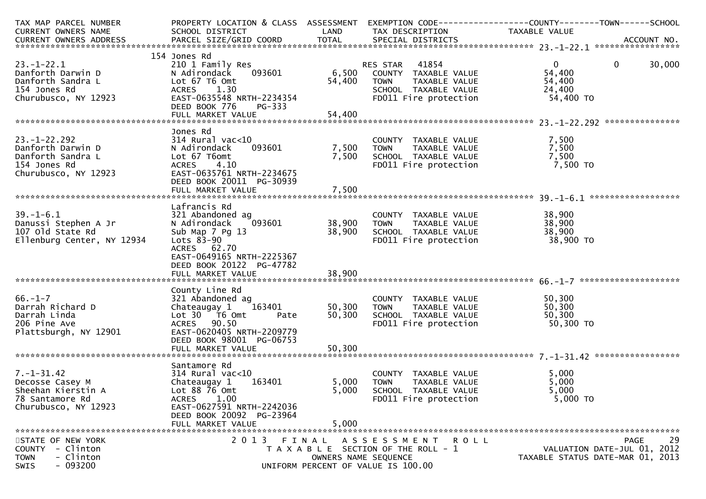| TAX MAP PARCEL NUMBER<br>CURRENT OWNERS NAME                                                            | PROPERTY LOCATION & CLASS ASSESSMENT<br>SCHOOL DISTRICT                                                                                                                                         | LAND                       | EXEMPTION CODE------------------COUNTY--------TOWN------SCHOOL<br>TAX DESCRIPTION                                                                        | TAXABLE VALUE                                             |                                                                               |
|---------------------------------------------------------------------------------------------------------|-------------------------------------------------------------------------------------------------------------------------------------------------------------------------------------------------|----------------------------|----------------------------------------------------------------------------------------------------------------------------------------------------------|-----------------------------------------------------------|-------------------------------------------------------------------------------|
|                                                                                                         |                                                                                                                                                                                                 |                            |                                                                                                                                                          |                                                           |                                                                               |
| $23. - 1 - 22.1$<br>Danforth Darwin D<br>Danforth Sandra L<br>154 Jones Rd<br>Churubusco, NY 12923      | 154 Jones Rd<br>210 1 Family Res<br>093601<br>N Adirondack<br>Lot 67 T6 Omt<br><b>ACRES</b><br>1.30<br>EAST-0635548 NRTH-2234354<br>DEED BOOK 776<br>PG-333                                     | 54,400                     | RES STAR 41854<br>RES STAR     41854<br>6,500    COUNTY   TAXABLE VALUE<br><b>TOWN</b><br>TAXABLE VALUE<br>SCHOOL TAXABLE VALUE<br>FDO11 Fire protection | $\overline{0}$<br>54,400<br>54,400<br>24,400<br>54,400 TO | $\mathbf 0$<br>30,000                                                         |
|                                                                                                         | Jones Rd                                                                                                                                                                                        |                            |                                                                                                                                                          |                                                           |                                                                               |
| $23. - 1 - 22.292$<br>Danforth Darwin D<br>Danforth Sandra L<br>154 Jones Rd<br>Churubusco, NY 12923    | $314$ Rural vac<10<br>093601<br>N Adirondack<br>Lot 67 T6omt<br><b>ACRES</b><br>4.10<br>EAST-0635761 NRTH-2234675<br>DEED BOOK 20011 PG-30939                                                   | 7,500<br>7,500             | COUNTY TAXABLE VALUE<br>COUNTY TAXABLE VALUE<br>TOWN   TAXABLE VALUE<br>SCHOOL  TAXABLE VALUE<br>FDO11 Fire protection                                   | 7,500<br>7,500<br>7,500<br>7,500 TO                       |                                                                               |
|                                                                                                         |                                                                                                                                                                                                 |                            |                                                                                                                                                          |                                                           |                                                                               |
| $39. - 1 - 6.1$<br>Danussi Stephen A Jr<br>107 old State Rd<br>Ellenburg Center, NY 12934               | Lafrancis Rd<br>321 Abandoned ag<br>093601<br>N Adirondack<br>Sub Map 7 Pg 13<br>Lots 83-90<br>ACRES 62.70<br>EAST-0649165 NRTH-2225367<br>DEED BOOK 20122 PG-47782                             | 38,900<br>38,900           | COUNTY TAXABLE VALUE<br>TAXABLE VALUE<br><b>TOWN</b><br>SCHOOL TAXABLE VALUE<br>FD011 Fire protection                                                    | 38,900<br>38,900<br>38,900<br>38,900 TO                   |                                                                               |
| $66. - 1 - 7$<br>Darrah Richard D<br>Darrah Linda<br>206 Pine Ave<br>Plattsburgh, NY 12901              | County Line Rd<br>321 Abandoned ag<br>Chateaugay $1$ $163401$<br>Lot 30 T6 Omt<br>Pate<br>ACRES 90.50<br>EAST-0620405 NRTH-2209779<br>DEED BOOK 98001 PG-06753<br>FULL MARKET VALUE             | 50,300<br>50,300<br>50,300 | COUNTY TAXABLE VALUE<br><b>TOWN</b><br>TAXABLE VALUE<br>TOWN IAANDLE<br>SCHOOL TAXABLE VALUE<br>Time protection                                          | 50,300<br>50,300<br>50,300<br>50,300 TO                   |                                                                               |
| $7. - 1 - 31.42$<br>Decosse Casey M<br>Sheehan Kierstin A<br>78 Santamore Rd<br>Churubusco, NY 12923    | Santamore Rd<br>$314$ Rural vac<10<br>163401<br>Chateaugay 1<br>Lot $88\overline{7}6$ Omt<br><b>ACRES</b><br>1.00<br>EAST-0627591 NRTH-2242036<br>DEED BOOK 20092 PG-23964<br>FULL MARKET VALUE | 5,000<br>5,000<br>5,000    | COUNTY TAXABLE VALUE<br><b>TOWN</b><br>TAXABLE VALUE<br>SCHOOL TAXABLE VALUE<br>FD011 Fire protection                                                    | 5,000<br>5,000<br>5,000<br>5,000 TO                       |                                                                               |
| STATE OF NEW YORK<br><b>COUNTY</b><br>- Clinton<br>- Clinton<br><b>TOWN</b><br>$-093200$<br><b>SWIS</b> |                                                                                                                                                                                                 | OWNERS NAME SEQUENCE       | 2013 FINAL ASSESSMENT<br>R O L L<br>T A X A B L E SECTION OF THE ROLL - 1<br>UNIFORM PERCENT OF VALUE IS 100.00                                          |                                                           | 29<br>PAGE<br>VALUATION DATE-JUL 01, 2012<br>TAXABLE STATUS DATE-MAR 01, 2013 |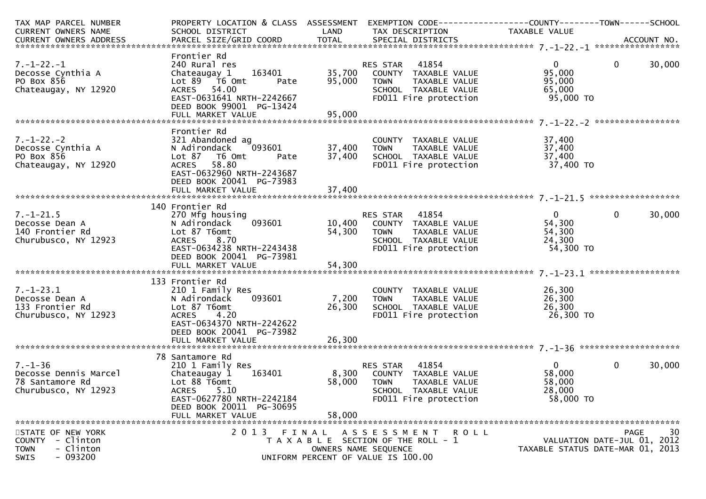| CURRENT OWNERS NAME<br>SCHOOL DISTRICT<br>LAND<br>TAX DESCRIPTION<br>TAXABLE VALUE                                                                     | EXEMPTION CODE------------------COUNTY--------TOWN------SCHOOL |
|--------------------------------------------------------------------------------------------------------------------------------------------------------|----------------------------------------------------------------|
|                                                                                                                                                        |                                                                |
|                                                                                                                                                        |                                                                |
|                                                                                                                                                        |                                                                |
| Frontier Rd                                                                                                                                            |                                                                |
| $\mathbf 0$<br>$7. - 1 - 22. - 1$<br>240 Rural res<br>41854<br>$\overline{0}$<br>RES STAR                                                              | 30,000                                                         |
| Chateaugay 1 163401<br>35,700<br>95,000<br>COUNTY TAXABLE VALUE<br>Decosse Cynthia A                                                                   |                                                                |
| PO Box 856<br>95,000<br>95,000<br>Lot 89 T6 Omt<br>TAXABLE VALUE<br>Pate<br>TOWN                                                                       |                                                                |
| Chateaugay, NY 12920<br>ACRES 54.00<br>SCHOOL TAXABLE VALUE<br>65,000                                                                                  |                                                                |
| FD011 Fire protection<br>95,000 TO<br>EAST-0631641 NRTH-2242667                                                                                        |                                                                |
| DEED BOOK 99001 PG-13424                                                                                                                               |                                                                |
|                                                                                                                                                        |                                                                |
|                                                                                                                                                        |                                                                |
| Frontier Rd                                                                                                                                            |                                                                |
| $7. - 1 - 22. - 2$<br>321 Abandoned ag<br>37,400<br>COUNTY TAXABLE VALUE                                                                               |                                                                |
| 37,400<br>$\sim$ 093601<br>37,400<br>Decosse Cynthia A<br>N Adirondack<br><b>TOWN</b><br>TAXABLE VALUE                                                 |                                                                |
| 37,400<br>PO Box 856<br>SCHOOL TAXABLE VALUE<br>37,400<br>Lot 87 T6 Omt<br>Pate                                                                        |                                                                |
| ACRES 58.80<br>FD011 Fire protection<br>37,400 TO<br>Chateaugay, NY 12920                                                                              |                                                                |
| EAST-0632960 NRTH-2243687                                                                                                                              |                                                                |
| DEED BOOK 20041 PG-73983                                                                                                                               |                                                                |
| 37,400<br>FULL MARKET VALUE                                                                                                                            |                                                                |
|                                                                                                                                                        |                                                                |
| 140 Frontier Rd                                                                                                                                        |                                                                |
| RES STAR 41854<br>$\mathbf{0}$<br>$7. - 1 - 21.5$<br>270 Mfg housing<br>$\overline{0}$                                                                 | 30,000                                                         |
| 093601<br>10,400 COUNTY TAXABLE VALUE<br>54,300<br>Decosse Dean A<br>N Adirondack                                                                      |                                                                |
| 54,300<br>54,300<br>140 Frontier Rd<br>Lot 87 T6omt<br><b>TOWN</b><br>TAXABLE VALUE                                                                    |                                                                |
| ACRES 8.70<br>Churubusco, NY 12923<br>SCHOOL TAXABLE VALUE<br>24,300                                                                                   |                                                                |
| EAST-0634238 NRTH-2243438<br>54,300 TO<br>FD011 Fire protection                                                                                        |                                                                |
| DEED BOOK 20041 PG-73981                                                                                                                               |                                                                |
|                                                                                                                                                        |                                                                |
|                                                                                                                                                        |                                                                |
| 133 Frontier Rd                                                                                                                                        |                                                                |
| $7. - 1 - 23.1$<br>26,300<br>210 1 Family Res<br>COUNTY TAXABLE VALUE                                                                                  |                                                                |
| 7,200<br>26,300<br>093601<br>TAXABLE VALUE<br>Decosse Dean A<br>N Adirondack<br><b>TOWN</b>                                                            |                                                                |
| Lot 87 T6omt<br>26,300<br>SCHOOL TAXABLE VALUE<br>26,300<br>133 Frontier Rd                                                                            |                                                                |
|                                                                                                                                                        |                                                                |
| 26,300 TO<br>ACRES 4.20<br>FD011 Fire protection<br>Churubusco, NY 12923<br>EAST-0634370 NRTH-2242622                                                  |                                                                |
|                                                                                                                                                        |                                                                |
| DEED BOOK 20041 PG-73982                                                                                                                               |                                                                |
|                                                                                                                                                        |                                                                |
|                                                                                                                                                        |                                                                |
| 78 Santamore Rd                                                                                                                                        |                                                                |
|                                                                                                                                                        | 30,000                                                         |
| $7. - 1 - 36$<br>$\mathbf{0}$<br>RES STAR 41854<br>$\overline{0}$<br>210 1 Family Res                                                                  |                                                                |
| 8,300<br>58,000<br>Decosse Dennis Marcel<br>163401<br>Chateaugay 1<br>COUNTY TAXABLE VALUE                                                             |                                                                |
| 58,000<br>58,000<br>78 Santamore Rd<br>Lot 88 T6omt<br><b>TOWN</b><br>TAXABLE VALUE                                                                    |                                                                |
| 28,000<br>Churubusco, NY 12923<br><b>ACRES</b><br>5.10<br>SCHOOL TAXABLE VALUE                                                                         |                                                                |
| EAST-0627780 NRTH-2242184<br>FD011 Fire protection<br>58,000 TO                                                                                        |                                                                |
| DEED BOOK 20011 PG-30695                                                                                                                               |                                                                |
| 58,000<br>FULL MARKET VALUE                                                                                                                            |                                                                |
|                                                                                                                                                        |                                                                |
| 2013 FINAL ASSESSMENT<br>STATE OF NEW YORK<br>R O L L                                                                                                  | 30<br>PAGE                                                     |
| VALUATION DATE-JUL 01, 2012<br>COUNTY - Clinton<br>T A X A B L E SECTION OF THE ROLL - 1                                                               |                                                                |
| <b>TOWN</b><br>- Clinton<br>TAXABLE STATUS DATE-MAR 01, 2013<br>OWNERS NAME SEQUENCE<br>$-093200$<br><b>SWIS</b><br>UNIFORM PERCENT OF VALUE IS 100.00 |                                                                |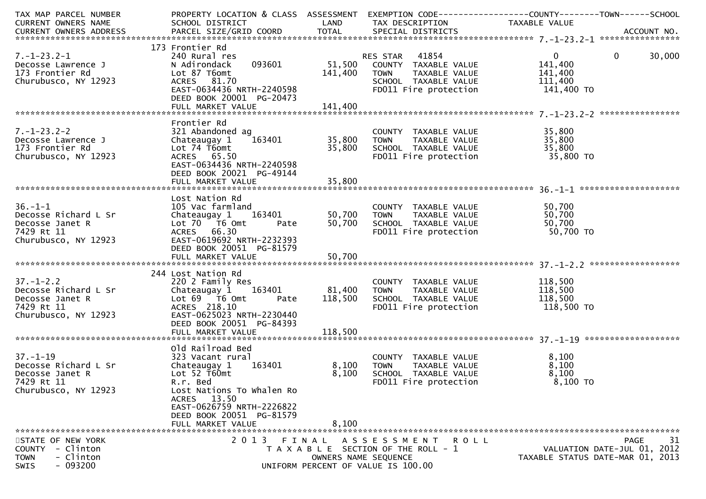| TAX MAP PARCEL NUMBER                 | PROPERTY LOCATION & CLASS ASSESSMENT          |                      | EXEMPTION CODE-----------------COUNTY-------TOWN------SCHOOL |                         |                                  |
|---------------------------------------|-----------------------------------------------|----------------------|--------------------------------------------------------------|-------------------------|----------------------------------|
| CURRENT OWNERS NAME                   | SCHOOL DISTRICT                               | LAND                 | TAX DESCRIPTION                                              | TAXABLE VALUE           |                                  |
|                                       |                                               |                      |                                                              |                         |                                  |
|                                       |                                               |                      |                                                              |                         |                                  |
|                                       | 173 Frontier Rd                               |                      |                                                              |                         |                                  |
| 7.-1-23.2-1                           | 240 Rural res<br>093601<br>N Adirondack       | 51,500               | <b>RES STAR 41854</b>                                        | $\mathbf{0}$<br>141,400 | $\mathbf{0}$<br>30,000           |
| Decosse Lawrence J<br>173 Frontier Rd | Lot 87 T6omt                                  | 141,400              | COUNTY TAXABLE VALUE<br>TAXABLE VALUE<br><b>TOWN</b>         | 141,400                 |                                  |
| Churubusco, NY 12923                  | ACRES 81.70                                   |                      | SCHOOL TAXABLE VALUE                                         | 111,400                 |                                  |
|                                       | EAST-0634436 NRTH-2240598                     |                      | FD011 Fire protection                                        | 141,400 TO              |                                  |
|                                       | DEED BOOK 20001 PG-20473                      |                      |                                                              |                         |                                  |
|                                       |                                               |                      |                                                              |                         |                                  |
|                                       |                                               |                      |                                                              |                         |                                  |
|                                       | Frontier Rd                                   |                      |                                                              |                         |                                  |
| $7. - 1 - 23.2 - 2$                   | 321 Abandoned ag                              |                      | COUNTY TAXABLE VALUE                                         | 35,800                  |                                  |
| Decosse Lawrence J                    | Chateaugay 1<br>163401                        | 35,800               | TAXABLE VALUE<br><b>TOWN</b>                                 | 35,800                  |                                  |
| 173 Frontier Rd                       | Lot 74 T6omt                                  | 35,800               | SCHOOL TAXABLE VALUE                                         | 35,800                  |                                  |
| Churubusco, NY 12923                  | ACRES 65.50                                   |                      | FD011 Fire protection                                        | $35,000$ TO             |                                  |
|                                       | EAST-0634436 NRTH-2240598                     |                      |                                                              |                         |                                  |
|                                       | DEED BOOK 20021 PG-49144                      |                      |                                                              |                         |                                  |
|                                       |                                               |                      |                                                              |                         |                                  |
|                                       | Lost Nation Rd                                |                      |                                                              |                         |                                  |
| $36. - 1 - 1$                         | 105 Vac farmland                              |                      | COUNTY TAXABLE VALUE                                         | 50,700                  |                                  |
| Decosse Richard L Sr                  | Chateaugay 1<br>163401                        | 50,700               | <b>TOWN</b><br>TAXABLE VALUE                                 | 50,700                  |                                  |
| Decosse Janet R                       | Lot 70 T6 Omt<br>Pate                         | 50,700               | SCHOOL TAXABLE VALUE                                         | 50,700                  |                                  |
| 7429 Rt 11                            | ACRES 66.30                                   |                      | FD011 Fire protection                                        | 50,700 TO               |                                  |
| Churubusco, NY 12923                  | EAST-0619692 NRTH-2232393                     |                      |                                                              |                         |                                  |
|                                       | DEED BOOK 20051 PG-81579                      |                      |                                                              |                         |                                  |
|                                       |                                               |                      |                                                              |                         |                                  |
|                                       |                                               |                      |                                                              |                         |                                  |
|                                       | 244 Lost Nation Rd                            |                      |                                                              |                         |                                  |
| $37. - 1 - 2.2$                       | 220 2 Family Res                              |                      | COUNTY TAXABLE VALUE                                         | 118,500                 |                                  |
| Decosse Richard L Sr                  | 163401<br>Chateaugay 1                        | 81,400               | <b>TOWN</b><br>TAXABLE VALUE                                 | 118,500                 |                                  |
| Decosse Janet R<br>7429 Rt 11         | Lot 69 T6 Omt<br>ACRES 218.10<br>Pate         | 118,500              | SCHOOL TAXABLE VALUE<br>FD011 Fire protection                | 118,500<br>118,500 TO   |                                  |
| Churubusco, NY 12923                  | EAST-0625023 NRTH-2230440                     |                      |                                                              |                         |                                  |
|                                       | DEED BOOK 20051 PG-84393                      |                      |                                                              |                         |                                  |
|                                       |                                               |                      |                                                              |                         |                                  |
|                                       |                                               |                      |                                                              |                         |                                  |
|                                       | Old Railroad Bed                              |                      |                                                              |                         |                                  |
| $37. - 1 - 19$                        | 323 Vacant rural                              |                      | COUNTY TAXABLE VALUE                                         | 8,100                   |                                  |
| Decosse Richard L Sr                  | 163401<br>Chateaugay 1                        | 8,100                | <b>TOWN</b><br>TAXABLE VALUE                                 | 8,100                   |                                  |
| Decosse Janet R                       | Lot $52$ T60mt                                | 8,100                | SCHOOL TAXABLE VALUE                                         | 8,100                   |                                  |
| 7429 Rt 11                            | R.r. Bed                                      |                      | FD011 Fire protection                                        | 8,100 TO                |                                  |
| Churubusco, NY 12923                  | Lost Nations To Whalen Ro                     |                      |                                                              |                         |                                  |
|                                       | ACRES 13.50                                   |                      |                                                              |                         |                                  |
|                                       | EAST-0626759 NRTH-2226822                     |                      |                                                              |                         |                                  |
|                                       | DEED BOOK 20051 PG-81579<br>FULL MARKET VALUE | 8,100                |                                                              |                         |                                  |
|                                       |                                               |                      |                                                              |                         |                                  |
| STATE OF NEW YORK                     | 2 0 1 3                                       | FINAL                | A S S E S S M E N T<br>ROLL                                  |                         | 31<br>PAGE                       |
| COUNTY - Clinton                      |                                               |                      | T A X A B L E SECTION OF THE ROLL - 1                        |                         | VALUATION DATE-JUL 01, 2012      |
| - Clinton<br><b>TOWN</b>              |                                               | OWNERS NAME SEQUENCE |                                                              |                         | TAXABLE STATUS DATE-MAR 01, 2013 |
| $-093200$<br>SWIS                     |                                               |                      | UNIFORM PERCENT OF VALUE IS 100.00                           |                         |                                  |
|                                       |                                               |                      |                                                              |                         |                                  |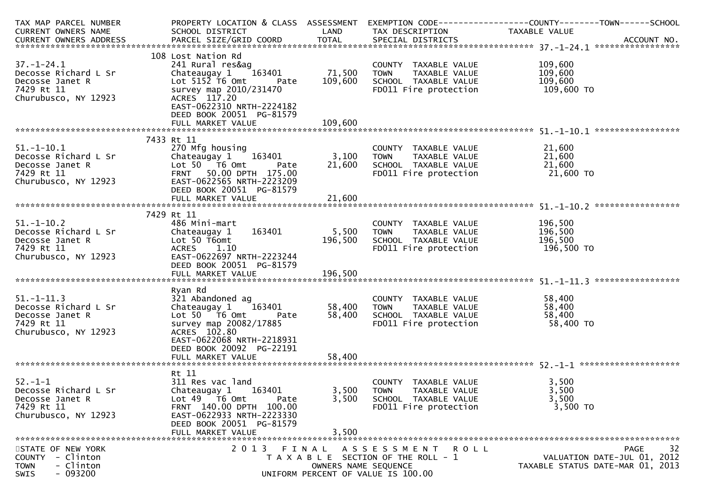| TAX MAP PARCEL NUMBER<br>CURRENT OWNERS NAME                                                                | SCHOOL DISTRICT                                                                                                                                                                         | LAND                          | TAX DESCRIPTION                                                                                               | PROPERTY LOCATION & CLASS ASSESSMENT EXEMPTION CODE---------------COUNTY-------TOWN------SCHOOL<br>TAXABLE VALUE                                                                                                               |    |
|-------------------------------------------------------------------------------------------------------------|-----------------------------------------------------------------------------------------------------------------------------------------------------------------------------------------|-------------------------------|---------------------------------------------------------------------------------------------------------------|--------------------------------------------------------------------------------------------------------------------------------------------------------------------------------------------------------------------------------|----|
|                                                                                                             | 108 Lost Nation Rd                                                                                                                                                                      |                               |                                                                                                               | .4CCOUNT NO . PARCEL SIZE/GRID COORD TOTAL SPECIAL DISTRICTS . ACCOUNT NO . ACCOUNT NO . ACCOUNT NO . بالمحدثة المستوى المستوى المستوى المستوى المستوى المستوى المستوى المستوى المستوى المستوى المستوى المستوى المستوى المستوى |    |
| $37. - 1 - 24.1$<br>Decosse Richard L Sr<br>Decosse Janet R<br>7429 Rt 11<br>Churubusco, NY 12923           | 241 Rural res&ag<br>Chateaugay $1$<br>163401<br>Lot $515\overline{2}$ T6 Omt<br>Pate<br>survey map 2010/231470<br>ACRES 117.20<br>EAST-0622310 NRTH-2224182<br>DEED BOOK 20051 PG-81579 | 71,500<br>109,600             | COUNTY TAXABLE VALUE<br>TAXABLE VALUE<br><b>TOWN</b><br>SCHOOL TAXABLE VALUE<br>FD011 Fire protection         | 109,600<br>109,600<br>109,600<br>109,600 TO                                                                                                                                                                                    |    |
|                                                                                                             |                                                                                                                                                                                         |                               |                                                                                                               |                                                                                                                                                                                                                                |    |
|                                                                                                             | 7433 Rt 11                                                                                                                                                                              |                               |                                                                                                               |                                                                                                                                                                                                                                |    |
| $51.-1-10.1$<br>Decosse Richard L Sr<br>Decosse Janet R<br>7429 Rt 11<br>Churubusco, NY 12923               | 270 Mfg housing<br>Chateaugay 1 163401<br>Lot 50 T6 Omt<br>Pate<br>FRNT 50.00 DPTH 175.00<br>EAST-0622565 NRTH-2223209<br>DEED BOOK 20051 PG-81579                                      | 3,100<br>21,600               | COUNTY TAXABLE VALUE<br><b>TOWN</b><br>TAXABLE VALUE<br>SCHOOL TAXABLE VALUE<br>FD011 Fire protection         | 21,600<br>21,600<br>21,600<br>21,600 TO                                                                                                                                                                                        |    |
|                                                                                                             |                                                                                                                                                                                         |                               |                                                                                                               |                                                                                                                                                                                                                                |    |
|                                                                                                             | 7429 Rt 11                                                                                                                                                                              |                               |                                                                                                               |                                                                                                                                                                                                                                |    |
| $51.-1-10.2$<br>51.-1-10.∠<br>Decosse Richard L Sr<br>Decosse Janet R<br>7429 Rt 11<br>Churubusco, NY 12923 | 486 Mini-mart<br>163401<br>Chateaugay 1<br>Lot 50 T6omt<br><b>ACRES</b><br>1.10<br>EAST-0622697 NRTH-2223244<br>DEED BOOK 20051 PG-81579                                                | 5,500<br>196,500              | COUNTY TAXABLE VALUE<br>TAXABLE VALUE<br><b>TOWN</b><br>SCHOOL TAXABLE VALUE<br>FD011 Fire protection         | 196,500<br>$\frac{196}{100}$ , 500<br>196,500<br>196,500 то                                                                                                                                                                    |    |
|                                                                                                             |                                                                                                                                                                                         |                               |                                                                                                               |                                                                                                                                                                                                                                |    |
| $51.-1-11.3$<br>Decosse Richard L Sr<br>Decosse Janet R<br>7429 Rt 11<br>Churubusco, NY 12923               | Ryan Rd<br>321 Abandoned ag<br>163401<br>Chateaugay 1<br>Lot 50 T6 Omt<br>Pate<br>survey map 20082/17885<br>ACRES 102.80<br>EAST-0622068 NRTH-2218931<br>DEED BOOK 20092 PG-22191       | 58,400<br>58,400              | COUNTY TAXABLE VALUE<br><b>TOWN</b><br>TAXABLE VALUE<br>SCHOOL TAXABLE VALUE<br>FD011 Fire protection         | 58,400<br>58,400<br>58,400<br>58,400 TO                                                                                                                                                                                        |    |
|                                                                                                             |                                                                                                                                                                                         |                               |                                                                                                               |                                                                                                                                                                                                                                |    |
| $52. - 1 - 1$<br>Decosse Richard L Sr<br>Decosse Janet R<br>7429 Rt 11<br>Churubusco, NY 12923              | Rt 11<br>311 Res vac land<br>Chateaugay 1<br>163401<br>Lot $49$ T6 Omt<br>Pate<br>FRNT 140.00 DPTH 100.00<br>EAST-0622933 NRTH-2223330<br>DEED BOOK 20051 PG-81579<br>FULL MARKET VALUE | 3,500<br>3,500<br>3,500       | COUNTY TAXABLE VALUE<br><b>TOWN</b><br>TAXABLE VALUE<br>SCHOOL TAXABLE VALUE<br>FD011 Fire protection         | 3,500<br>3,500<br>3,500<br>3,500 TO                                                                                                                                                                                            |    |
| STATE OF NEW YORK<br>- Clinton<br><b>COUNTY</b><br>- Clinton<br><b>TOWN</b><br>$-093200$<br>SWIS            | 2 0 1 3                                                                                                                                                                                 | FINAL<br>OWNERS NAME SEQUENCE | A S S E S S M E N T<br>R O L L<br>T A X A B L E SECTION OF THE ROLL - 1<br>UNIFORM PERCENT OF VALUE IS 100.00 | <b>PAGE</b><br>VALUATION DATE-JUL 01, 2012<br>TAXABLE STATUS DATE-MAR 01, 2013                                                                                                                                                 | 32 |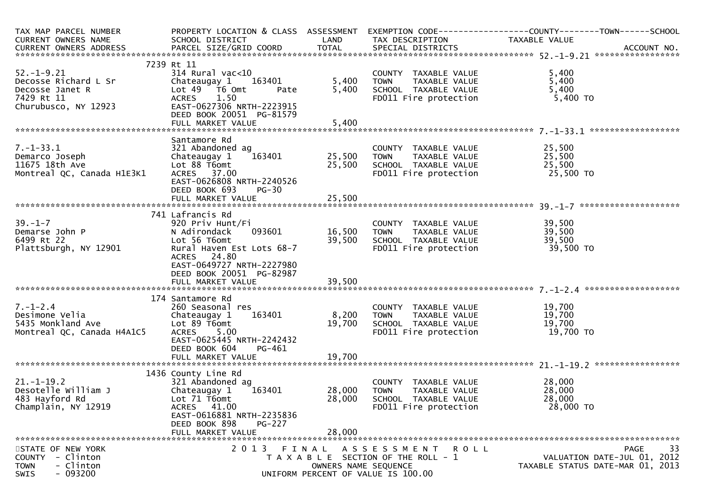| TAX MAP PARCEL NUMBER<br>CURRENT OWNERS NAME                                                      | SCHOOL DISTRICT                                                                                                                                                                      | LAND                       | TAX DESCRIPTION                                                                                                     | PROPERTY LOCATION & CLASS ASSESSMENT EXEMPTION CODE----------------COUNTY-------TOWN------SCHOOL<br>TAXABLE VALUE<br>CURRENT OWNERS ADDRESS PARCEL SIZE/GRID COORD TOTAL SPECIAL DISTRICTS (2007) ACCOUNT NO. |
|---------------------------------------------------------------------------------------------------|--------------------------------------------------------------------------------------------------------------------------------------------------------------------------------------|----------------------------|---------------------------------------------------------------------------------------------------------------------|---------------------------------------------------------------------------------------------------------------------------------------------------------------------------------------------------------------|
|                                                                                                   |                                                                                                                                                                                      |                            |                                                                                                                     |                                                                                                                                                                                                               |
| $52. - 1 - 9.21$<br>Decosse Richard L Sr<br>Decosse Janet R<br>7429 Rt 11<br>Churubusco, NY 12923 | 7239 Rt 11<br>$314$ Rural vac<10<br>163401<br>Chateaugay 1<br>Lot 49 T6 Omt<br>Pate<br>1.50<br>ACRES<br>EAST-0627306 NRTH-2223915<br>DEED BOOK 20051 PG-81579                        | 5,400<br>5,400             | COUNTY TAXABLE VALUE<br>TOWN     TAXABLE VALUE<br>SCHOOL   TAXABLE VALUE<br>FD011 Fire protection                   | 5,400<br>5,400<br>5,400<br>5,400 TO                                                                                                                                                                           |
|                                                                                                   |                                                                                                                                                                                      |                            |                                                                                                                     |                                                                                                                                                                                                               |
| $7. - 1 - 33.1$<br>Demarco Joseph<br>11675 18th Ave<br>Montreal QC, Canada H1E3K1                 | Santamore Rd<br>321 Abandoned ag<br>163401<br>Chateaugay 1<br>Lot 88 T6omt<br>ACRES 37.00<br>EAST-0626808 NRTH-2240526<br>DEED BOOK 693<br>$PG-30$                                   | 25,500<br>25,500           | COUNTY TAXABLE VALUE<br>COUNTY TAXABLE VALUE<br>TOWN TAXABLE VALUE<br>SCHOOL TAXABLE VALUE<br>FDO11 Fire protection | 25,500<br>25,500<br>25,500<br>25,500 TO                                                                                                                                                                       |
|                                                                                                   |                                                                                                                                                                                      |                            |                                                                                                                     |                                                                                                                                                                                                               |
|                                                                                                   | 741 Lafrancis Rd                                                                                                                                                                     |                            |                                                                                                                     |                                                                                                                                                                                                               |
| $39. - 1 - 7$<br>Demarse John P<br>6499 Rt 22<br>Plattsburgh, NY 12901                            | 920 Priv Hunt/Fi<br>093601<br>N Adirondack<br>Lot 56 T6omt<br>Rural Haven Est Lots 68-7<br>ACRES 24.80<br>EAST-0649727 NRTH-2227980<br>DEED BOOK 20051 PG-82987                      | 16,500<br>39,500           | COUNTY TAXABLE VALUE<br>TAXABLE VALUE<br><b>TOWN</b><br>SCHOOL TAXABLE VALUE<br>FD011 Fire protection               | 39,500<br>39,500<br>39,500<br>39,500 TO                                                                                                                                                                       |
|                                                                                                   |                                                                                                                                                                                      |                            |                                                                                                                     |                                                                                                                                                                                                               |
| $7. - 1 - 2.4$<br>Desimone Velia<br>5435 Monkland Ave<br>Montreal QC, Canada H4A1C5               | 174 Santamore Rd<br>260 Seasonal res<br>163401<br>Chateaugay 1<br>Lot 89 T6omt<br>ACRES 5.00<br>EAST-0625445 NRTH-2242432<br>DEED BOOK 604<br>PG-461                                 | 8,200<br>19,700            | COUNTY TAXABLE VALUE<br>TAXABLE VALUE<br><b>TOWN</b><br>SCHOOL TAXABLE VALUE<br>FD011 Fire protection               | 19,700<br>19,700<br>19,700<br>19,700 TO                                                                                                                                                                       |
|                                                                                                   |                                                                                                                                                                                      |                            |                                                                                                                     |                                                                                                                                                                                                               |
| $21. - 1 - 19.2$<br>Desotelle William J<br>483 Hayford Rd<br>Champlain, NY 12919                  | 1436 County Line Rd<br>321 Abandoned ag<br>163401<br>Chateaugay 1<br>Lot 71 T6omt<br>ACRES 41.00<br>EAST-0616881 NRTH-2235836<br>DEED BOOK 898<br><b>PG-227</b><br>FULL MARKET VALUE | 28,000<br>28,000<br>28,000 | COUNTY TAXABLE VALUE<br><b>TOWN</b><br>TAXABLE VALUE<br>SCHOOL TAXABLE VALUE<br>FD011 Fire protection               | 28,000<br>28,000<br>28,000<br>28,000 TO                                                                                                                                                                       |
| STATE OF NEW YORK<br>- Clinton<br><b>COUNTY</b><br>- Clinton<br><b>TOWN</b><br>$-093200$<br>SWIS  |                                                                                                                                                                                      | OWNERS NAME SEQUENCE       | 2013 FINAL ASSESSMENT ROLL<br>T A X A B L E SECTION OF THE ROLL - 1<br>UNIFORM PERCENT OF VALUE IS 100.00           | 33<br><b>PAGE</b><br>VALUATION DATE-JUL 01, 2012<br>TAXABLE STATUS DATE-MAR 01, 2013                                                                                                                          |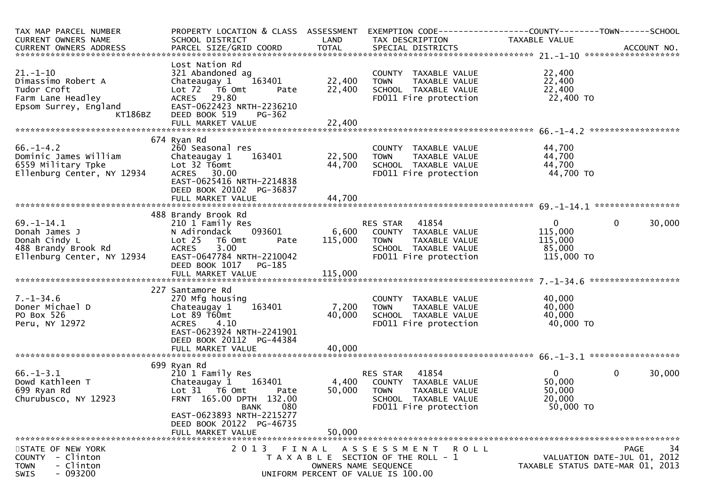| TAX MAP PARCEL NUMBER<br>CURRENT OWNERS NAME                                                                 | PROPERTY LOCATION & CLASS ASSESSMENT<br>SCHOOL DISTRICT                                                                                                                                                        | LAND                      | EXEMPTION CODE-----------------COUNTY-------TOWN------SCHOOL<br>TAX DESCRIPTION                                               | TAXABLE VALUE                                              |                                                                               |
|--------------------------------------------------------------------------------------------------------------|----------------------------------------------------------------------------------------------------------------------------------------------------------------------------------------------------------------|---------------------------|-------------------------------------------------------------------------------------------------------------------------------|------------------------------------------------------------|-------------------------------------------------------------------------------|
| $21. - 1 - 10$<br>Dimassimo Robert A<br>Tudor Croft<br>Farm Lane Headley<br>Epsom Surrey, England<br>KT186BZ | Lost Nation Rd<br>321 Abandoned ag<br>163401<br>Chateaugay 1<br>Lot 72  T6 0mt<br>Pate<br>ACRES 29.80<br>EAST-0622423 NRTH-2236210<br>DEED BOOK 519<br><b>PG-362</b>                                           | 22,400<br>22,400          | COUNTY TAXABLE VALUE<br><b>TOWN</b><br>TAXABLE VALUE<br>SCHOOL TAXABLE VALUE<br>FD011 Fire protection                         | 22,400<br>22,400<br>22,400<br>22,400 TO                    |                                                                               |
| $66. - 1 - 4.2$<br>Dominic James William<br>6559 Military Tpke<br>Ellenburg Center, NY 12934                 | 674 Ryan Rd<br>260 Seasonal res<br>163401<br>Chateaugay 1<br>Lot 32 T6omt<br>ACRES 30.00<br>EAST-0625416 NRTH-2214838<br>DEED BOOK 20102 PG-36837                                                              | 22,500<br>44,700          | COUNTY TAXABLE VALUE<br>TAXABLE VALUE<br><b>TOWN</b><br>SCHOOL TAXABLE VALUE<br>FDO11 Fire protection                         | 44,700<br>44,700<br>44,700<br>44,700 TO                    |                                                                               |
| $69. - 1 - 14.1$<br>Donah James J<br>Donah Cindy L<br>488 Brandy Brook Rd<br>Ellenburg Center, NY 12934      | 488 Brandy Brook Rd<br>210 1 Family Res<br>093601<br>N Adirondack<br>Lot <sub>25</sub><br>T6 Omt<br>Pate<br>3.00<br><b>ACRES</b><br>EAST-0647784 NRTH-2210042<br>DEED BOOK 1017<br>PG-185                      | 115,000                   | RES STAR 41854<br>6,600 COUNTY TAXABLE VALUE<br><b>TOWN</b><br>TAXABLE VALUE<br>SCHOOL TAXABLE VALUE<br>FD011 Fire protection | $\mathbf{0}$<br>115,000<br>115,000<br>85,000<br>115,000 TO | $\mathbf{0}$<br>30,000<br>******************                                  |
| $7. - 1 - 34.6$<br>Doner Michael D<br>PO Box 526<br>Peru, NY 12972                                           | 227 Santamore Rd<br>270 Mfg housing<br>163401<br>Chateaugay 1<br>Lot 89 T60mt<br>4.10<br><b>ACRES</b><br>EAST-0623924 NRTH-2241901<br>DEED BOOK 20112 PG-44384<br>FULL MARKET VALUE                            | 7,200<br>40,000<br>40,000 | COUNTY TAXABLE VALUE<br><b>TOWN</b><br>TAXABLE VALUE<br>SCHOOL TAXABLE VALUE<br>FD011 Fire protection                         | 40,000<br>40,000<br>40,000<br>40,000 TO                    |                                                                               |
| $66. - 1 - 3.1$<br>Dowd Kathleen T<br>699 Ryan Rd<br>Churubusco, NY 12923                                    | 699 Ryan Rd<br>210 1 Family Res<br>Chateaugay 1 163401<br>Lot 31 T6 Omt<br>Pate<br>FRNT 165.00 DPTH 132.00<br>080<br><b>BANK</b><br>EAST-0623893 NRTH-2215277<br>DEED BOOK 20122 PG-46735<br>FULL MARKET VALUE | 4,400<br>50,000<br>50,000 | RES STAR 41854<br>COUNTY TAXABLE VALUE<br><b>TOWN</b><br>TAXABLE VALUE<br>SCHOOL TAXABLE VALUE<br>FD011 Fire protection       | $\overline{0}$<br>50,000<br>50,000<br>20,000<br>50,000 TO  | $\mathbf 0$<br>30,000                                                         |
| STATE OF NEW YORK<br>- Clinton<br><b>COUNTY</b><br>- Clinton<br><b>TOWN</b><br>$-093200$<br><b>SWIS</b>      | 2013 FINAL                                                                                                                                                                                                     | OWNERS NAME SEQUENCE      | A S S E S S M E N T<br>ROLL<br>T A X A B L E SECTION OF THE ROLL - 1<br>UNIFORM PERCENT OF VALUE IS 100.00                    |                                                            | 34<br>PAGE<br>VALUATION DATE-JUL 01, 2012<br>TAXABLE STATUS DATE-MAR 01, 2013 |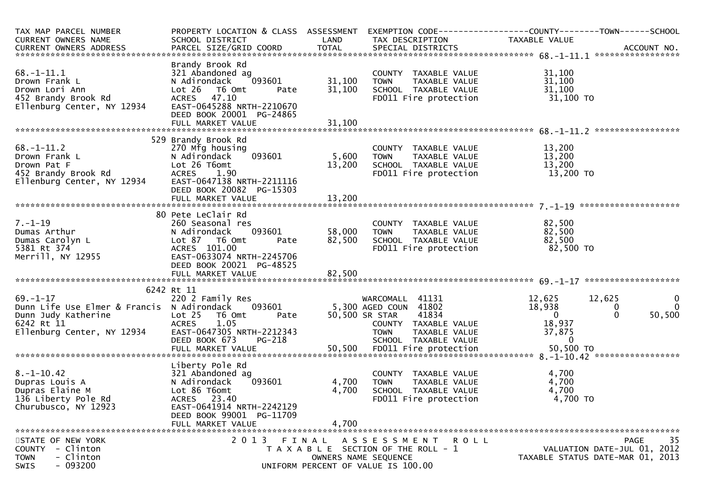| TAX MAP PARCEL NUMBER<br>CURRENT OWNERS NAME                                                                                    | PROPERTY LOCATION & CLASS ASSESSMENT<br>SCHOOL DISTRICT                                                                                                           | LAND             | TAX DESCRIPTION                                                                                                                                     | TAXABLE VALUE                                                          |                                                                                      |
|---------------------------------------------------------------------------------------------------------------------------------|-------------------------------------------------------------------------------------------------------------------------------------------------------------------|------------------|-----------------------------------------------------------------------------------------------------------------------------------------------------|------------------------------------------------------------------------|--------------------------------------------------------------------------------------|
| $68. - 1 - 11.1$<br>Drown Frank L<br>Drown Lori Ann<br>452 Brandy Brook Rd<br>Ellenburg Center, NY 12934                        | Brandy Brook Rd<br>321 Abandoned ag<br>093601<br>N Adirondack<br>$Lot 26$ T6 Omt<br>Pate<br>ACRES 47.10<br>EAST-0645288 NRTH-2210670<br>DEED BOOK 20001 PG-24865  | 31,100<br>31,100 | COUNTY TAXABLE VALUE<br>TAXABLE VALUE<br>TOWN<br>SCHOOL TAXABLE VALUE<br>FD011 Fire protection                                                      | 31,100<br>31,100<br>31,100<br>31,100 TO                                |                                                                                      |
|                                                                                                                                 |                                                                                                                                                                   |                  |                                                                                                                                                     |                                                                        |                                                                                      |
| $68. - 1 - 11.2$<br>Drown Frank L<br>Drown Pat F<br>452 Brandy Brook Rd<br>Ellenburg Center, NY 12934                           | 529 Brandy Brook Rd<br>270 Mfg housing<br>093601<br>N Adirondack<br>Lot 26 T6omt<br><b>ACRES</b><br>1.90<br>EAST-0647138 NRTH-2211116<br>DEED BOOK 20082 PG-15303 | 5,600<br>13,200  | COUNTY TAXABLE VALUE<br>TAXABLE VALUE<br><b>TOWN</b><br>SCHOOL TAXABLE VALUE<br>FD011 Fire protection                                               | 13,200<br>13,200<br>13,200<br>13,200 TO                                |                                                                                      |
|                                                                                                                                 | 80 Pete LeClair Rd                                                                                                                                                |                  |                                                                                                                                                     |                                                                        |                                                                                      |
| $7. - 1 - 19$<br>Dumas Arthur<br>Dumas Carolyn L<br>5381 Rt 374<br>Merrill, NY 12955                                            | 260 Seasonal res<br>093601<br>N Adirondack<br>Lot 87 T6 Omt<br>Pate<br>ACRES 101.00<br>EAST-0633074 NRTH-2245706<br>DEED BOOK 20021 PG-48525                      | 58,000<br>82,500 | COUNTY TAXABLE VALUE<br>TAXABLE VALUE<br>TOWN<br>SCHOOL TAXABLE VALUE<br>FD011 Fire protection                                                      | 82,500<br>82,500<br>82,500<br>82,500 TO                                |                                                                                      |
|                                                                                                                                 |                                                                                                                                                                   |                  |                                                                                                                                                     |                                                                        |                                                                                      |
|                                                                                                                                 | 6242 Rt 11                                                                                                                                                        |                  |                                                                                                                                                     |                                                                        |                                                                                      |
| $69. - 1 - 17$<br>Dunn Life Use Elmer & Francis N Adirondack<br>Dunn Judy Katherine<br>6242 Rt 11<br>Ellenburg Center, NY 12934 | 220 2 Family Res<br>093601<br>Lot 25<br>T6 Omt<br>Pate<br><b>ACRES</b><br>1.05<br>EAST-0647305 NRTH-2212343<br>DEED BOOK 673<br>PG-218                            |                  | WARCOMALL 41131<br>5,300 AGED COUN 41802<br>50,500 SR STAR<br>41834<br>COUNTY TAXABLE VALUE<br><b>TOWN</b><br>TAXABLE VALUE<br>SCHOOL TAXABLE VALUE | 12,625<br>18,938<br>$\overline{0}$<br>18,937<br>37,875<br>$\mathbf{0}$ | 12,625<br>$\mathbf 0$<br>$\overline{0}$<br>0<br>$\Omega$<br>50,500                   |
|                                                                                                                                 |                                                                                                                                                                   |                  |                                                                                                                                                     |                                                                        |                                                                                      |
| $8. - 1 - 10.42$<br>Dupras Louis A<br>Dupras Elaine M<br>136 Liberty Pole Rd<br>Churubusco, NY 12923                            | Liberty Pole Rd<br>321 Abandoned ag<br>093601<br>N Adirondack<br>Lot 86 T6omt<br>ACRES 23.40<br>EAST-0641914 NRTH-2242129<br>DEED BOOK 99001 PG-11709             | 4,700<br>4,700   | COUNTY TAXABLE VALUE<br>TAXABLE VALUE<br>TOWN<br>SCHOOL TAXABLE VALUE<br>FD011 Fire protection                                                      | 4,700<br>4,700<br>4,700<br>4,700 TO                                    |                                                                                      |
|                                                                                                                                 | FULL MARKET VALUE                                                                                                                                                 | 4,700            |                                                                                                                                                     |                                                                        |                                                                                      |
| STATE OF NEW YORK<br>COUNTY - Clinton<br>- Clinton<br>TOWN<br>$-093200$<br>SWIS                                                 | 2013 FINAL                                                                                                                                                        |                  | A S S E S S M E N T R O L L<br>T A X A B L E SECTION OF THE ROLL - 1<br>OWNERS NAME SEQUENCE<br>UNIFORM PERCENT OF VALUE IS 100.00                  |                                                                        | 35<br><b>PAGE</b><br>VALUATION DATE-JUL 01, 2012<br>TAXABLE STATUS DATE-MAR 01, 2013 |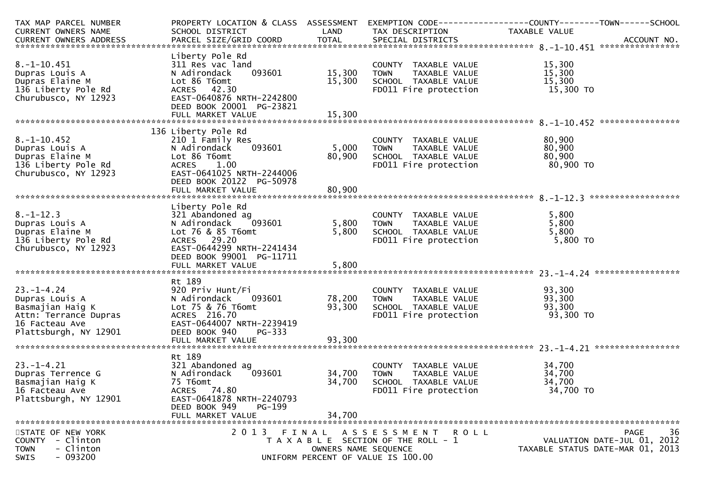| TAX MAP PARCEL NUMBER    | PROPERTY LOCATION & CLASS ASSESSMENT |                      |                                       |                                  |  |  |
|--------------------------|--------------------------------------|----------------------|---------------------------------------|----------------------------------|--|--|
| CURRENT OWNERS NAME      | SCHOOL DISTRICT                      | LAND                 | TAX DESCRIPTION                       | TAXABLE VALUE                    |  |  |
|                          |                                      |                      |                                       |                                  |  |  |
|                          |                                      |                      |                                       |                                  |  |  |
|                          | Liberty Pole Rd                      |                      |                                       |                                  |  |  |
| $8. -1 - 10.451$         | 311 Res vac land                     |                      | COUNTY TAXABLE VALUE                  | 15,300                           |  |  |
| Dupras Louis A           | 093601<br>N Adirondack               | 15,300               | TAXABLE VALUE<br><b>TOWN</b>          | 15,300                           |  |  |
| Dupras Elaine M          | Lot 86 T6omt                         | 15,300               | SCHOOL TAXABLE VALUE                  | 15,300                           |  |  |
| 136 Liberty Pole Rd      | ACRES 42.30                          |                      | FD011 Fire protection                 | 15,300 TO                        |  |  |
| Churubusco, NY 12923     | EAST-0640876 NRTH-2242800            |                      |                                       |                                  |  |  |
|                          | DEED BOOK 20001 PG-23821             |                      |                                       |                                  |  |  |
|                          | FULL MARKET VALUE                    | 15,300               |                                       |                                  |  |  |
|                          |                                      |                      |                                       |                                  |  |  |
|                          | 136 Liberty Pole Rd                  |                      |                                       |                                  |  |  |
| $8. -1 - 10.452$         | 210 1 Family Res                     |                      | COUNTY TAXABLE VALUE                  | 80,900                           |  |  |
| Dupras Louis A           | 093601<br>N Adirondack               | 5,000                | TAXABLE VALUE<br><b>TOWN</b>          | 80,900                           |  |  |
| Dupras Elaine M          | Lot 86 T6omt                         | 80,900               | SCHOOL TAXABLE VALUE                  | 80,900                           |  |  |
| 136 Liberty Pole Rd      | ACRES 1.00                           |                      | FD011 Fire protection                 | 80,900 то                        |  |  |
| Churubusco, NY 12923     | EAST-0641025 NRTH-2244006            |                      |                                       |                                  |  |  |
|                          | DEED BOOK 20122 PG-50978             |                      |                                       |                                  |  |  |
|                          | FULL MARKET VALUE                    | 80,900               |                                       |                                  |  |  |
|                          |                                      |                      |                                       |                                  |  |  |
|                          | Liberty Pole Rd                      |                      |                                       |                                  |  |  |
| $8. - 1 - 12.3$          | 321 Abandoned ag                     |                      | COUNTY TAXABLE VALUE                  | 5,800                            |  |  |
| Dupras Louis A           | 093601<br>N Adirondack               | 5,800                | TAXABLE VALUE<br><b>TOWN</b>          | 5,800                            |  |  |
| Dupras Elaine M          | Lot 76 & 85 T6omt                    | 5,800                | SCHOOL TAXABLE VALUE                  | 5,800                            |  |  |
| 136 Liberty Pole Rd      | ACRES 29.20                          |                      | FD011 Fire protection                 | 5,800 TO                         |  |  |
|                          | EAST-0644299 NRTH-2241434            |                      |                                       |                                  |  |  |
| Churubusco, NY 12923     |                                      |                      |                                       |                                  |  |  |
|                          | DEED BOOK 99001 PG-11711             |                      |                                       |                                  |  |  |
|                          | FULL MARKET VALUE                    | 5,800                |                                       |                                  |  |  |
|                          |                                      |                      |                                       |                                  |  |  |
|                          | Rt 189                               |                      |                                       |                                  |  |  |
| $23. - 1 - 4.24$         | 920 Priv Hunt/Fi                     |                      | COUNTY TAXABLE VALUE                  | 93,300                           |  |  |
| Dupras Louis A           | N Adirondack<br>093601               | 78,200               | <b>TOWN</b><br>TAXABLE VALUE          | 93,300                           |  |  |
| Basmajian Haig K         | Lot 75 & 76 T6omt                    | 93,300               | SCHOOL TAXABLE VALUE                  | 93,300                           |  |  |
| Attn: Terrance Dupras    | ACRES 216.70                         |                      | FD011 Fire protection                 | 93,300 TO                        |  |  |
| 16 Facteau Ave           | EAST-0644007 NRTH-2239419            |                      |                                       |                                  |  |  |
| Plattsburgh, NY 12901    | DEED BOOK 940<br>PG-333              |                      |                                       |                                  |  |  |
|                          | FULL MARKET VALUE                    | 93,300               |                                       |                                  |  |  |
|                          |                                      |                      |                                       |                                  |  |  |
|                          | Rt 189                               |                      |                                       |                                  |  |  |
| $23. - 1 - 4.21$         | 321 Abandoned ag                     |                      | COUNTY TAXABLE VALUE                  | 34,700                           |  |  |
| Dupras Terrence G        | 093601<br>N Adirondack               | 34,700               | <b>TOWN</b><br>TAXABLE VALUE          | 34,700                           |  |  |
| Basmajian Haig K         | 75 T6omt                             | 34,700               | SCHOOL TAXABLE VALUE                  | 34,700                           |  |  |
| 16 Facteau Ave           | ACRES 74.80                          |                      | FD011 Fire protection                 | 34,700 TO                        |  |  |
| Plattsburgh, NY 12901    | EAST-0641878 NRTH-2240793            |                      |                                       |                                  |  |  |
|                          | DEED BOOK 949<br><b>PG-199</b>       |                      |                                       |                                  |  |  |
|                          | FULL MARKET VALUE                    | 34,700               |                                       |                                  |  |  |
|                          |                                      |                      |                                       |                                  |  |  |
| STATE OF NEW YORK        |                                      |                      | 2013 FINAL ASSESSMENT ROLL            | 36<br>PAGE                       |  |  |
| COUNTY - Clinton         |                                      |                      | T A X A B L E SECTION OF THE ROLL - 1 | VALUATION DATE-JUL 01, 2012      |  |  |
| - Clinton<br><b>TOWN</b> |                                      | OWNERS NAME SEQUENCE |                                       | TAXABLE STATUS DATE-MAR 01, 2013 |  |  |
| $-093200$<br><b>SWIS</b> |                                      |                      | UNIFORM PERCENT OF VALUE IS 100.00    |                                  |  |  |
|                          |                                      |                      |                                       |                                  |  |  |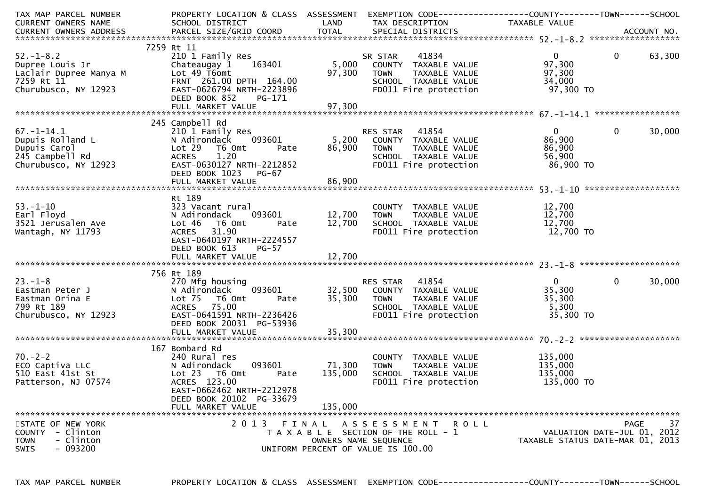| TAX MAP PARCEL NUMBER                                                                                                                                                                                                                                                                                                                                                                              | PROPERTY LOCATION & CLASS ASSESSMENT                          |               | EXEMPTION CODE------------------COUNTY--------TOWN------SCHOOL                                                                                     |                                  |                             |        |
|----------------------------------------------------------------------------------------------------------------------------------------------------------------------------------------------------------------------------------------------------------------------------------------------------------------------------------------------------------------------------------------------------|---------------------------------------------------------------|---------------|----------------------------------------------------------------------------------------------------------------------------------------------------|----------------------------------|-----------------------------|--------|
| CURRENT OWNERS NAME                                                                                                                                                                                                                                                                                                                                                                                | SCHOOL DISTRICT                                               | LAND          | TAX DESCRIPTION                                                                                                                                    | TAXABLE VALUE                    |                             |        |
|                                                                                                                                                                                                                                                                                                                                                                                                    |                                                               |               |                                                                                                                                                    |                                  |                             |        |
|                                                                                                                                                                                                                                                                                                                                                                                                    |                                                               |               |                                                                                                                                                    |                                  |                             |        |
|                                                                                                                                                                                                                                                                                                                                                                                                    | 7259 Rt 11                                                    |               |                                                                                                                                                    |                                  |                             |        |
| $52. - 1 - 8.2$                                                                                                                                                                                                                                                                                                                                                                                    | 210 1 Family Res<br>210 1 Famııy кеs<br>Chateaugay 1   163401 |               | SR STAR       41834<br>5,000    COUNTY   TAXABLE  VALUE                                                                                            | $\overline{0}$                   | $\overline{0}$              | 63,300 |
| Dupree Louis Jr                                                                                                                                                                                                                                                                                                                                                                                    |                                                               |               |                                                                                                                                                    | 97,300                           |                             |        |
|                                                                                                                                                                                                                                                                                                                                                                                                    |                                                               | 97,300        | TAXABLE VALUE<br><b>TOWN</b>                                                                                                                       | 97,300                           |                             |        |
| Laclair Dupree Manya M<br>Taclair Dupree Manya M<br>7259 Rt 11 FRNT 261.00<br>Churubusco, NY 12923 EAST-0626794                                                                                                                                                                                                                                                                                    | FRNT 261.00 DPTH 164.00                                       |               | SCHOOL TAXABLE VALUE<br>FDO11 Fire protection                                                                                                      | 34,000                           |                             |        |
| Churubusco, NY 12923                                                                                                                                                                                                                                                                                                                                                                               | EAST-0626794 NRTH-2223896                                     |               |                                                                                                                                                    | 97,300 TO                        |                             |        |
|                                                                                                                                                                                                                                                                                                                                                                                                    | DEED BOOK 852<br>PG-171                                       |               |                                                                                                                                                    |                                  |                             |        |
|                                                                                                                                                                                                                                                                                                                                                                                                    |                                                               |               |                                                                                                                                                    |                                  |                             |        |
|                                                                                                                                                                                                                                                                                                                                                                                                    |                                                               |               |                                                                                                                                                    |                                  |                             |        |
|                                                                                                                                                                                                                                                                                                                                                                                                    | 245 Campbell Rd                                               |               |                                                                                                                                                    |                                  |                             |        |
| $67. - 1 - 14.1$                                                                                                                                                                                                                                                                                                                                                                                   | 210 1 Family Res                                              |               |                                                                                                                                                    | $\mathbf{0}$                     | $\mathbf 0$                 | 30,000 |
| Dupuis Rolland L                                                                                                                                                                                                                                                                                                                                                                                   | N Adirondack                                                  |               |                                                                                                                                                    | 86,900                           |                             |        |
| Dupuis Carol                                                                                                                                                                                                                                                                                                                                                                                       | Lot 29<br>T6 Omt<br>Pate                                      | 86,900        | <b>TOWN</b><br>TAXABLE VALUE                                                                                                                       | 86,900                           |                             |        |
| 245 Campbell Rd<br>Churubusco, NY 12923                                                                                                                                                                                                                                                                                                                                                            | 1.20<br><b>ACRES</b>                                          |               | SCHOOL TAXABLE VALUE<br>FDO11 Fire protection                                                                                                      | 56,900                           |                             |        |
|                                                                                                                                                                                                                                                                                                                                                                                                    | EAST-0630127 NRTH-2212852                                     |               |                                                                                                                                                    | 86,900 TO                        |                             |        |
|                                                                                                                                                                                                                                                                                                                                                                                                    | DEED BOOK 1023<br>PG-67                                       |               |                                                                                                                                                    |                                  |                             |        |
|                                                                                                                                                                                                                                                                                                                                                                                                    |                                                               |               |                                                                                                                                                    |                                  |                             |        |
|                                                                                                                                                                                                                                                                                                                                                                                                    |                                                               |               |                                                                                                                                                    |                                  |                             |        |
|                                                                                                                                                                                                                                                                                                                                                                                                    | Rt 189                                                        |               |                                                                                                                                                    |                                  |                             |        |
|                                                                                                                                                                                                                                                                                                                                                                                                    | 323 Vacant rural                                              |               | COUNTY TAXABLE VALUE                                                                                                                               | 12,700                           |                             |        |
|                                                                                                                                                                                                                                                                                                                                                                                                    | N Adirondack<br>093601                                        | 12,700        | TAXABLE VALUE<br><b>TOWN</b>                                                                                                                       | 12,700                           |                             |        |
| 53.-1-10<br>Earl Floyd<br>3521 Jerusalen Ave                                                                                                                                                                                                                                                                                                                                                       | Lot 46<br>T6 Omt<br>Pate                                      | 12,700        | SCHOOL TAXABLE VALUE                                                                                                                               | 12,700                           |                             |        |
| Wantagh, NY 11793                                                                                                                                                                                                                                                                                                                                                                                  | ACRES 31.90                                                   |               | FD011 Fire protection                                                                                                                              | 12,700 TO                        |                             |        |
|                                                                                                                                                                                                                                                                                                                                                                                                    | EAST-0640197 NRTH-2224557                                     |               |                                                                                                                                                    |                                  |                             |        |
|                                                                                                                                                                                                                                                                                                                                                                                                    | DEED BOOK 613<br>$PG-57$                                      |               |                                                                                                                                                    |                                  |                             |        |
|                                                                                                                                                                                                                                                                                                                                                                                                    |                                                               |               |                                                                                                                                                    |                                  |                             |        |
|                                                                                                                                                                                                                                                                                                                                                                                                    |                                                               |               |                                                                                                                                                    |                                  |                             |        |
|                                                                                                                                                                                                                                                                                                                                                                                                    | 756 Rt 189                                                    |               |                                                                                                                                                    |                                  |                             |        |
| $23 - 1 - 8$                                                                                                                                                                                                                                                                                                                                                                                       | 270 Mfg housing                                               |               |                                                                                                                                                    | $\overline{0}$                   | $\mathbf{0}$                | 30,000 |
| Eastman Peter J                                                                                                                                                                                                                                                                                                                                                                                    | N Adirondack                                                  |               |                                                                                                                                                    | 35,300                           |                             |        |
| Eastman Orina E                                                                                                                                                                                                                                                                                                                                                                                    | Lot 75<br>T6 Omt                                              |               |                                                                                                                                                    | 35,300                           |                             |        |
| 799 Rt 189                                                                                                                                                                                                                                                                                                                                                                                         | ACRES 75.00                                                   |               |                                                                                                                                                    | 5,300                            |                             |        |
| Churubusco, NY 12923                                                                                                                                                                                                                                                                                                                                                                               | EAST-0641591 NRTH-2236426                                     |               | RES STAR 41854<br>093601 32,500 COUNTY TAXABLE VALUE<br>Pate 35,300 TOWN TAXABLE VALUE<br>SCHOOL TAXABLE VALUE<br>TH-2236426 FD011 Fire protection | 35,300 TO                        |                             |        |
|                                                                                                                                                                                                                                                                                                                                                                                                    | DEED BOOK 20031 PG-53936                                      |               |                                                                                                                                                    |                                  |                             |        |
|                                                                                                                                                                                                                                                                                                                                                                                                    |                                                               |               |                                                                                                                                                    |                                  |                             |        |
| $\begin{array}{llll}\n\text{Answer:} & \text{40.1}\n\text{70.}-2-2 & \text{40.1}\n\end{array}\n\text{ECO Captiva LLC} & \text{N Adi Torr}\n\begin{array}{llll}\n\text{710 Fast 41st St} & \text{Lot 23} \\ \text{N210 Fast 41st St} & \text{Lot 23} \\ \text{N3100 Fast 41st} & \text{R1100 Fast 41st} \\ \text{R220 Fast 41st} & \text{R230 Fast 41st} \\ \text{R3100 Fast 41st} & \text{R4100 F$ |                                                               |               |                                                                                                                                                    |                                  |                             |        |
|                                                                                                                                                                                                                                                                                                                                                                                                    | 167 Bombard Rd                                                |               |                                                                                                                                                    |                                  |                             |        |
|                                                                                                                                                                                                                                                                                                                                                                                                    | 240 Rural res                                                 |               | COUNTY TAXABLE VALUE                                                                                                                               | 135,000                          |                             |        |
|                                                                                                                                                                                                                                                                                                                                                                                                    | N Adirondack                                                  | 093601 71,300 | TAXABLE VALUE<br><b>TOWN</b>                                                                                                                       | 135,000                          |                             |        |
|                                                                                                                                                                                                                                                                                                                                                                                                    | T6 Omt<br>Pate                                                | 135,000       | SCHOOL TAXABLE VALUE                                                                                                                               | 135,000                          |                             |        |
|                                                                                                                                                                                                                                                                                                                                                                                                    | ACRES 123.00                                                  |               | FD011 Fire protection                                                                                                                              | 135,000 TO                       |                             |        |
|                                                                                                                                                                                                                                                                                                                                                                                                    | EAST-0662462 NRTH-2212978                                     |               |                                                                                                                                                    |                                  |                             |        |
|                                                                                                                                                                                                                                                                                                                                                                                                    | DEED BOOK 20102 PG-33679                                      |               |                                                                                                                                                    |                                  |                             |        |
|                                                                                                                                                                                                                                                                                                                                                                                                    | FULL MARKET VALUE                                             | 135,000       |                                                                                                                                                    |                                  |                             |        |
|                                                                                                                                                                                                                                                                                                                                                                                                    |                                                               |               |                                                                                                                                                    |                                  |                             |        |
| STATE OF NEW YORK                                                                                                                                                                                                                                                                                                                                                                                  |                                                               |               | 2013 FINAL ASSESSMENT ROLL                                                                                                                         |                                  | PAGE                        | 37     |
| COUNTY - Clinton                                                                                                                                                                                                                                                                                                                                                                                   |                                                               |               | T A X A B L E SECTION OF THE ROLL - 1                                                                                                              |                                  | VALUATION DATE-JUL 01, 2012 |        |
| <b>TOWN</b><br>- Clinton                                                                                                                                                                                                                                                                                                                                                                           |                                                               |               | OWNERS NAME SEQUENCE                                                                                                                               | TAXABLE STATUS DATE-MAR 01, 2013 |                             |        |
| $-093200$<br><b>SWIS</b>                                                                                                                                                                                                                                                                                                                                                                           |                                                               |               | UNIFORM PERCENT OF VALUE IS 100.00                                                                                                                 |                                  |                             |        |
|                                                                                                                                                                                                                                                                                                                                                                                                    |                                                               |               |                                                                                                                                                    |                                  |                             |        |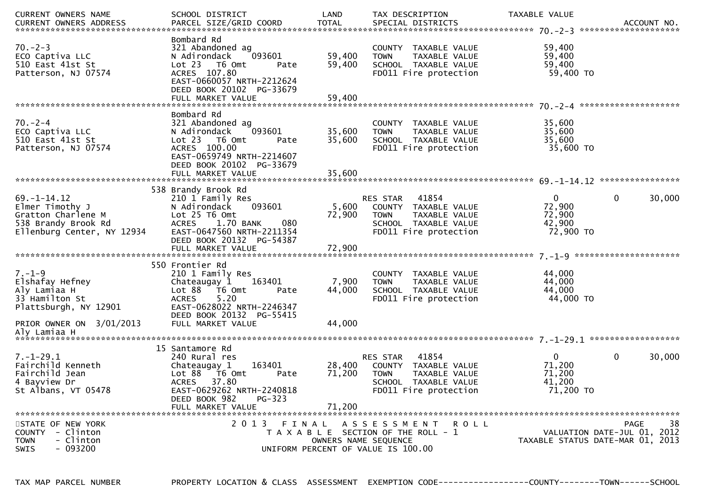| CURRENT OWNERS NAME<br>. CURRENT OWNERS ADDRESS PARCEL SIZE/GRID COORD TOTAL SPECIAL DISTRICTS ACCOUNT NO ACCOUNT NO ACCOUNT NO ACCOUNT | SCHOOL DISTRICT                                                                                                                                                         | LAND                       | TAX DESCRIPTION                                                                                                            | TAXABLE VALUE                                           |                                                                                      |
|-----------------------------------------------------------------------------------------------------------------------------------------|-------------------------------------------------------------------------------------------------------------------------------------------------------------------------|----------------------------|----------------------------------------------------------------------------------------------------------------------------|---------------------------------------------------------|--------------------------------------------------------------------------------------|
| $70. - 2 - 3$<br>ECO Captiva LLC<br>510 East 41st St<br>Patterson, NJ 07574                                                             | Bombard Rd<br>321 Abandoned ag<br>093601<br>N Adirondack<br>Lot 23 T6 Omt<br>Pate<br>ACRES 107.80<br>EAST-0660057 NRTH-2212624<br>DEED BOOK 20102 PG-33679              | 59,400<br>59,400           | COUNTY TAXABLE VALUE<br>TAXABLE VALUE<br><b>TOWN</b><br>SCHOOL TAXABLE VALUE<br>FD011 Fire protection                      | 59,400<br>59,400<br>59,400<br>59,400 TO                 |                                                                                      |
|                                                                                                                                         | FULL MARKET VALUE                                                                                                                                                       | 59,400                     |                                                                                                                            |                                                         |                                                                                      |
| $70 - 2 - 4$<br>ECO Captiva LLC<br>510 East 41st St<br>Patterson, NJ 07574                                                              | Bombard Rd<br>321 Abandoned ag<br>093601<br>N Adirondack<br>Lot 23 T6 Omt<br>Pate<br>ACRES 100.00<br>EAST-0659749 NRTH-2214607<br>DEED BOOK 20102 PG-33679              | 35,600<br>35,600           | COUNTY TAXABLE VALUE<br>TAXABLE VALUE<br><b>TOWN</b><br>SCHOOL TAXABLE VALUE<br>FD011 Fire protection                      | 35,600<br>35,600<br>35,600<br>35,600 TO                 |                                                                                      |
|                                                                                                                                         |                                                                                                                                                                         |                            |                                                                                                                            |                                                         |                                                                                      |
|                                                                                                                                         | 538 Brandy Brook Rd                                                                                                                                                     |                            |                                                                                                                            |                                                         |                                                                                      |
| $69. - 1 - 14.12$<br>Elmer Timothy J<br>Gratton Charlene M<br>538 Brandy Brook Rd<br>Ellenburg Center, NY 12934                         | 210 1 Family Res<br>093601<br>N Adirondack<br>Lot 25 T6 Omt<br>ACRES 1.70 BANK<br>080<br>EAST-0647560 NRTH-2211354<br>DEED BOOK 20132 PG-54387                          | 5,600<br>72,900            | RES STAR<br>41854<br>COUNTY TAXABLE VALUE<br><b>TOWN</b><br>TAXABLE VALUE<br>SCHOOL TAXABLE VALUE<br>FD011 Fire protection | $\mathbf{0}$<br>72,900<br>72,900<br>42,900<br>72,900 TO | $\mathbf 0$<br>30,000                                                                |
|                                                                                                                                         |                                                                                                                                                                         |                            |                                                                                                                            |                                                         |                                                                                      |
| $7. - 1 - 9$<br>Elshafay Hefney<br>Aly Lamiaa H<br>33 Hamilton St<br>Plattsburgh, NY 12901                                              | 550 Frontier Rd<br>210 1 Family Res<br>163401<br>Chateaugay 1<br>Lot 88 T6 Omt<br>Pate<br>5.20<br><b>ACRES</b><br>EAST-0628022 NRTH-2246347<br>DEED BOOK 20132 PG-55415 | 7,900<br>44,000            | COUNTY TAXABLE VALUE<br><b>TOWN</b><br>TAXABLE VALUE<br>SCHOOL TAXABLE VALUE<br>FD011 Fire protection                      | 44,000<br>44,000<br>44,000<br>44,000 TO                 |                                                                                      |
| PRIOR OWNER ON 3/01/2013                                                                                                                | FULL MARKET VALUE                                                                                                                                                       | 44,000                     |                                                                                                                            |                                                         |                                                                                      |
|                                                                                                                                         |                                                                                                                                                                         |                            |                                                                                                                            |                                                         |                                                                                      |
|                                                                                                                                         | 15 Santamore Rd                                                                                                                                                         |                            |                                                                                                                            |                                                         |                                                                                      |
| $7. - 1 - 29.1$<br>Fairchild Kenneth<br>Fairchild Jean<br>4 Bayview Dr<br>St Albans, VT 05478                                           | 240 Rural res<br>163401<br>Chateaugay 1<br>Lot 88 T6 Omt<br>Pate<br>ACRES 37.80<br>EAST-0629262 NRTH-2240818<br>DEED BOOK 982<br>$PG-323$<br>FULL MARKET VALUE          | 28,400<br>71,200<br>71,200 | 41854<br>RES STAR<br>COUNTY TAXABLE VALUE<br><b>TOWN</b><br>TAXABLE VALUE<br>SCHOOL TAXABLE VALUE<br>FD011 Fire protection | $\mathbf{0}$<br>71,200<br>71,200<br>41,200<br>71,200 TO | $\mathbf 0$<br>30,000                                                                |
|                                                                                                                                         | 2 0 1 3                                                                                                                                                                 |                            |                                                                                                                            |                                                         |                                                                                      |
| STATE OF NEW YORK<br>- Clinton<br>COUNTY<br>- Clinton<br><b>TOWN</b><br>$-093200$<br><b>SWIS</b>                                        | FINAL                                                                                                                                                                   | OWNERS NAME SEQUENCE       | ASSESSMENT ROLL<br>T A X A B L E SECTION OF THE ROLL - 1<br>UNIFORM PERCENT OF VALUE IS 100.00                             |                                                         | <b>PAGE</b><br>38<br>VALUATION DATE-JUL 01, 2012<br>TAXABLE STATUS DATE-MAR 01, 2013 |

PROPERTY LOCATION & CLASS ASSESSMENT EXEMPTION CODE----------------COUNTY-------TOWN------SCHOOL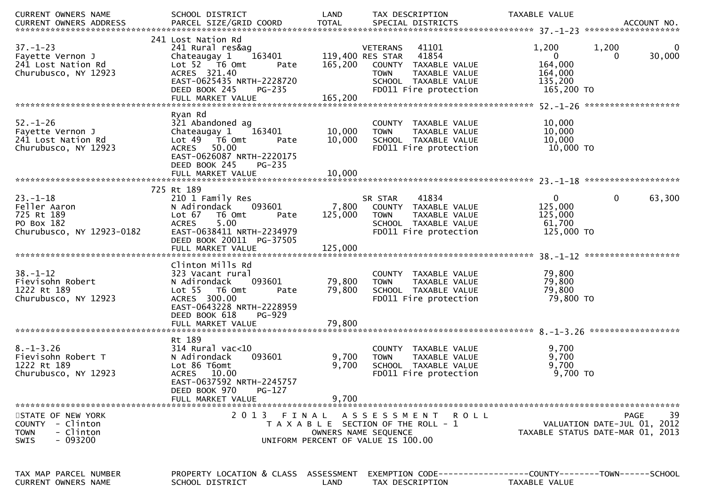| CURRENT OWNERS NAME                                                                           | SCHOOL DISTRICT                                                                                                                                                                        | LAND               | TAX DESCRIPTION                                                                                                                                                | TAXABLE VALUE                                                                                     |
|-----------------------------------------------------------------------------------------------|----------------------------------------------------------------------------------------------------------------------------------------------------------------------------------------|--------------------|----------------------------------------------------------------------------------------------------------------------------------------------------------------|---------------------------------------------------------------------------------------------------|
| $37. - 1 - 23$<br>Fayette Vernon J<br>241 Lost Nation Rd<br>Churubusco, NY 12923              | 241 Lost Nation Rd<br>241 Rural res&ag<br>163401<br>Chateaugay 1<br>Lot 52 T6 Omt<br>Pate<br>ACRES 321.40<br>EAST-0625435 NRTH-2228720<br>DEED BOOK 245<br>PG-235<br>FULL MARKET VALUE | 165,200<br>165,200 | <b>VETERANS</b><br>41101<br>41854<br>119,400 RES STAR<br>COUNTY TAXABLE VALUE<br><b>TOWN</b><br>TAXABLE VALUE<br>SCHOOL TAXABLE VALUE<br>FD011 Fire protection | 1,200<br>1,200<br>0<br>30,000<br>$\mathbf{0}$<br>0<br>164,000<br>164,000<br>135,200<br>165,200 TO |
|                                                                                               |                                                                                                                                                                                        |                    |                                                                                                                                                                |                                                                                                   |
| $52. - 1 - 26$<br>Fayette Vernon J<br>241 Lost Nation Rd<br>Churubusco, NY 12923              | Ryan Rd<br>321 Abandoned ag<br>Chateaugay 1<br>163401<br>Lot 49  T6 Omt<br>Pate<br>50.00<br><b>ACRES</b><br>EAST-0626087 NRTH-2220175                                                  | 10,000<br>10,000   | COUNTY TAXABLE VALUE<br><b>TOWN</b><br>TAXABLE VALUE<br>SCHOOL TAXABLE VALUE<br>FD011 Fire protection                                                          | 10,000<br>10,000<br>10,000<br>10,000 TO                                                           |
|                                                                                               | DEED BOOK 245<br>PG-235<br>FULL MARKET VALUE                                                                                                                                           | 10,000             |                                                                                                                                                                |                                                                                                   |
|                                                                                               |                                                                                                                                                                                        |                    |                                                                                                                                                                |                                                                                                   |
| $23. - 1 - 18$<br>Feller Aaron<br>725 Rt 189<br>PO Box 182                                    | 725 Rt 189<br>210 1 Family Res<br>093601<br>N Adirondack<br>Lot 67<br>T6 Omt<br>Pate<br>5.00<br><b>ACRES</b>                                                                           | 7,800<br>125,000   | 41834<br>SR STAR<br>COUNTY TAXABLE VALUE<br><b>TOWN</b><br>TAXABLE VALUE<br>SCHOOL TAXABLE VALUE                                                               | $\mathbf{0}$<br>63,300<br>$\mathbf{0}$<br>125,000<br>125,000<br>61,700                            |
| Churubusco, NY 12923-0182                                                                     | EAST-0638411 NRTH-2234979                                                                                                                                                              |                    | FD011 Fire protection                                                                                                                                          | 125,000 TO                                                                                        |
|                                                                                               | DEED BOOK 20011 PG-37505                                                                                                                                                               |                    |                                                                                                                                                                |                                                                                                   |
|                                                                                               |                                                                                                                                                                                        |                    |                                                                                                                                                                |                                                                                                   |
| $38. - 1 - 12$<br>Fievisohn Robert<br>1222 Rt 189<br>Churubusco, NY 12923                     | Clinton Mills Rd<br>323 Vacant rural<br>093601<br>N Adirondack<br>Lot 55  T6 Omt<br>Pate<br>ACRES 300.00<br>EAST-0643228 NRTH-2228959                                                  | 79,800<br>79,800   | COUNTY TAXABLE VALUE<br><b>TOWN</b><br>TAXABLE VALUE<br>SCHOOL TAXABLE VALUE<br>FD011 Fire protection                                                          | 79,800<br>79,800<br>79,800<br>79,800 TO                                                           |
|                                                                                               | DEED BOOK 618<br>PG-929<br>FULL MARKET VALUE                                                                                                                                           | 79,800             |                                                                                                                                                                |                                                                                                   |
|                                                                                               |                                                                                                                                                                                        |                    |                                                                                                                                                                |                                                                                                   |
| $8. - 1 - 3.26$<br>Fievisohn Robert T<br>1222 Rt 189<br>Churubusco, NY 12923                  | Rt 189<br>$314$ Rural vac<10<br>093601<br>N Adirondack<br>Lot 86 T6omt<br>ACRES 10.00<br>EAST-0637592 NRTH-2245757<br>DEED BOOK 970<br><b>PG-127</b>                                   | 9,700<br>9,700     | COUNTY TAXABLE VALUE<br><b>TOWN</b><br>TAXABLE VALUE<br>SCHOOL TAXABLE VALUE<br>FD011 Fire protection                                                          | 9,700<br>9,700<br>9,700<br>9,700 TO                                                               |
|                                                                                               | FULL MARKET VALUE                                                                                                                                                                      | 9,700              |                                                                                                                                                                |                                                                                                   |
| STATE OF NEW YORK<br>COUNTY - Clinton<br>- Clinton<br><b>TOWN</b><br>$-093200$<br><b>SWIS</b> | 2 0 1 3                                                                                                                                                                                | FINAL              | A S S E S S M E N T R O L L<br>T A X A B L E SECTION OF THE ROLL - 1<br>OWNERS NAME SEQUENCE<br>UNIFORM PERCENT OF VALUE IS 100.00                             | 39<br><b>PAGE</b><br>VALUATION DATE-JUL 01, 2012<br>TAXABLE STATUS DATE-MAR 01, 2013              |
| TAX MAP PARCEL NUMBER<br>CURRENT OWNERS NAME                                                  | PROPERTY LOCATION & CLASS ASSESSMENT<br>SCHOOL DISTRICT                                                                                                                                | LAND               | TAX DESCRIPTION                                                                                                                                                | EXEMPTION        CODE-----------------COUNTY-------TOWN------SCHOOL<br>TAXABLE VALUE              |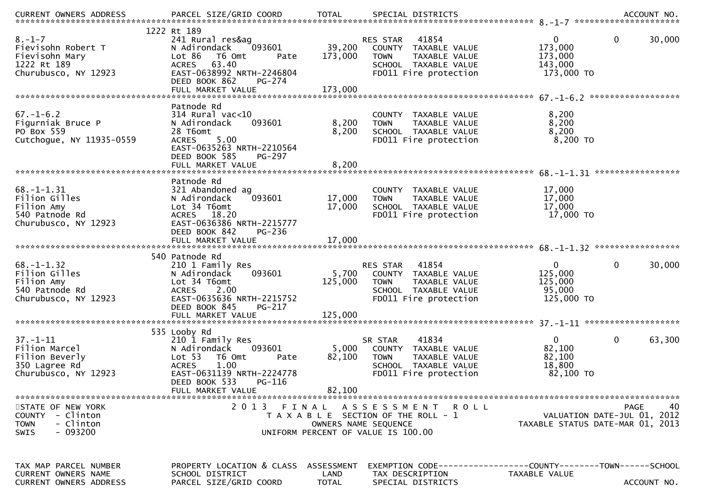| $8. - 1 - 7$<br>Fievisohn Robert T<br>Fievisohn Mary<br>1222 Rt 189<br>Churubusco, NY 12923 | 1222 Rt 189<br>241 Rural res&ag<br>093601<br>N Adirondack<br>Lot 86<br>T6 Omt<br>Pate<br>63.40<br><b>ACRES</b><br>EAST-0638992 NRTH-2246804<br>DEED BOOK 862<br><b>PG-274</b>               | 39,200<br>173,000                  | 41854<br>RES STAR<br>COUNTY TAXABLE VALUE<br><b>TOWN</b><br>TAXABLE VALUE<br>SCHOOL TAXABLE VALUE<br>FD011 Fire protection            | 0<br>0<br>173,000<br>173,000<br>143,000<br>173,000 TO       | 30,000                    |
|---------------------------------------------------------------------------------------------|---------------------------------------------------------------------------------------------------------------------------------------------------------------------------------------------|------------------------------------|---------------------------------------------------------------------------------------------------------------------------------------|-------------------------------------------------------------|---------------------------|
| $67. - 1 - 6.2$<br>Figurniak Bruce P<br>PO Box 559<br>Cutchogue, NY 11935-0559              | Patnode Rd<br>$314$ Rural vac<10<br>093601<br>N Adirondack<br>28 T6omt<br><b>ACRES</b><br>5.00<br>EAST-0635263 NRTH-2210564<br>DEED BOOK 585<br><b>PG-297</b>                               | 8,200<br>8,200                     | COUNTY TAXABLE VALUE<br>TAXABLE VALUE<br><b>TOWN</b><br>SCHOOL TAXABLE VALUE<br>FD011 Fire protection                                 | 8,200<br>8,200<br>8,200<br>8,200 TO                         |                           |
| $68. - 1 - 1.31$<br>Filion Gilles<br>Filion Amy<br>540 Patnode Rd<br>Churubusco, NY 12923   | Patnode Rd<br>321 Abandoned ag<br>093601<br>N Adirondack<br>Lot 34 T6omt<br><b>ACRES</b><br>18.20<br>EAST-0636386 NRTH-2215777<br>DEED BOOK 842<br><b>PG-236</b>                            | 17,000<br>17,000                   | COUNTY TAXABLE VALUE<br>TAXABLE VALUE<br><b>TOWN</b><br>SCHOOL TAXABLE VALUE<br>FD011 Fire protection                                 | 17,000<br>17,000<br>17,000<br>17,000 TO                     |                           |
| $68. - 1 - 1.32$<br>Filion Gilles<br>Filion Amy<br>540 Patnode Rd<br>Churubusco, NY 12923   | 540 Patnode Rd<br>210 1 Family Res<br>093601<br>N Adirondack<br>Lot 34 T6omt<br>2.00<br><b>ACRES</b><br>EAST-0635636 NRTH-2215752<br>DEED BOOK 845<br>PG-217                                | 5,700<br>125,000                   | 41854<br>RES STAR<br>COUNTY TAXABLE VALUE<br><b>TOWN</b><br>TAXABLE VALUE<br>SCHOOL TAXABLE VALUE<br>FD011 Fire protection            | $\Omega$<br>0<br>125,000<br>125,000<br>95,000<br>125,000 TO | 30,000                    |
| $37. - 1 - 11$<br>Filion Marcel<br>Filion Beverly<br>350 Lagree Rd<br>Churubusco, NY 12923  | 535 Looby Rd<br>210 1 Family Res<br>N Adirondack<br>093601<br>Lot 53<br>T6 Omt<br>Pate<br>1.00<br><b>ACRES</b><br>EAST-0631139 NRTH-2224778<br>DEED BOOK 533<br>PG-116<br>FULL MARKET VALUE | 5,000<br>82,100<br>82,100          | 41834<br>SR STAR<br>COUNTY TAXABLE VALUE<br><b>TOWN</b><br>TAXABLE VALUE<br>SCHOOL TAXABLE VALUE<br>FD011 Fire protection             | 0<br>0<br>82,100<br>82,100<br>18,800<br>82,100 TO           | 63,300                    |
| STATE OF NEW YORK<br>COUNTY - Clinton<br><b>TOWN</b><br>- Clinton<br>$-093200$<br>SWIS      | 2 0 1 3<br>FINAL                                                                                                                                                                            |                                    | A S S E S S M E N T<br>R O L L<br>T A X A B L E SECTION OF THE ROLL - 1<br>OWNERS NAME SEQUENCE<br>UNIFORM PERCENT OF VALUE IS 100.00 | VALUATION DATE-JUL 01,<br>TAXABLE STATUS DATE-MAR 01, 2013  | 40<br><b>PAGE</b><br>2012 |
| TAX MAP PARCEL NUMBER<br><b>CURRENT OWNERS NAME</b><br><b>CURRENT OWNERS ADDRESS</b>        | PROPERTY LOCATION & CLASS<br>SCHOOL DISTRICT<br>PARCEL SIZE/GRID COORD                                                                                                                      | ASSESSMENT<br>LAND<br><b>TOTAL</b> | EXEMPTION CODE------------------COUNTY--------TOWN------SCHOOL<br>TAX DESCRIPTION<br>SPECIAL DISTRICTS                                | TAXABLE VALUE                                               | ACCOUNT NO.               |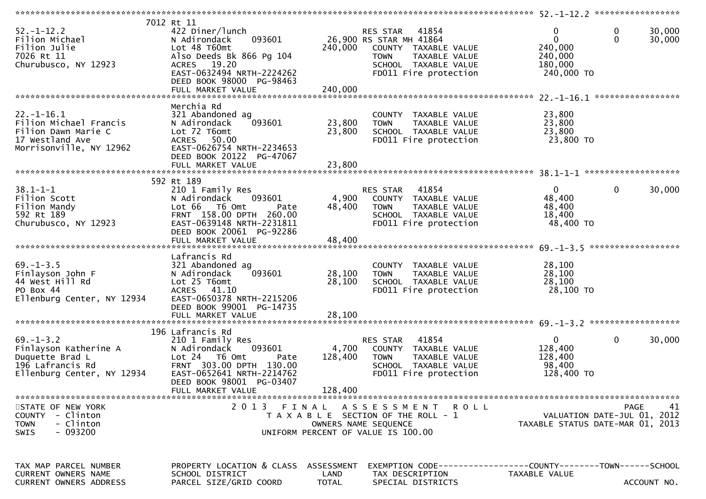| $52. - 1 - 12.2$<br>Filion Michael<br>Filion Julie<br>7026 Rt 11<br>Churubusco, NY 12923                        | 7012 Rt 11<br>422 Diner/lunch<br>093601<br>N Adirondack<br>Lot 48 T60mt<br>Also Deeds Bk 866 Pg 104<br>ACRES 19.20<br>EAST-0632494 NRTH-2224262<br>DEED BOOK 98000 PG-98463<br>FULL MARKET VALUE | 240,000<br>240,000                 | RES STAR<br>41854<br>26,900 RS STAR MH 41864<br>COUNTY TAXABLE VALUE<br><b>TOWN</b><br>TAXABLE VALUE<br>SCHOOL TAXABLE VALUE<br>FD011 Fire protection | 0<br>0<br>$\mathbf{0}$<br>0<br>240,000<br>240,000<br>180,000<br>240,000 TO     | 30,000<br>30,000 |
|-----------------------------------------------------------------------------------------------------------------|--------------------------------------------------------------------------------------------------------------------------------------------------------------------------------------------------|------------------------------------|-------------------------------------------------------------------------------------------------------------------------------------------------------|--------------------------------------------------------------------------------|------------------|
| $22. - 1 - 16.1$<br>Filion Michael Francis<br>Filion Dawn Marie C<br>17 Westland Ave<br>Morrisonville, NY 12962 | Merchia Rd<br>321 Abandoned ag<br>093601<br>N Adirondack<br>Lot 72 T6omt<br>ACRES 50.00<br>EAST-0626754 NRTH-2234653<br>DEED BOOK 20122 PG-47067<br>FULL MARKET VALUE                            | 23,800<br>23,800<br>23,800         | COUNTY TAXABLE VALUE<br><b>TOWN</b><br>TAXABLE VALUE<br>SCHOOL TAXABLE VALUE<br>FD011 Fire protection                                                 | 23,800<br>23,800<br>23,800<br>23,800 TO                                        |                  |
| $38.1 - 1 - 1$<br>Filion Scott<br>Filion Mandy<br>592 Rt 189<br>Churubusco, NY 12923                            | 592 Rt 189<br>210 1 Family Res<br>093601<br>N Adirondack<br>T6 Omt<br>Lot 66<br>Pate<br>FRNT 158.00 DPTH 260.00<br>EAST-0639148 NRTH-2231811<br>DEED BOOK 20061 PG-92286                         | 4,900<br>48,400                    | RES STAR<br>41854<br>COUNTY TAXABLE VALUE<br><b>TOWN</b><br>TAXABLE VALUE<br>SCHOOL TAXABLE VALUE<br>FD011 Fire protection                            | 0<br>0<br>48,400<br>48,400<br>18,400<br>48,400 TO                              | 30,000           |
| $69. - 1 - 3.5$<br>Finlayson John F<br>44 West Hill Rd<br>PO Box 44<br>Ellenburg Center, NY 12934               | Lafrancis Rd<br>321 Abandoned ag<br>093601<br>N Adirondack<br>Lot 25 T6omt<br>ACRES 41.10<br>EAST-0650378 NRTH-2215206<br>DEED BOOK 99001 PG-14735<br>FULL MARKET VALUE                          | 28,100<br>28,100<br>28,100         | COUNTY TAXABLE VALUE<br><b>TOWN</b><br>TAXABLE VALUE<br>SCHOOL TAXABLE VALUE<br>FD011 Fire protection                                                 | 28,100<br>28,100<br>28,100<br>28,100 TO                                        |                  |
| $69. - 1 - 3.2$<br>Finlayson Katherine A<br>Duquette Brad L<br>196 Lafrancis Rd<br>Ellenburg Center, NY 12934   | 196 Lafrancis Rd<br>210 1 Family Res<br>093601<br>N Adirondack<br>Lot 24 T6 Omt<br>Pate<br>FRNT 303.00 DPTH 130.00<br>EAST-0652641 NRTH-2214762<br>DEED BOOK 98001 PG-03407<br>FULL MARKET VALUE | 4,700<br>128,400<br>128,400        | RES STAR<br>41854<br>COUNTY TAXABLE VALUE<br><b>TOWN</b><br>TAXABLE VALUE<br>SCHOOL TAXABLE VALUE<br>FD011 Fire protection                            | 0<br>0<br>128,400<br>128,400<br>98,400<br>128,400 TO                           | 30,000           |
| STATE OF NEW YORK<br>COUNTY - Clinton<br><b>TOWN</b><br>- Clinton<br>$-093200$<br><b>SWIS</b>                   | 2013 FINAL                                                                                                                                                                                       |                                    | A S S E S S M E N T R O L L<br>T A X A B L E SECTION OF THE ROLL - 1<br>OWNERS NAME SEQUENCE<br>UNIFORM PERCENT OF VALUE IS 100.00                    | <b>PAGE</b><br>VALUATION DATE-JUL 01, 2012<br>TAXABLE STATUS DATE-MAR 01, 2013 | 41               |
| TAX MAP PARCEL NUMBER<br>CURRENT OWNERS NAME<br>CURRENT OWNERS ADDRESS                                          | PROPERTY LOCATION & CLASS<br>SCHOOL DISTRICT<br>PARCEL SIZE/GRID COORD                                                                                                                           | ASSESSMENT<br>LAND<br><b>TOTAL</b> | TAX DESCRIPTION<br>SPECIAL DISTRICTS                                                                                                                  | EXEMPTION CODE-----------------COUNTY-------TOWN------SCHOOL<br>TAXABLE VALUE  | ACCOUNT NO.      |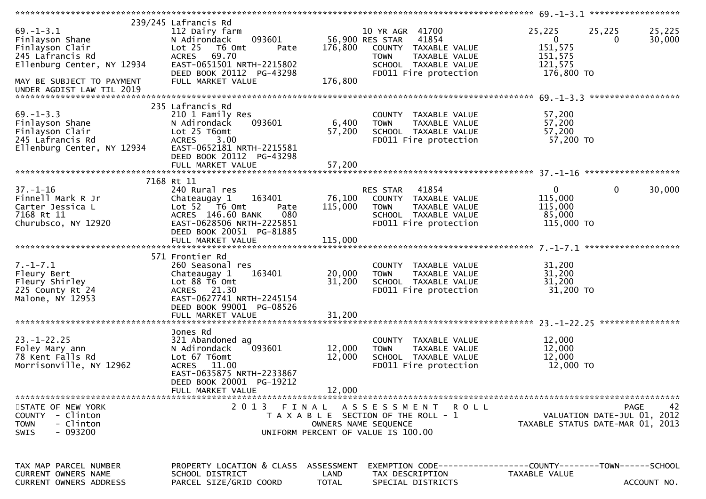| $69. - 1 - 3.1$<br>Finlayson Shane<br>Finlayson Clair<br>245 Lafrancis Rd<br>Ellenburg Center, NY 12934<br>MAY BE SUBJECT TO PAYMENT | 239/245 Lafrancis Rd<br>112 Dairy farm<br>093601<br>N Adirondack<br>Lot <sub>25</sub><br>T6 Omt<br>Pate<br>ACRES 69.70<br>EAST-0651501 NRTH-2215802<br>DEED BOOK 20112 PG-43298<br>FULL MARKET VALUE | 176,800<br>176,800         | 10 YR AGR 41700<br>56,900 RES STAR<br>41854<br>COUNTY TAXABLE VALUE<br><b>TOWN</b><br>TAXABLE VALUE<br>SCHOOL TAXABLE VALUE<br>FD011 Fire protection | 25,225<br>25,225<br>$\mathbf{0}$<br>151,575<br>151,575<br>121,575<br>176,800 TO      | 25,225<br>30,000<br>$\Omega$ |
|--------------------------------------------------------------------------------------------------------------------------------------|------------------------------------------------------------------------------------------------------------------------------------------------------------------------------------------------------|----------------------------|------------------------------------------------------------------------------------------------------------------------------------------------------|--------------------------------------------------------------------------------------|------------------------------|
| UNDER AGDIST LAW TIL 2019                                                                                                            |                                                                                                                                                                                                      |                            |                                                                                                                                                      |                                                                                      |                              |
| $69. - 1 - 3.3$<br>Finlayson Shane<br>Finlayson Clair<br>245 Lafrancis Rd<br>Ellenburg Center, NY 12934                              | 235 Lafrancis Rd<br>210 1 Family Res<br>093601<br>N Adirondack<br>Lot 25 T6omt<br><b>ACRES</b><br>3.00<br>EAST-0652181 NRTH-2215581<br>DEED BOOK 20112 PG-43298                                      | 6,400<br>57,200            | COUNTY TAXABLE VALUE<br><b>TOWN</b><br>TAXABLE VALUE<br>SCHOOL TAXABLE VALUE<br>FD011 Fire protection                                                | 57,200<br>57,200<br>57,200<br>57,200 TO                                              |                              |
|                                                                                                                                      |                                                                                                                                                                                                      |                            |                                                                                                                                                      |                                                                                      |                              |
| $37. - 1 - 16$<br>Finnell Mark R Jr<br>Carter Jessica L<br>7168 Rt 11<br>Churubsco, NY 12920                                         | 7168 Rt 11<br>240 Rural res<br>163401<br>Chateaugay 1<br>Lot $52$ $\overline{76}$ Omt<br>Pate<br>ACRES 146.60 BANK<br>080<br>EAST-0628506 NRTH-2225851<br>DEED BOOK 20051 PG-81885                   | 76,100<br>115,000          | 41854<br>RES STAR<br>COUNTY TAXABLE VALUE<br>TAXABLE VALUE<br><b>TOWN</b><br>SCHOOL TAXABLE VALUE<br>FD011 Fire protection                           | $\mathbf{0}$<br>115,000<br>115,000<br>85,000<br>115,000 TO                           | $\mathbf{0}$<br>30,000       |
| $7. - 1 - 7.1$<br>Fleury Bert<br>Fleury Shirley<br>225 County Rt 24<br>Malone, NY 12953                                              | 571 Frontier Rd<br>260 Seasonal res<br>163401<br>Chateaugay 1<br>Lot 88 T6 Omt<br>ACRES 21.30<br>EAST-0627741 NRTH-2245154<br>DEED BOOK 99001 PG-08526<br>FULL MARKET VALUE                          | 20,000<br>31,200<br>31,200 | COUNTY TAXABLE VALUE<br>TAXABLE VALUE<br><b>TOWN</b><br>SCHOOL TAXABLE VALUE<br>FD011 Fire protection                                                | 31,200<br>31,200<br>31,200<br>31,200 TO                                              |                              |
| $23. - 1 - 22.25$<br>Foley Mary ann<br>78 Kent Falls Rd<br>Morrisonville, NY 12962                                                   | Jones Rd<br>321 Abandoned ag<br>093601<br>N Adirondack<br>Lot 67 T6omt<br>ACRES 11.00<br>EAST-0635875 NRTH-2233867<br>DEED BOOK 20001 PG-19212<br>FULL MARKET VALUE                                  | 12,000<br>12,000<br>12,000 | COUNTY TAXABLE VALUE<br>TAXABLE VALUE<br><b>TOWN</b><br>SCHOOL TAXABLE VALUE<br>FD011 Fire protection                                                | 12,000<br>12,000<br>12,000<br>12,000 TO                                              |                              |
| STATE OF NEW YORK<br>COUNTY - Clinton<br>- Clinton<br><b>TOWN</b><br>$-093200$<br>SWIS                                               |                                                                                                                                                                                                      | OWNERS NAME SEOUENCE       | 2013 FINAL ASSESSMENT ROLL<br>T A X A B L E SECTION OF THE ROLL - 1<br>UNIFORM PERCENT OF VALUE IS 100.00                                            | VALUATION DATE-JUL 01, 2012<br>TAXABLE STATUS DATE-MAR 01, 2013                      | 42<br>PAGE                   |
| TAX MAP PARCEL NUMBER<br>CURRENT OWNERS NAME<br>CURRENT OWNERS ADDRESS                                                               | PROPERTY LOCATION & CLASS ASSESSMENT<br>SCHOOL DISTRICT<br>PARCEL SIZE/GRID COORD                                                                                                                    | LAND<br>TOTAL              | TAX DESCRIPTION<br>SPECIAL DISTRICTS                                                                                                                 | EXEMPTION        CODE-----------------COUNTY-------TOWN------SCHOOL<br>TAXABLE VALUE | ACCOUNT NO.                  |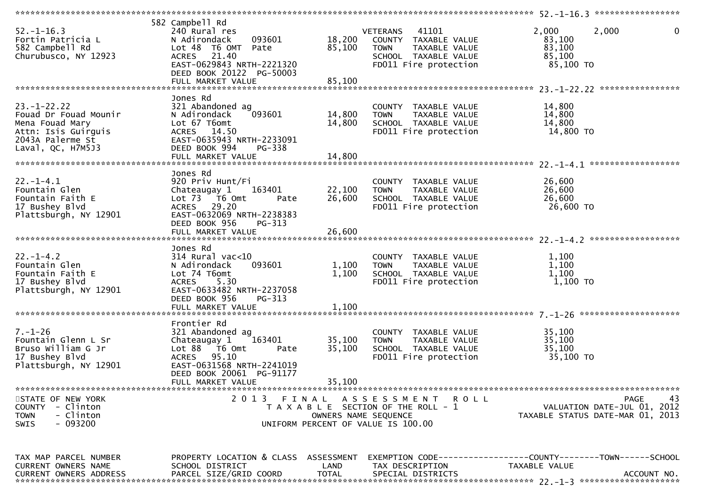| $52. - 1 - 16.3$<br>Fortin Patricia L<br>582 Campbell Rd<br>Churubusco, NY 12923                                              | 582 Campbell Rd<br>240 Rural res<br>093601<br>N Adirondack<br>Lot 48 T6 OMT Pate<br>ACRES 21.40<br>EAST-0629843 NRTH-2221320<br>DEED BOOK 20122 PG-50003                        | 18,200<br>85,100              | VETERANS 41101<br>COUNTY TAXABLE VALUE<br><b>TOWN</b><br>TAXABLE VALUE<br>SCHOOL TAXABLE VALUE<br>FD011 Fire protection | 2,000<br>2,000<br>83,100<br>83,100<br>85,100<br>85,100 TO                                     | $\mathbf 0$ |
|-------------------------------------------------------------------------------------------------------------------------------|---------------------------------------------------------------------------------------------------------------------------------------------------------------------------------|-------------------------------|-------------------------------------------------------------------------------------------------------------------------|-----------------------------------------------------------------------------------------------|-------------|
| $23. - 1 - 22.22$<br>Fouad Dr Fouad Mounir<br>Mena Fouad Mary<br>Attn: Isis Guirguis<br>2043A Palerme St<br>Laval, QC, H7M5J3 | Jones Rd<br>321 Abandoned ag<br>093601<br>N Adirondack<br>Lot 67 T6omt<br>ACRES 14.50<br>EAST-0635943 NRTH-2233091<br>DEED BOOK 994<br>PG-338                                   | 14,800<br>14,800              | COUNTY TAXABLE VALUE<br><b>TOWN</b><br>TAXABLE VALUE<br>SCHOOL TAXABLE VALUE<br>FD011 Fire protection                   | 14,800<br>14,800<br>14,800<br>14,800 TO                                                       |             |
| $22. - 1 - 4.1$<br>Fountain Glen<br>Fountain Faith E<br>17 Bushey Blvd<br>Plattsburgh, NY 12901                               | Jones Rd<br>920 Priv Hunt/Fi<br>Chateaugay 1<br>163401<br>Lot 73 T6 Omt<br>Pate<br>ACRES 29.20<br>EAST-0632069 NRTH-2238383<br>DEED BOOK 956<br>PG-313                          | 22,100<br>26,600              | COUNTY TAXABLE VALUE<br>TAXABLE VALUE<br><b>TOWN</b><br>SCHOOL TAXABLE VALUE<br>FD011 Fire protection                   | 26,600<br>26,600<br>26,600<br>26,600 TO                                                       |             |
| $22. - 1 - 4.2$<br>Fountain Glen<br>Fountain Faith E<br>17 Bushey Blvd<br>Plattsburgh, NY 12901                               | Jones Rd<br>314 Rural vac<10<br>093601<br>N Adirondack<br>Lot 74 T6omt<br>5.30<br>ACRES<br>EAST-0633482 NRTH-2237058<br>DEED BOOK 956<br>PG-313                                 | 1,100<br>1,100                | COUNTY TAXABLE VALUE<br>TAXABLE VALUE<br><b>TOWN</b><br>SCHOOL TAXABLE VALUE<br>FD011 Fire protection                   | 1,100<br>1,100<br>1,100<br>$1,100$ TO                                                         |             |
| $7. - 1 - 26$<br>Fountain Glenn L Sr<br>Bruso William G Jr<br>17 Bushey Blvd<br>Plattsburgh, NY 12901                         | Frontier Rd<br>321 Abandoned ag<br>163401<br>Chateaugay 1<br>Lot 88 T6 Omt<br>Pate<br>ACRES 95.10<br>EAST-0631568 NRTH-2241019<br>DEED BOOK 20061 PG-91177<br>FULL MARKET VALUE | 35,100<br>35,100<br>35,100    | COUNTY TAXABLE VALUE<br><b>TOWN</b><br>TAXABLE VALUE<br>SCHOOL TAXABLE VALUE<br>FD011 Fire protection                   | 35,100<br>35,100<br>35,100<br>35,100 TO                                                       |             |
| STATE OF NEW YORK<br>COUNTY - Clinton<br>- Clinton<br><b>TOWN</b><br>- 093200<br><b>SWIS</b>                                  | 2 0 1 3                                                                                                                                                                         | FINAL<br>OWNERS NAME SEQUENCE | ASSESSMENT ROLL<br>T A X A B L E SECTION OF THE ROLL - 1<br>UNIFORM PERCENT OF VALUE IS 100.00                          | PAGE<br>VALUATION DATE-JUL 01, 2012<br>TAXABLE STATUS DATE-MAR 01, 2013                       | 43          |
| TAX MAP PARCEL NUMBER<br>CURRENT OWNERS NAME<br>CURRENT OWNERS ADDRESS                                                        | PROPERTY LOCATION & CLASS ASSESSMENT<br>SCHOOL DISTRICT<br>PARCEL SIZE/GRID COORD                                                                                               | LAND<br><b>TOTAL</b>          | TAX DESCRIPTION<br>SPECIAL DISTRICTS                                                                                    | EXEMPTION CODE-----------------COUNTY--------TOWN------SCHOOL<br>TAXABLE VALUE<br>ACCOUNT NO. |             |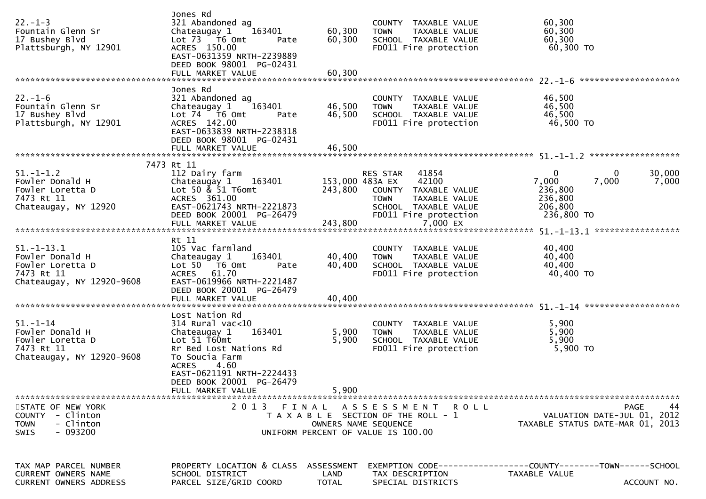| $22. - 1 - 3$<br>Fountain Glenn Sr<br>17 Bushey Blvd<br>Plattsburgh, NY 12901                           | Jones Rd<br>321 Abandoned ag<br>Chateaugay 1<br>163401<br>Lot 73  T6 Omt<br>Pate<br>ACRES 150.00<br>EAST-0631359 NRTH-2239889<br>DEED BOOK 98001 PG-02431<br>FULL MARKET VALUE                                 | 60,300<br>60,300<br>60,300  | COUNTY TAXABLE VALUE<br><b>TOWN</b><br>TAXABLE VALUE<br>SCHOOL TAXABLE VALUE<br>FD011 Fire protection                                                  | 60,300<br>60,300<br>60,300                  | 60,300 TO                                                                            |
|---------------------------------------------------------------------------------------------------------|----------------------------------------------------------------------------------------------------------------------------------------------------------------------------------------------------------------|-----------------------------|--------------------------------------------------------------------------------------------------------------------------------------------------------|---------------------------------------------|--------------------------------------------------------------------------------------|
| $22. - 1 - 6$<br>Fountain Glenn Sr<br>17 Bushey Blvd<br>Plattsburgh, NY 12901                           | Jones Rd<br>321 Abandoned ag<br>Chateaugay 1<br>163401<br>Lot $74 - 76$ Omt<br>Pate<br>ACRES 142.00<br>EAST-0633839 NRTH-2238318<br>DEED BOOK 98001 PG-02431<br>FULL MARKET VALUE                              | 46,500<br>46,500<br>46,500  | COUNTY TAXABLE VALUE<br><b>TOWN</b><br>TAXABLE VALUE<br>SCHOOL TAXABLE VALUE<br>FD011 Fire protection                                                  | 46,500<br>46,500<br>46,500                  | 46,500 TO                                                                            |
|                                                                                                         | 7473 Rt 11                                                                                                                                                                                                     |                             |                                                                                                                                                        |                                             |                                                                                      |
| $51. - 1 - 1.2$<br>Fowler Donald H<br>Fowler Loretta D<br>7473 Rt 11<br>Chateaugay, NY 12920            | 112 Dairy farm<br>Chateaugay 1<br>163401<br>Lot 50 $\&$ 51 T6omt<br>ACRES 361.00<br>EAST-0621743 NRTH-2221873<br>DEED BOOK 20001 PG-26479                                                                      | 243,800                     | 41854<br>RES STAR<br>153,000 483A EX<br>42100<br>COUNTY TAXABLE VALUE<br>TAXABLE VALUE<br><b>TOWN</b><br>SCHOOL TAXABLE VALUE<br>FD011 Fire protection | 0<br>7,000<br>236,800<br>236,800<br>206,800 | 0<br>30,000<br>7,000<br>7,000<br>236,800 TO                                          |
|                                                                                                         |                                                                                                                                                                                                                |                             |                                                                                                                                                        |                                             |                                                                                      |
|                                                                                                         | Rt 11                                                                                                                                                                                                          |                             |                                                                                                                                                        |                                             |                                                                                      |
| $51.-1-13.1$<br>Fowler Donald H<br>Fowler Loretta D<br>7473 Rt 11<br>Chateaugay, NY 12920-9608          | 105 Vac farmland<br>163401<br>Chateaugay 1<br>Lot $50$ $\overline{76}$ Omt<br>Pate<br>61.70<br>ACRES<br>EAST-0619966 NRTH-2221487<br>DEED BOOK 20001 PG-26479<br>FULL MARKET VALUE                             | 40,400<br>40,400<br>40,400  | COUNTY TAXABLE VALUE<br><b>TOWN</b><br>TAXABLE VALUE<br>SCHOOL TAXABLE VALUE<br>FD011 Fire protection                                                  | 40,400<br>40,400<br>40,400                  | 40,400 TO                                                                            |
|                                                                                                         |                                                                                                                                                                                                                |                             |                                                                                                                                                        |                                             |                                                                                      |
| $51 - 1 - 14$<br>Fowler Donald H<br>Fowler Loretta D<br>7473 Rt 11<br>Chateaugay, NY 12920-9608         | Lost Nation Rd<br>$314$ Rural vac< $10$<br>Chateaugay 1<br>163401<br>Lot 51 T60mt<br>Rr Bed Lost Nations Rd<br>To Soucia Farm<br><b>ACRES</b><br>4.60<br>EAST-0621191 NRTH-2224433<br>DEED BOOK 20001 PG-26479 | 5,900<br>5,900              | COUNTY TAXABLE VALUE<br>TAXABLE VALUE<br><b>TOWN</b><br>SCHOOL TAXABLE VALUE<br>FD011 Fire protection                                                  | 5,900<br>5,900<br>5,900                     | 5,900 TO                                                                             |
|                                                                                                         | FULL MARKET VALUE                                                                                                                                                                                              | 5,900                       |                                                                                                                                                        |                                             |                                                                                      |
| STATE OF NEW YORK<br><b>COUNTY</b><br>- Clinton<br><b>TOWN</b><br>- Clinton<br>$-093200$<br><b>SWIS</b> |                                                                                                                                                                                                                |                             | 2013 FINAL ASSESSMENT ROLL<br>T A X A B L E SECTION OF THE ROLL - 1<br>OWNERS NAME SEQUENCE<br>UNIFORM PERCENT OF VALUE IS 100.00                      |                                             | 44<br><b>PAGE</b><br>VALUATION DATE-JUL 01, 2012<br>TAXABLE STATUS DATE-MAR 01, 2013 |
| TAX MAP PARCEL NUMBER<br>CURRENT OWNERS NAME<br><b>CURRENT OWNERS ADDRESS</b>                           | PROPERTY LOCATION & CLASS<br>SCHOOL DISTRICT<br>PARCEL SIZE/GRID COORD                                                                                                                                         | ASSESSMENT<br>LAND<br>TOTAL | TAX DESCRIPTION<br>SPECIAL DISTRICTS                                                                                                                   | <b>TAXABLE VALUE</b>                        | ACCOUNT NO.                                                                          |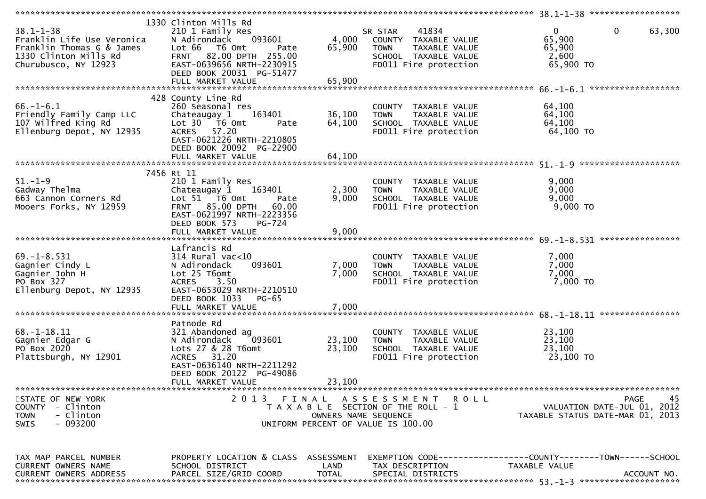| $38.1 - 1 - 38$<br>Franklin Life Use Veronica<br>Franklin Thomas G & James<br>1330 Clinton Mills Rd<br>Churubusco, NY 12923 | 1330 Clinton Mills Rd<br>210 1 Family Res<br>093601<br>N Adirondack<br>Lot 66<br>T6 Omt<br>Pate<br>FRNT 82.00 DPTH 255.00<br>EAST-0639656 NRTH-2230915<br>DEED BOOK 20031 PG-51477<br>FULL MARKET VALUE | 4,000<br>65,900<br>65,900  | 41834<br>SR STAR<br>COUNTY TAXABLE VALUE<br><b>TOWN</b><br>TAXABLE VALUE<br>SCHOOL TAXABLE VALUE<br>FD011 Fire protection | $\mathbf 0$<br>$\mathbf{0}$<br>63,300<br>65,900<br>65,900<br>2,600<br>65,900 TO<br>******************                            |
|-----------------------------------------------------------------------------------------------------------------------------|---------------------------------------------------------------------------------------------------------------------------------------------------------------------------------------------------------|----------------------------|---------------------------------------------------------------------------------------------------------------------------|----------------------------------------------------------------------------------------------------------------------------------|
| $66. - 1 - 6.1$<br>Friendly Family Camp LLC<br>107 Wilfred King Rd<br>Ellenburg Depot, NY 12935                             | 428 County Line Rd<br>260 Seasonal res<br>Chateaugay 1<br>163401<br>Lot 30 T6 Omt<br>Pate<br>57.20<br>ACRES<br>EAST-0621226 NRTH-2210805<br>DEED BOOK 20092 PG-22900<br>FULL MARKET VALUE               | 36,100<br>64,100<br>64,100 | COUNTY TAXABLE VALUE<br><b>TOWN</b><br>TAXABLE VALUE<br>SCHOOL TAXABLE VALUE<br>FD011 Fire protection                     | 64,100<br>64,100<br>64,100<br>64,100 TO                                                                                          |
| $51. - 1 - 9$<br>Gadway Thelma<br>663 Cannon Corners Rd<br>Mooers Forks, NY 12959                                           | 7456 Rt 11<br>210 1 Family Res<br>Chateaugay 1<br>163401<br>Lot 51 76 0mt<br>Pate<br>FRNT 85.00 DPTH<br>60.00<br>EAST-0621997 NRTH-2223356<br>DEED BOOK 573<br>PG-724<br>FULL MARKET VALUE              | 2,300<br>9,000<br>9,000    | COUNTY TAXABLE VALUE<br>TAXABLE VALUE<br><b>TOWN</b><br>SCHOOL TAXABLE VALUE<br>FD011 Fire protection                     | 9,000<br>9,000<br>9,000<br>$9,000$ TO                                                                                            |
| $69. -1 - 8.531$<br>Gagnier Cindy L<br>Gagnier John H<br>PO Box 327<br>Ellenburg Depot, NY 12935                            | Lafrancis Rd<br>$314$ Rural vac< $10$<br>093601<br>N Adirondack<br>Lot 25 T6omt<br><b>ACRES</b><br>3.50<br>EAST-0653029 NRTH-2210510<br>DEED BOOK 1033<br><b>PG-65</b><br>FULL MARKET VALUE             | 7,000<br>7,000<br>7,000    | COUNTY TAXABLE VALUE<br>TAXABLE VALUE<br><b>TOWN</b><br>SCHOOL TAXABLE VALUE<br>FD011 Fire protection                     | 7,000<br>7,000<br>7,000<br>7,000 TO<br>****************                                                                          |
| $68. - 1 - 18.11$<br>Gagnier Edgar G<br>PO Box 2020<br>Plattsburgh, NY 12901<br>**********************                      | Patnode Rd<br>321 Abandoned ag<br>093601<br>N Adirondack<br>Lots 27 & 28 T6omt<br>ACRES 31.20<br>EAST-0636140 NRTH-2211292<br>DEED BOOK 20122 PG-49086<br>FULL MARKET VALUE                             | 23,100<br>23,100<br>23,100 | COUNTY TAXABLE VALUE<br><b>TOWN</b><br>TAXABLE VALUE<br>SCHOOL TAXABLE VALUE<br>FD011 Fire protection                     | 23,100<br>23,100<br>23,100<br>23,100 TO                                                                                          |
| STATE OF NEW YORK<br>COUNTY - Clinton<br>- Clinton<br><b>TOWN</b><br>$-093200$<br><b>SWIS</b>                               |                                                                                                                                                                                                         | OWNERS NAME SEQUENCE       | 2013 FINAL ASSESSMENT ROLL<br>T A X A B L E SECTION OF THE ROLL - 1<br>UNIFORM PERCENT OF VALUE IS 100.00                 | 45<br><b>PAGE</b><br>VALUATION DATE-JUL 01, 2012<br>TAXABLE STATUS DATE-MAR 01, 2013                                             |
| TAX MAP PARCEL NUMBER<br>CURRENT OWNERS NAME<br><b>CURRENT OWNERS ADDRESS</b>                                               | SCHOOL DISTRICT<br>PARCEL SIZE/GRID COORD                                                                                                                                                               | LAND<br><b>TOTAL</b>       | TAX DESCRIPTION<br>SPECIAL DISTRICTS                                                                                      | PROPERTY LOCATION & CLASS ASSESSMENT EXEMPTION CODE----------------COUNTY-------TOWN------SCHOOL<br>TAXABLE VALUE<br>ACCOUNT NO. |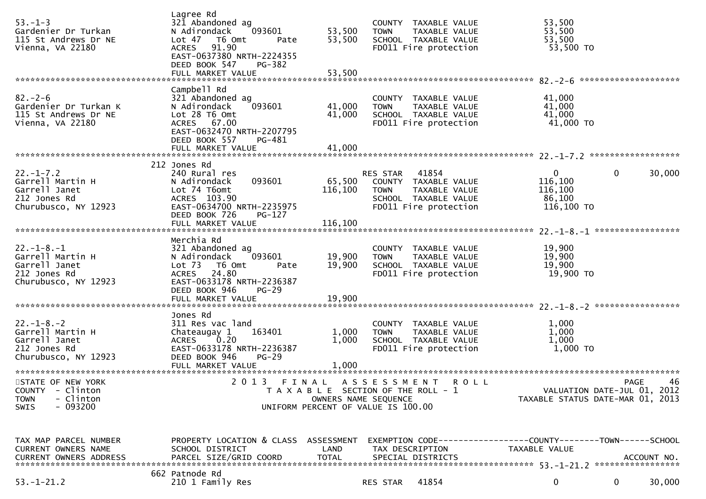| $53. - 1 - 3$<br>Gardenier Dr Turkan<br>115 St Andrews Dr NE<br>Vienna, VA 22180                                     | Lagree Rd<br>321 Abandoned ag<br>093601<br>N Adirondack<br>Lot 47 T6 Omt<br>Pate<br>ACRES 91.90<br>EAST-0637380 NRTH-2224355<br>DEED BOOK 547<br><b>PG-382</b><br>FULL MARKET VALUE | 53,500<br>53,500<br>53,500                                                  | <b>TOWN</b>                   | COUNTY TAXABLE VALUE<br>TAXABLE VALUE<br>SCHOOL TAXABLE VALUE<br>FD011 Fire protection                               | 53,500<br>53,500<br>53,500<br>53,500 TO                                                                                           |          |         |
|----------------------------------------------------------------------------------------------------------------------|-------------------------------------------------------------------------------------------------------------------------------------------------------------------------------------|-----------------------------------------------------------------------------|-------------------------------|----------------------------------------------------------------------------------------------------------------------|-----------------------------------------------------------------------------------------------------------------------------------|----------|---------|
| $82 - 2 - 6$<br>Gardenier Dr Turkan K<br>115 St Andrews Dr NE<br>Vienna, VA 22180                                    | Campbell Rd<br>321 Abandoned ag<br>093601<br>N Adirondack<br>Lot 28 T6 Omt<br>ACRES 67.00<br>EAST-0632470 NRTH-2207795<br>DEED BOOK 557<br>PG-481<br>FULL MARKET VALUE              | 41,000<br>41,000<br>41,000                                                  | <b>TOWN</b>                   | COUNTY TAXABLE VALUE<br>TAXABLE VALUE<br>SCHOOL TAXABLE VALUE<br>FD011 Fire protection                               | 41,000<br>41,000<br>41,000<br>41,000 TO                                                                                           |          |         |
| $22. - 1 - 7.2$<br>Garrell Martin H<br>Garrell Janet<br>212 Jones Rd<br>Churubusco, NY 12923                         | 212 Jones Rd<br>240 Rural res<br>N Adirondack<br>093601<br>Lot 74 T6omt<br>ACRES 103.90<br>EAST-0634700 NRTH-2235975<br>DEED BOOK 726<br>$PG-127$                                   | 65,500<br>116,100                                                           | RES STAR 41854<br><b>TOWN</b> | COUNTY TAXABLE VALUE<br>TAXABLE VALUE<br>SCHOOL TAXABLE VALUE<br>FD011 Fire protection                               | $\mathbf{0}$<br>116,100<br>116,100<br>86,100<br>116,100 TO                                                                        | $\Omega$ | 30,000  |
| $22. - 1 - 8. - 1$<br>Garrell Martin H<br>Garrell Janet<br>212 Jones Rd<br>Churubusco, NY 12923                      | Merchia Rd<br>321 Abandoned ag<br>093601<br>N Adirondack<br>Lot 73 T6 Omt<br>Pate<br>ACRES 24.80<br>EAST-0633178 NRTH-2236387<br>DEED BOOK 946<br>$PG-29$<br>FULL MARKET VALUE      | 19,900<br>19,900<br>19,900                                                  | <b>TOWN</b>                   | COUNTY TAXABLE VALUE<br>TAXABLE VALUE<br>SCHOOL TAXABLE VALUE<br>FD011 Fire protection                               | 19,900<br>19,900<br>19,900<br>19,900 TO                                                                                           |          |         |
| $22. - 1 - 8. - 2$<br>Garrell Martin H<br>Garrell Janet<br>212 Jones Rd<br>Churubusco, NY 12923<br>STATE OF NEW YORK | Jones Rd<br>311 Res vac land<br>163401<br>Chateaugay 1<br>ACRES 0.20<br>EAST-0633178 NRTH-2236387<br>DEED BOOK 946<br>$PG-29$<br>FULL MARKET VALUE                                  | 1,000<br>1,000<br>1,000                                                     | <b>TOWN</b>                   | COUNTY TAXABLE VALUE<br>TAXABLE VALUE<br>SCHOOL TAXABLE VALUE<br>FD011 Fire protection<br>2013 FINAL ASSESSMENT ROLL | 1,000<br>1,000<br>1,000<br>1,000 TO                                                                                               |          | PAGE 46 |
| - Clinton<br><b>COUNTY</b><br><b>TOWN</b><br>- Clinton<br>$-093200$<br><b>SWIS</b><br>TAX MAP PARCEL NUMBER          | PROPERTY LOCATION & CLASS ASSESSMENT                                                                                                                                                | T A X A B L E SECTION OF THE ROLL - 1<br>UNIFORM PERCENT OF VALUE IS 100.00 | OWNERS NAME SEQUENCE          |                                                                                                                      | VALUATION DATE-JUL 01, 2012<br>TAXABLE STATUS DATE-MAR 01, 2013<br>EXEMPTION CODE------------------COUNTY--------TOWN------SCHOOL |          |         |
| <b>CURRENT OWNERS NAME</b>                                                                                           | SCHOOL DISTRICT                                                                                                                                                                     | LAND                                                                        | TAX DESCRIPTION               |                                                                                                                      | TAXABLE VALUE                                                                                                                     |          |         |
| $53. - 1 - 21.2$                                                                                                     | 662 Patnode Rd<br>210 1 Family Res                                                                                                                                                  |                                                                             | RES STAR                      | 41854                                                                                                                | 0                                                                                                                                 | 0        | 30,000  |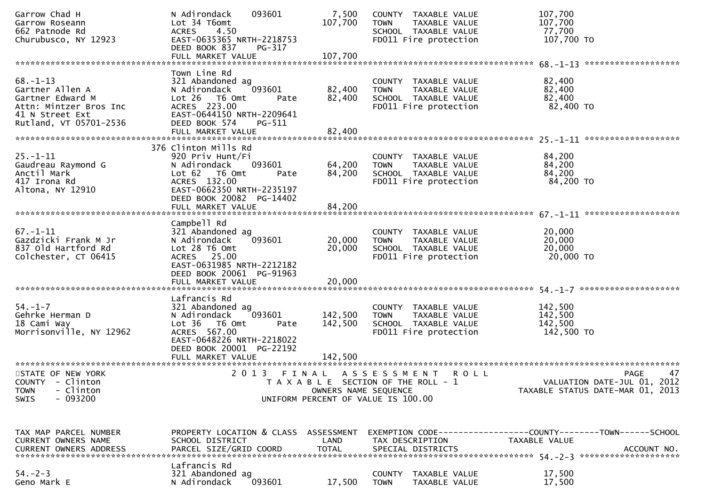| Garrow Chad H<br>Garrow Roseann<br>662 Patnode Rd<br>Churubusco, NY 12923                                                    | N Adirondack<br>093601<br>Lot 34 T6omt<br>4.50<br><b>ACRES</b><br>EAST-0635365 NRTH-2218753<br>DEED BOOK 837<br>PG-317<br>FULL MARKET VALUE                                      | 7,500<br>107,700<br>107,700 | COUNTY TAXABLE VALUE<br><b>TOWN</b><br>TAXABLE VALUE<br>SCHOOL TAXABLE VALUE<br>FD011 Fire protection | 107,700<br>107,700<br>77,700<br>107,700 TO                                                   |
|------------------------------------------------------------------------------------------------------------------------------|----------------------------------------------------------------------------------------------------------------------------------------------------------------------------------|-----------------------------|-------------------------------------------------------------------------------------------------------|----------------------------------------------------------------------------------------------|
|                                                                                                                              |                                                                                                                                                                                  |                             |                                                                                                       |                                                                                              |
| $68. - 1 - 13$<br>Gartner Allen A<br>Gartner Edward M<br>Attn: Mintzer Bros Inc<br>41 N Street Ext<br>Rutland, VT 05701-2536 | Town Line Rd<br>321 Abandoned ag<br>093601<br>N Adirondack<br>Lot 26 T6 Omt<br>Pate<br>ACRES 223.00<br>EAST-0644150 NRTH-2209641<br>DEED BOOK 574<br>PG-511<br>FULL MARKET VALUE | 82,400<br>82,400<br>82,400  | COUNTY TAXABLE VALUE<br><b>TOWN</b><br>TAXABLE VALUE<br>SCHOOL TAXABLE VALUE<br>FD011 Fire protection | 82,400<br>82,400<br>82,400<br>82,400 TO                                                      |
|                                                                                                                              |                                                                                                                                                                                  |                             |                                                                                                       |                                                                                              |
| $25. - 1 - 11$<br>Gaudreau Raymond G<br>Anctil Mark<br>417 Irona Rd<br>Altona, NY 12910                                      | 376 Clinton Mills Rd<br>920 Priv Hunt/Fi<br>N Adirondack<br>093601<br>Lot 62  T6 0mt<br>Pate<br>ACRES 132.00<br>EAST-0662350 NRTH-2235197<br>DEED BOOK 20082 PG-14402            | 64,200<br>84,200            | COUNTY TAXABLE VALUE<br><b>TOWN</b><br>TAXABLE VALUE<br>SCHOOL TAXABLE VALUE<br>FD011 Fire protection | 84,200<br>84,200<br>84,200<br>84,200 TO                                                      |
|                                                                                                                              |                                                                                                                                                                                  |                             |                                                                                                       |                                                                                              |
| $67. - 1 - 11$<br>Gazdzicki Frank M Jr<br>837 Old Hartford Rd<br>Colchester, CT 06415                                        | Campbell Rd<br>321 Abandoned ag<br>093601<br>N Adirondack<br>Lot 28 T6 Omt<br>ACRES 25.00<br>EAST-0631985 NRTH-2212182<br>DEED BOOK 20061 PG-91963<br>FULL MARKET VALUE          | 20,000<br>20,000<br>20,000  | COUNTY TAXABLE VALUE<br><b>TOWN</b><br>TAXABLE VALUE<br>SCHOOL TAXABLE VALUE<br>FD011 Fire protection | 20,000<br>20,000<br>20,000<br>20,000 TO                                                      |
|                                                                                                                              |                                                                                                                                                                                  |                             |                                                                                                       |                                                                                              |
| $54. - 1 - 7$<br>Gehrke Herman D<br>18 Cami Way<br>Morrisonville, NY 12962                                                   | Lafrancis Rd<br>321 Abandoned ag<br>N Adirondack<br>093601<br>Lot 36 T6 Omt<br>Pate<br>ACRES 567.00<br>EAST-0648226 NRTH-2218022<br>DEED BOOK 20001 PG-22192                     | 142,500<br>142,500          | COUNTY TAXABLE VALUE<br><b>TOWN</b><br>TAXABLE VALUE<br>SCHOOL TAXABLE VALUE<br>FD011 Fire protection | 142,500<br>142,500<br>142,500<br>142,500 TO                                                  |
|                                                                                                                              |                                                                                                                                                                                  |                             |                                                                                                       |                                                                                              |
| STATE OF NEW YORK<br>COUNTY - Clinton<br>- Clinton<br><b>TOWN</b><br>$-093200$<br><b>SWIS</b>                                | 2013                                                                                                                                                                             | OWNERS NAME SEQUENCE        | FINAL ASSESSMENT ROLL<br>T A X A B L E SECTION OF THE ROLL - 1<br>UNIFORM PERCENT OF VALUE IS 100.00  | 47<br>PAGE<br>VALUATION DATE-JUL 01, 2012<br>TAXABLE STATUS DATE-MAR 01, 2013                |
|                                                                                                                              |                                                                                                                                                                                  |                             |                                                                                                       |                                                                                              |
| TAX MAP PARCEL NUMBER<br><b>CURRENT OWNERS NAME</b><br>CURRENT OWNERS ADDRESS                                                | PROPERTY LOCATION & CLASS ASSESSMENT<br>SCHOOL DISTRICT<br>PARCEL SIZE/GRID COORD                                                                                                | LAND<br><b>TOTAL</b>        | TAX DESCRIPTION<br>SPECIAL DISTRICTS                                                                  | EXEMPTION CODE-----------------COUNTY-------TOWN------SCHOOL<br>TAXABLE VALUE<br>ACCOUNT NO. |
| $54. - 2 - 3$<br>Geno Mark E                                                                                                 | Lafrancis Rd<br>321 Abandoned ag<br>N Adirondack<br>093601                                                                                                                       | 17,500                      | COUNTY<br>TAXABLE VALUE<br><b>TOWN</b><br>TAXABLE VALUE                                               | 17,500<br>17,500                                                                             |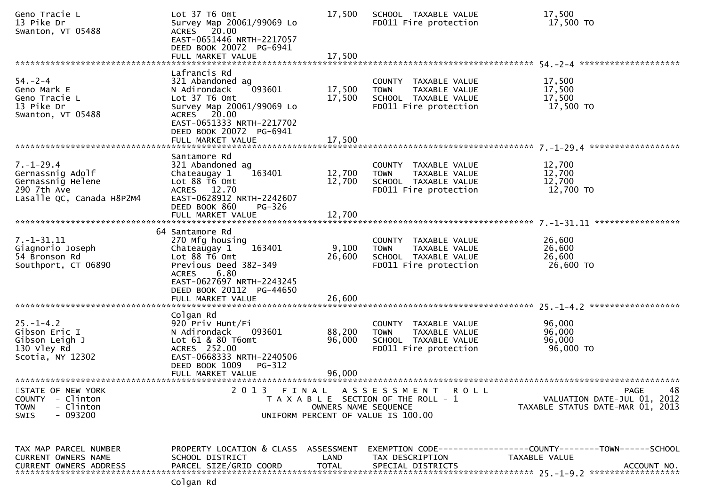| Geno Tracie L<br>13 Pike Dr<br>Swanton, VT 05488                                                        | Lot 37 T6 Omt<br>Survey Map 20061/99069 Lo<br>ACRES 20.00<br>EAST-0651446 NRTH-2217057<br>DEED BOOK 20072 PG-6941<br>FULL MARKET VALUE                                                                       | 17,500<br>17,500           | SCHOOL TAXABLE VALUE<br>FD011 Fire protection                                                         | 17,500<br>17,500 TO                                                                           |
|---------------------------------------------------------------------------------------------------------|--------------------------------------------------------------------------------------------------------------------------------------------------------------------------------------------------------------|----------------------------|-------------------------------------------------------------------------------------------------------|-----------------------------------------------------------------------------------------------|
|                                                                                                         |                                                                                                                                                                                                              |                            |                                                                                                       |                                                                                               |
| $54. - 2 - 4$<br>Geno Mark E<br>Geno Tracie L<br>13 Pike Dr<br>Swanton, VT 05488                        | Lafrancis Rd<br>321 Abandoned ag<br>093601<br>N Adirondack<br>Lot 37 T6 Omt<br>Survey Map 20061/99069 Lo<br>ACRES 20.00<br>EAST-0651333 NRTH-2217702<br>DEED BOOK 20072 PG-6941<br>FULL MARKET VALUE         | 17,500<br>17,500<br>17,500 | COUNTY TAXABLE VALUE<br><b>TOWN</b><br>TAXABLE VALUE<br>SCHOOL TAXABLE VALUE<br>FD011 Fire protection | 17,500<br>17,500<br>17,500<br>17,500 TO                                                       |
|                                                                                                         |                                                                                                                                                                                                              |                            |                                                                                                       |                                                                                               |
| $7. - 1 - 29.4$<br>Gernassnig Adolf<br>Gernassnig Helene<br>290 7th Ave<br>Lasalle QC, Canada H8P2M4    | Santamore Rd<br>321 Abandoned ag<br>163401<br>Chateaugay 1<br>Lot 88 T6 Omt<br>ACRES 12.70<br>EAST-0628912 NRTH-2242607<br>DEED BOOK 860<br><b>PG-326</b>                                                    | 12,700<br>12,700           | COUNTY TAXABLE VALUE<br><b>TOWN</b><br>TAXABLE VALUE<br>SCHOOL TAXABLE VALUE<br>FD011 Fire protection | 12,700<br>12,700<br>12,700<br>12,700 TO                                                       |
|                                                                                                         |                                                                                                                                                                                                              |                            |                                                                                                       |                                                                                               |
| $7. - 1 - 31.11$<br>Giagnorio Joseph<br>54 Bronson Rd<br>Southport, CT 06890                            | 64 Santamore Rd<br>270 Mfg housing<br>Chateaugay 1<br>163401<br>Lot 88 T6 Omt<br>Previous Deed 382-349<br>6.80<br><b>ACRES</b><br>EAST-0627697 NRTH-2243245<br>DEED BOOK 20112 PG-44650<br>FULL MARKET VALUE | 9,100<br>26,600<br>26,600  | COUNTY TAXABLE VALUE<br>TAXABLE VALUE<br><b>TOWN</b><br>SCHOOL TAXABLE VALUE<br>FD011 Fire protection | 26,600<br>26,600<br>26,600<br>26,600 TO                                                       |
|                                                                                                         | Colgan Rd                                                                                                                                                                                                    |                            |                                                                                                       |                                                                                               |
| $25 - 1 - 4.2$<br>Gibson Eric I<br>Gibson Leigh J<br>130 Vley Rd<br>Scotia, NY 12302                    | 920 Priv Hunt/Fi<br>093601<br>N Adirondack<br>Lot 61 & 80 T6omt<br>ACRES 252.00<br>EAST-0668333 NRTH-2240506<br>DEED BOOK 1009<br>PG-312<br>FULL MARKET VALUE                                                | 88,200<br>96,000<br>96,000 | COUNTY TAXABLE VALUE<br><b>TOWN</b><br>TAXABLE VALUE<br>SCHOOL TAXABLE VALUE<br>FD011 Fire protection | 96,000<br>96,000<br>96,000<br>96,000 TO                                                       |
|                                                                                                         |                                                                                                                                                                                                              |                            |                                                                                                       |                                                                                               |
| STATE OF NEW YORK<br>- Clinton<br><b>COUNTY</b><br>- Clinton<br><b>TOWN</b><br>$-093200$<br><b>SWIS</b> | 2 0 1 3                                                                                                                                                                                                      | OWNERS NAME SEQUENCE       | FINAL ASSESSMENT ROLL<br>T A X A B L E SECTION OF THE ROLL - 1<br>UNIFORM PERCENT OF VALUE IS 100.00  | 48<br><b>PAGE</b><br>VALUATION DATE-JUL 01, 2012<br>TAXABLE STATUS DATE-MAR 01, 2013          |
| TAX MAP PARCEL NUMBER<br>CURRENT OWNERS NAME<br><b>CURRENT OWNERS ADDRESS</b>                           | PROPERTY LOCATION & CLASS ASSESSMENT<br>SCHOOL DISTRICT<br>PARCEL SIZE/GRID COORD                                                                                                                            | LAND<br><b>TOTAL</b>       | TAX DESCRIPTION<br>SPECIAL DISTRICTS                                                                  | EXEMPTION CODE-----------------COUNTY--------TOWN------SCHOOL<br>TAXABLE VALUE<br>ACCOUNT NO. |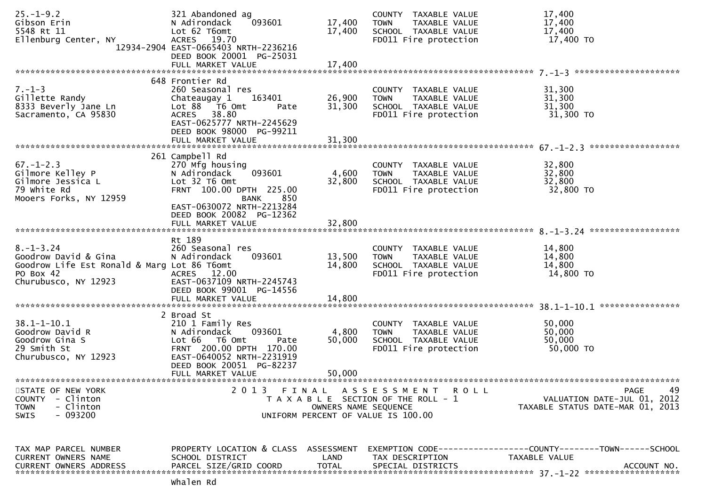| $25. - 1 - 9.2$<br>Gibson Erin<br>5548 Rt 11<br>Ellenburg Center, NY                                                        | 321 Abandoned ag<br>093601<br>N Adirondack<br>Lot 62 T6omt<br>ACRES 19.70<br>12934-2904 EAST-0665403 NRTH-2236216<br>DEED BOOK 20001 PG-25031<br>FULL MARKET VALUE     | 17,400<br>17,400<br>17,400 | COUNTY TAXABLE VALUE<br>TAXABLE VALUE<br><b>TOWN</b><br>SCHOOL TAXABLE VALUE<br>FD011 Fire protection     | 17,400<br>17,400<br>17,400<br>17,400 TO                                       |
|-----------------------------------------------------------------------------------------------------------------------------|------------------------------------------------------------------------------------------------------------------------------------------------------------------------|----------------------------|-----------------------------------------------------------------------------------------------------------|-------------------------------------------------------------------------------|
|                                                                                                                             | 648 Frontier Rd                                                                                                                                                        |                            |                                                                                                           |                                                                               |
| $7. - 1 - 3$<br>Gillette Randy<br>8333 Beverly Jane Ln<br>Sacramento, CA 95830                                              | 260 Seasonal res<br>Chateaugay 1<br>163401<br>Lot 88 T6 Omt<br>Pate<br>ACRES 38.80<br>EAST-0625777 NRTH-2245629<br>DEED BOOK 98000 PG-99211                            | 26,900<br>31,300           | COUNTY TAXABLE VALUE<br><b>TOWN</b><br>TAXABLE VALUE<br>SCHOOL TAXABLE VALUE<br>FD011 Fire protection     | 31,300<br>31,300<br>31,300<br>31,300 TO                                       |
|                                                                                                                             |                                                                                                                                                                        |                            |                                                                                                           |                                                                               |
| $67. - 1 - 2.3$<br>Gilmore Kelley P<br>Gilmore Jessica L<br>79 white Rd<br>Mooers Forks, NY 12959                           | 261 Campbell Rd<br>270 Mfg housing<br>093601<br>N Adirondack<br>Lot 32 T6 Omt<br>FRNT 100.00 DPTH 225.00<br>850<br><b>BANK</b><br>EAST-0630072 NRTH-2213284            | 4,600<br>32,800            | COUNTY TAXABLE VALUE<br><b>TOWN</b><br>TAXABLE VALUE<br>SCHOOL TAXABLE VALUE<br>FD011 Fire protection     | 32,800<br>32,800<br>32,800<br>32,800 TO                                       |
|                                                                                                                             | DEED BOOK 20082 PG-12362<br>FULL MARKET VALUE                                                                                                                          | 32,800                     |                                                                                                           |                                                                               |
|                                                                                                                             | Rt 189                                                                                                                                                                 |                            |                                                                                                           |                                                                               |
| $8. - 1 - 3.24$<br>Goodrow David & Gina<br>Goodrow Life Est Ronald & Marg Lot 86 T6omt<br>PO Box 42<br>Churubusco, NY 12923 | 260 Seasonal res<br>N Adirondack<br>093601<br>ACRES 12.00<br>EAST-0637109 NRTH-2245743<br>DEED BOOK 99001 PG-14556                                                     | 13,500<br>14,800           | COUNTY TAXABLE VALUE<br>TAXABLE VALUE<br><b>TOWN</b><br>SCHOOL TAXABLE VALUE<br>FD011 Fire protection     | 14,800<br>14,800<br>14,800<br>14,800 TO                                       |
|                                                                                                                             |                                                                                                                                                                        |                            |                                                                                                           |                                                                               |
| $38.1 - 1 - 10.1$<br>Goodrow David R<br>Goodrow Gina S<br>29 Smith St<br>Churubusco, NY 12923                               | 2 Broad St<br>210 1 Family Res<br>093601<br>N Adirondack<br>Lot 66  T6 0mt<br>Pate<br>FRNT 200.00 DPTH 170.00<br>EAST-0640052 NRTH-2231919<br>DEED BOOK 20051 PG-82237 | 4,800<br>50,000            | COUNTY TAXABLE VALUE<br><b>TOWN</b><br>TAXABLE VALUE<br>SCHOOL TAXABLE VALUE<br>FD011 Fire protection     | 50,000<br>50,000<br>50,000<br>50,000 TO                                       |
|                                                                                                                             | FULL MARKET VALUE                                                                                                                                                      | 50,000                     |                                                                                                           |                                                                               |
| STATE OF NEW YORK<br>COUNTY - Clinton<br>- Clinton<br><b>TOWN</b><br>SWIS<br>- 093200                                       |                                                                                                                                                                        | OWNERS NAME SEQUENCE       | 2013 FINAL ASSESSMENT ROLL<br>T A X A B L E SECTION OF THE ROLL - 1<br>UNIFORM PERCENT OF VALUE IS 100.00 | PAGE<br>49<br>VALUATION DATE-JUL 01, 2012<br>TAXABLE STATUS DATE-MAR 01, 2013 |
| TAX MAP PARCEL NUMBER                                                                                                       | PROPERTY LOCATION & CLASS ASSESSMENT                                                                                                                                   |                            |                                                                                                           | EXEMPTION CODE-----------------COUNTY--------TOWN------SCHOOL                 |
| CURRENT OWNERS NAME<br><b>CURRENT OWNERS ADDRESS</b>                                                                        | SCHOOL DISTRICT<br>PARCEL SIZE/GRID COORD                                                                                                                              | LAND<br><b>TOTAL</b>       | TAX DESCRIPTION<br>SPECIAL DISTRICTS                                                                      | TAXABLE VALUE<br>ACCOUNT NO.                                                  |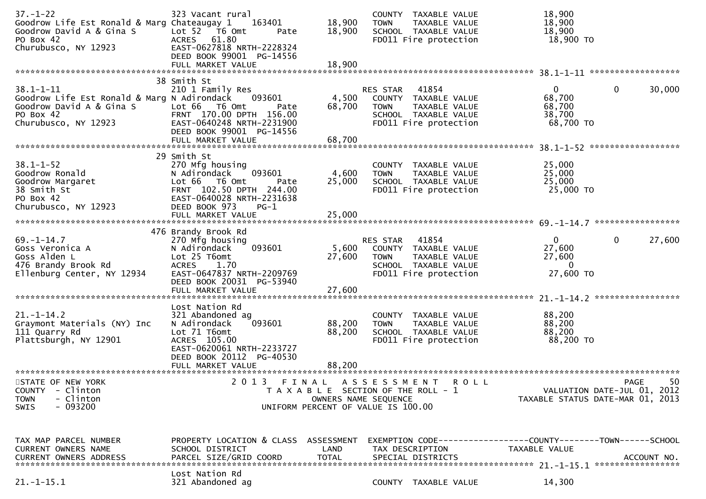| $37. - 1 - 22$<br>Goodrow Life Est Ronald & Marg Chateaugay 1<br>Goodrow David A & Gina S<br>PO Box 42<br>Churubusco, NY 12923  | 323 Vacant rural<br>163401<br>Lot <sub>52</sub><br>T6 Omt<br>Pate<br><b>ACRES</b><br>61.80<br>EAST-0627818 NRTH-2228324                                                                | 18,900<br>18,900                   | COUNTY TAXABLE VALUE<br><b>TOWN</b><br>TAXABLE VALUE<br>SCHOOL TAXABLE VALUE<br>FD011 Fire protection                             | 18,900<br>18,900<br>18,900<br>18,900 TO                              |                    |
|---------------------------------------------------------------------------------------------------------------------------------|----------------------------------------------------------------------------------------------------------------------------------------------------------------------------------------|------------------------------------|-----------------------------------------------------------------------------------------------------------------------------------|----------------------------------------------------------------------|--------------------|
|                                                                                                                                 | DEED BOOK 99001 PG-14556<br>FULL MARKET VALUE                                                                                                                                          | 18,900                             |                                                                                                                                   |                                                                      | ****************** |
| $38.1 - 1 - 11$<br>Goodrow Life Est Ronald & Marg N Adirondack<br>Goodrow David A & Gina S<br>PO Box 42<br>Churubusco, NY 12923 | 38 Smith St<br>210 1 Family Res<br>093601<br>Lot 66<br>T6 Omt<br>Pate<br>FRNT 170.00 DPTH 156.00<br>EAST-0640248 NRTH-2231900<br>DEED BOOK 99001 PG-14556<br>FULL MARKET VALUE         | 4,500<br>68,700<br>68,700          | <b>RES STAR</b><br>41854<br>COUNTY TAXABLE VALUE<br><b>TOWN</b><br>TAXABLE VALUE<br>SCHOOL TAXABLE VALUE<br>FD011 Fire protection | $\mathbf{0}$<br>0<br>68,700<br>68,700<br>38,700<br>68,700 TO         | 30,000             |
|                                                                                                                                 |                                                                                                                                                                                        |                                    |                                                                                                                                   |                                                                      |                    |
| $38.1 - 1 - 52$<br>Goodrow Ronald<br>Goodrow Margaret<br>38 Smith St<br>PO Box 42                                               | 29 Smith St<br>270 Mfg housing<br>N Adirondack<br>093601<br>Lot 66<br>T6 Omt<br>Pate<br>FRNT 102.50 DPTH 244.00<br>EAST-0640028 NRTH-2231638                                           | 4,600<br>25,000                    | TAXABLE VALUE<br><b>COUNTY</b><br><b>TOWN</b><br>TAXABLE VALUE<br>SCHOOL TAXABLE VALUE<br>FD011 Fire protection                   | 25,000<br>25,000<br>25,000<br>25,000 TO                              |                    |
| Churubusco, NY 12923                                                                                                            | DEED BOOK 973<br>$PG-1$<br>FULL MARKET VALUE                                                                                                                                           | 25,000                             |                                                                                                                                   |                                                                      | ****************   |
| $69. - 1 - 14.7$<br>Goss Veronica A<br>Goss Alden L<br>476 Brandy Brook Rd<br>Ellenburg Center, NY 12934                        | 476 Brandy Brook Rd<br>270 Mfg housing<br>093601<br>N Adirondack<br>Lot 25 T6omt<br><b>ACRES</b><br>1.70<br>EAST-0647837 NRTH-2209769<br>DEED BOOK 20031 PG-53940<br>FULL MARKET VALUE | 5,600<br>27,600<br>27,600          | 41854<br><b>RES STAR</b><br>COUNTY TAXABLE VALUE<br><b>TOWN</b><br>TAXABLE VALUE<br>SCHOOL TAXABLE VALUE<br>FD011 Fire protection | $\mathbf{0}$<br>0<br>27,600<br>27,600<br>$\overline{0}$<br>27,600 TO | 27,600             |
|                                                                                                                                 |                                                                                                                                                                                        |                                    |                                                                                                                                   |                                                                      |                    |
| $21. - 1 - 14.2$<br>Graymont Materials (NY) Inc<br>111 Quarry Rd<br>Plattsburgh, NY 12901                                       | Lost Nation Rd<br>321 Abandoned ag<br>093601<br>N Adirondack<br>Lot 71 T6omt<br>ACRES 105.00<br>EAST-0620061 NRTH-2233727<br>DEED BOOK 20112 PG-40530                                  | 88,200<br>88,200                   | <b>COUNTY</b><br>TAXABLE VALUE<br><b>TOWN</b><br>TAXABLE VALUE<br>SCHOOL TAXABLE VALUE<br>FD011 Fire protection                   | 88,200<br>88,200<br>88,200<br>88,200 TO                              |                    |
|                                                                                                                                 | FULL MARKET VALUE                                                                                                                                                                      | 88,200                             |                                                                                                                                   |                                                                      |                    |
| STATE OF NEW YORK<br>COUNTY<br>- Clinton<br>- Clinton<br><b>TOWN</b><br>$-093200$<br>SWIS                                       | 2 0 1 3<br>FINAL                                                                                                                                                                       | OWNERS NAME SEQUENCE               | A S S E S S M E N T<br>R O L L<br>T A X A B L E SECTION OF THE ROLL - 1<br>UNIFORM PERCENT OF VALUE IS 100.00                     | VALUATION DATE-JUL 01, 2012<br>TAXABLE STATUS DATE-MAR 01, 2013      | 50<br>PAGE         |
| TAX MAP PARCEL NUMBER<br>CURRENT OWNERS NAME<br><b>CURRENT OWNERS ADDRESS</b>                                                   | PROPERTY LOCATION & CLASS<br>SCHOOL DISTRICT<br>PARCEL SIZE/GRID COORD                                                                                                                 | ASSESSMENT<br>LAND<br><b>TOTAL</b> | TAX DESCRIPTION<br>SPECIAL DISTRICTS                                                                                              | TAXABLE VALUE                                                        | ACCOUNT NO.        |
| $21. - 1 - 15.1$                                                                                                                | Lost Nation Rd<br>321 Abandoned ag                                                                                                                                                     |                                    | COUNTY TAXABLE VALUE                                                                                                              | 14,300                                                               |                    |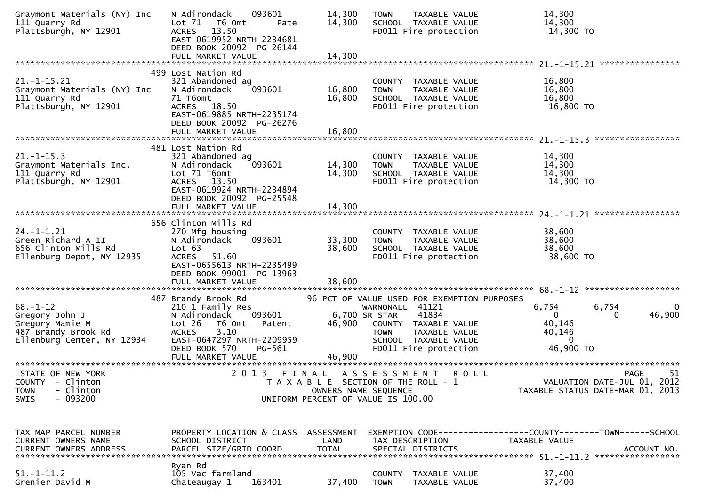| Graymont Materials (NY) Inc<br>111 Quarry Rd<br>Plattsburgh, NY 12901                                    | 093601<br>N Adirondack<br>Lot 71<br>T6 Omt<br>Pate<br>ACRES 13.50<br>EAST-0619952 NRTH-2234681<br>DEED BOOK 20092 PG-26144<br>FULL MARKET VALUE                                     | 14,300<br>14,300<br>14,300    | <b>TAXABLE VALUE</b><br><b>TOWN</b><br>SCHOOL TAXABLE VALUE<br>FD011 Fire protection                                                                                                              | 14,300<br>14,300<br>14,300 TO                                                                |
|----------------------------------------------------------------------------------------------------------|-------------------------------------------------------------------------------------------------------------------------------------------------------------------------------------|-------------------------------|---------------------------------------------------------------------------------------------------------------------------------------------------------------------------------------------------|----------------------------------------------------------------------------------------------|
| $21. -1 - 15.21$<br>Graymont Materials (NY) Inc<br>111 Quarry Rd<br>Plattsburgh, NY 12901                | 499 Lost Nation Rd<br>321 Abandoned ag<br>093601<br>N Adirondack<br>71 T6omt<br><b>ACRES</b><br>18.50<br>EAST-0619885 NRTH-2235174<br>DEED BOOK 20092 PG-26276<br>FULL MARKET VALUE | 16,800<br>16,800<br>16,800    | COUNTY TAXABLE VALUE<br><b>TOWN</b><br>TAXABLE VALUE<br>SCHOOL TAXABLE VALUE<br>FD011 Fire protection                                                                                             | 16,800<br>16,800<br>16,800<br>16,800 TO                                                      |
| $21. - 1 - 15.3$<br>Graymont Materials Inc.<br>111 Quarry Rd<br>Plattsburgh, NY 12901                    | 481 Lost Nation Rd<br>321 Abandoned ag<br>093601<br>N Adirondack<br>Lot 71 T6omt<br>ACRES 13.50<br>EAST-0619924 NRTH-2234894<br>DEED BOOK 20092 PG-25548                            | 14,300<br>14,300              | COUNTY TAXABLE VALUE<br><b>TOWN</b><br>TAXABLE VALUE<br>SCHOOL TAXABLE VALUE<br>FD011 Fire protection                                                                                             | 14,300<br>14,300<br>14,300<br>14,300 TO                                                      |
| $24. - 1 - 1.21$<br>Green Richard A II<br>656 Clinton Mills Rd<br>Ellenburg Depot, NY 12935              | 656 Clinton Mills Rd<br>270 Mfg housing<br>093601<br>N Adirondack<br>Lot 63<br>51.60<br>ACRES<br>EAST-0655613 NRTH-2235499<br>DEED BOOK 99001 PG-13963                              | 33,300<br>38,600              | COUNTY TAXABLE VALUE<br><b>TOWN</b><br>TAXABLE VALUE<br>SCHOOL TAXABLE VALUE<br>FD011 Fire protection                                                                                             | 38,600<br>38,600<br>38,600<br>38,600 TO                                                      |
| $68. - 1 - 12$<br>Gregory John J<br>Gregory Mamie M<br>487 Brandy Brook Rd<br>Ellenburg Center, NY 12934 | 487 Brandy Brook Rd<br>210 1 Family Res<br>093601<br>N Adirondack<br>Lot 26<br>T6 Omt<br>Patent<br>3.10<br><b>ACRES</b><br>EAST-0647297 NRTH-2209959<br>DEED BOOK 570<br>PG-561     | 46,900                        | 96 PCT OF VALUE USED FOR EXEMPTION PURPOSES<br>WARNONALL 41121<br>41834<br>6,700 SR STAR<br>COUNTY TAXABLE VALUE<br>TAXABLE VALUE<br><b>TOWN</b><br>SCHOOL TAXABLE VALUE<br>FD011 Fire protection | 6,754<br>6,754<br>46,900<br>$\Omega$<br>0<br>40,146<br>40,146<br>0<br>46,900 TO              |
| STATE OF NEW YORK<br>COUNTY - Clinton<br>- Clinton<br><b>TOWN</b><br>$-093200$<br><b>SWIS</b>            | 2 0 1 3                                                                                                                                                                             | FINAL<br>OWNERS NAME SEQUENCE | A S S E S S M E N T<br><b>ROLL</b><br>T A X A B L E SECTION OF THE ROLL - 1<br>UNIFORM PERCENT OF VALUE IS 100.00                                                                                 | 51<br>PAGE<br>VALUATION DATE-JUL 01, 2012<br>TAXABLE STATUS DATE-MAR 01, 2013                |
| TAX MAP PARCEL NUMBER<br>CURRENT OWNERS NAME<br><b>CURRENT OWNERS ADDRESS</b>                            | PROPERTY LOCATION & CLASS ASSESSMENT<br>SCHOOL DISTRICT<br>PARCEL SIZE/GRID COORD                                                                                                   | LAND<br><b>TOTAL</b>          | TAX DESCRIPTION<br>SPECIAL DISTRICTS                                                                                                                                                              | EXEMPTION CODE-----------------COUNTY-------TOWN------SCHOOL<br>TAXABLE VALUE<br>ACCOUNT NO. |
| $51.-1-11.2$<br>Grenier David M                                                                          | Ryan Rd<br>105 Vac farmland<br>163401<br>Chateaugay 1                                                                                                                               | 37,400                        | COUNTY TAXABLE VALUE<br><b>TOWN</b><br>TAXABLE VALUE                                                                                                                                              | 37,400<br>37,400                                                                             |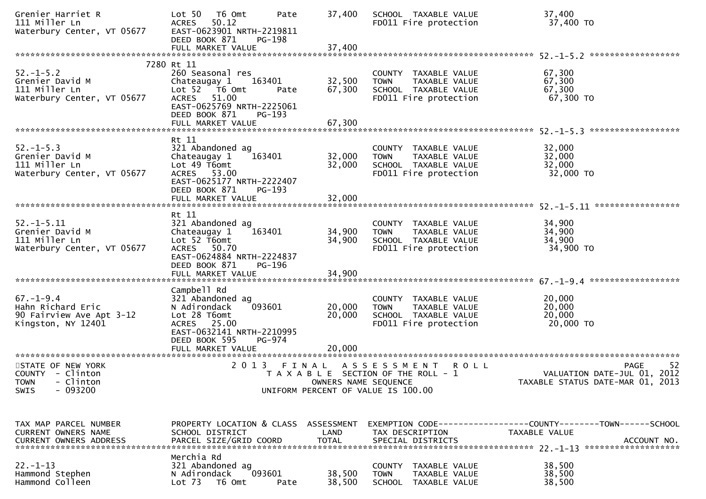| Grenier Harriet R<br>111 Miller Ln<br>Waterbury Center, VT 05677                              | Lot 50<br>T6 Omt<br>Pate<br><b>ACRES</b><br>50.12<br>EAST-0623901 NRTH-2219811<br>DEED BOOK 871<br>$PG-198$                                                                                | 37,400                     | SCHOOL TAXABLE VALUE<br>FD011 Fire protection                                                                     | 37,400<br>37,400 TO                                                              |
|-----------------------------------------------------------------------------------------------|--------------------------------------------------------------------------------------------------------------------------------------------------------------------------------------------|----------------------------|-------------------------------------------------------------------------------------------------------------------|----------------------------------------------------------------------------------|
|                                                                                               |                                                                                                                                                                                            |                            |                                                                                                                   |                                                                                  |
| $52. - 1 - 5.2$<br>Grenier David M<br>111 Miller Ln<br>Waterbury Center, VT 05677             | 7280 Rt 11<br>260 Seasonal res<br>Chateaugay 1<br>163401<br>Lot 52  T6 Omt<br>Pate<br>51.00<br><b>ACRES</b><br>EAST-0625769 NRTH-2225061<br>DEED BOOK 871<br>$PG-193$<br>FULL MARKET VALUE | 32,500<br>67,300<br>67,300 | COUNTY TAXABLE VALUE<br>TAXABLE VALUE<br><b>TOWN</b><br>SCHOOL TAXABLE VALUE<br>FD011 Fire protection             | 67,300<br>67,300<br>67,300<br>67,300 TO                                          |
|                                                                                               |                                                                                                                                                                                            |                            |                                                                                                                   |                                                                                  |
| $52. - 1 - 5.3$<br>Grenier David M<br>111 Miller Ln<br>Waterbury Center, VT 05677             | Rt 11<br>321 Abandoned ag<br>163401<br>Chateaugay 1<br>Lot 49 T6omt<br>ACRES 53.00<br>EAST-0625177 NRTH-2222407<br>DEED BOOK 871<br>PG-193<br>FULL MARKET VALUE                            | 32,000<br>32,000<br>32,000 | COUNTY TAXABLE VALUE<br>TAXABLE VALUE<br><b>TOWN</b><br>SCHOOL TAXABLE VALUE<br>FD011 Fire protection             | 32,000<br>32,000<br>32,000<br>32,000 TO                                          |
|                                                                                               |                                                                                                                                                                                            |                            |                                                                                                                   |                                                                                  |
| $52. - 1 - 5.11$<br>Grenier David M<br>111 Miller Ln<br>Waterbury Center, VT 05677            | Rt 11<br>321 Abandoned ag<br>163401<br>Chateaugay 1<br>Lot 52 T6omt<br>ACRES 50.70<br>EAST-0624884 NRTH-2224837<br>DEED BOOK 871<br>PG-196<br>FULL MARKET VALUE                            | 34,900<br>34,900<br>34,900 | COUNTY TAXABLE VALUE<br>TAXABLE VALUE<br><b>TOWN</b><br>SCHOOL TAXABLE VALUE<br>FD011 Fire protection             | 34,900<br>34,900<br>34,900<br>34,900 TO                                          |
|                                                                                               | Campbell Rd                                                                                                                                                                                |                            |                                                                                                                   |                                                                                  |
| $67. - 1 - 9.4$<br>Hahn Richard Eric<br>90 Fairview Ave Apt 3-12<br>Kingston, NY 12401        | 321 Abandoned ag<br>093601<br>N Adirondack<br>Lot 28 T6omt<br>ACRES 25.00<br>EAST-0632141 NRTH-2210995<br>DEED BOOK 595<br>PG-974<br>FULL MARKET VALUE                                     | 20,000<br>20,000<br>20,000 | COUNTY TAXABLE VALUE<br>TAXABLE VALUE<br><b>TOWN</b><br>SCHOOL TAXABLE VALUE<br>FD011 Fire protection             | 20,000<br>20,000<br>20,000<br>20,000 TO                                          |
|                                                                                               |                                                                                                                                                                                            |                            |                                                                                                                   |                                                                                  |
| STATE OF NEW YORK<br>COUNTY - Clinton<br><b>TOWN</b><br>- Clinton<br>$-093200$<br><b>SWIS</b> | 2 0 1 3<br>FINAL                                                                                                                                                                           | OWNERS NAME SEQUENCE       | A S S E S S M E N T<br><b>ROLL</b><br>T A X A B L E SECTION OF THE ROLL - 1<br>UNIFORM PERCENT OF VALUE IS 100.00 | 52<br>PAGE<br>VALUATION DATE-JUL 01, 2012<br>TAXABLE STATUS DATE-MAR 01,<br>2013 |
| TAX MAP PARCEL NUMBER<br><b>CURRENT OWNERS NAME</b>                                           | PROPERTY LOCATION & CLASS ASSESSMENT<br>SCHOOL DISTRICT                                                                                                                                    | LAND                       | TAX DESCRIPTION                                                                                                   | EXEMPTION CODE-----------------COUNTY-------TOWN------SCHOOL<br>TAXABLE VALUE    |
| $22. - 1 - 13$<br>Hammond Stephen<br>Hammond Colleen                                          | Merchia Rd<br>321 Abandoned ag<br>093601<br>N Adirondack<br>Lot <sub>73</sub><br>T6 Omt<br>Pate                                                                                            | 38,500<br>38,500           | COUNTY TAXABLE VALUE<br><b>TOWN</b><br>TAXABLE VALUE<br>SCHOOL TAXABLE VALUE                                      | 38,500<br>38,500<br>38,500                                                       |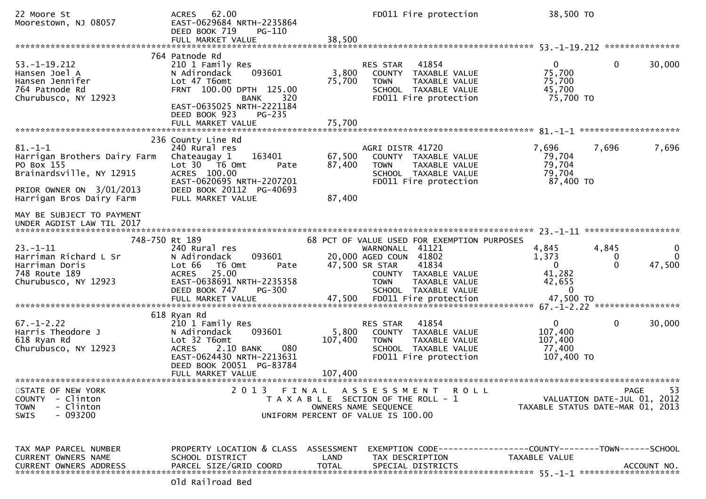22 Moore St ACRES 62.00 FD011 Fire protection 38,500 TO<br>Moorestown. NJ 08057 EAST-0629684 NRTH-2235864 EAST-0629684 NRTH-2235864<br>DEED BOOK 719 PG-110 DEED BOOK 719<br>FULL MARKET VALUE FULL MARKET VALUE 38,500 \*\*\*\*\*\*\*\*\*\*\*\*\*\*\*\*\*\*\*\*\*\*\*\*\*\*\*\*\*\*\*\*\*\*\*\*\*\*\*\*\*\*\*\*\*\*\*\*\*\*\*\*\*\*\*\*\*\*\*\*\*\*\*\*\*\*\*\*\*\*\*\*\*\*\*\*\*\*\*\*\*\*\*\*\*\*\*\*\*\*\*\*\*\*\*\*\*\*\*\*\*\*\* 53.-1-19.212 \*\*\*\*\*\*\*\*\*\*\*\*\*\*\* 764 Patnode Rd210 1 Family Res 53.-1-19.212 210 1 Family Res RES STAR <sup>41854</sup> <sup>0</sup> 0 30,000Hansen Joel A N Adirondack 093601 3,800 COUNTY TAXABLE VALUE 75,70075,700 Hansen Jennifer Lot 47 T6omt 75,700 TOWN TAXABLE VALUE 75,70045.700 764 Patnode Rd FRNT 100.00 DPTH 125.00 SCHOOL TAXABLE VALUE Churubusco, NY 12923 FRNT 100.00 DPTH 125.00 75,700 TO FD011 Fire protection EAST-0635025 NRTH-2221184DEED BOOK 923 PG-235 FULL MARKET VALUE 75,700 \*\*\*\*\*\*\*\*\*\*\*\*\*\*\*\*\*\*\*\*\*\*\*\*\*\*\*\*\*\*\*\*\*\*\*\*\*\*\*\*\*\*\*\*\*\*\*\*\*\*\*\*\*\*\*\*\*\*\*\*\*\*\*\*\*\*\*\*\*\*\*\*\*\*\*\*\*\*\*\*\*\*\*\*\*\*\*\*\*\*\*\*\*\*\*\*\*\*\*\*\*\*\* 81.-1-1 \*\*\*\*\*\*\*\*\*\*\*\*\*\*\*\*\*\*\*\* 236 County Line Rd240 Rural res 81.-1-1 240 Rural res AGRI DISTR 41720 7,696 7,696 7,696Harrigan Brothers Dairy Farm Chateaugay 1 163401 67,500 COUNTY TAXABLE VALUE 79,70479,704 PO Box 155 Lot 30 T6 Omt Pate 87,400 TOWN TAXABLE VALUE 79,70479,704 Brainardsville, NY 12915 ACRES 100.00 ACRES 100.00 SCHOOL TAXABLE VALUE 75,704 ACRES 100.00 87,400 TO EAST-0620695 NRTH-2207201<br>DEED BOOK 20112 PG-40693 PRIOR OWNER ON 3/01/2013 DEED BOOK 20112<br>Harrigan Bros Dairy Farm FULL MARKET VALUE Harrigan Bros Dairy Farm FULL MARKET VALUE 87,400MAY BE SUBJECT TO PAYMENT UNDER AGDIST LAW TIL 2017 \*\*\*\*\*\*\*\*\*\*\*\*\*\*\*\*\*\*\*\*\*\*\*\*\*\*\*\*\*\*\*\*\*\*\*\*\*\*\*\*\*\*\*\*\*\*\*\*\*\*\*\*\*\*\*\*\*\*\*\*\*\*\*\*\*\*\*\*\*\*\*\*\*\*\*\*\*\*\*\*\*\*\*\*\*\*\*\*\*\*\*\*\*\*\*\*\*\*\*\*\*\*\* 23.-1-11 \*\*\*\*\*\*\*\*\*\*\*\*\*\*\*\*\*\*\* 748-750 Rt 189 68 PCT OF VALUE USED FOR EXEMPTION PURPOSES23.-1-11 240 Rural res WARNONALL <sup>41121</sup> 4,845 4,845 <sup>0</sup> $\Omega$ Harriman Richard L Sr N Adirondack 093601 20,000 AGED COUN <sup>41802</sup> 1,373 <sup>0</sup> <sup>0</sup>47,500 Harriman Doris Lot 66 T6 Omt Pate 47,500 SR STAR <sup>41834</sup> <sup>0</sup> 0 47,500748 Route 189 ACRES 25.00 COUNTY TAXABLE VALUE 41,28242.655 EAST-0638691 NRTH-2235358<br>DEED BOOK 747 PG-300  $\Omega$ DEED BOOK 747 PG-300 SCHOOL TAXABLE VALUE<br>FULL MARKET VALUE 47,500 FD011 Fire protection 47,500 TO FULL MARKET VALUE 47,500 FD011 Fire protection 47,500 TO \*\*\*\*\*\*\*\*\*\*\*\*\*\*\*\*\*\*\*\*\*\*\*\*\*\*\*\*\*\*\*\*\*\*\*\*\*\*\*\*\*\*\*\*\*\*\*\*\*\*\*\*\*\*\*\*\*\*\*\*\*\*\*\*\*\*\*\*\*\*\*\*\*\*\*\*\*\*\*\*\*\*\*\*\*\*\*\*\*\*\*\*\*\*\*\*\*\*\*\*\*\*\* 67.-1-2.22 \*\*\*\*\*\*\*\*\*\*\*\*\*\*\*\*\* 618 Ryan Rd210 1 Family Res 67.-1-2.22 210 1 Family Res RES STAR <sup>41854</sup> <sup>0</sup> 0 30,000Harris Theodore J N Adirondack 093601 5,800 COUNTY TAXABLE VALUE 107,400107,400 618 Ryan Rd Lot 32 T6omt 107,400 TOWN TAXABLE VALUE 107,40077.400 Churubusco, NY 12923 ACRES 2.10 BANK 080 SCHOOL TAXABLE VALUE 77,400107,400 TO EAST-0624430 NRTH-2213631 DEED BOOK 20051 PG-83784<br>FULL MARKET VALUE FULL MARKET VALUE 107,400 \*\*\*\*\*\*\*\*\*\*\*\*\*\*\*\*\*\*\*\*\*\*\*\*\*\*\*\*\*\*\*\*\*\*\*\*\*\*\*\*\*\*\*\*\*\*\*\*\*\*\*\*\*\*\*\*\*\*\*\*\*\*\*\*\*\*\*\*\*\*\*\*\*\*\*\*\*\*\*\*\*\*\*\*\*\*\*\*\*\*\*\*\*\*\*\*\*\*\*\*\*\*\*\*\*\*\*\*\*\*\*\*\*\*\*\*\*\*\*\*\*\*\*\*\*\*\*\*\*\*\*\*53 STATE OF NEW YORK 2 0 1 3 F I N A L A S S E S S M E N T R O L L PAGE <sup>53</sup>VALUATION DATE-JUL 01, 2012 COUNTY - Clinton T A X A B L E SECTION OF THE ROLL - 1<br>TOWN - Clinton DWNERS NAME SEQUENCE TOWN - Clinton OWNERS NAME SEQUENCE TAXABLE STATUS DATE-MAR 01, 2013SWIS - 093200 UNIFORM PERCENT OF VALUE IS 100.00TAX MAP PARCEL NUMBER PROPERTY LOCATION & CLASS ASSESSMENT EXEMPTION CODE------------------COUNTY--------TOWN------SCHOOLCURRENT OWNERS NAME SCHOOL DISTRICT LAND TAX DESCRIPTION TAXABLE VALUE<br>CURRENT OWNERS ARRRESS RARGEL SIZE(CRIR)COORR TOTAL SRECIAL RICTRICTS CURRENT OWNERS ADDRESS PARCEL SIZE/GRID COORD TOTAL SPECIAL DISTRICTS ACCOUNT NO. \*\*\*\*\*\*\*\*\*\*\*\*\*\*\*\*\*\*\*\*\*\*\*\*\*\*\*\*\*\*\*\*\*\*\*\*\*\*\*\*\*\*\*\*\*\*\*\*\*\*\*\*\*\*\*\*\*\*\*\*\*\*\*\*\*\*\*\*\*\*\*\*\*\*\*\*\*\*\*\*\*\*\*\*\*\*\*\*\*\*\*\*\*\*\*\*\*\*\*\*\*\*\* 55.-1-1 \*\*\*\*\*\*\*\*\*\*\*\*\*\*\*\*\*\*\*\*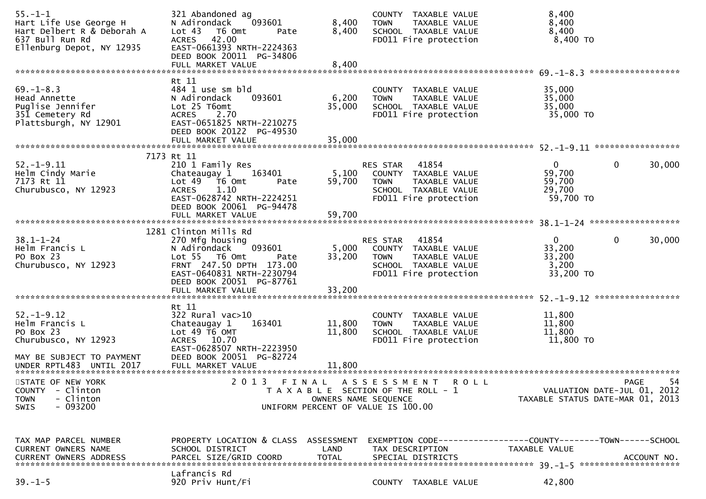| $55. - 1 - 1$<br>Hart Life Use George H<br>Hart Delbert R & Deborah A<br>637 Bull Run Rd<br>Ellenburg Depot, NY 12935 | 321 Abandoned ag<br>N Adirondack<br>093601<br>Lot <sub>43</sub><br>T6 Omt<br>Pate<br>ACRES 42.00<br>EAST-0661393 NRTH-2224363<br>DEED BOOK 20011 PG-34806                                            | 8,400<br>8,400                     | COUNTY TAXABLE VALUE<br>TAXABLE VALUE<br><b>TOWN</b><br>SCHOOL TAXABLE VALUE<br>FD011 Fire protection                      | 8,400<br>8,400<br>8,400<br>8,400 TO                       |                                                  |
|-----------------------------------------------------------------------------------------------------------------------|------------------------------------------------------------------------------------------------------------------------------------------------------------------------------------------------------|------------------------------------|----------------------------------------------------------------------------------------------------------------------------|-----------------------------------------------------------|--------------------------------------------------|
|                                                                                                                       |                                                                                                                                                                                                      |                                    |                                                                                                                            |                                                           | ******************                               |
| $69. - 1 - 8.3$<br>Head Annette<br>Puglise Jennifer<br>351 Cemetery Rd<br>Plattsburgh, NY 12901                       | Rt 11<br>484 1 use sm bld<br>N Adirondack<br>093601<br>Lot 25 T6omt<br><b>ACRES</b><br>2.70<br>EAST-0651825 NRTH-2210275<br>DEED BOOK 20122 PG-49530<br>FULL MARKET VALUE                            | 6,200<br>35,000<br>35,000          | COUNTY TAXABLE VALUE<br>TAXABLE VALUE<br><b>TOWN</b><br>SCHOOL TAXABLE VALUE<br>FD011 Fire protection                      | 35,000<br>35,000<br>35,000<br>35,000 TO                   |                                                  |
|                                                                                                                       |                                                                                                                                                                                                      |                                    |                                                                                                                            |                                                           |                                                  |
| $52. - 1 - 9.11$<br>Helm Cindy Marie<br>7173 Rt 11<br>Churubusco, NY 12923                                            | 7173 Rt 11<br>210 1 Family Res<br>Chateaugay 1<br>163401<br>Lot 49  T6 Omt<br>Pate<br>1.10<br><b>ACRES</b><br>EAST-0628742 NRTH-2224251<br>DEED BOOK 20061 PG-94478<br>FULL MARKET VALUE             | 5,100<br>59,700<br>59,700          | 41854<br>RES STAR<br>COUNTY TAXABLE VALUE<br>TAXABLE VALUE<br><b>TOWN</b><br>SCHOOL TAXABLE VALUE<br>FD011 Fire protection | $\overline{0}$<br>59,700<br>59,700<br>29,700<br>59,700 TO | $\mathbf{0}$<br>30,000                           |
|                                                                                                                       |                                                                                                                                                                                                      |                                    |                                                                                                                            |                                                           |                                                  |
| $38.1 - 1 - 24$<br>Helm Francis L<br>PO Box 23<br>Churubusco, NY 12923                                                | 1281 Clinton Mills Rd<br>270 Mfg housing<br>093601<br>N Adirondack<br>Lot 55 T6 Omt<br>Pate<br>FRNT 247.50 DPTH 173.00<br>EAST-0640831 NRTH-2230794<br>DEED BOOK 20051 PG-87761<br>FULL MARKET VALUE | 5,000<br>33,200<br>33,200          | RES STAR<br>41854<br>COUNTY TAXABLE VALUE<br><b>TOWN</b><br>TAXABLE VALUE<br>SCHOOL TAXABLE VALUE<br>FD011 Fire protection | $\Omega$<br>33,200<br>33,200<br>3,200<br>33,200 TO        | $\mathbf 0$<br>30,000                            |
|                                                                                                                       |                                                                                                                                                                                                      |                                    |                                                                                                                            |                                                           |                                                  |
| $52. - 1 - 9.12$<br>Helm Francis L<br>PO Box 23<br>Churubusco, NY 12923<br>MAY BE SUBJECT TO PAYMENT                  | Rt 11<br>$322$ Rural vac $>10$<br>Chateaugay 1<br>163401<br>Lot 49 T6 OMT<br>ACRES 10.70<br>EAST-0628507 NRTH-2223950<br>DEED BOOK 20051 PG-82724                                                    | 11,800<br>11,800                   | COUNTY TAXABLE VALUE<br>TAXABLE VALUE<br><b>TOWN</b><br>SCHOOL TAXABLE VALUE<br>FD011 Fire protection                      | 11,800<br>11,800<br>11,800<br>11,800 TO                   |                                                  |
| UNDER RPTL483 UNTIL 2017                                                                                              | FULL MARKET VALUE                                                                                                                                                                                    | 11,800                             |                                                                                                                            |                                                           |                                                  |
| STATE OF NEW YORK<br><b>COUNTY</b><br>- Clinton<br>- Clinton<br><b>TOWN</b><br>$-093200$<br>SWIS                      | 2 0 1 3                                                                                                                                                                                              | FINAL<br>OWNERS NAME SEQUENCE      | A S S E S S M E N T<br>R O L L<br>T A X A B L E SECTION OF THE ROLL - 1<br>UNIFORM PERCENT OF VALUE IS 100.00              | TAXABLE STATUS DATE-MAR 01, 2013                          | 54<br><b>PAGE</b><br>VALUATION DATE-JUL 01, 2012 |
| TAX MAP PARCEL NUMBER<br>CURRENT OWNERS NAME<br><b>CURRENT OWNERS ADDRESS</b>                                         | PROPERTY LOCATION & CLASS<br>SCHOOL DISTRICT<br>PARCEL SIZE/GRID COORD                                                                                                                               | ASSESSMENT<br>LAND<br><b>TOTAL</b> | EXEMPTION CODE-----------------COUNTY-------TOWN------SCHOOL<br>TAX DESCRIPTION<br>SPECIAL DISTRICTS                       | TAXABLE VALUE                                             | ACCOUNT NO.                                      |
| $39. - 1 - 5$                                                                                                         | Lafrancis Rd<br>920 Priv Hunt/Fi                                                                                                                                                                     |                                    | COUNTY TAXABLE VALUE                                                                                                       | 42,800                                                    |                                                  |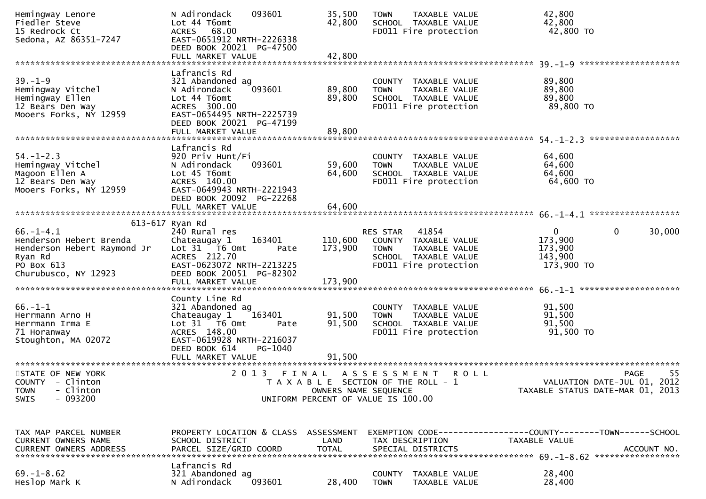| Hemingway Lenore<br>Fiedler Steve<br>15 Redrock Ct<br>Sedona, AZ 86351-7247                                                | 093601<br>N Adirondack<br>Lot 44 T6omt<br>ACRES 68.00<br>EAST-0651912 NRTH-2226338<br>DEED BOOK 20021 PG-47500<br>FULL MARKET VALUE                                               | 35,500<br>42,800<br>42,800    | <b>TOWN</b><br>TAXABLE VALUE<br>SCHOOL TAXABLE VALUE<br>FD011 Fire protection                                              | 42,800<br>42,800<br>42,800 TO                                                                |
|----------------------------------------------------------------------------------------------------------------------------|-----------------------------------------------------------------------------------------------------------------------------------------------------------------------------------|-------------------------------|----------------------------------------------------------------------------------------------------------------------------|----------------------------------------------------------------------------------------------|
|                                                                                                                            |                                                                                                                                                                                   |                               |                                                                                                                            |                                                                                              |
| $39. - 1 - 9$<br>Hemingway Vitchel<br>Hemingway Ellen<br>12 Bears Den Way<br>Mooers Forks, NY 12959                        | Lafrancis Rd<br>321 Abandoned ag<br>093601<br>N Adirondack<br>Lot 44 T6omt<br>ACRES 300.00<br>EAST-0654495 NRTH-2225739<br>DEED BOOK 20021 PG-47199<br>FULL MARKET VALUE          | 89,800<br>89,800<br>89,800    | COUNTY TAXABLE VALUE<br><b>TOWN</b><br>TAXABLE VALUE<br>SCHOOL TAXABLE VALUE<br>FD011 Fire protection                      | 89,800<br>89,800<br>89,800<br>89,800 TO                                                      |
|                                                                                                                            |                                                                                                                                                                                   |                               |                                                                                                                            |                                                                                              |
| $54. - 1 - 2.3$<br>Hemingway Vitchel<br>Magoon Ellen A<br>12 Bears Den Way<br>Mooers Forks, NY 12959                       | Lafrancis Rd<br>920 Priv Hunt/Fi<br>N Adirondack<br>093601<br>Lot 45 T6omt<br>ACRES 140.00<br>EAST-0649943 NRTH-2221943<br>DEED BOOK 20092 PG-22268                               | 59,600<br>64,600              | COUNTY TAXABLE VALUE<br><b>TOWN</b><br>TAXABLE VALUE<br>SCHOOL TAXABLE VALUE<br>FD011 Fire protection                      | 64,600<br>64,600<br>64,600<br>64,600 TO                                                      |
|                                                                                                                            | FULL MARKET VALUE                                                                                                                                                                 | 64,600                        |                                                                                                                            |                                                                                              |
|                                                                                                                            |                                                                                                                                                                                   |                               |                                                                                                                            |                                                                                              |
| $66. - 1 - 4.1$<br>Henderson Hebert Brenda<br>Henderson Hebert Raymond Jr<br>Ryan Rd<br>PO Box 613<br>Churubusco, NY 12923 | 613-617 Ryan Rd<br>240 Rural res<br>163401<br>Chateaugay 1<br>Lot 31 76 0mt<br>Pate<br>ACRES 212.70<br>EAST-0623072 NRTH-2213225<br>DEED BOOK 20051 PG-82302<br>FULL MARKET VALUE | 110,600<br>173,900<br>173,900 | 41854<br>RES STAR<br>COUNTY TAXABLE VALUE<br><b>TOWN</b><br>TAXABLE VALUE<br>SCHOOL TAXABLE VALUE<br>FD011 Fire protection | 0<br>$\mathbf{0}$<br>30,000<br>173,900<br>173,900<br>143,900<br>173,900 TO                   |
|                                                                                                                            |                                                                                                                                                                                   |                               |                                                                                                                            |                                                                                              |
| $66. - 1 - 1$<br>Herrmann Arno H<br>Herrmann Irma E<br>71 Horanway<br>Stoughton, MA 02072                                  | County Line Rd<br>321 Abandoned ag<br>Chateaugay 1<br>163401<br>Lot 31 76 0mt<br>Pate<br>ACRES 148.00<br>EAST-0619928 NRTH-2216037<br>DEED BOOK 614<br>PG-1040                    | 91,500<br>91,500              | COUNTY TAXABLE VALUE<br>TAXABLE VALUE<br><b>TOWN</b><br>SCHOOL TAXABLE VALUE<br>FD011 Fire protection                      | 91,500<br>91,500<br>91,500<br>91,500 TO                                                      |
|                                                                                                                            |                                                                                                                                                                                   |                               |                                                                                                                            |                                                                                              |
| STATE OF NEW YORK<br>COUNTY - Clinton<br>- Clinton<br><b>TOWN</b><br>$-093200$<br>SWIS                                     |                                                                                                                                                                                   | OWNERS NAME SEQUENCE          | 2013 FINAL ASSESSMENT ROLL<br>T A X A B L E SECTION OF THE ROLL - 1<br>UNIFORM PERCENT OF VALUE IS 100.00                  | 55<br>PAGE<br>VALUATION DATE-JUL 01, 2012<br>TAXABLE STATUS DATE-MAR 01, 2013                |
| TAX MAP PARCEL NUMBER<br>CURRENT OWNERS NAME<br>CURRENT OWNERS ADDRESS                                                     | PROPERTY LOCATION & CLASS ASSESSMENT<br>SCHOOL DISTRICT<br>PARCEL SIZE/GRID COORD                                                                                                 | LAND<br><b>TOTAL</b>          | TAX DESCRIPTION<br>SPECIAL DISTRICTS                                                                                       | EXEMPTION CODE-----------------COUNTY-------TOWN------SCHOOL<br>TAXABLE VALUE<br>ACCOUNT NO. |
| $69. - 1 - 8.62$<br>Heslop Mark K                                                                                          | Lafrancis Rd<br>321 Abandoned ag<br>N Adirondack<br>093601                                                                                                                        | 28,400                        | COUNTY TAXABLE VALUE<br><b>TOWN</b><br>TAXABLE VALUE                                                                       | 28,400<br>28,400                                                                             |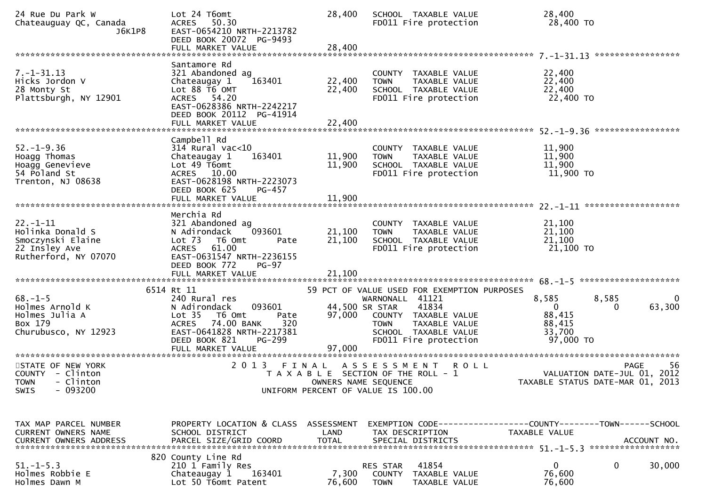| 24 Rue Du Park W<br>Chateauguay QC, Canada<br>J6K1P8                                             | Lot 24 T6omt<br>50.30<br><b>ACRES</b><br>EAST-0654210 NRTH-2213782<br>DEED BOOK 20072 PG-9493                                                                                                    | 28,400                                                                      |                                                  | SCHOOL TAXABLE VALUE<br>FD011 Fire protection                                                   | 28,400<br>28,400 TO                                                           |                                                                                      |
|--------------------------------------------------------------------------------------------------|--------------------------------------------------------------------------------------------------------------------------------------------------------------------------------------------------|-----------------------------------------------------------------------------|--------------------------------------------------|-------------------------------------------------------------------------------------------------|-------------------------------------------------------------------------------|--------------------------------------------------------------------------------------|
| $7. - 1 - 31.13$<br>Hicks Jordon V<br>28 Monty St<br>Plattsburgh, NY 12901                       | Santamore Rd<br>321 Abandoned ag<br>Chateaugay 1<br>163401<br>Lot 88 T6 OMT<br>ACRES 54.20<br>EAST-0628386 NRTH-2242217<br>DEED BOOK 20112 PG-41914                                              | 22,400<br>22,400                                                            | <b>TOWN</b>                                      | COUNTY TAXABLE VALUE<br>TAXABLE VALUE<br>SCHOOL TAXABLE VALUE<br>FD011 Fire protection          | 22,400<br>22,400<br>22,400<br>22,400 TO                                       |                                                                                      |
|                                                                                                  |                                                                                                                                                                                                  |                                                                             |                                                  |                                                                                                 |                                                                               | *****************                                                                    |
| $52. - 1 - 9.36$<br>Hoagg Thomas<br>Hoagg Genevieve<br>54 Poland St<br>Trenton, NJ 08638         | Campbell Rd<br>$314$ Rural vac<10<br>163401<br>Chateaugay 1<br>Lot 49 T6omt<br>ACRES 10.00<br>EAST-0628198 NRTH-2223073<br>DEED BOOK 625<br>PG-457                                               | 11,900<br>11,900                                                            | <b>TOWN</b>                                      | COUNTY TAXABLE VALUE<br>TAXABLE VALUE<br>SCHOOL TAXABLE VALUE<br>FD011 Fire protection          | 11,900<br>11,900<br>11,900<br>$11,900$ TO                                     |                                                                                      |
|                                                                                                  |                                                                                                                                                                                                  |                                                                             |                                                  |                                                                                                 |                                                                               |                                                                                      |
| $22. - 1 - 11$<br>Holinka Donald S<br>Smoczynski Elaine<br>22 Insley Ave<br>Rutherford, NY 07070 | Merchia Rd<br>321 Abandoned ag<br>093601<br>N Adirondack<br>Lot <sub>73</sub><br>T6 Omt<br>Pate<br>61.00<br><b>ACRES</b><br>EAST-0631547 NRTH-2236155<br>DEED BOOK 772<br>$PG-97$                | 21,100<br>21,100                                                            | <b>TOWN</b>                                      | COUNTY TAXABLE VALUE<br>TAXABLE VALUE<br>SCHOOL TAXABLE VALUE<br>FD011 Fire protection          | 21,100<br>21,100<br>21,100<br>21,100 TO                                       |                                                                                      |
|                                                                                                  | 6514 Rt 11                                                                                                                                                                                       |                                                                             |                                                  | 59 PCT OF VALUE USED FOR EXEMPTION PURPOSES                                                     |                                                                               |                                                                                      |
| $68. - 1 - 5$<br>Holmes Arnold K<br>Holmes Julia A<br>Box 179<br>Churubusco, NY 12923            | 240 Rural res<br>093601<br>N Adirondack<br>Lot <sub>35</sub><br>T6 Omt<br>Pate<br>74.00 BANK<br>320<br><b>ACRES</b><br>EAST-0641828 NRTH-2217381<br>PG-299<br>DEED BOOK 821<br>FULL MARKET VALUE | 97,000<br>97,000                                                            | WARNONALL 41121<br>44,500 SR STAR<br><b>TOWN</b> | 41834<br>COUNTY TAXABLE VALUE<br>TAXABLE VALUE<br>SCHOOL TAXABLE VALUE<br>FD011 Fire protection | 8,585<br>$\Omega$<br>88,415<br>88,415<br>33,700<br>97,000 TO                  | 8,585<br>0<br>63,300                                                                 |
| STATE OF NEW YORK<br>COUNTY - Clinton<br>TOWN - Clinton<br>$-093200$<br><b>SWIS</b>              | 2 0 1 3<br>FINAL                                                                                                                                                                                 | T A X A B L E SECTION OF THE ROLL - 1<br>UNIFORM PERCENT OF VALUE IS 100.00 | ASSESSMENT<br>OWNERS NAME SEQUENCE               | <b>ROLL</b>                                                                                     |                                                                               | 56<br><b>PAGE</b><br>VALUATION DATE-JUL 01, 2012<br>TAXABLE STATUS DATE-MAR 01, 2013 |
| TAX MAP PARCEL NUMBER<br><b>CURRENT OWNERS NAME</b>                                              | PROPERTY LOCATION & CLASS ASSESSMENT<br>SCHOOL DISTRICT                                                                                                                                          | LAND                                                                        | TAX DESCRIPTION                                  |                                                                                                 | EXEMPTION CODE-----------------COUNTY--------TOWN-----SCHOOL<br>TAXABLE VALUE |                                                                                      |
| $51. - 1 - 5.3$<br>Holmes Robbie E<br>Holmes Dawn M                                              | 820 County Line Rd<br>210 1 Family Res<br>163401<br>Chateaugay 1<br>Lot 50 T6omt Patent                                                                                                          | 7,300<br>76,600                                                             | RES STAR<br><b>TOWN</b>                          | 41854<br>COUNTY TAXABLE VALUE<br>TAXABLE VALUE                                                  | $\mathbf{0}$<br>76,600<br>76,600                                              | $\mathbf 0$<br>30,000                                                                |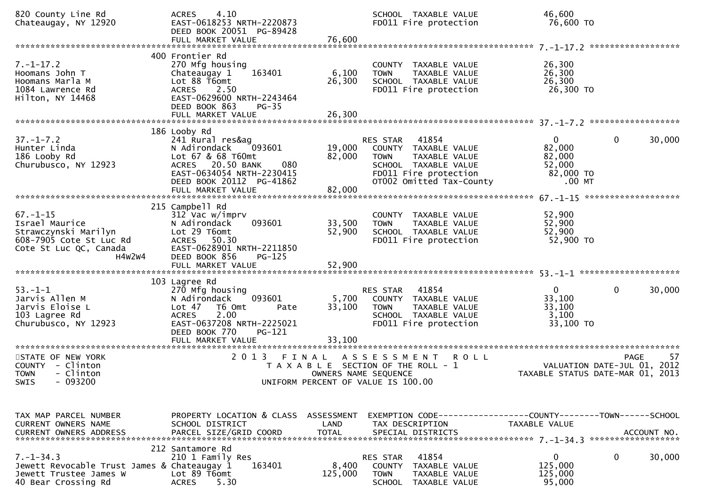| 820 County Line Rd<br>Chateaugay, NY 12920                                                                              | 4.10<br><b>ACRES</b><br>EAST-0618253 NRTH-2220873<br>DEED BOOK 20051 PG-89428<br>FULL MARKET VALUE                                                                                       | 76,600                        | SCHOOL TAXABLE VALUE<br>FD011 Fire protection                                                                                                                 | 46,600<br>76,600 TO                                                   |                                                   |
|-------------------------------------------------------------------------------------------------------------------------|------------------------------------------------------------------------------------------------------------------------------------------------------------------------------------------|-------------------------------|---------------------------------------------------------------------------------------------------------------------------------------------------------------|-----------------------------------------------------------------------|---------------------------------------------------|
| $7. - 1 - 17.2$<br>Hoomans John T<br>Hoomans Marla M<br>1084 Lawrence Rd<br>Hilton, NY 14468                            | 400 Frontier Rd<br>270 Mfg housing<br>163401<br>Chateaugay 1<br>Lot 88 T6omt<br>ACRES 2.50<br>EAST-0629600 NRTH-2243464<br>DEED BOOK 863<br>$PG-35$<br>FULL MARKET VALUE                 | 6,100<br>26,300<br>26,300     | COUNTY TAXABLE VALUE<br><b>TOWN</b><br>TAXABLE VALUE<br>SCHOOL TAXABLE VALUE<br>FD011 Fire protection                                                         | 26,300<br>26,300<br>26,300<br>26,300 TO                               |                                                   |
| $37. - 1 - 7.2$<br>Hunter Linda<br>186 Looby Rd<br>Churubusco, NY 12923                                                 | 186 Looby Rd<br>241 Rural res&ag<br>093601<br>N Adirondack<br>Lot 67 & 68 T60mt<br>ACRES 20.50 BANK<br>080<br>EAST-0634054 NRTH-2230415<br>DEED BOOK 20112 PG-41862<br>FULL MARKET VALUE | 82,000<br>82,000              | RES STAR<br>41854<br>19,000 COUNTY TAXABLE VALUE<br><b>TOWN</b><br>TAXABLE VALUE<br>SCHOOL TAXABLE VALUE<br>FD011 Fire protection<br>OT002 Omitted Tax-County | $\overline{0}$<br>82,000<br>82,000<br>52,000<br>82,000 TO<br>$.00$ MT | $\mathbf 0$<br>30,000                             |
| $67. - 1 - 15$<br>Israel Maurice<br>Strawczynski Marilyn<br>608-7905 Cote St Luc Rd<br>Cote St Luc QC, Canada<br>H4W2W4 | 215 Campbell Rd<br>312 Vac w/imprv<br>N Adirondack<br>093601<br>Lot 29 T6omt<br>ACRES 50.30<br>EAST-0628901 NRTH-2211850<br>DEED BOOK 856<br>$PG-125$                                    | 33,500<br>52,900              | COUNTY TAXABLE VALUE<br>TAXABLE VALUE<br><b>TOWN</b><br>SCHOOL TAXABLE VALUE<br>FD011 Fire protection                                                         | 52,900<br>52,900<br>52,900<br>52,900 TO                               |                                                   |
| $53.-1-1$<br>Jarvis Allen M<br>Jarvis Eloise L<br>103 Lagree Rd<br>Churubusco, NY 12923                                 | 103 Lagree Rd<br>270 Mfg housing<br>093601<br>N Adirondack<br>Lot 47 76 0mt<br>Pate<br>2.00<br><b>ACRES</b><br>EAST-0637208 NRTH-2225021<br>DEED BOOK 770<br>PG-121<br>FULL MARKET VALUE | 5,700<br>33,100<br>33,100     | 41854<br>RES STAR<br>COUNTY TAXABLE VALUE<br>TOWN<br>TAXABLE VALUE<br>SCHOOL TAXABLE VALUE<br>FD011 Fire protection                                           | $\overline{0}$<br>33,100<br>33,100<br>3,100<br>33,100 TO              | $\mathbf{0}$<br>30,000                            |
| STATE OF NEW YORK<br>COUNTY - Clinton<br>- Clinton<br><b>TOWN</b><br>SWIS - 093200                                      | 2 0 1 3                                                                                                                                                                                  | FINAL<br>OWNERS NAME SEQUENCE | A S S E S S M E N T<br><b>ROLL</b><br>T A X A B L E SECTION OF THE ROLL - 1<br>UNIFORM PERCENT OF VALUE IS 100.00                                             | TAXABLE STATUS DATE-MAR 01, 2013                                      | -57<br><b>PAGE</b><br>VALUATION DATE-JUL 01, 2012 |
| TAX MAP PARCEL NUMBER<br>CURRENT OWNERS NAME                                                                            | PROPERTY LOCATION & CLASS ASSESSMENT<br>SCHOOL DISTRICT                                                                                                                                  | LAND                          | EXEMPTION        CODE-----------------COUNTY-------TOWN------SCHOOL<br>TAX DESCRIPTION                                                                        | TAXABLE VALUE                                                         |                                                   |
| $7. - 1 - 34.3$<br>Jewett Revocable Trust James & Chateaugay 1<br>Jewett Trustee James W<br>40 Bear Crossing Rd         | 212 Santamore Rd<br>210 1 Family Res<br>163401<br>Lot 89 T6omt<br><b>ACRES</b><br>5.30                                                                                                   | 8,400<br>125,000              | 41854<br>RES STAR<br>COUNTY TAXABLE VALUE<br><b>TOWN</b><br>TAXABLE VALUE<br>SCHOOL TAXABLE VALUE                                                             | $\mathbf{0}$<br>125,000<br>125,000<br>95,000                          | 30,000<br>0                                       |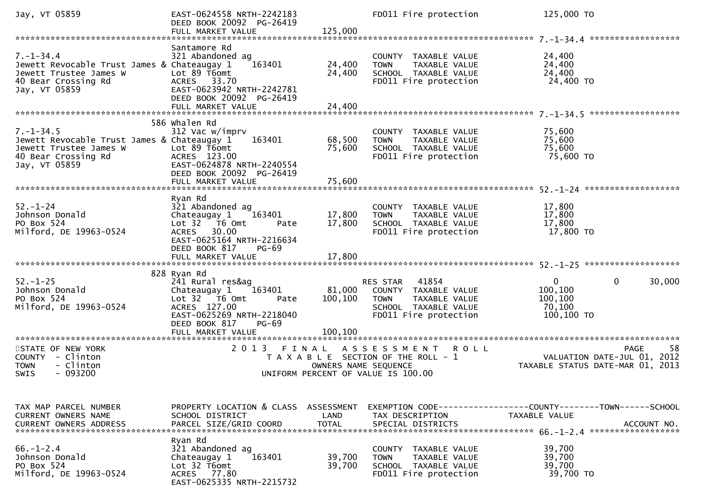| Jay, VT 05859                                                                                                                    | EAST-0624558 NRTH-2242183<br>DEED BOOK 20092 PG-26419                                                                                                                            |                                    | FD011 Fire protection                                                                                                      | 125,000 TO                                                                                          |
|----------------------------------------------------------------------------------------------------------------------------------|----------------------------------------------------------------------------------------------------------------------------------------------------------------------------------|------------------------------------|----------------------------------------------------------------------------------------------------------------------------|-----------------------------------------------------------------------------------------------------|
| $7. - 1 - 34.4$<br>Jewett Revocable Trust James & Chateaugay 1<br>Jewett Trustee James W<br>40 Bear Crossing Rd<br>Jay, VT 05859 | Santamore Rd<br>321 Abandoned ag<br>163401<br>Lot 89 T6omt<br>ACRES 33.70<br>EAST-0623942 NRTH-2242781<br>DEED BOOK 20092 PG-26419<br>FULL MARKET VALUE                          | 24,400<br>24,400<br>24,400         | COUNTY TAXABLE VALUE<br>TAXABLE VALUE<br><b>TOWN</b><br>SCHOOL TAXABLE VALUE<br>FD011 Fire protection                      | 24,400<br>24,400<br>24,400<br>24,400 TO                                                             |
|                                                                                                                                  | 586 whalen Rd                                                                                                                                                                    |                                    |                                                                                                                            |                                                                                                     |
| $7. - 1 - 34.5$<br>Jewett Revocable Trust James & Chateaugay 1<br>Jewett Trustee James W<br>40 Bear Crossing Rd<br>Jay, VT 05859 | 312 Vac w/imprv<br>163401<br>Lot 89 T6omt<br>ACRES 123.00<br>EAST-0624878 NRTH-2240554<br>DEED BOOK 20092 PG-26419                                                               | 68,500<br>75,600                   | COUNTY TAXABLE VALUE<br>TAXABLE VALUE<br><b>TOWN</b><br>SCHOOL TAXABLE VALUE<br>FD011 Fire protection                      | 75,600<br>75,600<br>75,600<br>75,600 TO                                                             |
|                                                                                                                                  | FULL MARKET VALUE                                                                                                                                                                | 75,600                             |                                                                                                                            |                                                                                                     |
| $52 - 1 - 24$<br>Johnson Donald<br>PO Box 524<br>Milford, DE 19963-0524                                                          | Ryan Rd<br>321 Abandoned ag<br>Chateaugay 1<br>163401<br>Lot 32 76 0mt<br>Pate<br>ACRES 30.00<br>EAST-0625164 NRTH-2216634<br>DEED BOOK 817<br><b>PG-69</b><br>FULL MARKET VALUE | 17,800<br>17,800<br>17,800         | COUNTY TAXABLE VALUE<br>TAXABLE VALUE<br><b>TOWN</b><br>SCHOOL TAXABLE VALUE<br>FD011 Fire protection                      | 17,800<br>17,800<br>17,800<br>17,800 TO                                                             |
|                                                                                                                                  |                                                                                                                                                                                  |                                    |                                                                                                                            |                                                                                                     |
| $52. - 1 - 25$<br>Johnson Donald<br>PO Box 524<br>Milford, DE 19963-0524                                                         | 828 Ryan Rd<br>241 Rural res&ag<br>Chateaugay 1<br>163401<br>Lot 32 76 0mt<br>Pate<br>ACRES 127.00<br>EAST-0625269 NRTH-2218040<br>DEED BOOK 817<br>PG-69<br>FULL MARKET VALUE   | 81,000<br>100,100<br>100,100       | 41854<br>RES STAR<br>COUNTY TAXABLE VALUE<br><b>TOWN</b><br>TAXABLE VALUE<br>SCHOOL TAXABLE VALUE<br>FD011 Fire protection | $\mathbf{0}$<br>30,000<br>0<br>100,100<br>100,100<br>70,100<br>100,100 TO                           |
| *********************                                                                                                            | ********************                                                                                                                                                             |                                    |                                                                                                                            |                                                                                                     |
| STATE OF NEW YORK<br>COUNTY - Clinton<br><b>TOWN</b><br>- Clinton<br>$-093200$<br><b>SWIS</b>                                    | 2 0 1 3<br>FINAL                                                                                                                                                                 | OWNERS NAME SEQUENCE               | A S S E S S M E N T<br><b>ROLL</b><br>T A X A B L E SECTION OF THE ROLL - 1<br>UNIFORM PERCENT OF VALUE IS 100.00          | 58<br>PAGE<br>VALUATION DATE-JUL 01,<br>2012<br>TAXABLE STATUS DATE-MAR 01, 2013                    |
|                                                                                                                                  |                                                                                                                                                                                  |                                    |                                                                                                                            |                                                                                                     |
| TAX MAP PARCEL NUMBER<br>CURRENT OWNERS NAME<br><b>CURRENT OWNERS ADDRESS</b>                                                    | PROPERTY LOCATION & CLASS<br>SCHOOL DISTRICT<br>PARCEL SIZE/GRID COORD                                                                                                           | ASSESSMENT<br>LAND<br><b>TOTAL</b> | TAX DESCRIPTION<br>SPECIAL DISTRICTS                                                                                       | EXEMPTION        CODE-----------------COUNTY-------TOWN------SCHOOL<br>TAXABLE VALUE<br>ACCOUNT NO. |
| $66. - 1 - 2.4$<br>Johnson Donald<br>PO Box 524<br>Milford, DE 19963-0524                                                        | Ryan Rd<br>321 Abandoned ag<br>163401<br>Chateaugay 1<br>Lot 32 T6omt<br>ACRES 77.80<br>EAST-0625335 NRTH-2215732                                                                | 39,700<br>39,700                   | COUNTY TAXABLE VALUE<br><b>TOWN</b><br>TAXABLE VALUE<br>SCHOOL TAXABLE VALUE<br>FD011 Fire protection                      | 39,700<br>39,700<br>39,700<br>39,700 TO                                                             |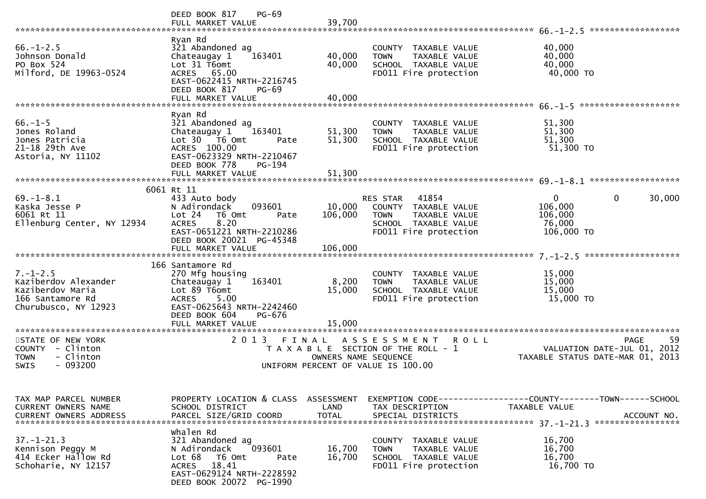|                                                                                                                 | PG-69<br>DEED BOOK 817<br>FULL MARKET VALUE                                                                                                                             | 39,700                     |                                                                                                                            | ******************                                                                                                                                                                                                                              |        |
|-----------------------------------------------------------------------------------------------------------------|-------------------------------------------------------------------------------------------------------------------------------------------------------------------------|----------------------------|----------------------------------------------------------------------------------------------------------------------------|-------------------------------------------------------------------------------------------------------------------------------------------------------------------------------------------------------------------------------------------------|--------|
| $66. - 1 - 2.5$<br>Johnson Donald<br>PO Box 524<br>Milford, DE 19963-0524                                       | Ryan Rd<br>321 Abandoned ag<br>163401<br>Chateaugay 1<br>Lot 31 T6omt<br>ACRES 65.00<br>EAST-0622415 NRTH-2216745<br>DEED BOOK 817<br><b>PG-69</b><br>FULL MARKET VALUE | 40,000<br>40,000<br>40,000 | COUNTY TAXABLE VALUE<br><b>TOWN</b><br>TAXABLE VALUE<br>SCHOOL TAXABLE VALUE<br>FD011 Fire protection                      | 40,000<br>40,000<br>40,000<br>40,000 TO                                                                                                                                                                                                         |        |
|                                                                                                                 |                                                                                                                                                                         |                            |                                                                                                                            |                                                                                                                                                                                                                                                 |        |
| $66. - 1 - 5$<br>Jones Roland<br>Jones Patricia<br>21-18 29th Ave<br>Astoria, NY 11102                          | Ryan Rd<br>321 Abandoned ag<br>Chateaugay 1<br>163401<br>Lot 30 T6 Omt<br>Pate<br>ACRES 100.00<br>EAST-0623329 NRTH-2210467<br>DEED BOOK 778<br>PG-194                  | 51,300<br>51,300           | COUNTY TAXABLE VALUE<br><b>TOWN</b><br>TAXABLE VALUE<br>SCHOOL TAXABLE VALUE<br>FD011 Fire protection                      | 51,300<br>51,300<br>51,300<br>51,300 TO                                                                                                                                                                                                         |        |
|                                                                                                                 | FULL MARKET VALUE                                                                                                                                                       | 51,300                     |                                                                                                                            |                                                                                                                                                                                                                                                 |        |
|                                                                                                                 | 6061 Rt 11                                                                                                                                                              |                            |                                                                                                                            |                                                                                                                                                                                                                                                 |        |
| $69. - 1 - 8.1$<br>Kaska Jesse P<br>6061 Rt 11<br>Ellenburg Center, NY 12934                                    | 433 Auto body<br>093601<br>N Adirondack<br>Lot 24<br>T6 Omt<br>Pate<br>8.20<br><b>ACRES</b><br>EAST-0651221 NRTH-2210286<br>DEED BOOK 20021 PG-45348                    | 10,000<br>106,000          | 41854<br>RES STAR<br>COUNTY TAXABLE VALUE<br><b>TOWN</b><br>TAXABLE VALUE<br>SCHOOL TAXABLE VALUE<br>FD011 Fire protection | 0<br>0<br>106,000<br>106,000<br>76,000<br>106,000 TO                                                                                                                                                                                            | 30,000 |
|                                                                                                                 | FULL MARKET VALUE                                                                                                                                                       | 106,000                    |                                                                                                                            |                                                                                                                                                                                                                                                 |        |
| $7. - 1 - 2.5$<br>Kaziberdov Alexander<br>Kaziberdov Maria<br>166 Santamore Rd<br>Churubusco, NY 12923          | 166 Santamore Rd<br>270 Mfg housing<br>163401<br>Chateaugay 1<br>Lot 89 T6omt<br>5.00<br><b>ACRES</b><br>EAST-0625643 NRTH-2242460<br>DEED BOOK 604<br>PG-676           | 8,200<br>15,000            | COUNTY TAXABLE VALUE<br><b>TOWN</b><br>TAXABLE VALUE<br>SCHOOL TAXABLE VALUE<br>FD011 Fire protection                      | 15,000<br>15,000<br>15,000<br>15,000 TO                                                                                                                                                                                                         |        |
|                                                                                                                 | FULL MARKET VALUE                                                                                                                                                       | 15,000                     |                                                                                                                            |                                                                                                                                                                                                                                                 |        |
| *********************<br>STATE OF NEW YORK<br>COUNTY - Clinton<br>- Clinton<br><b>TOWN</b><br>$-093200$<br>SWIS | ***********************<br>2 0 1 3<br>FINAL                                                                                                                             | OWNERS NAME SEQUENCE       | ASSESSMENT ROLL<br>T A X A B L E SECTION OF THE ROLL - 1<br>UNIFORM PERCENT OF VALUE IS 100.00                             | <b>PAGE</b><br>VALUATION DATE-JUL 01, 2012<br>TAXABLE STATUS DATE-MAR 01, 2013                                                                                                                                                                  | 59     |
| TAX MAP PARCEL NUMBER<br>CURRENT OWNERS NAME                                                                    | PROPERTY LOCATION & CLASS<br>SCHOOL DISTRICT                                                                                                                            | ASSESSMENT<br>LAND         | TAX DESCRIPTION                                                                                                            | TAXABLE VALUE<br>CURRENT OWNERS ADDRESS PARCEL SIZE/GRID COORD TOTAL SPECIAL DISTRICTS (ACCOUNT NO . ACCOUNT NO . ) AND REALL TOTAL SPECIAL DISTRICTS (ACTOUNT NO . ) AND . A REALL AND . A REALL AND . A REALL AND . IS AN ARRAY WAS TO THE SE |        |
| $37. - 1 - 21.3$<br>Kennison Peggy M<br>414 Ecker Hallow Rd<br>Schoharie, NY 12157                              | Whalen Rd<br>321 Abandoned ag<br>093601<br>N Adirondack<br>Lot 68<br>T6 Omt<br>Pate<br>18.41<br><b>ACRES</b><br>EAST-0629124 NRTH-2228592<br>DEED BOOK 20072 PG-1990    | 16,700<br>16,700           | COUNTY TAXABLE VALUE<br>TAXABLE VALUE<br><b>TOWN</b><br>SCHOOL TAXABLE VALUE<br>FD011 Fire protection                      | 16,700<br>16,700<br>16,700<br>16,700 TO                                                                                                                                                                                                         |        |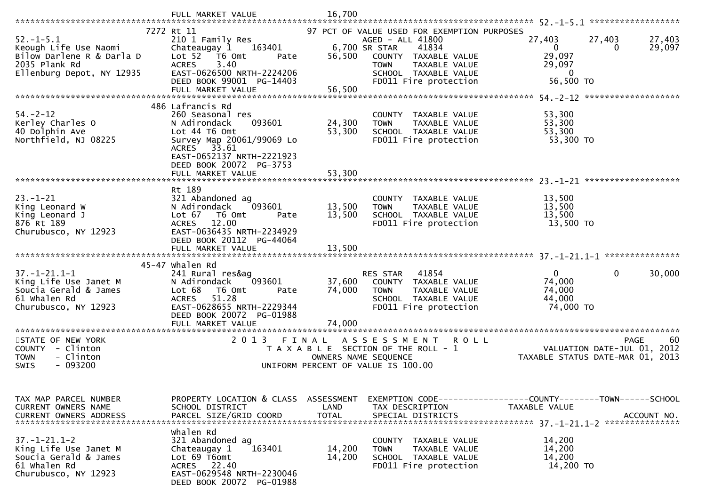|                                                                                                                     | FULL MARKET VALUE                                                                                                                                                                                           | 16,700                        |                                                                                                                                                                                                    |                                                                                 |                                                  |
|---------------------------------------------------------------------------------------------------------------------|-------------------------------------------------------------------------------------------------------------------------------------------------------------------------------------------------------------|-------------------------------|----------------------------------------------------------------------------------------------------------------------------------------------------------------------------------------------------|---------------------------------------------------------------------------------|--------------------------------------------------|
| $52. - 1 - 5.1$<br>Keough Life Use Naomi<br>Bilow Darlene R & Darla D<br>2035 Plank Rd<br>Ellenburg Depot, NY 12935 | 7272 Rt 11<br>210 1 Family Res<br>Chateaugay 1<br>163401<br>Lot <sub>52</sub><br>T6 Omt<br>Pate<br>3.40<br><b>ACRES</b><br>EAST-0626500 NRTH-2224206<br>DEED BOOK 99001 PG-14403<br>FULL MARKET VALUE       | 56,500<br>56,500              | 97 PCT OF VALUE USED FOR EXEMPTION PURPOSES<br>AGED - ALL 41800<br>6,700 SR STAR<br>41834<br>COUNTY TAXABLE VALUE<br>TAXABLE VALUE<br><b>TOWN</b><br>SCHOOL TAXABLE VALUE<br>FD011 Fire protection | 27,403<br>$\Omega$<br>29,097<br>29,097<br>$\mathbf 0$<br>56,500 TO              | 27,403<br>27,403<br>29,097<br>$\Omega$           |
| $54. - 2 - 12$<br>Kerley Charles O<br>40 Dolphin Ave<br>Northfield, NJ 08225                                        | 486 Lafrancis Rd<br>260 Seasonal res<br>N Adirondack<br>093601<br>Lot 44 T6 Omt<br>Survey Map 20061/99069 Lo<br>33.61<br>ACRES<br>EAST-0652137 NRTH-2221923<br>DEED BOOK 20072 PG-3753<br>FULL MARKET VALUE | 24,300<br>53,300<br>53,300    | COUNTY TAXABLE VALUE<br><b>TOWN</b><br>TAXABLE VALUE<br>SCHOOL TAXABLE VALUE<br>FD011 Fire protection                                                                                              | 53,300<br>53,300<br>53,300<br>53,300 TO                                         |                                                  |
|                                                                                                                     |                                                                                                                                                                                                             |                               |                                                                                                                                                                                                    |                                                                                 |                                                  |
| $23 - 1 - 21$<br>King Leonard W<br>King Leonard J<br>876 Rt 189<br>Churubusco, NY 12923                             | Rt 189<br>321 Abandoned ag<br>N Adirondack<br>093601<br>Lot 67<br>T6 Omt<br>Pate<br>12.00<br><b>ACRES</b><br>EAST-0636435 NRTH-2234929<br>DEED BOOK 20112 PG-44064                                          | 13,500<br>13,500              | COUNTY TAXABLE VALUE<br><b>TOWN</b><br>TAXABLE VALUE<br>SCHOOL TAXABLE VALUE<br>FD011 Fire protection                                                                                              | 13,500<br>13,500<br>13,500<br>13,500 TO                                         |                                                  |
|                                                                                                                     | FULL MARKET VALUE                                                                                                                                                                                           | 13,500                        |                                                                                                                                                                                                    |                                                                                 |                                                  |
| $37. - 1 - 21.1 - 1$<br>King Life Use Janet M<br>Soucia Gerald & James<br>61 Whalen Rd<br>Churubusco, NY 12923      | 45-47 whalen Rd<br>241 Rural res&ag<br>093601<br>N Adirondack<br>Lot 68<br>T6 Omt<br>Pate<br><b>ACRES</b><br>51.28<br>EAST-0628655 NRTH-2229344<br>DEED BOOK 20072 PG-01988<br>FULL MARKET VALUE            | 37,600<br>74,000<br>74,000    | 41854<br><b>RES STAR</b><br>COUNTY TAXABLE VALUE<br><b>TOWN</b><br>TAXABLE VALUE<br>SCHOOL TAXABLE VALUE<br>FD011 Fire protection                                                                  | $\Omega$<br>74,000<br>74,000<br>44,000<br>74,000 TO                             | $\mathbf{0}$<br>30,000                           |
| STATE OF NEW YORK<br>COUNTY<br>- Clinton<br>- Clinton<br><b>TOWN</b><br>SWIS<br>- 093200                            | 2 0 1 3                                                                                                                                                                                                     | FINAL<br>OWNERS NAME SEQUENCE | A S S E S S M E N T<br><b>ROLL</b><br>T A X A B L E SECTION OF THE ROLL - 1<br>UNIFORM PERCENT OF VALUE IS 100.00                                                                                  | TAXABLE STATUS DATE-MAR 01, 2013                                                | <b>PAGE</b><br>60<br>VALUATION DATE-JUL 01, 2012 |
| TAX MAP PARCEL NUMBER<br>CURRENT OWNERS NAME                                                                        | PROPERTY LOCATION & CLASS ASSESSMENT<br>SCHOOL DISTRICT                                                                                                                                                     | LAND                          | TAX DESCRIPTION                                                                                                                                                                                    | EXEMPTION CODE------------------COUNTY--------TOWN------SCHOOL<br>TAXABLE VALUE |                                                  |
| $37. - 1 - 21.1 - 2$<br>King Life Use Janet M<br>Soucia Gerald & James<br>61 Whalen Rd<br>Churubusco, NY 12923      | Whalen Rd<br>321 Abandoned ag<br>163401<br>Chateaugay 1<br>Lot 69 T6omt<br>ACRES 22.40<br>EAST-0629548 NRTH-2230046<br>DEED BOOK 20072 PG-01988                                                             | 14,200<br>14,200              | COUNTY TAXABLE VALUE<br><b>TOWN</b><br>TAXABLE VALUE<br>SCHOOL TAXABLE VALUE<br>FD011 Fire protection                                                                                              | 14,200<br>14,200<br>14,200<br>14,200 TO                                         |                                                  |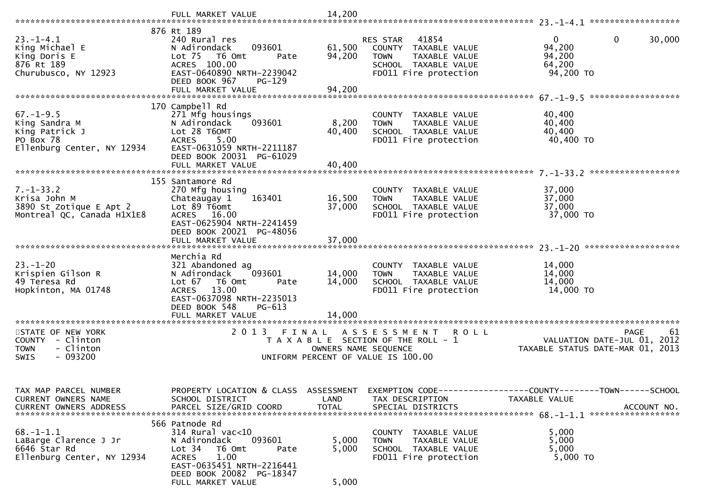|                                                                                               | FULL MARKET VALUE                                                                                                                                                                                           | 14,200                     |                                                                                                                            |                                                                                              |
|-----------------------------------------------------------------------------------------------|-------------------------------------------------------------------------------------------------------------------------------------------------------------------------------------------------------------|----------------------------|----------------------------------------------------------------------------------------------------------------------------|----------------------------------------------------------------------------------------------|
|                                                                                               |                                                                                                                                                                                                             |                            |                                                                                                                            |                                                                                              |
| $23. - 1 - 4.1$<br>King Michael E<br>King Doris E<br>876 Rt 189<br>Churubusco, NY 12923       | 876 Rt 189<br>240 Rural res<br>093601<br>N Adirondack<br>Lot <sub>75</sub><br>T6 Omt<br>Pate<br>ACRES 100.00<br>EAST-0640890 NRTH-2239042<br>DEED BOOK 967<br>PG-129<br>FULL MARKET VALUE                   | 61,500<br>94,200<br>94,200 | 41854<br>RES STAR<br>COUNTY TAXABLE VALUE<br>TAXABLE VALUE<br><b>TOWN</b><br>SCHOOL TAXABLE VALUE<br>FD011 Fire protection | $\mathbf{0}$<br>$\mathbf{0}$<br>30,000<br>94,200<br>94,200<br>64,200<br>94,200 TO            |
|                                                                                               |                                                                                                                                                                                                             |                            |                                                                                                                            |                                                                                              |
| $67. - 1 - 9.5$<br>King Sandra M<br>King Patrick J<br>PO Box 78<br>Ellenburg Center, NY 12934 | 170 Campbell Rd<br>271 Mfg housings<br>N Adirondack<br>093601<br>Lot 28 T6OMT<br>5.00<br><b>ACRES</b><br>EAST-0631059 NRTH-2211187<br>DEED BOOK 20031 PG-61029                                              | 8,200<br>40,400            | COUNTY TAXABLE VALUE<br><b>TOWN</b><br>TAXABLE VALUE<br>SCHOOL TAXABLE VALUE<br>FD011 Fire protection                      | 40,400<br>40,400<br>40,400<br>40,400 TO                                                      |
|                                                                                               |                                                                                                                                                                                                             |                            |                                                                                                                            |                                                                                              |
| $7. - 1 - 33.2$<br>Krisa John M<br>3890 St Zotique E Apt 2<br>Montreal QC, Canada H1X1E8      | 155 Santamore Rd<br>270 Mfg housing<br>Chateaugay 1<br>163401<br>Lot 89 T6omt<br>ACRES 16.00<br>EAST-0625904 NRTH-2241459<br>DEED BOOK 20021 PG-48056<br>FULL MARKET VALUE                                  | 16,500<br>37,000<br>37,000 | COUNTY TAXABLE VALUE<br><b>TOWN</b><br>TAXABLE VALUE<br>SCHOOL TAXABLE VALUE<br>FD011 Fire protection                      | 37,000<br>37,000<br>37,000<br>37,000 TO                                                      |
| $23 - 1 - 20$<br>Krispien Gilson R<br>49 Teresa Rd<br>Hopkinton, MA 01748                     | Merchia Rd<br>321 Abandoned ag<br>N Adirondack<br>093601<br>Lot 67<br>T6 Omt<br>Pate<br>13.00<br><b>ACRES</b><br>EAST-0637098 NRTH-2235013<br>DEED BOOK 548<br>PG-613<br>FULL MARKET VALUE                  | 14,000<br>14,000<br>14,000 | COUNTY TAXABLE VALUE<br><b>TAXABLE VALUE</b><br><b>TOWN</b><br>SCHOOL TAXABLE VALUE<br>FD011 Fire protection               | 14,000<br>14,000<br>14,000<br>14,000 TO                                                      |
| STATE OF NEW YORK<br>COUNTY - Clinton                                                         | ***************************<br>2 0 1 3<br>FINAL                                                                                                                                                             |                            | ASSESSMENT ROLL<br>T A X A B L E SECTION OF THE ROLL - 1                                                                   | <b>PAGE</b><br>61<br>2012<br>VALUATION DATE-JUL 01,                                          |
| <b>TOWN</b><br>- Clinton<br>$-093200$<br>SWIS                                                 |                                                                                                                                                                                                             |                            | OWNERS NAME SEQUENCE<br>UNIFORM PERCENT OF VALUE IS 100.00                                                                 | TAXABLE STATUS DATE-MAR 01,<br>2013                                                          |
| TAX MAP PARCEL NUMBER<br>CURRENT OWNERS NAME<br><b>CURRENT OWNERS ADDRESS</b>                 | PROPERTY LOCATION & CLASS ASSESSMENT<br>SCHOOL DISTRICT<br>PARCEL SIZE/GRID COORD                                                                                                                           | LAND<br><b>TOTAL</b>       | TAX DESCRIPTION<br>SPECIAL DISTRICTS                                                                                       | EXEMPTION CODE-----------------COUNTY-------TOWN------SCHOOL<br>TAXABLE VALUE<br>ACCOUNT NO. |
| $68. - 1 - 1.1$<br>LaBarge Clarence J Jr<br>6646 Star Rd<br>Ellenburg Center, NY 12934        | 566 Patnode Rd<br>$314$ Rural vac<10<br>093601<br>N Adirondack<br>Lot <sub>34</sub><br>T6 Omt<br>Pate<br>1.00<br><b>ACRES</b><br>EAST-0635451 NRTH-2216441<br>DEED BOOK 20082 PG-18347<br>FULL MARKET VALUE | 5,000<br>5,000<br>5,000    | COUNTY TAXABLE VALUE<br>TAXABLE VALUE<br><b>TOWN</b><br>SCHOOL TAXABLE VALUE<br>FD011 Fire protection                      | 5,000<br>5,000<br>5,000<br>5,000 TO                                                          |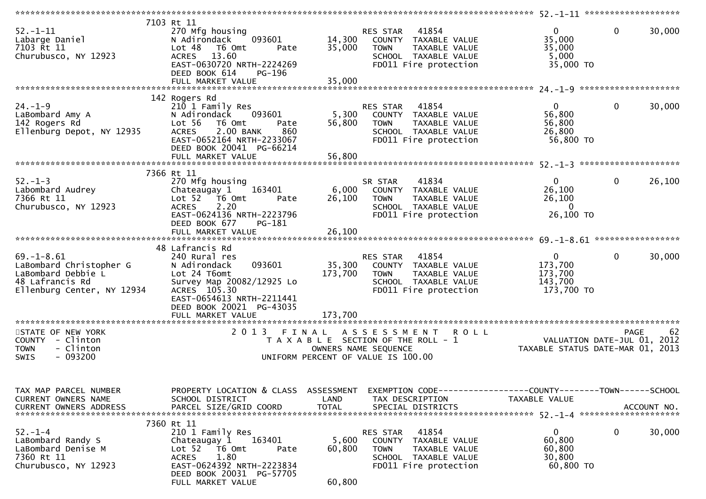| $52. - 1 - 11$<br>Labarge Daniel<br>7103 Rt 11<br>Churubusco, NY 12923                                             | 7103 Rt 11<br>270 Mfg housing<br>093601<br>N Adirondack<br>Lot 48 T6 Omt<br>Pate<br><b>ACRES</b><br>13.60<br>EAST-0630720 NRTH-2224269<br>DEED BOOK 614<br><b>PG-196</b>                              | 35,000                    | 41854<br>RES STAR<br>14,300 COUNTY TAXABLE VALUE<br><b>TOWN</b><br>TAXABLE VALUE<br>SCHOOL TAXABLE VALUE<br>FD011 Fire protection | $\mathbf{0}$<br>35,000<br>35,000<br>5,000<br>35,000 TO                   | $\mathbf 0$<br>30,000  |
|--------------------------------------------------------------------------------------------------------------------|-------------------------------------------------------------------------------------------------------------------------------------------------------------------------------------------------------|---------------------------|-----------------------------------------------------------------------------------------------------------------------------------|--------------------------------------------------------------------------|------------------------|
|                                                                                                                    | 142 Rogers Rd                                                                                                                                                                                         |                           |                                                                                                                                   |                                                                          |                        |
| $24. - 1 - 9$<br>LaBombard Amy A<br>142 Rogers Rd<br>Ellenburg Depot, NY 12935                                     | 210 1 Family Res<br>093601<br>N Adirondack<br>Lot 56<br>T6 Omt<br>Pate<br>2.00 BANK<br>860<br><b>ACRES</b><br>EAST-0652164 NRTH-2233067<br>DEED BOOK 20041 PG-66214                                   | 56,800                    | RES STAR 41854<br>5,300 COUNTY TAXABLE VALUE<br>TAXABLE VALUE<br><b>TOWN</b><br>SCHOOL TAXABLE VALUE<br>FD011 Fire protection     | $\overline{0}$<br>56,800<br>56,800<br>26,800<br>56,800 TO                | $\mathbf 0$<br>30,000  |
|                                                                                                                    |                                                                                                                                                                                                       |                           |                                                                                                                                   |                                                                          |                        |
| $52 - 1 - 3$<br>Labombard Audrey<br>7366 Rt 11<br>Churubusco, NY 12923                                             | 7366 Rt 11<br>270 Mfg housing<br>Chateaugay 1 163401<br>Lot 52 T6 Omt<br>Pate<br><b>ACRES</b><br>2.20<br>EAST-0624136 NRTH-2223796<br>DEED BOOK 677<br>PG-181                                         | 6,000<br>26,100           | 41834<br>SR STAR<br>COUNTY TAXABLE VALUE<br><b>TOWN</b><br>TAXABLE VALUE<br>SCHOOL TAXABLE VALUE<br>FD011 Fire protection         | $\overline{0}$<br>26,100<br>26,100<br>$\overline{0}$<br>26,100 ТО        | 26,100<br>$\mathbf{0}$ |
|                                                                                                                    |                                                                                                                                                                                                       |                           |                                                                                                                                   |                                                                          |                        |
| $69. - 1 - 8.61$<br>LaBombard Christopher G<br>LaBombard Debbie L<br>48 Lafrancis Rd<br>Ellenburg Center, NY 12934 | 48 Lafrancis Rd<br>240 Rural res<br>093601<br>N Adirondack<br>Lot 24 T6omt<br>Survey Map 20082/12925 Lo<br>ACRES 105.30<br>EAST-0654613 NRTH-2211441<br>DEED BOOK 20021 PG-43035<br>FULL MARKET VALUE | 173,700<br>173,700        | RES STAR 41854<br>35,300 COUNTY TAXABLE VALUE<br>TAXABLE VALUE<br>TOWN<br>SCHOOL TAXABLE VALUE<br>FD011 Fire protection           | $\overline{0}$<br>173,700<br>173,700<br>143,700<br>173,700 TO            | $\mathbf 0$<br>30,000  |
| *************************                                                                                          | **************************                                                                                                                                                                            |                           |                                                                                                                                   |                                                                          |                        |
| STATE OF NEW YORK<br>COUNTY - Clinton<br>- Clinton<br><b>TOWN</b><br>$-093200$<br><b>SWIS</b>                      |                                                                                                                                                                                                       |                           | 2013 FINAL ASSESSMENT ROLL<br>T A X A B L E SECTION OF THE ROLL - 1<br>OWNERS NAME SEQUENCE<br>UNIFORM PERCENT OF VALUE IS 100.00 | O L L<br>VALUATION DATE-JUL 01, 2012<br>TAXABLE STATUS DATE-MAR 01, 2013 | <b>PAGE</b><br>62      |
| TAX MAP PARCEL NUMBER<br>CURRENT OWNERS NAME<br>CURRENT OWNERS ADDRESS                                             | PROPERTY LOCATION & CLASS ASSESSMENT<br>SCHOOL DISTRICT<br>PARCEL SIZE/GRID COORD                                                                                                                     | LAND<br><b>TOTAL</b>      | EXEMPTION CODE------------------COUNTY--------TOWN------SCHOOL<br>TAX DESCRIPTION<br>SPECIAL DISTRICTS                            | TAXABLE VALUE                                                            | ACCOUNT NO.            |
| $52 - 1 - 4$<br>LaBombard Randy S<br>LaBombard Denise M<br>7360 Rt 11<br>Churubusco, NY 12923                      | 7360 Rt 11<br>210 1 Family Res<br>Chateaugay 1<br>163401<br>Lot <sub>52</sub><br>T6 Omt<br>Pate<br>1.80<br><b>ACRES</b><br>EAST-0624392 NRTH-2223834<br>DEED BOOK 20031 PG-57705<br>FULL MARKET VALUE | 5,600<br>60,800<br>60,800 | 41854<br>RES STAR<br>COUNTY<br>TAXABLE VALUE<br><b>TOWN</b><br>TAXABLE VALUE<br>SCHOOL TAXABLE VALUE<br>FD011 Fire protection     | $\mathbf{0}$<br>60,800<br>60,800<br>30,800<br>60,800 TO                  | 0<br>30,000            |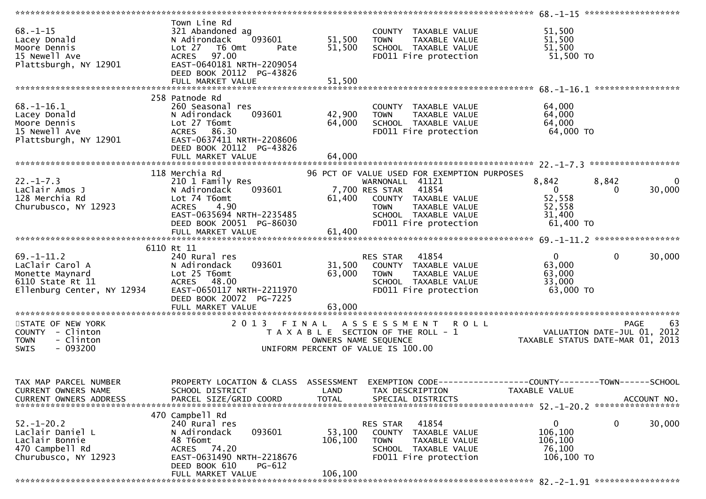|                                                                                                          |                                                                                                                                                                                    |                              |                                                                                                                                                                                                    | ****************** 68.-1-15 ********************                   |                                  |
|----------------------------------------------------------------------------------------------------------|------------------------------------------------------------------------------------------------------------------------------------------------------------------------------------|------------------------------|----------------------------------------------------------------------------------------------------------------------------------------------------------------------------------------------------|--------------------------------------------------------------------|----------------------------------|
| $68. - 1 - 15$<br>Lacey Donald<br>Moore Dennis<br>15 Newell Ave<br>Plattsburgh, NY 12901                 | Town Line Rd<br>321 Abandoned ag<br>093601<br>N Adirondack<br>Lot $27$<br>T6 Omt<br>Pate<br><b>ACRES</b><br>97.00<br>EAST-0640181 NRTH-2209054<br>DEED BOOK 20112 PG-43826         | 51,500<br>51,500             | COUNTY TAXABLE VALUE<br><b>TOWN</b><br>TAXABLE VALUE<br>SCHOOL TAXABLE VALUE<br>FD011 Fire protection                                                                                              | 51,500<br>51,500<br>51,500<br>51,500 TO                            |                                  |
|                                                                                                          | 258 Patnode Rd                                                                                                                                                                     |                              |                                                                                                                                                                                                    |                                                                    |                                  |
| $68. - 1 - 16.1$<br>Lacey Donald<br>Moore Dennis<br>15 Newell Ave<br>Plattsburgh, NY 12901               | 260 Seasonal res<br>093601<br>N Adirondack<br>Lot 27 T6omt<br>ACRES 86.30<br>EAST-0637411 NRTH-2208606<br>DEED BOOK 20112 PG-43826<br>FULL MARKET VALUE                            | 42,900<br>64,000<br>64,000   | COUNTY TAXABLE VALUE<br>TAXABLE VALUE<br><b>TOWN</b><br>SCHOOL TAXABLE VALUE<br>FD011 Fire protection                                                                                              | 64,000<br>64,000<br>64,000<br>64,000 TO                            |                                  |
|                                                                                                          |                                                                                                                                                                                    |                              |                                                                                                                                                                                                    |                                                                    |                                  |
| $22. - 1 - 7.3$<br>LaClair Amos J<br>128 Merchia Rd<br>Churubusco, NY 12923                              | 118 Merchia Rd<br>210 1 Family Res<br>093601<br>N Adirondack<br>Lot 74 T6omt<br><b>ACRES</b><br>4.90<br>EAST-0635694 NRTH-2235485<br>DEED BOOK 20051 PG-86030<br>FULL MARKET VALUE | 61,400<br>61,400             | 96 PCT OF VALUE USED FOR EXEMPTION PURPOSES<br>WARNONALL 41121<br>7,700 RES STAR<br>41854<br>COUNTY TAXABLE VALUE<br><b>TOWN</b><br>TAXABLE VALUE<br>SCHOOL TAXABLE VALUE<br>FD011 Fire protection | 8,842<br>$\overline{0}$<br>52,558<br>52,558<br>31,400<br>61,400 TO | 8,842<br>0<br>30,000<br>$\Omega$ |
|                                                                                                          |                                                                                                                                                                                    |                              |                                                                                                                                                                                                    |                                                                    |                                  |
| $69. - 1 - 11.2$<br>LaClair Carol A<br>Monette Maynard<br>6110 State Rt 11<br>Ellenburg Center, NY 12934 | 6110 Rt 11<br>240 Rural res<br>093601<br>N Adirondack<br>Lot 25 T6omt<br>ACRES 48.00<br>EAST-0650117 NRTH-2211970<br>DEED BOOK 20072 PG-7225                                       | 63,000                       | RES STAR 41854<br>31,500 COUNTY TAXABLE VALUE<br><b>TOWN</b><br>TAXABLE VALUE<br>SCHOOL TAXABLE VALUE<br>FD011 Fire protection                                                                     | $\overline{0}$<br>63,000<br>63,000<br>33,000<br>63,000 TO          | $\mathbf 0$<br>30,000            |
|                                                                                                          | FULL MARKET VALUE                                                                                                                                                                  | 63,000                       |                                                                                                                                                                                                    |                                                                    |                                  |
| STATE OF NEW YORK<br>COUNTY - Clinton<br>- Clinton<br><b>TOWN</b><br>$-093200$<br>SWIS                   | 2013 FINAL                                                                                                                                                                         |                              | ASSESSMENT ROLL<br>T A X A B L E SECTION OF THE ROLL - 1<br>OWNERS NAME SEQUENCE CONTRACT THE TRAVABLE STATUS DATE-MAR 01, 2013<br>UNIFORM PERCENT OF VALUE IS 100.00                              |                                                                    | <b>PAGE</b><br>63                |
| TAX MAP PARCEL NUMBER<br>CURRENT OWNERS NAME<br><b>CURRENT OWNERS ADDRESS</b>                            | PROPERTY LOCATION & CLASS ASSESSMENT<br>SCHOOL DISTRICT<br>PARCEL SIZE/GRID COORD                                                                                                  | LAND<br><b>TOTAL</b>         | TAX DESCRIPTION<br>SPECIAL DISTRICTS                                                                                                                                                               | TAXABLE VALUE                                                      | ACCOUNT NO.                      |
| $52. - 1 - 20.2$<br>Laclair Daniel L<br>Laclair Bonnie<br>470 Campbell Rd<br>Churubusco, NY 12923        | 470 Campbell Rd<br>240 Rural res<br>093601<br>N Adirondack<br>48 T6omt<br>ACRES 74.20<br>EAST-0631490 NRTH-2218676<br>DEED BOOK 610<br>PG-612<br>FULL MARKET VALUE                 | 53,100<br>106,100<br>106,100 | 41854<br>RES STAR<br>COUNTY TAXABLE VALUE<br><b>TOWN</b><br>TAXABLE VALUE<br>SCHOOL TAXABLE VALUE<br>FD011 Fire protection                                                                         | $\mathbf{0}$<br>106,100<br>106,100<br>76,100<br>106,100 TO         | 0<br>30,000                      |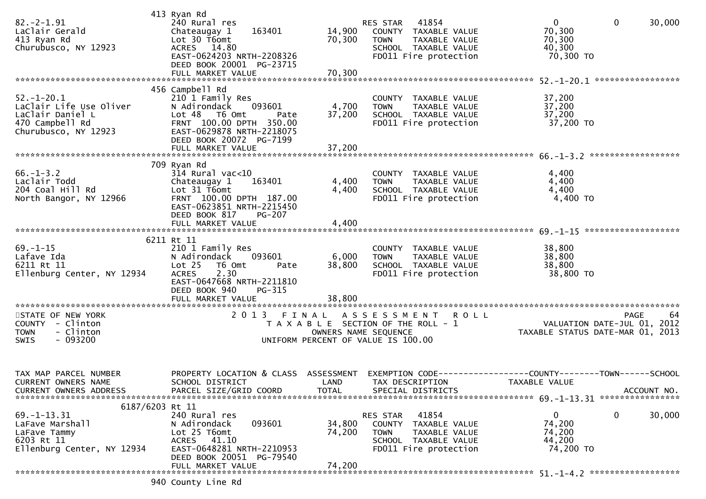| $82 - 2 - 1.91$<br>LaClair Gerald<br>413 Ryan Rd<br>Churubusco, NY 12923                                   | 413 Ryan Rd<br>240 Rural res<br>163401<br>Chateaugay 1<br>Lot 30 T6omt<br>ACRES 14.80<br>EAST-0624203 NRTH-2208326<br>DEED BOOK 20001 PG-23715<br>FULL MARKET VALUE   | 14,900<br>70,300<br>70,300         | 41854<br>RES STAR<br>COUNTY TAXABLE VALUE<br>TAXABLE VALUE<br><b>TOWN</b><br>SCHOOL TAXABLE VALUE<br>FD011 Fire protection                | 0<br>$\mathbf 0$<br>30,000<br>70,300<br>70,300<br>40,300<br>70,300 TO                |
|------------------------------------------------------------------------------------------------------------|-----------------------------------------------------------------------------------------------------------------------------------------------------------------------|------------------------------------|-------------------------------------------------------------------------------------------------------------------------------------------|--------------------------------------------------------------------------------------|
|                                                                                                            | 456 Campbell Rd                                                                                                                                                       |                                    |                                                                                                                                           |                                                                                      |
| $52. - 1 - 20.1$<br>LaClair Life Use Oliver<br>LaClair Daniel L<br>470 Campbell Rd<br>Churubusco, NY 12923 | 210 1 Family Res<br>N Adirondack<br>093601<br>Lot 48 T6 Omt<br>Pate<br>FRNT 100.00 DPTH 350.00<br>EAST-0629878 NRTH-2218075<br>DEED BOOK 20072 PG-7199                | 4,700<br>37,200                    | COUNTY TAXABLE VALUE<br><b>TOWN</b><br>TAXABLE VALUE<br>SCHOOL TAXABLE VALUE<br>FD011 Fire protection                                     | 37,200<br>37,200<br>37,200<br>37,200 TO                                              |
|                                                                                                            |                                                                                                                                                                       |                                    |                                                                                                                                           |                                                                                      |
| $66. - 1 - 3.2$<br>Laclair Todd<br>204 Coal Hill Rd<br>North Bangor, NY 12966                              | 709 Ryan Rd<br>$314$ Rural vac<10<br>163401<br>Chateaugay 1<br>Lot 31 T6omt<br>FRNT 100.00 DPTH 187.00<br>EAST-0623851 NRTH-2215450<br>DEED BOOK 817<br><b>PG-207</b> | 4,400<br>4,400                     | COUNTY TAXABLE VALUE<br>TAXABLE VALUE<br><b>TOWN</b><br>SCHOOL TAXABLE VALUE<br>FD011 Fire protection                                     | 4,400<br>4,400<br>4,400<br>4,400 TO                                                  |
|                                                                                                            | FULL MARKET VALUE                                                                                                                                                     | 4,400                              |                                                                                                                                           |                                                                                      |
|                                                                                                            | 6211 Rt 11                                                                                                                                                            |                                    |                                                                                                                                           |                                                                                      |
| $69. -1 - 15$<br>Lafave Ida<br>6211 Rt 11<br>Ellenburg Center, NY 12934                                    | 210 1 Family Res<br>N Adirondack<br>093601<br>Lot 25<br>T6 Omt<br>Pate<br>2.30<br><b>ACRES</b><br>EAST-0647668 NRTH-2211810<br>DEED BOOK 940<br>PG-315                | 6,000<br>38,800                    | COUNTY TAXABLE VALUE<br>TAXABLE VALUE<br><b>TOWN</b><br>SCHOOL TAXABLE VALUE<br>FD011 Fire protection                                     | 38,800<br>38,800<br>38,800<br>38,800 TO                                              |
|                                                                                                            |                                                                                                                                                                       |                                    |                                                                                                                                           |                                                                                      |
| STATE OF NEW YORK<br>COUNTY - Clinton<br>- Clinton<br><b>TOWN</b><br>SWIS<br>- 093200                      | 2 0 1 3                                                                                                                                                               | FINAL                              | A S S E S S M E N T<br><b>ROLL</b><br>T A X A B L E SECTION OF THE ROLL - 1<br>OWNERS NAME SEQUENCE<br>UNIFORM PERCENT OF VALUE IS 100.00 | 64<br><b>PAGE</b><br>VALUATION DATE-JUL 01, 2012<br>TAXABLE STATUS DATE-MAR 01, 2013 |
| TAX MAP PARCEL NUMBER<br><b>CURRENT OWNERS NAME</b><br><b>CURRENT OWNERS ADDRESS</b>                       | PROPERTY LOCATION & CLASS<br>SCHOOL DISTRICT<br>PARCEL SIZE/GRID COORD                                                                                                | ASSESSMENT<br>LAND<br><b>TOTAL</b> | EXEMPTION CODE-<br>TAX DESCRIPTION<br>SPECIAL DISTRICTS                                                                                   | -----COUNTY--------TOWN------SCHOOL<br>TAXABLE VALUE<br>ACCOUNT NO.                  |
| 6187/6203 Rt 11                                                                                            |                                                                                                                                                                       |                                    | 41854                                                                                                                                     |                                                                                      |
| $69. - 1 - 13.31$<br>LaFave Marshall<br>LaFave Tammy<br>6203 Rt 11<br>Ellenburg Center, NY 12934           | 240 Rural res<br>093601<br>N Adirondack<br>Lot 25 T6omt<br>ACRES 41.10<br>EAST-0648281 NRTH-2210953<br>DEED BOOK 20051 PG-79540                                       | 34,800<br>74,200                   | RES STAR<br>COUNTY TAXABLE VALUE<br><b>TOWN</b><br>TAXABLE VALUE<br>SCHOOL TAXABLE VALUE<br>FD011 Fire protection                         | 0<br>0<br>30,000<br>74,200<br>74,200<br>44,200<br>74,200 TO                          |
|                                                                                                            | FULL MARKET VALUE                                                                                                                                                     | 74,200                             |                                                                                                                                           |                                                                                      |
|                                                                                                            | 940 County Line Rd                                                                                                                                                    |                                    |                                                                                                                                           |                                                                                      |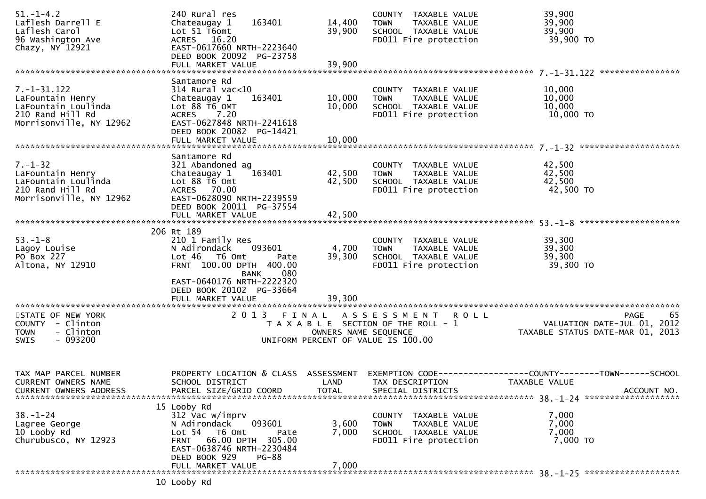| $51. - 1 - 4.2$<br>Laflesh Darrell E<br>Laflesh Carol<br>96 Washington Ave<br>Chazy, NY 12921               | 240 Rural res<br>Chateaugay 1<br>163401<br>Lot 51 T6omt<br>ACRES 16.20<br>EAST-0617660 NRTH-2223640<br>DEED BOOK 20092 PG-23758<br>FULL MARKET VALUE                                    | 14,400<br>39,900<br>39,900         | COUNTY TAXABLE VALUE<br><b>TOWN</b><br>TAXABLE VALUE<br>SCHOOL TAXABLE VALUE<br>FD011 Fire protection     | 39,900<br>39,900<br>39,900<br>39,900 TO                                              |
|-------------------------------------------------------------------------------------------------------------|-----------------------------------------------------------------------------------------------------------------------------------------------------------------------------------------|------------------------------------|-----------------------------------------------------------------------------------------------------------|--------------------------------------------------------------------------------------|
|                                                                                                             | Santamore Rd                                                                                                                                                                            |                                    |                                                                                                           |                                                                                      |
| $7. - 1 - 31.122$<br>LaFountain Henry<br>LaFountain Loulinda<br>210 Rand Hill Rd<br>Morrisonville, NY 12962 | $314$ Rural vac< $10$<br>163401<br>Chateaugay 1<br>Lot 88 T6 OMT<br>7.20<br><b>ACRES</b><br>EAST-0627848 NRTH-2241618<br>DEED BOOK 20082 PG-14421<br>FULL MARKET VALUE                  | 10,000<br>10,000<br>10,000         | COUNTY TAXABLE VALUE<br><b>TOWN</b><br>TAXABLE VALUE<br>SCHOOL TAXABLE VALUE<br>FD011 Fire protection     | 10,000<br>10,000<br>10,000<br>10,000 TO                                              |
|                                                                                                             |                                                                                                                                                                                         |                                    |                                                                                                           |                                                                                      |
| $7. - 1 - 32$<br>LaFountain Henry<br>LaFountain Loulinda<br>210 Rand Hill Rd<br>Morrisonville, NY 12962     | Santamore Rd<br>321 Abandoned ag<br>163401<br>Chateaugay 1<br>Lot 88 T6 Omt<br>ACRES 70.00<br>EAST-0628090 NRTH-2239559<br>DEED BOOK 20011 PG-37554                                     | 42,500<br>42,500                   | COUNTY TAXABLE VALUE<br>TAXABLE VALUE<br><b>TOWN</b><br>SCHOOL TAXABLE VALUE<br>FD011 Fire protection     | 42,500<br>42,500<br>42,500<br>42,500 TO                                              |
|                                                                                                             | FULL MARKET VALUE                                                                                                                                                                       | 42,500                             |                                                                                                           |                                                                                      |
|                                                                                                             | 206 Rt 189                                                                                                                                                                              |                                    |                                                                                                           |                                                                                      |
| $53. - 1 - 8$<br>Lagoy Louise<br>PO Box 227<br>Altona, NY 12910                                             | 210 1 Family Res<br>093601<br>N Adirondack<br>Lot 46 T6 Omt<br>Pate<br>FRNT 100.00 DPTH 400.00<br>080<br><b>BANK</b>                                                                    | 4,700<br>39,300                    | COUNTY TAXABLE VALUE<br>TAXABLE VALUE<br><b>TOWN</b><br>SCHOOL TAXABLE VALUE<br>FD011 Fire protection     | 39,300<br>39,300<br>39,300<br>39,300 TO                                              |
|                                                                                                             | EAST-0640176 NRTH-2222320<br>DEED BOOK 20102 PG-33664<br>FULL MARKET VALUE                                                                                                              | 39,300                             |                                                                                                           |                                                                                      |
| STATE OF NEW YORK<br>COUNTY - Clinton<br>- Clinton<br><b>TOWN</b><br>$-093200$<br>SWIS                      |                                                                                                                                                                                         | OWNERS NAME SEQUENCE               | 2013 FINAL ASSESSMENT ROLL<br>T A X A B L E SECTION OF THE ROLL - 1<br>UNIFORM PERCENT OF VALUE IS 100.00 | 65<br>PAGE<br>VALUATION DATE-JUL 01, 2012<br>TAXABLE STATUS DATE-MAR 01, 2013        |
|                                                                                                             |                                                                                                                                                                                         |                                    |                                                                                                           |                                                                                      |
| TAX MAP PARCEL NUMBER<br><b>CURRENT OWNERS NAME</b><br><b>CURRENT OWNERS ADDRESS</b>                        | PROPERTY LOCATION & CLASS<br>SCHOOL DISTRICT<br>PARCEL SIZE/GRID COORD                                                                                                                  | ASSESSMENT<br>LAND<br><b>TOTAL</b> | EXEMPTION CODE--<br>TAX DESCRIPTION<br>SPECIAL DISTRICTS                                                  | ---------------COUNTY--------TOWN------SCHOOL<br><b>TAXABLE VALUE</b><br>ACCOUNT NO. |
| $38. - 1 - 24$<br>Lagree George<br>10 Looby Rd<br>Churubusco, NY 12923                                      | 15 Looby Rd<br>312 Vac w/imprv<br>093601<br>N Adirondack<br>Lot 54 T6 Omt<br>Pate<br>FRNT 66.00 DPTH 305.00<br>EAST-0638746 NRTH-2230484<br>DEED BOOK 929<br>PG-88<br>FULL MARKET VALUE | 3,600<br>7,000<br>7,000            | COUNTY TAXABLE VALUE<br>TAXABLE VALUE<br><b>TOWN</b><br>SCHOOL TAXABLE VALUE<br>FD011 Fire protection     | 7,000<br>7,000<br>7,000<br>7,000 TO                                                  |
|                                                                                                             | 10 Looby Rd                                                                                                                                                                             |                                    |                                                                                                           |                                                                                      |
|                                                                                                             |                                                                                                                                                                                         |                                    |                                                                                                           |                                                                                      |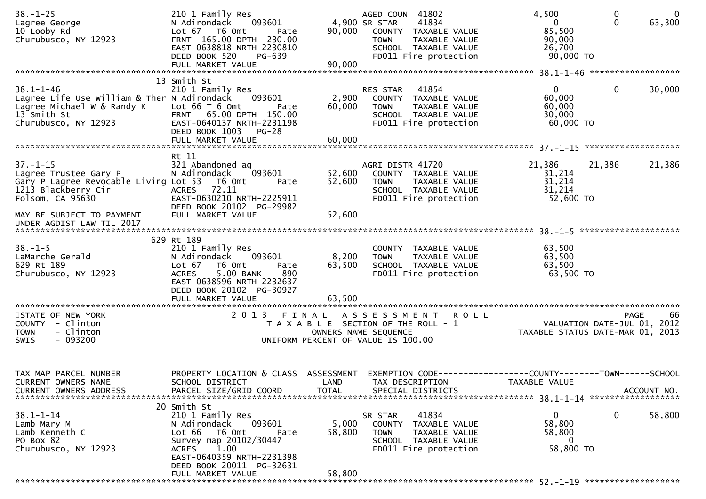| $38. - 1 - 25$<br>Lagree George<br>10 Looby Rd<br>Churubusco, NY 12923                                                              | 210 1 Family Res<br>N Adirondack<br>093601<br>Lot 67 T6 Omt<br>Pate<br>FRNT 165.00 DPTH 230.00<br>EAST-0638818 NRTH-2230810<br>DEED BOOK 520<br>PG-639<br>FULL MARKET VALUE | 90,000<br>90,000                                                                                    | AGED COUN 41802<br>4,900 SR STAR<br><b>TOWN</b> | 41834<br>COUNTY TAXABLE VALUE<br><b>TAXABLE VALUE</b><br>SCHOOL TAXABLE VALUE<br>FD011 Fire protection | 4,500<br>$\mathbf{0}$<br>85,500<br>90,000<br>26,700<br>90,000 TO               | 0<br>$\Omega$ | - 0<br>63,300 |
|-------------------------------------------------------------------------------------------------------------------------------------|-----------------------------------------------------------------------------------------------------------------------------------------------------------------------------|-----------------------------------------------------------------------------------------------------|-------------------------------------------------|--------------------------------------------------------------------------------------------------------|--------------------------------------------------------------------------------|---------------|---------------|
|                                                                                                                                     | 13 Smith St                                                                                                                                                                 |                                                                                                     |                                                 |                                                                                                        |                                                                                |               |               |
| $38.1 - 1 - 46$<br>Lagree Life Use William & Ther N Adirondack<br>Lagree Michael W & Randy K<br>13 Smith St<br>Churubusco, NY 12923 | 210 1 Family Res<br>093601<br>Lot $66T6$ Omt<br>Pate<br>FRNT 65.00 DPTH 150.00<br>EAST-0640137 NRTH-2231198<br>DEED BOOK 1003<br><b>PG-28</b><br>FULL MARKET VALUE          | 2,900<br>60,000<br>60,000                                                                           | <b>RES STAR</b><br><b>TOWN</b>                  | 41854<br>COUNTY TAXABLE VALUE<br>TAXABLE VALUE<br>SCHOOL TAXABLE VALUE<br>FD011 Fire protection        | $\mathbf{0}$<br>60,000<br>60,000<br>30,000<br>60,000 TO                        | 0             | 30,000        |
|                                                                                                                                     | Rt 11                                                                                                                                                                       |                                                                                                     |                                                 |                                                                                                        |                                                                                |               |               |
| $37. - 1 - 15$<br>Lagree Trustee Gary P<br>Gary P Lagree Revocable Living Lot 53<br>1213 Blackberry Cir<br>Folsom, CA 95630         | 321 Abandoned ag<br>093601<br>N Adirondack<br>T6 Omt<br>Pate<br><b>ACRES</b><br>72.11<br>EAST-0630210 NRTH-2225911<br>DEED BOOK 20102 PG-29982                              | 52,600<br>52,600                                                                                    | AGRI DISTR 41720<br><b>TOWN</b>                 | COUNTY TAXABLE VALUE<br>TAXABLE VALUE<br>SCHOOL TAXABLE VALUE<br>FD011 Fire protection                 | 21,386<br>31,214<br>31,214<br>31,214<br>52,600 TO                              | 21,386        | 21,386        |
| MAY BE SUBJECT TO PAYMENT<br>UNDER AGDIST LAW TIL 2017                                                                              | FULL MARKET VALUE                                                                                                                                                           | 52,600                                                                                              |                                                 |                                                                                                        |                                                                                |               |               |
|                                                                                                                                     | 629 Rt 189                                                                                                                                                                  |                                                                                                     |                                                 |                                                                                                        |                                                                                |               |               |
| $38. - 1 - 5$<br>LaMarche Gerald<br>629 Rt 189<br>Churubusco, NY 12923                                                              | 210 1 Family Res<br>N Adirondack<br>093601<br>Lot 67<br>T6 Omt<br>Pate<br>5.00 BANK<br>890<br><b>ACRES</b><br>EAST-0638596 NRTH-2232637<br>DEED BOOK 20102 PG-30927         | 8,200<br>63,500                                                                                     | <b>COUNTY</b><br><b>TOWN</b>                    | TAXABLE VALUE<br>TAXABLE VALUE<br>SCHOOL TAXABLE VALUE<br>FD011 Fire protection                        | 63,500<br>63,500<br>63,500<br>63,500 TO                                        |               |               |
| STATE OF NEW YORK                                                                                                                   |                                                                                                                                                                             |                                                                                                     |                                                 |                                                                                                        |                                                                                | PAGE          | 66            |
| COUNTY - Clinton<br>- Clinton<br><b>TOWN</b><br>$-093200$<br><b>SWIS</b>                                                            |                                                                                                                                                                             | T A X A B L E SECTION OF THE ROLL - 1<br>OWNERS NAME SEQUENCE<br>UNIFORM PERCENT OF VALUE IS 100.00 |                                                 | 2013 FINAL ASSESSMENT ROLL                                                                             | VALUATION DATE-JUL 01, 2012<br>TAXABLE STATUS DATE-MAR 01, 2013                |               |               |
| TAX MAP PARCEL NUMBER<br>CURRENT OWNERS NAME<br>CURRENT OWNERS ADDRESS                                                              | PROPERTY LOCATION & CLASS<br>SCHOOL DISTRICT<br>PARCEL SIZE/GRID COORD                                                                                                      | ASSESSMENT<br>LAND<br><b>TOTAL</b>                                                                  | TAX DESCRIPTION                                 | SPECIAL DISTRICTS                                                                                      | EXEMPTION CODE-----------------COUNTY--------TOWN------SCHOOL<br>TAXABLE VALUE |               | ACCOUNT NO.   |
|                                                                                                                                     | 20 Smith St                                                                                                                                                                 |                                                                                                     |                                                 |                                                                                                        |                                                                                |               |               |
| $38.1 - 1 - 14$<br>Lamb Mary M<br>Lamb Kenneth C<br>PO Box 82<br>Churubusco, NY 12923                                               | 210 1 Family Res<br>093601<br>N Adirondack<br>Lot 66<br>T6 Omt<br>Pate<br>Survey map 20102/30447<br>1.00<br>ACRES<br>EAST-0640359 NRTH-2231398                              | 5,000<br>58,800                                                                                     | SR STAR<br><b>TOWN</b>                          | 41834<br>COUNTY TAXABLE VALUE<br>TAXABLE VALUE<br>SCHOOL TAXABLE VALUE<br>FD011 Fire protection        | $\mathbf 0$<br>58,800<br>58,800<br>0<br>58,800 TO                              | $\mathbf{0}$  | 58,800        |
|                                                                                                                                     | DEED BOOK 20011 PG-32631<br>FULL MARKET VALUE                                                                                                                               | 58,800                                                                                              |                                                 |                                                                                                        |                                                                                |               |               |
|                                                                                                                                     |                                                                                                                                                                             |                                                                                                     |                                                 |                                                                                                        |                                                                                |               |               |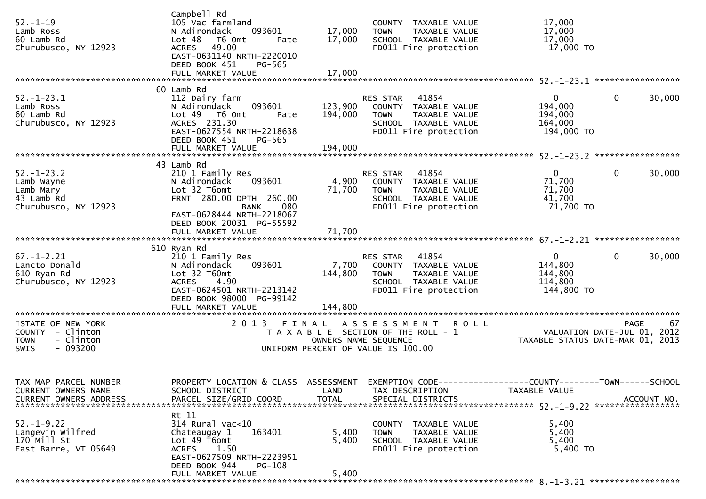| $52 - 1 - 19$<br>Lamb Ross<br>60 Lamb Rd<br>Churubusco, NY 12923                              | Campbell Rd<br>105 Vac farmland<br>N Adirondack<br>093601<br>Lot <sub>48</sub><br>T6 Omt<br>Pate<br>ACRES 49.00<br>EAST-0631140 NRTH-2220010<br>DEED BOOK 451<br>PG-565         | 17,000<br>17,000              | COUNTY TAXABLE VALUE<br><b>TOWN</b><br>TAXABLE VALUE<br>SCHOOL TAXABLE VALUE<br>FD011 Fire protection                             | 17,000<br>17,000<br>17,000<br>17,000 TO                                                                                           |
|-----------------------------------------------------------------------------------------------|---------------------------------------------------------------------------------------------------------------------------------------------------------------------------------|-------------------------------|-----------------------------------------------------------------------------------------------------------------------------------|-----------------------------------------------------------------------------------------------------------------------------------|
|                                                                                               | FULL MARKET VALUE                                                                                                                                                               | 17,000                        |                                                                                                                                   |                                                                                                                                   |
| $52. - 1 - 23.1$<br>Lamb Ross<br>60 Lamb Rd<br>Churubusco, NY 12923                           | 60 Lamb Rd<br>112 Dairy farm<br>093601<br>N Adirondack<br>Lot 49 T6 Omt<br>Pate<br>ACRES 231.30<br>EAST-0627554 NRTH-2218638<br>DEED BOOK 451<br>PG-565<br>FULL MARKET VALUE    | 123,900<br>194,000<br>194,000 | RES STAR<br>41854<br>COUNTY TAXABLE VALUE<br>TAXABLE VALUE<br><b>TOWN</b><br>SCHOOL TAXABLE VALUE<br>FD011 Fire protection        | $\Omega$<br>0<br>30,000<br>194,000<br>194,000<br>164,000<br>194,000 TO                                                            |
|                                                                                               |                                                                                                                                                                                 |                               |                                                                                                                                   |                                                                                                                                   |
| $52. - 1 - 23.2$<br>Lamb Wayne<br>Lamb Mary<br>43 Lamb Rd<br>Churubusco, NY 12923             | 43 Lamb Rd<br>210 1 Family Res<br>N Adirondack<br>093601<br>Lot 32 T6omt<br>FRNT 280.00 DPTH 260.00<br>080<br>BANK                                                              | 4,900<br>71,700               | 41854<br>RES STAR<br>COUNTY TAXABLE VALUE<br><b>TOWN</b><br>TAXABLE VALUE<br>SCHOOL TAXABLE VALUE<br>FD011 Fire protection        | 0<br>$\overline{0}$<br>30,000<br>71,700<br>71,700<br>41,700<br>71,700 TO                                                          |
|                                                                                               | EAST-0628444 NRTH-2218067<br>DEED BOOK 20031 PG-55592<br>FULL MARKET VALUE                                                                                                      | 71,700                        |                                                                                                                                   |                                                                                                                                   |
| $67. - 1 - 2.21$<br>Lancto Donald<br>610 Ryan Rd<br>Churubusco, NY 12923                      | 610 Ryan Rd<br>210 1 Family Res<br>N Adirondack<br>093601<br>Lot 32 T60mt<br><b>ACRES</b><br>4.90<br>EAST-0624501 NRTH-2213142<br>DEED BOOK 98000 PG-99142                      | 7,700<br>144,800              | 41854<br>RES STAR<br>COUNTY TAXABLE VALUE<br>TAXABLE VALUE<br><b>TOWN</b><br>SCHOOL TAXABLE VALUE<br>FD011 Fire protection        | $\mathbf{0}$<br>$\mathbf{0}$<br>30,000<br>144,800<br>144,800<br>114,800<br>144,800 TO                                             |
|                                                                                               | FULL MARKET VALUE                                                                                                                                                               | 144,800                       |                                                                                                                                   |                                                                                                                                   |
| STATE OF NEW YORK<br>COUNTY - Clinton<br>- Clinton<br><b>TOWN</b><br>$-093200$<br><b>SWIS</b> |                                                                                                                                                                                 |                               | 2013 FINAL ASSESSMENT ROLL<br>T A X A B L E SECTION OF THE ROLL - 1<br>OWNERS NAME SEQUENCE<br>UNIFORM PERCENT OF VALUE IS 100.00 | <b>PAGE</b><br>67<br>VALUATION DATE-JUL 01, 2012<br>TAXABLE STATUS DATE-MAR 01, 2013                                              |
| TAX MAP PARCEL NUMBER<br>CURRENT OWNERS NAME<br><b>CURRENT OWNERS ADDRESS</b>                 | SCHOOL DISTRICT<br>PARCEL SIZE/GRID COORD                                                                                                                                       | LAND<br><b>TOTAL</b>          | TAX DESCRIPTION<br>SPECIAL DISTRICTS                                                                                              | PROPERTY LOCATION & CLASS ASSESSMENT EXEMPTION CODE-----------------COUNTY-------TOWN------SCHOOL<br>TAXABLE VALUE<br>ACCOUNT NO. |
| $52. - 1 - 9.22$<br>Langevin Wilfred<br>170 Mill St<br>East Barre, VT 05649                   | Rt 11<br>314 Rural vac<10<br>Chateaugay 1<br>163401<br>Lot 49 T6omt<br><b>ACRES</b><br>1.50<br>EAST-0627509 NRTH-2223951<br>DEED BOOK 944<br><b>PG-108</b><br>FULL MARKET VALUE | 5,400<br>5,400<br>5,400       | COUNTY TAXABLE VALUE<br><b>TOWN</b><br>TAXABLE VALUE<br>SCHOOL TAXABLE VALUE<br>FD011 Fire protection                             | 5,400<br>5,400<br>5,400<br>5,400 TO                                                                                               |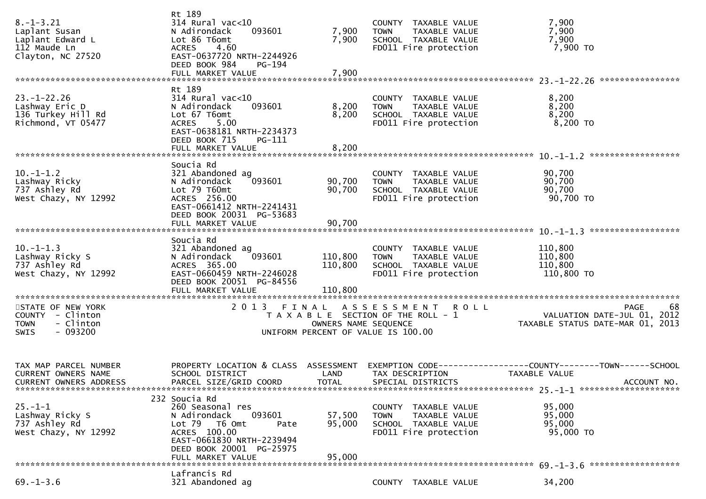| $8. - 1 - 3.21$<br>Laplant Susan<br>Laplant Edward L<br>112 Maude Ln<br>Clayton, NC 27520     | Rt 189<br>$314$ Rural vac<10<br>N Adirondack<br>093601<br>Lot 86 T6omt<br><b>ACRES</b><br>4.60<br>EAST-0637720 NRTH-2244926<br>DEED BOOK 984<br>PG-194<br>FULL MARKET VALUE | 7,900<br>7,900<br>7,900 | COUNTY TAXABLE VALUE<br>TAXABLE VALUE<br><b>TOWN</b><br>SCHOOL TAXABLE VALUE<br>FD011 Fire protection               | 7,900<br>7,900<br>7,900<br>7,900 TO                                                                   |
|-----------------------------------------------------------------------------------------------|-----------------------------------------------------------------------------------------------------------------------------------------------------------------------------|-------------------------|---------------------------------------------------------------------------------------------------------------------|-------------------------------------------------------------------------------------------------------|
|                                                                                               | Rt 189                                                                                                                                                                      |                         |                                                                                                                     |                                                                                                       |
| $23. - 1 - 22.26$<br>Lashway Eric D<br>136 Turkey Hill Rd<br>Richmond, VT 05477               | $314$ Rural vac<10<br>093601<br>N Adirondack<br>Lot 67 T6omt<br>5.00<br><b>ACRES</b><br>EAST-0638181 NRTH-2234373<br>DEED BOOK 715<br>PG-111                                | 8,200<br>8,200          | COUNTY TAXABLE VALUE<br><b>TOWN</b><br>TAXABLE VALUE<br>SCHOOL TAXABLE VALUE<br>FD011 Fire protection               | 8,200<br>8,200<br>8,200<br>8,200 TO                                                                   |
|                                                                                               | FULL MARKET VALUE                                                                                                                                                           | 8,200                   |                                                                                                                     |                                                                                                       |
| $10. -1 - 1.2$<br>Lashway Ricky<br>737 Ashley Rd<br>West Chazy, NY 12992                      | Soucia Rd<br>321 Abandoned ag<br>093601<br>N Adirondack<br>Lot 79 T60mt<br>ACRES 256.00<br>EAST-0661412 NRTH-2241431<br>DEED BOOK 20031 PG-53683                            | 90,700<br>90,700        | COUNTY TAXABLE VALUE<br><b>TOWN</b><br>TAXABLE VALUE<br>SCHOOL TAXABLE VALUE<br>FD011 Fire protection               | 90,700<br>90,700<br>90,700<br>90,700 TO                                                               |
|                                                                                               | FULL MARKET VALUE                                                                                                                                                           | 90.700                  |                                                                                                                     |                                                                                                       |
| $10.-1-1.3$<br>Lashway Ricky S<br>737 Ashley Rd<br>West Chazy, NY 12992                       | Soucia Rd<br>321 Abandoned ag<br>093601<br>N Adirondack<br>ACRES 365.00<br>EAST-0660459 NRTH-2246028<br>DEED BOOK 20051 PG-84556                                            | 110,800<br>110,800      | COUNTY TAXABLE VALUE<br>TAXABLE VALUE<br><b>TOWN</b><br>SCHOOL TAXABLE VALUE<br>FD011 Fire protection               | 110,800<br>110,800<br>110,800<br>110,800 TO                                                           |
| STATE OF NEW YORK<br>COUNTY - Clinton<br>- Clinton<br><b>TOWN</b><br>$-093200$<br><b>SWIS</b> |                                                                                                                                                                             | OWNERS NAME SEQUENCE    | 2013 FINAL ASSESSMENT<br><b>ROLL</b><br>T A X A B L E SECTION OF THE ROLL - 1<br>UNIFORM PERCENT OF VALUE IS 100.00 | 68<br>PAGE<br>VALUATION DATE-JUL 01, 2012<br>TAXABLE STATUS DATE-MAR 01, 2013                         |
| TAX MAP PARCEL NUMBER<br>CURRENT OWNERS NAME<br>CURRENT OWNERS ADDRESS                        | PROPERTY LOCATION & CLASS ASSESSMENT<br>SCHOOL DISTRICT<br>PARCEL SIZE/GRID COORD                                                                                           | LAND<br><b>TOTAL</b>    | TAX DESCRIPTION<br>SPECIAL DISTRICTS                                                                                | EXEMPTION CODE------------------COUNTY--------TOWN------SCHOOL<br><b>TAXABLE VALUE</b><br>ACCOUNT NO. |
| $25. - 1 - 1$                                                                                 | 232 Soucia Rd<br>260 Seasonal res                                                                                                                                           |                         | COUNTY TAXABLE VALUE                                                                                                | 95,000                                                                                                |
| Lashway Ricky S<br>737 Ashley Rd<br>West Chazy, NY 12992                                      | 093601<br>N Adirondack<br>Lot 79 T6 Omt<br>Pate<br>ACRES 100.00<br>EAST-0661830 NRTH-2239494                                                                                | 57,500<br>95,000        | <b>TOWN</b><br>TAXABLE VALUE<br>SCHOOL TAXABLE VALUE<br>FD011 Fire protection                                       | 95,000<br>95,000<br>95,000 TO                                                                         |
|                                                                                               | DEED BOOK 20001 PG-25975<br>FULL MARKET VALUE                                                                                                                               | 95,000                  |                                                                                                                     |                                                                                                       |
|                                                                                               | Lafrancis Rd                                                                                                                                                                |                         |                                                                                                                     |                                                                                                       |
| $69. - 1 - 3.6$                                                                               | 321 Abandoned ag                                                                                                                                                            |                         | COUNTY TAXABLE VALUE                                                                                                | 34,200                                                                                                |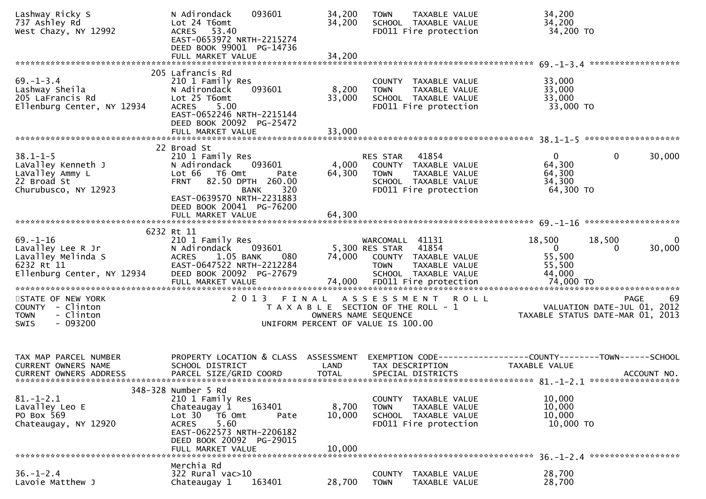| Lashway Ricky S<br>737 Ashley Rd<br>West Chazy, NY 12992                                              | 093601<br>N Adirondack<br>Lot 24 T6omt<br>ACRES 53.40<br>EAST-0653972 NRTH-2215274<br>DEED BOOK 99001 PG-14736<br>FULL MARKET VALUE                                                  | 34,200<br>34,200<br>34,200 | TAXABLE VALUE<br><b>TOWN</b><br>SCHOOL TAXABLE VALUE<br>FD011 Fire protection                                                    | 34,200<br>34,200<br>34,200 TO                                                                       |    |
|-------------------------------------------------------------------------------------------------------|--------------------------------------------------------------------------------------------------------------------------------------------------------------------------------------|----------------------------|----------------------------------------------------------------------------------------------------------------------------------|-----------------------------------------------------------------------------------------------------|----|
|                                                                                                       |                                                                                                                                                                                      |                            |                                                                                                                                  |                                                                                                     |    |
| $69. - 1 - 3.4$<br>Lashway Sheila<br>205 LaFrancis Rd<br>Ellenburg Center, NY 12934                   | 205 Lafrancis Rd<br>210 1 Family Res<br>N Adirondack<br>093601<br>Lot 25 T6omt<br><b>ACRES</b><br>5.00<br>EAST-0652246 NRTH-2215144<br>DEED BOOK 20092 PG-25472<br>FULL MARKET VALUE | 8,200<br>33,000<br>33,000  | COUNTY TAXABLE VALUE<br><b>TOWN</b><br>TAXABLE VALUE<br>SCHOOL TAXABLE VALUE<br>FD011 Fire protection                            | 33,000<br>33,000<br>33,000<br>33,000 TO                                                             |    |
|                                                                                                       |                                                                                                                                                                                      |                            |                                                                                                                                  |                                                                                                     |    |
| $38.1 - 1 - 5$<br>LaValley Kenneth J<br>LaValley Ammy L<br>22 Broad St<br>Churubusco, NY 12923        | 22 Broad St<br>210 1 Family Res<br>N Adirondack<br>093601<br>Lot 66 T6 Omt<br>Pate<br>82.50 DPTH 260.00<br><b>FRNT</b><br><b>BANK</b><br>320                                         | 4,000<br>64,300            | 41854<br>RES STAR<br>COUNTY TAXABLE VALUE<br><b>TOWN</b><br>TAXABLE VALUE<br>SCHOOL TAXABLE VALUE<br>FD011 Fire protection       | $\Omega$<br>$\mathbf{0}$<br>30,000<br>64,300<br>64,300<br>34,300<br>64,300 TO                       |    |
|                                                                                                       | EAST-0639570 NRTH-2231883<br>DEED BOOK 20041 PG-76200                                                                                                                                |                            |                                                                                                                                  |                                                                                                     |    |
|                                                                                                       | 6232 Rt 11                                                                                                                                                                           |                            |                                                                                                                                  |                                                                                                     |    |
| $69. - 1 - 16$<br>Lavalley Lee R Jr<br>Lavalley Melinda S<br>6232 Rt 11<br>Ellenburg Center, NY 12934 | 210 1 Family Res<br>N Adirondack<br>093601<br>1.05 BANK<br><b>ACRES</b><br>080<br>EAST-0647522 NRTH-2212284<br>DEED BOOK 20092 PG-27679                                              | 74,000                     | WARCOMALL 41131<br>5,300 RES STAR<br>41854<br>COUNTY TAXABLE VALUE<br><b>TOWN</b><br>TAXABLE VALUE<br>SCHOOL TAXABLE VALUE       | 18,500<br>18,500<br>30,000<br>$\overline{0}$<br>55,500<br>55,500<br>44,000                          | 0  |
|                                                                                                       |                                                                                                                                                                                      |                            |                                                                                                                                  |                                                                                                     |    |
| STATE OF NEW YORK<br>COUNTY - Clinton<br>- Clinton<br><b>TOWN</b><br>$-093200$<br><b>SWIS</b>         | 2 0 1 3                                                                                                                                                                              | FINAL                      | ASSESSMENT<br><b>ROLL</b><br>T A X A B L E SECTION OF THE ROLL - 1<br>OWNERS NAME SEQUENCE<br>UNIFORM PERCENT OF VALUE IS 100.00 | PAGE<br>VALUATION DATE-JUL 01, 2012<br>TAXABLE STATUS DATE-MAR 01, 2013                             | 69 |
| TAX MAP PARCEL NUMBER<br><b>CURRENT OWNERS NAME</b><br><b>CURRENT OWNERS ADDRESS</b>                  | PROPERTY LOCATION & CLASS ASSESSMENT<br>SCHOOL DISTRICT<br>PARCEL SIZE/GRID COORD                                                                                                    | LAND<br><b>TOTAL</b>       | TAX DESCRIPTION<br>SPECIAL DISTRICTS                                                                                             | EXEMPTION CODE-----------------COUNTY-------TOWN------SCHOOL<br><b>TAXABLE VALUE</b><br>ACCOUNT NO. |    |
|                                                                                                       | 348-328 Number 5 Rd                                                                                                                                                                  |                            |                                                                                                                                  |                                                                                                     |    |
| $81.-1-2.1$<br>Lavalley Leo E                                                                         | 210 1 Family Res<br>Chateaugay 1<br>163401                                                                                                                                           | 8,700                      | COUNTY TAXABLE VALUE<br><b>TOWN</b><br>TAXABLE VALUE                                                                             | 10,000<br>10,000                                                                                    |    |
| PO Box 569<br>Chateaugay, NY 12920                                                                    | Lot 30 T6 Omt<br>Pate<br>5.60<br><b>ACRES</b><br>EAST-0622573 NRTH-2206182<br>DEED BOOK 20092 PG-29015                                                                               | 10,000                     | SCHOOL TAXABLE VALUE<br>FD011 Fire protection                                                                                    | 10,000<br>10,000 TO                                                                                 |    |
|                                                                                                       | FULL MARKET VALUE                                                                                                                                                                    | 10,000                     |                                                                                                                                  |                                                                                                     |    |
| $36. - 1 - 2.4$<br>Lavoie Matthew J                                                                   | Merchia Rd<br>322 Rural vac>10<br>163401<br>Chateaugay 1                                                                                                                             | 28,700                     | COUNTY TAXABLE VALUE<br><b>TOWN</b><br>TAXABLE VALUE                                                                             | 28,700<br>28,700                                                                                    |    |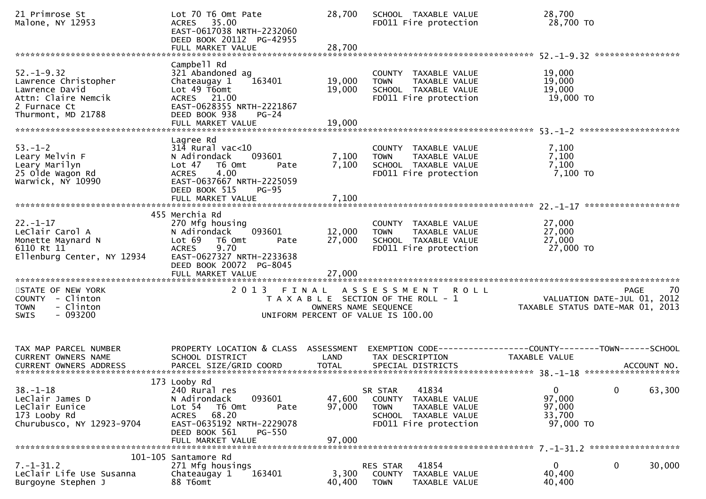| 21 Primrose St<br>Malone, NY 12953                                                                                      | Lot 70 T6 Omt Pate<br>ACRES 35.00<br>EAST-0617038 NRTH-2232060<br>DEED BOOK 20112 PG-42955<br>FULL MARKET VALUE                                                                                  | 28,700<br>28,700           | SCHOOL TAXABLE VALUE<br>FD011 Fire protection                                                                                | 28,700<br>28,700 TO                                                           |
|-------------------------------------------------------------------------------------------------------------------------|--------------------------------------------------------------------------------------------------------------------------------------------------------------------------------------------------|----------------------------|------------------------------------------------------------------------------------------------------------------------------|-------------------------------------------------------------------------------|
|                                                                                                                         | Campbell Rd                                                                                                                                                                                      |                            |                                                                                                                              |                                                                               |
| $52. - 1 - 9.32$<br>Lawrence Christopher<br>Lawrence David<br>Attn: Claire Nemcik<br>2 Furnace Ct<br>Thurmont, MD 21788 | 321 Abandoned ag<br>163401<br>Chateaugay 1<br>Lot 49 T6omt<br>ACRES 21.00<br>EAST-0628355 NRTH-2221867<br>DEED BOOK 938<br>$PG-24$                                                               | 19,000<br>19,000           | COUNTY TAXABLE VALUE<br>TAXABLE VALUE<br><b>TOWN</b><br>SCHOOL TAXABLE VALUE<br>FD011 Fire protection                        | 19,000<br>19,000<br>19,000<br>19,000 TO                                       |
|                                                                                                                         | FULL MARKET VALUE                                                                                                                                                                                | 19,000                     |                                                                                                                              |                                                                               |
| $53. - 1 - 2$<br>Leary Melvin F<br>Leary Marilyn<br>25 Olde Wagon Rd<br>Warwick, NY 10990                               | Lagree Rd<br>$314$ Rural vac<10<br>093601<br>N Adirondack<br>Lot 47<br>T6 Omt<br>Pate<br>4.00<br><b>ACRES</b><br>EAST-0637667 NRTH-2225059<br>DEED BOOK 515<br><b>PG-95</b><br>FULL MARKET VALUE | 7,100<br>7,100<br>7,100    | COUNTY TAXABLE VALUE<br><b>TOWN</b><br>TAXABLE VALUE<br>SCHOOL TAXABLE VALUE<br>FD011 Fire protection                        | 7,100<br>7,100<br>7,100<br>7,100 то                                           |
|                                                                                                                         |                                                                                                                                                                                                  |                            |                                                                                                                              |                                                                               |
| $22. - 1 - 17$<br>LeClair Carol A<br>Monette Maynard N<br>6110 Rt 11<br>Ellenburg Center, NY 12934                      | 455 Merchia Rd<br>270 Mfg housing<br>093601<br>N Adirondack<br>Lot 69 T6 Omt<br>Pate<br><b>ACRES</b><br>9.70<br>EAST-0627327 NRTH-2233638<br>DEED BOOK 20072 PG-8045                             | 12,000<br>27,000           | COUNTY TAXABLE VALUE<br>TAXABLE VALUE<br><b>TOWN</b><br>SCHOOL TAXABLE VALUE<br>FD011 Fire protection                        | 27,000<br>27,000<br>27,000<br>27,000 TO                                       |
|                                                                                                                         |                                                                                                                                                                                                  |                            |                                                                                                                              |                                                                               |
| STATE OF NEW YORK<br>COUNTY - Clinton<br>- Clinton<br><b>TOWN</b><br>$-093200$<br><b>SWIS</b>                           |                                                                                                                                                                                                  | OWNERS NAME SEQUENCE       | 2013 FINAL ASSESSMENT ROLL<br>T A X A B L E SECTION OF THE ROLL - 1<br>UNIFORM PERCENT OF VALUE IS 100.00                    | 70<br>PAGE<br>VALUATION DATE-JUL 01, 2012<br>TAXABLE STATUS DATE-MAR 01, 2013 |
| TAX MAP PARCEL NUMBER<br><b>CURRENT OWNERS NAME</b>                                                                     | PROPERTY LOCATION & CLASS ASSESSMENT<br>SCHOOL DISTRICT                                                                                                                                          | LAND                       | TAX DESCRIPTION                                                                                                              | EXEMPTION CODE-----------------COUNTY-------TOWN------SCHOOL<br>TAXABLE VALUE |
| 38. – 1–18<br>LeClair James D<br>LeClair Eunice<br>173 Looby Rd<br>Churubusco, NY 12923-9704                            | 173 Looby Rd<br>240 Rural res<br>N Adirondack<br>093601<br>Lot 54<br>T6 Omt<br>Pate<br>68.20<br><b>ACRES</b><br>EAST-0635192 NRTH-2229078<br>DEED BOOK 561<br>PG-550<br>FULL MARKET VALUE        | 47,600<br>97,000<br>97,000 | 41834<br>SR STAR<br>COUNTY<br>TAXABLE VALUE<br><b>TOWN</b><br>TAXABLE VALUE<br>SCHOOL TAXABLE VALUE<br>FD011 Fire protection | 0<br>0<br>63,300<br>97,000<br>97,000<br>33,700<br>97,000 TO                   |
|                                                                                                                         | 101-105 Santamore Rd                                                                                                                                                                             |                            |                                                                                                                              |                                                                               |
| $7. - 1 - 31.2$<br>LeClair Life Use Susanna<br>Burgoyne Stephen J                                                       | 271 Mfg housings<br>163401<br>Chateaugay 1<br>88 T6omt                                                                                                                                           | 3,300<br>40,400            | 41854<br>RES STAR<br>COUNTY<br>TAXABLE VALUE<br><b>TOWN</b><br>TAXABLE VALUE                                                 | 0<br>0<br>30,000<br>40,400<br>40,400                                          |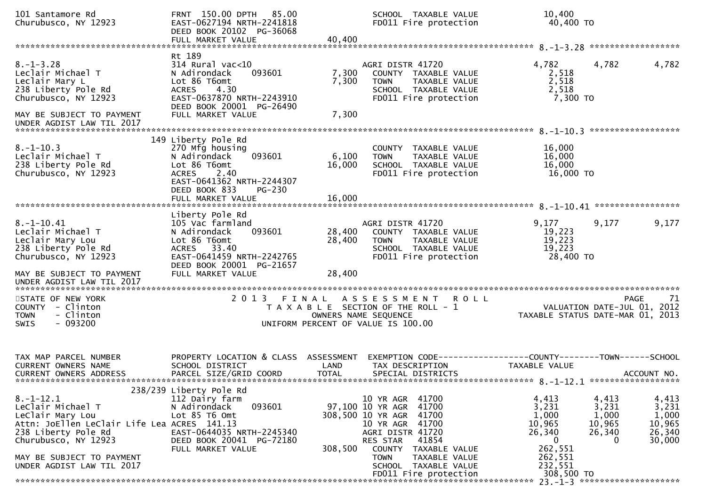| 101 Santamore Rd<br>Churubusco, NY 12923                                                                                                                           | FRNT 150.00 DPTH 85.00<br>EAST-0627194 NRTH-2241818<br>DEED BOOK 20102 PG-36068<br>FULL MARKET VALUE                                                                                         | 40,400                     | SCHOOL TAXABLE VALUE<br>FD011 Fire protection                                                                                                                            | 10,400<br>40,400 TO                                                      |                                                                                                           |
|--------------------------------------------------------------------------------------------------------------------------------------------------------------------|----------------------------------------------------------------------------------------------------------------------------------------------------------------------------------------------|----------------------------|--------------------------------------------------------------------------------------------------------------------------------------------------------------------------|--------------------------------------------------------------------------|-----------------------------------------------------------------------------------------------------------|
|                                                                                                                                                                    |                                                                                                                                                                                              |                            |                                                                                                                                                                          |                                                                          |                                                                                                           |
| $8. - 1 - 3.28$<br>Leclair Michael T<br>Leclair Mary L<br>238 Liberty Pole Rd<br>Churubusco, NY 12923<br>MAY BE SUBJECT TO PAYMENT                                 | Rt 189<br>$314$ Rural vac<10<br>093601<br>N Adirondack<br>Lot 86 T6omt<br>4.30<br><b>ACRES</b><br>EAST-0637870 NRTH-2243910<br>DEED BOOK 20001 PG-26490<br>FULL MARKET VALUE                 | 7,300<br>7,300<br>7,300    | AGRI DISTR 41720<br>COUNTY TAXABLE VALUE<br><b>TOWN</b><br>TAXABLE VALUE<br>SCHOOL TAXABLE VALUE<br>FD011 Fire protection                                                | 4,782<br>2,518<br>2,518<br>2,518<br>7,300 TO                             | 4,782<br>4,782                                                                                            |
| UNDER AGDIST LAW TIL 2017                                                                                                                                          |                                                                                                                                                                                              |                            |                                                                                                                                                                          |                                                                          | ******************                                                                                        |
| $8. - 1 - 10.3$<br>Leclair Michael T<br>238 Liberty Pole Rd<br>Churubusco, NY 12923                                                                                | 149 Liberty Pole Rd<br>270 Mfg housing<br>093601<br>N Adirondack<br>Lot 86 T6omt<br>2.40<br><b>ACRES</b><br>EAST-0641362 NRTH-2244307<br>DEED BOOK 833<br><b>PG-230</b><br>FULL MARKET VALUE | 6,100<br>16,000<br>16,000  | COUNTY TAXABLE VALUE<br><b>TOWN</b><br>TAXABLE VALUE<br>SCHOOL TAXABLE VALUE<br>FD011 Fire protection                                                                    | 16,000<br>16,000<br>16,000<br>16,000 TO                                  |                                                                                                           |
|                                                                                                                                                                    | Liberty Pole Rd                                                                                                                                                                              |                            |                                                                                                                                                                          |                                                                          |                                                                                                           |
| $8. - 1 - 10.41$<br>Leclair Michael T<br>Leclair Mary Lou<br>238 Liberty Pole Rd<br>Churubusco, NY 12923<br>MAY BE SUBJECT TO PAYMENT<br>UNDER AGDIST LAW TIL 2017 | 105 Vac farmland<br>N Adirondack<br>093601<br>Lot 86 T6omt<br>ACRES 33.40<br>EAST-0641459 NRTH-2242765<br>DEED BOOK 20001 PG-21657<br>FULL MARKET VALUE                                      | 28,400<br>28,400<br>28,400 | AGRI DISTR 41720<br>COUNTY TAXABLE VALUE<br>TAXABLE VALUE<br>TOWN<br>SCHOOL TAXABLE VALUE<br>FD011 Fire protection                                                       | 9,177<br>19,223<br>19,223<br>19,223<br>28,400 TO                         | 9,177<br>9,177                                                                                            |
|                                                                                                                                                                    |                                                                                                                                                                                              |                            |                                                                                                                                                                          |                                                                          |                                                                                                           |
| STATE OF NEW YORK<br>COUNTY - Clinton<br>- Clinton<br><b>TOWN</b><br>$-093200$<br><b>SWIS</b>                                                                      |                                                                                                                                                                                              |                            | 2013 FINAL ASSESSMENT ROLL<br>T A X A B L E SECTION OF THE ROLL - 1<br>OWNERS NAME SEQUENCE<br>UNIFORM PERCENT OF VALUE IS 100.00                                        |                                                                          | 71<br>PAGE<br>VALUATION DATE-JUL 01, 2012<br>TAXABLE STATUS DATE-MAR 01, 2013                             |
| TAX MAP PARCEL NUMBER<br>CURRENT OWNERS NAME<br><b>CURRENT OWNERS ADDRESS</b>                                                                                      | PROPERTY LOCATION & CLASS ASSESSMENT<br>SCHOOL DISTRICT<br>PARCEL SIZE/GRID COORD                                                                                                            | LAND<br><b>TOTAL</b>       | EXEMPTION CODE-----------------COUNTY-------TOWN-----SCHOOL<br>TAX DESCRIPTION<br>SPECIAL DISTRICTS                                                                      | TAXABLE VALUE                                                            | ACCOUNT NO.                                                                                               |
|                                                                                                                                                                    | 238/239 Liberty Pole Rd                                                                                                                                                                      |                            |                                                                                                                                                                          |                                                                          |                                                                                                           |
| $8. - 1 - 12.1$<br>LeClair Michael T<br>LeClair Mary Lou<br>Attn: JoEllen LeClair Life Lea ACRES 141.13<br>238 Liberty Pole Rd<br>Churubusco, NY 12923             | 112 Dairy farm<br>093601<br>N Adirondack<br>Lot 85 T6 Omt<br>EAST-0644035 NRTH-2245340<br>DEED BOOK 20041 PG-72180<br>FULL MARKET VALUE                                                      | 308,500                    | 10 YR AGR 41700<br>97,100 10 YR AGR<br>41700<br>308,500 10 YR AGR<br>41700<br>10 YR AGR 41700<br>AGRI DISTR 41720<br>41854<br>RES STAR<br><b>COUNTY</b><br>TAXABLE VALUE | 4,413<br>3,231<br>1,000<br>10,965<br>26,340<br>$\overline{0}$<br>262,551 | 4,413<br>4,413<br>3,231<br>3,231<br>1,000<br>1,000<br>10,965<br>10,965<br>26,340<br>26,340<br>30,000<br>0 |
| MAY BE SUBJECT TO PAYMENT<br>UNDER AGDIST LAW TIL 2017                                                                                                             |                                                                                                                                                                                              |                            | <b>TOWN</b><br>TAXABLE VALUE<br>SCHOOL TAXABLE VALUE<br>FD011 Fire protection                                                                                            | 262,551<br>232,551<br>308,500 TO                                         |                                                                                                           |
|                                                                                                                                                                    |                                                                                                                                                                                              |                            |                                                                                                                                                                          |                                                                          | $23. -1 - 3$ **********************                                                                       |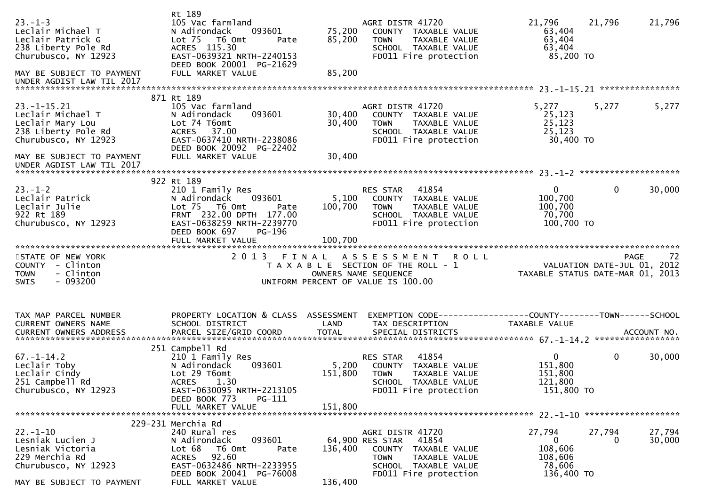| $23. - 1 - 3$<br>Leclair Michael T<br>Leclair Patrick G<br>238 Liberty Pole Rd<br>Churubusco, NY 12923<br>MAY BE SUBJECT TO PAYMENT | Rt 189<br>105 Vac farmland<br>093601<br>N Adirondack<br>Lot 75 T6 Omt<br>Pate<br>ACRES 115.30<br>EAST-0639321 NRTH-2240153<br>DEED BOOK 20001 PG-21629<br>FULL MARKET VALUE | 75,200<br>85,200<br>85,200 | AGRI DISTR 41720<br>COUNTY TAXABLE VALUE<br><b>TOWN</b><br>TAXABLE VALUE<br>SCHOOL TAXABLE VALUE<br>FD011 Fire protection                                | 21,796<br>63,404<br>63,404<br>63,404<br>85,200 TO                 | 21,796       | 21,796           |
|-------------------------------------------------------------------------------------------------------------------------------------|-----------------------------------------------------------------------------------------------------------------------------------------------------------------------------|----------------------------|----------------------------------------------------------------------------------------------------------------------------------------------------------|-------------------------------------------------------------------|--------------|------------------|
|                                                                                                                                     |                                                                                                                                                                             |                            |                                                                                                                                                          |                                                                   |              |                  |
|                                                                                                                                     | 871 Rt 189                                                                                                                                                                  |                            |                                                                                                                                                          |                                                                   |              |                  |
| $23. - 1 - 15.21$<br>Leclair Michael T<br>Leclair Mary Lou<br>238 Liberty Pole Rd<br>Churubusco, NY 12923                           | 105 Vac farmland<br>N Adirondack<br>093601<br>Lot 74 T6omt<br>ACRES 37.00<br>EAST-0637410 NRTH-2238086<br>DEED BOOK 20092 PG-22402                                          | 30,400<br>30,400           | AGRI DISTR 41720<br>COUNTY TAXABLE VALUE<br><b>TOWN</b><br>TAXABLE VALUE<br>SCHOOL TAXABLE VALUE<br>FD011 Fire protection                                | 5,277<br>25,123<br>25,123<br>25,123<br>30,400 TO                  | 5,277        | 5,277            |
| MAY BE SUBJECT TO PAYMENT<br>UNDER AGDIST LAW TIL 2017                                                                              | FULL MARKET VALUE                                                                                                                                                           | 30,400                     |                                                                                                                                                          |                                                                   |              |                  |
|                                                                                                                                     | 922 Rt 189                                                                                                                                                                  |                            |                                                                                                                                                          |                                                                   |              |                  |
| $23. - 1 - 2$<br>Leclair Patrick<br>Leclair Julie<br>922 Rt 189<br>Churubusco, NY 12923                                             | 210 1 Family Res<br>N Adirondack<br>093601<br>Lot 75 T6 Omt<br>Pate<br>FRNT 232.00 DPTH 177.00<br>EAST-0638259 NRTH-2239770<br>DEED BOOK 697<br>PG-196                      | 5,100<br>100,700           | 41854<br>RES STAR<br>COUNTY TAXABLE VALUE<br><b>TOWN</b><br>TAXABLE VALUE<br>SCHOOL TAXABLE VALUE<br>FD011 Fire protection                               | $\mathbf{0}$<br>100,700<br>100,700<br>70,700<br>100,700 TO        | $\mathbf{0}$ | 30,000           |
|                                                                                                                                     | FULL MARKET VALUE                                                                                                                                                           | 100,700                    |                                                                                                                                                          |                                                                   |              |                  |
|                                                                                                                                     |                                                                                                                                                                             |                            |                                                                                                                                                          |                                                                   |              |                  |
| STATE OF NEW YORK<br>COUNTY - Clinton<br>- Clinton<br><b>TOWN</b><br>$-093200$<br><b>SWIS</b>                                       |                                                                                                                                                                             |                            | 2013 FINAL ASSESSMENT<br><b>ROLL</b><br>T A X A B L E SECTION OF THE ROLL - 1<br>OWNERS NAME SEQUENCE<br>UNIFORM PERCENT OF VALUE IS 100.00              | VALUATION DATE-JUL $01, 2012$<br>TAXABLE STATUS DATE-MAR 01, 2013 |              | -72<br>PAGE      |
| TAX MAP PARCEL NUMBER<br>CURRENT OWNERS NAME                                                                                        | PROPERTY LOCATION & CLASS ASSESSMENT<br>SCHOOL DISTRICT                                                                                                                     | LAND                       | EXEMPTION CODE------------------COUNTY--------TOWN------SCHOOL<br>TAX DESCRIPTION                                                                        | TAXABLE VALUE                                                     |              |                  |
|                                                                                                                                     | 251 Campbell Rd                                                                                                                                                             |                            |                                                                                                                                                          |                                                                   |              |                  |
| $67. - 1 - 14.2$<br>Leclair Toby<br>Leclair Cindy<br>251 Campbell Rd<br>Churubusco, NY 12923                                        | 210 1 Family Res<br>093601<br>N Adirondack<br>Lot 29 T6omt<br><b>ACRES</b><br>1.30<br>EAST-0630095 NRTH-2213105                                                             | 5,200<br>151,800           | 41854<br>RES STAR<br>COUNTY TAXABLE VALUE<br><b>TOWN</b><br>TAXABLE VALUE<br>SCHOOL TAXABLE VALUE<br>FD011 Fire protection                               | $\overline{0}$<br>151,800<br>151,800<br>121,800<br>151,800 TO     | $\mathbf 0$  | 30,000           |
|                                                                                                                                     | PG-111<br>DEED BOOK 773<br>FULL MARKET VALUE                                                                                                                                | 151,800                    |                                                                                                                                                          |                                                                   |              |                  |
|                                                                                                                                     |                                                                                                                                                                             |                            |                                                                                                                                                          |                                                                   |              |                  |
| $22. - 1 - 10$<br>Lesniak Lucien J<br>Lesniak Victoria<br>229 Merchia Rd<br>Churubusco, NY 12923                                    | 229-231 Merchia Rd<br>240 Rural res<br>093601<br>N Adirondack<br>Lot 68<br>T6 Omt<br>Pate<br>92.60<br><b>ACRES</b><br>EAST-0632486 NRTH-2233955<br>DEED BOOK 20041 PG-76008 | 136,400                    | AGRI DISTR 41720<br>64,900 RES STAR<br>41854<br>COUNTY<br>TAXABLE VALUE<br>TAXABLE VALUE<br><b>TOWN</b><br>SCHOOL TAXABLE VALUE<br>FD011 Fire protection | 27,794<br>$\bf{0}$<br>108,606<br>108,606<br>78,606<br>136,400 TO  | 27,794<br>0  | 27,794<br>30,000 |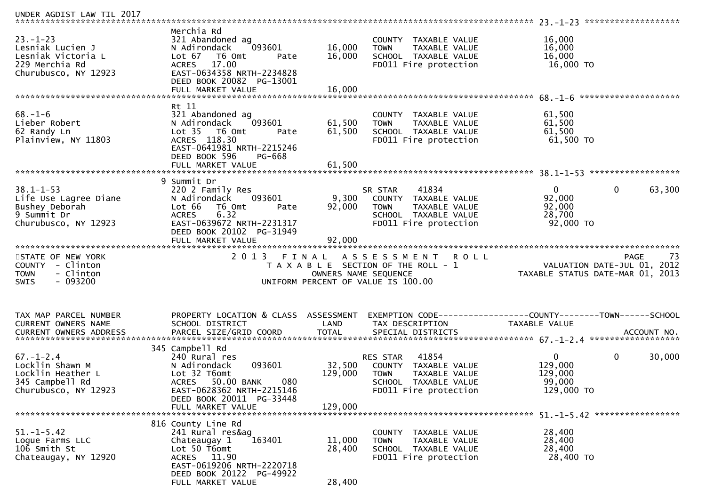| Merchia Rd<br>321 Abandoned ag<br>093601<br>N Adirondack<br>Lot 67<br>T6 Omt<br>Pate<br>17.00<br><b>ACRES</b><br>EAST-0634358 NRTH-2234828<br>DEED BOOK 20082 PG-13001<br>FULL MARKET VALUE | 16,000<br>16,000<br>16,000                      | COUNTY TAXABLE VALUE<br><b>TAXABLE VALUE</b><br><b>TOWN</b><br>SCHOOL TAXABLE VALUE<br>FD011 Fire protection      | 16,000<br>16,000<br>16,000<br>16,000 TO                                                                                                           |                                                                               |
|---------------------------------------------------------------------------------------------------------------------------------------------------------------------------------------------|-------------------------------------------------|-------------------------------------------------------------------------------------------------------------------|---------------------------------------------------------------------------------------------------------------------------------------------------|-------------------------------------------------------------------------------|
|                                                                                                                                                                                             |                                                 |                                                                                                                   |                                                                                                                                                   |                                                                               |
| 321 Abandoned ag<br>093601<br>N Adirondack<br>Lot 35  T6 Omt<br>Pate<br>ACRES 118.30<br>EAST-0641981 NRTH-2215246<br>DEED BOOK 596<br>PG-668                                                | 61,500<br>61,500                                | COUNTY TAXABLE VALUE<br>TAXABLE VALUE<br><b>TOWN</b><br>SCHOOL TAXABLE VALUE<br>FD011 Fire protection             | 61,500<br>61,500<br>61,500<br>61,500 TO                                                                                                           |                                                                               |
|                                                                                                                                                                                             |                                                 |                                                                                                                   |                                                                                                                                                   | ******************                                                            |
| 9 Summit Dr<br>220 2 Family Res<br>N Adirondack<br>093601<br>Lot 66<br>T6 Omt<br>Pate<br>6.32<br><b>ACRES</b><br>EAST-0639672 NRTH-2231317<br>DEED BOOK 20102 PG-31949<br>FULL MARKET VALUE | 9,300<br>92,000<br>92,000                       | 41834<br>COUNTY<br>TAXABLE VALUE<br><b>TOWN</b><br>TAXABLE VALUE<br>SCHOOL TAXABLE VALUE<br>FD011 Fire protection | $\mathbf{0}$<br>92,000<br>92,000<br>28,700<br>92,000 TO                                                                                           | $\mathbf{0}$<br>63,300                                                        |
| 2 0 1 3                                                                                                                                                                                     |                                                 |                                                                                                                   | TAXABLE STATUS DATE-MAR 01, 2013                                                                                                                  | -73<br><b>PAGE</b><br>VALUATION DATE-JUL 01, 2012                             |
| SCHOOL DISTRICT<br>PARCEL SIZE/GRID COORD                                                                                                                                                   | LAND<br><b>TOTAL</b>                            | TAX DESCRIPTION<br>SPECIAL DISTRICTS                                                                              | <b>TAXABLE VALUE</b>                                                                                                                              | ACCOUNT NO.                                                                   |
| 345 Campbell Rd<br>240 Rural res<br>N Adirondack<br>093601<br>Lot 32 T6omt<br>080<br><b>ACRES</b><br>50.00 BANK<br>EAST-0628362 NRTH-2215146<br>DEED BOOK 20011 PG-33448                    | 32,500<br>129,000                               | 41854<br>COUNTY TAXABLE VALUE<br><b>TOWN</b><br>TAXABLE VALUE<br>SCHOOL TAXABLE VALUE<br>FD011 Fire protection    | $\mathbf{0}$<br>129,000<br>129,000<br>99,000<br>129,000 TO                                                                                        | 0<br>30,000                                                                   |
|                                                                                                                                                                                             |                                                 |                                                                                                                   |                                                                                                                                                   |                                                                               |
| 816 County Line Rd<br>241 Rural res&ag<br>163401<br>Chateaugay 1<br>Lot 50 T6omt<br>ACRES 11.90<br>EAST-0619206 NRTH-2220718<br>DEED BOOK 20122 PG-49922<br>FULL MARKET VALUE               | 11,000<br>28,400<br>28,400                      | COUNTY TAXABLE VALUE<br>TAXABLE VALUE<br><b>TOWN</b><br>SCHOOL TAXABLE VALUE<br>FD011 Fire protection             | 28,400<br>28,400<br>28,400<br>28,400 TO                                                                                                           |                                                                               |
|                                                                                                                                                                                             | Rt 11<br>FULL MARKET VALUE<br>FULL MARKET VALUE | 61,500<br>FINAL<br>PROPERTY LOCATION & CLASS ASSESSMENT<br>129,000                                                | SR STAR<br>A S S E S S M E N T<br>T A X A B L E SECTION OF THE ROLL - 1<br>OWNERS NAME SEQUENCE<br>UNIFORM PERCENT OF VALUE IS 100.00<br>RES STAR | <b>ROLL</b><br>EXEMPTION CODE------------------COUNTY--------TOWN------SCHOOL |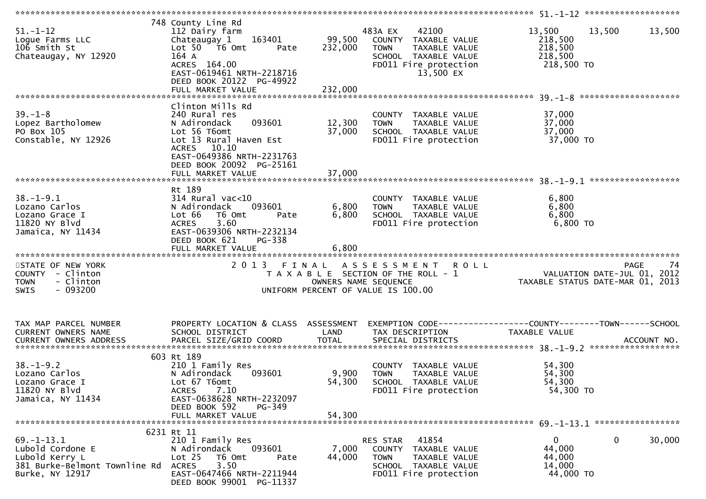| $51. - 1 - 12$<br>Loque Farms LLC<br>106 Smith St<br>Chateaugay, NY 12920                                  | 748 County Line Rd<br>112 Dairy farm<br>163401<br>Chateaugay 1<br>Lot 50  T6 0mt<br>Pate<br>164 A<br>ACRES 164.00<br>EAST-0619461 NRTH-2218716<br>DEED BOOK 20122 PG-49922<br>FULL MARKET VALUE | 99,500<br>232,000<br>232,000 | 483A EX<br>42100<br>COUNTY TAXABLE VALUE<br>TAXABLE VALUE<br><b>TOWN</b><br>SCHOOL TAXABLE VALUE<br>FD011 Fire protection<br>13,500 EX | 13,500<br>13,500<br>13,500<br>218,500<br>218,500<br>218,500<br>218,500 TO       |
|------------------------------------------------------------------------------------------------------------|-------------------------------------------------------------------------------------------------------------------------------------------------------------------------------------------------|------------------------------|----------------------------------------------------------------------------------------------------------------------------------------|---------------------------------------------------------------------------------|
|                                                                                                            | Clinton Mills Rd                                                                                                                                                                                |                              |                                                                                                                                        |                                                                                 |
| $39. - 1 - 8$<br>Lopez Bartholomew<br>PO Box 105<br>Constable, NY 12926                                    | 240 Rural res<br>093601<br>N Adirondack<br>Lot 56 T6omt<br>Lot 13 Rural Haven Est<br>ACRES 10.10<br>EAST-0649386 NRTH-2231763                                                                   | 12,300<br>37,000             | COUNTY TAXABLE VALUE<br>TAXABLE VALUE<br><b>TOWN</b><br>SCHOOL TAXABLE VALUE<br>FD011 Fire protection                                  | 37,000<br>37,000<br>37,000<br>37,000 TO                                         |
|                                                                                                            | DEED BOOK 20092 PG-25161<br>FULL MARKET VALUE                                                                                                                                                   | 37,000                       |                                                                                                                                        |                                                                                 |
|                                                                                                            |                                                                                                                                                                                                 |                              |                                                                                                                                        |                                                                                 |
| $38. - 1 - 9.1$<br>Lozano Carlos<br>Lozano Grace I<br>11820 NY Blvd<br>Jamaica, NY 11434                   | Rt 189<br>$314$ Rural vac<10<br>N Adirondack<br>093601<br>Lot 66<br>T6 Omt<br>Pate<br>3.60<br><b>ACRES</b><br>EAST-0639306 NRTH-2232134<br>DEED BOOK 621<br>PG-338                              | 6,800<br>6,800               | COUNTY TAXABLE VALUE<br>TAXABLE VALUE<br><b>TOWN</b><br>SCHOOL TAXABLE VALUE<br>FD011 Fire protection                                  | 6,800<br>6,800<br>6,800<br>6,800 TO                                             |
|                                                                                                            | FULL MARKET VALUE                                                                                                                                                                               | 6,800                        |                                                                                                                                        |                                                                                 |
| STATE OF NEW YORK<br>COUNTY - Clinton<br>- Clinton<br><b>TOWN</b><br>- 093200<br><b>SWIS</b>               |                                                                                                                                                                                                 | OWNERS NAME SEQUENCE         | 2013 FINAL ASSESSMENT ROLL<br>T A X A B L E SECTION OF THE ROLL - 1<br>UNIFORM PERCENT OF VALUE IS 100.00                              | PAGE 74<br>VALUATION DATE-JUL 01, 2012<br>TAXABLE STATUS DATE-MAR 01, 2013      |
|                                                                                                            |                                                                                                                                                                                                 |                              |                                                                                                                                        |                                                                                 |
| TAX MAP PARCEL NUMBER<br>CURRENT OWNERS NAME                                                               | PROPERTY LOCATION & CLASS ASSESSMENT<br>SCHOOL DISTRICT                                                                                                                                         | LAND                         | TAX DESCRIPTION                                                                                                                        | EXEMPTION CODE------------------COUNTY--------TOWN------SCHOOL<br>TAXABLE VALUE |
|                                                                                                            |                                                                                                                                                                                                 |                              |                                                                                                                                        |                                                                                 |
| $38. - 1 - 9.2$<br>Lozano Carlos<br>Lozano Grace I<br>11820 NY Blvd<br>Jamaica, NY 11434                   | 603 Rt 189<br>210 1 Family Res<br>093601<br>N Adirondack<br>Lot 67 T6omt<br>7.10<br><b>ACRES</b><br>EAST-0638628 NRTH-2232097                                                                   | 9,900<br>54,300              | COUNTY TAXABLE VALUE<br>TAXABLE VALUE<br><b>TOWN</b><br>SCHOOL TAXABLE VALUE<br>FD011 Fire protection                                  | 54,300<br>54,300<br>54,300<br>54,300 TO                                         |
|                                                                                                            | DEED BOOK 592<br>PG-349                                                                                                                                                                         |                              |                                                                                                                                        |                                                                                 |
|                                                                                                            | FULL MARKET VALUE                                                                                                                                                                               | 54,300                       |                                                                                                                                        |                                                                                 |
|                                                                                                            | 6231 Rt 11                                                                                                                                                                                      |                              |                                                                                                                                        |                                                                                 |
| $69. - 1 - 13.1$<br>Lubold Cordone E<br>Lubold Kerry L<br>381 Burke-Belmont Townline Rd<br>Burke, NY 12917 | 210 1 Family Res<br>N Adirondack<br>093601<br>Lot <sub>25</sub><br>T6 Omt<br>Pate<br>3.50<br><b>ACRES</b><br>EAST-0647466 NRTH-2211944<br>DEED BOOK 99001 PG-11337                              | 7,000<br>44,000              | 41854<br>RES STAR<br>COUNTY TAXABLE VALUE<br><b>TOWN</b><br>TAXABLE VALUE<br>SCHOOL TAXABLE VALUE<br>FD011 Fire protection             | 0<br>30,000<br>0<br>44,000<br>44,000<br>14,000<br>44,000 TO                     |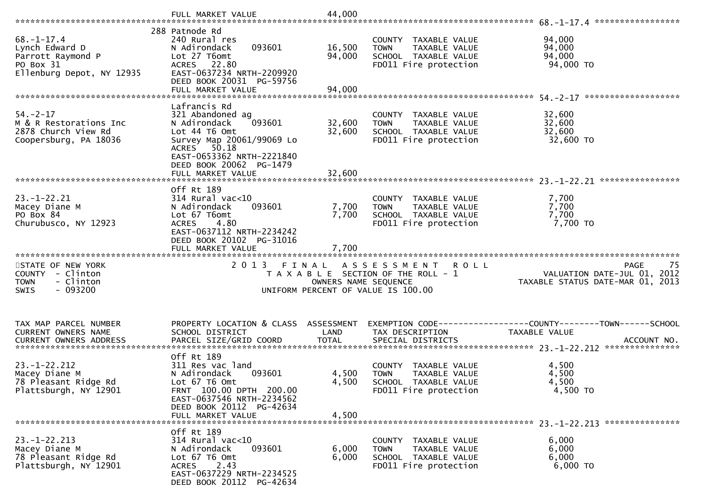|                                                                                                   | FULL MARKET VALUE                                                                                                                                                                  | 44,000                        |                                                                                                                   |                                                                               |
|---------------------------------------------------------------------------------------------------|------------------------------------------------------------------------------------------------------------------------------------------------------------------------------------|-------------------------------|-------------------------------------------------------------------------------------------------------------------|-------------------------------------------------------------------------------|
| $68. - 1 - 17.4$<br>Lynch Edward D<br>Parrott Raymond P<br>PO Box 31<br>Ellenburg Depot, NY 12935 | 288 Patnode Rd<br>240 Rural res<br>093601<br>N Adirondack<br>Lot 27 T6omt<br>ACRES 22.80<br>EAST-0637234 NRTH-2209920<br>DEED BOOK 20031 PG-59756<br>FULL MARKET VALUE             | 16,500<br>94,000<br>94,000    | COUNTY TAXABLE VALUE<br>TAXABLE VALUE<br><b>TOWN</b><br>SCHOOL TAXABLE VALUE<br>FD011 Fire protection             | 94,000<br>94,000<br>94,000<br>94,000 TO                                       |
| $54. - 2 - 17$<br>M & R Restorations Inc<br>2878 Church View Rd<br>Coopersburg, PA 18036          | Lafrancis Rd<br>321 Abandoned ag<br>N Adirondack<br>093601<br>Lot 44 T6 Omt<br>Survey Map 20061/99069 Lo<br>ACRES 50.18<br>EAST-0653362 NRTH-2221840<br>DEED BOOK 20062 PG-1479    | 32,600<br>32,600              | COUNTY TAXABLE VALUE<br>TAXABLE VALUE<br><b>TOWN</b><br>SCHOOL TAXABLE VALUE<br>FD011 Fire protection             | 32,600<br>32,600<br>32,600<br>32,600 TO                                       |
|                                                                                                   | FULL MARKET VALUE                                                                                                                                                                  | 32,600                        |                                                                                                                   | ****************                                                              |
| $23 - 1 - 22.21$<br>Macey Diane M<br>PO Box 84<br>Churubusco, NY 12923                            | Off Rt 189<br>$314$ Rural vac<10<br>N Adirondack<br>093601<br>Lot 67 T6omt<br><b>ACRES</b><br>4.80<br>EAST-0637112 NRTH-2234242<br>DEED BOOK 20102 PG-31016                        | 7,700<br>7,700                | COUNTY TAXABLE VALUE<br>TAXABLE VALUE<br><b>TOWN</b><br>SCHOOL TAXABLE VALUE<br>FD011 Fire protection             | 7,700<br>7,700<br>7,700<br>7,700 TO                                           |
|                                                                                                   |                                                                                                                                                                                    |                               |                                                                                                                   |                                                                               |
| STATE OF NEW YORK<br>COUNTY - Clinton<br>- Clinton<br><b>TOWN</b><br>$-093200$<br>SWIS            | FULL MARKET VALUE<br>2013 FINAL                                                                                                                                                    | 7,700<br>OWNERS NAME SEQUENCE | A S S E S S M E N T<br><b>ROLL</b><br>T A X A B L E SECTION OF THE ROLL - 1<br>UNIFORM PERCENT OF VALUE IS 100.00 | 75<br>PAGE<br>VALUATION DATE-JUL 01, 2012<br>TAXABLE STATUS DATE-MAR 01, 2013 |
| TAX MAP PARCEL NUMBER<br>CURRENT OWNERS NAME                                                      | PROPERTY LOCATION & CLASS ASSESSMENT<br>SCHOOL DISTRICT                                                                                                                            | LAND                          | TAX DESCRIPTION                                                                                                   | EXEMPTION CODE-----------------COUNTY-------TOWN------SCHOOL<br>TAXABLE VALUE |
| $23. - 1 - 22.212$<br>Macey Diane M<br>78 Pleasant Ridge Rd<br>Plattsburgh, NY 12901              | Off Rt 189<br>311 Res vac land<br>N Adirondack<br>093601<br>Lot 67 T6 Omt<br>FRNT 100.00 DPTH 200.00<br>EAST-0637546 NRTH-2234562<br>DEED BOOK 20112 PG-42634<br>FULL MARKET VALUE | 4,500<br>4,500<br>4,500       | COUNTY TAXABLE VALUE<br>TAXABLE VALUE<br><b>TOWN</b><br>SCHOOL TAXABLE VALUE<br>FD011 Fire protection             | 4,500<br>4,500<br>4,500<br>4,500 TO                                           |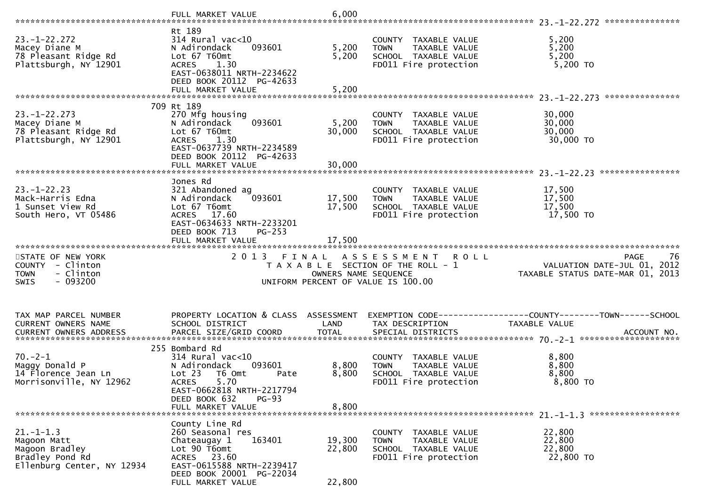|                                                                                        | FULL MARKET VALUE                                                                                                                                                                                   | 6,000                         |                                                                                                                   |                                                                                      |
|----------------------------------------------------------------------------------------|-----------------------------------------------------------------------------------------------------------------------------------------------------------------------------------------------------|-------------------------------|-------------------------------------------------------------------------------------------------------------------|--------------------------------------------------------------------------------------|
| $23. - 1 - 22.272$<br>Macey Diane M<br>78 Pleasant Ridge Rd<br>Plattsburgh, NY 12901   | Rt 189<br>$314$ Rural vac<10<br>N Adirondack<br>093601<br>Lot 67 T60mt<br><b>ACRES</b><br>1.30<br>EAST-0638011 NRTH-2234622<br>DEED BOOK 20112 PG-42633<br>FULL MARKET VALUE                        | 5,200<br>5,200<br>5,200       | COUNTY TAXABLE VALUE<br>TAXABLE VALUE<br><b>TOWN</b><br>SCHOOL TAXABLE VALUE<br>FD011 Fire protection             | 5,200<br>5,200<br>5,200<br>5,200 TO                                                  |
|                                                                                        | 709 Rt 189                                                                                                                                                                                          |                               |                                                                                                                   |                                                                                      |
| $23. - 1 - 22.273$<br>Macey Diane M<br>78 Pleasant Ridge Rd<br>Plattsburgh, NY 12901   | 270 Mfg housing<br>N Adirondack<br>093601<br>Lot 67 T60mt<br><b>ACRES</b><br>1.30<br>EAST-0637739 NRTH-2234589<br>DEED BOOK 20112 PG-42633                                                          | 5,200<br>30,000               | COUNTY TAXABLE VALUE<br>TAXABLE VALUE<br><b>TOWN</b><br>SCHOOL TAXABLE VALUE<br>FD011 Fire protection             | 30,000<br>30,000<br>30,000<br>30,000 TO                                              |
|                                                                                        |                                                                                                                                                                                                     |                               |                                                                                                                   |                                                                                      |
| $23 - 1 - 22.23$<br>Mack-Harris Edna<br>1 Sunset View Rd<br>South Hero, VT 05486       | Jones Rd<br>321 Abandoned ag<br>N Adirondack<br>093601<br>Lot 67 T6omt<br>ACRES 17.60<br>EAST-0634633 NRTH-2233201<br>DEED BOOK 713<br>$PG-253$<br>FULL MARKET VALUE                                | 17,500<br>17,500<br>17,500    | COUNTY TAXABLE VALUE<br><b>TOWN</b><br>TAXABLE VALUE<br>SCHOOL TAXABLE VALUE<br>FD011 Fire protection             | 17,500<br>17,500<br>17,500<br>17,500 TO                                              |
|                                                                                        |                                                                                                                                                                                                     |                               |                                                                                                                   |                                                                                      |
| STATE OF NEW YORK<br>COUNTY - Clinton<br>- Clinton<br><b>TOWN</b><br>$-093200$<br>SWIS | 2 0 1 3                                                                                                                                                                                             | FINAL<br>OWNERS NAME SEQUENCE | A S S E S S M E N T<br><b>ROLL</b><br>T A X A B L E SECTION OF THE ROLL - 1<br>UNIFORM PERCENT OF VALUE IS 100.00 | <b>PAGE</b><br>76<br>VALUATION DATE-JUL 01, 2012<br>TAXABLE STATUS DATE-MAR 01, 2013 |
| TAX MAP PARCEL NUMBER<br>CURRENT OWNERS NAME                                           | PROPERTY LOCATION & CLASS ASSESSMENT<br>SCHOOL DISTRICT                                                                                                                                             | LAND                          | TAX DESCRIPTION                                                                                                   | TAXABLE VALUE                                                                        |
| $70. -2 - 1$<br>Maggy Donald P<br>14 Florence Jean Ln<br>Morrisonville, NY 12962       | 255 Bombard Rd<br>$314$ Rural vac< $10$<br>093601<br>N Adirondack<br>Lot 23<br>T6 Omt<br>Pate<br><b>ACRES</b><br>5.70<br>EAST-0662818 NRTH-2217794<br>DEED BOOK 632<br>$PG-93$<br>FULL MARKET VALUE | 8,800<br>8,800<br>8,800       | COUNTY<br>TAXABLE VALUE<br>TAXABLE VALUE<br><b>TOWN</b><br>SCHOOL TAXABLE VALUE<br>FD011 Fire protection          | 8,800<br>8,800<br>8,800<br>8,800 TO                                                  |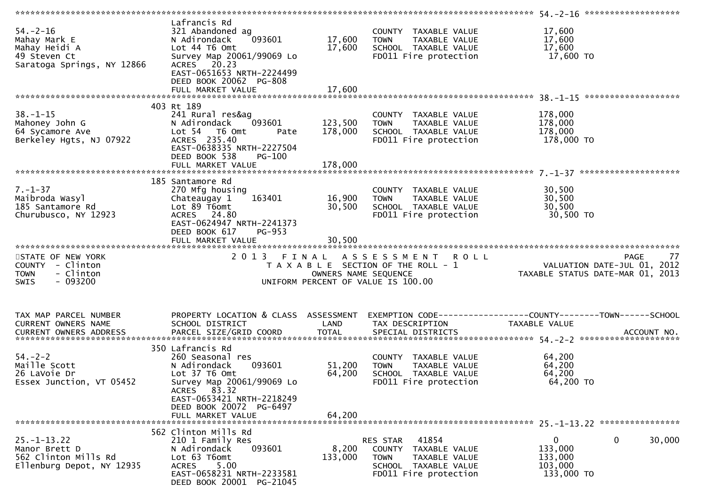| $54. - 2 - 16$<br>Mahay Mark E<br>Mahay Heidi A<br>49 Steven Ct<br>Saratoga Springs, NY 12866 | Lafrancis Rd<br>321 Abandoned ag<br>093601<br>N Adirondack<br>Lot 44 T6 Omt<br>Survey Map 20061/99069 Lo<br>ACRES 20.23<br>EAST-0651653 NRTH-2224499<br>DEED BOOK 20062 PG-808<br>FULL MARKET VALUE      | 17,600<br>17,600<br>17,600 | COUNTY TAXABLE VALUE<br><b>TOWN</b><br>TAXABLE VALUE<br>SCHOOL TAXABLE VALUE<br>FD011 Fire protection                             | 17,600<br>17,600<br>17,600<br>17,600 TO                                         |
|-----------------------------------------------------------------------------------------------|----------------------------------------------------------------------------------------------------------------------------------------------------------------------------------------------------------|----------------------------|-----------------------------------------------------------------------------------------------------------------------------------|---------------------------------------------------------------------------------|
|                                                                                               |                                                                                                                                                                                                          |                            |                                                                                                                                   |                                                                                 |
| $38. - 1 - 15$<br>Mahoney John G<br>64 Sycamore Ave<br>Berkeley Hgts, NJ 07922                | 403 Rt 189<br>241 Rural res&ag<br>N Adirondack<br>093601<br>Lot 54 T6 Omt<br>Pate<br>ACRES 235.40<br>EAST-0638335 NRTH-2227504<br>DEED BOOK 538<br>PG-100                                                | 123,500<br>178,000         | COUNTY TAXABLE VALUE<br>TAXABLE VALUE<br><b>TOWN</b><br>SCHOOL TAXABLE VALUE<br>FD011 Fire protection                             | 178,000<br>178,000<br>178,000<br>178,000 TO                                     |
|                                                                                               |                                                                                                                                                                                                          |                            |                                                                                                                                   |                                                                                 |
| $7. - 1 - 37$<br>Maibroda Wasyl<br>185 Santamore Rd<br>Churubusco, NY 12923                   | 185 Santamore Rd<br>270 Mfg housing<br>163401<br>Chateaugay 1<br>Lot 89 T6omt<br>ACRES 24.80<br>EAST-0624947 NRTH-2241373<br>DEED BOOK 617<br><b>PG-953</b>                                              | 16,900<br>30,500           | COUNTY TAXABLE VALUE<br>TAXABLE VALUE<br><b>TOWN</b><br>SCHOOL TAXABLE VALUE<br>FD011 Fire protection                             | 30,500<br>30,500<br>30,500<br>30,500 TO                                         |
|                                                                                               | FULL MARKET VALUE                                                                                                                                                                                        | 30,500                     |                                                                                                                                   |                                                                                 |
| STATE OF NEW YORK<br>COUNTY - Clinton<br><b>TOWN</b><br>- Clinton<br>$-093200$<br><b>SWIS</b> | 2013 FINAL                                                                                                                                                                                               | OWNERS NAME SEQUENCE       | A S S E S S M E N T R O L L<br>T A X A B L E SECTION OF THE ROLL - 1<br>UNIFORM PERCENT OF VALUE IS 100.00                        | 77<br>PAGE<br>VALUATION DATE-JUL 01, 2012<br>TAXABLE STATUS DATE-MAR 01, 2013   |
| TAX MAP PARCEL NUMBER<br>CURRENT OWNERS NAME<br>CURRENT OWNERS ADDRESS                        | PROPERTY LOCATION & CLASS ASSESSMENT<br>SCHOOL DISTRICT                                                                                                                                                  | LAND                       | TAX DESCRIPTION                                                                                                                   | EXEMPTION CODE------------------COUNTY--------TOWN------SCHOOL<br>TAXABLE VALUE |
| $54. - 2 - 2$<br>Maille Scott<br>26 LaVoie Dr<br>Essex Junction, VT 05452                     | 350 Lafrancis Rd<br>260 Seasonal res<br>N Adirondack<br>093601<br>Lot 37 T6 Omt<br>Survey Map 20061/99069 Lo<br>ACRES 83.32<br>EAST-0653421 NRTH-2218249<br>DEED BOOK 20072 PG-6497<br>FULL MARKET VALUE | 51,200<br>64,200<br>64,200 | COUNTY TAXABLE VALUE<br><b>TOWN</b><br>TAXABLE VALUE<br>SCHOOL TAXABLE VALUE<br>FD011 Fire protection                             | 64,200<br>64,200<br>64,200<br>64,200 TO                                         |
|                                                                                               | 562 Clinton Mills Rd                                                                                                                                                                                     |                            |                                                                                                                                   |                                                                                 |
| $25. - 1 - 13.22$<br>Manor Brett D<br>562 Clinton Mills Rd<br>Ellenburg Depot, NY 12935       | 210 1 Family Res<br>N Adirondack<br>093601<br>Lot 63 T6omt<br>5.00<br><b>ACRES</b><br>EAST-0658231 NRTH-2233581<br>DEED BOOK 20001 PG-21045                                                              | 8,200<br>133,000           | 41854<br><b>RES STAR</b><br>COUNTY TAXABLE VALUE<br><b>TOWN</b><br>TAXABLE VALUE<br>SCHOOL TAXABLE VALUE<br>FD011 Fire protection | 0<br>0<br>30,000<br>133,000<br>133,000<br>103,000<br>133,000 TO                 |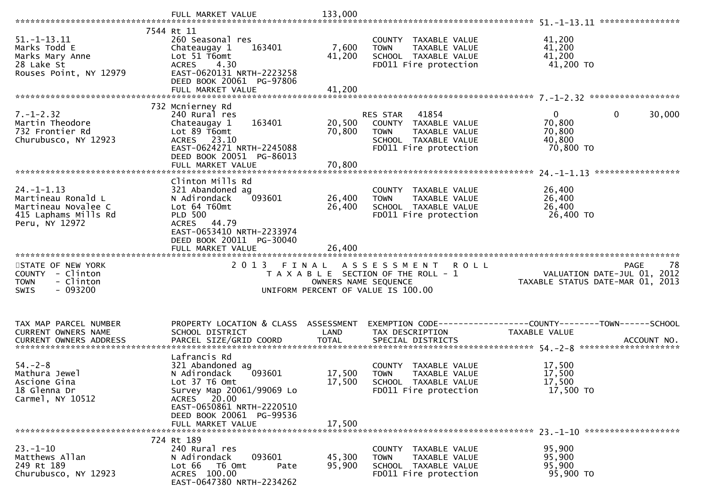|                                                                                                         | FULL MARKET VALUE                                                                                                                                                                | 133,000              |                                                                                                                            |                                                                               |
|---------------------------------------------------------------------------------------------------------|----------------------------------------------------------------------------------------------------------------------------------------------------------------------------------|----------------------|----------------------------------------------------------------------------------------------------------------------------|-------------------------------------------------------------------------------|
| $51. - 1 - 13.11$<br>Marks Todd E<br>Marks Mary Anne<br>28 Lake St<br>Rouses Point, NY 12979            | 7544 Rt 11<br>260 Seasonal res<br>163401<br>Chateaugay 1<br>Lot 51 T6omt<br><b>ACRES</b><br>4.30<br>EAST-0620131 NRTH-2223258<br>DEED BOOK 20061 PG-97806                        | 7,600<br>41,200      | COUNTY TAXABLE VALUE<br><b>TOWN</b><br>TAXABLE VALUE<br>SCHOOL TAXABLE VALUE<br>FD011 Fire protection                      | 41,200<br>41,200<br>41,200<br>41,200 TO                                       |
|                                                                                                         | FULL MARKET VALUE                                                                                                                                                                | 41,200               |                                                                                                                            |                                                                               |
| $7. - 1 - 2.32$<br>Martin Theodore<br>732 Frontier Rd<br>Churubusco, NY 12923                           | 732 Mcnierney Rd<br>240 Rural res<br>163401<br>Chateaugay 1<br>Lot 89 T6omt<br>ACRES 23.10<br>EAST-0624271 NRTH-2245088<br>DEED BOOK 20051 PG-86013                              | 20,500<br>70,800     | RES STAR<br>41854<br>COUNTY TAXABLE VALUE<br>TAXABLE VALUE<br><b>TOWN</b><br>SCHOOL TAXABLE VALUE<br>FD011 Fire protection | $\overline{0}$<br>0<br>30,000<br>70,800<br>70,800<br>40,800<br>70,800 TO      |
|                                                                                                         |                                                                                                                                                                                  |                      |                                                                                                                            |                                                                               |
| $24. - 1 - 1.13$<br>Martineau Ronald L<br>Martineau Novalee C<br>415 Laphams Mills Rd<br>Peru, NY 12972 | Clinton Mills Rd<br>321 Abandoned ag<br>093601<br>N Adirondack<br>Lot 64 T60mt<br><b>PLD 500</b><br>ACRES 44.79<br>EAST-0653410 NRTH-2233974<br>DEED BOOK 20011 PG-30040         | 26,400<br>26,400     | COUNTY TAXABLE VALUE<br>TAXABLE VALUE<br><b>TOWN</b><br>SCHOOL TAXABLE VALUE<br>FD011 Fire protection                      | 26,400<br>26,400<br>26,400<br>26,400 TO                                       |
|                                                                                                         | FULL MARKET VALUE                                                                                                                                                                | 26,400               |                                                                                                                            |                                                                               |
| STATE OF NEW YORK<br>COUNTY - Clinton<br><b>TOWN</b><br>- Clinton<br>$-093200$<br><b>SWIS</b>           |                                                                                                                                                                                  | OWNERS NAME SEQUENCE | 2013 FINAL ASSESSMENT ROLL<br>T A X A B L E SECTION OF THE ROLL - 1<br>UNIFORM PERCENT OF VALUE IS 100.00                  | 78<br>PAGE<br>VALUATION DATE-JUL 01, 2012<br>TAXABLE STATUS DATE-MAR 01, 2013 |
| TAX MAP PARCEL NUMBER<br>CURRENT OWNERS NAME                                                            | PROPERTY LOCATION & CLASS ASSESSMENT<br>SCHOOL DISTRICT                                                                                                                          | LAND                 | TAX DESCRIPTION                                                                                                            | EXEMPTION CODE-----------------COUNTY-------TOWN------SCHOOL<br>TAXABLE VALUE |
| $54. - 2 - 8$<br>Mathura Jewel<br>Ascione Gina<br>18 Glenna Dr<br>Carmel, NY 10512                      | Lafrancis Rd<br>321 Abandoned ag<br>N Adirondack<br>093601<br>Lot 37 T6 Omt<br>Survey Map 20061/99069 Lo<br>ACRES 20.00<br>EAST-0650861 NRTH-2220510<br>DEED BOOK 20061 PG-99536 | 17,500<br>17,500     | COUNTY TAXABLE VALUE<br><b>TOWN</b><br>TAXABLE VALUE<br>SCHOOL TAXABLE VALUE<br>FD011 Fire protection                      | 17,500<br>17,500<br>17,500<br>17,500 TO                                       |
|                                                                                                         | FULL MARKET VALUE                                                                                                                                                                | 17,500               |                                                                                                                            |                                                                               |
| $23. - 1 - 10$<br>Matthews Allan<br>249 Rt 189<br>Churubusco, NY 12923                                  | 724 Rt 189<br>240 Rural res<br>093601<br>N Adirondack<br>Lot 66<br>T6 Omt<br>Pate                                                                                                | 45,300<br>95,900     | COUNTY TAXABLE VALUE<br>TAXABLE VALUE<br><b>TOWN</b><br>SCHOOL TAXABLE VALUE                                               | 95,900<br>95,900<br>95,900                                                    |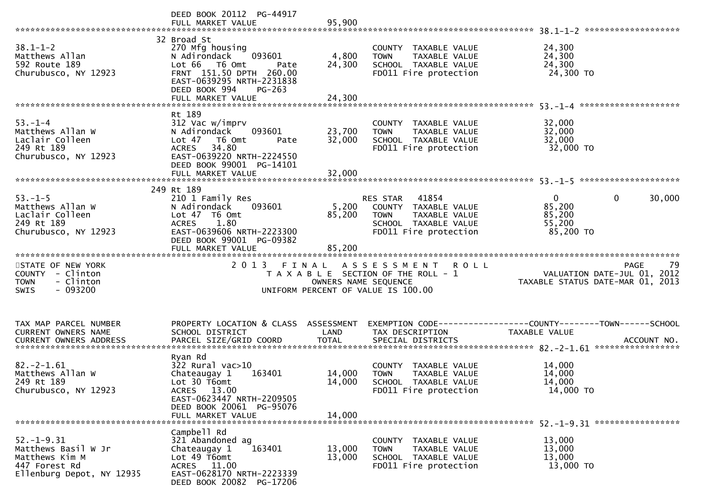|                                                                                               | DEED BOOK 20112 PG-44917<br>FULL MARKET VALUE                                                                                                                                                  | 95,900                    |                                                                                                                            | *******************                                                                                 |
|-----------------------------------------------------------------------------------------------|------------------------------------------------------------------------------------------------------------------------------------------------------------------------------------------------|---------------------------|----------------------------------------------------------------------------------------------------------------------------|-----------------------------------------------------------------------------------------------------|
| $38.1 - 1 - 2$<br>Matthews Allan<br>592 Route 189<br>Churubusco, NY 12923                     | 32 Broad St<br>270 Mfg housing<br>093601<br>N Adirondack<br>Lot 66<br>T6 Omt<br>Pate<br>FRNT 151.50 DPTH 260.00<br>EAST-0639295 NRTH-2231838<br>DEED BOOK 994<br>$PG-263$<br>FULL MARKET VALUE | 4,800<br>24,300<br>24,300 | COUNTY TAXABLE VALUE<br>TAXABLE VALUE<br><b>TOWN</b><br>SCHOOL TAXABLE VALUE<br>FD011 Fire protection                      | 24,300<br>24,300<br>24,300<br>24,300 TO                                                             |
|                                                                                               | Rt 189                                                                                                                                                                                         |                           |                                                                                                                            |                                                                                                     |
| $53. - 1 - 4$<br>Matthews Allan W<br>Laclair Colleen<br>249 Rt 189<br>Churubusco, NY 12923    | 312 Vac w/imprv<br>N Adirondack<br>093601<br>Lot $47$<br>T6 Omt<br>Pate<br>34.80<br><b>ACRES</b><br>EAST-0639220 NRTH-2224550                                                                  | 23,700<br>32,000          | COUNTY TAXABLE VALUE<br>TAXABLE VALUE<br><b>TOWN</b><br>SCHOOL TAXABLE VALUE<br>FD011 Fire protection                      | 32,000<br>32,000<br>32,000<br>32,000 TO                                                             |
|                                                                                               | DEED BOOK 99001 PG-14101<br>FULL MARKET VALUE                                                                                                                                                  | 32,000                    |                                                                                                                            |                                                                                                     |
|                                                                                               |                                                                                                                                                                                                |                           |                                                                                                                            |                                                                                                     |
| $53. - 1 - 5$<br>Matthews Allan W<br>Laclair Colleen<br>249 Rt 189<br>Churubusco, NY 12923    | 249 Rt 189<br>210 1 Family Res<br>093601<br>N Adirondack<br>Lot $47$ T6 Omt<br>1.80<br><b>ACRES</b><br>EAST-0639606 NRTH-2223300<br>DEED BOOK 99001 PG-09382                                   | 5,200<br>85,200           | 41854<br>RES STAR<br>COUNTY TAXABLE VALUE<br><b>TOWN</b><br>TAXABLE VALUE<br>SCHOOL TAXABLE VALUE<br>FD011 Fire protection | $\mathbf 0$<br>0<br>30,000<br>85,200<br>85,200<br>55,200<br>85,200 TO                               |
|                                                                                               | FULL MARKET VALUE                                                                                                                                                                              | 85,200                    |                                                                                                                            |                                                                                                     |
| STATE OF NEW YORK<br>COUNTY - Clinton<br><b>TOWN</b><br>- Clinton<br>$-093200$<br><b>SWIS</b> | 2013 FINAL                                                                                                                                                                                     | OWNERS NAME SEQUENCE      | A S S E S S M E N T<br><b>ROLL</b><br>T A X A B L E SECTION OF THE ROLL - 1<br>UNIFORM PERCENT OF VALUE IS 100.00          | 79<br>PAGE<br>VALUATION DATE-JUL 01, 2012<br>TAXABLE STATUS DATE-MAR 01, 2013                       |
| TAX MAP PARCEL NUMBER<br>CURRENT OWNERS NAME<br>CURRENT OWNERS ADDRESS                        | PROPERTY LOCATION & CLASS ASSESSMENT<br>SCHOOL DISTRICT<br>PARCEL SIZE/GRID COORD                                                                                                              | LAND<br><b>TOTAL</b>      | TAX DESCRIPTION<br>SPECIAL DISTRICTS                                                                                       | EXEMPTION        CODE-----------------COUNTY-------TOWN------SCHOOL<br>TAXABLE VALUE<br>ACCOUNT NO. |
|                                                                                               |                                                                                                                                                                                                |                           |                                                                                                                            |                                                                                                     |
| $82. -2 - 1.61$<br>Matthews Allan W<br>249 Rt 189<br>Churubusco, NY 12923                     | Ryan Rd<br>$322$ Rural vac $>10$<br>Chateaugay 1<br>163401<br>Lot 30 T6omt<br>ACRES 13.00<br>EAST-0623447 NRTH-2209505                                                                         | 14,000<br>14,000          | COUNTY TAXABLE VALUE<br><b>TOWN</b><br>TAXABLE VALUE<br>SCHOOL TAXABLE VALUE<br>FD011 Fire protection                      | 14,000<br>14,000<br>14,000<br>14,000 TO                                                             |
|                                                                                               | DEED BOOK 20061 PG-95076<br>FULL MARKET VALUE                                                                                                                                                  | 14,000                    |                                                                                                                            |                                                                                                     |
|                                                                                               |                                                                                                                                                                                                |                           |                                                                                                                            |                                                                                                     |
|                                                                                               | Campbell Rd                                                                                                                                                                                    |                           |                                                                                                                            |                                                                                                     |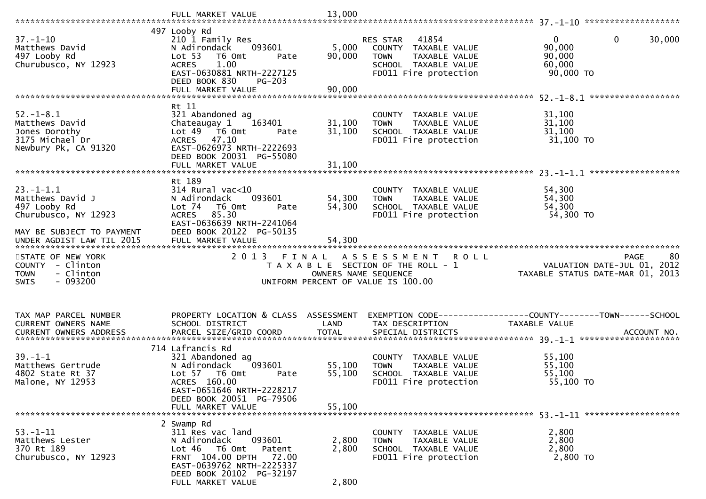|                                                                                               | FULL MARKET VALUE                                                                                                                                                            | 13,000               |                                                                                                                            |                                                                                      |
|-----------------------------------------------------------------------------------------------|------------------------------------------------------------------------------------------------------------------------------------------------------------------------------|----------------------|----------------------------------------------------------------------------------------------------------------------------|--------------------------------------------------------------------------------------|
|                                                                                               |                                                                                                                                                                              |                      |                                                                                                                            |                                                                                      |
| $37. - 1 - 10$<br>Matthews David<br>497 Looby Rd<br>Churubusco, NY 12923                      | 497 Looby Rd<br>210 1 Family Res<br>093601<br>N Adirondack<br>Lot 53<br>T6 Omt<br>Pate<br>1.00<br><b>ACRES</b><br>EAST-0630881 NRTH-2227125<br>DEED BOOK 830<br>$PG-203$     | 5,000<br>90,000      | 41854<br>RES STAR<br>COUNTY TAXABLE VALUE<br>TAXABLE VALUE<br><b>TOWN</b><br>SCHOOL TAXABLE VALUE<br>FD011 Fire protection | $\mathbf{0}$<br>$\mathbf 0$<br>30,000<br>90,000<br>90,000<br>60,000<br>90,000 TO     |
|                                                                                               | FULL MARKET VALUE                                                                                                                                                            | 90,000               |                                                                                                                            |                                                                                      |
| $52. - 1 - 8.1$<br>Matthews David<br>Jones Dorothy<br>3175 Michael Dr<br>Newbury Pk, CA 91320 | Rt 11<br>321 Abandoned ag<br>Chateaugay 1<br>163401<br>Lot 49  T6 0mt<br>Pate<br>ACRES 47.10<br>EAST-0626973 NRTH-2222693<br>DEED BOOK 20031 PG-55080                        | 31,100<br>31,100     | COUNTY TAXABLE VALUE<br>TAXABLE VALUE<br><b>TOWN</b><br>SCHOOL TAXABLE VALUE<br>FD011 Fire protection                      | 31,100<br>31,100<br>31,100<br>31,100 TO                                              |
|                                                                                               |                                                                                                                                                                              |                      |                                                                                                                            | ******************                                                                   |
| $23 - 1 - 1.1$<br>Matthews David J<br>497 Looby Rd<br>Churubusco, NY 12923                    | Rt 189<br>$314$ Rural vac<10<br>N Adirondack<br>093601<br>Lot 74<br>T6 Omt<br>Pate<br>85.30<br><b>ACRES</b><br>EAST-0636639 NRTH-2241064                                     | 54,300<br>54,300     | COUNTY TAXABLE VALUE<br>TAXABLE VALUE<br><b>TOWN</b><br>SCHOOL TAXABLE VALUE<br>FD011 Fire protection                      | 54,300<br>54,300<br>54,300<br>54,300 TO                                              |
| MAY BE SUBJECT TO PAYMENT                                                                     | DEED BOOK 20122 PG-50135                                                                                                                                                     |                      |                                                                                                                            |                                                                                      |
|                                                                                               |                                                                                                                                                                              |                      |                                                                                                                            |                                                                                      |
| STATE OF NEW YORK<br>COUNTY - Clinton<br>- Clinton<br><b>TOWN</b><br>$-093200$<br><b>SWIS</b> | 2 0 1 3<br>FINAL                                                                                                                                                             | OWNERS NAME SEQUENCE | A S S E S S M E N T<br><b>ROLL</b><br>T A X A B L E SECTION OF THE ROLL - 1<br>UNIFORM PERCENT OF VALUE IS 100.00          | 80<br><b>PAGE</b><br>VALUATION DATE-JUL 01, 2012<br>TAXABLE STATUS DATE-MAR 01, 2013 |
| TAX MAP PARCEL NUMBER<br>CURRENT OWNERS NAME                                                  | PROPERTY LOCATION & CLASS ASSESSMENT<br>SCHOOL DISTRICT                                                                                                                      | LAND                 | TAX DESCRIPTION                                                                                                            | TAXABLE VALUE                                                                        |
| $39. - 1 - 1$<br>Matthews Gertrude<br>4802 State Rt 37<br>Malone, NY 12953                    | 714 Lafrancis Rd<br>321 Abandoned ag<br>093601<br>N Adirondack<br>Lot 57 T6 Omt<br>Pate<br>ACRES 160.00<br>EAST-0651646 NRTH-2228217<br>DEED BOOK 20051 PG-79506             | 55,100<br>55,100     | COUNTY TAXABLE VALUE<br>TAXABLE VALUE<br><b>TOWN</b><br>SCHOOL TAXABLE VALUE<br>FD011 Fire protection                      | 55,100<br>55,100<br>55,100<br>55,100 TO                                              |
|                                                                                               | FULL MARKET VALUE                                                                                                                                                            | 55,100               |                                                                                                                            |                                                                                      |
| $53. - 1 - 11$<br>Matthews Lester<br>370 Rt 189<br>Churubusco, NY 12923                       | 2 Swamp Rd<br>311 Res vac land<br>N Adirondack<br>093601<br>Patent<br>Lot 46<br>T6 Omt<br>FRNT 104.00 DPTH<br>72.00<br>EAST-0639762 NRTH-2225337<br>DEED BOOK 20102 PG-32197 | 2,800<br>2,800       | COUNTY TAXABLE VALUE<br>TAXABLE VALUE<br><b>TOWN</b><br>SCHOOL TAXABLE VALUE<br>FD011 Fire protection                      | 2,800<br>2,800<br>2,800<br>2,800 TO                                                  |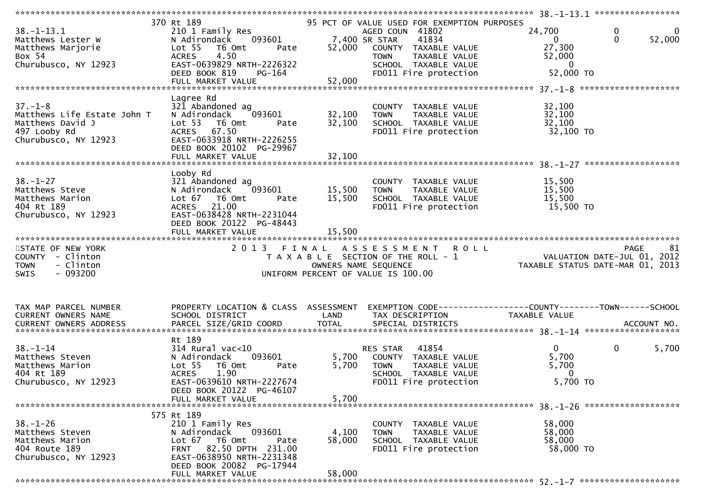| $38. - 1 - 13.1$<br>Matthews Lester W<br>Matthews Marjorie<br>Box 54<br>Churubusco, NY 12923             | 370 Rt 189<br>210 1 Family Res<br>N Adirondack 093601<br>Lot <sub>55</sub><br>T6 Omt<br>Pate<br>4.50<br><b>ACRES</b><br>EAST-0639829 NRTH-2226322<br>DEED BOOK 819<br>PG-164              | 7,400 SR STAR<br>52,000    | 95 PCT OF VALUE USED FOR EXEMPTION PURPOSES<br>AGED COUN 41802<br>41834<br>COUNTY TAXABLE VALUE<br><b>TOWN</b><br>TAXABLE VALUE<br>SCHOOL TAXABLE VALUE<br>FD011 Fire protection | 24,700<br>$\overline{0}$<br>27,300<br>52,000<br>$\mathbf{0}$<br>52,000 TO | $\mathbf 0$<br>$\overline{0}$<br>$\mathbf{0}$<br>52,000 |
|----------------------------------------------------------------------------------------------------------|-------------------------------------------------------------------------------------------------------------------------------------------------------------------------------------------|----------------------------|----------------------------------------------------------------------------------------------------------------------------------------------------------------------------------|---------------------------------------------------------------------------|---------------------------------------------------------|
| $37. - 1 - 8$<br>Matthews Life Estate John T<br>Matthews David J<br>497 Looby Rd<br>Churubusco, NY 12923 | Lagree Rd<br>321 Abandoned ag<br>093601<br>N Adirondack<br>Lot <sub>53</sub><br>T6 Omt<br>Pate<br>ACRES 67.50<br>EAST-0633918 NRTH-2226255<br>DEED BOOK 20102 PG-29967                    | 32,100<br>32,100           | COUNTY TAXABLE VALUE<br><b>TOWN</b><br>TAXABLE VALUE<br>SCHOOL TAXABLE VALUE<br>FD011 Fire protection                                                                            | 32,100<br>32,100<br>32,100<br>32,100 TO                                   |                                                         |
| $38. - 1 - 27$<br>Matthews Steve<br>Matthews Marion<br>404 Rt 189<br>Churubusco, NY 12923                | Looby Rd<br>321 Abandoned ag<br>093601<br>N Adirondack<br>Lot 67<br>T6 Omt<br>Pate<br>21.00<br><b>ACRES</b><br>EAST-0638428 NRTH-2231044<br>DEED BOOK 20122 PG-48443<br>FULL MARKET VALUE | 15,500<br>15,500<br>15,500 | COUNTY TAXABLE VALUE<br>TAXABLE VALUE<br><b>TOWN</b><br>SCHOOL TAXABLE VALUE<br>FD011 Fire protection                                                                            | 15,500<br>15,500<br>15,500<br>15,500 TO                                   |                                                         |
| STATE OF NEW YORK<br>COUNTY - Clinton<br>- Clinton<br><b>TOWN</b><br>$-093200$<br><b>SWIS</b>            | 2 0 1 3<br>FINAL                                                                                                                                                                          | OWNERS NAME SEQUENCE       | ASSESSMENT ROLL<br>T A X A B L E SECTION OF THE ROLL - 1<br>UNIFORM PERCENT OF VALUE IS 100.00                                                                                   | VALUATION DATE-JUL 01, 2012<br>TAXABLE STATUS DATE-MAR 01, 2013           | <b>PAGE</b><br>81                                       |
| TAX MAP PARCEL NUMBER<br>CURRENT OWNERS NAME                                                             | PROPERTY LOCATION & CLASS ASSESSMENT EXEMPTION CODE----------------COUNTY-------TOWN------SCHOOL<br>SCHOOL DISTRICT                                                                       | LAND                       | TAX DESCRIPTION                                                                                                                                                                  | TAXABLE VALUE                                                             |                                                         |
| $38 - 1 - 14$<br>Matthews Steven<br>Matthews Marion<br>404 Rt 189<br>Churubusco, NY 12923                | Rt 189<br>$314$ Rural vac<10<br>093601<br>N Adirondack<br>Lot <sub>55</sub><br>T6 Omt<br>Pate<br>1.90<br><b>ACRES</b><br>EAST-0639610 NRTH-2227674<br>DEED BOOK 20122 PG-46107            | 5,700                      | 41854<br>RES STAR<br>5,700 COUNTY TAXABLE VALUE<br><b>TOWN</b><br>TAXABLE VALUE<br>SCHOOL TAXABLE VALUE<br>FD011 Fire protection                                                 | $\Omega$<br>5,700<br>5,700<br>$\overline{0}$<br>5,700 TO                  | $\mathbf 0$<br>5,700                                    |
|                                                                                                          | FULL MARKET VALUE                                                                                                                                                                         | 5,700                      |                                                                                                                                                                                  |                                                                           |                                                         |
| $38. - 1 - 26$<br>Matthews Steven                                                                        | 575 Rt 189<br>210 1 Family Res                                                                                                                                                            | 4,100                      | COUNTY TAXABLE VALUE<br><b>TOWN</b><br>TAXABLE VALUE                                                                                                                             | 58,000<br>58,000                                                          |                                                         |
| Matthews Marion<br>404 Route 189<br>Churubusco, NY 12923                                                 | 093601<br>N Adirondack<br>Lot 67 76 0mt<br>Pate<br>FRNT 82.50 DPTH 231.00<br>EAST-0638950 NRTH-2231348<br>DEED BOOK 20082 PG-17944<br>FULL MARKET VALUE                                   | 58,000<br>58,000           | SCHOOL TAXABLE VALUE<br>FD011 Fire protection                                                                                                                                    | 58,000<br>58,000 TO                                                       |                                                         |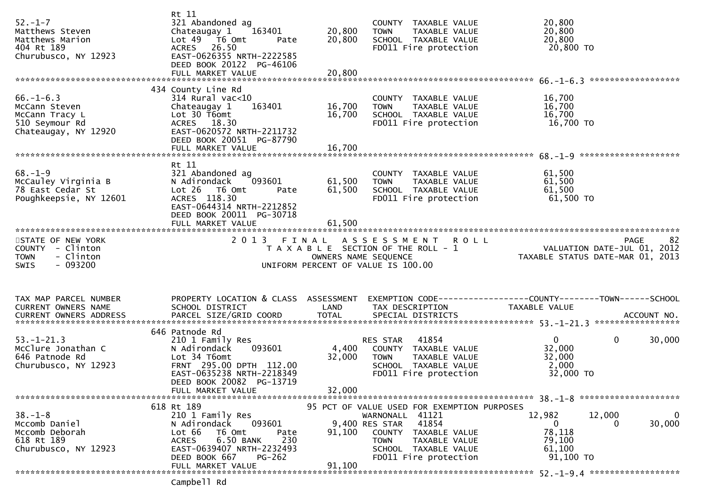| $52. - 1 - 7$<br>Matthews Steven<br>Matthews Marion<br>404 Rt 189<br>Churubusco, NY 12923     | Rt 11<br>321 Abandoned ag<br>163401<br>Chateaugay 1<br>Lot $49$ $\overline{76}$ Omt<br>Pate<br>ACRES 26.50<br>EAST-0626355 NRTH-2222585<br>DEED BOOK 20122 PG-46106<br>FULL MARKET VALUE | 20,800<br>20,800<br>20,800    | COUNTY TAXABLE VALUE<br>TAXABLE VALUE<br><b>TOWN</b><br>SCHOOL TAXABLE VALUE<br>FD011 Fire protection                                                                                       | 20,800<br>20,800<br>20,800<br>20,800 TO                                                               |             |
|-----------------------------------------------------------------------------------------------|------------------------------------------------------------------------------------------------------------------------------------------------------------------------------------------|-------------------------------|---------------------------------------------------------------------------------------------------------------------------------------------------------------------------------------------|-------------------------------------------------------------------------------------------------------|-------------|
|                                                                                               | 434 County Line Rd                                                                                                                                                                       |                               |                                                                                                                                                                                             |                                                                                                       |             |
| $66. - 1 - 6.3$<br>McCann Steven<br>McCann Tracy L<br>510 Seymour Rd<br>Chateaugay, NY 12920  | $314$ Rural vac<10<br>163401<br>Chateaugay 1<br>Lot 30 T6omt<br>ACRES 18.30<br>EAST-0620572 NRTH-2211732<br>DEED BOOK 20051 PG-87790                                                     | 16,700<br>16,700              | COUNTY TAXABLE VALUE<br><b>TOWN</b><br>TAXABLE VALUE<br>SCHOOL TAXABLE VALUE<br>FD011 Fire protection                                                                                       | 16,700<br>16,700<br>16,700<br>16,700 TO                                                               |             |
|                                                                                               |                                                                                                                                                                                          |                               |                                                                                                                                                                                             |                                                                                                       |             |
| $68. - 1 - 9$<br>McCauley Virginia B<br>78 East Cedar St<br>Poughkeepsie, NY 12601            | Rt 11<br>321 Abandoned ag<br>093601<br>N Adirondack<br>Lot 26 T6 Omt<br>Pate<br>ACRES 118.30<br>EAST-0644314 NRTH-2212852<br>DEED BOOK 20011 PG-30718                                    | 61,500<br>61,500              | COUNTY TAXABLE VALUE<br><b>TOWN</b><br>TAXABLE VALUE<br>SCHOOL TAXABLE VALUE<br>FD011 Fire protection                                                                                       | 61,500<br>61,500<br>61,500<br>61,500 TO                                                               |             |
|                                                                                               | FULL MARKET VALUE                                                                                                                                                                        | 61,500                        |                                                                                                                                                                                             |                                                                                                       |             |
| STATE OF NEW YORK<br>COUNTY - Clinton<br>- Clinton<br><b>TOWN</b><br>$-093200$<br><b>SWIS</b> | 2 0 1 3                                                                                                                                                                                  | FINAL<br>OWNERS NAME SEQUENCE | A S S E S S M E N T<br><b>ROLL</b><br>T A X A B L E SECTION OF THE ROLL - 1<br>UNIFORM PERCENT OF VALUE IS 100.00                                                                           | PAGE 82<br>VALUATION DATE-JUL 01, 2012<br>TAXARLE STATUS DATE :::<br>TAXABLE STATUS DATE-MAR 01, 2013 |             |
| TAX MAP PARCEL NUMBER<br>CURRENT OWNERS NAME                                                  | PROPERTY LOCATION & CLASS ASSESSMENT<br>SCHOOL DISTRICT                                                                                                                                  | LAND                          | TAX DESCRIPTION                                                                                                                                                                             | EXEMPTION CODE------------------COUNTY--------TOWN------SCHOOL<br>TAXABLE VALUE                       |             |
|                                                                                               |                                                                                                                                                                                          |                               |                                                                                                                                                                                             |                                                                                                       |             |
|                                                                                               | 646 Patnode Rd                                                                                                                                                                           |                               |                                                                                                                                                                                             |                                                                                                       |             |
| $53. - 1 - 21.3$<br>McClure Jonathan C<br>646 Patnode Rd<br>Churubusco, NY 12923              | 210 1 Family Res<br>093601<br>N Adirondack<br>Lot 34 T6omt<br>FRNT 295.00 DPTH 112.00<br>EAST-0635238 NRTH-2218349                                                                       | 4,400<br>32,000               | 41854<br>RES STAR<br>COUNTY TAXABLE VALUE<br>TAXABLE VALUE<br><b>TOWN</b><br>SCHOOL TAXABLE VALUE<br>FD011 Fire protection                                                                  | $\mathbf{0}$<br>$\mathbf{0}$<br>32,000<br>32,000<br>2,000<br>32,000 TO                                | 30,000      |
|                                                                                               | DEED BOOK 20082 PG-13719<br>FULL MARKET VALUE                                                                                                                                            | 32,000                        |                                                                                                                                                                                             |                                                                                                       |             |
|                                                                                               |                                                                                                                                                                                          |                               |                                                                                                                                                                                             |                                                                                                       |             |
| $38. - 1 - 8$<br>Mccomb Daniel<br>Mccomb Deborah<br>618 Rt 189<br>Churubusco, NY 12923        | 618 Rt 189<br>210 1 Family Res<br>N Adirondack<br>093601<br>Lot 66<br>T6 Omt<br>Pate<br>230<br>6.50 BANK<br><b>ACRES</b><br>EAST-0639407 NRTH-2232493<br>DEED BOOK 667<br>$PG-262$       | 91,100                        | 95 PCT OF VALUE USED FOR EXEMPTION PURPOSES<br>WARNONALL 41121<br>41854<br>9,400 RES STAR<br>COUNTY TAXABLE VALUE<br>TAXABLE VALUE<br>TOWN<br>SCHOOL TAXABLE VALUE<br>FD011 Fire protection | 12,982<br>12,000<br>$\overline{0}$<br>0<br>78,118<br>79,100<br>61,100<br>91,100 TO                    | 0<br>30,000 |
|                                                                                               | FULL MARKET VALUE<br>Campbell Rd                                                                                                                                                         | 91,100                        |                                                                                                                                                                                             |                                                                                                       |             |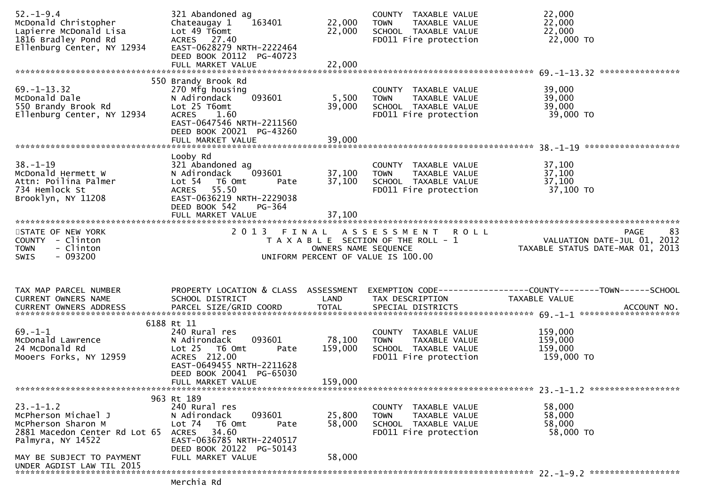| $52. - 1 - 9.4$<br>McDonald Christopher<br>Lapierre McDonald Lisa<br>1816 Bradley Pond Rd<br>Ellenburg Center, NY 12934 | 321 Abandoned ag<br>Chateaugay 1<br>163401<br>Lot 49 T6omt<br>ACRES 27.40<br>EAST-0628279 NRTH-2222464<br>DEED BOOK 20112 PG-40723                                    | 22,000<br>22,000     | COUNTY TAXABLE VALUE<br>TAXABLE VALUE<br><b>TOWN</b><br>SCHOOL TAXABLE VALUE<br>FD011 Fire protection     | 22,000<br>22,000<br>22,000<br>22,000 TO                                              |
|-------------------------------------------------------------------------------------------------------------------------|-----------------------------------------------------------------------------------------------------------------------------------------------------------------------|----------------------|-----------------------------------------------------------------------------------------------------------|--------------------------------------------------------------------------------------|
|                                                                                                                         |                                                                                                                                                                       |                      |                                                                                                           | ****************                                                                     |
| $69. - 1 - 13.32$<br>McDonald Dale<br>550 Brandy Brook Rd<br>Ellenburg Center, NY 12934                                 | 550 Brandy Brook Rd<br>270 Mfg housing<br>093601<br>N Adirondack<br>Lot 25 T6omt<br>1.60<br><b>ACRES</b><br>EAST-0647546 NRTH-2211560<br>DEED BOOK 20021 PG-43260     | 5,500<br>39,000      | COUNTY TAXABLE VALUE<br><b>TOWN</b><br>TAXABLE VALUE<br>SCHOOL TAXABLE VALUE<br>FD011 Fire protection     | 39,000<br>39,000<br>39,000<br>39,000 TO                                              |
|                                                                                                                         |                                                                                                                                                                       |                      |                                                                                                           |                                                                                      |
| $38. - 1 - 19$<br>McDonald Hermett W<br>Attn: Poilina Palmer<br>734 Hemlock St<br>Brooklyn, NY 11208                    | Looby Rd<br>321 Abandoned ag<br>N Adirondack<br>093601<br>Lot 54 T6 Omt<br>Pate<br>ACRES 55.50<br>EAST-0636219 NRTH-2229038<br>DEED BOOK 542<br>PG-364                | 37,100<br>37,100     | COUNTY TAXABLE VALUE<br>TAXABLE VALUE<br><b>TOWN</b><br>SCHOOL TAXABLE VALUE<br>FD011 Fire protection     | 37,100<br>37,100<br>37,100<br>37,100 TO                                              |
|                                                                                                                         | FULL MARKET VALUE                                                                                                                                                     | 37,100               |                                                                                                           |                                                                                      |
| STATE OF NEW YORK<br>COUNTY - Clinton<br>- Clinton<br><b>TOWN</b><br>$-093200$<br>SWIS                                  |                                                                                                                                                                       | OWNERS NAME SEQUENCE | 2013 FINAL ASSESSMENT ROLL<br>T A X A B L E SECTION OF THE ROLL - 1<br>UNIFORM PERCENT OF VALUE IS 100.00 | 83<br><b>PAGE</b><br>VALUATION DATE-JUL 01, 2012<br>TAXABLE STATUS DATE-MAR 01, 2013 |
| TAX MAP PARCEL NUMBER<br>CURRENT OWNERS NAME                                                                            | PROPERTY LOCATION & CLASS ASSESSMENT<br>SCHOOL DISTRICT                                                                                                               | LAND                 | TAX DESCRIPTION                                                                                           | EXEMPTION CODE-----------------COUNTY--------TOWN------SCHOOL<br>TAXABLE VALUE       |
|                                                                                                                         |                                                                                                                                                                       |                      |                                                                                                           |                                                                                      |
|                                                                                                                         |                                                                                                                                                                       |                      |                                                                                                           |                                                                                      |
| $69. - 1 - 1$<br>McDonald Lawrence                                                                                      | 6188 Rt 11<br>240 Rural res                                                                                                                                           |                      | COUNTY TAXABLE VALUE                                                                                      | 159,000                                                                              |
| 24 McDonald Rd<br>Mooers Forks, NY 12959                                                                                | 093601<br>N Adirondack<br>$Lot 25$ T6 Omt<br>Pate<br>ACRES 212.00<br>EAST-0649455 NRTH-2211628                                                                        | 78,100<br>159,000    | <b>TOWN</b><br>TAXABLE VALUE<br>SCHOOL TAXABLE VALUE<br>FD011 Fire protection                             | 159,000<br>159,000<br>159,000 TO                                                     |
|                                                                                                                         | DEED BOOK 20041 PG-65030                                                                                                                                              |                      |                                                                                                           |                                                                                      |
|                                                                                                                         | FULL MARKET VALUE                                                                                                                                                     | 159,000              |                                                                                                           |                                                                                      |
| $23. - 1 - 1.2$<br>McPherson Michael J<br>McPherson Sharon M<br>2881 Macedon Center Rd Lot 65<br>Palmyra, NY 14522      | 963 Rt 189<br>240 Rural res<br>093601<br>N Adirondack<br>Lot $74$<br>T6 Omt<br>Pate<br>34.60<br><b>ACRES</b><br>EAST-0636785 NRTH-2240517<br>DEED BOOK 20122 PG-50143 | 25,800<br>58,000     | COUNTY TAXABLE VALUE<br>TAXABLE VALUE<br>TOWN<br>SCHOOL TAXABLE VALUE<br>FD011 Fire protection            | 58,000<br>58,000<br>58,000<br>58,000 TO                                              |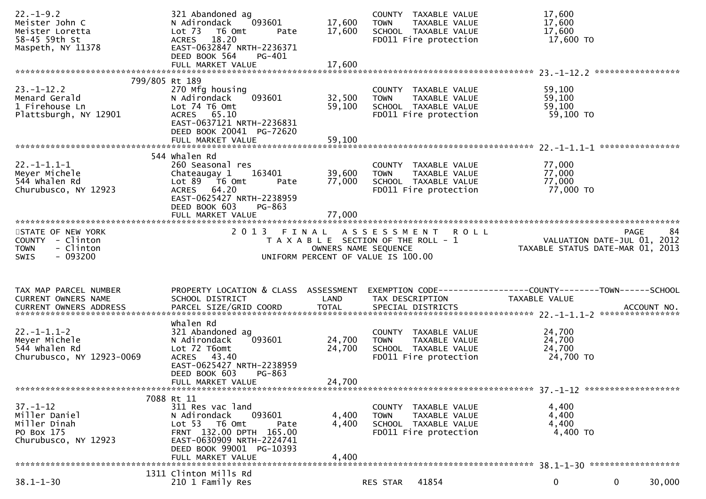| $22. - 1 - 9.2$<br>Meister John C<br>Meister Loretta<br>58-45 59th St<br>Maspeth, NY 11378 | 321 Abandoned ag<br>093601<br>N Adirondack<br>Lot 73 T6 Omt<br>Pate<br>ACRES 18.20<br>EAST-0632847 NRTH-2236371<br>DEED BOOK 564<br>PG-401                                                 | 17,600<br>17,600           | COUNTY TAXABLE VALUE<br>TAXABLE VALUE<br><b>TOWN</b><br>SCHOOL TAXABLE VALUE<br>FD011 Fire protection | 17,600<br>17,600<br>17,600<br>17,600 TO                                       |
|--------------------------------------------------------------------------------------------|--------------------------------------------------------------------------------------------------------------------------------------------------------------------------------------------|----------------------------|-------------------------------------------------------------------------------------------------------|-------------------------------------------------------------------------------|
|                                                                                            |                                                                                                                                                                                            |                            |                                                                                                       |                                                                               |
| $23. - 1 - 12.2$<br>Menard Gerald<br>1 Firehouse Ln<br>Plattsburgh, NY 12901               | 799/805 Rt 189<br>270 Mfg housing<br>093601<br>N Adirondack<br>Lot 74 T6 Omt<br>ACRES 65.10<br>EAST-0637121 NRTH-2236831<br>DEED BOOK 20041 PG-72620                                       | 32,500<br>59,100           | COUNTY TAXABLE VALUE<br><b>TOWN</b><br>TAXABLE VALUE<br>SCHOOL TAXABLE VALUE<br>FD011 Fire protection | 59,100<br>59,100<br>59,100<br>59,100 TO                                       |
|                                                                                            | 544 whalen Rd                                                                                                                                                                              |                            |                                                                                                       |                                                                               |
| $22. -1 - 1.1 - 1$<br>Meyer Michele<br>544 whalen Rd<br>Churubusco, NY 12923               | 260 Seasonal res<br>Chateaugay 1<br>163401<br>Lot 89 T6 Omt<br>Pate<br>ACRES 64.20<br>EAST-0625427 NRTH-2238959<br>DEED BOOK 603<br>PG-863<br>FULL MARKET VALUE                            | 39,600<br>77,000<br>77,000 | COUNTY TAXABLE VALUE<br>TAXABLE VALUE<br>TOWN<br>SCHOOL TAXABLE VALUE<br>FD011 Fire protection        | 77,000<br>77,000<br>77,000<br>77,000 TO                                       |
|                                                                                            |                                                                                                                                                                                            |                            |                                                                                                       |                                                                               |
| STATE OF NEW YORK<br>COUNTY - Clinton                                                      |                                                                                                                                                                                            |                            | 2013 FINAL ASSESSMENT ROLL<br>T A X A B L E SECTION OF THE ROLL - 1                                   | 84<br>PAGE<br>VALUATION DATE-JUL 01, 2012<br>TAXABLE STATUS DATE-MAR 01, 2013 |
| - Clinton<br><b>TOWN</b><br>$-093200$<br>SWIS                                              |                                                                                                                                                                                            | OWNERS NAME SEQUENCE       | UNIFORM PERCENT OF VALUE IS 100.00                                                                    |                                                                               |
| TAX MAP PARCEL NUMBER                                                                      | PROPERTY LOCATION & CLASS ASSESSMENT                                                                                                                                                       |                            |                                                                                                       | EXEMPTION CODE------------------COUNTY--------TOWN------SCHOOL                |
| CURRENT OWNERS NAME                                                                        | SCHOOL DISTRICT                                                                                                                                                                            | LAND                       | TAX DESCRIPTION                                                                                       | TAXABLE VALUE                                                                 |
|                                                                                            |                                                                                                                                                                                            |                            |                                                                                                       |                                                                               |
| $22. -1 - 1.1 - 2$<br>Meyer Michele<br>544 whalen Rd<br>Churubusco, NY 12923-0069          | whalen Rd<br>321 Abandoned ag<br>093601<br>N Adirondack<br>Lot 72 T6omt<br>ACRES 43.40<br>EAST-0625427 NRTH-2238959<br>DEED BOOK 603<br>$PG-863$                                           | 24,700<br>24,700           | COUNTY TAXABLE VALUE<br>TAXABLE VALUE<br><b>TOWN</b><br>SCHOOL TAXABLE VALUE<br>FD011 Fire protection | 24,700<br>24,700<br>24,700<br>24,700 TO                                       |
|                                                                                            | FULL MARKET VALUE                                                                                                                                                                          | 24,700                     |                                                                                                       |                                                                               |
|                                                                                            |                                                                                                                                                                                            |                            |                                                                                                       |                                                                               |
| $37. - 1 - 12$<br>Miller Daniel<br>Miller Dinah<br>PO Box 175<br>Churubusco, NY 12923      | 7088 Rt 11<br>311 Res vac land<br>093601<br>N Adirondack<br>Lot 53 T6 Omt<br>Pate<br>FRNT 132.00 DPTH 165.00<br>EAST-0630909 NRTH-2224741<br>DEED BOOK 99001 PG-10393<br>FULL MARKET VALUE | 4,400<br>4,400<br>4,400    | COUNTY TAXABLE VALUE<br><b>TOWN</b><br>TAXABLE VALUE<br>SCHOOL TAXABLE VALUE<br>FD011 Fire protection | 4,400<br>4,400<br>4,400<br>4,400 TO                                           |
|                                                                                            | 1311 Clinton Mills Rd                                                                                                                                                                      |                            |                                                                                                       |                                                                               |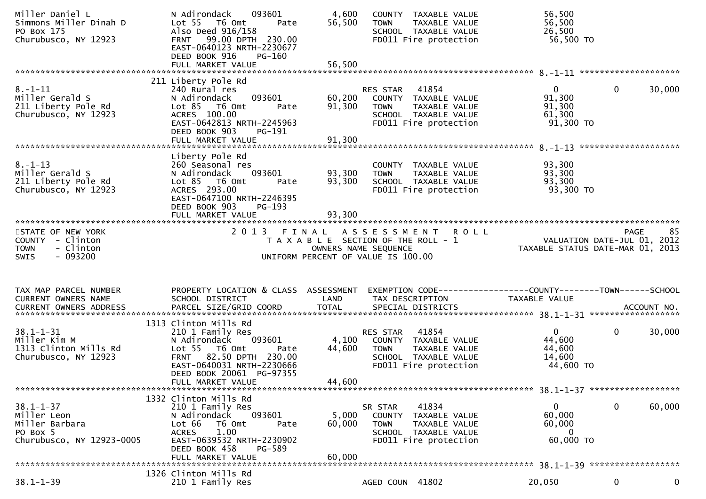| Miller Daniel L<br>Simmons Miller Dinah D<br>PO Box 175<br>Churubusco, NY 12923               | 093601<br>N Adirondack<br>Lot 55  T6 Omt<br>Pate<br>Also Deed 916/158<br>FRNT 99.00 DPTH 230.00<br>EAST-0640123 NRTH-2230677<br>DEED BOOK 916<br><b>PG-160</b>                                        | 4,600<br>56,500<br>TOWN                                    | COUNTY TAXABLE VALUE<br>TAXABLE VALUE<br>SCHOOL TAXABLE VALUE<br>FD011 Fire protection             | 56,500<br>56,500<br>26,500<br>56,500 TO                                         |                        |
|-----------------------------------------------------------------------------------------------|-------------------------------------------------------------------------------------------------------------------------------------------------------------------------------------------------------|------------------------------------------------------------|----------------------------------------------------------------------------------------------------|---------------------------------------------------------------------------------|------------------------|
| $8. - 1 - 11$<br>Miller Gerald S<br>211 Liberty Pole Rd<br>Churubusco, NY 12923               | 211 Liberty Pole Rd<br>240 Rural res<br>N Adirondack<br>093601<br>$Lot 85$ T6 Omt<br>Pate<br>ACRES 100.00<br>EAST-0642813 NRTH-2245963<br>DEED BOOK 903<br>PG-191                                     | RES STAR<br>60,200<br>91,300<br><b>TOWN</b>                | 41854<br>COUNTY TAXABLE VALUE<br>TAXABLE VALUE<br>SCHOOL TAXABLE VALUE<br>FD011 Fire protection    | $\overline{0}$<br>91,300<br>91,300<br>61,300<br>91,300 TO                       | $\mathbf{0}$<br>30,000 |
| $8. - 1 - 13$<br>Miller Gerald S<br>211 Liberty Pole Rd<br>Churubusco, NY 12923               | Liberty Pole Rd<br>260 Seasonal res<br>093601<br>N Adirondack<br>$Lot 85$ T6 Omt<br>Pate<br>ACRES 293.00<br>EAST-0647100 NRTH-2246395<br>DEED BOOK 903<br>PG-193<br>FULL MARKET VALUE                 | 93,300<br><b>TOWN</b><br>93,300<br>93,300                  | COUNTY TAXABLE VALUE<br>TAXABLE VALUE<br>SCHOOL TAXABLE VALUE<br>FD011 Fire protection             | 93,300<br>93,300<br>93,300<br>93,300 TO                                         |                        |
| STATE OF NEW YORK<br>COUNTY - Clinton<br><b>TOWN</b><br>- Clinton<br>$-093200$<br><b>SWIS</b> |                                                                                                                                                                                                       | OWNERS NAME SEQUENCE<br>UNIFORM PERCENT OF VALUE IS 100.00 | 2013 FINAL ASSESSMENT ROLL<br>T A X A B L E SECTION OF THE ROLL - 1                                | VALUATION DATE-JUL 01, 2012<br>TAXABLE STATUS DATE-MAR 01, 2013                 | 85<br>PAGE             |
| TAX MAP PARCEL NUMBER<br>CURRENT OWNERS NAME                                                  | PROPERTY LOCATION & CLASS ASSESSMENT<br>SCHOOL DISTRICT                                                                                                                                               | LAND                                                       | TAX DESCRIPTION                                                                                    | EXEMPTION CODE------------------COUNTY--------TOWN------SCHOOL<br>TAXABLE VALUE |                        |
| $38.1 - 1 - 31$<br>Miller Kim M<br>1313 Clinton Mills Rd<br>Churubusco, NY 12923              | 1313 Clinton Mills Rd<br>210 1 Family Res<br>093601<br>N Adirondack<br>Lot 55  T6 Omt<br>Pate<br>FRNT 82.50 DPTH 230.00<br>EAST-0640031 NRTH-2230666<br>DEED BOOK 20061 PG-97355<br>FULL MARKET VALUE | RES STAR<br>4,100<br>44,600<br><b>TOWN</b><br>44,600       | 41854<br>COUNTY TAXABLE VALUE<br>TAXABLE VALUE<br>SCHOOL TAXABLE VALUE<br>FD011 Fire protection    | 0<br>44,600<br>44,600<br>14,600<br>44,600 TO                                    | $\mathbf 0$<br>30,000  |
| $38.1 - 1 - 37$<br>Miller Leon<br>Miller Barbara<br>PO Box 5<br>Churubusco, NY 12923-0005     | 1332 Clinton Mills Rd<br>210 1 Family Res<br>093601<br>N Adirondack<br>Lot 66<br>T6 Omt<br>Pate<br>1.00<br><b>ACRES</b><br>EAST-0639532 NRTH-2230902<br>DEED BOOK 458<br>PG-589<br>FULL MARKET VALUE  | SR STAR<br>5,000<br>60,000<br><b>TOWN</b><br>60,000        | 41834<br>COUNTY<br>TAXABLE VALUE<br>TAXABLE VALUE<br>SCHOOL TAXABLE VALUE<br>FD011 Fire protection | $\mathbf{0}$<br>60,000<br>60,000<br>$\mathbf 0$<br>60,000 TO                    | $\mathbf 0$<br>60,000  |
| $38.1 - 1 - 39$                                                                               | 1326 Clinton Mills Rd<br>210 1 Family Res                                                                                                                                                             |                                                            | AGED COUN 41802                                                                                    | 20,050                                                                          | 0<br>0                 |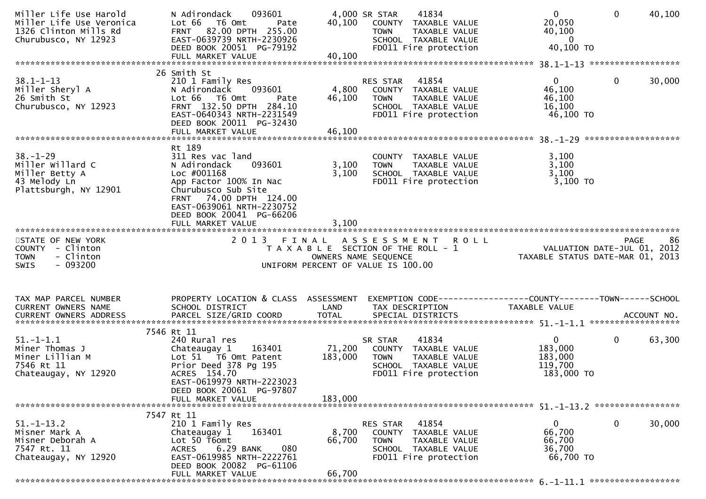| Miller Life Use Harold<br>Miller Life Use Veronica<br>1326 Clinton Mills Rd<br>Churubusco, NY 12923 | 093601<br>N Adirondack<br>Lot 66 T6 Omt<br>Pate<br>FRNT 82.00 DPTH 255.00<br>EAST-0639739 NRTH-2230926<br>DEED BOOK 20051 PG-79192                                                                                                     | 40,100                       | 41834<br>4,000 SR STAR<br>COUNTY TAXABLE VALUE<br><b>TOWN</b><br>TAXABLE VALUE<br>SCHOOL TAXABLE VALUE<br>FD011 Fire protection           | $\mathbf 0$<br>$\mathbf{0}$<br>20,050<br>40,100<br>$\overline{0}$<br>40,100 TO                                | 40,100 |
|-----------------------------------------------------------------------------------------------------|----------------------------------------------------------------------------------------------------------------------------------------------------------------------------------------------------------------------------------------|------------------------------|-------------------------------------------------------------------------------------------------------------------------------------------|---------------------------------------------------------------------------------------------------------------|--------|
| $38.1 - 1 - 13$<br>Miller Sheryl A<br>26 Smith St<br>Churubusco, NY 12923                           | 26 Smith St<br>210 1 Family Res<br>N Adirondack<br>093601<br>Lot 66 T6 Omt<br>Pate<br>FRNT 132.50 DPTH 284.10<br>EAST-0640343 NRTH-2231549<br>DEED BOOK 20011 PG-32430                                                                 | 4,800<br>46,100              | RES STAR<br>41854<br>COUNTY TAXABLE VALUE<br>TAXABLE VALUE<br><b>TOWN</b><br>SCHOOL TAXABLE VALUE<br>FD011 Fire protection                | $\overline{0}$<br>$\mathbf 0$<br>46,100<br>46,100<br>16,100<br>46,100 TO                                      | 30,000 |
| $38. - 1 - 29$<br>Miller Willard C<br>Miller Betty A<br>43 Melody Ln<br>Plattsburgh, NY 12901       | Rt 189<br>311 Res vac land<br>093601<br>N Adirondack<br>Loc #001168<br>App Factor 100% In Nac<br>Churubusco Sub Site<br>74.00 DPTH 124.00<br><b>FRNT</b><br>EAST-0639061 NRTH-2230752<br>DEED BOOK 20041 PG-66206<br>FULL MARKET VALUE | 3,100<br>3,100<br>3,100      | COUNTY TAXABLE VALUE<br>TAXABLE VALUE<br><b>TOWN</b><br>SCHOOL TAXABLE VALUE<br>FD011 Fire protection                                     | 3,100<br>3,100<br>3,100<br>3,100 TO                                                                           |        |
| STATE OF NEW YORK<br>COUNTY - Clinton<br>- Clinton<br><b>TOWN</b><br>- 093200<br><b>SWIS</b>        | 2 0 1 3                                                                                                                                                                                                                                | FINAL                        | A S S E S S M E N T<br><b>ROLL</b><br>T A X A B L E SECTION OF THE ROLL - 1<br>OWNERS NAME SEQUENCE<br>UNIFORM PERCENT OF VALUE IS 100.00 | 86 PAGE 96<br>VALUATION DATE-JUL 01, 2012<br>TAXABLE STATUS DATE 112 2012<br>TAXABLE STATUS DATE-MAR 01, 2013 |        |
| TAX MAP PARCEL NUMBER<br>CURRENT OWNERS NAME                                                        | PROPERTY LOCATION & CLASS ASSESSMENT<br>SCHOOL DISTRICT                                                                                                                                                                                | LAND                         | TAX DESCRIPTION                                                                                                                           | EXEMPTION CODE------------------COUNTY--------TOWN------SCHOOL<br>TAXABLE VALUE                               |        |
| $51. - 1 - 1.1$<br>Miner Thomas J<br>Miner Lillian M<br>7546 Rt 11<br>Chateaugay, NY 12920          | 7546 Rt 11<br>240 Rural res<br>Chateaugay 1<br>163401<br>Lot 51 T6 Omt Patent<br>Prior Deed 378 Pg 195<br>ACRES 154.70<br>EAST-0619979 NRTH-2223023<br>DEED BOOK 20061 PG-97807<br>FULL MARKET VALUE                                   | 71,200<br>183,000<br>183.000 | 41834<br>SR STAR<br>COUNTY TAXABLE VALUE<br>TAXABLE VALUE<br><b>TOWN</b><br>SCHOOL TAXABLE VALUE<br>FD011 Fire protection                 | $\overline{0}$<br>$\mathbf{0}$<br>183,000<br>183,000<br>119,700<br>183,000 TO                                 | 63,300 |
|                                                                                                     |                                                                                                                                                                                                                                        |                              |                                                                                                                                           |                                                                                                               |        |
| $51.-1-13.2$<br>Misner Mark A<br>Misner Deborah A<br>7547 Rt. 11<br>Chateaugay, NY 12920            | 7547 Rt 11<br>210 1 Family Res<br>163401<br>Chateaugay 1<br>Lot 50 T6omt<br>6.29 BANK<br>080<br><b>ACRES</b><br>EAST-0619985 NRTH-2222761<br>DEED BOOK 20082 PG-61106<br>FULL MARKET VALUE                                             | 8,700<br>66,700<br>66,700    | RES STAR<br>41854<br>COUNTY TAXABLE VALUE<br><b>TOWN</b><br>TAXABLE VALUE<br>SCHOOL TAXABLE VALUE<br>FD011 Fire protection                | $\mathbf{0}$<br>$\mathbf 0$<br>66,700<br>66,700<br>36,700<br>66,700 TO                                        | 30,000 |
|                                                                                                     |                                                                                                                                                                                                                                        |                              |                                                                                                                                           |                                                                                                               |        |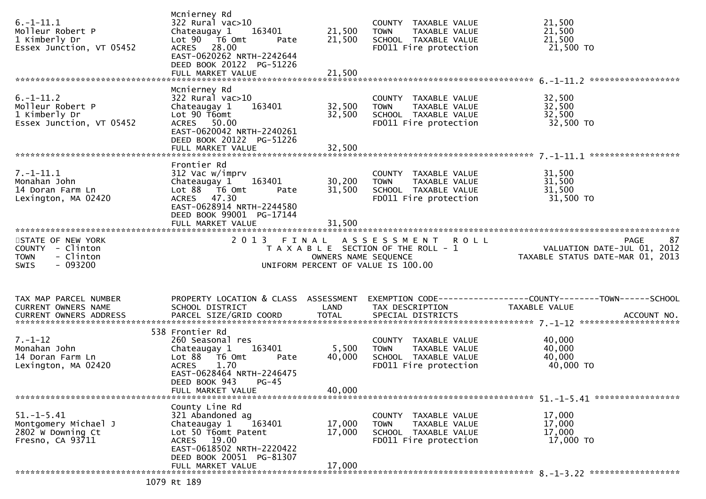| $6. - 1 - 11.1$<br>Molleur Robert P<br>1 Kimberly Dr<br>Essex Junction, VT 05452              | Mcnierney Rd<br>322 Rural vac>10<br>Chateaugay 1<br>163401<br>Lot $90$ $\overline{76}$ Omt<br>Pate<br>ACRES 28.00<br>EAST-0620262 NRTH-2242644<br>DEED BOOK 20122 PG-51226<br>FULL MARKET VALUE             | 21,500<br>21,500<br>21,500 | COUNTY TAXABLE VALUE<br><b>TOWN</b><br>TAXABLE VALUE<br>SCHOOL TAXABLE VALUE<br>FD011 Fire protection | 21,500<br>21,500<br>21,500<br>21,500 TO                                                                |
|-----------------------------------------------------------------------------------------------|-------------------------------------------------------------------------------------------------------------------------------------------------------------------------------------------------------------|----------------------------|-------------------------------------------------------------------------------------------------------|--------------------------------------------------------------------------------------------------------|
|                                                                                               |                                                                                                                                                                                                             |                            |                                                                                                       |                                                                                                        |
| $6. -1 - 11.2$<br>Molleur Robert P<br>1 Kimberly Dr<br>Essex Junction, VT 05452               | Mcnierney Rd<br>$322$ Rural vac $>10$<br>163401<br>Chateaugay 1<br>Lot 90 T6omt<br>ACRES 50.00<br>EAST-0620042 NRTH-2240261<br>DEED BOOK 20122 PG-51226                                                     | 32,500<br>32,500           | COUNTY TAXABLE VALUE<br><b>TOWN</b><br>TAXABLE VALUE<br>SCHOOL TAXABLE VALUE<br>FD011 Fire protection | 32,500<br>32,500<br>32,500<br>32,500 TO                                                                |
|                                                                                               | Frontier Rd                                                                                                                                                                                                 |                            |                                                                                                       |                                                                                                        |
| $7. - 1 - 11.1$<br>Monahan John<br>14 Doran Farm Ln<br>Lexington, MA 02420                    | 312 Vac w/imprv<br>163401<br>Chateaugay 1<br>Lot $88$ $\overline{76}$ Omt<br>Pate<br>ACRES 47.30<br>EAST-0628914 NRTH-2244580<br>DEED BOOK 99001 PG-17144                                                   | 30,200<br>31,500           | COUNTY TAXABLE VALUE<br><b>TOWN</b><br>TAXABLE VALUE<br>SCHOOL TAXABLE VALUE<br>FD011 Fire protection | 31,500<br>31,500<br>31,500<br>31,500 TO                                                                |
|                                                                                               |                                                                                                                                                                                                             |                            |                                                                                                       |                                                                                                        |
| STATE OF NEW YORK<br>COUNTY - Clinton<br>- Clinton<br><b>TOWN</b><br>$-093200$<br><b>SWIS</b> | 2 0 1 3<br>FINAL                                                                                                                                                                                            | OWNERS NAME SEQUENCE       | ASSESSMENT ROLL<br>T A X A B L E SECTION OF THE ROLL - 1<br>UNIFORM PERCENT OF VALUE IS 100.00        | PAGE 87<br>VALUATION DATE-JUL 01, 2012<br>TAXARLE STATUS DATE :::-<br>TAXABLE STATUS DATE-MAR 01, 2013 |
|                                                                                               |                                                                                                                                                                                                             |                            |                                                                                                       |                                                                                                        |
| TAX MAP PARCEL NUMBER<br>CURRENT OWNERS NAME                                                  | PROPERTY LOCATION & CLASS ASSESSMENT<br>SCHOOL DISTRICT                                                                                                                                                     | LAND                       | TAX DESCRIPTION                                                                                       | EXEMPTION CODE------------------COUNTY--------TOWN------SCHOOL<br>TAXABLE VALUE                        |
| $7. - 1 - 12$<br>Monahan John<br>14 Doran Farm Ln<br>Lexington, MA 02420                      | 538 Frontier Rd<br>260 Seasonal res<br>163401<br>Chateaugay 1<br>Lot $88$ $\overline{76}$ Omt<br>Pate<br><b>ACRES</b><br>1.70<br>EAST-0628464 NRTH-2246475<br>DEED BOOK 943<br>$PG-45$<br>FULL MARKET VALUE | 5,500<br>40,000<br>40,000  | COUNTY TAXABLE VALUE<br>TAXABLE VALUE<br><b>TOWN</b><br>SCHOOL TAXABLE VALUE<br>FD011 Fire protection | 40,000<br>40,000<br>40,000<br>40,000 TO                                                                |
|                                                                                               |                                                                                                                                                                                                             |                            |                                                                                                       |                                                                                                        |
| $51. - 1 - 5.41$<br>Montgomery Michael J<br>2802 W Downing Ct<br>Fresno, CA 93711             | County Line Rd<br>321 Abandoned ag<br>Chateaugay 1<br>163401<br>Lot 50 T6omt Patent<br>ACRES 19.00<br>EAST-0618502 NRTH-2220422<br>DEED BOOK 20051 PG-81307                                                 | 17,000<br>17,000           | COUNTY TAXABLE VALUE<br><b>TOWN</b><br>TAXABLE VALUE<br>SCHOOL TAXABLE VALUE<br>FD011 Fire protection | 17,000<br>17,000<br>17,000<br>17,000 TO                                                                |
|                                                                                               | FULL MARKET VALUE<br>1079 Rt 189                                                                                                                                                                            | 17,000                     |                                                                                                       |                                                                                                        |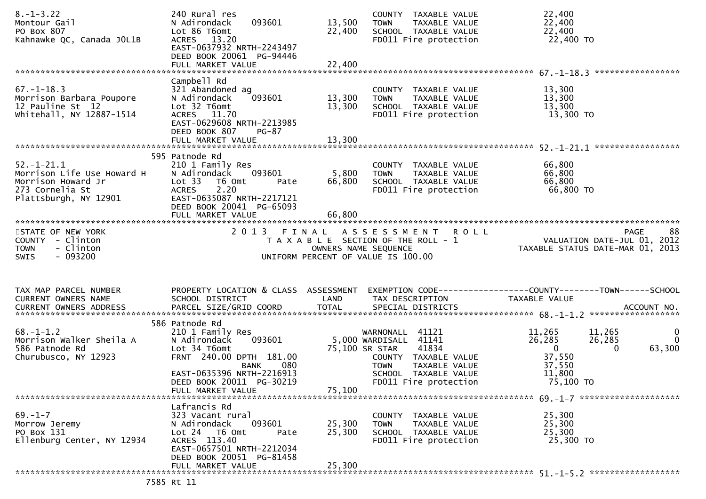| $8. - 1 - 3.22$<br>Montour Gail<br>PO Box 807<br>Kahnawke QC, Canada JOL1B                                   | 240 Rural res<br>093601<br>N Adirondack<br>Lot 86 T6omt<br>ACRES 13.20<br>EAST-0637932 NRTH-2243497<br>DEED BOOK 20061 PG-94446                                              | 13,500<br>22,400          | COUNTY TAXABLE VALUE<br>TAXABLE VALUE<br><b>TOWN</b><br>SCHOOL TAXABLE VALUE<br>FD011 Fire protection                       | 22,400<br>22,400<br>22,400<br>22,400 TO<br>*****************                           |                                       |
|--------------------------------------------------------------------------------------------------------------|------------------------------------------------------------------------------------------------------------------------------------------------------------------------------|---------------------------|-----------------------------------------------------------------------------------------------------------------------------|----------------------------------------------------------------------------------------|---------------------------------------|
|                                                                                                              | Campbell Rd                                                                                                                                                                  |                           |                                                                                                                             |                                                                                        |                                       |
| $67. - 1 - 18.3$<br>Morrison Barbara Poupore<br>12 Pauline St 12<br>whitehall, NY 12887-1514                 | 321 Abandoned ag<br>093601<br>N Adirondack<br>Lot 32 T6omt<br>ACRES 11.70<br>EAST-0629608 NRTH-2213985<br>DEED BOOK 807<br><b>PG-87</b>                                      | 13,300<br>13,300          | COUNTY TAXABLE VALUE<br><b>TOWN</b><br>TAXABLE VALUE<br>SCHOOL TAXABLE VALUE<br>FD011 Fire protection                       | 13,300<br>13,300<br>13,300<br>13,300 TO                                                |                                       |
|                                                                                                              | 595 Patnode Rd                                                                                                                                                               |                           |                                                                                                                             |                                                                                        |                                       |
| $52.-1-21.1$<br>Morrison Life Use Howard H<br>Morrison Howard Jr<br>273 Cornelia St<br>Plattsburgh, NY 12901 | 210 1 Family Res<br>N Adirondack<br>093601<br>Lot 33<br>T6 Omt<br>Pate<br>2.20<br><b>ACRES</b><br>EAST-0635087 NRTH-2217121<br>DEED BOOK 20041 PG-65093<br>FULL MARKET VALUE | 5,800<br>66,800<br>66,800 | COUNTY TAXABLE VALUE<br>TAXABLE VALUE<br>TOWN<br>SCHOOL TAXABLE VALUE<br>FD011 Fire protection                              | 66,800<br>66,800<br>66,800<br>66,800 TO                                                |                                       |
|                                                                                                              |                                                                                                                                                                              |                           |                                                                                                                             |                                                                                        |                                       |
| STATE OF NEW YORK<br>COUNTY - Clinton<br>- Clinton<br><b>TOWN</b><br>$-093200$<br>SWIS                       | 2013 FINAL                                                                                                                                                                   |                           | ASSESSMENT ROLL<br>T A X A B L E SECTION OF THE ROLL - 1<br>OWNERS NAME SEQUENCE<br>UNIFORM PERCENT OF VALUE IS 100.00      | <b>PAGE</b><br>VALUATION DATE-JUL 01, 2012<br>TAXABLE STATUS DATE-MAR 01, 2013         | 88                                    |
|                                                                                                              |                                                                                                                                                                              |                           |                                                                                                                             |                                                                                        |                                       |
| TAX MAP PARCEL NUMBER<br>CURRENT OWNERS NAME                                                                 | PROPERTY LOCATION & CLASS ASSESSMENT<br>SCHOOL DISTRICT                                                                                                                      | LAND                      | TAX DESCRIPTION                                                                                                             | EXEMPTION CODE------------------COUNTY--------TOWN------SCHOOL<br>TAXABLE VALUE        |                                       |
|                                                                                                              | 586 Patnode Rd                                                                                                                                                               |                           |                                                                                                                             |                                                                                        |                                       |
| $68. - 1 - 1.2$<br>Morrison Walker Sheila A                                                                  | 210 1 Family Res                                                                                                                                                             |                           |                                                                                                                             |                                                                                        |                                       |
| 586 Patnode Rd<br>Churubusco, NY 12923                                                                       | 093601<br>N Adirondack<br>Lot 34 T6omt<br>FRNT 240.00 DPTH 181.00<br><b>BANK</b><br>080                                                                                      |                           | WARNONALL 41121<br>5,000 WARDISALL 41141<br>75,100 SR STAR<br>41834<br>COUNTY TAXABLE VALUE<br><b>TOWN</b><br>TAXABLE VALUE | 11,265<br>11,265<br>26,285<br>26,285<br>$\overline{0}$<br>$\Omega$<br>37,550<br>37,550 | $\mathbf 0$<br>$\mathbf{0}$<br>63,300 |
|                                                                                                              | EAST-0635396 NRTH-2216913<br>DEED BOOK 20011 PG-30219                                                                                                                        |                           | SCHOOL TAXABLE VALUE<br>FD011 Fire protection                                                                               | 11,800<br>75,100 TO                                                                    |                                       |
|                                                                                                              | FULL MARKET VALUE                                                                                                                                                            | 75,100                    |                                                                                                                             |                                                                                        |                                       |
| $69. - 1 - 7$<br>Morrow Jeremy<br>PO Box 131<br>Ellenburg Center, NY 12934                                   | Lafrancis Rd<br>323 Vacant rural<br>093601<br>N Adirondack<br>Lot 24 T6 Omt<br>Pate<br>ACRES 113.40<br>EAST-0657501 NRTH-2212034<br>DEED BOOK 20051 PG-81458                 | 25,300<br>25,300          | COUNTY TAXABLE VALUE<br><b>TOWN</b><br>TAXABLE VALUE<br>SCHOOL TAXABLE VALUE<br>FD011 Fire protection                       | 25,300<br>25,300<br>25,300<br>25,300 TO                                                |                                       |
|                                                                                                              | FULL MARKET VALUE<br>7585 Rt 11                                                                                                                                              | 25,300                    |                                                                                                                             |                                                                                        |                                       |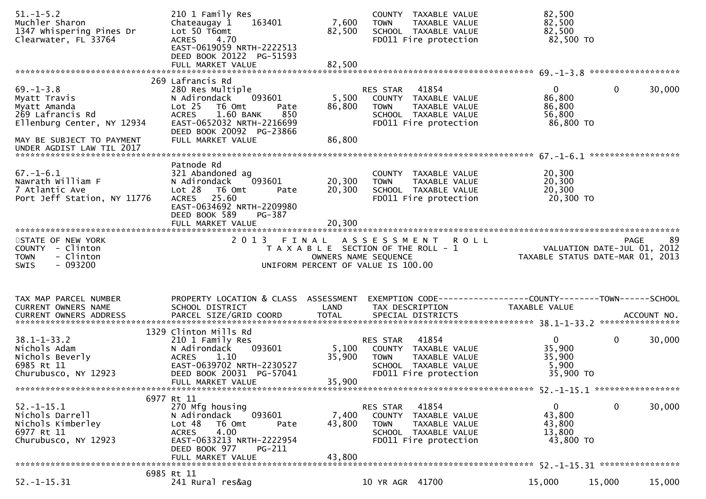| $51. - 1 - 5.2$<br>Muchler Sharon<br>1347 Whispering Pines Dr<br>Clearwater, FL 33764                                                                       | 210 1 Family Res<br>Chateaugay 1<br>163401<br>Lot 50 T6omt<br>4.70<br><b>ACRES</b><br>EAST-0619059 NRTH-2222513<br>DEED BOOK 20122 PG-51593                                                     | 7,600<br>82,500           | COUNTY TAXABLE VALUE<br>TAXABLE VALUE<br><b>TOWN</b><br>SCHOOL TAXABLE VALUE<br>FD011 Fire protection                             | 82,500<br>82,500<br>82,500<br>82,500 TO                   |                             |
|-------------------------------------------------------------------------------------------------------------------------------------------------------------|-------------------------------------------------------------------------------------------------------------------------------------------------------------------------------------------------|---------------------------|-----------------------------------------------------------------------------------------------------------------------------------|-----------------------------------------------------------|-----------------------------|
|                                                                                                                                                             | 269 Lafrancis Rd                                                                                                                                                                                |                           |                                                                                                                                   |                                                           |                             |
| $69. - 1 - 3.8$<br>Myatt Travis<br>Myatt Amanda<br>269 Lafrancis Rd<br>Ellenburg Center, NY 12934<br>MAY BE SUBJECT TO PAYMENT<br>UNDER AGDIST LAW TIL 2017 | 280 Res Multiple<br>N Adirondack<br>093601<br>T6 Omt<br>Lot 25<br>Pate<br>1.60 BANK<br><b>ACRES</b><br>850<br>EAST-0652032 NRTH-2216699<br>DEED BOOK 20092 PG-23866<br>FULL MARKET VALUE        | 5,500<br>86,800<br>86,800 | 41854<br><b>RES STAR</b><br>COUNTY TAXABLE VALUE<br>TAXABLE VALUE<br><b>TOWN</b><br>SCHOOL TAXABLE VALUE<br>FD011 Fire protection | $\overline{0}$<br>86,800<br>86,800<br>56,800<br>86,800 TO | $\mathbf 0$<br>30,000       |
|                                                                                                                                                             |                                                                                                                                                                                                 |                           |                                                                                                                                   |                                                           |                             |
| $67. - 1 - 6.1$<br>Nawrath William F<br>7 Atlantic Ave<br>Port Jeff Station, NY 11776                                                                       | Patnode Rd<br>321 Abandoned ag<br>093601<br>N Adirondack<br>Lot 28<br>T6 Omt<br>Pate<br>25.60<br><b>ACRES</b><br>EAST-0634692 NRTH-2209980<br>DEED BOOK 589<br>PG-387                           | 20,300<br>20,300          | COUNTY TAXABLE VALUE<br>TAXABLE VALUE<br><b>TOWN</b><br>SCHOOL TAXABLE VALUE<br>FD011 Fire protection                             | 20,300<br>20,300<br>20,300<br>20,300 TO                   |                             |
| ************************                                                                                                                                    | FULL MARKET VALUE                                                                                                                                                                               | 20,300                    |                                                                                                                                   |                                                           |                             |
| STATE OF NEW YORK<br>COUNTY - Clinton                                                                                                                       |                                                                                                                                                                                                 |                           | 2013 FINAL ASSESSMENT ROLL                                                                                                        |                                                           | 89<br>PAGE                  |
| - Clinton<br><b>TOWN</b><br>$-093200$<br><b>SWIS</b>                                                                                                        |                                                                                                                                                                                                 | OWNERS NAME SEQUENCE      | T A X A B L E SECTION OF THE ROLL - 1<br>UNIFORM PERCENT OF VALUE IS 100.00                                                       | TAXABLE STATUS DATE-MAR 01, 2013                          | VALUATION DATE-JUL 01, 2012 |
| TAX MAP PARCEL NUMBER                                                                                                                                       | PROPERTY LOCATION & CLASS ASSESSMENT                                                                                                                                                            |                           | EXEMPTION CODE------------------COUNTY--------TOWN------SCHOOL                                                                    |                                                           |                             |
| CURRENT OWNERS NAME                                                                                                                                         | SCHOOL DISTRICT                                                                                                                                                                                 | LAND                      | TAX DESCRIPTION                                                                                                                   | TAXABLE VALUE                                             |                             |
| $38.1 - 1 - 33.2$<br>Nichols Adam<br>Nichols Beverly<br>6985 Rt 11<br>Churubusco, NY 12923                                                                  | 1329 Clinton Mills Rd<br>210 1 Family Res<br>093601<br>N Adirondack<br><b>ACRES</b><br>1.10<br>EAST-0639702 NRTH-2230527<br>DEED BOOK 20031 PG-57041                                            | 5,100<br>35,900           | 41854<br>RES STAR<br>COUNTY TAXABLE VALUE<br><b>TOWN</b><br>TAXABLE VALUE<br>SCHOOL TAXABLE VALUE<br>FD011 Fire protection        | $\overline{0}$<br>35,900<br>35,900<br>5,900<br>35,900 TO  | 0<br>30,000                 |
|                                                                                                                                                             | FULL MARKET VALUE                                                                                                                                                                               | 35,900                    |                                                                                                                                   |                                                           |                             |
| $52.-1-15.1$<br>Nichols Darrell<br>Nichols Kimberley<br>6977 Rt 11<br>Churubusco, NY 12923                                                                  | 6977 Rt 11<br>270 Mfg housing<br>093601<br>N Adirondack<br>T6 Omt<br>Lot 48<br>Pate<br>4.00<br><b>ACRES</b><br>EAST-0633213 NRTH-2222954<br>DEED BOOK 977<br><b>PG-211</b><br>FULL MARKET VALUE | 7,400<br>43,800<br>43,800 | 41854<br>RES STAR<br>COUNTY TAXABLE VALUE<br>TAXABLE VALUE<br><b>TOWN</b><br>SCHOOL TAXABLE VALUE<br>FD011 Fire protection        | $\Omega$<br>43,800<br>43,800<br>13,800<br>43,800 TO       | $\mathbf 0$<br>30,000       |
|                                                                                                                                                             | 6985 Rt 11                                                                                                                                                                                      |                           |                                                                                                                                   |                                                           |                             |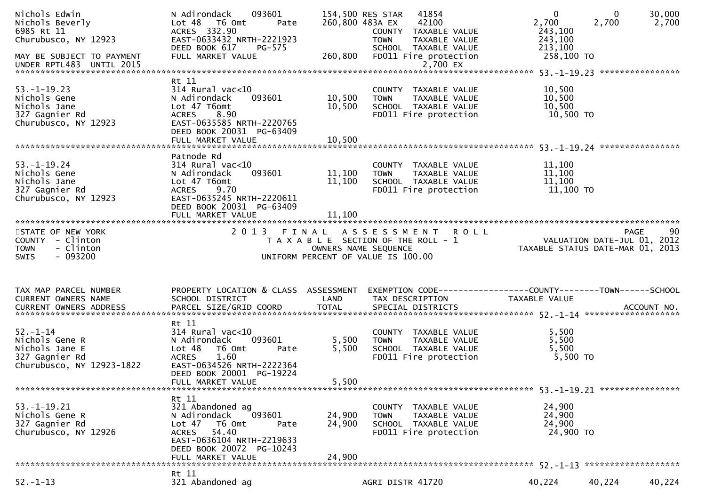| Nichols Edwin<br>Nichols Beverly<br>6985 Rt 11<br>Churubusco, NY 12923<br>MAY BE SUBJECT TO PAYMENT | N Adirondack<br>093601<br>Lot 48 T6 Omt<br>Pate<br>ACRES 332.90<br>EAST-0633432 NRTH-2221923<br>DEED BOOK 617<br><b>PG-575</b><br>FULL MARKET VALUE                            | 260,800                    | 154,500 RES STAR<br>41854<br>260,800 483A EX<br>42100<br>COUNTY TAXABLE VALUE<br><b>TOWN</b><br>TAXABLE VALUE<br>SCHOOL TAXABLE VALUE<br>FD011 Fire protection | $\mathbf 0$<br>2,700<br>243,100<br>243,100<br>213,100<br>258,100 TO | $\mathbf{0}$<br>30,000<br>2,700<br>2,700                                             |
|-----------------------------------------------------------------------------------------------------|--------------------------------------------------------------------------------------------------------------------------------------------------------------------------------|----------------------------|----------------------------------------------------------------------------------------------------------------------------------------------------------------|---------------------------------------------------------------------|--------------------------------------------------------------------------------------|
|                                                                                                     |                                                                                                                                                                                |                            |                                                                                                                                                                |                                                                     |                                                                                      |
| $53. - 1 - 19.23$<br>Nichols Gene<br>Nichols Jane<br>327 Gagnier Rd<br>Churubusco, NY 12923         | Rt 11<br>$314$ Rural vac<10<br>N Adirondack<br>093601<br>Lot 47 T6omt<br>8.90<br><b>ACRES</b><br>EAST-0635585 NRTH-2220765<br>DEED BOOK 20031 PG-63409                         | 10,500<br>10,500           | COUNTY TAXABLE VALUE<br>TAXABLE VALUE<br><b>TOWN</b><br>SCHOOL TAXABLE VALUE<br>FD011 Fire protection                                                          | 10,500<br>10,500<br>10,500<br>10,500 TO                             |                                                                                      |
|                                                                                                     | Patnode Rd                                                                                                                                                                     |                            |                                                                                                                                                                |                                                                     |                                                                                      |
| $53. - 1 - 19.24$<br>Nichols Gene<br>Nichols Jane<br>327 Gagnier Rd<br>Churubusco, NY 12923         | 314 Rural vac<10<br>093601<br>N Adirondack<br>Lot 47 T6omt<br>9.70<br><b>ACRES</b><br>EAST-0635245 NRTH-2220611<br>DEED BOOK 20031 PG-63409<br>FULL MARKET VALUE               | 11,100<br>11,100<br>11,100 | COUNTY TAXABLE VALUE<br>TAXABLE VALUE<br><b>TOWN</b><br>SCHOOL TAXABLE VALUE<br>FD011 Fire protection                                                          | 11,100<br>11,100<br>11,100<br>11,100 TO                             |                                                                                      |
|                                                                                                     |                                                                                                                                                                                |                            |                                                                                                                                                                |                                                                     |                                                                                      |
| STATE OF NEW YORK<br>COUNTY - Clinton<br><b>TOWN</b><br>- Clinton<br>- 093200<br><b>SWIS</b>        |                                                                                                                                                                                |                            | 2013 FINAL ASSESSMENT ROLL<br>T A X A B L E SECTION OF THE ROLL - 1<br>OWNERS NAME SEQUENCE<br>OWNERS NAME SEQUENCE<br>UNIFORM PERCENT OF VALUE IS 100.00      |                                                                     | 90<br><b>PAGE</b><br>VALUATION DATE-JUL 01, 2012<br>TAXABLE STATUS DATE-MAR 01, 2013 |
| TAX MAP PARCEL NUMBER<br>CURRENT OWNERS NAME                                                        | PROPERTY LOCATION & CLASS ASSESSMENT<br>SCHOOL DISTRICT                                                                                                                        | LAND                       | EXEMPTION CODE------------------COUNTY--------TOWN------SCHOOL<br>TAX DESCRIPTION                                                                              | TAXABLE VALUE                                                       |                                                                                      |
|                                                                                                     | Rt 11                                                                                                                                                                          |                            |                                                                                                                                                                |                                                                     |                                                                                      |
| $52. - 1 - 14$<br>Nichols Gene R<br>Nichols Jane E<br>327 Gagnier Rd<br>Churubusco, NY 12923-1822   | $314$ Rural vac<10<br>093601<br>N Adirondack<br>Lot 48<br>T6 Omt<br>Pate<br>1.60<br><b>ACRES</b><br>EAST-0634526 NRTH-2222364<br>DEED BOOK 20001 PG-19224<br>FULL MARKET VALUE | 5,500<br>5,500<br>5,500    | COUNTY TAXABLE VALUE<br><b>TOWN</b><br>TAXABLE VALUE<br>SCHOOL TAXABLE VALUE<br>FD011 Fire protection                                                          | 5,500<br>5,500<br>5,500<br>5,500 TO                                 |                                                                                      |
|                                                                                                     |                                                                                                                                                                                |                            |                                                                                                                                                                |                                                                     |                                                                                      |
| $53. - 1 - 19.21$<br>Nichols Gene R<br>327 Gagnier Rd<br>Churubusco, NY 12926                       | Rt 11<br>321 Abandoned ag<br>N Adirondack<br>093601<br>T6 Omt<br>Lot 47<br>Pate<br>ACRES 54.40<br>EAST-0636104 NRTH-2219633<br>DEED BOOK 20072 PG-10243<br>FULL MARKET VALUE   | 24,900<br>24,900<br>24,900 | COUNTY TAXABLE VALUE<br>TAXABLE VALUE<br><b>TOWN</b><br>SCHOOL TAXABLE VALUE<br>FD011 Fire protection                                                          | 24,900<br>24,900<br>24,900<br>24,900 TO                             |                                                                                      |
|                                                                                                     |                                                                                                                                                                                |                            |                                                                                                                                                                |                                                                     |                                                                                      |
| $52. - 1 - 13$                                                                                      | Rt 11<br>321 Abandoned ag                                                                                                                                                      |                            | AGRI DISTR 41720                                                                                                                                               | 40,224                                                              | 40,224<br>40,224                                                                     |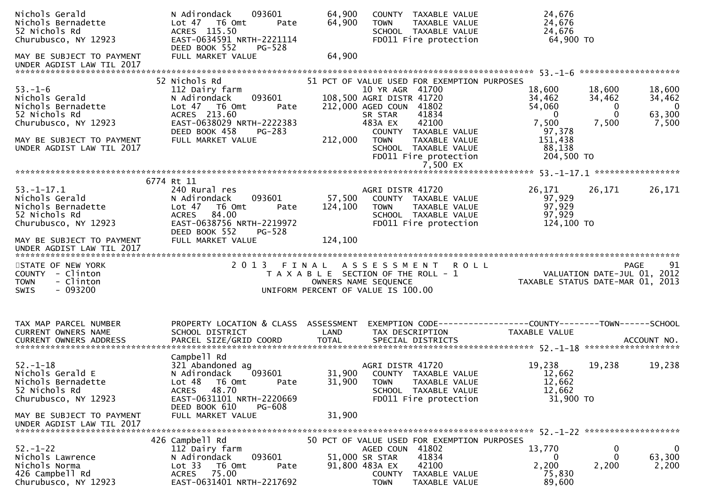| Nichols Gerald<br>Nichols Bernadette<br>52 Nichols Rd<br>Churubusco, NY 12923                                                                               | N Adirondack<br>093601<br>Lot 47 T6 Omt<br>Pate<br>ACRES 115.50<br>EAST-0634591 NRTH-2221114<br>DEED BOOK 552<br><b>PG-528</b>                                                            | 64,900<br>64,900             | COUNTY TAXABLE VALUE<br><b>TOWN</b><br>TAXABLE VALUE<br>SCHOOL TAXABLE VALUE<br>FD011 Fire protection                                                                                                                                                                  | 24,676<br>24,676<br>24,676<br>64,900 TO                                                                                                                                                                                    |
|-------------------------------------------------------------------------------------------------------------------------------------------------------------|-------------------------------------------------------------------------------------------------------------------------------------------------------------------------------------------|------------------------------|------------------------------------------------------------------------------------------------------------------------------------------------------------------------------------------------------------------------------------------------------------------------|----------------------------------------------------------------------------------------------------------------------------------------------------------------------------------------------------------------------------|
| MAY BE SUBJECT TO PAYMENT<br>UNDER AGDIST LAW TIL 2017                                                                                                      | FULL MARKET VALUE                                                                                                                                                                         | 64,900                       |                                                                                                                                                                                                                                                                        |                                                                                                                                                                                                                            |
| $53. - 1 - 6$<br>Nichols Gerald<br>Nichols Bernadette<br>52 Nichols Rd<br>Churubusco, NY 12923<br>MAY BE SUBJECT TO PAYMENT<br>UNDER AGDIST LAW TIL 2017    | 52 Nichols Rd<br>112 Dairy farm<br>093601<br>N Adirondack<br>Lot 47 76 0mt<br>Pate<br>ACRES 213.60<br>EAST-0638029 NRTH-2222383<br>DEED BOOK 458<br>PG-283<br>FULL MARKET VALUE           | 212,000                      | 51 PCT OF VALUE USED FOR EXEMPTION PURPOSES<br>10 YR AGR 41700<br>108,500 AGRI DISTR 41720<br>212,000 AGED COUN 41802<br>41834<br>SR STAR<br>42100<br>483A EX<br>COUNTY TAXABLE VALUE<br><b>TOWN</b><br>TAXABLE VALUE<br>SCHOOL TAXABLE VALUE<br>FD011 Fire protection | 18,600<br>18,600<br>18,600<br>34,462<br>34,462<br>34,462<br>54,060<br>$\overline{0}$<br>$\overline{0}$<br>63,300<br>$\mathbf{0}$<br>$\overline{0}$<br>7,500<br>7,500<br>7,500<br>97,378<br>151,438<br>88,138<br>204,500 TO |
| $53. - 1 - 17.1$<br>Nichols Gerald<br>Nichols Bernadette<br>52 Nichols Rd<br>Churubusco, NY 12923<br>MAY BE SUBJECT TO PAYMENT<br>UNDER AGDIST LAW TIL 2017 | 6774 Rt 11<br>240 Rural res<br>N Adirondack<br>093601<br>Lot 47<br>T6 Omt<br>Pate<br>84.00<br><b>ACRES</b><br>EAST-0638756 NRTH-2219972<br>DEED BOOK 552<br>$PG-528$<br>FULL MARKET VALUE | 57,500<br>124,100<br>124,100 | AGRI DISTR 41720<br>COUNTY TAXABLE VALUE<br>TAXABLE VALUE<br><b>TOWN</b><br>SCHOOL TAXABLE VALUE<br>FD011 Fire protection                                                                                                                                              | 26,171<br>26,171<br>26,171<br>97,929<br>97,929<br>97,929<br>124,100 TO                                                                                                                                                     |
|                                                                                                                                                             |                                                                                                                                                                                           |                              |                                                                                                                                                                                                                                                                        |                                                                                                                                                                                                                            |
| STATE OF NEW YORK<br>COUNTY - Clinton<br>- Clinton<br><b>TOWN</b><br>$-093200$<br><b>SWIS</b>                                                               |                                                                                                                                                                                           |                              | 2013 FINAL ASSESSMENT ROLL<br>T A X A B L E SECTION OF THE ROLL - 1<br>OWNERS NAME SEQUENCE<br>UNIFORM PERCENT OF VALUE IS 100.00                                                                                                                                      | 91<br><b>PAGE</b><br>VALUATION DATE-JUL 01, 2012<br>TAXABLE STATUS DATE-MAR 01, 2013                                                                                                                                       |
| TAX MAP PARCEL NUMBER<br>CURRENT OWNERS NAME<br><b>CURRENT OWNERS ADDRESS</b>                                                                               | PROPERTY LOCATION & CLASS ASSESSMENT<br>SCHOOL DISTRICT<br>PARCEL SIZE/GRID COORD                                                                                                         | LAND<br><b>TOTAL</b>         | TAX DESCRIPTION<br>SPECIAL DISTRICTS                                                                                                                                                                                                                                   | EXEMPTION CODE------------------COUNTY--------TOWN------SCHOOL<br>TAXABLE VALUE<br>ACCOUNT NO.                                                                                                                             |
| $52 - 1 - 18$<br>Nichols Gerald E<br>Nichols Bernadette<br>52 Nichols Rd<br>Churubusco, NY 12923                                                            | Campbell Rd<br>321 Abandoned ag<br>093601<br>N Adirondack<br>Lot 48 T6 Omt<br>Pate<br>ACRES 48.70<br>EAST-0631101 NRTH-2220669                                                            | 31,900                       | AGRI DISTR 41720<br>31,900 COUNTY TAXABLE VALUE<br><b>TOWN</b><br>TAXABLE VALUE<br>SCHOOL TAXABLE VALUE<br>FD011 Fire protection                                                                                                                                       | 19,238<br>19,238<br>19,238<br>12,662<br>12,662<br>12,662<br>31,900 TO                                                                                                                                                      |
| MAY BE SUBJECT TO PAYMENT<br>UNDER AGDIST LAW TIL 2017                                                                                                      | DEED BOOK 610<br><b>PG-608</b><br>FULL MARKET VALUE                                                                                                                                       | 31,900                       |                                                                                                                                                                                                                                                                        |                                                                                                                                                                                                                            |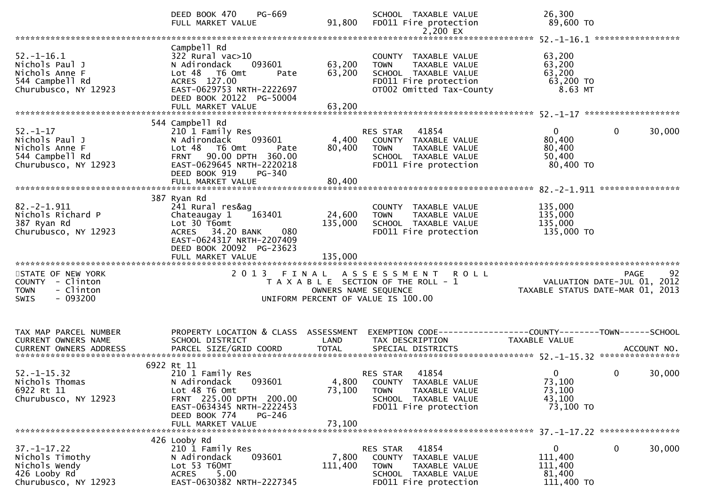|                                                                                               | DEED BOOK 470<br>PG-669<br>FULL MARKET VALUE                                                                                                                                   | 91,800                       | SCHOOL TAXABLE VALUE<br>FD011 Fire protection                                                                                           | 26,300<br>89,600 TO                                                                                                              |        |
|-----------------------------------------------------------------------------------------------|--------------------------------------------------------------------------------------------------------------------------------------------------------------------------------|------------------------------|-----------------------------------------------------------------------------------------------------------------------------------------|----------------------------------------------------------------------------------------------------------------------------------|--------|
|                                                                                               |                                                                                                                                                                                |                              |                                                                                                                                         |                                                                                                                                  |        |
| $52.-1-16.1$<br>Nichols Paul J<br>Nichols Anne F<br>544 Campbell Rd<br>Churubusco, NY 12923   | Campbell Rd<br>$322$ Rural vac $>10$<br>N Adirondack<br>093601<br>Lot <sub>48</sub><br>T6 Omt<br>Pate<br>ACRES 127.00<br>EAST-0629753 NRTH-2222697<br>DEED BOOK 20122 PG-50004 | 63,200<br>63,200             | COUNTY TAXABLE VALUE<br><b>TOWN</b><br>TAXABLE VALUE<br>SCHOOL TAXABLE VALUE<br>FD011 Fire protection<br>OT002 Omitted Tax-County       | 63,200<br>63,200<br>63,200<br>63,200 TO<br>8.63 MT                                                                               |        |
|                                                                                               |                                                                                                                                                                                |                              |                                                                                                                                         |                                                                                                                                  |        |
| $52 - 1 - 17$<br>Nichols Paul J<br>Nichols Anne F<br>544 Campbell Rd<br>Churubusco, NY 12923  | 544 Campbell Rd<br>210 1 Family Res<br>N Adirondack<br>093601<br>Lot 48 T6 Omt<br>Pate<br>FRNT 90.00 DPTH 360.00<br>EAST-0629645 NRTH-2220218<br>DEED BOOK 919<br>PG-340       | 4,400<br>80,400              | RES STAR 41854<br>COUNTY TAXABLE VALUE<br>TAXABLE VALUE<br><b>TOWN</b><br>SCHOOL TAXABLE VALUE<br>FD011 Fire protection                 | $\mathbf 0$<br>$\mathbf{0}$<br>80,400<br>80,400<br>50,400<br>80,400 TO                                                           | 30,000 |
|                                                                                               |                                                                                                                                                                                |                              |                                                                                                                                         |                                                                                                                                  |        |
|                                                                                               | 387 Ryan Rd                                                                                                                                                                    |                              |                                                                                                                                         |                                                                                                                                  |        |
| $82. -2 - 1.911$<br>Nichols Richard P<br>387 Ryan Rd<br>Churubusco, NY 12923                  | 241 Rural res&ag<br>Chateaugay 1<br>163401<br>Lot 30 T6omt<br>080<br>ACRES 34.20 BANK<br>EAST-0624317 NRTH-2207409<br>DEED BOOK 20092 PG-23623<br>FULL MARKET VALUE            | 24,600<br>135,000<br>135,000 | COUNTY TAXABLE VALUE<br>TAXABLE VALUE<br><b>TOWN</b><br>SCHOOL TAXABLE VALUE<br>FD011 Fire protection                                   | 135,000<br>135,000<br>135,000<br>135,000 TO                                                                                      |        |
|                                                                                               |                                                                                                                                                                                |                              |                                                                                                                                         |                                                                                                                                  |        |
| STATE OF NEW YORK<br>COUNTY - Clinton<br>- Clinton<br><b>TOWN</b><br>$-093200$<br><b>SWIS</b> |                                                                                                                                                                                | OWNERS NAME SEQUENCE         | 2013 FINAL ASSESSMENT ROLL<br>T A X A B L E SECTION OF THE ROLL - 1<br>UNIFORM PERCENT OF VALUE IS 100.00                               | <b>PAGE</b><br>VALUATION DATE-JUL $01$ , $2012$<br>TAXABLE STATUS DATE-MAR 01, 2013                                              | 92     |
| TAX MAP PARCEL NUMBER<br>CURRENT OWNERS NAME                                                  | PROPERTY LOCATION & CLASS ASSESSMENT<br>SCHOOL DISTRICT                                                                                                                        | LAND                         | TAX DESCRIPTION                                                                                                                         | TAXABLE VALUE<br>.0URRENT OWNERS ADDRESS PARCEL SIZE/GRID COORD TOTAL SPECIAL DISTRICTS ACCOUNT NO ACCOUNT NO ACCOUNT NO ACCOUNT |        |
|                                                                                               | 6922 Rt 11                                                                                                                                                                     |                              |                                                                                                                                         |                                                                                                                                  |        |
| $52. - 1 - 15.32$<br>Nichols Thomas<br>6922 Rt 11<br>Churubusco, NY 12923                     | 210 1 Family Res<br>N Adirondack 093601<br>Lot 48 T6 Omt<br>FRNT 225.00 DPTH 200.00<br>EAST-0634345 NRTH-2222453<br>DEED BOOK 774<br>PG-246                                    | 73,100                       | RES STAR<br>41854<br>4,800 COUNTY TAXABLE VALUE<br><b>TAXABLE VALUE</b><br><b>TOWN</b><br>SCHOOL TAXABLE VALUE<br>FD011 Fire protection | $\Omega$<br>0<br>73,100<br>73,100<br>43,100<br>73,100 TO                                                                         | 30,000 |
|                                                                                               | FULL MARKET VALUE                                                                                                                                                              | 73,100                       |                                                                                                                                         |                                                                                                                                  |        |
|                                                                                               | 426 Looby Rd                                                                                                                                                                   |                              |                                                                                                                                         |                                                                                                                                  |        |
| $37. - 1 - 17.22$<br>Nichols Timothy<br>Nichols Wendy<br>426 Looby Rd<br>Churubusco, NY 12923 | 210 1 Family Res<br>093601<br>N Adirondack<br>Lot 53 T60MT<br>5.00<br><b>ACRES</b><br>EAST-0630382 NRTH-2227345                                                                | 7,800<br>111,400             | RES STAR<br>41854<br>COUNTY TAXABLE VALUE<br>TAXABLE VALUE<br><b>TOWN</b><br>SCHOOL TAXABLE VALUE<br>FD011 Fire protection              | $\Omega$<br>0<br>111,400<br>111,400<br>81,400<br>111,400 TO                                                                      | 30,000 |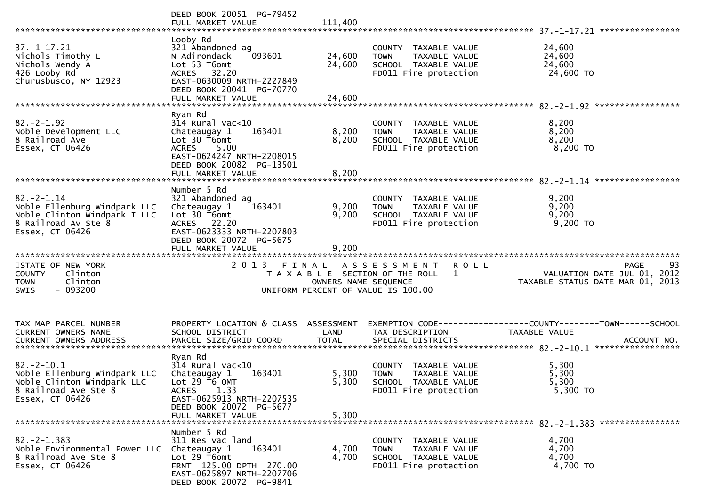|                                                                                                                           | DEED BOOK 20051 PG-79452<br>FULL MARKET VALUE                                                                                                                                 | 111,400                       |                                                                                                            |                                                                                      |
|---------------------------------------------------------------------------------------------------------------------------|-------------------------------------------------------------------------------------------------------------------------------------------------------------------------------|-------------------------------|------------------------------------------------------------------------------------------------------------|--------------------------------------------------------------------------------------|
| $37. - 1 - 17.21$<br>Nichols Timothy L<br>Nichols Wendy A<br>426 Looby Rd<br>Churusbusco, NY 12923                        | Looby Rd<br>321 Abandoned ag<br>N Adirondack<br>093601<br>Lot 53 T6omt<br>ACRES 32.20<br>EAST-0630009 NRTH-2227849<br>DEED BOOK 20041 PG-70770<br>FULL MARKET VALUE           | 24,600<br>24,600<br>24,600    | COUNTY TAXABLE VALUE<br><b>TOWN</b><br>TAXABLE VALUE<br>SCHOOL TAXABLE VALUE<br>FD011 Fire protection      | 24,600<br>24,600<br>24,600<br>24,600 TO                                              |
|                                                                                                                           | Ryan Rd                                                                                                                                                                       |                               |                                                                                                            |                                                                                      |
| $82. - 2 - 1.92$<br>Noble Development LLC<br>8 Railroad Ave<br>Essex, CT 06426                                            | $314$ Rural vac<10<br>Chateaugay 1<br>163401<br>Lot 30 T6omt<br>5.00<br><b>ACRES</b><br>EAST-0624247 NRTH-2208015<br>DEED BOOK 20082 PG-13501<br>FULL MARKET VALUE            | 8,200<br>8,200<br>8,200       | COUNTY TAXABLE VALUE<br><b>TOWN</b><br>TAXABLE VALUE<br>SCHOOL TAXABLE VALUE<br>FD011 Fire protection      | 8,200<br>8,200<br>8,200<br>8,200 TO                                                  |
|                                                                                                                           |                                                                                                                                                                               |                               |                                                                                                            |                                                                                      |
| $82 - 2 - 1.14$<br>Noble Ellenburg Windpark LLC<br>Noble Clinton Windpark I LLC<br>8 Railroad Av Ste 8<br>Essex, CT 06426 | Number 5 Rd<br>321 Abandoned ag<br>163401<br>Chateaugay 1<br>Lot 30 T6omt<br>ACRES 22.20<br>EAST-0623333 NRTH-2207803<br>DEED BOOK 20072 PG-5675                              | 9,200<br>9,200                | COUNTY TAXABLE VALUE<br><b>TOWN</b><br>TAXABLE VALUE<br>SCHOOL TAXABLE VALUE<br>FD011 Fire protection      | 9,200<br>9,200<br>9,200<br>9,200 TO                                                  |
|                                                                                                                           | FULL MARKET VALUE                                                                                                                                                             | 9,200                         |                                                                                                            |                                                                                      |
| STATE OF NEW YORK<br>COUNTY - Clinton<br>- Clinton<br>TOWN<br>$-093200$<br>SWIS                                           | 2 0 1 3                                                                                                                                                                       | FINAL<br>OWNERS NAME SEQUENCE | A S S E S S M E N T R O L L<br>T A X A B L E SECTION OF THE ROLL - 1<br>UNIFORM PERCENT OF VALUE IS 100.00 | 93<br><b>PAGE</b><br>VALUATION DATE-JUL 01, 2012<br>TAXABLE STATUS DATE-MAR 01, 2013 |
| TAX MAP PARCEL NUMBER<br>CURRENT OWNERS NAME<br><b>CURRENT OWNERS ADDRESS</b>                                             | PROPERTY LOCATION & CLASS ASSESSMENT<br>SCHOOL DISTRICT<br>PARCEL SIZE/GRID COORD                                                                                             | LAND<br><b>TOTAL</b>          | TAX DESCRIPTION<br>SPECIAL DISTRICTS                                                                       | EXEMPTION CODE-----------------COUNTY-------TOWN------SCHOOL<br>TAXABLE VALUE        |
|                                                                                                                           |                                                                                                                                                                               |                               |                                                                                                            | ACCOUNT NO.                                                                          |
| $82. - 2 - 10.1$<br>Noble Ellenburg Windpark LLC<br>Noble Clinton Windpark LLC<br>8 Railroad Ave Ste 8<br>Essex, CT 06426 | Ryan Rd<br>$314$ Rural vac<10<br>Chateaugay 1<br>163401<br>Lot $29 \tilde{T}6$ OMT<br>ACRES 1.33<br>EAST-0625913 NRTH-2207535<br>DEED BOOK 20072 PG-5677<br>FULL MARKET VALUE | 5,300<br>5,300<br>5,300       | COUNTY TAXABLE VALUE<br>TAXABLE VALUE<br><b>TOWN</b><br>SCHOOL TAXABLE VALUE<br>FD011 Fire protection      | 5,300<br>5,300<br>5,300<br>5,300 TO                                                  |
|                                                                                                                           | Number 5 Rd                                                                                                                                                                   |                               |                                                                                                            |                                                                                      |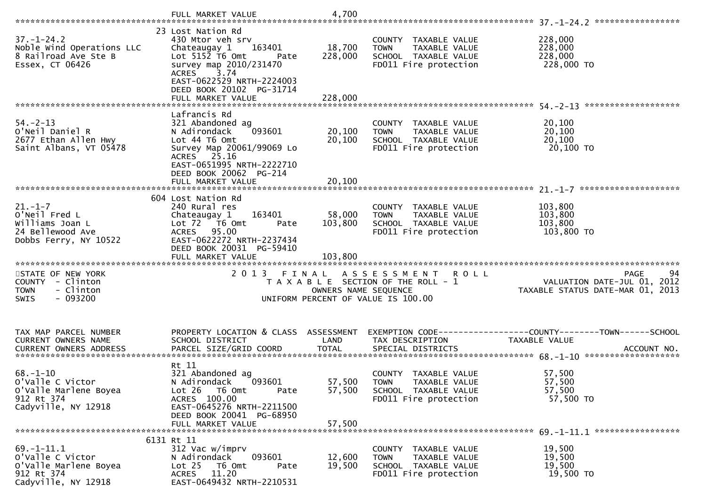|                                                                                                    | FULL MARKET VALUE                                                                                                                                                                                     | 4,700                        |                                                                                                                     |                                                                                                |
|----------------------------------------------------------------------------------------------------|-------------------------------------------------------------------------------------------------------------------------------------------------------------------------------------------------------|------------------------------|---------------------------------------------------------------------------------------------------------------------|------------------------------------------------------------------------------------------------|
| $37. - 1 - 24.2$<br>Noble Wind Operations LLC<br>8 Railroad Ave Ste B<br>Essex, CT 06426           | 23 Lost Nation Rd<br>430 Mtor veh srv<br>163401<br>Chateaugay 1<br>Lot 5152 T6 Omt<br>Pate<br>survey map 2010/231470<br><b>ACRES</b><br>3.74<br>EAST-0622529 NRTH-2224003<br>DEED BOOK 20102 PG-31714 | 18,700<br>228,000            | COUNTY TAXABLE VALUE<br>TAXABLE VALUE<br><b>TOWN</b><br>SCHOOL TAXABLE VALUE<br>FD011 Fire protection               | 228,000<br>228,000<br>228,000<br>228,000 TO                                                    |
|                                                                                                    | Lafrancis Rd                                                                                                                                                                                          |                              |                                                                                                                     |                                                                                                |
| $54. - 2 - 13$<br>O'Neil Daniel R<br>2677 Ethan Allen Hwy<br>Saint Albans, VT 05478                | 321 Abandoned ag<br>093601<br>N Adirondack<br>Lot 44 T6 Omt<br>Survey Map 20061/99069 Lo<br>ACRES 25.16<br>EAST-0651995 NRTH-2222710                                                                  | 20,100<br>20,100             | COUNTY TAXABLE VALUE<br><b>TOWN</b><br>TAXABLE VALUE<br>SCHOOL TAXABLE VALUE<br>FD011 Fire protection               | 20,100<br>20,100<br>20,100<br>20,100 TO                                                        |
|                                                                                                    | DEED BOOK 20062 PG-214<br>FULL MARKET VALUE                                                                                                                                                           | 20,100                       |                                                                                                                     |                                                                                                |
|                                                                                                    | 604 Lost Nation Rd                                                                                                                                                                                    |                              |                                                                                                                     |                                                                                                |
| $21. - 1 - 7$<br>O'Neil Fred L<br>Williams Joan L<br>24 Bellewood Ave<br>Dobbs Ferry, NY 10522     | 240 Rural res<br>Chateaugay 1<br>163401<br>Lot 72  T6 0mt<br>Pate<br>95.00<br>ACRES<br>EAST-0622272 NRTH-2237434<br>DEED BOOK 20031 PG-59410                                                          | 58,000<br>103,800<br>103,800 | COUNTY TAXABLE VALUE<br>TAXABLE VALUE<br><b>TOWN</b><br>SCHOOL TAXABLE VALUE<br>FD011 Fire protection               | 103,800<br>103,800<br>103,800<br>$103,800$ TO                                                  |
| STATE OF NEW YORK<br>COUNTY - Clinton<br>- Clinton<br><b>TOWN</b><br>$-093200$<br><b>SWIS</b>      |                                                                                                                                                                                                       | OWNERS NAME SEQUENCE         | 2013 FINAL ASSESSMENT<br><b>ROLL</b><br>T A X A B L E SECTION OF THE ROLL - 1<br>UNIFORM PERCENT OF VALUE IS 100.00 | 94<br>PAGE<br>VALUATION DATE-JUL 01, 2012<br>TAXABLE STATUS DATE-MAR 01, 2013                  |
| TAX MAP PARCEL NUMBER<br>CURRENT OWNERS NAME<br>CURRENT OWNERS ADDRESS                             | PROPERTY LOCATION & CLASS ASSESSMENT<br>SCHOOL DISTRICT<br>PARCEL SIZE/GRID COORD                                                                                                                     | LAND<br><b>TOTAL</b>         | TAX DESCRIPTION<br>SPECIAL DISTRICTS                                                                                | EXEMPTION CODE------------------COUNTY--------TOWN------SCHOOL<br>TAXABLE VALUE<br>ACCOUNT NO. |
| $68. - 1 - 10$<br>o'valle C victor<br>O'Valle Marlene Boyea<br>912 Rt 374<br>Cadyville, NY 12918   | Rt 11<br>321 Abandoned ag<br>093601<br>N Adirondack<br>Lot $26$<br>T6 Omt<br>Pate<br>ACRES 100.00<br>EAST-0645276 NRTH-2211500<br>DEED BOOK 20041 PG-68950<br>FULL MARKET VALUE                       | 57,500<br>57,500<br>57,500   | COUNTY TAXABLE VALUE<br><b>TOWN</b><br>TAXABLE VALUE<br>SCHOOL TAXABLE VALUE<br>FD011 Fire protection               | 57,500<br>57,500<br>57,500<br>57,500 TO                                                        |
|                                                                                                    | 6131 Rt 11                                                                                                                                                                                            |                              |                                                                                                                     |                                                                                                |
| $69. - 1 - 11.1$<br>o'valle C victor<br>O'Valle Marlene Boyea<br>912 Rt 374<br>Cadyville, NY 12918 | 312 Vac w/imprv<br>093601<br>N Adirondack<br>T6 Omt<br>Lot <sub>25</sub><br>Pate<br>11.20<br><b>ACRES</b><br>EAST-0649432 NRTH-2210531                                                                | 12,600<br>19,500             | COUNTY TAXABLE VALUE<br>TAXABLE VALUE<br><b>TOWN</b><br>SCHOOL TAXABLE VALUE<br>FD011 Fire protection               | 19,500<br>19,500<br>19,500<br>19,500 TO                                                        |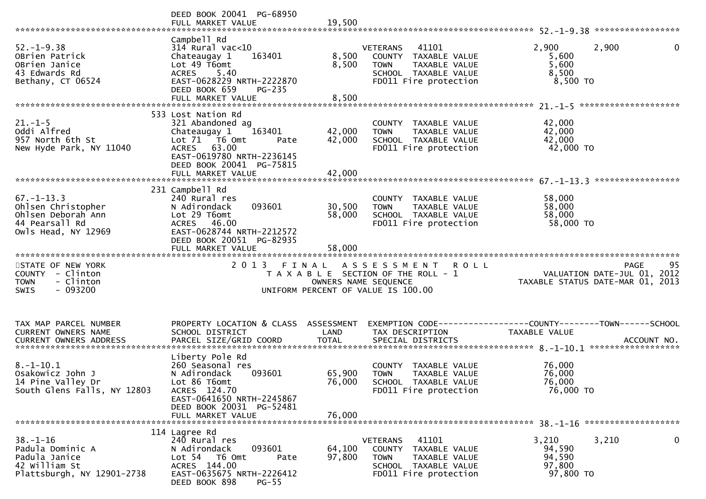|                                                                                                       | DEED BOOK 20041 PG-68950<br>FULL MARKET VALUE                                                                                                                                           | 19,500                     |                                                                                                                                      |                                                                                                |
|-------------------------------------------------------------------------------------------------------|-----------------------------------------------------------------------------------------------------------------------------------------------------------------------------------------|----------------------------|--------------------------------------------------------------------------------------------------------------------------------------|------------------------------------------------------------------------------------------------|
| $52. - 1 - 9.38$<br>OBrien Patrick<br>OBrien Janice<br>43 Edwards Rd<br>Bethany, CT 06524             | Campbell Rd<br>$314$ Rural vac<10<br>Chateaugay 1<br>163401<br>Lot 49 T6omt<br>5.40<br><b>ACRES</b><br>EAST-0628229 NRTH-2222870<br>DEED BOOK 659<br><b>PG-235</b><br>FULL MARKET VALUE | 8,500<br>8,500<br>8,500    | 41101<br><b>VETERANS</b><br>COUNTY TAXABLE VALUE<br><b>TOWN</b><br>TAXABLE VALUE<br>SCHOOL TAXABLE VALUE<br>FD011 Fire protection    | 2,900<br>2,900<br>$\mathbf{0}$<br>5,600<br>5,600<br>8,500<br>8,500 TO                          |
|                                                                                                       |                                                                                                                                                                                         |                            |                                                                                                                                      |                                                                                                |
| $21. - 1 - 5$<br>Oddi Alfred<br>957 North 6th St<br>New Hyde Park, NY 11040                           | 533 Lost Nation Rd<br>321 Abandoned ag<br>Chateaugay 1<br>163401<br>Lot 71  T6 0mt<br>Pate<br>ACRES 63.00<br>EAST-0619780 NRTH-2236145<br>DEED BOOK 20041 PG-75815                      | 42,000<br>42,000           | COUNTY TAXABLE VALUE<br><b>TOWN</b><br>TAXABLE VALUE<br>SCHOOL TAXABLE VALUE<br>FD011 Fire protection                                | 42,000<br>42,000<br>42,000<br>42,000 TO                                                        |
|                                                                                                       | FULL MARKET VALUE                                                                                                                                                                       | 42,000                     |                                                                                                                                      |                                                                                                |
| $67. - 1 - 13.3$<br>Ohlsen Christopher<br>Ohlsen Deborah Ann<br>44 Pearsall Rd<br>Owls Head, NY 12969 | 231 Campbell Rd<br>240 Rural res<br>093601<br>N Adirondack<br>Lot 29 T6omt<br>ACRES 46.00<br>EAST-0628744 NRTH-2212572<br>DEED BOOK 20051 PG-82935<br>FULL MARKET VALUE                 | 30,500<br>58,000<br>58,000 | COUNTY TAXABLE VALUE<br><b>TOWN</b><br>TAXABLE VALUE<br>SCHOOL TAXABLE VALUE<br>FD011 Fire protection                                | 58,000<br>58,000<br>58,000<br>58,000 TO                                                        |
|                                                                                                       |                                                                                                                                                                                         |                            |                                                                                                                                      |                                                                                                |
| STATE OF NEW YORK<br>COUNTY - Clinton<br>- Clinton<br><b>TOWN</b><br>$-093200$<br><b>SWIS</b>         | 2013 FINAL                                                                                                                                                                              | OWNERS NAME SEQUENCE       | <b>ROLL</b><br>A S S E S S M E N T<br>T A X A B L E SECTION OF THE ROLL - 1<br>UNIFORM PERCENT OF VALUE IS 100.00                    | 95<br>PAGE<br>VALUATION DATE-JUL 01, 2012<br>TAXABLE STATUS DATE-MAR 01, 2013                  |
|                                                                                                       |                                                                                                                                                                                         |                            |                                                                                                                                      |                                                                                                |
| TAX MAP PARCEL NUMBER<br>CURRENT OWNERS NAME<br><b>CURRENT OWNERS ADDRESS</b>                         | PROPERTY LOCATION & CLASS ASSESSMENT<br>SCHOOL DISTRICT<br>PARCEL SIZE/GRID COORD                                                                                                       | LAND<br><b>TOTAL</b>       | TAX DESCRIPTION<br>SPECIAL DISTRICTS                                                                                                 | EXEMPTION CODE------------------COUNTY--------TOWN------SCHOOL<br>TAXABLE VALUE<br>ACCOUNT NO. |
| $8.-1-10.1$<br>Osakowicz John J<br>14 Pine Valley Dr<br>South Glens Falls, NY 12803                   | Liberty Pole Rd<br>260 Seasonal res<br>N Adirondack<br>093601<br>Lot 86 T6omt<br>ACRES 124.70<br>EAST-0641650 NRTH-2245867<br>DEED BOOK 20031 PG-52481<br>FULL MARKET VALUE             | 65,900<br>76,000<br>76,000 | COUNTY TAXABLE VALUE<br><b>TOWN</b><br><b>TAXABLE VALUE</b><br>SCHOOL TAXABLE VALUE<br>FD011 Fire protection                         | 76,000<br>76,000<br>76,000<br>76,000 TO                                                        |
|                                                                                                       | 114 Lagree Rd                                                                                                                                                                           |                            |                                                                                                                                      |                                                                                                |
| $38. - 1 - 16$<br>Padula Dominic A<br>Padula Janice<br>42 William St<br>Plattsburgh, NY 12901-2738    | 240 Rural res<br>N Adirondack<br>093601<br>Lot <sub>54</sub><br>T6 Omt<br>Pate<br>ACRES 144.00<br>EAST-0635675 NRTH-2226412<br>DEED BOOK 898<br>$PG-55$                                 | 64,100<br>97,800           | 41101<br><b>VETERANS</b><br>COUNTY<br>TAXABLE VALUE<br><b>TOWN</b><br>TAXABLE VALUE<br>SCHOOL TAXABLE VALUE<br>FD011 Fire protection | 0<br>3,210<br>3,210<br>94,590<br>94,590<br>97,800<br>97,800 TO                                 |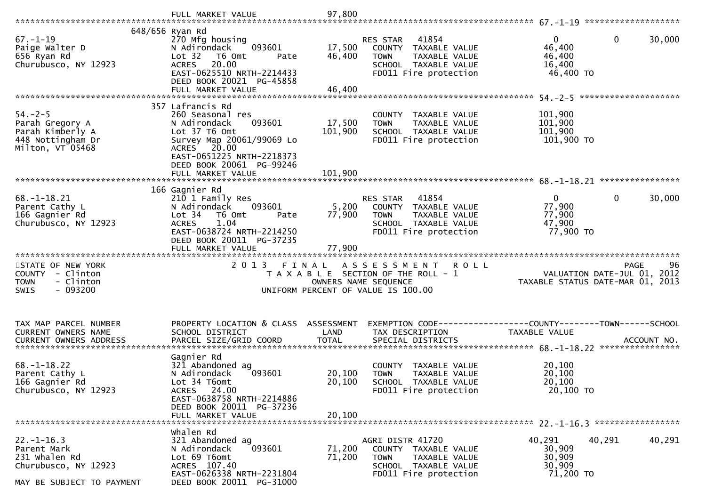|                                                                                                       | FULL MARKET VALUE                                                                                                                                                                                         | 97,800                       |                                                                                                                                   |                                                                         |                                 |
|-------------------------------------------------------------------------------------------------------|-----------------------------------------------------------------------------------------------------------------------------------------------------------------------------------------------------------|------------------------------|-----------------------------------------------------------------------------------------------------------------------------------|-------------------------------------------------------------------------|---------------------------------|
| $67. - 1 - 19$<br>Paige Walter D<br>656 Ryan Rd<br>Churubusco, NY 12923                               | 648/656 Ryan Rd<br>270 Mfg housing<br>093601<br>N Adirondack<br>Lot 32<br>T6 Omt<br>Pate<br>20.00<br><b>ACRES</b><br>EAST-0625510 NRTH-2214433<br>DEED BOOK 20021 PG-45858<br>FULL MARKET VALUE           | 17,500<br>46,400<br>46,400   | RES STAR<br>41854<br>COUNTY TAXABLE VALUE<br><b>TOWN</b><br>TAXABLE VALUE<br>SCHOOL TAXABLE VALUE<br>FD011 Fire protection        | $\mathbf{0}$<br>$\mathbf 0$<br>46,400<br>46,400<br>16,400<br>46,400 TO  | 30,000                          |
| $54. - 2 - 5$<br>Parah Gregory A<br>Parah Kimberly A<br>448 Nottingham Dr<br>Milton, VT 05468         | 357 Lafrancis Rd<br>260 Seasonal res<br>N Adirondack<br>093601<br>Lot 37 T6 Omt<br>Survey Map 20061/99069 Lo<br>ACRES 20.00<br>EAST-0651225 NRTH-2218373<br>DEED BOOK 20061 PG-99246<br>FULL MARKET VALUE | 17,500<br>101,900<br>101,900 | COUNTY TAXABLE VALUE<br><b>TOWN</b><br>TAXABLE VALUE<br>SCHOOL TAXABLE VALUE<br>FD011 Fire protection                             | 101,900<br>101,900<br>101,900<br>101,900 TO                             | ****************                |
| $68. - 1 - 18.21$<br>Parent Cathy L<br>166 Gagnier Rd<br>Churubusco, NY 12923                         | 166 Gagnier Rd<br>210 1 Family Res<br>093601<br>N Adirondack<br>Lot 34<br>T6 Omt<br>Pate<br>1.04<br><b>ACRES</b><br>EAST-0638724 NRTH-2214250<br>DEED BOOK 20011 PG-37235<br>FULL MARKET VALUE            | 5,200<br>77,900<br>77,900    | 41854<br><b>RES STAR</b><br>COUNTY TAXABLE VALUE<br><b>TOWN</b><br>TAXABLE VALUE<br>SCHOOL TAXABLE VALUE<br>FD011 Fire protection | $\mathbf{0}$<br>$\mathbf{0}$<br>77,900<br>77,900<br>47,900<br>77,900 TO | 30,000                          |
| STATE OF NEW YORK<br>COUNTY - Clinton<br><b>TOWN</b><br>- Clinton<br>$-093200$<br><b>SWIS</b>         | 2 0 1 3<br>FINAL                                                                                                                                                                                          | OWNERS NAME SEQUENCE         | A S S E S S M E N T R O L L<br>T A X A B L E SECTION OF THE ROLL - 1<br>UNIFORM PERCENT OF VALUE IS 100.00                        | PAGE<br>VALUATION DATE-JUL 01, 2012<br>TAXABLE STATUS DATE-MAR 01, 2013 | 96                              |
| TAX MAP PARCEL NUMBER<br>CURRENT OWNERS NAME                                                          | PROPERTY LOCATION & CLASS ASSESSMENT<br>SCHOOL DISTRICT                                                                                                                                                   | LAND                         | TAX DESCRIPTION                                                                                                                   | TAXABLE VALUE                                                           | ACCOUNT NO.<br>**************** |
| $68. - 1 - 18.22$<br>Parent Cathy L<br>166 Gagnier Rd<br>Churubusco, NY 12923                         | Gagnier Rd<br>321 Abandoned ag<br>N Adirondack<br>093601<br>Lot 34 T6omt<br>ACRES 24.00<br>EAST-0638758 NRTH-2214886<br>DEED BOOK 20011 PG-37236<br>FULL MARKET VALUE                                     | 20,100<br>20,100<br>20,100   | COUNTY TAXABLE VALUE<br><b>TOWN</b><br>TAXABLE VALUE<br>SCHOOL TAXABLE VALUE<br>FD011 Fire protection                             | 20,100<br>20,100<br>20,100<br>20,100 ТО                                 |                                 |
| $22. - 1 - 16.3$<br>Parent Mark<br>231 whalen Rd<br>Churubusco, NY 12923<br>MAY BE SUBJECT TO PAYMENT | whalen Rd<br>321 Abandoned ag<br>093601<br>N Adirondack<br>Lot 69 T6omt<br>ACRES 107.40<br>EAST-0626338 NRTH-2231804<br>DEED BOOK 20011 PG-31000                                                          | 71,200<br>71,200             | AGRI DISTR 41720<br>COUNTY TAXABLE VALUE<br><b>TOWN</b><br>TAXABLE VALUE<br>SCHOOL TAXABLE VALUE<br>FD011 Fire protection         | 40,291<br>40,291<br>30,909<br>30,909<br>30,909<br>71,200 TO             | 40,291                          |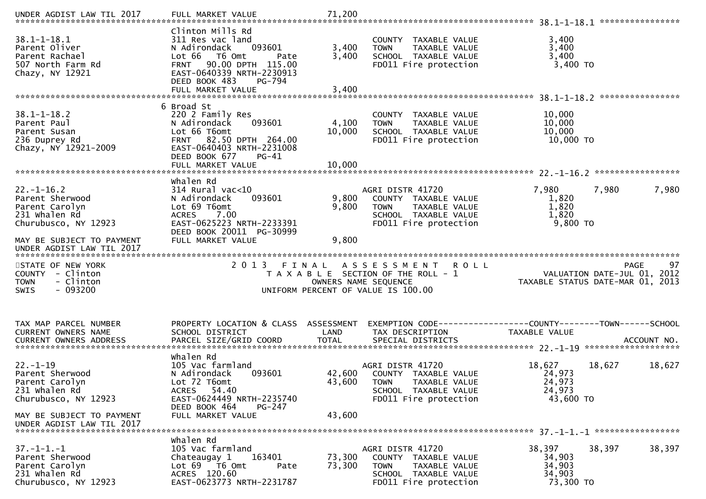| UNDER AGDIST LAW TIL 2017                                                                      | FULL MARKET VALUE                                                                                                                                                                                        | 71,200                  |                                                                                                                           |                                                                                |        |
|------------------------------------------------------------------------------------------------|----------------------------------------------------------------------------------------------------------------------------------------------------------------------------------------------------------|-------------------------|---------------------------------------------------------------------------------------------------------------------------|--------------------------------------------------------------------------------|--------|
| $38.1 - 1 - 18.1$<br>Parent Oliver<br>Parent Rachael<br>507 North Farm Rd<br>Chazy, NY 12921   | Clinton Mills Rd<br>311 Res vac land<br>N Adirondack<br>093601<br>Lot 66 T6 Omt<br>Pate<br>90.00 DPTH 115.00<br><b>FRNT</b><br>EAST-0640339 NRTH-2230913<br>DEED BOOK 483<br>PG-794<br>FULL MARKET VALUE | 3,400<br>3,400<br>3,400 | COUNTY TAXABLE VALUE<br>TAXABLE VALUE<br><b>TOWN</b><br>SCHOOL TAXABLE VALUE<br>FD011 Fire protection                     | 3,400<br>3,400<br>3,400<br>3,400 TO                                            |        |
|                                                                                                | 6 Broad St                                                                                                                                                                                               |                         |                                                                                                                           |                                                                                |        |
| $38.1 - 1 - 18.2$<br>Parent Paul<br>Parent Susan<br>236 Duprey Rd<br>Chazy, NY 12921-2009      | 220 2 Family Res<br>093601<br>N Adirondack<br>Lot 66 T6omt<br>FRNT 82.50 DPTH 264.00<br>EAST-0640403 NRTH-2231008<br>DEED BOOK 677<br>$PG-41$                                                            | 4,100<br>10,000         | COUNTY TAXABLE VALUE<br>TAXABLE VALUE<br><b>TOWN</b><br>SCHOOL TAXABLE VALUE<br>FD011 Fire protection                     | 10,000<br>10,000<br>10,000<br>10,000 TO                                        |        |
|                                                                                                |                                                                                                                                                                                                          |                         |                                                                                                                           |                                                                                |        |
| $22. - 1 - 16.2$<br>Parent Sherwood<br>Parent Carolyn<br>231 whalen Rd<br>Churubusco, NY 12923 | whalen Rd<br>$314$ Rural vac<10<br>093601<br>N Adirondack<br>Lot 69 T6omt<br>7.00<br><b>ACRES</b><br>EAST-0625223 NRTH-2233391<br>DEED BOOK 20011 PG-30999                                               | 9,800<br>9,800          | AGRI DISTR 41720<br>COUNTY TAXABLE VALUE<br><b>TOWN</b><br>TAXABLE VALUE<br>SCHOOL TAXABLE VALUE<br>FD011 Fire protection | 7,980<br>7,980<br>1,820<br>1,820<br>1,820<br>9,800 TO                          | 7,980  |
| MAY BE SUBJECT TO PAYMENT                                                                      | FULL MARKET VALUE                                                                                                                                                                                        | 9,800                   |                                                                                                                           |                                                                                |        |
| UNDER AGDIST LAW TIL 2017                                                                      |                                                                                                                                                                                                          |                         |                                                                                                                           |                                                                                |        |
| STATE OF NEW YORK<br>COUNTY - Clinton<br>- Clinton<br><b>TOWN</b><br>$-093200$<br><b>SWIS</b>  | 2013 FINAL                                                                                                                                                                                               | OWNERS NAME SEQUENCE    | A S S E S S M E N T R O L L<br>T A X A B L E SECTION OF THE ROLL - 1<br>UNIFORM PERCENT OF VALUE IS 100.00                | <b>PAGE</b><br>VALUATION DATE-JUL 01, 2012<br>TAXABLE STATUS DATE-MAR 01, 2013 | 97     |
| TAX MAP PARCEL NUMBER<br>CURRENT OWNERS NAME                                                   | PROPERTY LOCATION & CLASS ASSESSMENT<br>SCHOOL DISTRICT                                                                                                                                                  | LAND                    | TAX DESCRIPTION                                                                                                           | EXEMPTION CODE-----------------COUNTY-------TOWN------SCHOOL<br>TAXABLE VALUE  |        |
| $22. - 1 - 19$<br>Parent Sherwood<br>Parent Carolyn<br>231 Whalen Rd<br>Churubusco, NY 12923   | Whalen Rd<br>105 Vac farmland<br>N Adirondack<br>093601<br>Lot 72 T6omt<br>ACRES 54.40<br>EAST-0624449 NRTH-2235740                                                                                      | 43,600                  | AGRI DISTR 41720<br>42,600 COUNTY TAXABLE VALUE<br>TOWN TAXABLE VALUE<br>SCHOOL TAXABLE VALUE<br>FD011 Fire protection    | 18,627<br>18,627<br>24,973<br>24,973<br>24,973<br>43,600 TO                    | 18,627 |
| MAY BE SUBJECT TO PAYMENT<br>UNDER AGDIST LAW TIL 2017                                         | DEED BOOK 464<br>PG-247<br>FULL MARKET VALUE                                                                                                                                                             | 43,600                  |                                                                                                                           |                                                                                |        |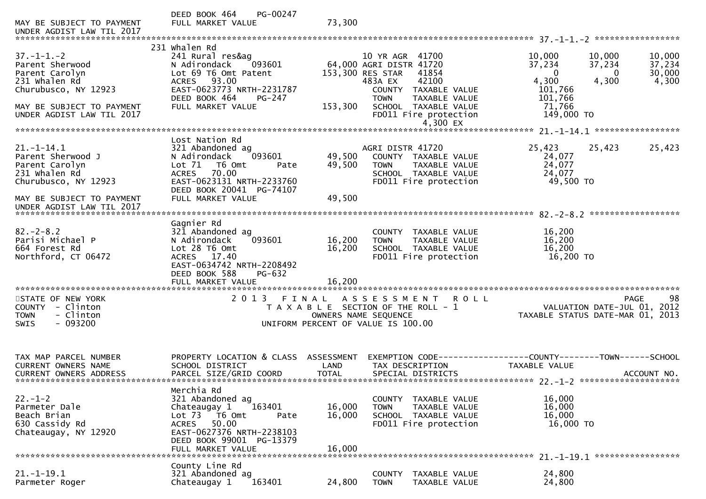| MAY BE SUBJECT TO PAYMENT<br>UNDER AGDIST LAW TIL 2017                                           | PG-00247<br>DEED BOOK 464<br>FULL MARKET VALUE                                                                                                                                                         | 73,300                             |                                                                                                                                           |                                                                                        |                                     |
|--------------------------------------------------------------------------------------------------|--------------------------------------------------------------------------------------------------------------------------------------------------------------------------------------------------------|------------------------------------|-------------------------------------------------------------------------------------------------------------------------------------------|----------------------------------------------------------------------------------------|-------------------------------------|
|                                                                                                  |                                                                                                                                                                                                        |                                    |                                                                                                                                           |                                                                                        |                                     |
| $37. - 1 - 1. - 2$<br>Parent Sherwood<br>Parent Carolyn<br>231 whalen Rd<br>Churubusco, NY 12923 | 231 whalen Rd<br>241 Rural res&ag<br>N Adirondack<br>093601<br>Lot 69 T6 Omt Patent<br>93.00<br><b>ACRES</b><br>EAST-0623773 NRTH-2231787                                                              |                                    | 10 YR AGR 41700<br>64,000 AGRI DISTR 41720<br>153,300 RES STAR<br>41854<br>42100<br>483A EX<br>COUNTY TAXABLE VALUE                       | 10,000<br>10,000<br>37,234<br>37,234<br>$\mathbf{0}$<br>0<br>4,300<br>4,300<br>101,766 | 10,000<br>37,234<br>30,000<br>4,300 |
| MAY BE SUBJECT TO PAYMENT<br>UNDER AGDIST LAW TIL 2017                                           | DEED BOOK 464<br>$PG-247$<br>FULL MARKET VALUE                                                                                                                                                         | 153,300                            | <b>TAXABLE VALUE</b><br><b>TOWN</b><br>SCHOOL TAXABLE VALUE<br>FD011 Fire protection<br>4,300 EX                                          | 101,766<br>71,766<br>149,000 TO                                                        |                                     |
|                                                                                                  |                                                                                                                                                                                                        |                                    |                                                                                                                                           |                                                                                        |                                     |
| $21. - 1 - 14.1$<br>Parent Sherwood J<br>Parent Carolyn<br>231 whalen Rd<br>Churubusco, NY 12923 | Lost Nation Rd<br>321 Abandoned ag<br>093601<br>N Adirondack<br>Lot 71<br>T6 Omt<br>Pate<br>70.00<br><b>ACRES</b><br>EAST-0623131 NRTH-2233760<br>DEED BOOK 20041 PG-74107                             | 49,500<br>49,500                   | AGRI DISTR 41720<br>COUNTY TAXABLE VALUE<br>TAXABLE VALUE<br><b>TOWN</b><br>SCHOOL TAXABLE VALUE<br>FD011 Fire protection                 | 25,423<br>25,423<br>24,077<br>24,077<br>24,077<br>49,500 TO                            | 25,423                              |
| MAY BE SUBJECT TO PAYMENT<br>UNDER AGDIST LAW TIL 2017                                           | FULL MARKET VALUE                                                                                                                                                                                      | 49,500                             |                                                                                                                                           |                                                                                        |                                     |
| $82 - 2 - 8.2$<br>Parisi Michael P<br>664 Forest Rd<br>Northford, CT 06472                       | Gagnier Rd<br>321 Abandoned ag<br>N Adirondack<br>093601<br>Lot 28 T6 Omt<br>17.40<br><b>ACRES</b><br>EAST-0634742 NRTH-2208492<br>DEED BOOK 588<br>PG-632<br>FULL MARKET VALUE                        | 16,200<br>16,200<br>16,200         | COUNTY TAXABLE VALUE<br>TAXABLE VALUE<br><b>TOWN</b><br>SCHOOL TAXABLE VALUE<br>FD011 Fire protection                                     | 16,200<br>16,200<br>16,200<br>16,200 TO                                                |                                     |
| STATE OF NEW YORK<br>COUNTY - Clinton<br>- Clinton<br><b>TOWN</b><br>$-093200$<br><b>SWIS</b>    | 2 0 1 3<br>FINAL                                                                                                                                                                                       |                                    | A S S E S S M E N T<br><b>ROLL</b><br>T A X A B L E SECTION OF THE ROLL - 1<br>OWNERS NAME SEQUENCE<br>UNIFORM PERCENT OF VALUE IS 100.00 | <b>PAGE</b><br>VALUATION DATE-JUL 01, 2012<br>TAXABLE STATUS DATE-MAR 01, 2013         | 98                                  |
| TAX MAP PARCEL NUMBER<br>CURRENT OWNERS NAME<br><b>CURRENT OWNERS ADDRESS</b>                    | PROPERTY LOCATION & CLASS<br>SCHOOL DISTRICT<br>PARCEL SIZE/GRID COORD                                                                                                                                 | ASSESSMENT<br>LAND<br><b>TOTAL</b> | TAX DESCRIPTION<br>SPECIAL DISTRICTS                                                                                                      | EXEMPTION CODE-----------------COUNTY-------TOWN------SCHOOL<br>TAXABLE VALUE          | ACCOUNT NO.                         |
| $22. - 1 - 2$<br>Parmeter Dale<br>Beach Brian<br>630 Cassidy Rd<br>Chateaugay, NY 12920          | Merchia Rd<br>321 Abandoned ag<br>Chateaugay 1<br>163401<br>Lot <sub>73</sub><br>T6 Omt<br>Pate<br><b>ACRES</b><br>50.00<br>EAST-0627376 NRTH-2238103<br>DEED BOOK 99001 PG-13379<br>FULL MARKET VALUE | 16,000<br>16,000<br>16,000         | COUNTY TAXABLE VALUE<br><b>TOWN</b><br><b>TAXABLE VALUE</b><br>SCHOOL TAXABLE VALUE<br>FD011 Fire protection                              | 16,000<br>16,000<br>16,000<br>16,000 TO                                                |                                     |
| $21. - 1 - 19.1$<br>Parmeter Roger                                                               | County Line Rd<br>321 Abandoned ag<br>Chateaugay 1<br>163401                                                                                                                                           | 24,800                             | TAXABLE VALUE<br><b>COUNTY</b><br><b>TOWN</b><br>TAXABLE VALUE                                                                            | 24,800<br>24,800                                                                       |                                     |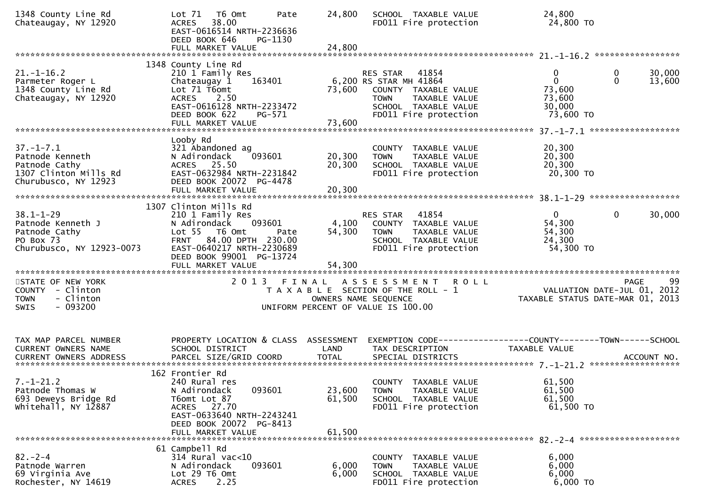| 1348 County Line Rd<br>Chateaugay, NY 12920                                                          | T6 Omt<br>Lot $71$<br>Pate<br>38.00<br><b>ACRES</b><br>EAST-0616514 NRTH-2236636<br>DEED BOOK 646<br>PG-1130                                                      | 24,800           | SCHOOL TAXABLE VALUE<br>FD011 Fire protection                                                                                                     | 24,800<br>24,800 TO                                                                    |                   |
|------------------------------------------------------------------------------------------------------|-------------------------------------------------------------------------------------------------------------------------------------------------------------------|------------------|---------------------------------------------------------------------------------------------------------------------------------------------------|----------------------------------------------------------------------------------------|-------------------|
|                                                                                                      |                                                                                                                                                                   |                  |                                                                                                                                                   |                                                                                        |                   |
| $21. - 1 - 16.2$<br>Parmeter Roger L<br>1348 County Line Rd<br>Chateaugay, NY 12920                  | 1348 County Line Rd<br>210 1 Family Res<br>Chateaugay 1<br>163401<br>Lot 71 T6omt<br><b>ACRES</b><br>2.50<br>EAST-0616128 NRTH-2233472<br>DEED BOOK 622<br>PG-571 | 73,600           | RES STAR 41854<br>6,200 RS STAR MH 41864<br>COUNTY TAXABLE VALUE<br><b>TOWN</b><br>TAXABLE VALUE<br>SCHOOL TAXABLE VALUE<br>FD011 Fire protection | 0<br>$\mathbf 0$<br>$\mathbf 0$<br>$\Omega$<br>73,600<br>73,600<br>30,000<br>73,600 TO | 30,000<br>13,600  |
|                                                                                                      |                                                                                                                                                                   |                  |                                                                                                                                                   |                                                                                        |                   |
| $37. - 1 - 7.1$<br>Patnode Kenneth<br>Patnode Cathy<br>1307 Clinton Mills Rd<br>Churubusco, NY 12923 | Looby Rd<br>321 Abandoned ag<br>N Adirondack<br>093601<br>ACRES 25.50<br>EAST-0632984 NRTH-2231842<br>DEED BOOK 20072 PG-4478                                     | 20,300<br>20,300 | COUNTY TAXABLE VALUE<br>TAXABLE VALUE<br><b>TOWN</b><br>SCHOOL TAXABLE VALUE<br>FD011 Fire protection                                             | 20,300<br>20,300<br>20,300<br>20,300 TO                                                |                   |
|                                                                                                      | FULL MARKET VALUE                                                                                                                                                 | 20,300           |                                                                                                                                                   |                                                                                        |                   |
|                                                                                                      | 1307 Clinton Mills Rd                                                                                                                                             |                  |                                                                                                                                                   |                                                                                        |                   |
| $38.1 - 1 - 29$<br>Patnode Kenneth J<br>Patnode Cathy<br>PO Box 73<br>Churubusco, NY 12923-0073      | 210 1 Family Res<br>N Adirondack<br>093601<br>Lot 55 T6 Omt<br>Pate<br>FRNT 84.00 DPTH 230.00<br>EAST-0640217 NRTH-2230689<br>DEED BOOK 99001 PG-13724            | 4,100<br>54,300  | 41854<br>RES STAR<br>COUNTY TAXABLE VALUE<br><b>TOWN</b><br>TAXABLE VALUE<br>SCHOOL TAXABLE VALUE<br>FD011 Fire protection                        | $\overline{0}$<br>$\mathbf 0$<br>54,300<br>54,300<br>24,300<br>54,300 TO               | 30,000            |
|                                                                                                      |                                                                                                                                                                   |                  |                                                                                                                                                   |                                                                                        |                   |
| STATE OF NEW YORK<br>COUNTY - Clinton<br>- Clinton<br><b>TOWN</b><br>$-093200$<br><b>SWIS</b>        | 2 0 1 3                                                                                                                                                           | FINAL            | A S S E S S M E N T<br><b>ROLL</b><br>T A X A B L E SECTION OF THE ROLL - 1<br>OWNERS NAME SEQUENCE<br>UNIFORM PERCENT OF VALUE IS 100.00         | VALUATION DATE-JUL 01, 2012<br>TAXABLE STATUS DATE-MAR 01, 2013                        | 99<br><b>PAGE</b> |
|                                                                                                      |                                                                                                                                                                   |                  |                                                                                                                                                   |                                                                                        |                   |
| TAX MAP PARCEL NUMBER<br>CURRENT OWNERS NAME                                                         | PROPERTY LOCATION & CLASS ASSESSMENT<br>SCHOOL DISTRICT                                                                                                           | LAND             | TAX DESCRIPTION                                                                                                                                   | EXEMPTION CODE-----------------COUNTY--------TOWN------SCHOOL<br>TAXABLE VALUE         |                   |
|                                                                                                      | 162 Frontier Rd                                                                                                                                                   |                  |                                                                                                                                                   |                                                                                        |                   |
| $7. - 1 - 21.2$<br>Patnode Thomas W<br>693 Deweys Bridge Rd<br>whitehall, NY 12887                   | 240 Rural res<br>N Adirondack<br>093601<br>T6omt Lot 87<br>ACRES 27.70<br>EAST-0633640 NRTH-2243241<br>DEED BOOK 20072 PG-8413                                    | 23,600<br>61,500 | COUNTY TAXABLE VALUE<br><b>TOWN</b><br>TAXABLE VALUE<br>SCHOOL TAXABLE VALUE<br>FD011 Fire protection                                             | 61,500<br>61,500<br>61,500<br>61,500 TO                                                |                   |
|                                                                                                      | FULL MARKET VALUE                                                                                                                                                 | 61,500           |                                                                                                                                                   |                                                                                        |                   |
| $82 - 2 - 4$<br>Patnode Warren<br>69 Virginia Ave<br>Rochester, NY 14619                             | 61 Campbell Rd<br>$314$ Rural vac<10<br>093601<br>N Adirondack<br>Lot 29 T6 Omt<br>2.25<br><b>ACRES</b>                                                           | 6,000<br>6,000   | COUNTY TAXABLE VALUE<br>TAXABLE VALUE<br><b>TOWN</b><br>SCHOOL TAXABLE VALUE<br>FD011 Fire protection                                             | 6,000<br>6,000<br>6,000<br>6,000 TO                                                    |                   |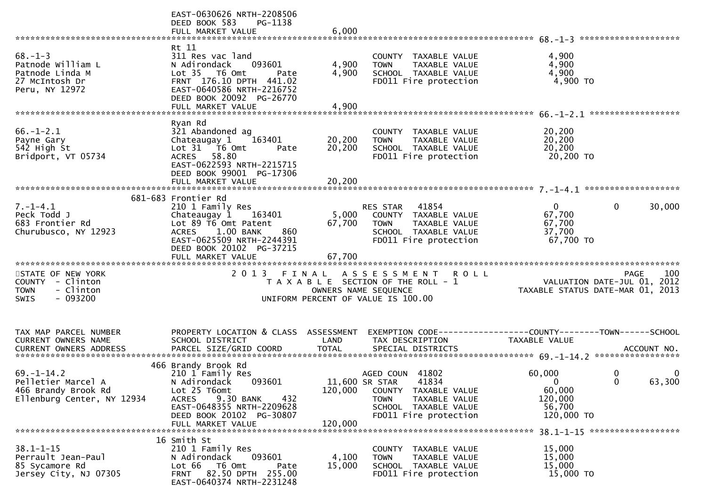|                                                                                               | EAST-0630626 NRTH-2208506<br>DEED BOOK 583<br>PG-1138<br>FULL MARKET VALUE                                                                                                                          | 6,000                      |                                                                                                                                                     |                                                                 |                                                                                |
|-----------------------------------------------------------------------------------------------|-----------------------------------------------------------------------------------------------------------------------------------------------------------------------------------------------------|----------------------------|-----------------------------------------------------------------------------------------------------------------------------------------------------|-----------------------------------------------------------------|--------------------------------------------------------------------------------|
| $68. - 1 - 3$<br>Patnode William L<br>Patnode Linda M<br>27 McIntosh Dr<br>Peru, NY 12972     | Rt 11<br>311 Res vac land<br>N Adirondack<br>093601<br>Lot 35  T6 0mt<br>Pate<br>FRNT 176.10 DPTH 441.02<br>EAST-0640586 NRTH-2216752<br>DEED BOOK 20092 PG-26770<br>FULL MARKET VALUE              | 4,900<br>4,900<br>4,900    | COUNTY TAXABLE VALUE<br><b>TOWN</b><br>TAXABLE VALUE<br>SCHOOL TAXABLE VALUE<br>FD011 Fire protection                                               | 4,900<br>4,900<br>4,900<br>4,900 TO                             |                                                                                |
| $66. - 1 - 2.1$<br>Payne Gary<br>542 High St<br>Bridport, VT 05734                            | Ryan Rd<br>321 Abandoned ag<br>Chateaugay 1<br>163401<br>Lot 31 76 0mt<br>Pate<br>ACRES 58.80<br>EAST-0622593 NRTH-2215715<br>DEED BOOK 99001 PG-17306<br>FULL MARKET VALUE                         | 20,200<br>20,200<br>20,200 | COUNTY TAXABLE VALUE<br><b>TOWN</b><br>TAXABLE VALUE<br>SCHOOL TAXABLE VALUE<br>FD011 Fire protection                                               | 20,200<br>20,200<br>20,200<br>20,200 TO                         |                                                                                |
| $7. - 1 - 4.1$<br>Peck Todd J<br>683 Frontier Rd<br>Churubusco, NY 12923                      | 681-683 Frontier Rd<br>210 1 Family Res<br>Chateaugay 1<br>163401<br>Lot 89 T6 Omt Patent<br>ACRES 1.00 BANK<br>860<br>EAST-0625509 NRTH-2244391<br>DEED BOOK 20102 PG-37215<br>FULL MARKET VALUE   | 5,000<br>67,700<br>67,700  | 41854<br>RES STAR<br>COUNTY TAXABLE VALUE<br><b>TOWN</b><br>TAXABLE VALUE<br>SCHOOL TAXABLE VALUE<br>FD011 Fire protection                          | $\overline{0}$<br>67,700<br>67,700<br>37,700<br>67,700 TO       | $\mathbf{0}$<br>30,000                                                         |
| STATE OF NEW YORK<br>COUNTY - Clinton<br>- Clinton<br><b>TOWN</b><br>$-093200$<br><b>SWIS</b> |                                                                                                                                                                                                     |                            | 2013 FINAL ASSESSMENT ROLL<br>T A X A B L E SECTION OF THE ROLL - 1<br>OWNERS NAME SEQUENCE<br>UNIFORM PERCENT OF VALUE IS 100.00                   |                                                                 | 100<br>PAGE<br>VALUATION DATE-JUL 01, 2012<br>TAXABLE STATUS DATE-MAR 01, 2013 |
| TAX MAP PARCEL NUMBER<br>CURRENT OWNERS NAME<br>CURRENT OWNERS ADDRESS                        | PROPERTY LOCATION & CLASS ASSESSMENT<br>SCHOOL DISTRICT<br>PARCEL SIZE/GRID COORD                                                                                                                   | LAND<br><b>TOTAL</b>       | TAX DESCRIPTION<br>SPECIAL DISTRICTS                                                                                                                | TAXABLE VALUE                                                   | ACCOUNT NO.                                                                    |
| $69. - 1 - 14.2$<br>Pelletier Marcel A<br>466 Brandy Brook Rd<br>Ellenburg Center, NY 12934   | 466 Brandy Brook Rd<br>210 1 Family Res<br>093601<br>N Adirondack<br>Lot 25 T6omt<br>9.30 BANK<br><b>ACRES</b><br>432<br>EAST-0648355 NRTH-2209628<br>DEED BOOK 20102 PG-30807<br>FULL MARKET VALUE | 120,000<br>120,000         | AGED COUN 41802<br>11,600 SR STAR<br>41834<br>COUNTY TAXABLE VALUE<br><b>TOWN</b><br>TAXABLE VALUE<br>SCHOOL TAXABLE VALUE<br>FD011 Fire protection | 60,000<br>$\Omega$<br>60,000<br>120,000<br>56,700<br>120,000 TO | 0<br>$\bf{0}$<br>$\Omega$<br>63,300<br>38.1-1-15 *******************           |
| $38.1 - 1 - 15$<br>Perrault Jean-Paul<br>85 Sycamore Rd<br>Jersey City, NJ 07305              | 16 Smith St<br>210 1 Family Res<br>093601<br>N Adirondack<br>Lot 66<br>T6 Omt<br>Pate<br>FRNT 82.50 DPTH 255.00<br>EAST-0640374 NRTH-2231248                                                        | 4,100<br>15,000            | COUNTY TAXABLE VALUE<br>TAXABLE VALUE<br><b>TOWN</b><br>SCHOOL TAXABLE VALUE<br>FD011 Fire protection                                               | 15,000<br>15,000<br>15,000<br>15,000 TO                         |                                                                                |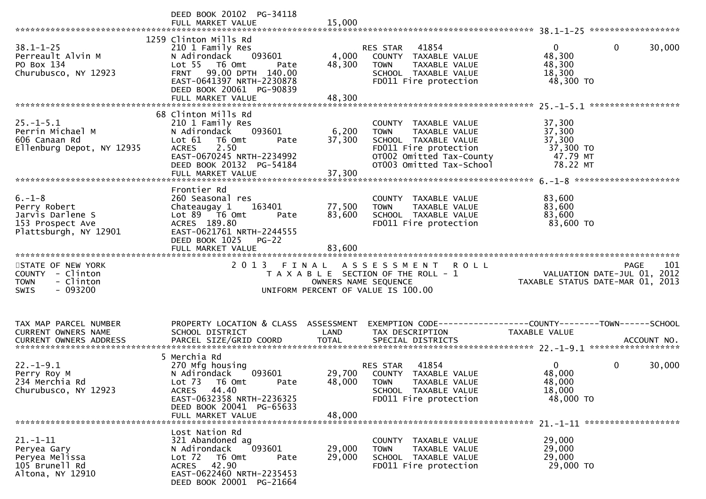|                                                                                               | DEED BOOK 20102 PG-34118<br>FULL MARKET VALUE                                                                                                                                                        | 15,000                    |                                                                                                                                                               |                                                                                      |        |
|-----------------------------------------------------------------------------------------------|------------------------------------------------------------------------------------------------------------------------------------------------------------------------------------------------------|---------------------------|---------------------------------------------------------------------------------------------------------------------------------------------------------------|--------------------------------------------------------------------------------------|--------|
| $38.1 - 1 - 25$<br>Perreault Alvin M<br>PO Box 134<br>Churubusco, NY 12923                    | 1259 Clinton Mills Rd<br>210 1 Family Res<br>N Adirondack<br>093601<br>Lot 55 T6 Omt<br>Pate<br>FRNT 99.00 DPTH 140.00<br>EAST-0641397 NRTH-2230878<br>DEED BOOK 20061 PG-90839<br>FULL MARKET VALUE | 4,000<br>48,300<br>48,300 | RES STAR 41854<br>COUNTY TAXABLE VALUE<br><b>TOWN</b><br>TAXABLE VALUE<br>SCHOOL TAXABLE VALUE<br>FD011 Fire protection                                       | $\overline{0}$<br>0<br>48,300<br>48,300<br>18,300<br>48,300 TO                       | 30,000 |
|                                                                                               |                                                                                                                                                                                                      |                           |                                                                                                                                                               |                                                                                      |        |
| $25. - 1 - 5.1$<br>Perrin Michael M<br>606 Canaan Rd<br>Ellenburg Depot, NY 12935             | 68 Clinton Mills Rd<br>210 1 Family Res<br>093601<br>N Adirondack<br>Lot 61 T6 Omt<br>Pate<br>2.50<br><b>ACRES</b><br>EAST-0670245 NRTH-2234992<br>DEED BOOK 20132 PG-54184<br>FULL MARKET VALUE     | 6,200<br>37,300<br>37,300 | COUNTY TAXABLE VALUE<br>TAXABLE VALUE<br><b>TOWN</b><br>SCHOOL TAXABLE VALUE<br>FD011 Fire protection<br>OT002 Omitted Tax-County<br>OT003 Omitted Tax-School | 37,300<br>37,300<br>37,300<br>37,300 TO<br>47.79 MT<br>78.22 MT                      |        |
|                                                                                               | Frontier Rd                                                                                                                                                                                          |                           |                                                                                                                                                               |                                                                                      |        |
| $6. - 1 - 8$<br>Perry Robert<br>Jarvis Darlene S<br>153 Prospect Ave<br>Plattsburgh, NY 12901 | 260 Seasonal res<br>163401<br>Chateaugay 1<br>Lot 89 T6 Omt<br>Pate<br>ACRES 189.80<br>EAST-0621761 NRTH-2244555<br>DEED BOOK 1025 PG-22                                                             | 77,500<br>83,600          | COUNTY TAXABLE VALUE<br>TAXABLE VALUE<br><b>TOWN</b><br>SCHOOL TAXABLE VALUE<br>FD011 Fire protection                                                         | 83,600<br>83,600<br>83,600<br>83,600 TO                                              |        |
|                                                                                               | FULL MARKET VALUE                                                                                                                                                                                    | 83,600                    |                                                                                                                                                               |                                                                                      |        |
| STATE OF NEW YORK<br>COUNTY - Clinton<br>- Clinton<br><b>TOWN</b><br>$-093200$<br><b>SWIS</b> |                                                                                                                                                                                                      | OWNERS NAME SEQUENCE      | 2013 FINAL ASSESSMENT ROLL<br>T A X A B L E SECTION OF THE ROLL - 1<br>UNIFORM PERCENT OF VALUE IS 100.00                                                     | PAGE 101<br>VALUATION DATE-JUL 01, 2012<br>TAXABLE STATUS DATE 11: 2012              |        |
| TAX MAP PARCEL NUMBER<br>CURRENT OWNERS NAME                                                  | PROPERTY LOCATION & CLASS ASSESSMENT<br>SCHOOL DISTRICT                                                                                                                                              | LAND                      | TAX DESCRIPTION                                                                                                                                               | EXEMPTION CODE-----------------COUNTY-------TOWN------SCHOOL<br><b>TAXABLE VALUE</b> |        |
| $22. - 1 - 9.1$<br>Perry Roy M<br>234 Merchia Rd<br>Churubusco, NY 12923                      | 5 Merchia Rd<br>270 Mfg housing<br>093601<br>N Adirondack<br>Lot 73 T6 Omt<br>Pate<br>ACRES 44.40<br>EAST-0632358 NRTH-2236325<br>DEED BOOK 20041 PG-65633<br>FULL MARKET VALUE                      | 48,000<br>48,000          | 41854<br>RES STAR<br>29,700 COUNTY TAXABLE VALUE<br><b>TOWN</b><br>TAXABLE VALUE<br>SCHOOL TAXABLE VALUE<br>FD011 Fire protection                             | 0<br>$\Omega$<br>48,000<br>48,000<br>18,000<br>48,000 TO                             | 30,000 |
| $21. - 1 - 11$<br>Peryea Gary<br>Peryea Melissa<br>105 Brunell Rd<br>Altona, NY 12910         | Lost Nation Rd<br>321 Abandoned ag<br>093601<br>N Adirondack<br>Lot 72<br>T6 Omt<br>Pate<br>42.90<br>ACRES<br>EAST-0622460 NRTH-2235453                                                              | 29,000<br>29,000          | COUNTY TAXABLE VALUE<br>TAXABLE VALUE<br><b>TOWN</b><br>SCHOOL TAXABLE VALUE<br>FD011 Fire protection                                                         | 29,000<br>29,000<br>29,000<br>29,000 TO                                              |        |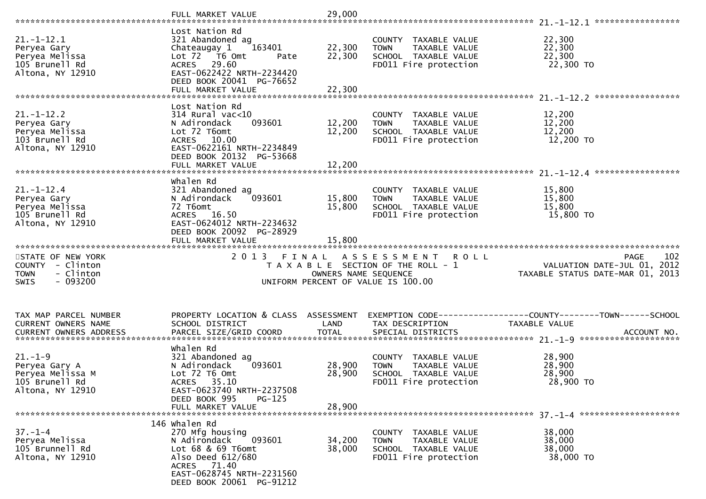|                                                                                               | FULL MARKET VALUE                                                                                                                                                                   | 29,000                     |                                                                                                                   |                                                                                              |
|-----------------------------------------------------------------------------------------------|-------------------------------------------------------------------------------------------------------------------------------------------------------------------------------------|----------------------------|-------------------------------------------------------------------------------------------------------------------|----------------------------------------------------------------------------------------------|
| $21.-1-12.1$<br>Peryea Gary<br>Peryea Melissa<br>105 Brunell Rd<br>Altona, NY 12910           | Lost Nation Rd<br>321 Abandoned ag<br>163401<br>Chateaugay 1<br>Lot 72  T6 Omt<br>Pate<br>ACRES 29.60<br>EAST-0622422 NRTH-2234420<br>DEED BOOK 20041 PG-76652<br>FULL MARKET VALUE | 22,300<br>22,300<br>22,300 | COUNTY TAXABLE VALUE<br>TAXABLE VALUE<br><b>TOWN</b><br>SCHOOL TAXABLE VALUE<br>FD011 Fire protection             | 22,300<br>22,300<br>22,300<br>22,300 TO                                                      |
| $21. - 1 - 12.2$<br>Peryea Gary<br>Peryea Melissa<br>103 Brunell Rd<br>Altona, NY 12910       | Lost Nation Rd<br>$314$ Rural vac< $10$<br>093601<br>N Adirondack<br>Lot 72 T6omt<br>ACRES 10.00<br>EAST-0622161 NRTH-2234849<br>DEED BOOK 20132 PG-53668                           | 12,200<br>12,200           | COUNTY TAXABLE VALUE<br>TAXABLE VALUE<br><b>TOWN</b><br>SCHOOL TAXABLE VALUE<br>FD011 Fire protection             | 12,200<br>12,200<br>12,200<br>12,200 TO                                                      |
| $21. - 1 - 12.4$<br>Peryea Gary<br>Peryea Melissa<br>105 Brunell Rd<br>Altona, NY 12910       | whalen Rd<br>321 Abandoned ag<br>N Adirondack<br>093601<br>72 T6omt<br>ACRES 16.50<br>EAST-0624012 NRTH-2234632<br>DEED BOOK 20092 PG-28929<br>FULL MARKET VALUE                    | 15,800<br>15,800<br>15,800 | COUNTY TAXABLE VALUE<br><b>TOWN</b><br>TAXABLE VALUE<br>SCHOOL TAXABLE VALUE<br>FD011 Fire protection             | 15,800<br>15,800<br>15,800<br>15,800 TO                                                      |
|                                                                                               |                                                                                                                                                                                     |                            |                                                                                                                   |                                                                                              |
| STATE OF NEW YORK<br>COUNTY - Clinton<br>- Clinton<br><b>TOWN</b><br>$-093200$<br><b>SWIS</b> | 2 0 1 3<br>FINAL                                                                                                                                                                    | OWNERS NAME SEQUENCE       | A S S E S S M E N T<br><b>ROLL</b><br>T A X A B L E SECTION OF THE ROLL - 1<br>UNIFORM PERCENT OF VALUE IS 100.00 | 102<br><b>PAGE</b><br>VALUATION DATE-JUL 01, 2012<br>TAXABLE STATUS DATE-MAR 01, 2013        |
| TAX MAP PARCEL NUMBER<br>CURRENT OWNERS NAME<br><b>CURRENT OWNERS ADDRESS</b>                 | PROPERTY LOCATION & CLASS ASSESSMENT<br>SCHOOL DISTRICT<br>PARCEL SIZE/GRID COORD                                                                                                   | LAND<br><b>TOTAL</b>       | TAX DESCRIPTION<br>SPECIAL DISTRICTS                                                                              | EXEMPTION CODE-----------------COUNTY-------TOWN------SCHOOL<br>TAXABLE VALUE<br>ACCOUNT NO. |
| $21. - 1 - 9$<br>Peryea Gary A<br>Peryea Melissa M<br>105 Brunell Rd<br>Altona, NY 12910      | whalen Rd<br>321 Abandoned ag<br>N Adirondack<br>093601<br>Lot 72 T6 Omt<br>ACRES 35.10<br>EAST-0623740 NRTH-2237508<br>DEED BOOK 995<br>$PG-125$<br>FULL MARKET VALUE              | 28,900<br>28,900<br>28,900 | COUNTY TAXABLE VALUE<br><b>TOWN</b><br>TAXABLE VALUE<br>SCHOOL TAXABLE VALUE<br>FD011 Fire protection             | 28,900<br>28,900<br>28,900<br>28,900 TO                                                      |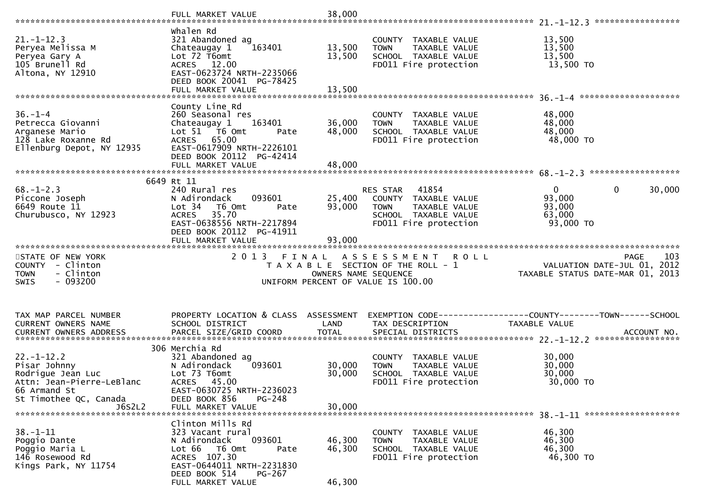|                                                                                                                                        | FULL MARKET VALUE                                                                                                                                                    | 38,000                        |                                                                                                                            |                                                                                       |
|----------------------------------------------------------------------------------------------------------------------------------------|----------------------------------------------------------------------------------------------------------------------------------------------------------------------|-------------------------------|----------------------------------------------------------------------------------------------------------------------------|---------------------------------------------------------------------------------------|
| $21. - 1 - 12.3$<br>Peryea Melissa M<br>Peryea Gary A<br>105 Brunell Rd<br>Altona, NY 12910                                            | whalen Rd<br>321 Abandoned ag<br>163401<br>Chateaugay 1<br>Lot 72 T6omt<br>ACRES 12.00<br>EAST-0623724 NRTH-2235066<br>DEED BOOK 20041 PG-78425<br>FULL MARKET VALUE | 13,500<br>13,500<br>13,500    | COUNTY TAXABLE VALUE<br>TAXABLE VALUE<br><b>TOWN</b><br>SCHOOL TAXABLE VALUE<br>FD011 Fire protection                      | 13,500<br>13,500<br>13,500<br>13,500 TO                                               |
| $36. - 1 - 4$<br>Petrecca Giovanni<br>Arganese Mario<br>128 Lake Roxanne Rd<br>Ellenburg Depot, NY 12935                               | County Line Rd<br>260 Seasonal res<br>Chateaugay 1<br>163401<br>Lot 51 76 0mt<br>Pate<br>ACRES 65.00<br>EAST-0617909 NRTH-2226101<br>DEED BOOK 20112 PG-42414        | 36,000<br>48,000              | COUNTY TAXABLE VALUE<br>TAXABLE VALUE<br><b>TOWN</b><br>SCHOOL TAXABLE VALUE<br>FD011 Fire protection                      | 48,000<br>48,000<br>48,000<br>48,000 TO                                               |
| $68. - 1 - 2.3$<br>Piccone Joseph<br>6649 Route 11<br>Churubusco, NY 12923                                                             | 6649 Rt 11<br>240 Rural res<br>093601<br>N Adirondack<br>Lot 34<br>T6 Omt<br>Pate<br>35.70<br><b>ACRES</b><br>EAST-0638556 NRTH-2217894<br>DEED BOOK 20112 PG-41911  | 25,400<br>93,000<br>93,000    | RES STAR<br>41854<br>COUNTY TAXABLE VALUE<br><b>TOWN</b><br>TAXABLE VALUE<br>SCHOOL TAXABLE VALUE<br>FD011 Fire protection | $\mathbf{0}$<br>$\mathbf 0$<br>30,000<br>93,000<br>93,000<br>63,000<br>93,000 TO      |
| STATE OF NEW YORK<br>COUNTY - Clinton<br>- Clinton<br><b>TOWN</b><br>$-093200$<br><b>SWIS</b>                                          | 2 0 1 3                                                                                                                                                              | FINAL<br>OWNERS NAME SEQUENCE | A S S E S S M E N T<br><b>ROLL</b><br>T A X A B L E SECTION OF THE ROLL - 1<br>UNIFORM PERCENT OF VALUE IS 100.00          | 103<br><b>PAGE</b><br>VALUATION DATE-JUL 01, 2012<br>TAXABLE STATUS DATE-MAR 01, 2013 |
| TAX MAP PARCEL NUMBER<br>CURRENT OWNERS NAME<br>CURRENT OWNERS ADDRESS                                                                 | PROPERTY LOCATION & CLASS ASSESSMENT<br>SCHOOL DISTRICT                                                                                                              | LAND                          | TAX DESCRIPTION                                                                                                            | EXEMPTION CODE-----------------COUNTY-------TOWN------SCHOOL<br>TAXABLE VALUE         |
| $22. - 1 - 12.2$<br>Pisar Johnny<br>Rodrigue Jean Luc<br>Attn: Jean-Pierre-LeBlanc<br>66 Armand St<br>St Timothee QC, Canada<br>J6S2L2 | 306 Merchia Rd<br>321 Abandoned ag<br>093601<br>N Adirondack<br>Lot 73 T6omt<br>ACRES 45.00<br>EAST-0630725 NRTH-2236023<br>DEED BOOK 856<br>$PG-248$                | 30,000<br>30,000              | TAXABLE VALUE<br>COUNTY<br><b>TOWN</b><br>TAXABLE VALUE<br>SCHOOL TAXABLE VALUE<br>FD011 Fire protection                   | 30,000<br>30,000<br>30,000<br>30,000 TO                                               |
|                                                                                                                                        | FULL MARKET VALUE                                                                                                                                                    | 30,000                        |                                                                                                                            |                                                                                       |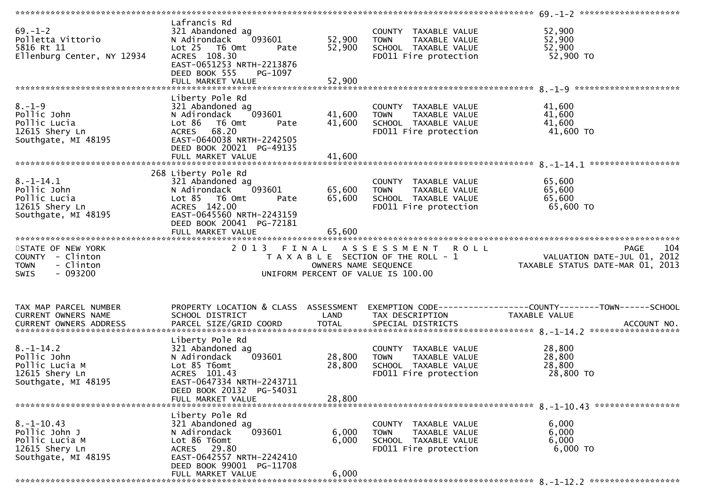| $69. - 1 - 2$<br>Polletta Vittorio<br>5816 Rt 11<br>Ellenburg Center, NY 12934                | Lafrancis Rd<br>321 Abandoned ag<br>093601<br>N Adirondack<br>Lot 25 T6 Omt<br>Pate<br>ACRES 108.30<br>EAST-0651253 NRTH-2213876<br>DEED BOOK 555<br>PG-1097                             | 52,900<br>52,900           | COUNTY TAXABLE VALUE<br>TAXABLE VALUE<br><b>TOWN</b><br>SCHOOL TAXABLE VALUE<br>FD011 Fire protection | 52,900<br>52,900<br>52,900<br>52,900 TO                                                        |
|-----------------------------------------------------------------------------------------------|------------------------------------------------------------------------------------------------------------------------------------------------------------------------------------------|----------------------------|-------------------------------------------------------------------------------------------------------|------------------------------------------------------------------------------------------------|
| $8. - 1 - 9$<br>Pollic John<br>Pollic Lucia<br>12615 Shery Ln<br>Southgate, MI 48195          | Liberty Pole Rd<br>321 Abandoned ag<br>093601<br>N Adirondack<br>Lot 86 T6 Omt<br>Pate<br>ACRES 68.20<br>EAST-0640038 NRTH-2242505<br>DEED BOOK 20021 PG-49135                           | 41,600<br>41,600           | COUNTY TAXABLE VALUE<br>TAXABLE VALUE<br><b>TOWN</b><br>SCHOOL TAXABLE VALUE<br>FD011 Fire protection | 41,600<br>41,600<br>41,600<br>41,600 TO                                                        |
| $8. - 1 - 14.1$<br>Pollic John<br>Pollic Lucia<br>12615 Shery Ln<br>Southgate, MI 48195       | 268 Liberty Pole Rd<br>321 Abandoned ag<br>093601<br>N Adirondack<br>Lot 85 T6 Omt<br>Pate<br>ACRES 142.00<br>EAST-0645560 NRTH-2243159<br>DEED BOOK 20041 PG-72181<br>FULL MARKET VALUE | 65,600<br>65,600<br>65,600 | COUNTY TAXABLE VALUE<br>TAXABLE VALUE<br><b>TOWN</b><br>SCHOOL TAXABLE VALUE<br>FD011 Fire protection | 65,600<br>65,600<br>65,600<br>65,600 TO                                                        |
| STATE OF NEW YORK<br>COUNTY - Clinton<br><b>TOWN</b><br>- Clinton<br>$-093200$<br><b>SWIS</b> | 2 0 1 3<br>FINAL                                                                                                                                                                         | OWNERS NAME SEQUENCE       | ASSESSMENT ROLL<br>T A X A B L E SECTION OF THE ROLL - 1<br>UNIFORM PERCENT OF VALUE IS 100.00        | 104<br><b>PAGE</b><br>VALUATION DATE-JUL 01, 2012<br>TAXABLE STATUS DATE-MAR 01, 2013          |
| TAX MAP PARCEL NUMBER<br>CURRENT OWNERS NAME<br>CURRENT OWNERS ADDRESS                        | PROPERTY LOCATION & CLASS ASSESSMENT<br>SCHOOL DISTRICT<br>PARCEL SIZE/GRID COORD                                                                                                        | LAND<br><b>TOTAL</b>       | TAX DESCRIPTION<br>SPECIAL DISTRICTS                                                                  | EXEMPTION CODE------------------COUNTY--------TOWN------SCHOOL<br>TAXABLE VALUE<br>ACCOUNT NO. |
| $8. - 1 - 14.2$<br>Pollic John                                                                | Liberty Pole Rd<br>321 Abandoned ag                                                                                                                                                      |                            |                                                                                                       |                                                                                                |
| Pollic Lucia M<br>12615 Shery Ln<br>Southgate, MI 48195                                       | 093601<br>N Adirondack<br>Lot 85 T6omt<br>ACRES 101.43<br>EAST-0647334 NRTH-2243711<br>DEED BOOK 20132 PG-54031                                                                          | 28,800<br>28,800           | COUNTY TAXABLE VALUE<br>TAXABLE VALUE<br><b>TOWN</b><br>SCHOOL TAXABLE VALUE<br>FD011 Fire protection | 28,800<br>28,800<br>28,800<br>28,800 TO                                                        |
|                                                                                               | FULL MARKET VALUE                                                                                                                                                                        | 28,800                     |                                                                                                       |                                                                                                |
| $8. - 1 - 10.43$<br>Pollic John J<br>Pollic Lucia M<br>12615 Shery Ln<br>Southgate, MI 48195  | Liberty Pole Rd<br>321 Abandoned ag<br>093601<br>N Adirondack<br>Lot 86 T6omt<br>ACRES 29.80<br>EAST-0642557 NRTH-2242410<br>DEED BOOK 99001 PG-11708<br>FULL MARKET VALUE               | 6,000<br>6,000<br>6,000    | COUNTY TAXABLE VALUE<br><b>TOWN</b><br>TAXABLE VALUE<br>SCHOOL TAXABLE VALUE<br>FD011 Fire protection | 6,000<br>6,000<br>6,000<br>$6,000$ TO                                                          |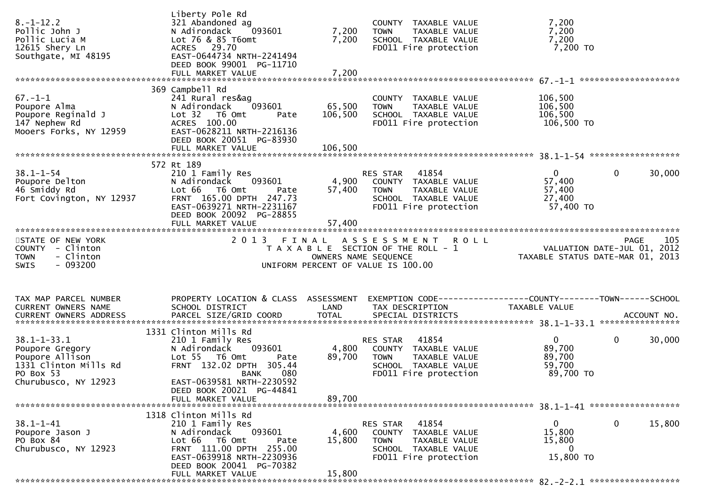| 369 Campbell Rd<br>$67. - 1 - 1$<br>241 Rural res&ag<br>COUNTY TAXABLE VALUE<br>106,500<br>093601<br>65,500<br>106,500<br>Poupore Alma<br>N Adirondack<br>TAXABLE VALUE<br><b>TOWN</b><br>Poupore Reginald J<br>106,500<br>106,500<br>Lot 32 76 0mt<br>SCHOOL TAXABLE VALUE<br>Pate<br>147 Nephew Rd<br>ACRES 100.00<br>FD011 Fire protection<br>106,500 TO<br>Mooers Forks, NY 12959<br>EAST-0628211 NRTH-2216136<br>DEED BOOK 20051 PG-83930<br>106,500<br>FULL MARKET VALUE<br>572 Rt 189<br>$38.1 - 1 - 54$<br>$\mathbf{0}$<br>210 1 Family Res<br>RES STAR<br>41854<br>$\Omega$<br>30,000<br>4,900<br>093601<br>57,400<br>Poupore Delton<br>N Adirondack<br>COUNTY TAXABLE VALUE<br>57,400<br>46 Smiddy Rd<br>Lot 66  T6 0mt<br>57,400<br><b>TOWN</b><br>TAXABLE VALUE<br>Pate<br>FRNT 165.00 DPTH 247.73<br>Fort Covington, NY 12937<br>27,400<br>SCHOOL TAXABLE VALUE<br>57,400 TO<br>EAST-0639271 NRTH-2231167<br>FD011 Fire protection<br>DEED BOOK 20092 PG-28855<br>2013 FINAL ASSESSMENT<br>105<br>STATE OF NEW YORK<br><b>ROLL</b><br>PAGE<br>VALUATION DATE-JUL $01$ , 2012<br>COUNTY - Clinton<br>T A X A B L E SECTION OF THE ROLL - 1<br>- Clinton<br>TAXABLE STATUS DATE-MAR 01, 2013<br><b>TOWN</b><br>OWNERS NAME SEQUENCE<br>- 093200<br>SWIS<br>UNIFORM PERCENT OF VALUE IS 100.00<br>PROPERTY LOCATION & CLASS ASSESSMENT<br>TAX MAP PARCEL NUMBER<br>EXEMPTION        CODE-----------------COUNTY-------TOWN------SCHOOL<br>CURRENT OWNERS NAME<br>SCHOOL DISTRICT<br>LAND<br>TAX DESCRIPTION<br>TAXABLE VALUE<br>1331 Clinton Mills Rd<br>$38.1 - 1 - 33.1$<br>RES STAR 41854<br>$\mathbf{0}$<br>$\mathbf 0$<br>30,000<br>210 1 Family Res<br>89,700<br>093601<br>4,800<br>N Adirondack<br>COUNTY TAXABLE VALUE<br>Poupore Gregory<br>89,700<br>89,700<br>Poupore Allison<br>Lot 55  T6 Omt<br><b>TOWN</b><br>TAXABLE VALUE<br>Pate<br>FRNT 132.02 DPTH 305.44<br>1331 Clinton Mills Rd<br>59,700<br>SCHOOL TAXABLE VALUE<br>89,700 TO<br>PO Box 53<br>FD011 Fire protection<br>080<br>BANK<br>Churubusco, NY 12923<br>EAST-0639581 NRTH-2230592<br>DEED BOOK 20021 PG-44841<br>89,700<br>FULL MARKET VALUE<br>1318 Clinton Mills Rd<br>$38.1 - 1 - 41$<br>41854<br>0<br>15,800<br>210 1 Family Res<br>0<br><b>RES STAR</b><br>093601<br>4,600<br>15,800<br>N Adirondack<br>Poupore Jason J<br>COUNTY TAXABLE VALUE<br>Lot 66 T6 Omt<br>PO Box 84<br>15,800<br>15,800<br>TAXABLE VALUE<br>Pate<br><b>TOWN</b><br>FRNT 111.00 DPTH 255.00<br>Churubusco, NY 12923<br>0<br>SCHOOL TAXABLE VALUE<br>15,800 TO<br>EAST-0639918 NRTH-2230936<br>FD011 Fire protection<br>DEED BOOK 20041 PG-70382<br>15,800<br>FULL MARKET VALUE | $8. - 1 - 12.2$<br>Pollic John J<br>Pollic Lucia M<br>12615 Shery Ln<br>Southgate, MI 48195 | Liberty Pole Rd<br>321 Abandoned ag<br>N Adirondack<br>093601<br>Lot 76 & 85 T6omt<br>ACRES 29.70<br>EAST-0644734 NRTH-2241494<br>DEED BOOK 99001 PG-11710<br>FULL MARKET VALUE | 7,200<br>7,200<br>7,200 | COUNTY TAXABLE VALUE<br>TAXABLE VALUE<br><b>TOWN</b><br>SCHOOL TAXABLE VALUE<br>FD011 Fire protection | 7,200<br>7,200<br>7,200<br>7,200 TO |  |
|------------------------------------------------------------------------------------------------------------------------------------------------------------------------------------------------------------------------------------------------------------------------------------------------------------------------------------------------------------------------------------------------------------------------------------------------------------------------------------------------------------------------------------------------------------------------------------------------------------------------------------------------------------------------------------------------------------------------------------------------------------------------------------------------------------------------------------------------------------------------------------------------------------------------------------------------------------------------------------------------------------------------------------------------------------------------------------------------------------------------------------------------------------------------------------------------------------------------------------------------------------------------------------------------------------------------------------------------------------------------------------------------------------------------------------------------------------------------------------------------------------------------------------------------------------------------------------------------------------------------------------------------------------------------------------------------------------------------------------------------------------------------------------------------------------------------------------------------------------------------------------------------------------------------------------------------------------------------------------------------------------------------------------------------------------------------------------------------------------------------------------------------------------------------------------------------------------------------------------------------------------------------------------------------------------------------------------------------------------------------------------------------------------------------------------------------------------------------------------------------------------------------------------------------------------------------------------------------------------------------------------------------------|---------------------------------------------------------------------------------------------|---------------------------------------------------------------------------------------------------------------------------------------------------------------------------------|-------------------------|-------------------------------------------------------------------------------------------------------|-------------------------------------|--|
|                                                                                                                                                                                                                                                                                                                                                                                                                                                                                                                                                                                                                                                                                                                                                                                                                                                                                                                                                                                                                                                                                                                                                                                                                                                                                                                                                                                                                                                                                                                                                                                                                                                                                                                                                                                                                                                                                                                                                                                                                                                                                                                                                                                                                                                                                                                                                                                                                                                                                                                                                                                                                                                      |                                                                                             |                                                                                                                                                                                 |                         |                                                                                                       |                                     |  |
|                                                                                                                                                                                                                                                                                                                                                                                                                                                                                                                                                                                                                                                                                                                                                                                                                                                                                                                                                                                                                                                                                                                                                                                                                                                                                                                                                                                                                                                                                                                                                                                                                                                                                                                                                                                                                                                                                                                                                                                                                                                                                                                                                                                                                                                                                                                                                                                                                                                                                                                                                                                                                                                      |                                                                                             |                                                                                                                                                                                 |                         |                                                                                                       |                                     |  |
|                                                                                                                                                                                                                                                                                                                                                                                                                                                                                                                                                                                                                                                                                                                                                                                                                                                                                                                                                                                                                                                                                                                                                                                                                                                                                                                                                                                                                                                                                                                                                                                                                                                                                                                                                                                                                                                                                                                                                                                                                                                                                                                                                                                                                                                                                                                                                                                                                                                                                                                                                                                                                                                      |                                                                                             |                                                                                                                                                                                 |                         |                                                                                                       |                                     |  |
|                                                                                                                                                                                                                                                                                                                                                                                                                                                                                                                                                                                                                                                                                                                                                                                                                                                                                                                                                                                                                                                                                                                                                                                                                                                                                                                                                                                                                                                                                                                                                                                                                                                                                                                                                                                                                                                                                                                                                                                                                                                                                                                                                                                                                                                                                                                                                                                                                                                                                                                                                                                                                                                      |                                                                                             |                                                                                                                                                                                 |                         |                                                                                                       |                                     |  |
|                                                                                                                                                                                                                                                                                                                                                                                                                                                                                                                                                                                                                                                                                                                                                                                                                                                                                                                                                                                                                                                                                                                                                                                                                                                                                                                                                                                                                                                                                                                                                                                                                                                                                                                                                                                                                                                                                                                                                                                                                                                                                                                                                                                                                                                                                                                                                                                                                                                                                                                                                                                                                                                      |                                                                                             |                                                                                                                                                                                 |                         |                                                                                                       |                                     |  |
|                                                                                                                                                                                                                                                                                                                                                                                                                                                                                                                                                                                                                                                                                                                                                                                                                                                                                                                                                                                                                                                                                                                                                                                                                                                                                                                                                                                                                                                                                                                                                                                                                                                                                                                                                                                                                                                                                                                                                                                                                                                                                                                                                                                                                                                                                                                                                                                                                                                                                                                                                                                                                                                      |                                                                                             |                                                                                                                                                                                 |                         |                                                                                                       |                                     |  |
|                                                                                                                                                                                                                                                                                                                                                                                                                                                                                                                                                                                                                                                                                                                                                                                                                                                                                                                                                                                                                                                                                                                                                                                                                                                                                                                                                                                                                                                                                                                                                                                                                                                                                                                                                                                                                                                                                                                                                                                                                                                                                                                                                                                                                                                                                                                                                                                                                                                                                                                                                                                                                                                      |                                                                                             |                                                                                                                                                                                 |                         |                                                                                                       |                                     |  |
|                                                                                                                                                                                                                                                                                                                                                                                                                                                                                                                                                                                                                                                                                                                                                                                                                                                                                                                                                                                                                                                                                                                                                                                                                                                                                                                                                                                                                                                                                                                                                                                                                                                                                                                                                                                                                                                                                                                                                                                                                                                                                                                                                                                                                                                                                                                                                                                                                                                                                                                                                                                                                                                      |                                                                                             |                                                                                                                                                                                 |                         |                                                                                                       |                                     |  |
|                                                                                                                                                                                                                                                                                                                                                                                                                                                                                                                                                                                                                                                                                                                                                                                                                                                                                                                                                                                                                                                                                                                                                                                                                                                                                                                                                                                                                                                                                                                                                                                                                                                                                                                                                                                                                                                                                                                                                                                                                                                                                                                                                                                                                                                                                                                                                                                                                                                                                                                                                                                                                                                      |                                                                                             |                                                                                                                                                                                 |                         |                                                                                                       |                                     |  |
|                                                                                                                                                                                                                                                                                                                                                                                                                                                                                                                                                                                                                                                                                                                                                                                                                                                                                                                                                                                                                                                                                                                                                                                                                                                                                                                                                                                                                                                                                                                                                                                                                                                                                                                                                                                                                                                                                                                                                                                                                                                                                                                                                                                                                                                                                                                                                                                                                                                                                                                                                                                                                                                      |                                                                                             |                                                                                                                                                                                 |                         |                                                                                                       |                                     |  |
|                                                                                                                                                                                                                                                                                                                                                                                                                                                                                                                                                                                                                                                                                                                                                                                                                                                                                                                                                                                                                                                                                                                                                                                                                                                                                                                                                                                                                                                                                                                                                                                                                                                                                                                                                                                                                                                                                                                                                                                                                                                                                                                                                                                                                                                                                                                                                                                                                                                                                                                                                                                                                                                      |                                                                                             |                                                                                                                                                                                 |                         |                                                                                                       |                                     |  |
|                                                                                                                                                                                                                                                                                                                                                                                                                                                                                                                                                                                                                                                                                                                                                                                                                                                                                                                                                                                                                                                                                                                                                                                                                                                                                                                                                                                                                                                                                                                                                                                                                                                                                                                                                                                                                                                                                                                                                                                                                                                                                                                                                                                                                                                                                                                                                                                                                                                                                                                                                                                                                                                      |                                                                                             |                                                                                                                                                                                 |                         |                                                                                                       |                                     |  |
|                                                                                                                                                                                                                                                                                                                                                                                                                                                                                                                                                                                                                                                                                                                                                                                                                                                                                                                                                                                                                                                                                                                                                                                                                                                                                                                                                                                                                                                                                                                                                                                                                                                                                                                                                                                                                                                                                                                                                                                                                                                                                                                                                                                                                                                                                                                                                                                                                                                                                                                                                                                                                                                      |                                                                                             |                                                                                                                                                                                 |                         |                                                                                                       |                                     |  |
|                                                                                                                                                                                                                                                                                                                                                                                                                                                                                                                                                                                                                                                                                                                                                                                                                                                                                                                                                                                                                                                                                                                                                                                                                                                                                                                                                                                                                                                                                                                                                                                                                                                                                                                                                                                                                                                                                                                                                                                                                                                                                                                                                                                                                                                                                                                                                                                                                                                                                                                                                                                                                                                      |                                                                                             |                                                                                                                                                                                 |                         |                                                                                                       |                                     |  |
|                                                                                                                                                                                                                                                                                                                                                                                                                                                                                                                                                                                                                                                                                                                                                                                                                                                                                                                                                                                                                                                                                                                                                                                                                                                                                                                                                                                                                                                                                                                                                                                                                                                                                                                                                                                                                                                                                                                                                                                                                                                                                                                                                                                                                                                                                                                                                                                                                                                                                                                                                                                                                                                      |                                                                                             |                                                                                                                                                                                 |                         |                                                                                                       |                                     |  |
|                                                                                                                                                                                                                                                                                                                                                                                                                                                                                                                                                                                                                                                                                                                                                                                                                                                                                                                                                                                                                                                                                                                                                                                                                                                                                                                                                                                                                                                                                                                                                                                                                                                                                                                                                                                                                                                                                                                                                                                                                                                                                                                                                                                                                                                                                                                                                                                                                                                                                                                                                                                                                                                      |                                                                                             |                                                                                                                                                                                 |                         |                                                                                                       |                                     |  |
|                                                                                                                                                                                                                                                                                                                                                                                                                                                                                                                                                                                                                                                                                                                                                                                                                                                                                                                                                                                                                                                                                                                                                                                                                                                                                                                                                                                                                                                                                                                                                                                                                                                                                                                                                                                                                                                                                                                                                                                                                                                                                                                                                                                                                                                                                                                                                                                                                                                                                                                                                                                                                                                      |                                                                                             |                                                                                                                                                                                 |                         |                                                                                                       |                                     |  |
|                                                                                                                                                                                                                                                                                                                                                                                                                                                                                                                                                                                                                                                                                                                                                                                                                                                                                                                                                                                                                                                                                                                                                                                                                                                                                                                                                                                                                                                                                                                                                                                                                                                                                                                                                                                                                                                                                                                                                                                                                                                                                                                                                                                                                                                                                                                                                                                                                                                                                                                                                                                                                                                      |                                                                                             |                                                                                                                                                                                 |                         |                                                                                                       |                                     |  |
|                                                                                                                                                                                                                                                                                                                                                                                                                                                                                                                                                                                                                                                                                                                                                                                                                                                                                                                                                                                                                                                                                                                                                                                                                                                                                                                                                                                                                                                                                                                                                                                                                                                                                                                                                                                                                                                                                                                                                                                                                                                                                                                                                                                                                                                                                                                                                                                                                                                                                                                                                                                                                                                      |                                                                                             |                                                                                                                                                                                 |                         |                                                                                                       |                                     |  |
|                                                                                                                                                                                                                                                                                                                                                                                                                                                                                                                                                                                                                                                                                                                                                                                                                                                                                                                                                                                                                                                                                                                                                                                                                                                                                                                                                                                                                                                                                                                                                                                                                                                                                                                                                                                                                                                                                                                                                                                                                                                                                                                                                                                                                                                                                                                                                                                                                                                                                                                                                                                                                                                      |                                                                                             |                                                                                                                                                                                 |                         |                                                                                                       |                                     |  |
|                                                                                                                                                                                                                                                                                                                                                                                                                                                                                                                                                                                                                                                                                                                                                                                                                                                                                                                                                                                                                                                                                                                                                                                                                                                                                                                                                                                                                                                                                                                                                                                                                                                                                                                                                                                                                                                                                                                                                                                                                                                                                                                                                                                                                                                                                                                                                                                                                                                                                                                                                                                                                                                      |                                                                                             |                                                                                                                                                                                 |                         |                                                                                                       |                                     |  |
|                                                                                                                                                                                                                                                                                                                                                                                                                                                                                                                                                                                                                                                                                                                                                                                                                                                                                                                                                                                                                                                                                                                                                                                                                                                                                                                                                                                                                                                                                                                                                                                                                                                                                                                                                                                                                                                                                                                                                                                                                                                                                                                                                                                                                                                                                                                                                                                                                                                                                                                                                                                                                                                      |                                                                                             |                                                                                                                                                                                 |                         |                                                                                                       |                                     |  |
|                                                                                                                                                                                                                                                                                                                                                                                                                                                                                                                                                                                                                                                                                                                                                                                                                                                                                                                                                                                                                                                                                                                                                                                                                                                                                                                                                                                                                                                                                                                                                                                                                                                                                                                                                                                                                                                                                                                                                                                                                                                                                                                                                                                                                                                                                                                                                                                                                                                                                                                                                                                                                                                      |                                                                                             |                                                                                                                                                                                 |                         |                                                                                                       |                                     |  |
|                                                                                                                                                                                                                                                                                                                                                                                                                                                                                                                                                                                                                                                                                                                                                                                                                                                                                                                                                                                                                                                                                                                                                                                                                                                                                                                                                                                                                                                                                                                                                                                                                                                                                                                                                                                                                                                                                                                                                                                                                                                                                                                                                                                                                                                                                                                                                                                                                                                                                                                                                                                                                                                      |                                                                                             |                                                                                                                                                                                 |                         |                                                                                                       |                                     |  |
|                                                                                                                                                                                                                                                                                                                                                                                                                                                                                                                                                                                                                                                                                                                                                                                                                                                                                                                                                                                                                                                                                                                                                                                                                                                                                                                                                                                                                                                                                                                                                                                                                                                                                                                                                                                                                                                                                                                                                                                                                                                                                                                                                                                                                                                                                                                                                                                                                                                                                                                                                                                                                                                      |                                                                                             |                                                                                                                                                                                 |                         |                                                                                                       |                                     |  |
|                                                                                                                                                                                                                                                                                                                                                                                                                                                                                                                                                                                                                                                                                                                                                                                                                                                                                                                                                                                                                                                                                                                                                                                                                                                                                                                                                                                                                                                                                                                                                                                                                                                                                                                                                                                                                                                                                                                                                                                                                                                                                                                                                                                                                                                                                                                                                                                                                                                                                                                                                                                                                                                      |                                                                                             |                                                                                                                                                                                 |                         |                                                                                                       |                                     |  |
|                                                                                                                                                                                                                                                                                                                                                                                                                                                                                                                                                                                                                                                                                                                                                                                                                                                                                                                                                                                                                                                                                                                                                                                                                                                                                                                                                                                                                                                                                                                                                                                                                                                                                                                                                                                                                                                                                                                                                                                                                                                                                                                                                                                                                                                                                                                                                                                                                                                                                                                                                                                                                                                      |                                                                                             |                                                                                                                                                                                 |                         |                                                                                                       |                                     |  |
|                                                                                                                                                                                                                                                                                                                                                                                                                                                                                                                                                                                                                                                                                                                                                                                                                                                                                                                                                                                                                                                                                                                                                                                                                                                                                                                                                                                                                                                                                                                                                                                                                                                                                                                                                                                                                                                                                                                                                                                                                                                                                                                                                                                                                                                                                                                                                                                                                                                                                                                                                                                                                                                      |                                                                                             |                                                                                                                                                                                 |                         |                                                                                                       |                                     |  |
|                                                                                                                                                                                                                                                                                                                                                                                                                                                                                                                                                                                                                                                                                                                                                                                                                                                                                                                                                                                                                                                                                                                                                                                                                                                                                                                                                                                                                                                                                                                                                                                                                                                                                                                                                                                                                                                                                                                                                                                                                                                                                                                                                                                                                                                                                                                                                                                                                                                                                                                                                                                                                                                      |                                                                                             |                                                                                                                                                                                 |                         |                                                                                                       |                                     |  |
|                                                                                                                                                                                                                                                                                                                                                                                                                                                                                                                                                                                                                                                                                                                                                                                                                                                                                                                                                                                                                                                                                                                                                                                                                                                                                                                                                                                                                                                                                                                                                                                                                                                                                                                                                                                                                                                                                                                                                                                                                                                                                                                                                                                                                                                                                                                                                                                                                                                                                                                                                                                                                                                      |                                                                                             |                                                                                                                                                                                 |                         |                                                                                                       |                                     |  |
|                                                                                                                                                                                                                                                                                                                                                                                                                                                                                                                                                                                                                                                                                                                                                                                                                                                                                                                                                                                                                                                                                                                                                                                                                                                                                                                                                                                                                                                                                                                                                                                                                                                                                                                                                                                                                                                                                                                                                                                                                                                                                                                                                                                                                                                                                                                                                                                                                                                                                                                                                                                                                                                      |                                                                                             |                                                                                                                                                                                 |                         |                                                                                                       |                                     |  |
|                                                                                                                                                                                                                                                                                                                                                                                                                                                                                                                                                                                                                                                                                                                                                                                                                                                                                                                                                                                                                                                                                                                                                                                                                                                                                                                                                                                                                                                                                                                                                                                                                                                                                                                                                                                                                                                                                                                                                                                                                                                                                                                                                                                                                                                                                                                                                                                                                                                                                                                                                                                                                                                      |                                                                                             |                                                                                                                                                                                 |                         |                                                                                                       |                                     |  |
|                                                                                                                                                                                                                                                                                                                                                                                                                                                                                                                                                                                                                                                                                                                                                                                                                                                                                                                                                                                                                                                                                                                                                                                                                                                                                                                                                                                                                                                                                                                                                                                                                                                                                                                                                                                                                                                                                                                                                                                                                                                                                                                                                                                                                                                                                                                                                                                                                                                                                                                                                                                                                                                      |                                                                                             |                                                                                                                                                                                 |                         |                                                                                                       |                                     |  |
|                                                                                                                                                                                                                                                                                                                                                                                                                                                                                                                                                                                                                                                                                                                                                                                                                                                                                                                                                                                                                                                                                                                                                                                                                                                                                                                                                                                                                                                                                                                                                                                                                                                                                                                                                                                                                                                                                                                                                                                                                                                                                                                                                                                                                                                                                                                                                                                                                                                                                                                                                                                                                                                      |                                                                                             |                                                                                                                                                                                 |                         |                                                                                                       |                                     |  |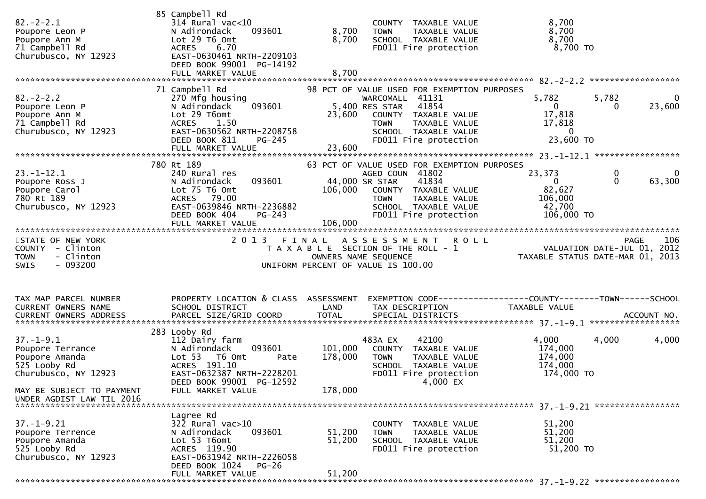| $82 - 2 - 2.1$<br>Poupore Leon P<br>Poupore Ann M<br>71 Campbell Rd<br>Churubusco, NY 12923    | 85 Campbell Rd<br>$314$ Rural vac<10<br>N Adirondack<br>093601<br>Lot 29 T6 Omt<br><b>ACRES</b><br>6.70<br>EAST-0630461 NRTH-2209103<br>DEED BOOK 99001 PG-14192<br>FULL MARKET VALUE | 8,700<br>8,700<br>8,700 | COUNTY TAXABLE VALUE<br>TAXABLE VALUE<br><b>TOWN</b><br>SCHOOL TAXABLE VALUE<br>FD011 Fire protection                                                                                              | 8,700<br>8,700<br>8,700<br>8,700 TO                                         |                                                         |
|------------------------------------------------------------------------------------------------|---------------------------------------------------------------------------------------------------------------------------------------------------------------------------------------|-------------------------|----------------------------------------------------------------------------------------------------------------------------------------------------------------------------------------------------|-----------------------------------------------------------------------------|---------------------------------------------------------|
|                                                                                                |                                                                                                                                                                                       |                         |                                                                                                                                                                                                    |                                                                             |                                                         |
| $82 - 2 - 2.2$<br>Poupore Leon P<br>Poupore Ann M<br>71 Campbell Rd<br>Churubusco, NY 12923    | 71 Campbell Rd<br>270 Mfg housing<br>093601<br>N Adirondack<br>Lot 29 T6omt<br>1.50<br><b>ACRES</b><br>EAST-0630562 NRTH-2208758<br>DEED BOOK 811<br>PG-245<br>FULL MARKET VALUE      | 23,600<br>23,600        | 98 PCT OF VALUE USED FOR EXEMPTION PURPOSES<br>WARCOMALL 41131<br>5,400 RES STAR<br>41854<br>COUNTY TAXABLE VALUE<br><b>TOWN</b><br>TAXABLE VALUE<br>SCHOOL TAXABLE VALUE<br>FD011 Fire protection | 5,782<br>0<br>17,818<br>17,818<br>$\bf{0}$<br>23,600 TO                     | 5,782<br>0<br>23,600<br>$\bf{0}$                        |
|                                                                                                |                                                                                                                                                                                       |                         |                                                                                                                                                                                                    |                                                                             |                                                         |
| $23 - 1 - 12.1$<br>Poupore Ross J<br>Poupore Carol<br>780 Rt 189<br>Churubusco, NY 12923       | 780 Rt 189<br>240 Rural res<br>093601<br>N Adirondack<br>Lot 75 T6 Omt<br>ACRES 79.00<br>EAST-0639846 NRTH-2236882<br>DEED BOOK 404<br>PG-243<br>FULL MARKET VALUE                    | 106,000<br>106,000      | 63 PCT OF VALUE USED FOR EXEMPTION PURPOSES<br>AGED COUN 41802<br>44,000 SR STAR<br>41834<br>COUNTY TAXABLE VALUE<br>TAXABLE VALUE<br>TOWN<br>SCHOOL TAXABLE VALUE<br>FD011 Fire protection        | 23,373<br>$\mathbf{0}$<br>82,627<br>106,000<br>42,700<br>106,000 TO         | $\mathbf 0$<br>$\overline{0}$<br>$\mathbf{0}$<br>63,300 |
|                                                                                                |                                                                                                                                                                                       |                         |                                                                                                                                                                                                    |                                                                             |                                                         |
| STATE OF NEW YORK<br>COUNTY - Clinton<br>- Clinton<br><b>TOWN</b><br>$-093200$<br>SWIS         | 2 0 1 3                                                                                                                                                                               |                         | FINAL ASSESSMENT<br><b>ROLL</b><br>T A X A B L E SECTION OF THE ROLL - 1<br>OWNERS NAME SEQUENCE<br>UNIFORM PERCENT OF VALUE IS 100.00                                                             | PAGE 106<br>VALUATION DATE-JUL 01, 2012<br>TAXABLE STATUS DATE-MAR 01, 2013 | 106<br><b>PAGE</b>                                      |
| TAX MAP PARCEL NUMBER<br>CURRENT OWNERS NAME                                                   | PROPERTY LOCATION & CLASS ASSESSMENT<br>SCHOOL DISTRICT                                                                                                                               | LAND                    | EXEMPTION CODE------------------COUNTY--------TOWN------SCHOOL<br>TAX DESCRIPTION                                                                                                                  | TAXABLE VALUE                                                               |                                                         |
|                                                                                                |                                                                                                                                                                                       |                         |                                                                                                                                                                                                    |                                                                             |                                                         |
|                                                                                                |                                                                                                                                                                                       |                         |                                                                                                                                                                                                    |                                                                             |                                                         |
| $37. - 1 - 9.1$<br>Poupore Terrance<br>Poupore Amanda<br>525 Looby Rd<br>Churubusco, NY 12923  | 283 Looby Rd<br>112 Dairy farm<br>N Adirondack<br>093601<br>Lot 53<br>T6 Omt<br>Pate<br>ACRES 191.10<br>EAST-0632387 NRTH-2228201<br>DEED BOOK 99001 PG-12592                         | 101,000<br>178,000      | 483A EX<br>42100<br>COUNTY TAXABLE VALUE<br>TAXABLE VALUE<br>TOWN<br>SCHOOL TAXABLE VALUE<br>FD011 Fire protection<br>$4,000$ EX                                                                   | 4,000<br>174,000<br>174,000<br>174,000<br>174,000 TO                        | 4,000<br>4,000                                          |
| MAY BE SUBJECT TO PAYMENT<br>UNDER AGDIST LAW TIL 2016                                         | FULL MARKET VALUE                                                                                                                                                                     | 178,000                 |                                                                                                                                                                                                    |                                                                             |                                                         |
|                                                                                                |                                                                                                                                                                                       |                         |                                                                                                                                                                                                    |                                                                             |                                                         |
| $37. - 1 - 9.21$<br>Poupore Terrence<br>Poupore Amanda<br>525 Looby Rd<br>Churubusco, NY 12923 | Lagree Rd<br>$32\overline{2}$ Rural vac $>10$<br>093601<br>N Adirondack<br>Lot 53 T6omt<br>ACRES 119.90<br>EAST-0631942 NRTH-2226058<br>DEED BOOK 1024<br><b>PG-26</b>                | 51,200<br>51,200        | COUNTY TAXABLE VALUE<br><b>TOWN</b><br>TAXABLE VALUE<br>SCHOOL TAXABLE VALUE<br>FD011 Fire protection                                                                                              | 51,200<br>51,200<br>51,200<br>51,200 TO                                     |                                                         |
|                                                                                                | FULL MARKET VALUE                                                                                                                                                                     | 51,200                  |                                                                                                                                                                                                    |                                                                             |                                                         |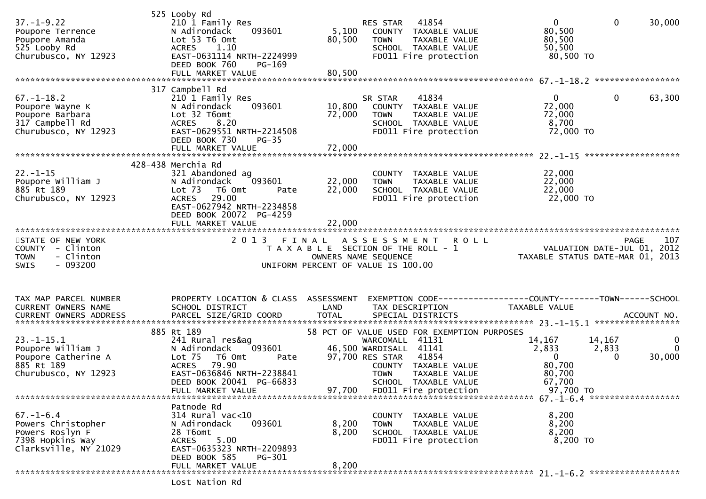| $37. - 1 - 9.22$<br>Poupore Terrence<br>Poupore Amanda<br>525 Looby Rd<br>Churubusco, NY 12923        | 525 Looby Rd<br>210 1 Family Res<br>N Adirondack<br>093601<br>Lot 53 T6 Omt<br><b>ACRES</b><br>1.10<br>EAST-0631114 NRTH-2224999<br>DEED BOOK 760<br><b>PG-169</b><br>FULL MARKET VALUE                       | 5,100<br>80,500<br>80,500  | 41854<br>RES STAR<br>COUNTY TAXABLE VALUE<br><b>TOWN</b><br>SCHOOL TAXABLE VALUE<br>FD011 Fire protection                                                                                                 | TAXABLE VALUE                                                  | $\mathbf 0$<br>80,500<br>80,500<br>50,500<br>80,500 TO                                        | $\mathbf 0$<br>30,000                                                                             |
|-------------------------------------------------------------------------------------------------------|---------------------------------------------------------------------------------------------------------------------------------------------------------------------------------------------------------------|----------------------------|-----------------------------------------------------------------------------------------------------------------------------------------------------------------------------------------------------------|----------------------------------------------------------------|-----------------------------------------------------------------------------------------------|---------------------------------------------------------------------------------------------------|
|                                                                                                       | 317 Campbell Rd                                                                                                                                                                                               |                            |                                                                                                                                                                                                           |                                                                |                                                                                               |                                                                                                   |
| $67. - 1 - 18.2$<br>Poupore Wayne K<br>Poupore Barbara<br>317 Campbell Rd<br>Churubusco, NY 12923     | 210 1 Family Res<br>N Adirondack<br>093601<br>Lot 32 T6omt<br><b>ACRES</b><br>8.20<br>EAST-0629551 NRTH-2214508<br>DEED BOOK 730<br>$PG-35$<br>FULL MARKET VALUE                                              | 10,800<br>72,000<br>72,000 | 41834<br>SR STAR<br>COUNTY TAXABLE VALUE<br><b>TOWN</b><br>SCHOOL TAXABLE VALUE<br>FD011 Fire protection                                                                                                  | TAXABLE VALUE                                                  | $\overline{0}$<br>72,000<br>72,000<br>8,700<br>72,000 TO                                      | $\mathbf{0}$<br>63,300                                                                            |
|                                                                                                       |                                                                                                                                                                                                               |                            |                                                                                                                                                                                                           |                                                                |                                                                                               |                                                                                                   |
| $22. - 1 - 15$<br>Poupore William J<br>885 Rt 189<br>Churubusco, NY 12923                             | 428-438 Merchia Rd<br>321 Abandoned ag<br>093601<br>N Adirondack<br>Lot <sub>73</sub><br>T6 Omt<br>Pate<br>29.00<br><b>ACRES</b><br>EAST-0627942 NRTH-2234858<br>DEED BOOK 20072 PG-4259<br>FULL MARKET VALUE | 22,000<br>22,000<br>22,000 | COUNTY TAXABLE VALUE<br>TOWN<br>SCHOOL TAXABLE VALUE<br>FD011 Fire protection                                                                                                                             | TAXABLE VALUE                                                  | 22,000<br>22,000<br>22,000<br>22,000 TO                                                       |                                                                                                   |
| STATE OF NEW YORK<br>COUNTY - Clinton<br>- Clinton<br><b>TOWN</b><br>$-093200$<br><b>SWIS</b>         | 2 0 1 3                                                                                                                                                                                                       | FINAL                      | A S S E S S M E N T<br>T A X A B L E SECTION OF THE ROLL - 1<br>OWNERS NAME SEQUENCE<br>UNIFORM PERCENT OF VALUE IS 100.00                                                                                | <b>ROLL</b>                                                    |                                                                                               | 107<br><b>PAGE</b><br>PAGE IO7<br>VALUATION DATE-JUL 01, 2012<br>TAXABLE STATUS DATE-MAR 01, 2013 |
| TAX MAP PARCEL NUMBER<br>CURRENT OWNERS NAME<br>CURRENT OWNERS ADDRESS                                | PROPERTY LOCATION & CLASS ASSESSMENT<br>SCHOOL DISTRICT                                                                                                                                                       | LAND                       | TAX DESCRIPTION                                                                                                                                                                                           | EXEMPTION CODE------------------COUNTY--------TOWN------SCHOOL | TAXABLE VALUE                                                                                 |                                                                                                   |
| $23. - 1 - 15.1$<br>Poupore William J<br>Poupore Catherine A<br>885 Rt 189<br>Churubusco, NY 12923    | 885 Rt 189<br>241 Rural res&ag<br>093601<br>N Adirondack<br>Lot $75$<br>T6 Omt<br>Pate<br>79.90<br><b>ACRES</b><br>EAST-0636846 NRTH-2238841<br>DEED BOOK 20041 PG-66833<br>FULL MARKET VALUE                 | 97,700                     | 58 PCT OF VALUE USED FOR EXEMPTION PURPOSES<br>WARCOMALL 41131<br>46,500 WARDISALL 41141<br>97,700 RES STAR 41854<br>COUNTY TAXABLE VALUE<br><b>TOWN</b><br>SCHOOL TAXABLE VALUE<br>FD011 Fire protection | TAXABLE VALUE                                                  | 14,167<br>14,167<br>2,833<br>2,833<br>$\mathbf{0}$<br>80,700<br>80,700<br>67,700<br>97,700 TO | 0<br>$\overline{0}$<br>$\Omega$<br>30,000                                                         |
| $67. - 1 - 6.4$<br>Powers Christopher<br>Powers Roslyn F<br>7398 Hopkins Way<br>Clarksville, NY 21029 | Patnode Rd<br>$314$ Rural vac<10<br>093601<br>N Adirondack<br>28 T6omt<br>5.00<br><b>ACRES</b><br>EAST-0635323 NRTH-2209893                                                                                   | 8,200<br>8,200             | COUNTY TAXABLE VALUE<br><b>TOWN</b><br>SCHOOL TAXABLE VALUE<br>FD011 Fire protection                                                                                                                      | TAXABLE VALUE                                                  | 8,200<br>8,200<br>8,200<br>8,200 TO                                                           |                                                                                                   |
|                                                                                                       | DEED BOOK 585<br>PG-301<br>FULL MARKET VALUE                                                                                                                                                                  | 8,200                      |                                                                                                                                                                                                           |                                                                |                                                                                               |                                                                                                   |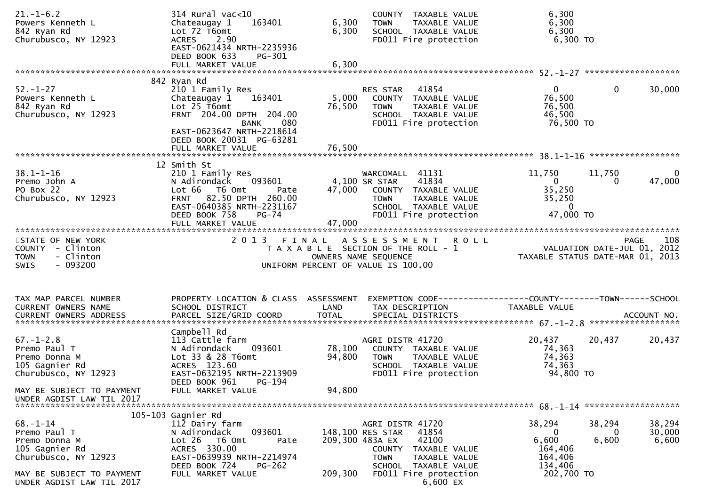| $21. - 1 - 6.2$<br>Powers Kenneth L<br>842 Ryan Rd<br>Churubusco, NY 12923                                                                         | $314$ Rural vac<10<br>163401<br>Chateaugay 1<br>Lot 72 T6omt<br><b>ACRES</b><br>2.90<br>EAST-0621434 NRTH-2235936<br>DEED BOOK 633<br>PG-301<br>FULL MARKET VALUE      | 6,300<br>6,300<br>6,300 | COUNTY TAXABLE VALUE<br><b>TOWN</b><br>TAXABLE VALUE<br>SCHOOL TAXABLE VALUE<br>FD011 Fire protection                                                                                             | 6,300<br>6,300<br>6,300<br>6,300 TO                                                           |                                |
|----------------------------------------------------------------------------------------------------------------------------------------------------|------------------------------------------------------------------------------------------------------------------------------------------------------------------------|-------------------------|---------------------------------------------------------------------------------------------------------------------------------------------------------------------------------------------------|-----------------------------------------------------------------------------------------------|--------------------------------|
|                                                                                                                                                    | 842 Ryan Rd                                                                                                                                                            |                         |                                                                                                                                                                                                   |                                                                                               |                                |
| $52. - 1 - 27$<br>Powers Kenneth L<br>842 Ryan Rd<br>Churubusco, NY 12923                                                                          | 210 1 Family Res<br>163401<br>Chateaugay 1<br>Lot $25$ T6omt<br>FRNT 204.00 DPTH 204.00<br>080<br><b>BANK</b><br>EAST-0623647 NRTH-2218614<br>DEED BOOK 20031 PG-63281 | 5,000<br>76,500         | RES STAR<br>41854<br>COUNTY TAXABLE VALUE<br><b>TOWN</b><br>TAXABLE VALUE<br>SCHOOL TAXABLE VALUE<br>FD011 Fire protection                                                                        | $\overline{0}$<br>76,500<br>76,500<br>46,500<br>76,500 TO                                     | 30,000<br>$\mathbf{0}$         |
|                                                                                                                                                    |                                                                                                                                                                        |                         |                                                                                                                                                                                                   |                                                                                               |                                |
| $38.1 - 1 - 16$<br>Premo John A<br>PO Box 22<br>Churubusco, NY 12923                                                                               | 12 Smith St<br>210 1 Family Res<br>093601<br>N Adirondack<br>Lot 66 T6 Omt<br>Pate<br>FRNT 82.50 DPTH 260.00<br>EAST-0640385 NRTH-2231167<br>DEED BOOK 758<br>$PG-74$  |                         | WARCOMALL 41131<br>41834<br>4,100 SR STAR<br>47,000 COUNTY TAXABLE VALUE<br><b>TOWN</b><br>TAXABLE VALUE<br>SCHOOL TAXABLE VALUE<br>FD011 Fire protection                                         | 11,750<br>11,750<br>$\mathbf{0}$<br>35,250<br>35,250<br>$\mathbf{0}$<br>47,000 TO             | 0<br>47,000<br>0               |
|                                                                                                                                                    | FULL MARKET VALUE                                                                                                                                                      | 47,000                  |                                                                                                                                                                                                   |                                                                                               |                                |
|                                                                                                                                                    |                                                                                                                                                                        |                         |                                                                                                                                                                                                   |                                                                                               |                                |
| STATE OF NEW YORK<br>COUNTY - Clinton<br>- Clinton<br><b>TOWN</b><br>- 093200<br><b>SWIS</b>                                                       | 2 0 1 3                                                                                                                                                                | FINAL                   | A S S E S S M E N T<br><b>ROLL</b><br>T A X A B L E SECTION OF THE ROLL - 1<br>OWNERS NAME SEQUENCE<br>UNIFORM PERCENT OF VALUE IS 100.00                                                         | VALUATION DATE-JUL 01, 2012<br>TAXABLE STATUS DATE-MAR 01, 2013                               | 108<br>PAGE                    |
| TAX MAP PARCEL NUMBER                                                                                                                              | PROPERTY LOCATION & CLASS ASSESSMENT                                                                                                                                   |                         | EXEMPTION CODE------------------COUNTY--------TOWN------SCHOOL                                                                                                                                    |                                                                                               |                                |
| CURRENT OWNERS NAME<br>CURRENT OWNERS ADDRESS                                                                                                      | SCHOOL DISTRICT<br>PARCEL SIZE/GRID COORD                                                                                                                              | LAND<br><b>TOTAL</b>    | TAX DESCRIPTION<br>SPECIAL DISTRICTS                                                                                                                                                              | TAXABLE VALUE                                                                                 | ACCOUNT NO.                    |
|                                                                                                                                                    | Campbell Rd                                                                                                                                                            |                         |                                                                                                                                                                                                   |                                                                                               |                                |
| $67. - 1 - 2.8$<br>Premo Paul T<br>Premo Donna M<br>105 Gagnier Rd<br>Churubusco, NY 12923                                                         | 113 Cattle farm<br>N Adirondack<br>093601<br>Lot 33 & 28 T6omt<br>ACRES 123.60<br>EAST-0632195 NRTH-2213909<br>DEED BOOK 961<br>PG-194                                 | 78,100<br>94,800        | AGRI DISTR 41720<br>COUNTY TAXABLE VALUE<br>TAXABLE VALUE<br><b>TOWN</b><br>SCHOOL TAXABLE VALUE<br>FD011 Fire protection                                                                         | 20,437<br>20,437<br>74,363<br>74,363<br>74,363<br>94,800 TO                                   | 20,437                         |
| MAY BE SUBJECT TO PAYMENT<br>UNDER AGDIST LAW TIL 2017                                                                                             | FULL MARKET VALUE                                                                                                                                                      | 94,800                  |                                                                                                                                                                                                   |                                                                                               |                                |
|                                                                                                                                                    | 105-103 Gagnier Rd                                                                                                                                                     |                         |                                                                                                                                                                                                   |                                                                                               |                                |
| $68 - 1 - 14$<br>Premo Paul T<br>Premo Donna M<br>105 Gagnier Rd<br>Churubusco, NY 12923<br>MAY BE SUBJECT TO PAYMENT<br>UNDER AGDIST LAW TIL 2017 | 112 Dairy farm<br>093601<br>N Adirondack<br>Lot 26 T6 Omt<br>Pate<br>ACRES 330.00<br>EAST-0639939 NRTH-2214974<br>DEED BOOK 724<br>$PG-262$<br>FULL MARKET VALUE       | 209,300                 | AGRI DISTR 41720<br>41854<br>148,100 RES STAR<br>42100<br>209,300 483A EX<br>COUNTY<br>TAXABLE VALUE<br><b>TOWN</b><br>TAXABLE VALUE<br>SCHOOL TAXABLE VALUE<br>FD011 Fire protection<br>6,600 EX | 38,294<br>38,294<br>$\bf{0}$<br>6,600<br>6,600<br>164,406<br>164,406<br>134,406<br>202,700 TO | 38,294<br>30,000<br>0<br>6,600 |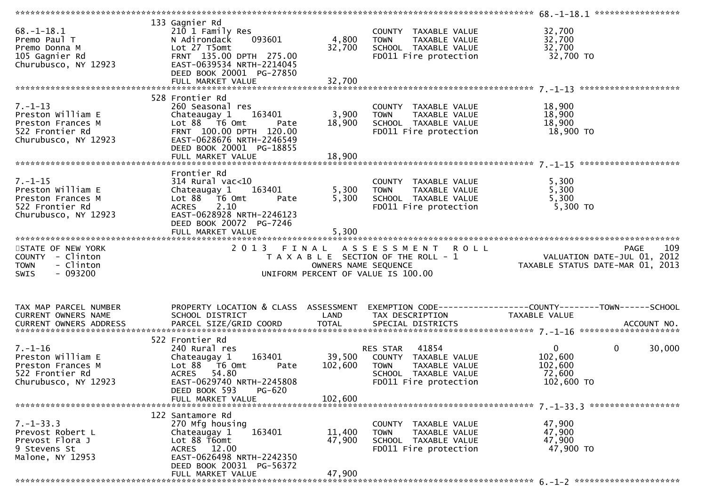| $68. - 1 - 18.1$<br>Premo Paul T<br>Premo Donna M<br>105 Gagnier Rd<br>Churubusco, NY 12923        | 133 Gagnier Rd<br>210 1 Family Res<br>093601<br>N Adirondack<br>Lot 27 T5omt<br>FRNT 135.00 DPTH 275.00<br>EAST-0639534 NRTH-2214045<br>DEED BOOK 20001 PG-27850                          | 4,800<br>32,700         | COUNTY TAXABLE VALUE<br><b>TOWN</b><br>TAXABLE VALUE<br>SCHOOL TAXABLE VALUE<br>FD011 Fire protection                             | 32,700<br>32,700<br>32,700<br>32,700 TO                                                |        |
|----------------------------------------------------------------------------------------------------|-------------------------------------------------------------------------------------------------------------------------------------------------------------------------------------------|-------------------------|-----------------------------------------------------------------------------------------------------------------------------------|----------------------------------------------------------------------------------------|--------|
| $7. - 1 - 13$<br>Preston William E<br>Preston Frances M<br>522 Frontier Rd<br>Churubusco, NY 12923 | 528 Frontier Rd<br>260 Seasonal res<br>Chateaugay 1 163401<br>Lot 88 T6 Omt<br>Pate<br>FRNT 100.00 DPTH 120.00<br>EAST-0628676 NRTH-2246549<br>DEED BOOK 20001 PG-18855                   | 3,900<br>18,900         | COUNTY TAXABLE VALUE<br>TAXABLE VALUE<br><b>TOWN</b><br>SCHOOL TAXABLE VALUE<br>FD011 Fire protection                             | 18,900<br>18,900<br>18,900<br>18,900 TO                                                |        |
| $7. - 1 - 15$<br>Preston William E<br>Preston Frances M<br>522 Frontier Rd<br>Churubusco, NY 12923 | Frontier Rd<br>$314$ Rural vac<10<br>163401<br>Chateaugay 1<br>Lot 88 T6 Omt<br>Pate<br>2.10<br><b>ACRES</b><br>EAST-0628928 NRTH-2246123<br>DEED BOOK 20072 PG-7246<br>FULL MARKET VALUE | 5,300<br>5,300<br>5,300 | COUNTY TAXABLE VALUE<br>TAXABLE VALUE<br><b>TOWN</b><br>SCHOOL TAXABLE VALUE<br>FD011 Fire protection                             | 5,300<br>5,300<br>5,300<br>5,300 TO                                                    |        |
| STATE OF NEW YORK<br>COUNTY - Clinton<br>- Clinton<br><b>TOWN</b><br>$-093200$<br><b>SWIS</b>      | 2 0 1 3<br>FINAL                                                                                                                                                                          |                         | ASSESSMENT ROLL<br>T A X A B L E SECTION OF THE ROLL - 1<br>OWNERS NAME SEQUENCE<br>UNIFORM PERCENT OF VALUE IS 100.00            | <b>PAGE</b><br>کند.<br>VALUATION DATE-JUL 01, 2012<br>TAXABLE STATUS DATE-MAR 01, 2013 | 109    |
| TAX MAP PARCEL NUMBER<br>CURRENT OWNERS NAME                                                       | PROPERTY LOCATION & CLASS ASSESSMENT<br>SCHOOL DISTRICT                                                                                                                                   | LAND                    | TAX DESCRIPTION                                                                                                                   | EXEMPTION CODE------------------COUNTY--------TOWN------SCHOOL<br>TAXABLE VALUE        |        |
| $7. - 1 - 16$<br>Preston William E<br>Preston Frances M<br>522 Frontier Rd<br>Churubusco, NY 12923 | 522 Frontier Rd<br>240 Rural res<br>163401<br>Chateaugay 1<br>Lot 88 T6 Omt<br>Pate<br>ACRES 54.80<br>EAST-0629740 NRTH-2245808<br>PG-620<br>DEED BOOK 593<br>FULL MARKET VALUE           | 102,600<br>102,600      | 41854<br>RES STAR<br>39,500 COUNTY TAXABLE VALUE<br>TAXABLE VALUE<br><b>TOWN</b><br>SCHOOL TAXABLE VALUE<br>FD011 Fire protection | $\mathbf 0$<br>$\mathbf{0}$<br>102,600<br>102,600<br>72,600<br>102,600 TO              | 30,000 |
|                                                                                                    |                                                                                                                                                                                           |                         |                                                                                                                                   |                                                                                        |        |
| $7. - 1 - 33.3$<br>Prevost Robert L<br>Prevost Flora J<br>9 Stevens St<br>Malone, NY 12953         | 122 Santamore Rd<br>270 Mfg housing<br>163401<br>Chateaugay 1<br>Lot 88 T6omt<br>ACRES 12.00<br>EAST-0626498 NRTH-2242350<br>DEED BOOK 20031 PG-56372                                     | 11,400<br>47,900        | COUNTY TAXABLE VALUE<br><b>TOWN</b><br>TAXABLE VALUE<br>SCHOOL TAXABLE VALUE<br>FD011 Fire protection                             | 47,900<br>47,900<br>47,900<br>47,900 TO                                                |        |
|                                                                                                    | FULL MARKET VALUE                                                                                                                                                                         | 47,900                  |                                                                                                                                   |                                                                                        |        |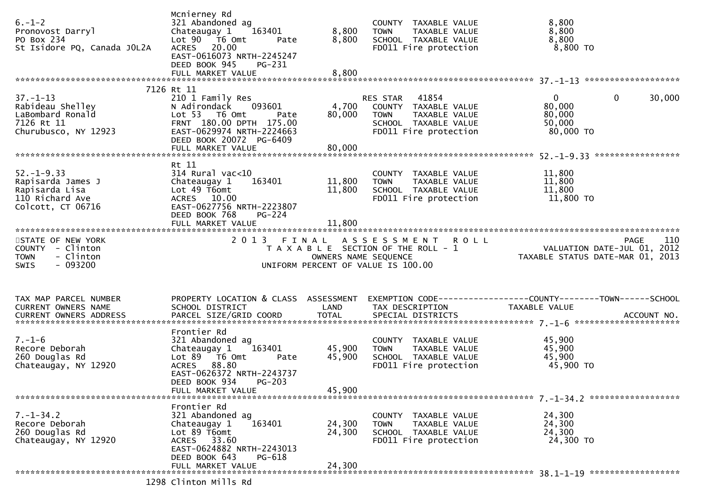| $6. - 1 - 2$<br>Pronovost Darryl<br>PO Box 234<br>St Isidore PQ, Canada JOL2A                   | Mcnierney Rd<br>321 Abandoned ag<br>Chateaugay 1<br>163401<br>Lot $90$ $\overline{76}$ Omt<br>Pate<br>ACRES 20.00<br>EAST-0616073 NRTH-2245247<br>DEED BOOK 945<br>PG-231<br>FULL MARKET VALUE                 | 8,800<br>8,800<br>8,800    | COUNTY TAXABLE VALUE<br><b>TOWN</b><br>TAXABLE VALUE<br>SCHOOL TAXABLE VALUE<br>FD011 Fire protection               | 8,800<br>8,800<br>8,800<br>8,800 TO                                    |                    |
|-------------------------------------------------------------------------------------------------|----------------------------------------------------------------------------------------------------------------------------------------------------------------------------------------------------------------|----------------------------|---------------------------------------------------------------------------------------------------------------------|------------------------------------------------------------------------|--------------------|
|                                                                                                 | 7126 Rt 11                                                                                                                                                                                                     |                            |                                                                                                                     |                                                                        |                    |
| $37. - 1 - 13$<br>Rabideau Shelley<br>LaBombard Ronald<br>7126 Rt 11<br>Churubusco, NY 12923    | 210 1 Family Res<br>093601<br>N Adirondack<br>Lot 53 T6 Omt<br>Pate<br>FRNT 180.00 DPTH 175.00<br>EAST-0629974 NRTH-2224663<br>DEED BOOK 20072 PG-6409<br>FULL MARKET VALUE                                    | 4,700<br>80,000<br>80,000  | 41854<br>RES STAR<br>COUNTY TAXABLE VALUE<br>TAXABLE VALUE<br>TOWN<br>SCHOOL TAXABLE VALUE<br>FD011 Fire protection | $\mathbf{0}$<br>$\mathbf 0$<br>80,000<br>80,000<br>50,000<br>80,000 TO | 30,000             |
|                                                                                                 |                                                                                                                                                                                                                |                            |                                                                                                                     |                                                                        |                    |
| $52. - 1 - 9.33$<br>Rapisarda James J<br>Rapisarda Lisa<br>110 Richard Ave<br>Colcott, CT 06716 | Rt 11<br>$314$ Rural vac<10<br>Chateaugay 1<br>163401<br>Lot $49$ T6omt<br>ACRES 10.00<br>EAST-0627756 NRTH-2223807<br>DEED BOOK 768<br><b>PG-224</b>                                                          | 11,800<br>11,800           | COUNTY TAXABLE VALUE<br>TAXABLE VALUE<br><b>TOWN</b><br>SCHOOL TAXABLE VALUE<br>FD011 Fire protection               | 11,800<br>11,800<br>11,800<br>11,800 TO                                |                    |
|                                                                                                 |                                                                                                                                                                                                                |                            |                                                                                                                     |                                                                        |                    |
| STATE OF NEW YORK<br>COUNTY - Clinton<br>- Clinton<br><b>TOWN</b><br>- 093200<br><b>SWIS</b>    |                                                                                                                                                                                                                | OWNERS NAME SEQUENCE       | 2013 FINAL ASSESSMENT ROLL<br>T A X A B L E SECTION OF THE ROLL - 1<br>UNIFORM PERCENT OF VALUE IS 100.00           | VALUATION DATE-JUL 01, 2012<br>TAXABLE STATUS DATE-MAR 01, 2013        | 110<br><b>PAGE</b> |
| TAX MAP PARCEL NUMBER<br><b>CURRENT OWNERS NAME</b>                                             | PROPERTY LOCATION & CLASS ASSESSMENT<br>SCHOOL DISTRICT                                                                                                                                                        | LAND                       | TAX DESCRIPTION                                                                                                     | <b>TAXABLE VALUE</b>                                                   |                    |
| $7. - 1 - 6$<br>Recore Deborah<br>260 Douglas Rd<br>Chateaugay, NY 12920                        | Frontier Rd<br>321 Abandoned ag<br>163401<br>Chateaugay 1<br>Lot $89$ $\overline{76}$ Omt<br>Pate<br><b>ACRES</b><br>88.80<br>EAST-0626372 NRTH-2243737<br>DEED BOOK 934<br><b>PG-203</b><br>FULL MARKET VALUE | 45,900<br>45,900<br>45,900 | COUNTY TAXABLE VALUE<br>TAXABLE VALUE<br><b>TOWN</b><br>SCHOOL TAXABLE VALUE<br>FD011 Fire protection               | 45,900<br>45,900<br>45,900<br>45,900 TO                                |                    |
|                                                                                                 |                                                                                                                                                                                                                |                            |                                                                                                                     |                                                                        |                    |
| $7. - 1 - 34.2$<br>Recore Deborah<br>260 Douglas Rd<br>Chateaugay, NY 12920                     | Frontier Rd<br>321 Abandoned ag<br>163401<br>Chateaugay 1<br>Lot 89 T6omt<br>ACRES 33.60<br>EAST-0624882 NRTH-2243013<br>DEED BOOK 643<br>PG-618                                                               | 24,300<br>24,300           | COUNTY TAXABLE VALUE<br><b>TOWN</b><br>TAXABLE VALUE<br>SCHOOL TAXABLE VALUE<br>FD011 Fire protection               | 24,300<br>24,300<br>24,300<br>24,300 TO                                |                    |
|                                                                                                 | FULL MARKET VALUE                                                                                                                                                                                              | 24,300                     |                                                                                                                     |                                                                        |                    |
|                                                                                                 | 1298 Clinton Mills Rd                                                                                                                                                                                          |                            |                                                                                                                     |                                                                        |                    |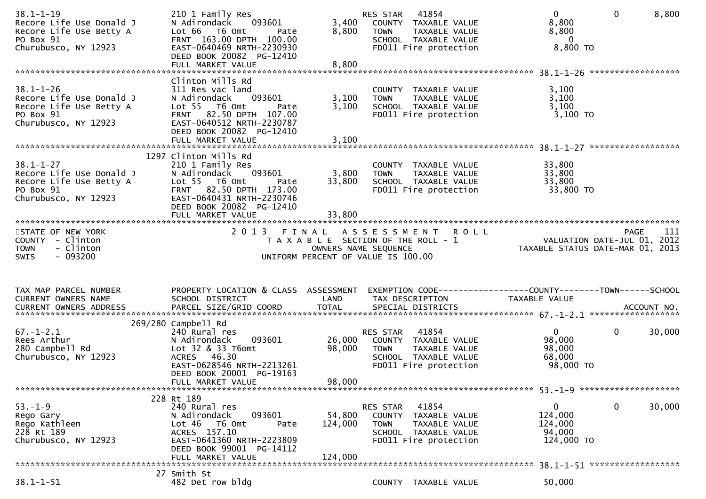| $38.1 - 1 - 19$<br>Recore Life Use Donald J<br>Recore Life Use Betty A<br>PO Box 91<br>Churubusco, NY 12923 | 210 1 Family Res<br>093601<br>N Adirondack<br>Lot 66 T6 Omt<br>Pate<br>FRNT 163.00 DPTH 100.00<br>EAST-0640469 NRTH-2230930<br>DEED BOOK 20082 PG-12410                                              | 3,400<br>8,800               | 41854<br>RES STAR<br>COUNTY TAXABLE VALUE<br><b>TOWN</b><br>TAXABLE VALUE<br>SCHOOL TAXABLE VALUE<br>FD011 Fire protection | $\mathbf{0}$<br>8,800<br>8,800<br>$\overline{\mathbf{0}}$<br>8,800 TO | $\mathbf{0}$ | 8,800  |
|-------------------------------------------------------------------------------------------------------------|------------------------------------------------------------------------------------------------------------------------------------------------------------------------------------------------------|------------------------------|----------------------------------------------------------------------------------------------------------------------------|-----------------------------------------------------------------------|--------------|--------|
| $38.1 - 1 - 26$<br>Recore Life Use Donald J<br>Recore Life Use Betty A<br>PO Box 91<br>Churubusco, NY 12923 | Clinton Mills Rd<br>311 Res vac land<br>093601<br>N Adirondack<br>Lot 55 T6 Omt<br>Pate<br>FRNT 82.50 DPTH 107.00<br>EAST-0640512 NRTH-2230787<br>DEED BOOK 20082 PG-12410                           | 3,100<br>3,100               | COUNTY TAXABLE VALUE<br>TAXABLE VALUE<br><b>TOWN</b><br>SCHOOL TAXABLE VALUE<br>FD011 Fire protection                      | 3,100<br>3,100<br>3,100<br>3,100 TO                                   |              |        |
| $38.1 - 1 - 27$<br>Recore Life Use Donald J<br>Recore Life Use Betty A<br>PO Box 91<br>Churubusco, NY 12923 | 1297 Clinton Mills Rd<br>210 1 Family Res<br>N Adirondack<br>093601<br>Lot 55 T6 Omt<br>Pate<br>FRNT 82.50 DPTH 173.00<br>EAST-0640431 NRTH-2230746<br>DEED BOOK 20082 PG-12410<br>FULL MARKET VALUE | 3,800<br>33,800<br>33,800    | COUNTY TAXABLE VALUE<br>TAXABLE VALUE<br>TOWN<br>SCHOOL TAXABLE VALUE<br>FD011 Fire protection                             | 33,800<br>33,800<br>33,800<br>33,800 TO                               |              |        |
| STATE OF NEW YORK<br>COUNTY - Clinton<br><b>TOWN</b><br>- Clinton<br>$-093200$<br><b>SWIS</b>               | 2013 FINAL                                                                                                                                                                                           | OWNERS NAME SEQUENCE         | ASSESSMENT ROLL<br>T A X A B L E SECTION OF THE ROLL - 1<br>OWNERS NAME SEQUENCE<br>UNIFORM PERCENT OF VALUE IS 100.00     |                                                                       | <b>PAGE</b>  | 111    |
| TAX MAP PARCEL NUMBER<br>CURRENT OWNERS NAME                                                                | PROPERTY LOCATION & CLASS ASSESSMENT<br>SCHOOL DISTRICT                                                                                                                                              | LAND                         | EXEMPTION CODE------------------COUNTY-------TOWN------SCHOOL<br>TAX DESCRIPTION                                           | TAXABLE VALUE                                                         |              |        |
| $67. - 1 - 2.1$<br>Rees Arthur<br>280 Campbell Rd<br>Churubusco, NY 12923                                   | 269/280 Campbell Rd<br>240 Rural res<br>093601<br>N Adirondack<br>Lot 32 & 33 T6omt<br>ACRES 46.30<br>EAST-0628546 NRTH-2213261<br>DEED BOOK 20001 PG-19163<br>FULL MARKET VALUE                     | 26,000<br>98,000<br>98,000   | 41854<br>RES STAR<br>COUNTY TAXABLE VALUE<br><b>TOWN</b><br>TAXABLE VALUE<br>SCHOOL TAXABLE VALUE<br>FD011 Fire protection | $\overline{0}$<br>98,000<br>98,000<br>68,000<br>98,000 TO             | $\mathbf 0$  | 30,000 |
|                                                                                                             |                                                                                                                                                                                                      |                              |                                                                                                                            |                                                                       |              |        |
| $53. - 1 - 9$<br>Rego Gary<br>Rego Kathleen<br>228 Rt 189<br>Churubusco, NY 12923                           | 228 Rt 189<br>240 Rural res<br>093601<br>N Adirondack<br>Lot 46<br>T6 Omt<br>Pate<br>ACRES 157.10<br>EAST-0641360 NRTH-2223809<br>DEED BOOK 99001 PG-14112<br>FULL MARKET VALUE                      | 54,800<br>124,000<br>124,000 | RES STAR 41854<br>COUNTY TAXABLE VALUE<br>TAXABLE VALUE<br><b>TOWN</b><br>SCHOOL TAXABLE VALUE<br>FD011 Fire protection    | $\mathbf{0}$<br>124,000<br>124,000<br>94,000<br>124,000 TO            | $\mathbf 0$  | 30,000 |
| $38.1 - 1 - 51$                                                                                             | 27 Smith St<br>482 Det row bldg                                                                                                                                                                      |                              | COUNTY TAXABLE VALUE                                                                                                       | 50,000                                                                |              |        |
|                                                                                                             |                                                                                                                                                                                                      |                              |                                                                                                                            |                                                                       |              |        |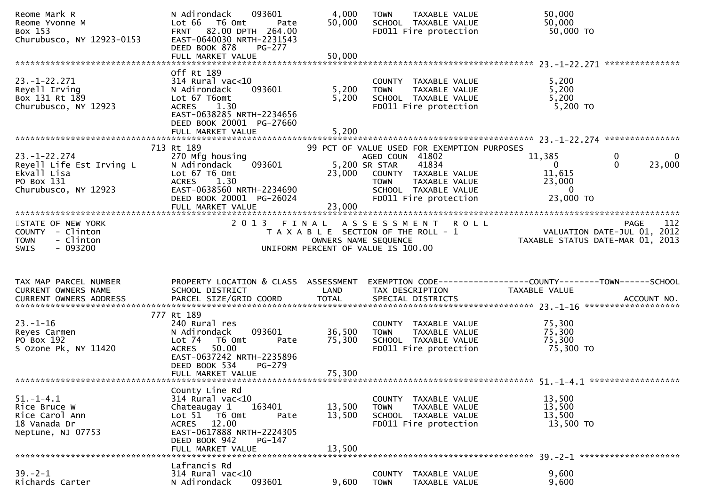| Reome Yvonne M<br>Box 153<br>Churubusco, NY 12923-0153                                              | 093601<br>N Adirondack<br>Lot 66 T6 Omt<br>Pate<br>FRNT 82.00 DPTH 264.00<br>EAST-0640030 NRTH-2231543<br>DEED BOOK 878<br><b>PG-277</b><br>FULL MARKET VALUE                               | 4,000<br>50,000<br>50,000  | TAXABLE VALUE<br><b>TOWN</b><br>SCHOOL TAXABLE VALUE<br>FD011 Fire protection                                                                      | 50,000<br>50,000<br>50,000 TO                                   |                                         |
|-----------------------------------------------------------------------------------------------------|---------------------------------------------------------------------------------------------------------------------------------------------------------------------------------------------|----------------------------|----------------------------------------------------------------------------------------------------------------------------------------------------|-----------------------------------------------------------------|-----------------------------------------|
|                                                                                                     |                                                                                                                                                                                             |                            |                                                                                                                                                    |                                                                 |                                         |
| $23. - 1 - 22.271$<br>Reyell Irving<br>Box 131 Rt 189<br>Churubusco, NY 12923                       | Off Rt 189<br>$314$ Rural vac<10<br>093601<br>N Adirondack<br>Lot 67 T6omt<br><b>ACRES</b><br>1.30<br>EAST-0638285 NRTH-2234656<br>DEED BOOK 20001 PG-27660<br>FULL MARKET VALUE            | 5,200<br>5,200<br>5,200    | COUNTY TAXABLE VALUE<br><b>TOWN</b><br>TAXABLE VALUE<br>SCHOOL TAXABLE VALUE<br>FD011 Fire protection                                              | 5,200<br>5,200<br>5,200<br>5,200 TO                             |                                         |
|                                                                                                     | 713 Rt 189                                                                                                                                                                                  |                            | 99 PCT OF VALUE USED FOR EXEMPTION PURPOSES                                                                                                        |                                                                 |                                         |
| $23. - 1 - 22.274$<br>Reyell Life Est Irving L<br>Ekvall Lisa<br>PO Box 131<br>Churubusco, NY 12923 | 270 Mfg housing<br>N Adirondack<br>093601<br>Lot 67 T6 Omt<br><b>ACRES</b><br>1.30<br>EAST-0638560 NRTH-2234690<br>DEED BOOK 20001 PG-26024<br>FULL MARKET VALUE                            | 23,000<br>23,000           | AGED COUN 41802<br>41834<br>5,200 SR STAR<br>COUNTY TAXABLE VALUE<br>TAXABLE VALUE<br><b>TOWN</b><br>SCHOOL TAXABLE VALUE<br>FD011 Fire protection | 11,385<br>$\overline{0}$<br>11,615<br>23,000<br>0<br>23,000 TO  | 0<br>$\Omega$<br>$\mathbf{0}$<br>23,000 |
|                                                                                                     |                                                                                                                                                                                             |                            |                                                                                                                                                    |                                                                 |                                         |
| STATE OF NEW YORK<br>COUNTY - Clinton<br>- Clinton<br><b>TOWN</b><br>$-093200$<br><b>SWIS</b>       |                                                                                                                                                                                             |                            | 2013 FINAL ASSESSMENT ROLL<br>T A X A B L E SECTION OF THE ROLL - 1<br>OWNERS NAME SEQUENCE<br>UNIFORM PERCENT OF VALUE IS 100.00                  | VALUATION DATE-JUL 01, 2012<br>TAXABLE STATUS DATE-MAR 01, 2013 | 112<br>PAGE                             |
|                                                                                                     |                                                                                                                                                                                             |                            |                                                                                                                                                    |                                                                 |                                         |
| TAX MAP PARCEL NUMBER                                                                               | PROPERTY LOCATION & CLASS ASSESSMENT                                                                                                                                                        |                            |                                                                                                                                                    | EXEMPTION CODE-----------------COUNTY--------TOWN------SCHOOL   |                                         |
| CURRENT OWNERS NAME                                                                                 | SCHOOL DISTRICT                                                                                                                                                                             | LAND                       | TAX DESCRIPTION                                                                                                                                    | TAXABLE VALUE                                                   |                                         |
|                                                                                                     | 777 Rt 189                                                                                                                                                                                  |                            |                                                                                                                                                    |                                                                 |                                         |
| $23. - 1 - 16$<br>Reyes Carmen<br>PO Box 192<br>S Ozone Pk, NY 11420                                | 240 Rural res<br>N Adirondack<br>093601<br>Lot 74<br>T6 Omt<br>Pate<br>50.00<br><b>ACRES</b><br>EAST-0637242 NRTH-2235896<br>DEED BOOK 534<br>PG-279                                        | 36,500<br>75,300           | COUNTY TAXABLE VALUE<br>TAXABLE VALUE<br><b>TOWN</b><br>SCHOOL TAXABLE VALUE<br>FD011 Fire protection                                              | 75,300<br>75,300<br>75,300<br>75,300 TO                         |                                         |
|                                                                                                     | FULL MARKET VALUE                                                                                                                                                                           | 75,300                     |                                                                                                                                                    |                                                                 |                                         |
| 51. – 1–4.1<br>Rice Bruce W<br>Rice Carol Ann<br>18 Vanada Dr<br>Neptune, NJ 07753                  | County Line Rd<br>314 Rural vac<10<br>Chateaugay 1<br>163401<br>Lot 51 T6 Omt<br>Pate<br>12.00<br><b>ACRES</b><br>EAST-0617888 NRTH-2224305<br>DEED BOOK 942<br>PG-147<br>FULL MARKET VALUE | 13,500<br>13,500<br>13,500 | COUNTY TAXABLE VALUE<br><b>TOWN</b><br>TAXABLE VALUE<br>SCHOOL TAXABLE VALUE<br>FD011 Fire protection                                              | 13,500<br>13,500<br>13,500<br>13,500 TO                         |                                         |
|                                                                                                     | Lafrancis Rd                                                                                                                                                                                |                            |                                                                                                                                                    |                                                                 |                                         |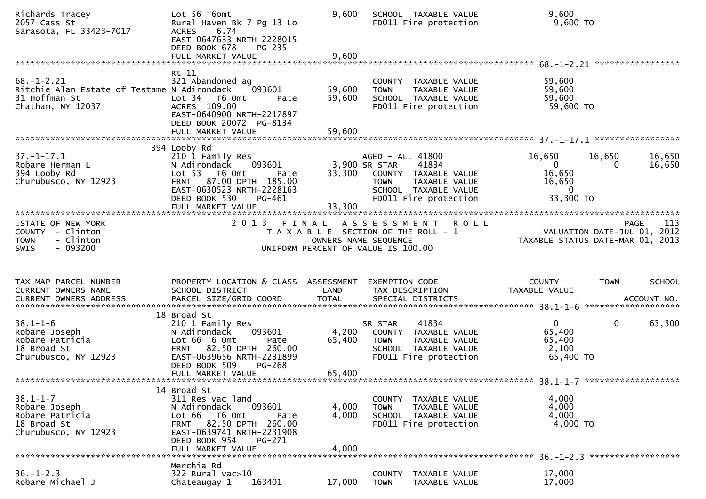| Richards Tracey<br>2057 Cass St<br>Sarasota, FL 33423-7017                                            | Lot 56 T6omt<br>Rural Haven Bk 7 Pg 13 Lo<br>6.74<br><b>ACRES</b><br>EAST-0647633 NRTH-2228015<br>DEED BOOK 678<br>$PG-235$                                                   | 9,600                      | SCHOOL TAXABLE VALUE<br>FD011 Fire protection                                                                                                       | 9,600<br>9,600 TO                                                         |                                                                                |
|-------------------------------------------------------------------------------------------------------|-------------------------------------------------------------------------------------------------------------------------------------------------------------------------------|----------------------------|-----------------------------------------------------------------------------------------------------------------------------------------------------|---------------------------------------------------------------------------|--------------------------------------------------------------------------------|
|                                                                                                       | FULL MARKET VALUE                                                                                                                                                             | 9,600                      |                                                                                                                                                     |                                                                           |                                                                                |
| $68. - 1 - 2.21$<br>Ritchie Alan Estate of Testame N Adirondack<br>31 Hoffman St<br>Chatham, NY 12037 | Rt 11<br>321 Abandoned ag<br>093601<br>Lot 34 T6 Omt<br>Pate<br>ACRES 109.00<br>EAST-0640900 NRTH-2217897<br>DEED BOOK 20072 PG-8134<br>FULL MARKET VALUE                     | 59,600<br>59,600<br>59,600 | COUNTY TAXABLE VALUE<br><b>TOWN</b><br>TAXABLE VALUE<br>SCHOOL TAXABLE VALUE<br>FD011 Fire protection                                               | 59,600<br>59,600<br>59,600<br>59,600 TO                                   |                                                                                |
|                                                                                                       | 394 Looby Rd                                                                                                                                                                  |                            |                                                                                                                                                     |                                                                           |                                                                                |
| $37. - 1 - 17.1$<br>Robare Herman L<br>394 Looby Rd<br>Churubusco, NY 12923                           | 210 1 Family Res<br>N Adirondack<br>093601<br>Lot 53  T6 Omt<br>Pate<br>FRNT 87.00 DPTH 185.00<br>EAST-0630523 NRTH-2228163<br>DEED BOOK 530<br>PG-461<br>FULL MARKET VALUE   | 33,300<br>33,300           | AGED - ALL 41800<br>3,900 SR STAR<br>41834<br>COUNTY TAXABLE VALUE<br>TAXABLE VALUE<br><b>TOWN</b><br>SCHOOL TAXABLE VALUE<br>FD011 Fire protection | 16,650<br>$\mathbf{0}$<br>16,650<br>16,650<br>$\overline{0}$<br>33,300 TO | 16,650<br>16,650<br>16,650<br>0                                                |
|                                                                                                       |                                                                                                                                                                               |                            |                                                                                                                                                     |                                                                           |                                                                                |
| STATE OF NEW YORK<br>COUNTY - Clinton<br>- Clinton<br><b>TOWN</b><br>$-093200$<br>SWIS                | 2 0 1 3                                                                                                                                                                       | FINAL                      | ASSESSMENT ROLL<br>T A X A B L E SECTION OF THE ROLL - 1<br>OWNERS NAME SEQUENCE<br>UNIFORM PERCENT OF VALUE IS 100.00                              |                                                                           | 113<br>PAGE<br>VALUATION DATE-JUL 01, 2012<br>TAXABLE STATUS DATE-MAR 01, 2013 |
| TAX MAP PARCEL NUMBER<br>CURRENT OWNERS NAME                                                          | PROPERTY LOCATION & CLASS ASSESSMENT<br>SCHOOL DISTRICT                                                                                                                       | LAND                       | TAX DESCRIPTION                                                                                                                                     | TAXABLE VALUE                                                             |                                                                                |
|                                                                                                       | 18 Broad St                                                                                                                                                                   |                            |                                                                                                                                                     |                                                                           |                                                                                |
| $38.1 - 1 - 6$<br>Robare Joseph<br>Robare Patricia<br>18 Broad St<br>Churubusco, NY 12923             | 210 1 Family Res<br>N Adirondack<br>093601<br>Lot 66 T6 Omt<br>Pate<br>FRNT 82.50 DPTH 260.00<br>EAST-0639656 NRTH-2231899<br>DEED BOOK 509<br>PG-268<br>FULL MARKET VALUE    | 4,200<br>65,400<br>65,400  | 41834<br>SR STAR<br>COUNTY TAXABLE VALUE<br><b>TOWN</b><br>TAXABLE VALUE<br>SCHOOL TAXABLE VALUE<br>FD011 Fire protection                           | $\mathbf{0}$<br>65,400<br>65,400<br>2,100<br>65,400 TO                    | 63,300<br>0                                                                    |
|                                                                                                       | 14 Broad St                                                                                                                                                                   |                            |                                                                                                                                                     |                                                                           |                                                                                |
| $38.1 - 1 - 7$<br>Robare Joseph<br>Robare Patricia<br>18 Broad St<br>Churubusco, NY 12923             | 311 Res vac land<br>093601<br>N Adirondack<br>Lot 66<br>T6 Omt<br>Pate<br>FRNT 82.50 DPTH 260.00<br>EAST-0639741 NRTH-2231908<br>DEED BOOK 954<br>PG-271<br>FULL MARKET VALUE | 4,000<br>4,000<br>4,000    | COUNTY TAXABLE VALUE<br>TAXABLE VALUE<br><b>TOWN</b><br>SCHOOL TAXABLE VALUE<br>FD011 Fire protection                                               | 4,000<br>4,000<br>4,000<br>4,000 TO                                       |                                                                                |
|                                                                                                       | Merchia Rd                                                                                                                                                                    |                            |                                                                                                                                                     |                                                                           |                                                                                |
| $36. - 1 - 2.3$<br>Robare Michael J                                                                   | $322$ Rural vac $>10$<br>163401<br>Chateaugay 1                                                                                                                               | 17,000                     | COUNTY<br>TAXABLE VALUE<br><b>TOWN</b><br>TAXABLE VALUE                                                                                             | 17,000<br>17,000                                                          |                                                                                |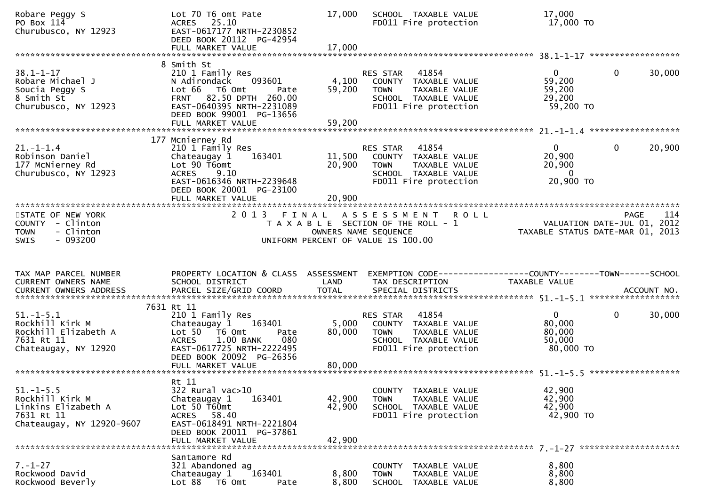| Robare Peggy S<br>PO Box 114<br>Churubusco, NY 12923                                                 | Lot 70 T6 omt Pate<br>ACRES 25.10<br>EAST-0617177 NRTH-2230852<br>DEED BOOK 20112 PG-42954                                                                                           | 17,000                     | SCHOOL TAXABLE VALUE<br>FD011 Fire protection                                                                              | 17,000<br>17,000 TO                                             |                        |
|------------------------------------------------------------------------------------------------------|--------------------------------------------------------------------------------------------------------------------------------------------------------------------------------------|----------------------------|----------------------------------------------------------------------------------------------------------------------------|-----------------------------------------------------------------|------------------------|
|                                                                                                      | 8 Smith St                                                                                                                                                                           |                            |                                                                                                                            |                                                                 |                        |
| $38.1 - 1 - 17$<br>Robare Michael J<br>Soucia Peggy S<br>8 Smith St<br>Churubusco, NY 12923          | 210 1 Family Res<br>093601<br>N Adirondack<br>Lot 66<br>T6 Omt<br>Pate<br>FRNT 82.50 DPTH 260.00<br>EAST-0640395 NRTH-2231089<br>DEED BOOK 99001 PG-13656                            | 4,100<br>59,200            | 41854<br>RES STAR<br>COUNTY TAXABLE VALUE<br><b>TOWN</b><br>TAXABLE VALUE<br>SCHOOL TAXABLE VALUE<br>FD011 Fire protection | $\overline{0}$<br>59,200<br>59,200<br>29,200<br>59,200 TO       | $\mathbf{0}$<br>30,000 |
|                                                                                                      |                                                                                                                                                                                      |                            |                                                                                                                            |                                                                 |                        |
| $21. - 1 - 1.4$<br>Robinson Daniel<br>177 McNierney Rd<br>Churubusco, NY 12923                       | 177 Mcnierney Rd<br>210 1 Family Res<br>163401<br>Chateaugay 1<br>Lot 90 T6omt<br>9.10<br><b>ACRES</b><br>EAST-0616346 NRTH-2239648<br>DEED BOOK 20001 PG-23100<br>FULL MARKET VALUE | 11,500<br>20,900<br>20,900 | 41854<br>RES STAR<br>COUNTY TAXABLE VALUE<br><b>TOWN</b><br>TAXABLE VALUE<br>SCHOOL TAXABLE VALUE<br>FD011 Fire protection | $\mathbf{0}$<br>20,900<br>20,900<br>$\overline{0}$<br>20,900 ТО | 20,900<br>$\mathbf{0}$ |
|                                                                                                      |                                                                                                                                                                                      |                            |                                                                                                                            |                                                                 | 114                    |
| STATE OF NEW YORK<br>COUNTY - Clinton<br><b>TOWN</b><br>- Clinton<br>$-093200$<br><b>SWIS</b>        | 2 0 1 3                                                                                                                                                                              | OWNERS NAME SEQUENCE       | <b>ROLL</b><br>FINAL ASSESSMENT<br>T A X A B L E SECTION OF THE ROLL - 1<br>UNIFORM PERCENT OF VALUE IS 100.00             | VALUATION DATE-JUL 01, 2012<br>TAXABLE STATUS DATE-MAR 01, 2013 | PAGE                   |
|                                                                                                      |                                                                                                                                                                                      |                            |                                                                                                                            |                                                                 |                        |
| TAX MAP PARCEL NUMBER                                                                                | PROPERTY LOCATION & CLASS ASSESSMENT                                                                                                                                                 |                            |                                                                                                                            |                                                                 |                        |
| CURRENT OWNERS NAME                                                                                  | SCHOOL DISTRICT                                                                                                                                                                      | LAND                       | TAX DESCRIPTION                                                                                                            | TAXABLE VALUE                                                   |                        |
|                                                                                                      | 7631 Rt 11                                                                                                                                                                           |                            |                                                                                                                            |                                                                 |                        |
| $51. - 1 - 5.1$<br>Rockhill Kirk M<br>Rockhill Elizabeth A<br>7631 Rt 11<br>Chateaugay, NY 12920     | 210 1 Family Res<br>Chateaugay 1<br>163401<br>Lot 50 T6 Omt<br>Pate<br>1.00 BANK<br>080<br><b>ACRES</b><br>EAST-0617725 NRTH-2222495                                                 | 5,000<br>80,000            | 41854<br>RES STAR<br>COUNTY TAXABLE VALUE<br><b>TOWN</b><br>TAXABLE VALUE<br>SCHOOL TAXABLE VALUE<br>FD011 Fire protection | $\overline{0}$<br>80,000<br>80,000<br>50,000<br>80,000 TO       | $\mathbf 0$<br>30,000  |
|                                                                                                      | DEED BOOK 20092 PG-26356                                                                                                                                                             |                            |                                                                                                                            |                                                                 |                        |
| $51. - 1 - 5.5$<br>Rockhill Kirk M<br>Linkins Elizabeth A<br>7631 Rt 11<br>Chateaugay, NY 12920-9607 | Rt 11<br>322 Rural vac>10<br>Chateaugay 1<br>163401<br>Lot 50 T60mt<br>ACRES 58.40<br>EAST-0618491 NRTH-2221804<br>DEED BOOK 20011 PG-37861<br>FULL MARKET VALUE                     | 42,900<br>42,900<br>42,900 | COUNTY TAXABLE VALUE<br>TAXABLE VALUE<br><b>TOWN</b><br>SCHOOL TAXABLE VALUE<br>FD011 Fire protection                      | 42,900<br>42,900<br>42,900<br>42,900 TO                         |                        |
| $7. - 1 - 27$                                                                                        | Santamore Rd<br>321 Abandoned ag                                                                                                                                                     |                            |                                                                                                                            | 8,800                                                           |                        |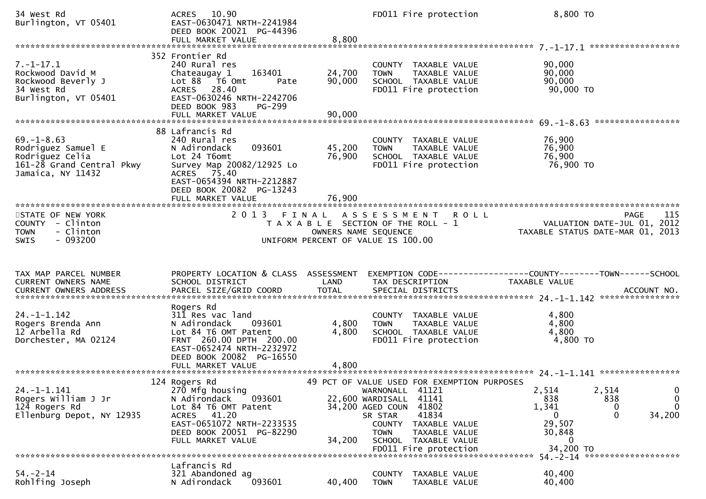| 34 West Rd<br>Burlington, VT 05401                                                                          | 10.90<br><b>ACRES</b><br>EAST-0630471 NRTH-2241984<br>DEED BOOK 20021 PG-44396<br>FULL MARKET VALUE                                                                                                  | 8,800                                                               | FD011 Fire protection                                                                                                                                                                                       | 8,800 TO                                                                      |                                                                                        |
|-------------------------------------------------------------------------------------------------------------|------------------------------------------------------------------------------------------------------------------------------------------------------------------------------------------------------|---------------------------------------------------------------------|-------------------------------------------------------------------------------------------------------------------------------------------------------------------------------------------------------------|-------------------------------------------------------------------------------|----------------------------------------------------------------------------------------|
|                                                                                                             |                                                                                                                                                                                                      |                                                                     |                                                                                                                                                                                                             |                                                                               |                                                                                        |
| $7. - 1 - 17.1$<br>Rockwood David M<br>Rockwood Beverly J<br>34 West Rd<br>Burlington, VT 05401             | 352 Frontier Rd<br>240 Rural res<br>163401<br>Chateaugay 1<br>Lot 88 T6 Omt<br>Pate<br>ACRES 28.40<br>EAST-0630246 NRTH-2242706<br>DEED BOOK 983<br>PG-299                                           | 24,700<br>90,000                                                    | COUNTY TAXABLE VALUE<br>TAXABLE VALUE<br><b>TOWN</b><br>SCHOOL TAXABLE VALUE<br>FD011 Fire protection                                                                                                       | 90,000<br>90,000<br>90,000<br>90,000 TO                                       |                                                                                        |
|                                                                                                             |                                                                                                                                                                                                      |                                                                     |                                                                                                                                                                                                             |                                                                               |                                                                                        |
| $69. - 1 - 8.63$<br>Rodriguez Samuel E<br>Rodriguez Celia<br>161-28 Grand Central Pkwy<br>Jamaica, NY 11432 | 88 Lafrancis Rd<br>240 Rural res<br>093601<br>N Adirondack<br>Lot 24 T6omt<br>Survey Map 20082/12925 Lo<br>ACRES 75.40<br>EAST-0654394 NRTH-2212887<br>DEED BOOK 20082 PG-13243<br>FULL MARKET VALUE | 45,200<br>76,900<br>76,900                                          | COUNTY TAXABLE VALUE<br><b>TOWN</b><br>TAXABLE VALUE<br>SCHOOL TAXABLE VALUE<br>FD011 Fire protection                                                                                                       | 76,900<br>76,900<br>76,900<br>76,900 TO                                       |                                                                                        |
|                                                                                                             |                                                                                                                                                                                                      |                                                                     |                                                                                                                                                                                                             |                                                                               |                                                                                        |
| STATE OF NEW YORK<br>COUNTY - Clinton<br><b>TOWN</b><br>- Clinton<br>$-093200$<br><b>SWIS</b>               | 2 0 1 3                                                                                                                                                                                              | FINAL<br>OWNERS NAME SEQUENCE<br>UNIFORM PERCENT OF VALUE IS 100.00 | A S S E S S M E N T<br><b>ROLL</b><br>T A X A B L E SECTION OF THE ROLL - 1                                                                                                                                 |                                                                               | 115<br><b>PAGE</b><br>VALUATION DATE-JUL 01, 2012<br>TAXABLE STATUS DATE-MAR 01, 2013  |
| TAX MAP PARCEL NUMBER<br>CURRENT OWNERS NAME                                                                | PROPERTY LOCATION & CLASS ASSESSMENT<br>SCHOOL DISTRICT                                                                                                                                              | LAND                                                                | TAX DESCRIPTION                                                                                                                                                                                             | EXEMPTION CODE-----------------COUNTY-------TOWN------SCHOOL<br>TAXABLE VALUE |                                                                                        |
| $24. -1 - 1.142$<br>Rogers Brenda Ann<br>12 Arbella Rd<br>Dorchester, MA 02124                              | Rogers Rd<br>311 Res vac land<br>N Adirondack<br>093601<br>Lot 84 T6 OMT Patent<br>FRNT 260.00 DPTH 200.00<br>EAST-0652474 NRTH-2232972<br>DEED BOOK 20082 PG-16550                                  | 4,800<br>4,800                                                      | COUNTY TAXABLE VALUE<br>TAXABLE VALUE<br><b>TOWN</b><br>SCHOOL TAXABLE VALUE<br>FD011 Fire protection                                                                                                       | 4,800<br>4,800<br>4,800<br>4,800 TO                                           |                                                                                        |
|                                                                                                             |                                                                                                                                                                                                      |                                                                     |                                                                                                                                                                                                             |                                                                               |                                                                                        |
|                                                                                                             |                                                                                                                                                                                                      |                                                                     |                                                                                                                                                                                                             |                                                                               |                                                                                        |
| $24. -1 - 1.141$<br>Rogers William J Jr<br>124 Rogers Rd<br>Ellenburg Depot, NY 12935                       | 124 Rogers Rd<br>270 Mfg housing<br>093601<br>N Adirondack<br>Lot 84 T6 OMT Patent<br>ACRES 41.20<br>EAST-0651072 NRTH-2233535<br>DEED BOOK 20051 PG-82290<br>FULL MARKET VALUE                      | 22,600 WARDISALL<br>34,200 AGED COUN<br>34,200                      | 49 PCT OF VALUE USED FOR EXEMPTION PURPOSES<br>41121<br>WARNONALL<br>41141<br>41802<br>41834<br>SR STAR<br><b>COUNTY</b><br>TAXABLE VALUE<br>TAXABLE VALUE<br><b>TOWN</b><br>TAXABLE VALUE<br><b>SCHOOL</b> | 2,514<br>838<br>1,341<br>0<br>29,507<br>30,848<br>0                           | 2,514<br>0<br>838<br>$\mathbf 0$<br>$\mathbf{0}$<br>$\bf{0}$<br>$\mathbf{0}$<br>34,200 |
|                                                                                                             |                                                                                                                                                                                                      |                                                                     | FD011 Fire protection                                                                                                                                                                                       | 34,200 TO                                                                     | 54. - 2 - 14 ********************                                                      |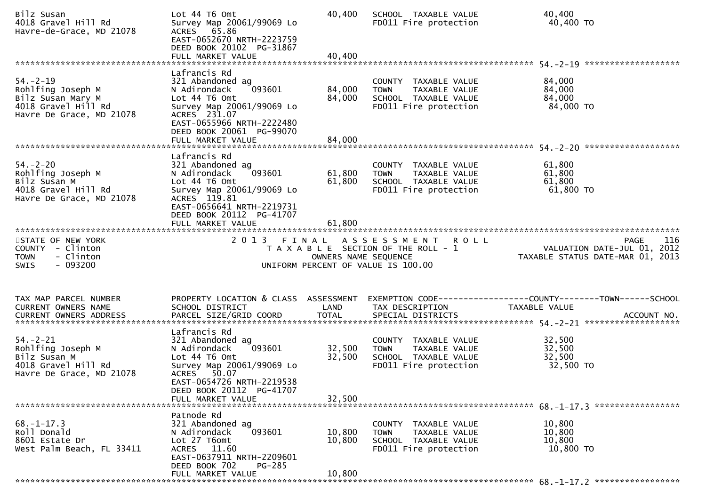| Bilz Susan<br>4018 Gravel Hill Rd<br>Havre-de-Grace, MD 21078                                               | Lot 44 T6 Omt<br>Survey Map 20061/99069 Lo<br>ACRES 65.86<br>EAST-0652670 NRTH-2223759<br>DEED BOOK 20102 PG-31867<br>FULL MARKET VALUE                                           | 40,400<br>40,400     | SCHOOL TAXABLE VALUE<br>FD011 Fire protection                                                         | 40,400<br>40,400 TO                                                                   |
|-------------------------------------------------------------------------------------------------------------|-----------------------------------------------------------------------------------------------------------------------------------------------------------------------------------|----------------------|-------------------------------------------------------------------------------------------------------|---------------------------------------------------------------------------------------|
|                                                                                                             | Lafrancis Rd                                                                                                                                                                      |                      |                                                                                                       |                                                                                       |
| $54. - 2 - 19$<br>Rohlfing Joseph M<br>Bilz Susan Mary M<br>4018 Gravel Hill Rd<br>Havre De Grace, MD 21078 | 321 Abandoned ag<br>093601<br>N Adirondack<br>Lot 44 76 0mt<br>Survey Map 20061/99069 Lo<br>ACRES 231.07<br>EAST-0655966 NRTH-2222480<br>DEED BOOK 20061 PG-99070                 | 84,000<br>84,000     | COUNTY TAXABLE VALUE<br><b>TOWN</b><br>TAXABLE VALUE<br>SCHOOL TAXABLE VALUE<br>FD011 Fire protection | 84,000<br>84,000<br>84,000<br>84,000 TO                                               |
|                                                                                                             |                                                                                                                                                                                   |                      |                                                                                                       |                                                                                       |
| $54. - 2 - 20$<br>Rohlfing Joseph M<br>Bilz Susan M<br>4018 Gravel Hill Rd<br>Havre De Grace, MD 21078      | Lafrancis Rd<br>321 Abandoned ag<br>093601<br>N Adirondack<br>Lot 44 T6 Omt<br>Survey Map 20061/99069 Lo<br>ACRES 119.81<br>EAST-0656641 NRTH-2219731<br>DEED BOOK 20112 PG-41707 | 61,800<br>61,800     | COUNTY TAXABLE VALUE<br><b>TOWN</b><br>TAXABLE VALUE<br>SCHOOL TAXABLE VALUE<br>FD011 Fire protection | 61,800<br>61,800<br>61,800<br>61,800 TO                                               |
|                                                                                                             |                                                                                                                                                                                   | 61,800               |                                                                                                       |                                                                                       |
| STATE OF NEW YORK<br>COUNTY - Clinton<br>- Clinton<br><b>TOWN</b><br>$-093200$<br><b>SWIS</b>               | 2013 FINAL                                                                                                                                                                        | OWNERS NAME SEQUENCE | ASSESSMENT ROLL<br>T A X A B L E SECTION OF THE ROLL - 1<br>UNIFORM PERCENT OF VALUE IS 100.00        | <b>PAGE</b><br>116<br>VALUATION DATE-JUL 01, 2012<br>TAXABLE STATUS DATE-MAR 01, 2013 |
| TAX MAP PARCEL NUMBER<br>CURRENT OWNERS NAME                                                                | PROPERTY LOCATION & CLASS ASSESSMENT<br>SCHOOL DISTRICT                                                                                                                           | LAND                 | TAX DESCRIPTION                                                                                       | EXEMPTION CODE-----------------COUNTY-------TOWN------SCHOOL<br>TAXABLE VALUE         |
| $54. - 2 - 21$<br>Rohlfing Joseph M<br>Bilz Susan M<br>4018 Gravel Hill Rd<br>Havre De Grace, MD 21078      | Lafrancis Rd<br>321 Abandoned ag<br>093601<br>N Adirondack<br>Lot 44 T6 Omt<br>Survey Map 20061/99069 Lo<br>ACRES 50.07<br>EAST-0654726 NRTH-2219538<br>DEED BOOK 20112 PG-41707  | 32,500<br>32,500     | COUNTY TAXABLE VALUE<br><b>TOWN</b><br>TAXABLE VALUE<br>SCHOOL TAXABLE VALUE<br>FD011 Fire protection | 32,500<br>32,500<br>32,500<br>32,500 TO                                               |
|                                                                                                             | FULL MARKET VALUE                                                                                                                                                                 | 32,500               |                                                                                                       |                                                                                       |
| $68. - 1 - 17.3$<br>Roll Donald<br>8601 Estate Dr<br>West Palm Beach, FL 33411                              | Patnode Rd<br>321 Abandoned ag<br>093601<br>N Adirondack<br>Lot 27 T6omt<br>ACRES 11.60<br>EAST-0637911 NRTH-2209601<br>DEED BOOK 702<br>PG-285                                   | 10,800<br>10,800     | COUNTY TAXABLE VALUE<br><b>TOWN</b><br>TAXABLE VALUE<br>SCHOOL TAXABLE VALUE<br>FD011 Fire protection | 10,800<br>10,800<br>10,800<br>10,800 TO                                               |
|                                                                                                             | FULL MARKET VALUE                                                                                                                                                                 | 10,800               |                                                                                                       |                                                                                       |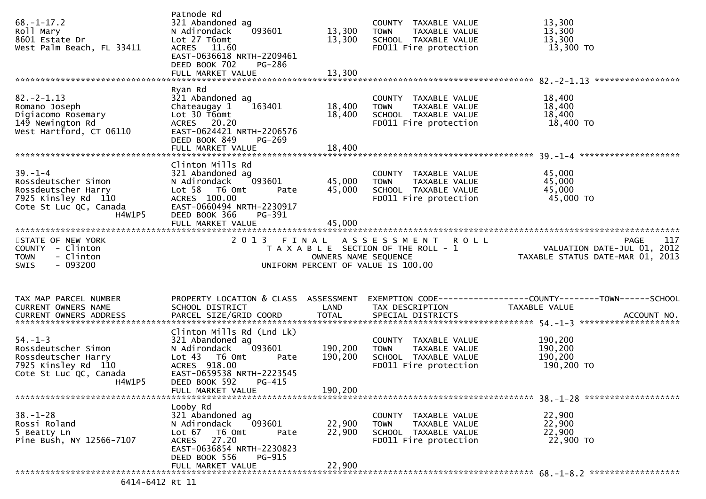| $68. - 1 - 17.2$<br>Roll Mary<br>8601 Estate Dr<br>West Palm Beach, FL 33411                                           | Patnode Rd<br>321 Abandoned ag<br>093601<br>N Adirondack<br>Lot 27 T6omt<br>ACRES 11.60<br>EAST-0636618 NRTH-2209461<br>DEED BOOK 702<br>PG-286<br>FULL MARKET VALUE       | 13,300<br>13,300<br>13,300 | COUNTY TAXABLE VALUE<br>TAXABLE VALUE<br><b>TOWN</b><br>SCHOOL TAXABLE VALUE<br>FD011 Fire protection | 13,300<br>13,300<br>13,300<br>13,300 TO                                                |
|------------------------------------------------------------------------------------------------------------------------|----------------------------------------------------------------------------------------------------------------------------------------------------------------------------|----------------------------|-------------------------------------------------------------------------------------------------------|----------------------------------------------------------------------------------------|
|                                                                                                                        | Ryan Rd                                                                                                                                                                    |                            |                                                                                                       |                                                                                        |
| $82 - 2 - 1.13$<br>Romano Joseph<br>Digiacomo Rosemary<br>149 Newington Rd<br>West Hartford, CT 06110                  | 321 Abandoned ag<br>163401<br>Chateaugay 1<br>Lot 30 T6omt<br>ACRES 20.20<br>EAST-0624421 NRTH-2206576<br>DEED BOOK 849<br>$PG-269$<br>FULL MARKET VALUE                   | 18,400<br>18,400<br>18,400 | COUNTY TAXABLE VALUE<br><b>TOWN</b><br>TAXABLE VALUE<br>SCHOOL TAXABLE VALUE<br>FD011 Fire protection | 18,400<br>18,400<br>18,400<br>18,400 TO                                                |
|                                                                                                                        |                                                                                                                                                                            |                            |                                                                                                       |                                                                                        |
| $39. - 1 - 4$<br>Rossdeutscher Simon<br>Rossdeutscher Harry<br>7925 Kinsley Rd 110<br>Cote St Luc QC, Canada<br>H4W1P5 | Clinton Mills Rd<br>321 Abandoned ag<br>093601<br>N Adirondack<br>Lot 58 T6 Omt<br>Pate<br>ACRES 100.00<br>EAST-0660494 NRTH-2230917<br>DEED BOOK 366<br>PG-391            | 45,000<br>45,000           | COUNTY TAXABLE VALUE<br><b>TOWN</b><br>TAXABLE VALUE<br>SCHOOL TAXABLE VALUE<br>FD011 Fire protection | 45,000<br>45,000<br>45,000<br>45,000 TO                                                |
|                                                                                                                        |                                                                                                                                                                            |                            |                                                                                                       |                                                                                        |
| STATE OF NEW YORK                                                                                                      |                                                                                                                                                                            |                            | 2013 FINAL ASSESSMENT ROLL                                                                            | 117<br>PAGE                                                                            |
| COUNTY - Clinton<br>- Clinton<br><b>TOWN</b><br>- 093200<br>SWIS                                                       |                                                                                                                                                                            | OWNERS NAME SEQUENCE       | T A X A B L E SECTION OF THE ROLL - 1<br>UNIFORM PERCENT OF VALUE IS 100.00                           | VALUATION DATE-JUL $01$ , 2012<br>TAXABLE STATUS DATE-MAR 01, 2013                     |
|                                                                                                                        |                                                                                                                                                                            |                            |                                                                                                       |                                                                                        |
| TAX MAP PARCEL NUMBER<br>CURRENT OWNERS NAME                                                                           | PROPERTY LOCATION & CLASS ASSESSMENT<br>SCHOOL DISTRICT                                                                                                                    | LAND                       | TAX DESCRIPTION                                                                                       | EXEMPTION CODE------------------COUNTY--------TOWN------SCHOOL<br><b>TAXABLE VALUE</b> |
|                                                                                                                        |                                                                                                                                                                            |                            |                                                                                                       |                                                                                        |
| $54. - 1 - 3$<br>Rossdeutscher Simon<br>Rossdeutscher Harry<br>7925 Kinsley Rd 110<br>Cote St Luc QC, Canada           | Clinton Mills Rd (Lnd Lk)<br>321 Abandoned ag<br>093601<br>N Adirondack<br>Lot 43  T6 Omt<br>Pate<br>ACRES 918.00<br>EAST-0659538 NRTH-2223545                             | 190,200<br>190,200         | COUNTY TAXABLE VALUE<br><b>TOWN</b><br>TAXABLE VALUE<br>SCHOOL TAXABLE VALUE<br>FD011 Fire protection | 190,200<br>190,200<br>190,200<br>190,200 TO                                            |
| H4W1P5                                                                                                                 | DEED BOOK 592 PG-415<br>FULL MARKET VALUE                                                                                                                                  | 190,200                    |                                                                                                       |                                                                                        |
|                                                                                                                        |                                                                                                                                                                            |                            |                                                                                                       |                                                                                        |
| $38. - 1 - 28$<br>Rossi Roland<br>5 Beatty Ln<br>Pine Bush, NY 12566-7107                                              | Looby Rd<br>321 Abandoned ag<br>093601<br>N Adirondack<br>Lot 67<br>T6 Omt<br>Pate<br>27.20<br><b>ACRES</b><br>EAST-0636854 NRTH-2230823<br>DEED BOOK 556<br><b>PG-915</b> | 22,900<br>22,900           | COUNTY TAXABLE VALUE<br><b>TOWN</b><br>TAXABLE VALUE<br>SCHOOL TAXABLE VALUE<br>FD011 Fire protection | 22,900<br>22,900<br>22,900<br>22,900 TO                                                |
|                                                                                                                        | FULL MARKET VALUE                                                                                                                                                          | 22,900                     |                                                                                                       |                                                                                        |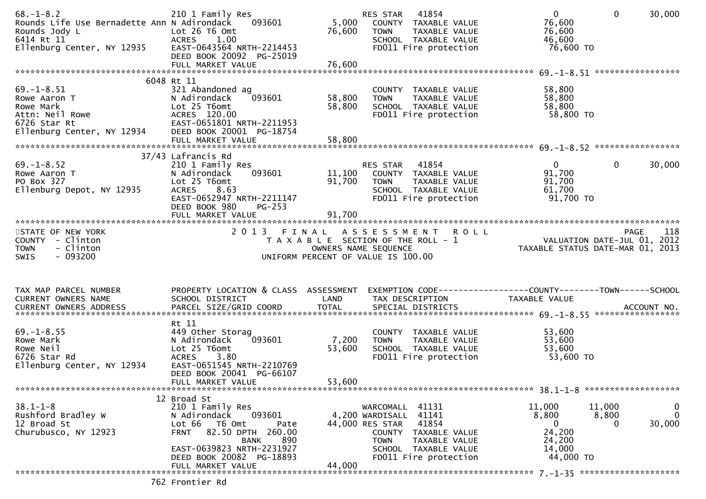| $68. - 1 - 8.2$<br>Rounds Life Use Bernadette Ann N Adirondack<br>Rounds Jody L<br>6414 Rt 11<br>Ellenburg Center, NY 12935 | 210 1 Family Res<br>093601<br>Lot 26 T6 Omt<br>1.00<br>ACRES<br>EAST-0643564 NRTH-2214453                                                                                                                | 5,000<br>76,600  | RES STAR<br>41854<br>COUNTY TAXABLE VALUE<br><b>TOWN</b><br>TAXABLE VALUE<br>SCHOOL TAXABLE VALUE<br>FD011 Fire protection                                                    | $\overline{0}$<br>$\mathbf{0}$<br>76,600<br>76,600<br>46,600<br>76,600 TO                                 | 30,000                     |
|-----------------------------------------------------------------------------------------------------------------------------|----------------------------------------------------------------------------------------------------------------------------------------------------------------------------------------------------------|------------------|-------------------------------------------------------------------------------------------------------------------------------------------------------------------------------|-----------------------------------------------------------------------------------------------------------|----------------------------|
|                                                                                                                             | DEED BOOK 20092 PG-25019                                                                                                                                                                                 |                  |                                                                                                                                                                               |                                                                                                           |                            |
| $69. - 1 - 8.51$<br>Rowe Aaron T<br>Rowe Mark<br>Attn: Neil Rowe<br>6726 Star Rt<br>Ellenburg Center, NY 12934              | 6048 Rt 11<br>321 Abandoned ag<br>N Adirondack<br>093601<br>Lot 25 T6omt<br>ACRES 120.00<br>EAST-0651801 NRTH-2211953<br>DEED BOOK 20001 PG-18754                                                        | 58,800<br>58,800 | COUNTY TAXABLE VALUE<br>TAXABLE VALUE<br><b>TOWN</b><br>SCHOOL TAXABLE VALUE<br>FD011 Fire protection                                                                         | 58,800<br>58,800<br>58,800<br>58,800 TO                                                                   |                            |
|                                                                                                                             | 37/43 Lafrancis Rd                                                                                                                                                                                       |                  |                                                                                                                                                                               |                                                                                                           |                            |
| $69. - 1 - 8.52$<br>Rowe Aaron T<br>PO Box 327<br>Ellenburg Depot, NY 12935                                                 | 210 1 Family Res<br>N Adirondack<br>093601<br>Lot 25 T6omt<br>8.63<br><b>ACRES</b><br>EAST-0652947 NRTH-2211147<br>DEED BOOK 980<br>$PG-253$                                                             | 11,100<br>91,700 | RES STAR 41854<br>COUNTY TAXABLE VALUE<br><b>TOWN</b><br>TAXABLE VALUE<br>SCHOOL TAXABLE VALUE<br>FD011 Fire protection                                                       | $\overline{0}$<br>$\mathbf{0}$<br>91,700<br>91,700<br>61,700<br>91,700 TO                                 | 30,000                     |
|                                                                                                                             | FULL MARKET VALUE                                                                                                                                                                                        | 91,700           |                                                                                                                                                                               |                                                                                                           |                            |
| STATE OF NEW YORK<br>COUNTY - Clinton<br><b>TOWN</b><br>- Clinton<br>$-093200$<br><b>SWIS</b>                               | 2013 FINAL                                                                                                                                                                                               |                  | ASSESSMENT ROLL<br>T A X A B L E SECTION OF THE ROLL - 1<br>OWNERS NAME SEQUENCE<br>UNIFORM PERCENT OF VALUE IS 100.00                                                        | VALUATION DATE-JUL 01, 2012<br>TAXABLE STATUS DATE-MAR 01, 2013                                           | 118<br>PAGE                |
| TAX MAP PARCEL NUMBER<br>CURRENT OWNERS NAME                                                                                | PROPERTY LOCATION & CLASS ASSESSMENT<br>SCHOOL DISTRICT                                                                                                                                                  | LAND             | TAX DESCRIPTION                                                                                                                                                               | EXEMPTION CODE------------------COUNTY--------TOWN------SCHOOL<br>TAXABLE VALUE                           |                            |
|                                                                                                                             | Rt 11                                                                                                                                                                                                    |                  |                                                                                                                                                                               |                                                                                                           |                            |
| $69. - 1 - 8.55$<br>Rowe Mark<br>Rowe Neil<br>6726 Star Rd<br>Ellenburg Center, NY 12934                                    | 449 Other Storag<br>093601<br>N Adirondack<br>Lot 25 T6omt<br><b>ACRES</b><br>3.80<br>EAST-0651545 NRTH-2210769<br>DEED BOOK 20041 PG-66107                                                              | 7,200<br>53,600  | COUNTY TAXABLE VALUE<br><b>TOWN</b><br>TAXABLE VALUE<br>SCHOOL TAXABLE VALUE<br>FD011 Fire protection                                                                         | 53,600<br>53,600<br>53,600<br>53,600 TO                                                                   |                            |
|                                                                                                                             | FULL MARKET VALUE                                                                                                                                                                                        | 53,600           |                                                                                                                                                                               |                                                                                                           |                            |
| $38.1 - 1 - 8$<br>Rushford Bradley W<br>12 Broad St<br>Churubusco, NY 12923                                                 | 12 Broad St<br>210 1 Family Res<br>093601<br>N Adirondack<br>Lot 66<br>T6 Omt<br>Pate<br>82.50 DPTH 260.00<br><b>FRNT</b><br>890<br><b>BANK</b><br>EAST-0639823 NRTH-2231927<br>DEED BOOK 20082 PG-18893 |                  | WARCOMALL 41131<br>4,200 WARDISALL 41141<br>44,000 RES STAR<br>41854<br>COUNTY TAXABLE VALUE<br><b>TOWN</b><br>TAXABLE VALUE<br>SCHOOL TAXABLE VALUE<br>FD011 Fire protection | 11,000<br>11,000<br>8,800<br>8,800<br>$\mathbf{0}$<br>$\Omega$<br>24,200<br>24,200<br>14,000<br>44,000 TO | 0<br>$\mathbf 0$<br>30,000 |
|                                                                                                                             | FULL MARKET VALUE                                                                                                                                                                                        | 44,000           |                                                                                                                                                                               |                                                                                                           |                            |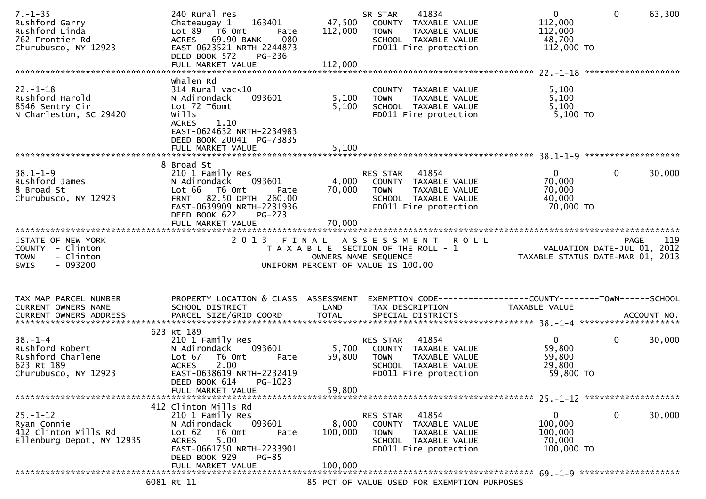| $7. - 1 - 35$<br>Rushford Garry<br>Rushford Linda<br>762 Frontier Rd<br>Churubusco, NY 12923 | 240 Rural res<br>Chateaugay 1<br>163401<br>Lot 89 T6 Omt<br>Pate<br>ACRES 69.90 BANK<br>080<br>EAST-0623521 NRTH-2244873<br>DEED BOOK 572<br><b>PG-236</b>                               | 47,500<br>112,000       | 41834<br>SR STAR<br>COUNTY TAXABLE VALUE<br><b>TOWN</b><br>TAXABLE VALUE<br>SCHOOL TAXABLE VALUE<br>FD011 Fire protection  | $\mathbf 0$<br>$\mathbf{0}$<br>63,300<br>112,000<br>112,000<br>48,700<br>112,000 TO |  |
|----------------------------------------------------------------------------------------------|------------------------------------------------------------------------------------------------------------------------------------------------------------------------------------------|-------------------------|----------------------------------------------------------------------------------------------------------------------------|-------------------------------------------------------------------------------------|--|
|                                                                                              |                                                                                                                                                                                          |                         |                                                                                                                            |                                                                                     |  |
| $22. - 1 - 18$<br>Rushford Harold<br>8546 Sentry Cir<br>N Charleston, SC 29420               | whalen Rd<br>$314$ Rural vac<10<br>093601<br>N Adirondack<br>Lot 72 T6omt<br>wills<br>1.10<br><b>ACRES</b><br>EAST-0624632 NRTH-2234983<br>DEED BOOK 20041 PG-73835<br>FULL MARKET VALUE | 5,100<br>5,100<br>5,100 | COUNTY TAXABLE VALUE<br><b>TOWN</b><br>TAXABLE VALUE<br>SCHOOL TAXABLE VALUE<br>FD011 Fire protection                      | 5,100<br>5,100<br>5,100<br>$5,100$ TO                                               |  |
|                                                                                              | 8 Broad St                                                                                                                                                                               |                         |                                                                                                                            |                                                                                     |  |
| $38.1 - 1 - 9$<br>Rushford James<br>8 Broad St<br>Churubusco, NY 12923                       | 210 1 Family Res<br>N Adirondack<br>093601<br>Lot 66 T6 Omt<br>Pate<br>82.50 DPTH 260.00<br><b>FRNT</b><br>EAST-0639909 NRTH-2231936<br>DEED BOOK 622<br><b>PG-273</b>                   | 4,000<br>70,000         | 41854<br>RES STAR<br>COUNTY TAXABLE VALUE<br>TAXABLE VALUE<br><b>TOWN</b><br>SCHOOL TAXABLE VALUE<br>FD011 Fire protection | $\mathbf{0}$<br>$\mathbf{0}$<br>30,000<br>70,000<br>70,000<br>40,000<br>70,000 TO   |  |
|                                                                                              | FULL MARKET VALUE                                                                                                                                                                        | 70,000                  |                                                                                                                            |                                                                                     |  |
| STATE OF NEW YORK<br>COUNTY - Clinton                                                        | 2013 FINAL                                                                                                                                                                               |                         | ASSESSMENT ROLL                                                                                                            | 119<br><b>PAGE</b>                                                                  |  |
| - Clinton<br><b>TOWN</b><br>$-093200$<br><b>SWIS</b>                                         |                                                                                                                                                                                          |                         | T A X A B L E SECTION OF THE ROLL - 1<br>OWNERS NAME SEQUENCE<br>UNIFORM PERCENT OF VALUE IS 100.00                        | VALUATION DATE-JUL 01, 2012<br>TAXABLE STATUS DATE-MAR 01, 2013                     |  |
| TAX MAP PARCEL NUMBER                                                                        | PROPERTY LOCATION & CLASS ASSESSMENT                                                                                                                                                     |                         |                                                                                                                            | EXEMPTION CODE-----------------COUNTY--------TOWN------SCHOOL                       |  |
| CURRENT OWNERS NAME                                                                          | SCHOOL DISTRICT                                                                                                                                                                          | LAND                    | TAX DESCRIPTION                                                                                                            | TAXABLE VALUE                                                                       |  |
| $38. - 1 - 4$<br>Rushford Robert<br>Rushford Charlene<br>623 Rt 189<br>Churubusco, NY 12923  | 623 Rt 189<br>210 1 Family Res<br>093601<br>N Adirondack<br>T6 Omt<br>Lot 67<br>Pate<br>2.00<br><b>ACRES</b><br>EAST-0638619 NRTH-2232419<br>DEED BOOK 614<br>PG-1023                    | 5,700<br>59,800         | RES STAR<br>41854<br>COUNTY TAXABLE VALUE<br>TAXABLE VALUE<br><b>TOWN</b><br>SCHOOL TAXABLE VALUE<br>FD011 Fire protection | 0<br>30,000<br>$\mathbf{0}$<br>59,800<br>59,800<br>29,800<br>59,800 TO              |  |
|                                                                                              | FULL MARKET VALUE                                                                                                                                                                        | 59,800                  |                                                                                                                            |                                                                                     |  |
|                                                                                              |                                                                                                                                                                                          |                         |                                                                                                                            |                                                                                     |  |
| $25. - 1 - 12$<br>Ryan Connie<br>412 Clinton Mills Rd<br>Ellenburg Depot, NY 12935           | 412 Clinton Mills Rd<br>210 1 Family Res<br>093601<br>N Adirondack<br>Lot 62<br>T6 Omt<br>Pate<br>5.00<br><b>ACRES</b><br>EAST-0661750 NRTH-2233901<br>DEED BOOK 929<br><b>PG-85</b>     | 8,000<br>100,000        | 41854<br>RES STAR<br>COUNTY TAXABLE VALUE<br>TAXABLE VALUE<br><b>TOWN</b><br>SCHOOL TAXABLE VALUE<br>FD011 Fire protection | 0<br>30,000<br>0<br>100,000<br>100,000<br>70,000<br>100,000 TO                      |  |
|                                                                                              | FULL MARKET VALUE                                                                                                                                                                        | 100,000                 |                                                                                                                            |                                                                                     |  |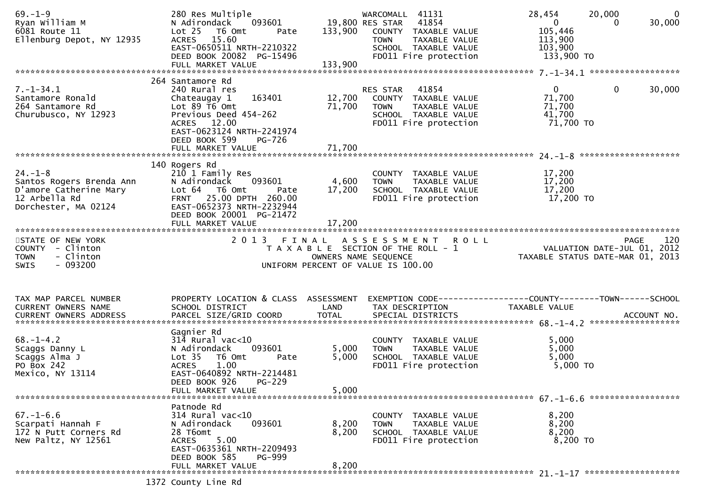| $69. - 1 - 9$<br>Ryan William M<br>6081 Route 11<br>Ellenburg Depot, NY 12935                                | 280 Res Multiple<br>N Adirondack<br>093601<br>Lot <sub>25</sub><br>T6 Omt<br>Pate<br>ACRES 15.60<br>EAST-0650511 NRTH-2210322<br>DEED BOOK 20082 PG-15496<br>FULL MARKET VALUE                         | 19,800 RES STAR<br>133,900<br>133,900 | WARCOMALL 41131<br>41854<br>COUNTY TAXABLE VALUE<br><b>TOWN</b><br>TAXABLE VALUE<br>SCHOOL TAXABLE VALUE<br>FD011 Fire protection | 28,454<br>20,000<br>$\mathbf{0}$<br>30,000<br>$\overline{0}$<br>0<br>105,446<br>113,900<br>103,900<br>133,900 TO |
|--------------------------------------------------------------------------------------------------------------|--------------------------------------------------------------------------------------------------------------------------------------------------------------------------------------------------------|---------------------------------------|-----------------------------------------------------------------------------------------------------------------------------------|------------------------------------------------------------------------------------------------------------------|
| $7. - 1 - 34.1$<br>Santamore Ronald<br>264 Santamore Rd<br>Churubusco, NY 12923                              | 264 Santamore Rd<br>240 Rural res<br>163401<br>Chateaugay 1<br>Lot 89 T6 Omt<br>Previous Deed 454-262<br>ACRES 12.00<br>EAST-0623124 NRTH-2241974<br>DEED BOOK 599<br>PG-726<br>FULL MARKET VALUE      | 12,700<br>71,700<br>71,700            | RES STAR 41854<br>COUNTY TAXABLE VALUE<br><b>TOWN</b><br>TAXABLE VALUE<br>SCHOOL TAXABLE VALUE<br>FD011 Fire protection           | $\mathbf{0}$<br>$\mathbf 0$<br>30,000<br>71,700<br>71,700<br>41,700<br>71,700 TO                                 |
| $24. - 1 - 8$<br>Santos Rogers Brenda Ann<br>D'amore Catherine Mary<br>12 Arbella Rd<br>Dorchester, MA 02124 | 140 Rogers Rd<br>210 1 Family Res<br>093601<br>N Adirondack<br>Lot 64 T6 Omt<br>Pate<br>25.00 DPTH 260.00<br><b>FRNT</b><br>EAST-0652373 NRTH-2232944<br>DEED BOOK 20001 PG-21472<br>FULL MARKET VALUE | 4,600<br>17,200<br>17,200             | COUNTY TAXABLE VALUE<br><b>TOWN</b><br>TAXABLE VALUE<br>SCHOOL TAXABLE VALUE<br>FD011 Fire protection                             | 17,200<br>17,200<br>17,200<br>17,200 TO                                                                          |
| STATE OF NEW YORK<br>COUNTY - Clinton<br>- Clinton<br><b>TOWN</b><br>$-093200$<br>SWIS                       |                                                                                                                                                                                                        | OWNERS NAME SEQUENCE                  | 2013 FINAL ASSESSMENT ROLL<br>T A X A B L E SECTION OF THE ROLL - 1<br>UNIFORM PERCENT OF VALUE IS 100.00                         | 120<br><b>PAGE</b><br>0 L L<br>7012 VALUATION DATE-JUL 01, 2012<br>713 TAXABLE STATUS DATE-MAR 01, 2013          |
| TAX MAP PARCEL NUMBER<br>CURRENT OWNERS NAME<br>$68. - 1 - 4.2$<br>Scaggs Danny L<br>Scaggs Alma J           | PROPERTY LOCATION & CLASS ASSESSMENT<br>SCHOOL DISTRICT<br>Gagnier Rd<br>$314$ Rural vac<10<br>093601<br>N Adirondack<br>T6 Omt<br>Lot <sub>35</sub><br>Pate                                           | LAND<br>5,000<br>5,000                | TAX DESCRIPTION<br>COUNTY TAXABLE VALUE<br><b>TOWN</b><br>TAXABLE VALUE<br>SCHOOL TAXABLE VALUE                                   | EXEMPTION CODE-----------------COUNTY--------TOWN------SCHOOL<br>TAXABLE VALUE<br>5,000<br>5,000<br>5,000        |
| PO Box 242<br>Mexico, NY 13114                                                                               | <b>ACRES</b><br>1.00<br>EAST-0640892 NRTH-2214481<br>DEED BOOK 926<br>$PG-229$<br>FULL MARKET VALUE                                                                                                    | 5,000                                 | FD011 Fire protection                                                                                                             | 5,000 TO                                                                                                         |
| $67. - 1 - 6.6$<br>Scarpati Hannah F<br>172 N Putt Corners Rd<br>New Paltz, NY 12561                         | Patnode Rd<br>314 Rural vac<10<br>093601<br>N Adirondack<br>28 T6omt<br>5.00<br><b>ACRES</b><br>EAST-0635361 NRTH-2209493<br>DEED BOOK 585<br><b>PG-999</b><br>FULL MARKET VALUE                       | 8,200<br>8,200<br>8,200               | COUNTY TAXABLE VALUE<br>TAXABLE VALUE<br><b>TOWN</b><br>SCHOOL TAXABLE VALUE<br>FD011 Fire protection                             | 8,200<br>8,200<br>8,200<br>8,200 TO                                                                              |
|                                                                                                              | 1372 County Line Rd                                                                                                                                                                                    |                                       |                                                                                                                                   |                                                                                                                  |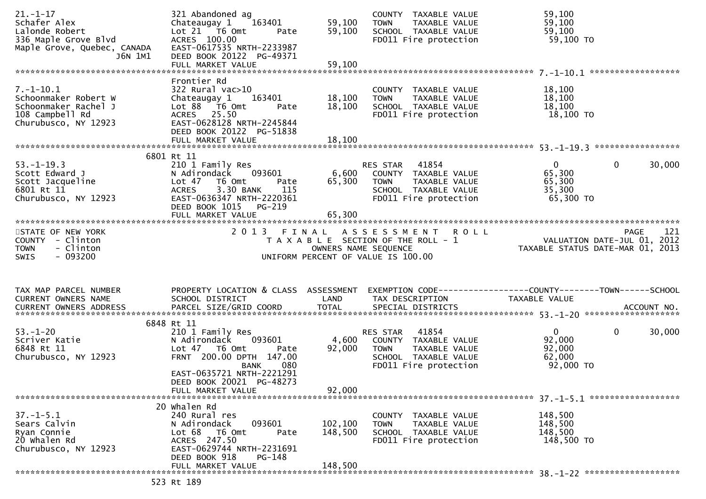| $21. - 1 - 17$<br>Schafer Alex<br>Lalonde Robert<br>336 Maple Grove Blvd<br>Maple Grove, Quebec, CANADA<br>J6N 1M1 | 321 Abandoned ag<br>Chateaugay 1<br>163401<br>Lot 21 T6 Omt<br>Pate<br>ACRES 100.00<br>EAST-0617535 NRTH-2233987<br>DEED BOOK 20122 PG-49371                                          | 59,100<br>59,100          | COUNTY TAXABLE VALUE<br>TAXABLE VALUE<br><b>TOWN</b><br>SCHOOL TAXABLE VALUE<br>FD011 Fire protection                             | 59,100<br>59,100<br>59,100<br>59,100 TO                                         |                    |
|--------------------------------------------------------------------------------------------------------------------|---------------------------------------------------------------------------------------------------------------------------------------------------------------------------------------|---------------------------|-----------------------------------------------------------------------------------------------------------------------------------|---------------------------------------------------------------------------------|--------------------|
|                                                                                                                    |                                                                                                                                                                                       |                           |                                                                                                                                   |                                                                                 | ****************** |
| $7. - 1 - 10.1$<br>Schoonmaker Robert W<br>Schoonmaker Rachel J<br>108 Campbell Rd<br>Churubusco, NY 12923         | Frontier Rd<br>$322$ Rural vac $>10$<br>Chateaugay 1<br>163401<br>Lot 88 T6 Omt<br>Pate<br>ACRES 25.50<br>EAST-0628128 NRTH-2245844<br>DEED BOOK 20122 PG-51838                       | 18,100<br>18,100          | COUNTY TAXABLE VALUE<br><b>TOWN</b><br>TAXABLE VALUE<br>SCHOOL TAXABLE VALUE<br>FD011 Fire protection                             | 18,100<br>18,100<br>18,100<br>18,100 TO                                         |                    |
|                                                                                                                    | 6801 Rt 11                                                                                                                                                                            |                           |                                                                                                                                   |                                                                                 |                    |
| $53. - 1 - 19.3$<br>Scott Edward J<br>Scott Jacqueline<br>6801 Rt 11<br>Churubusco, NY 12923                       | 210 1 Family Res<br>N Adirondack<br>093601<br>Lot 47<br>T6 Omt<br>Pate<br>3.30 BANK<br>115<br><b>ACRES</b><br>EAST-0636347 NRTH-2220361<br>DEED BOOK 1015 PG-219<br>FULL MARKET VALUE | 6,600<br>65,300<br>65,300 | RES STAR 41854<br>COUNTY TAXABLE VALUE<br><b>TOWN</b><br>TAXABLE VALUE<br>SCHOOL TAXABLE VALUE<br>FD011 Fire protection           | $\mathbf{0}$<br>$\overline{0}$<br>65,300<br>65,300<br>35,300<br>65,300 TO       | 30,000             |
|                                                                                                                    |                                                                                                                                                                                       |                           |                                                                                                                                   |                                                                                 |                    |
| STATE OF NEW YORK<br>COUNTY - Clinton<br><b>TOWN</b><br>- Clinton<br>$-093200$<br>SWIS                             |                                                                                                                                                                                       |                           | 2013 FINAL ASSESSMENT ROLL<br>T A X A B L E SECTION OF THE ROLL - 1<br>OWNERS NAME SEQUENCE<br>UNIFORM PERCENT OF VALUE IS 100.00 |                                                                                 | 121<br><b>PAGE</b> |
| TAX MAP PARCEL NUMBER<br>CURRENT OWNERS NAME                                                                       | PROPERTY LOCATION & CLASS ASSESSMENT<br>SCHOOL DISTRICT                                                                                                                               | LAND                      | TAX DESCRIPTION                                                                                                                   | EXEMPTION CODE------------------COUNTY--------TOWN------SCHOOL<br>TAXABLE VALUE |                    |
|                                                                                                                    | 6848 Rt 11                                                                                                                                                                            |                           |                                                                                                                                   |                                                                                 |                    |
| $53. - 1 - 20$<br>Scriver Katie<br>6848 Rt 11<br>Churubusco, NY 12923                                              | 210 1 Family Res<br>N Adirondack<br>093601<br>Lot 47 T6 Omt<br>Pate<br>FRNT 200.00 DPTH 147.00<br>BANK<br>080                                                                         | 4,600<br>92,000           | 41854<br>RES STAR<br>COUNTY TAXABLE VALUE<br>TAXABLE VALUE<br><b>TOWN</b><br>SCHOOL TAXABLE VALUE<br>FD011 Fire protection        | $\mathbf 0$<br>$\overline{0}$<br>92,000<br>92,000<br>62,000<br>92,000 TO        | 30,000             |
|                                                                                                                    | EAST-0635721 NRTH-2221291<br>DEED BOOK 20021 PG-48273<br>FULL MARKET VALUE                                                                                                            | 92,000                    |                                                                                                                                   |                                                                                 |                    |
|                                                                                                                    | 20 Whalen Rd                                                                                                                                                                          |                           |                                                                                                                                   |                                                                                 |                    |
| $37. - 1 - 5.1$<br>Sears Calvin<br>Ryan Connie<br>20 Whalen Rd<br>Churubusco, NY 12923                             | 240 Rural res<br>093601<br>N Adirondack<br>Lot 68<br>T6 Omt<br>Pate<br>ACRES 247.50<br>EAST-0629744 NRTH-2231691<br>DEED BOOK 918<br>PG-148                                           | 102,100<br>148,500        | COUNTY TAXABLE VALUE<br>TAXABLE VALUE<br><b>TOWN</b><br>SCHOOL TAXABLE VALUE<br>FD011 Fire protection                             | 148,500<br>148,500<br>148,500<br>148,500 TO                                     |                    |
|                                                                                                                    | FULL MARKET VALUE                                                                                                                                                                     | 148,500                   |                                                                                                                                   |                                                                                 |                    |
|                                                                                                                    | 523 Rt 189                                                                                                                                                                            |                           |                                                                                                                                   |                                                                                 |                    |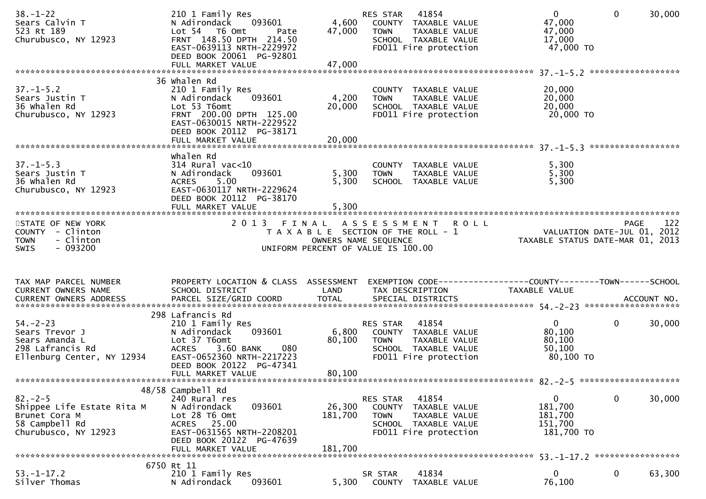| $38. - 1 - 22$<br>Sears Calvin T<br>523 Rt 189<br>Churubusco, NY 12923                                | 210 1 Family Res<br>093601<br>N Adirondack<br>Lot 54 T6 Omt<br>Pate<br>FRNT 148.50 DPTH 214.50<br>EAST-0639113 NRTH-2229972<br>DEED BOOK 20061 PG-92801  | 4,600<br>47,000              | 41854<br>RES STAR<br>COUNTY TAXABLE VALUE<br>TAXABLE VALUE<br><b>TOWN</b><br>SCHOOL TAXABLE VALUE<br>FD011 Fire protection        | $\overline{0}$<br>47,000<br>47,000<br>17,000<br>47,000 TO  | $\mathbf{0}$<br>****************** | 30,000      |
|-------------------------------------------------------------------------------------------------------|----------------------------------------------------------------------------------------------------------------------------------------------------------|------------------------------|-----------------------------------------------------------------------------------------------------------------------------------|------------------------------------------------------------|------------------------------------|-------------|
|                                                                                                       | 36 Whalen Rd                                                                                                                                             |                              |                                                                                                                                   |                                                            |                                    |             |
| $37. - 1 - 5.2$<br>Sears Justin T<br>36 Whalen Rd<br>Churubusco, NY 12923                             | 210 1 Family Res<br>093601<br>N Adirondack<br>Lot 53 T6omt<br>FRNT 200.00 DPTH 125.00<br>EAST-0630015 NRTH-2229522<br>DEED BOOK 20112 PG-38171           | 4,200<br>20,000              | COUNTY TAXABLE VALUE<br>TAXABLE VALUE<br><b>TOWN</b><br>SCHOOL TAXABLE VALUE<br>FD011 Fire protection                             | 20,000<br>20,000<br>20,000<br>20,000 TO                    |                                    |             |
|                                                                                                       | whalen Rd                                                                                                                                                |                              |                                                                                                                                   |                                                            |                                    |             |
| $37. - 1 - 5.3$<br>Sears Justin T<br>36 Whalen Rd<br>Churubusco, NY 12923                             | $314$ Rural vac< $10$<br>093601<br>N Adirondack<br>5.00<br><b>ACRES</b><br>EAST-0630117 NRTH-2229624<br>DEED BOOK 20112 PG-38170                         | 5,300<br>5,300               | COUNTY TAXABLE VALUE<br><b>TOWN</b><br>TAXABLE VALUE<br>SCHOOL TAXABLE VALUE                                                      | 5,300<br>5,300<br>5,300                                    |                                    |             |
|                                                                                                       |                                                                                                                                                          |                              |                                                                                                                                   |                                                            |                                    |             |
| STATE OF NEW YORK<br>COUNTY - Clinton<br>- Clinton<br><b>TOWN</b><br><b>SWIS</b><br>- 093200          |                                                                                                                                                          |                              | 2013 FINAL ASSESSMENT ROLL<br>T A X A B L E SECTION OF THE ROLL - 1<br>OWNERS NAME SEQUENCE<br>UNIFORM PERCENT OF VALUE IS 100.00 | VALUATION DATE-JUL 01,<br>TAXABLE STATUS DATE-MAR 01, 2013 | <b>PAGE</b>                        | 122<br>2012 |
| TAX MAP PARCEL NUMBER                                                                                 | PROPERTY LOCATION & CLASS ASSESSMENT                                                                                                                     |                              |                                                                                                                                   |                                                            |                                    |             |
| CURRENT OWNERS NAME                                                                                   | SCHOOL DISTRICT                                                                                                                                          | LAND                         | TAX DESCRIPTION                                                                                                                   | TAXABLE VALUE                                              |                                    |             |
|                                                                                                       | 298 Lafrancis Rd                                                                                                                                         |                              |                                                                                                                                   |                                                            |                                    |             |
| $54. - 2 - 23$<br>Sears Trevor J<br>Sears Amanda L<br>298 Lafrancis Rd<br>Ellenburg Center, NY 12934  | 210 1 Family Res<br>093601<br>N Adirondack<br>Lot 37 T6omt<br>080<br><b>ACRES</b><br>3.60 BANK<br>EAST-0652360 NRTH-2217223<br>DEED BOOK 20122 PG-47341  | 6,800<br>80,100              | 41854<br>RES STAR<br>COUNTY TAXABLE VALUE<br>TAXABLE VALUE<br><b>TOWN</b><br>SCHOOL TAXABLE VALUE<br>FD011 Fire protection        | $\overline{0}$<br>80,100<br>80,100<br>50,100<br>80,100 TO  | $\mathbf{0}$                       | 30,000      |
|                                                                                                       | 48/58 Campbell Rd                                                                                                                                        |                              |                                                                                                                                   |                                                            |                                    |             |
| $82 - 2 - 5$<br>Shippee Life Estate Rita M<br>Brunet Cora M<br>58 Campbell Rd<br>Churubusco, NY 12923 | 240 Rural res<br>N Adirondack<br>093601<br>Lot 28 T6 Omt<br>25.00<br>ACRES<br>EAST-0631565 NRTH-2208201<br>DEED BOOK 20122 PG-47639<br>FULL MARKET VALUE | 26,300<br>181,700<br>181,700 | 41854<br>RES STAR<br>COUNTY<br>TAXABLE VALUE<br><b>TOWN</b><br>TAXABLE VALUE<br>SCHOOL TAXABLE VALUE<br>FD011 Fire protection     | 0<br>181,700<br>181,700<br>151,700<br>181,700 TO           | $\mathbf 0$                        | 30,000      |
|                                                                                                       |                                                                                                                                                          |                              |                                                                                                                                   |                                                            |                                    |             |
| $53. - 1 - 17.2$<br>Silver Thomas                                                                     | 6750 Rt 11<br>210 1 Family Res<br>093601<br>N Adirondack                                                                                                 | 5,300                        | 41834<br>SR STAR<br>TAXABLE VALUE<br><b>COUNTY</b>                                                                                | $\mathbf{0}$<br>76,100                                     | 0                                  | 63,300      |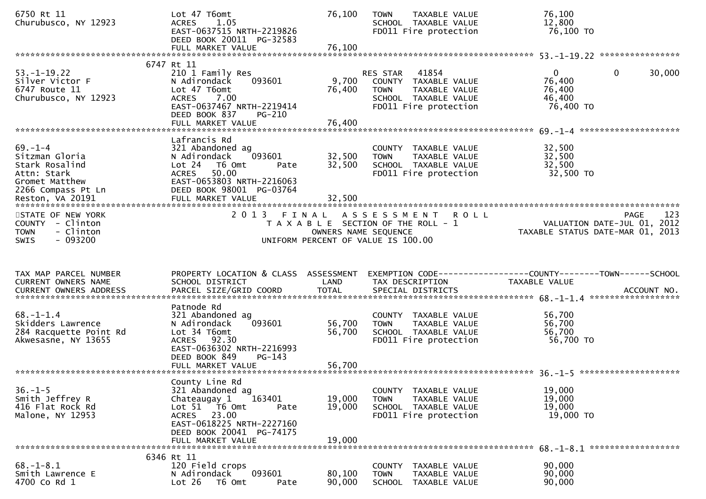| 6750 Rt 11<br>Churubusco, NY 12923                                                                       | Lot 47 T6omt<br>1.05<br><b>ACRES</b><br>EAST-0637515 NRTH-2219826<br>DEED BOOK 20011 PG-32583<br>FULL MARKET VALUE                                                                            | 76,100<br>76,100           | <b>TOWN</b><br>TAXABLE VALUE<br>SCHOOL TAXABLE VALUE<br>FD011 Fire protection                                              | 76,100<br>12,800<br>76,100 TO                                                       |     |
|----------------------------------------------------------------------------------------------------------|-----------------------------------------------------------------------------------------------------------------------------------------------------------------------------------------------|----------------------------|----------------------------------------------------------------------------------------------------------------------------|-------------------------------------------------------------------------------------|-----|
| $53. - 1 - 19.22$<br>Silver Victor F<br>6747 Route 11<br>Churubusco, NY 12923                            | 6747 Rt 11<br>210 1 Family Res<br>N Adirondack<br>093601<br>Lot 47 T6omt<br>ACRES<br>7.00<br>EAST-0637467 NRTH-2219414<br>DEED BOOK 837<br>$PG-210$                                           | 9,700<br>76,400            | 41854<br>RES STAR<br>COUNTY TAXABLE VALUE<br>TAXABLE VALUE<br><b>TOWN</b><br>SCHOOL TAXABLE VALUE<br>FD011 Fire protection | $\mathbf{0}$<br>30,000<br>$\overline{0}$<br>76,400<br>76,400<br>46,400<br>76,400 TO |     |
| $69. - 1 - 4$<br>Sitzman Gloria<br>Stark Rosalind<br>Attn: Stark<br>Gromet Matthew<br>2266 Compass Pt Ln | FULL MARKET VALUE<br>Lafrancis Rd<br>321 Abandoned ag<br>093601<br>N Adirondack<br>Lot 24<br>T6 Omt<br>Pate<br>50.00<br><b>ACRES</b><br>EAST-0653803 NRTH-2216063<br>DEED BOOK 98001 PG-03764 | 76,400<br>32,500<br>32,500 | COUNTY TAXABLE VALUE<br><b>TOWN</b><br>TAXABLE VALUE<br>SCHOOL TAXABLE VALUE<br>FD011 Fire protection                      | 32,500<br>32,500<br>32,500<br>32,500 TO                                             |     |
| STATE OF NEW YORK<br>COUNTY - Clinton<br>- Clinton<br><b>TOWN</b><br>$-093200$<br><b>SWIS</b>            |                                                                                                                                                                                               | OWNERS NAME SEQUENCE       | 2013 FINAL ASSESSMENT<br><b>ROLL</b><br>T A X A B L E SECTION OF THE ROLL - 1<br>UNIFORM PERCENT OF VALUE IS 100.00        | PAGE<br>VALUATION DATE-JUL 01, 2012<br>TAXABLE STATUS DATE-MAR 01, 2013             | 123 |
| TAX MAP PARCEL NUMBER                                                                                    | PROPERTY LOCATION & CLASS ASSESSMENT                                                                                                                                                          |                            |                                                                                                                            |                                                                                     |     |
| CURRENT OWNERS NAME                                                                                      | SCHOOL DISTRICT                                                                                                                                                                               | LAND                       | TAX DESCRIPTION                                                                                                            | TAXABLE VALUE                                                                       |     |
| $68 - 1 - 1.4$<br>Skidders Lawrence<br>284 Racquette Point Rd<br>Akwesasne, NY 13655                     | Patnode Rd<br>321 Abandoned ag<br>093601<br>N Adirondack<br>Lot 34 T6omt<br>ACRES 92.30<br>EAST-0636302 NRTH-2216993<br>DEED BOOK 849<br>$PG-143$<br>FULL MARKET VALUE                        | 56,700<br>56,700<br>56,700 | COUNTY TAXABLE VALUE<br>TAXABLE VALUE<br><b>TOWN</b><br>SCHOOL TAXABLE VALUE<br>FD011 Fire protection                      | 56,700<br>56,700<br>56,700<br>56,700 TO                                             |     |
| $36. - 1 - 5$<br>Smith Jeffrey R<br>416 Flat Rock Rd<br>Malone, NY 12953                                 | County Line Rd<br>321 Abandoned ag<br>163401<br>Chateaugay 1<br>Lot 51 T6 Omt<br>Pate<br>ACRES 23.00<br>EAST-0618225 NRTH-2227160<br>DEED BOOK 20041 PG-74175<br>FULL MARKET VALUE            | 19,000<br>19,000<br>19,000 | COUNTY TAXABLE VALUE<br><b>TOWN</b><br>TAXABLE VALUE<br>SCHOOL TAXABLE VALUE<br>FD011 Fire protection                      | 19,000<br>19,000<br>19,000<br>19,000 TO                                             |     |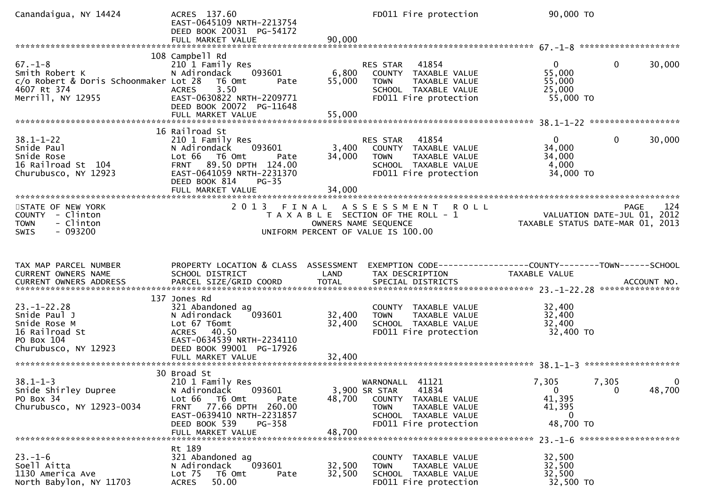| Canandaigua, NY 14424                                                                                        | ACRES 137.60<br>EAST-0645109 NRTH-2213754<br>DEED BOOK 20031 PG-54172<br>FULL MARKET VALUE                                                                                                              | 90,000                     | FD011 Fire protection                                                                                                                                 | 90,000 TO                                                                                             |        |
|--------------------------------------------------------------------------------------------------------------|---------------------------------------------------------------------------------------------------------------------------------------------------------------------------------------------------------|----------------------------|-------------------------------------------------------------------------------------------------------------------------------------------------------|-------------------------------------------------------------------------------------------------------|--------|
| $67. - 1 - 8$<br>Smith Robert K<br>c/o Robert & Doris Schoonmaker Lot 28<br>4607 Rt 374<br>Merrill, NY 12955 | 108 Campbell Rd<br>210 1 Family Res<br>N Adirondack<br>093601<br>T6 Omt<br>Pate<br>3.50<br><b>ACRES</b><br>EAST-0630822 NRTH-2209771<br>DEED BOOK 20072 PG-11648                                        | 6,800<br>55,000            | 41854<br>RES STAR<br>COUNTY TAXABLE VALUE<br><b>TOWN</b><br>TAXABLE VALUE<br>SCHOOL TAXABLE VALUE<br>FD011 Fire protection                            | $\mathbf{0}$<br>$\overline{0}$<br>55,000<br>55,000<br>25,000<br>55,000 TO                             | 30,000 |
| $38.1 - 1 - 22$<br>Snide Paul<br>Snide Rose<br>16 Railroad St 104<br>Churubusco, NY 12923                    | 16 Railroad St<br>210 1 Family Res<br>093601<br>N Adirondack<br>Lot 66 T6 Omt<br>Pate<br>89.50 DPTH 124.00<br><b>FRNT</b><br>EAST-0641059 NRTH-2231370<br>DEED BOOK 814<br>$PG-35$<br>FULL MARKET VALUE | 3,400<br>34,000<br>34,000  | 41854<br>RES STAR<br>COUNTY TAXABLE VALUE<br>TAXABLE VALUE<br><b>TOWN</b><br>SCHOOL TAXABLE VALUE<br>FD011 Fire protection                            | $\overline{0}$<br>0<br>34,000<br>34,000<br>4,000<br>34,000 TO                                         | 30,000 |
| STATE OF NEW YORK<br>COUNTY - Clinton<br>- Clinton<br><b>TOWN</b><br>$-093200$<br>SWIS                       | 2 0 1 3                                                                                                                                                                                                 | FINAL                      | A S S E S S M E N T<br><b>ROLL</b><br>T A X A B L E SECTION OF THE ROLL - 1<br>OWNERS NAME SEQUENCE<br>UNIFORM PERCENT OF VALUE IS 100.00             | PAGE<br>rage - 124<br>VALUATION DATE-JUL 01, 2012<br>TAXABLE STATUS DATE-MAR 01, 2013                 | 124    |
| TAX MAP PARCEL NUMBER                                                                                        | PROPERTY LOCATION & CLASS ASSESSMENT                                                                                                                                                                    |                            |                                                                                                                                                       | EXEMPTION CODE------------------COUNTY--------TOWN------SCHOOL                                        |        |
| CURRENT OWNERS NAME                                                                                          | SCHOOL DISTRICT                                                                                                                                                                                         | LAND                       | TAX DESCRIPTION                                                                                                                                       | TAXABLE VALUE                                                                                         |        |
| $23. - 1 - 22.28$<br>Snide Paul J<br>Snide Rose M<br>16 Railroad St<br>PO Box 104<br>Churubusco, NY 12923    | 137 Jones Rd<br>321 Abandoned ag<br>093601<br>N Adirondack<br>Lot 67 T6omt<br>ACRES 40.50<br>EAST-0634539 NRTH-2234110<br>DEED BOOK 99001 PG-17926<br>FULL MARKET VALUE                                 | 32,400<br>32,400<br>32,400 | COUNTY TAXABLE VALUE<br><b>TOWN</b><br>TAXABLE VALUE<br>SCHOOL TAXABLE VALUE<br>FD011 Fire protection                                                 | 32,400<br>32,400<br>32,400<br>32,400 TO                                                               |        |
| $38.1 - 1 - 3$<br>Snide Shirley Dupree<br>PO Box 34<br>Churubusco, NY 12923-0034                             | 30 Broad St<br>210 1 Family Res<br>093601<br>N Adirondack<br>Lot 66<br>T6 Omt<br>Pate<br>FRNT 77.66 DPTH 260.00<br>EAST-0639410 NRTH-2231857<br>DEED BOOK 539<br>PG-358<br>FULL MARKET VALUE            | 48,700<br>48,700           | 41121<br>WARNONALL<br>3,900 SR STAR<br>41834<br>COUNTY TAXABLE VALUE<br><b>TOWN</b><br>TAXABLE VALUE<br>SCHOOL TAXABLE VALUE<br>FD011 Fire protection | 7,305<br>7,305<br>$\overline{0}$<br>$\overline{0}$<br>41,395<br>41,395<br>$\overline{0}$<br>48,700 TO | 48,700 |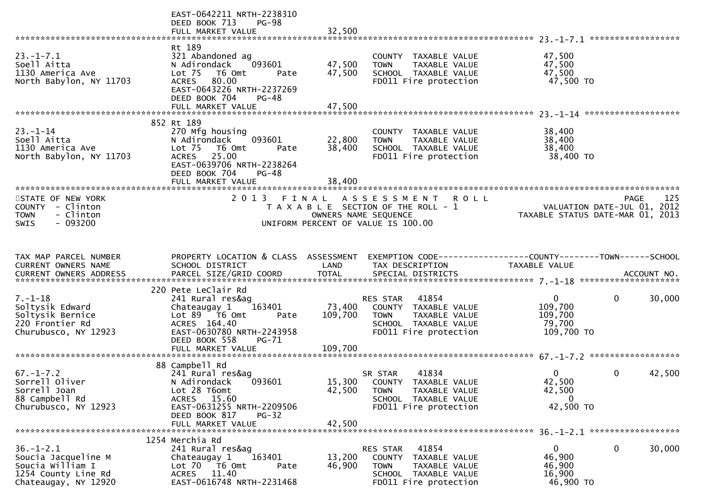|                                                                                                           | EAST-0642211 NRTH-2238310<br>DEED BOOK 713<br>PG-98<br>FULL MARKET VALUE                                                                                                    | 32,500                     |                                                                                                                                   |                                                                             |             |
|-----------------------------------------------------------------------------------------------------------|-----------------------------------------------------------------------------------------------------------------------------------------------------------------------------|----------------------------|-----------------------------------------------------------------------------------------------------------------------------------|-----------------------------------------------------------------------------|-------------|
|                                                                                                           |                                                                                                                                                                             |                            |                                                                                                                                   |                                                                             |             |
| $23. - 1 - 7.1$<br>Soell Aitta<br>1130 America Ave<br>North Babylon, NY 11703                             | Rt 189<br>321 Abandoned ag<br>N Adirondack<br>093601<br>Lot 75 T6 Omt<br>Pate<br>ACRES 80.00<br>EAST-0643226 NRTH-2237269<br>DEED BOOK 704<br>PG-48                         | 47,500<br>47,500           | COUNTY TAXABLE VALUE<br><b>TOWN</b><br>TAXABLE VALUE<br>SCHOOL TAXABLE VALUE<br>FD011 Fire protection                             | 47,500<br>47,500<br>47,500<br>47,500 TO                                     |             |
|                                                                                                           |                                                                                                                                                                             |                            |                                                                                                                                   |                                                                             |             |
|                                                                                                           |                                                                                                                                                                             |                            |                                                                                                                                   |                                                                             |             |
| $23. - 1 - 14$<br>Soell Aitta<br>1130 America Ave<br>North Babylon, NY 11703                              | 852 Rt 189<br>270 Mfg housing<br>093601<br>N Adirondack<br>Lot 75 T6 Omt<br>Pate<br>ACRES 25.00<br>EAST-0639706 NRTH-2238264<br>DEED BOOK 704<br>PG-48<br>FULL MARKET VALUE | 22,800<br>38,400<br>38,400 | COUNTY TAXABLE VALUE<br><b>TOWN</b><br>TAXABLE VALUE<br>SCHOOL TAXABLE VALUE<br>FD011 Fire protection                             | 38,400<br>38,400<br>38,400<br>38,400 TO                                     |             |
|                                                                                                           |                                                                                                                                                                             |                            |                                                                                                                                   |                                                                             |             |
| STATE OF NEW YORK<br>COUNTY - Clinton<br>- Clinton<br><b>TOWN</b><br>$-093200$<br><b>SWIS</b>             |                                                                                                                                                                             |                            | 2013 FINAL ASSESSMENT ROLL<br>T A X A B L E SECTION OF THE ROLL - 1<br>OWNERS NAME SEQUENCE<br>UNIFORM PERCENT OF VALUE IS 100.00 | rage 123<br>VALUATION DATE-JUL 01, 2012<br>TAXABLE STATUS DATE-MAR 01, 2013 | 125<br>PAGE |
|                                                                                                           |                                                                                                                                                                             |                            |                                                                                                                                   |                                                                             |             |
|                                                                                                           |                                                                                                                                                                             |                            |                                                                                                                                   |                                                                             |             |
| TAX MAP PARCEL NUMBER<br>CURRENT OWNERS NAME                                                              | PROPERTY LOCATION & CLASS ASSESSMENT<br>SCHOOL DISTRICT                                                                                                                     | LAND                       | EXEMPTION CODE-----------------COUNTY--------TOWN------SCHOOL<br>TAX DESCRIPTION                                                  | TAXABLE VALUE                                                               |             |
|                                                                                                           |                                                                                                                                                                             |                            |                                                                                                                                   |                                                                             |             |
| $7. - 1 - 18$<br>Soltysik Edward<br>Soltysik Bernice<br>220 Frontier Rd<br>Churubusco, NY 12923           | 220 Pete LeClair Rd<br>241 Rural res&ag<br>163401<br>Chateaugay 1<br>Lot 89 T6 Omt<br>Pate<br>ACRES 164.40<br>EAST-0630780 NRTH-2243958<br>DEED BOOK 558<br>PG-71           | 73,400<br>109,700          | RES STAR 41854<br>COUNTY TAXABLE VALUE<br><b>TOWN</b><br>TAXABLE VALUE<br>SCHOOL TAXABLE VALUE<br>FD011 Fire protection           | $\overline{0}$<br>109,700<br>109,700<br>79,700<br>109,700 TO                | 0<br>30,000 |
|                                                                                                           | FULL MARKET VALUE                                                                                                                                                           | 109,700                    |                                                                                                                                   |                                                                             |             |
|                                                                                                           |                                                                                                                                                                             |                            |                                                                                                                                   |                                                                             |             |
| $67. - 1 - 7.2$<br>Sorrell Oliver<br>Sorrell Joan<br>88 Campbell Rd<br>Churubusco, NY 12923               | 88 Campbell Rd<br>241 Rural res&ag<br>N Adirondack<br>093601<br>Lot 28 T6omt<br>15.60<br>ACRES<br>EAST-0631255 NRTH-2209506                                                 | 42,500                     | 41834<br>SR STAR<br>15,300 COUNTY TAXABLE VALUE<br><b>TOWN</b><br>TAXABLE VALUE<br>SCHOOL TAXABLE VALUE<br>FD011 Fire protection  | 0<br>42,500<br>42,500<br>0<br>42,500 TO                                     | 0<br>42,500 |
|                                                                                                           | DEED BOOK 817<br>$PG-32$<br>FULL MARKET VALUE                                                                                                                               | 42,500                     |                                                                                                                                   |                                                                             |             |
|                                                                                                           |                                                                                                                                                                             |                            |                                                                                                                                   |                                                                             |             |
| $36. - 1 - 2.1$<br>Soucia Jacqueline M<br>Soucia William I<br>1254 County Line Rd<br>Chateaugay, NY 12920 | 1254 Merchia Rd<br>241 Rural res&ag<br>163401<br>Chateaugay 1<br>Lot 70 T6 Omt<br>Pate<br>ACRES 11.40<br>EAST-0616748 NRTH-2231468                                          | 13,200<br>46,900           | 41854<br>RES STAR<br>COUNTY<br>TAXABLE VALUE<br><b>TOWN</b><br>TAXABLE VALUE<br>SCHOOL TAXABLE VALUE<br>FD011 Fire protection     | 0<br>46,900<br>46,900<br>16,900<br>46,900 TO                                | 0<br>30,000 |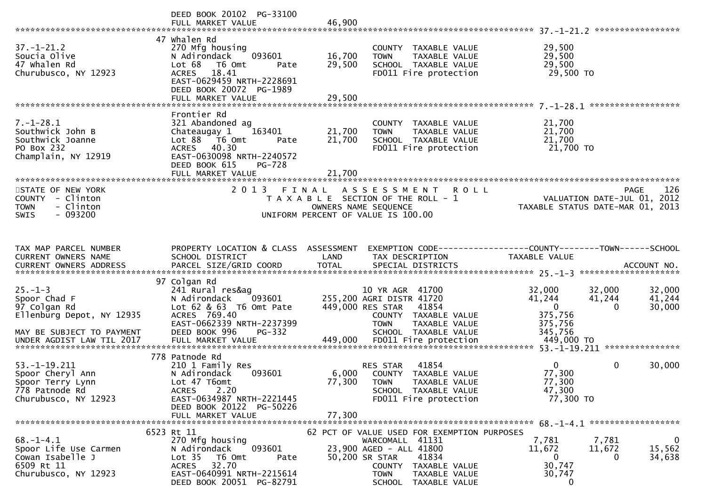|                                                                                                         | DEED BOOK 20102 PG-33100                                                                                                                                                                  |                            |                                                                                                                                                                              |                                                                                         |                                        |
|---------------------------------------------------------------------------------------------------------|-------------------------------------------------------------------------------------------------------------------------------------------------------------------------------------------|----------------------------|------------------------------------------------------------------------------------------------------------------------------------------------------------------------------|-----------------------------------------------------------------------------------------|----------------------------------------|
| $37. - 1 - 21.2$<br>Soucia Olive<br>47 Whalen Rd<br>Churubusco, NY 12923                                | 47 whalen Rd<br>270 Mfg housing<br>093601<br>N Adirondack<br>Lot 68<br>T6 Omt<br>Pate<br>ACRES 18.41<br>EAST-0629459 NRTH-2228691<br>DEED BOOK 20072 PG-1989<br>FULL MARKET VALUE         | 16,700<br>29,500<br>29,500 | COUNTY TAXABLE VALUE<br>TAXABLE VALUE<br><b>TOWN</b><br>SCHOOL TAXABLE VALUE<br>FD011 Fire protection                                                                        | 29,500<br>29,500<br>29,500<br>29,500 TO                                                 |                                        |
|                                                                                                         |                                                                                                                                                                                           |                            |                                                                                                                                                                              |                                                                                         |                                        |
| $7. - 1 - 28.1$<br>Southwick John B<br>Southwick Joanne<br>PO Box 232<br>Champlain, NY 12919            | Frontier Rd<br>321 Abandoned ag<br>Chateaugay 1<br>163401<br>Lot 88 T6 Omt<br>Pate<br>ACRES 40.30<br>EAST-0630098 NRTH-2240572<br>DEED BOOK 615<br>PG-728                                 | 21,700<br>21,700           | COUNTY TAXABLE VALUE<br><b>TOWN</b><br>TAXABLE VALUE<br>SCHOOL TAXABLE VALUE<br>FD011 Fire protection                                                                        | 21,700<br>21,700<br>21,700<br>21,700 TO                                                 |                                        |
|                                                                                                         | FULL MARKET VALUE                                                                                                                                                                         | 21,700                     |                                                                                                                                                                              |                                                                                         |                                        |
| STATE OF NEW YORK<br>COUNTY - Clinton<br><b>TOWN</b><br>- Clinton<br>$-093200$<br><b>SWIS</b>           | 2013 FINAL                                                                                                                                                                                |                            | ASSESSMENT ROLL<br>T A X A B L E SECTION OF THE ROLL - 1<br>OWNERS NAME SEQUENCE<br>OWNERS NAME SEQUENCE<br>UNIFORM PERCENT OF VALUE IS 100.00                               | VALUATION DATE-JUL 01, 2012<br>TAXABLE STATUS DATE-MAR 01, 2013                         | 126<br><b>PAGE</b>                     |
| TAX MAP PARCEL NUMBER<br>CURRENT OWNERS NAME                                                            | PROPERTY LOCATION & CLASS ASSESSMENT<br>SCHOOL DISTRICT                                                                                                                                   | LAND                       | TAX DESCRIPTION                                                                                                                                                              | EXEMPTION CODE------------------COUNTY--------TOWN------SCHOOL<br>TAXABLE VALUE         |                                        |
| $25. - 1 - 3$<br>Spoor Chad F<br>97 Colgan Rd<br>Ellenburg Depot, NY 12935<br>MAY BE SUBJECT TO PAYMENT | 97 Colgan Rd<br>241 Rural res&ag<br>N Adirondack 093601 255,200 AGRI DISTR 41720<br>Lot $62$ $8$ $63$ T6 Omt Pate<br>ACRES 769.40<br>EAST-0662339 NRTH-2237399<br>DEED BOOK 996<br>PG-332 |                            | 10 YR AGR 41700<br>449,000 RES STAR<br>41854<br>COUNTY TAXABLE VALUE<br><b>TOWN</b><br>TAXABLE VALUE<br>SCHOOL TAXABLE VALUE                                                 | 32,000<br>32,000<br>41,244<br>41,244<br>$\overline{0}$<br>375,756<br>375,756<br>345,756 | 32,000<br>41,244<br>$\Omega$<br>30,000 |
|                                                                                                         |                                                                                                                                                                                           |                            |                                                                                                                                                                              |                                                                                         |                                        |
| $53. - 1 - 19.211$<br>Spoor Cheryl Ann<br>Spoor Terry Lynn<br>778 Patnode Rd<br>Churubusco, NY 12923    | 778 Patnode Rd<br>210 1 Family Res<br>N Adirondack<br>093601<br>Lot 47 T6omt<br>2.20<br><b>ACRES</b><br>EAST-0634987 NRTH-2221445<br>DEED BOOK 20122 PG-50226                             |                            | 41854<br>RES STAR<br>6,000 COUNTY TAXABLE VALUE<br>77,300 TOWN<br>TAXABLE VALUE<br>SCHOOL TAXABLE VALUE<br>FD011 Fire protection                                             | $\overline{0}$<br>77,300<br>77,300<br>47,300<br>77,300 TO                               | $\mathbf 0$<br>30,000                  |
|                                                                                                         | FULL MARKET VALUE                                                                                                                                                                         | 77,300                     |                                                                                                                                                                              |                                                                                         |                                        |
| $68. - 1 - 4.1$<br>Spoor Life Use Carmen<br>Cowan Isabelle J<br>6509 Rt 11<br>Churubusco, NY 12923      | 6523 Rt 11<br>270 Mfg housing<br>093601<br>N Adirondack<br>Lot <sub>35</sub><br>T6 Omt<br>Pate<br>32.70<br><b>ACRES</b><br>EAST-0640991 NRTH-2215614                                      |                            | 62 PCT OF VALUE USED FOR EXEMPTION PURPOSES<br>WARCOMALL 41131<br>23,900 AGED - ALL 41800<br>50,200 SR STAR<br>41834<br>COUNTY TAXABLE VALUE<br><b>TOWN</b><br>TAXABLE VALUE | 7,781<br>7,781<br>11,672<br>11,672<br>0<br>30,747<br>30,747                             | $\mathbf 0$<br>15,562<br>34,638<br>0   |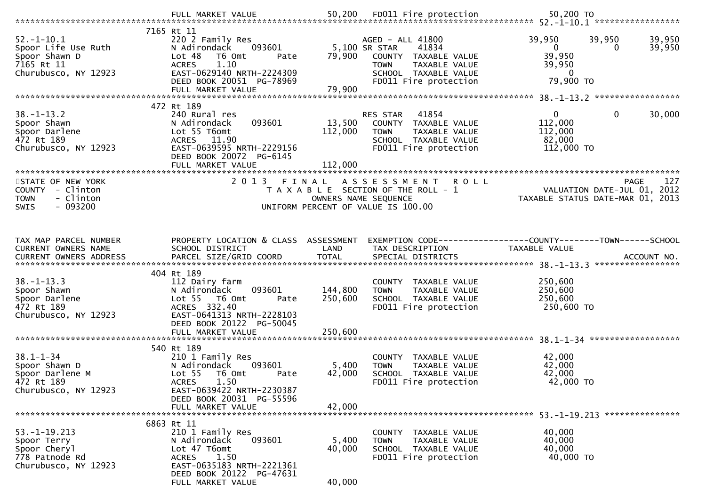|                                               | FULL MARKET VALUE                                           | 50,200               | FD011 Fire protection                                        | 50,200 TO        |                                  |
|-----------------------------------------------|-------------------------------------------------------------|----------------------|--------------------------------------------------------------|------------------|----------------------------------|
|                                               | 7165 Rt 11                                                  |                      |                                                              |                  |                                  |
| $52. - 1 - 10.1$                              | 220 2 Family Res                                            |                      | AGED - ALL 41800                                             | 39,950           | 39,950<br>39,950                 |
| Spoor Life Use Ruth                           | N Adirondack<br>093601                                      |                      | 5,100 SR STAR<br>41834                                       | $\overline{0}$   | 39,950<br>$\Omega$               |
| Spoor Shawn D                                 | Lot 48<br>T6 Omt<br>Pate                                    | 79,900               | COUNTY TAXABLE VALUE                                         | 39,950           |                                  |
| 7165 Rt 11                                    | 1.10<br><b>ACRES</b>                                        |                      | TAXABLE VALUE<br><b>TOWN</b>                                 | 39,950           |                                  |
| Churubusco, NY 12923                          | EAST-0629140 NRTH-2224309                                   |                      | SCHOOL TAXABLE VALUE                                         | $\Omega$         |                                  |
|                                               | DEED BOOK 20051 PG-78969                                    |                      | FD011 Fire protection                                        | 79,900 TO        |                                  |
|                                               | FULL MARKET VALUE                                           | 79,900               |                                                              |                  |                                  |
|                                               |                                                             |                      |                                                              |                  |                                  |
| $38. - 1 - 13.2$                              | 472 Rt 189<br>240 Rural res                                 |                      | RES STAR<br>41854                                            | $\mathbf{0}$     | $\mathbf{0}$<br>30,000           |
| Spoor Shawn                                   | 093601<br>N Adirondack                                      | 13,500               | COUNTY TAXABLE VALUE                                         | 112,000          |                                  |
| Spoor Darlene                                 | Lot 55 T6omt                                                | 112,000              | <b>TOWN</b><br>TAXABLE VALUE                                 | 112,000          |                                  |
| 472 Rt 189                                    | ACRES 11.90                                                 |                      | SCHOOL TAXABLE VALUE                                         | 82,000           |                                  |
| Churubusco, NY 12923                          | EAST-0639595 NRTH-2229156                                   |                      | FD011 Fire protection                                        | 112,000 TO       |                                  |
|                                               | DEED BOOK 20072 PG-6145                                     |                      |                                                              |                  |                                  |
|                                               | FULL MARKET VALUE                                           | 112,000              |                                                              |                  |                                  |
| ********************                          |                                                             |                      |                                                              |                  |                                  |
| STATE OF NEW YORK                             | 2 0 1 3                                                     | FINAL                | A S S E S S M E N T<br><b>ROLL</b>                           |                  | 127<br>PAGE                      |
| COUNTY - Clinton                              |                                                             |                      | T A X A B L E SECTION OF THE ROLL - 1                        |                  | VALUATION DATE-JUL 01, 2012      |
| <b>TOWN</b><br>- Clinton<br>$-093200$<br>SWIS |                                                             | OWNERS NAME SEQUENCE | UNIFORM PERCENT OF VALUE IS 100.00                           |                  | TAXABLE STATUS DATE-MAR 01, 2013 |
|                                               |                                                             |                      |                                                              |                  |                                  |
|                                               |                                                             |                      |                                                              |                  |                                  |
|                                               |                                                             |                      |                                                              |                  |                                  |
| TAX MAP PARCEL NUMBER                         | PROPERTY LOCATION & CLASS ASSESSMENT                        |                      | EXEMPTION CODE-----------------COUNTY-------TOWN------SCHOOL |                  |                                  |
| CURRENT OWNERS NAME                           | SCHOOL DISTRICT                                             | LAND                 | TAX DESCRIPTION                                              | TAXABLE VALUE    |                                  |
|                                               |                                                             |                      |                                                              |                  | ACCOUNT NO.                      |
|                                               |                                                             |                      |                                                              |                  | *****************                |
| $38. - 1 - 13.3$                              | 404 Rt 189                                                  |                      |                                                              | 250,600          |                                  |
| Spoor Shawn                                   | 112 Dairy farm<br>093601<br>N Adirondack                    | 144,800              | COUNTY TAXABLE VALUE<br>TAXABLE VALUE<br><b>TOWN</b>         | 250,600          |                                  |
| Spoor Darlene                                 | Lot <sub>55</sub><br>T6 Omt<br>Pate                         | 250,600              | SCHOOL TAXABLE VALUE                                         | 250,600          |                                  |
| 472 Rt 189                                    | ACRES 332.40                                                |                      | FD011 Fire protection                                        | 250,600 TO       |                                  |
| Churubusco, NY 12923                          | EAST-0641313 NRTH-2228103                                   |                      |                                                              |                  |                                  |
|                                               | DEED BOOK 20122 PG-50045                                    |                      |                                                              |                  |                                  |
|                                               | FULL MARKET VALUE                                           | 250,600              |                                                              |                  |                                  |
|                                               |                                                             |                      |                                                              |                  |                                  |
|                                               | 540 Rt 189                                                  |                      |                                                              |                  |                                  |
| $38.1 - 1 - 34$                               | 210 1 Family Res                                            |                      | COUNTY TAXABLE VALUE                                         | 42,000           |                                  |
| Spoor Shawn D<br>Spoor Darlene M              | N Adirondack<br>093601                                      | 5,400                | TAXABLE VALUE<br><b>TOWN</b>                                 | 42,000<br>42,000 |                                  |
| 472 Rt 189                                    | Lot <sub>55</sub><br>T6 Omt<br>Pate<br>1.50<br><b>ACRES</b> | 42,000               | SCHOOL TAXABLE VALUE<br>FD011 Fire protection                | 42,000 TO        |                                  |
| Churubusco, NY 12923                          | EAST-0639422 NRTH-2230387                                   |                      |                                                              |                  |                                  |
|                                               | DEED BOOK 20031 PG-55596                                    |                      |                                                              |                  |                                  |
|                                               | FULL MARKET VALUE                                           | 42,000               |                                                              |                  |                                  |
|                                               |                                                             |                      |                                                              |                  |                                  |
|                                               | 6863 Rt 11                                                  |                      |                                                              |                  |                                  |
| $53. - 1 - 19.213$                            | 210 1 Family Res                                            |                      | COUNTY TAXABLE VALUE                                         | 40,000           |                                  |
| Spoor Terry                                   | N Adirondack<br>093601                                      | 5,400                | TAXABLE VALUE<br><b>TOWN</b>                                 | 40,000           |                                  |
| Spoor Cheryl                                  | Lot 47 T6omt                                                | 40,000               | SCHOOL TAXABLE VALUE                                         | 40,000           |                                  |
| 778 Patnode Rd<br>Churubusco, NY 12923        | 1.50<br><b>ACRES</b><br>EAST-0635183 NRTH-2221361           |                      | FD011 Fire protection                                        | 40,000 TO        |                                  |
|                                               | DEED BOOK 20122 PG-47631                                    |                      |                                                              |                  |                                  |
|                                               | FULL MARKET VALUE                                           | 40,000               |                                                              |                  |                                  |
|                                               |                                                             |                      |                                                              |                  |                                  |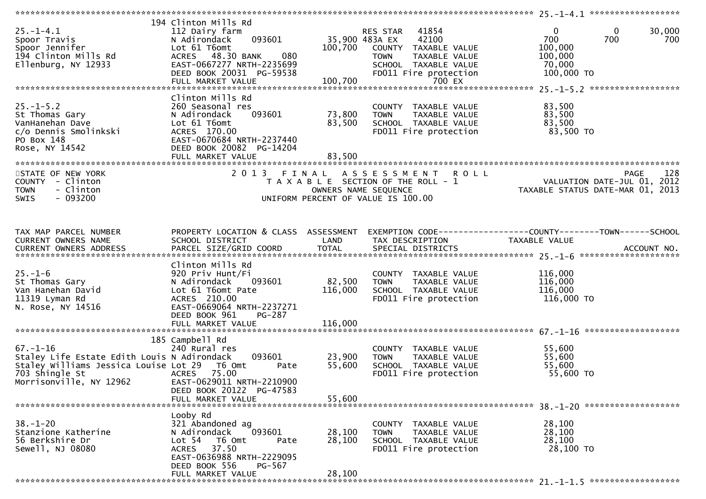| $25. - 1 - 4.1$<br>Spoor Travis<br>Spoor Jennifer<br>194 Clinton Mills Rd<br>Ellenburg, NY 12933                                                           | 194 Clinton Mills Rd<br>112 Dairy farm<br>093601<br>N Adirondack<br>Lot 61 T6omt<br>ACRES 48.30 BANK<br>080<br>EAST-0667277 NRTH-2235699<br>DEED BOOK 20031 PG-59538                         | 35,900 483A EX<br>100,700    | RES STAR<br>41854<br>42100<br>COUNTY TAXABLE VALUE<br><b>TOWN</b><br>TAXABLE VALUE<br>SCHOOL TAXABLE VALUE<br>FD011 Fire protection | 30,000<br>0<br>$\bf{0}$<br>700<br>700<br>700<br>100,000<br>100,000<br>70,000<br>100,000 TO |
|------------------------------------------------------------------------------------------------------------------------------------------------------------|----------------------------------------------------------------------------------------------------------------------------------------------------------------------------------------------|------------------------------|-------------------------------------------------------------------------------------------------------------------------------------|--------------------------------------------------------------------------------------------|
| $25. - 1 - 5.2$<br>St Thomas Gary<br>VanHanehan Dave<br>c/o Dennis Smolinkski<br>PO Box 148<br>Rose, NY 14542                                              | Clinton Mills Rd<br>260 Seasonal res<br>093601<br>N Adirondack<br>Lot 61 T6omt<br>ACRES 170.00<br>EAST-0670684 NRTH-2237440<br>DEED BOOK 20082 PG-14204<br>FULL MARKET VALUE                 | 73,800<br>83,500<br>83,500   | COUNTY TAXABLE VALUE<br><b>TOWN</b><br>TAXABLE VALUE<br>SCHOOL TAXABLE VALUE<br>FD011 Fire protection                               | 83,500<br>83,500<br>83,500<br>83,500 TO                                                    |
| STATE OF NEW YORK<br>COUNTY - Clinton<br><b>TOWN</b><br>- Clinton<br><b>SWIS</b><br>$-093200$                                                              | 2013 FINAL                                                                                                                                                                                   |                              | A S S E S S M E N T R O L L<br>T A X A B L E SECTION OF THE ROLL - 1<br>OWNERS NAME SEQUENCE<br>UNIFORM PERCENT OF VALUE IS 100.00  | 128<br><b>PAGE</b><br>VALUATION DATE-JUL 01, 2012<br>TAXABLE STATUS DATE-MAR 01, 2013      |
| TAX MAP PARCEL NUMBER<br>CURRENT OWNERS NAME                                                                                                               | PROPERTY LOCATION & CLASS ASSESSMENT<br>SCHOOL DISTRICT                                                                                                                                      | LAND                         | TAX DESCRIPTION                                                                                                                     | EXEMPTION CODE-----------------COUNTY-------TOWN------SCHOOL<br>TAXABLE VALUE              |
| $25. - 1 - 6$<br>St Thomas Gary<br>Van Hanehan David<br>11319 Lyman Rd<br>N. Rose, NY 14516                                                                | Clinton Mills Rd<br>920 Priv Hunt/Fi<br>093601<br>N Adirondack<br>Lot 61 T6omt Pate<br>ACRES 210.00<br>EAST-0669064 NRTH-2237271<br>DEED BOOK 961<br>PG-287<br>FULL MARKET VALUE             | 82,500<br>116,000<br>116,000 | COUNTY TAXABLE VALUE<br><b>TOWN</b><br>TAXABLE VALUE<br>SCHOOL TAXABLE VALUE<br>FD011 Fire protection                               | 116,000<br>116,000<br>116,000<br>116,000 TO                                                |
| $67. - 1 - 16$<br>Staley Life Estate Edith Louis N Adirondack<br>Staley Williams Jessica Louise Lot 29 T6 Omt<br>703 Shingle St<br>Morrisonville, NY 12962 | 185 Campbell Rd<br>240 Rural res<br>093601<br>Pate<br>ACRES 75.00<br>EAST-0629011 NRTH-2210900<br>DEED BOOK 20122 PG-47583<br>FULL MARKET VALUE                                              | 23,900<br>55,600<br>55,600   | COUNTY TAXABLE VALUE<br>TAXABLE VALUE<br><b>TOWN</b><br>SCHOOL TAXABLE VALUE<br>FD011 Fire protection                               | 55,600<br>55,600<br>55,600<br>55,600 TO                                                    |
| $38. - 1 - 20$<br>Stanzione Katherine<br>56 Berkshire Dr<br>Sewell, NJ 08080                                                                               | Looby Rd<br>321 Abandoned ag<br>093601<br>N Adirondack<br>Lot <sub>54</sub><br>T6 Omt<br>Pate<br>37.50<br>ACRES<br>EAST-0636988 NRTH-2229095<br>DEED BOOK 556<br>PG-567<br>FULL MARKET VALUE | 28,100<br>28,100<br>28,100   | COUNTY TAXABLE VALUE<br><b>TOWN</b><br>TAXABLE VALUE<br>SCHOOL TAXABLE VALUE<br>FD011 Fire protection                               | 28,100<br>28,100<br>28,100<br>28,100 TO                                                    |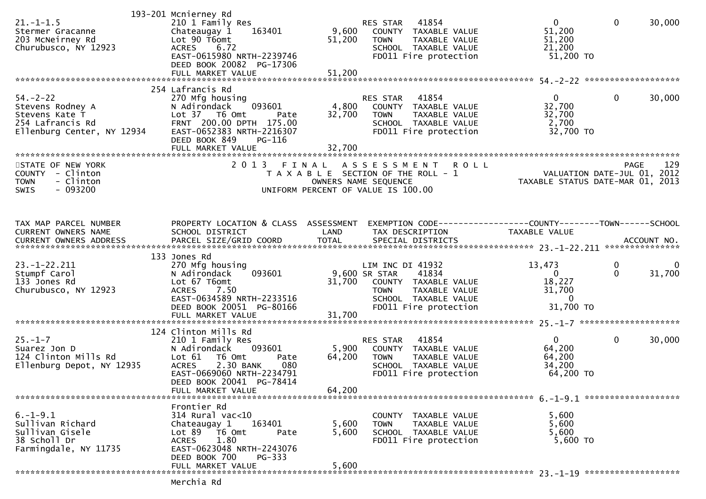| $21. - 1 - 1.5$<br>Stermer Gracanne<br>203 McNeirney Rd<br>Churubusco, NY 12923                        | 193-201 Mcnierney Rd<br>210 1 Family Res<br>Chateaugay 1<br>163401<br>Lot 90 T6omt<br><b>ACRES</b><br>6.72<br>EAST-0615980 NRTH-2239746<br>DEED BOOK 20082 PG-17306<br>FULL MARKET VALUE                         | 9,600<br>51,200<br>51,200 | RES STAR<br>41854<br>COUNTY TAXABLE VALUE<br><b>TOWN</b><br>TAXABLE VALUE<br>SCHOOL TAXABLE VALUE<br>FD011 Fire protection                          | $\mathbf{0}$<br>51,200<br>51,200<br>21,200<br>$51,200$ TO           | $\mathbf 0$   | 30,000      |
|--------------------------------------------------------------------------------------------------------|------------------------------------------------------------------------------------------------------------------------------------------------------------------------------------------------------------------|---------------------------|-----------------------------------------------------------------------------------------------------------------------------------------------------|---------------------------------------------------------------------|---------------|-------------|
| $54. - 2 - 22$<br>Stevens Rodney A<br>Stevens Kate T<br>254 Lafrancis Rd<br>Ellenburg Center, NY 12934 | 254 Lafrancis Rd<br>270 Mfg housing<br>093601<br>N Adirondack<br>Lot 37 T6 Omt<br>Pate<br>FRNT 200.00 DPTH 175.00<br>EAST-0652383 NRTH-2216307<br>DEED BOOK 849<br>PG-116<br>FULL MARKET VALUE                   | 4,800<br>32,700<br>32,700 | RES STAR<br>41854<br>COUNTY TAXABLE VALUE<br>TAXABLE VALUE<br><b>TOWN</b><br>SCHOOL TAXABLE VALUE<br>FD011 Fire protection                          | 0<br>32,700<br>32,700<br>2,700<br>32,700 TO                         | 0             | 30,000      |
| STATE OF NEW YORK<br>COUNTY - Clinton<br>- Clinton<br><b>TOWN</b><br>$-093200$<br><b>SWIS</b>          | 2 0 1 3                                                                                                                                                                                                          | FINAL                     | A S S E S S M E N T<br><b>ROLL</b><br>T A X A B L E SECTION OF THE ROLL - 1<br>OWNERS NAME SEQUENCE<br>UNIFORM PERCENT OF VALUE IS 100.00           | VALUATION DATE-JUL 01, 2012<br>TAXABLE STATUS DATE-MAR 01, 2013     | <b>PAGE</b>   | 129         |
| TAX MAP PARCEL NUMBER<br>CURRENT OWNERS NAME                                                           | PROPERTY LOCATION & CLASS ASSESSMENT<br>SCHOOL DISTRICT                                                                                                                                                          | LAND                      | EXEMPTION CODE------------------COUNTY--------TOWN------SCHOOL<br>TAX DESCRIPTION                                                                   | TAXABLE VALUE                                                       |               |             |
| $23. - 1 - 22.211$<br>Stumpf Carol<br>133 Jones Rd<br>Churubusco, NY 12923                             | 133 Jones Rd<br>270 Mfg housing<br>093601<br>N Adirondack<br>Lot 67 T6omt<br>7.50<br><b>ACRES</b><br>EAST-0634589 NRTH-2233516<br>DEED BOOK 20051 PG-80166<br>FULL MARKET VALUE                                  | 31,700<br>31,700          | LIM INC DI 41932<br>9,600 SR STAR<br>41834<br>COUNTY TAXABLE VALUE<br>TAXABLE VALUE<br><b>TOWN</b><br>SCHOOL TAXABLE VALUE<br>FD011 Fire protection | 13,473<br>$\Omega$<br>18,227<br>31,700<br>$\mathbf{0}$<br>31,700 TO | 0<br>$\Omega$ | 0<br>31,700 |
| $25. - 1 - 7$<br>Suarez Jon D<br>124 Clinton Mills Rd<br>Ellenburg Depot, NY 12935                     | 124 Clinton Mills Rd<br>210 1 Family Res<br>N Adirondack<br>093601<br>Lot 61<br>T6 Omt<br>Pate<br><b>ACRES</b><br>2.30 BANK<br>080<br>EAST-0669060 NRTH-2234791<br>DEED BOOK 20041 PG-78414<br>FULL MARKET VALUE | 5,900<br>64,200<br>64,200 | 41854<br>RES STAR<br>COUNTY TAXABLE VALUE<br><b>TOWN</b><br>TAXABLE VALUE<br>SCHOOL TAXABLE VALUE<br>FD011 Fire protection                          | 0 <sup>1</sup><br>64,200<br>64,200<br>34,200<br>64,200 TO           | $\mathbf{0}$  | 30,000      |
| $6. -1 - 9.1$<br>Sullivan Richard<br>Sullivan Gisele<br>38 Scholl Dr<br>Farmingdale, NY 11735          | Frontier Rd<br>$314$ Rural vac<10<br>Chateaugay 1<br>163401<br>$Lot 89$ T6 Omt<br>Pate<br><b>ACRES</b><br>1.80<br>EAST-0623048 NRTH-2243076<br>DEED BOOK 700<br>$PG-333$<br>FULL MARKET VALUE<br>Marchia Dd      | 5,600<br>5,600<br>5,600   | COUNTY TAXABLE VALUE<br>TAXABLE VALUE<br><b>TOWN</b><br>SCHOOL TAXABLE VALUE<br>FD011 Fire protection                                               | 5,600<br>5,600<br>5,600<br>5,600 TO                                 |               |             |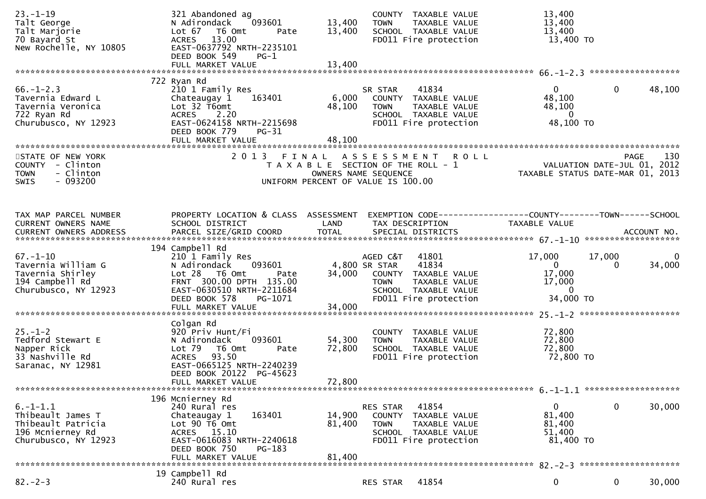| $23. - 1 - 19$                               | 321 Abandoned ag                                        | COUNTY TAXABLE VALUE                                                     | 13,400                                                                          |
|----------------------------------------------|---------------------------------------------------------|--------------------------------------------------------------------------|---------------------------------------------------------------------------------|
| Talt George<br>Talt Marjorie                 | N Adirondack<br>093601<br>Lot 67 T6 Omt<br>Pate         | 13,400<br><b>TOWN</b><br>TAXABLE VALUE<br>13,400<br>SCHOOL TAXABLE VALUE | 13,400<br>13,400                                                                |
| 70 Bayard St                                 | ACRES 13.00                                             | FD011 Fire protection                                                    | 13,400 TO                                                                       |
| New Rochelle, NY 10805                       | EAST-0637792 NRTH-2235101                               |                                                                          |                                                                                 |
|                                              | DEED BOOK 549<br>$PG-1$                                 |                                                                          |                                                                                 |
|                                              |                                                         |                                                                          |                                                                                 |
|                                              | 722 Ryan Rd                                             |                                                                          |                                                                                 |
| $66. - 1 - 2.3$                              | 210 1 Family Res                                        | 41834<br>SR STAR                                                         | $\mathbf 0$<br>48,100<br>$\Omega$                                               |
| Tavernia Edward L                            | 163401<br>Chateaugay 1                                  | 6,000<br>COUNTY TAXABLE VALUE                                            | 48,100                                                                          |
| Tavernia Veronica                            | Lot 32 T6omt                                            | 48,100<br><b>TOWN</b><br>TAXABLE VALUE                                   | 48,100                                                                          |
| 722 Ryan Rd                                  | ACRES 2.20                                              | SCHOOL TAXABLE VALUE                                                     | $\overline{0}$                                                                  |
| Churubusco, NY 12923                         | EAST-0624158 NRTH-2215698<br>DEED BOOK 779<br>PG-31     | FD011 Fire protection                                                    | 48,100 TO                                                                       |
|                                              | FULL MARKET VALUE                                       | 48,100                                                                   |                                                                                 |
|                                              |                                                         |                                                                          |                                                                                 |
| STATE OF NEW YORK                            | 2013 FINAL                                              | <b>ROLL</b><br>A S S E S S M E N T                                       | PAGE 130<br>VALUATION DATE-JUL 01, 2012<br>TAXARLE STATUS DATE :::- 21, 2012    |
| COUNTY - Clinton<br><b>TOWN</b>              |                                                         | T A X A B L E SECTION OF THE ROLL - 1                                    |                                                                                 |
| - Clinton<br>$-093200$<br>SWIS               |                                                         | OWNERS NAME SEQUENCE<br>UNIFORM PERCENT OF VALUE IS 100.00               | TAXABLE STATUS DATE-MAR 01, 2013                                                |
|                                              |                                                         |                                                                          |                                                                                 |
|                                              |                                                         |                                                                          |                                                                                 |
|                                              |                                                         |                                                                          |                                                                                 |
| TAX MAP PARCEL NUMBER<br>CURRENT OWNERS NAME | PROPERTY LOCATION & CLASS ASSESSMENT<br>SCHOOL DISTRICT | LAND<br>TAX DESCRIPTION                                                  | EXEMPTION CODE------------------COUNTY--------TOWN------SCHOOL<br>TAXABLE VALUE |
|                                              |                                                         |                                                                          |                                                                                 |
|                                              |                                                         |                                                                          |                                                                                 |
|                                              | 194 Campbell Rd                                         |                                                                          |                                                                                 |
| $67. - 1 - 10$                               | 210 1 Family Res                                        | AGED C&T<br>41801                                                        | 17,000<br>17,000<br>0                                                           |
| Tavernia William G<br>Tavernia Shirley       | N Adirondack<br>093601<br>$Lot 28$ T6 Omt<br>Pate       | 41834<br>4,800 SR STAR<br>34,000 COUNTY TAXABLE VALUE                    | $\mathbf{0}$<br>34,000<br>$\Omega$<br>17,000                                    |
| 194 Campbell Rd                              | FRNT 300.00 DPTH 135.00                                 | <b>TOWN</b><br>TAXABLE VALUE                                             | 17,000                                                                          |
| Churubusco, NY 12923                         | EAST-0630510 NRTH-2211684                               | SCHOOL TAXABLE VALUE                                                     | $\mathbf{0}$                                                                    |
|                                              | DEED BOOK 578<br>PG-1071                                | FD011 Fire protection                                                    | 34,000 TO                                                                       |
|                                              | FULL MARKET VALUE                                       | 34,000                                                                   |                                                                                 |
|                                              | Colgan Rd                                               |                                                                          |                                                                                 |
| $25. - 1 - 2$                                | 920 Priv Hunt/Fi                                        | COUNTY TAXABLE VALUE                                                     | 72,800                                                                          |
| Tedford Stewart E                            | N Adirondack<br>093601                                  | 54,300<br><b>TOWN</b><br>TAXABLE VALUE                                   | 72,800                                                                          |
| Napper Rick                                  | Lot 79<br>T6 Omt<br>Pate                                | 72,800<br>SCHOOL TAXABLE VALUE                                           | 72,800                                                                          |
| 33 Nashville Rd<br>Saranac, NY 12981         | ACRES 93.50<br>EAST-0665125 NRTH-2240239                | FD011 Fire protection                                                    | 72,800 TO                                                                       |
|                                              | DEED BOOK 20122 PG-45623                                |                                                                          |                                                                                 |
|                                              | FULL MARKET VALUE                                       | 72,800                                                                   |                                                                                 |
|                                              |                                                         |                                                                          |                                                                                 |
|                                              | 196 Mcnierney Rd                                        |                                                                          |                                                                                 |
| $6. -1 - 1.1$<br>Thibeault James T           | 240 Rural res<br>163401<br>Chateaugay 1                 | 41854<br>RES STAR<br>14,900<br>COUNTY TAXABLE VALUE                      | 0<br>0<br>30,000<br>81,400                                                      |
| Thibeault Patricia                           | Lot $90$ $\overline{16}$ Omt                            | 81,400<br><b>TOWN</b><br>TAXABLE VALUE                                   | 81,400                                                                          |
| 196 Mcnierney Rd                             | ACRES 15.10                                             | SCHOOL TAXABLE VALUE                                                     | 51,400                                                                          |
| Churubusco, NY 12923                         | EAST-0616083 NRTH-2240618                               | FD011 Fire protection                                                    | 81,400 TO                                                                       |
|                                              | DEED BOOK 750<br>PG-183                                 | 81,400                                                                   |                                                                                 |
|                                              | FULL MARKET VALUE                                       |                                                                          |                                                                                 |
|                                              | 19 Campbell Rd                                          |                                                                          |                                                                                 |
| $82 - 2 - 3$                                 | 240 Rural res                                           | 41854<br>RES STAR                                                        | 0<br>30,000<br>0                                                                |
|                                              |                                                         |                                                                          |                                                                                 |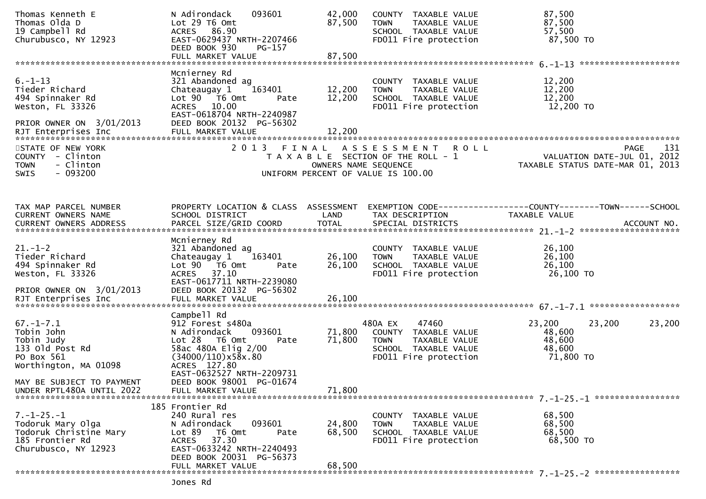| Thomas Kenneth E<br>Thomas Olda D<br>19 Campbell Rd<br>Churubusco, NY 12923                                                                                     | 093601<br>N Adirondack<br>Lot 29 T6 Omt<br>ACRES 86.90<br>EAST-0629437 NRTH-2207466<br>DEED BOOK 930<br>PG-157                                                                                                                | 42,000<br>87,500              | COUNTY TAXABLE VALUE<br>TAXABLE VALUE<br><b>TOWN</b><br>SCHOOL TAXABLE VALUE<br>FD011 Fire protection                     | 87,500<br>87,500<br>57,500<br>87,500 TO                                               |
|-----------------------------------------------------------------------------------------------------------------------------------------------------------------|-------------------------------------------------------------------------------------------------------------------------------------------------------------------------------------------------------------------------------|-------------------------------|---------------------------------------------------------------------------------------------------------------------------|---------------------------------------------------------------------------------------|
|                                                                                                                                                                 |                                                                                                                                                                                                                               |                               |                                                                                                                           |                                                                                       |
| $6. - 1 - 13$<br>Tieder Richard<br>494 Spinnaker Rd<br>Weston, FL 33326<br>PRIOR OWNER ON 3/01/2013                                                             | Mcnierney Rd<br>321 Abandoned ag<br>163401<br>Chateaugay 1<br>Lot 90  T6 0mt<br>Pate<br>ACRES 10.00<br>EAST-0618704 NRTH-2240987<br>DEED BOOK 20132 PG-56302                                                                  | 12,200<br>12,200              | COUNTY TAXABLE VALUE<br><b>TOWN</b><br>TAXABLE VALUE<br>SCHOOL TAXABLE VALUE<br>FD011 Fire protection                     | 12,200<br>12,200<br>12,200<br>12,200 TO                                               |
|                                                                                                                                                                 |                                                                                                                                                                                                                               |                               |                                                                                                                           |                                                                                       |
| STATE OF NEW YORK<br>COUNTY - Clinton<br>- Clinton<br><b>TOWN</b><br>$-093200$<br><b>SWIS</b>                                                                   | 2 0 1 3                                                                                                                                                                                                                       | FINAL<br>OWNERS NAME SEQUENCE | A S S E S S M E N T<br>R O L L<br>T A X A B L E SECTION OF THE ROLL - 1<br>UNIFORM PERCENT OF VALUE IS 100.00             | 131<br><b>PAGE</b><br>VALUATION DATE-JUL 01, 2012<br>TAXABLE STATUS DATE-MAR 01, 2013 |
| TAX MAP PARCEL NUMBER<br>CURRENT OWNERS NAME                                                                                                                    | PROPERTY LOCATION & CLASS ASSESSMENT<br>SCHOOL DISTRICT                                                                                                                                                                       | LAND                          | TAX DESCRIPTION                                                                                                           | EXEMPTION CODE-----------------COUNTY-------TOWN------SCHOOL<br>TAXABLE VALUE         |
| $21. - 1 - 2$<br>Tieder Richard<br>494 Spinnaker Rd<br>Weston, FL 33326<br>PRIOR OWNER ON 3/01/2013                                                             | Mcnierney Rd<br>321 Abandoned ag<br>163401<br>Chateaugay 1<br>Lot 90  T6 0mt<br>Pate<br>ACRES 37.10<br>EAST-0617711 NRTH-2239080<br>DEED BOOK 20132 PG-56302                                                                  | 26,100<br>26,100              | COUNTY TAXABLE VALUE<br>TAXABLE VALUE<br><b>TOWN</b><br>SCHOOL TAXABLE VALUE<br>FD011 Fire protection                     | 26,100<br>26,100<br>26,100<br>26,100 TO                                               |
|                                                                                                                                                                 |                                                                                                                                                                                                                               |                               |                                                                                                                           |                                                                                       |
| $67. - 1 - 7.1$<br>Tobin John<br>Tobin Judy<br>133 old Post Rd<br>PO Box 561<br>Worthington, MA 01098<br>MAY BE SUBJECT TO PAYMENT<br>UNDER RPTL480A UNTIL 2022 | Campbell Rd<br>912 Forest s480a<br>093601<br>N Adirondack<br>Lot 28 T6 Omt<br>Pate<br>58ac 480A Elig 2/00<br>(34000/110)x58x.80<br>ACRES 127.80<br>EAST-0632527 NRTH-2209731<br>DEED BOOK 98001 PG-01674<br>FULL MARKET VALUE | 71,800<br>71,800<br>71,800    | 480A EX<br>47460<br>COUNTY TAXABLE VALUE<br><b>TOWN</b><br>TAXABLE VALUE<br>SCHOOL TAXABLE VALUE<br>FD011 Fire protection | 23,200<br>23,200<br>23,200<br>48,600<br>48,600<br>48,600<br>71,800 TO                 |
|                                                                                                                                                                 | 185 Frontier Rd                                                                                                                                                                                                               |                               |                                                                                                                           |                                                                                       |
| $7. - 1 - 25. - 1$<br>Todoruk Mary Olga<br>Todoruk Christine Mary<br>185 Frontier Rd<br>Churubusco, NY 12923                                                    | 240 Rural res<br>N Adirondack<br>093601<br>Lot 89<br>T6 Omt<br>Pate<br>37.30<br>ACRES<br>EAST-0633242 NRTH-2240493<br>DEED BOOK 20031 PG-56373                                                                                | 24,800<br>68,500              | COUNTY TAXABLE VALUE<br><b>TOWN</b><br>TAXABLE VALUE<br>SCHOOL TAXABLE VALUE<br>FD011 Fire protection                     | 68,500<br>68,500<br>68,500<br>68,500 TO                                               |
|                                                                                                                                                                 | FULL MARKET VALUE                                                                                                                                                                                                             | 68,500                        |                                                                                                                           |                                                                                       |
|                                                                                                                                                                 |                                                                                                                                                                                                                               |                               |                                                                                                                           |                                                                                       |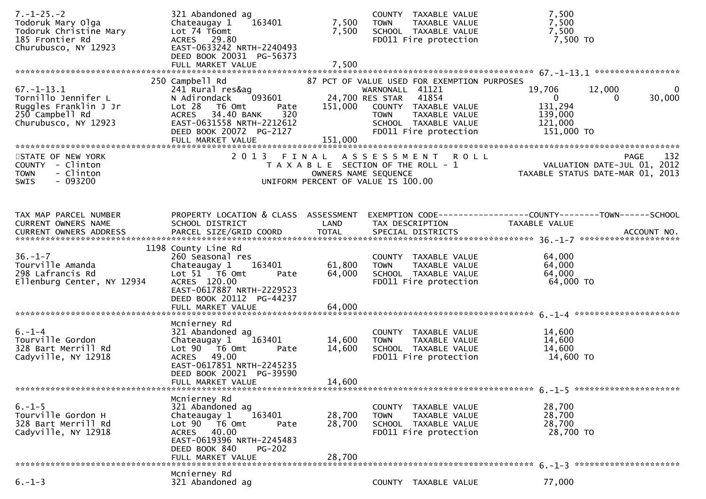| $7. - 1 - 25. - 2$<br>Todoruk Mary Olga<br>Todoruk Christine Mary<br>185 Frontier Rd<br>Churubusco, NY 12923                     | 321 Abandoned ag<br>Chateaugay 1<br>163401<br>Lot 74 T6omt<br>ACRES 29.80<br>EAST-0633242 NRTH-2240493<br>DEED BOOK 20031 PG-56373<br>FULL MARKET VALUE                                                         | 7,500<br>7,500<br>7,500    | COUNTY TAXABLE VALUE<br><b>TOWN</b><br>TAXABLE VALUE<br>SCHOOL TAXABLE VALUE<br>FD011 Fire protection                                                                                                                  | 7,500<br>7,500<br>7,500<br>7,500 TO                                                                              |
|----------------------------------------------------------------------------------------------------------------------------------|-----------------------------------------------------------------------------------------------------------------------------------------------------------------------------------------------------------------|----------------------------|------------------------------------------------------------------------------------------------------------------------------------------------------------------------------------------------------------------------|------------------------------------------------------------------------------------------------------------------|
| $67. - 1 - 13.1$<br>Tornillo Jennifer L<br>Ruggles Franklin J Jr<br>250 Campbell Rd<br>Churubusco, NY 12923<br>STATE OF NEW YORK | 250 Campbell Rd<br>241 Rural res&ag<br>093601<br>N Adirondack<br>Lot 28<br>T6 Omt<br>Pate<br>ACRES 34.40 BANK<br>320<br>EAST-0631558 NRTH-2212612<br>DEED BOOK 20072 PG-2127<br>FULL MARKET VALUE<br>2013 FINAL | 151,000<br>151,000         | 87 PCT OF VALUE USED FOR EXEMPTION PURPOSES<br>WARNONALL 41121<br>24,700 RES STAR<br>41854<br>COUNTY TAXABLE VALUE<br><b>TOWN</b><br>TAXABLE VALUE<br>SCHOOL TAXABLE VALUE<br>FD011 Fire protection<br>ASSESSMENT ROLL | 19,706<br>12,000<br>0<br>30,000<br>$\mathbf{0}$<br>0<br>131,294<br>139,000<br>121,000<br>151,000 TO              |
| COUNTY - Clinton<br>- Clinton<br><b>TOWN</b><br>- 093200<br>SWIS                                                                 |                                                                                                                                                                                                                 | OWNERS NAME SEQUENCE       | T A X A B L E SECTION OF THE ROLL - 1<br>UNIFORM PERCENT OF VALUE IS 100.00                                                                                                                                            | PAGE 132<br>VALUATION DATE-JUL 01, 2012<br>TAXARLE STATUS DATE :::- 21, 2012<br>TAXABLE STATUS DATE-MAR 01, 2013 |
| TAX MAP PARCEL NUMBER<br>CURRENT OWNERS NAME                                                                                     | PROPERTY LOCATION & CLASS ASSESSMENT<br>SCHOOL DISTRICT                                                                                                                                                         | LAND                       | TAX DESCRIPTION                                                                                                                                                                                                        | EXEMPTION        CODE-----------------COUNTY-------TOWN------SCHOOL<br>TAXABLE VALUE                             |
| $36. - 1 - 7$<br>Tourville Amanda<br>298 Lafrancis Rd<br>Ellenburg Center, NY 12934                                              | 1198 County Line Rd<br>260 Seasonal res<br>163401<br>Chateaugay 1<br>Lot 51 76 0mt<br>Pate<br>ACRES 120.00<br>EAST-0617887 NRTH-2229523<br>DEED BOOK 20112 PG-44237<br>FULL MARKET VALUE                        | 61,800<br>64,000<br>64,000 | COUNTY TAXABLE VALUE<br><b>TOWN</b><br>TAXABLE VALUE<br>SCHOOL TAXABLE VALUE<br>FD011 Fire protection                                                                                                                  | 64,000<br>64,000<br>64,000<br>64,000 TO                                                                          |
| $6. - 1 - 4$<br>Tourville Gordon<br>328 Bart Merrill Rd<br>Cadyville, NY 12918                                                   | Mcnierney Rd<br>321 Abandoned ag<br>163401<br>Chateaugay 1<br>Lot 90 T6 Omt<br>Pate<br>ACRES 49.00<br>EAST-0617851 NRTH-2245235<br>DEED BOOK 20021 PG-39590<br>FULL MARKET VALUE                                | 14,600<br>14,600<br>14,600 | COUNTY TAXABLE VALUE<br><b>TOWN</b><br>TAXABLE VALUE<br>SCHOOL TAXABLE VALUE<br>FD011 Fire protection                                                                                                                  | 14,600<br>14,600<br>14,600<br>14,600 TO                                                                          |
| $6. - 1 - 5$<br>Tourville Gordon H<br>328 Bart Merrill Rd<br>Cadyville, NY 12918                                                 | Mcnierney Rd<br>321 Abandoned ag<br>Chateaugay 1<br>163401<br>Lot 90  T6 0mt<br>Pate<br>ACRES 40.00<br>EAST-0619396 NRTH-2245483<br>DEED BOOK 840<br><b>PG-202</b><br>FULL MARKET VALUE                         | 28,700<br>28,700<br>28,700 | COUNTY TAXABLE VALUE<br>TAXABLE VALUE<br><b>TOWN</b><br>SCHOOL TAXABLE VALUE<br>FD011 Fire protection                                                                                                                  | 28,700<br>28,700<br>28,700<br>28,700 TO                                                                          |
| $6. - 1 - 3$                                                                                                                     | Mcnierney Rd<br>321 Abandoned ag                                                                                                                                                                                |                            | COUNTY TAXABLE VALUE                                                                                                                                                                                                   | 77,000                                                                                                           |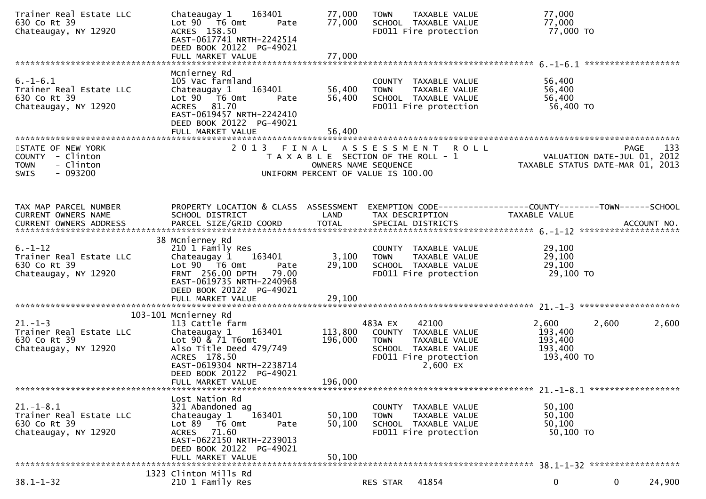| Trainer Real Estate LLC<br>630 Co Rt 39<br>Chateaugay, NY 12920                        | 163401<br>Chateaugay 1<br>Lot 90 T6 Omt<br>Pate<br>ACRES 158.50<br>EAST-0617741 NRTH-2242514<br>DEED BOOK 20122 PG-49021<br>FULL MARKET VALUE                                                                   | 77,000<br>77,000<br>77,000    | <b>TOWN</b><br>TAXABLE VALUE<br>SCHOOL TAXABLE VALUE<br>FD011 Fire protection                                                         | 77,000<br>77,000<br>77,000 TO                                                  |        |
|----------------------------------------------------------------------------------------|-----------------------------------------------------------------------------------------------------------------------------------------------------------------------------------------------------------------|-------------------------------|---------------------------------------------------------------------------------------------------------------------------------------|--------------------------------------------------------------------------------|--------|
| $6. -1 - 6.1$<br>Trainer Real Estate LLC<br>630 Co Rt 39<br>Chateaugay, NY 12920       | Mcnierney Rd<br>105 Vac farmland<br>163401<br>Chateaugay 1<br>Lot 90 T6 Omt<br>Pate<br>ACRES 81.70<br>EAST-0619457 NRTH-2242410<br>DEED BOOK 20122 PG-49021<br>FULL MARKET VALUE                                | 56,400<br>56,400<br>56,400    | COUNTY TAXABLE VALUE<br><b>TOWN</b><br>TAXABLE VALUE<br>SCHOOL TAXABLE VALUE<br>FD011 Fire protection                                 | 56,400<br>56,400<br>56,400<br>56,400 TO                                        |        |
| STATE OF NEW YORK<br>COUNTY - Clinton<br>- Clinton<br><b>TOWN</b><br>$-093200$<br>SWIS |                                                                                                                                                                                                                 | OWNERS NAME SEQUENCE          | 2013 FINAL ASSESSMENT ROLL<br>T A X A B L E SECTION OF THE ROLL - 1<br>UNIFORM PERCENT OF VALUE IS 100.00                             | <b>PAGE</b><br>VALUATION DATE-JUL 01, 2012<br>TAXABLE STATUS DATE-MAR 01, 2013 | 133    |
| TAX MAP PARCEL NUMBER<br>CURRENT OWNERS NAME<br>CURRENT OWNERS ADDRESS                 | PROPERTY LOCATION & CLASS ASSESSMENT<br>SCHOOL DISTRICT                                                                                                                                                         | LAND                          | TAX DESCRIPTION                                                                                                                       | EXEMPTION CODE-----------------COUNTY-------TOWN------SCHOOL<br>TAXABLE VALUE  |        |
| $6. - 1 - 12$<br>Trainer Real Estate LLC<br>630 Co Rt 39<br>Chateaugay, NY 12920       | 38 Mcnierney Rd<br>210 1 Family Res<br>163401<br>Chateaugay 1<br>Lot $90$ $\overline{76}$ Omt<br>Pate<br>FRNT 256.00 DPTH 79.00<br>EAST-0619735 NRTH-2240968<br>DEED BOOK 20122 PG-49021                        | 3,100<br>29,100               | COUNTY TAXABLE VALUE<br><b>TOWN</b><br>TAXABLE VALUE<br>SCHOOL TAXABLE VALUE<br>FD011 Fire protection                                 | 29,100<br>29,100<br>29,100<br>29,100 TO                                        |        |
| $21. - 1 - 3$<br>Trainer Real Estate LLC<br>630 Co Rt 39<br>Chateaugay, NY 12920       | 103-101 Mcnierney Rd<br>113 Cattle farm<br>Chateaugay 1<br>163401<br>Lot 90 & 71 T6omt<br>Also Title Deed 479/749<br>ACRES 178.50<br>EAST-0619304 NRTH-2238714<br>DEED BOOK 20122 PG-49021<br>FULL MARKET VALUE | 113,800<br>196,000<br>196,000 | 42100<br>483A EX<br>COUNTY TAXABLE VALUE<br><b>TOWN</b><br>TAXABLE VALUE<br>SCHOOL TAXABLE VALUE<br>FD011 Fire protection<br>2,600 EX | 2,600<br>2,600<br>193,400<br>193,400<br>193,400<br>193,400 TO                  | 2,600  |
| $21. - 1 - 8.1$<br>Trainer Real Estate LLC<br>630 Co Rt 39<br>Chateaugay, NY 12920     | Lost Nation Rd<br>321 Abandoned ag<br>163401<br>Chateaugay 1<br>Lot 89 T6 Omt<br>Pate<br>ACRES 71.60<br>EAST-0622150 NRTH-2239013<br>DEED BOOK 20122 PG-49021<br>FULL MARKET VALUE                              | 50,100<br>50,100<br>50,100    | COUNTY TAXABLE VALUE<br>TAXABLE VALUE<br><b>TOWN</b><br>SCHOOL TAXABLE VALUE<br>FD011 Fire protection                                 | 50,100<br>50,100<br>50,100<br>50,100 TO                                        |        |
| $38.1 - 1 - 32$                                                                        | 1323 Clinton Mills Rd<br>210 1 Family Res                                                                                                                                                                       |                               | 41854<br>RES STAR                                                                                                                     | $\mathbf 0$<br>$\mathbf{0}$                                                    | 24,900 |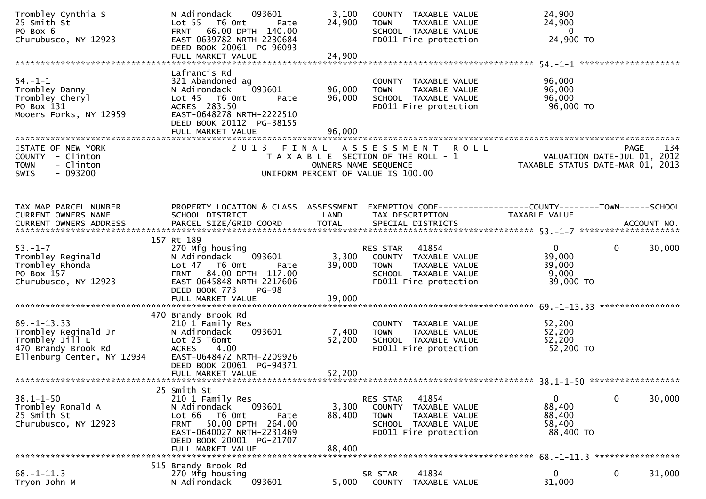| Trombley Cynthia S<br>25 Smith St<br>PO Box 6<br>Churubusco, NY 12923                                            | 093601<br>N Adirondack<br>Lot 55 T6 Omt<br>Pate<br>66.00 DPTH 140.00<br><b>FRNT</b><br>EAST-0639782 NRTH-2230684<br>DEED BOOK 20061 PG-96093                                                            | 3,100<br>24,900            | COUNTY TAXABLE VALUE<br><b>TOWN</b><br>TAXABLE VALUE<br>SCHOOL TAXABLE VALUE<br>FD011 Fire protection                      | 24,900<br>24,900<br>$\overline{0}$<br>24,900 TO                                |        |
|------------------------------------------------------------------------------------------------------------------|---------------------------------------------------------------------------------------------------------------------------------------------------------------------------------------------------------|----------------------------|----------------------------------------------------------------------------------------------------------------------------|--------------------------------------------------------------------------------|--------|
|                                                                                                                  |                                                                                                                                                                                                         |                            |                                                                                                                            |                                                                                |        |
| $54. - 1 - 1$<br>Trombley Danny<br>Trombley Cheryl<br>PO Box 131<br>Mooers Forks, NY 12959                       | Lafrancis Rd<br>321 Abandoned ag<br>093601<br>N Adirondack<br>Lot 45 T6 Omt<br>Pate<br>ACRES 283.50<br>EAST-0648278 NRTH-2222510<br>DEED BOOK 20112 PG-38155<br>FULL MARKET VALUE                       | 96,000<br>96,000<br>96,000 | COUNTY TAXABLE VALUE<br><b>TOWN</b><br>TAXABLE VALUE<br>SCHOOL TAXABLE VALUE<br>FD011 Fire protection                      | 96,000<br>96,000<br>96,000<br>96,000 TO                                        |        |
|                                                                                                                  |                                                                                                                                                                                                         |                            |                                                                                                                            |                                                                                |        |
| STATE OF NEW YORK<br>COUNTY - Clinton<br>- Clinton<br><b>TOWN</b><br>$-093200$<br><b>SWIS</b>                    | 2013<br>FINAL                                                                                                                                                                                           | OWNERS NAME SEQUENCE       | ASSESSMENT ROLL<br>T A X A B L E SECTION OF THE ROLL - 1<br>UNIFORM PERCENT OF VALUE IS 100.00                             | <b>PAGE</b><br>VALUATION DATE-JUL 01, 2012<br>TAXABLE STATUS DATE-MAR 01, 2013 | 134    |
| TAX MAP PARCEL NUMBER                                                                                            | PROPERTY LOCATION & CLASS ASSESSMENT                                                                                                                                                                    |                            |                                                                                                                            | EXEMPTION CODE------------------COUNTY--------TOWN------SCHOOL                 |        |
| CURRENT OWNERS NAME                                                                                              | SCHOOL DISTRICT                                                                                                                                                                                         | LAND                       | TAX DESCRIPTION                                                                                                            | TAXABLE VALUE                                                                  |        |
|                                                                                                                  | 157 Rt 189                                                                                                                                                                                              |                            |                                                                                                                            |                                                                                |        |
| $53. - 1 - 7$<br>Trombley Reginald<br>Trombley Rhonda<br>PO Box 157<br>Churubusco, NY 12923                      | 270 Mfg housing<br>N Adirondack<br>093601<br>Lot 47 T6 Omt<br>Pate<br>84.00 DPTH 117.00<br><b>FRNT</b><br>EAST-0645848 NRTH-2217606<br>DEED BOOK 773<br><b>PG-98</b>                                    | 3,300<br>39,000            | RES STAR 41854<br>COUNTY TAXABLE VALUE<br><b>TOWN</b><br>TAXABLE VALUE<br>SCHOOL TAXABLE VALUE<br>FD011 Fire protection    | $\mathbf{0}$<br>$\mathbf{0}$<br>39,000<br>39,000<br>9,000<br>39,000 TO         | 30,000 |
|                                                                                                                  | 470 Brandy Brook Rd                                                                                                                                                                                     |                            |                                                                                                                            |                                                                                |        |
| $69. -1 - 13.33$<br>Trombley Reginald Jr<br>Trombley Jill L<br>470 Brandy Brook Rd<br>Ellenburg Center, NY 12934 | 210 1 Family Res<br>093601<br>N Adirondack<br>Lot 25 T6omt<br>4.00<br>ACRES<br>EAST-0648472 NRTH-2209926<br>DEED BOOK 20061 PG-94371<br>FULL MARKET VALUE                                               | 7,400<br>52,200<br>52,200  | COUNTY TAXABLE VALUE<br><b>TOWN</b><br>TAXABLE VALUE<br>SCHOOL TAXABLE VALUE<br>FD011 Fire protection                      | 52,200<br>52,200<br>52,200<br>52,200 TO                                        |        |
|                                                                                                                  |                                                                                                                                                                                                         |                            |                                                                                                                            |                                                                                |        |
| $38.1 - 1 - 50$<br>Trombley Ronald A<br>25 Smith St<br>Churubusco, NY 12923                                      | 25 Smith St<br>210 1 Family Res<br>N Adirondack<br>093601<br>T6 Omt<br>Lot 66<br>Pate<br>50.00 DPTH 264.00<br><b>FRNT</b><br>EAST-0640027 NRTH-2231469<br>DEED BOOK 20001 PG-21707<br>FULL MARKET VALUE | 3,300<br>88,400<br>88,400  | 41854<br>RES STAR<br>COUNTY TAXABLE VALUE<br><b>TOWN</b><br>TAXABLE VALUE<br>SCHOOL TAXABLE VALUE<br>FD011 Fire protection | 0<br>0<br>88,400<br>88,400<br>58,400<br>88,400 TO                              | 30,000 |
|                                                                                                                  |                                                                                                                                                                                                         |                            |                                                                                                                            | 68. -1-11.3 ******************                                                 |        |
| $68. - 1 - 11.3$<br>Tryon John M                                                                                 | 515 Brandy Brook Rd<br>270 Mfg housing<br>093601<br>N Adirondack                                                                                                                                        | 5,000                      | 41834<br>SR STAR<br>TAXABLE VALUE<br><b>COUNTY</b>                                                                         | 0<br>0<br>31,000                                                               | 31,000 |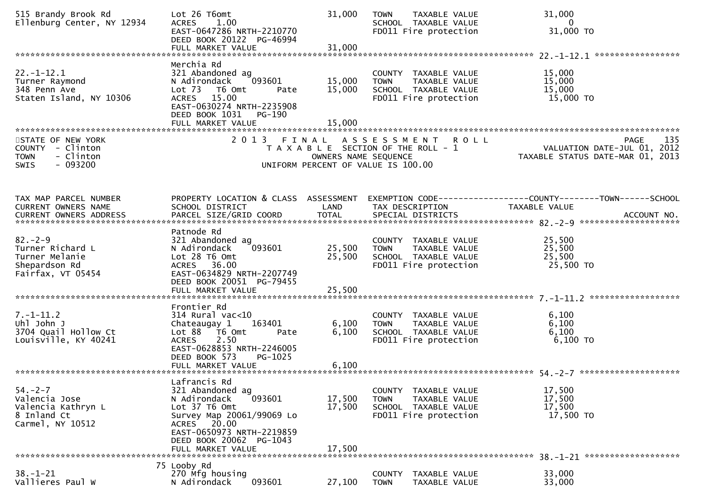| 515 Brandy Brook Rd<br>Ellenburg Center, NY 12934                                             | Lot 26 T6omt<br>1.00<br><b>ACRES</b><br>EAST-0647286 NRTH-2210770<br>DEED BOOK 20122 PG-46994<br>FULL MARKET VALUE                                                                                   | 31,000<br>31,000           | <b>TOWN</b><br>TAXABLE VALUE<br>SCHOOL TAXABLE VALUE<br>FD011 Fire protection                                     | 31,000<br>$\mathbf{0}$<br>31,000 TO                                            |
|-----------------------------------------------------------------------------------------------|------------------------------------------------------------------------------------------------------------------------------------------------------------------------------------------------------|----------------------------|-------------------------------------------------------------------------------------------------------------------|--------------------------------------------------------------------------------|
|                                                                                               | Merchia Rd                                                                                                                                                                                           |                            |                                                                                                                   |                                                                                |
| $22. - 1 - 12.1$<br>Turner Raymond<br>348 Penn Ave<br>Staten Island, NY 10306                 | 321 Abandoned ag<br>093601<br>N Adirondack<br>Lot <sub>73</sub><br>T6 Omt<br>Pate<br>ACRES 15.00<br>EAST-0630274 NRTH-2235908<br>DEED BOOK 1031<br>PG-190<br>FULL MARKET VALUE                       | 15,000<br>15,000<br>15,000 | COUNTY TAXABLE VALUE<br><b>TOWN</b><br>TAXABLE VALUE<br>SCHOOL TAXABLE VALUE<br>FD011 Fire protection             | 15,000<br>15,000<br>15,000<br>15,000 TO                                        |
|                                                                                               |                                                                                                                                                                                                      |                            |                                                                                                                   |                                                                                |
| STATE OF NEW YORK<br>COUNTY - Clinton<br>- Clinton<br><b>TOWN</b><br>$-093200$<br><b>SWIS</b> | 2013 FINAL                                                                                                                                                                                           | OWNERS NAME SEQUENCE       | A S S E S S M E N T<br><b>ROLL</b><br>T A X A B L E SECTION OF THE ROLL - 1<br>UNIFORM PERCENT OF VALUE IS 100.00 | 135<br>PAGE<br>VALUATION DATE-JUL 01, 2012<br>TAXABLE STATUS DATE-MAR 01, 2013 |
| TAX MAP PARCEL NUMBER<br>CURRENT OWNERS NAME                                                  | PROPERTY LOCATION & CLASS ASSESSMENT<br>SCHOOL DISTRICT                                                                                                                                              | LAND                       | TAX DESCRIPTION                                                                                                   | EXEMPTION CODE-----------------COUNTY-------TOWN------SCHOOL<br>TAXABLE VALUE  |
|                                                                                               | Patnode Rd                                                                                                                                                                                           |                            |                                                                                                                   |                                                                                |
| $82 - 2 - 9$<br>Turner Richard L<br>Turner Melanie<br>Shepardson Rd<br>Fairfax, VT 05454      | 321 Abandoned ag<br>093601<br>N Adirondack<br>Lot 28 T6 Omt<br>ACRES 36.00<br>EAST-0634829 NRTH-2207749<br>DEED BOOK 20051 PG-79455<br>FULL MARKET VALUE                                             | 25,500<br>25,500<br>25,500 | COUNTY TAXABLE VALUE<br>TAXABLE VALUE<br><b>TOWN</b><br>SCHOOL TAXABLE VALUE<br>FD011 Fire protection             | 25,500<br>25,500<br>25,500<br>25,500 TO                                        |
|                                                                                               |                                                                                                                                                                                                      |                            |                                                                                                                   |                                                                                |
| $7. - 1 - 11.2$<br>Uhl John J<br>3704 Quail Hollow Ct<br>Louisville, KY 40241                 | Frontier Rd<br>$314$ Rural vac<10<br>Chateaugay 1<br>163401<br>Lot 88<br>T6 Omt<br>Pate<br>2.50<br><b>ACRES</b><br>EAST-0628853 NRTH-2246005<br>DEED BOOK 573<br>PG-1025                             | 6,100<br>6,100             | COUNTY TAXABLE VALUE<br>TAXABLE VALUE<br><b>TOWN</b><br>SCHOOL TAXABLE VALUE<br>FD011 Fire protection             | 6,100<br>6,100<br>6,100<br>$6,100$ TO                                          |
|                                                                                               | FULL MARKET VALUE                                                                                                                                                                                    | 6,100                      |                                                                                                                   |                                                                                |
| $54. -2 - 7$<br>Valencia Jose<br>Valencia Kathryn L<br>8 Inland Ct<br>Carmel, NY 10512        | Lafrancis Rd<br>321 Abandoned ag<br>093601<br>N Adirondack<br>Lot 37 T6 Omt<br>Survey Map 20061/99069 Lo<br>ACRES 20.00<br>EAST-0650973 NRTH-2219859<br>DEED BOOK 20062 PG-1043<br>FULL MARKET VALUE | 17,500<br>17,500<br>17,500 | COUNTY TAXABLE VALUE<br>TAXABLE VALUE<br><b>TOWN</b><br>SCHOOL TAXABLE VALUE<br>FD011 Fire protection             | 17,500<br>17,500<br>17,500<br>17,500 TO                                        |
| $38. - 1 - 21$                                                                                | 75 Looby Rd<br>270 Mfg housing                                                                                                                                                                       |                            | COUNTY<br>TAXABLE VALUE                                                                                           | 33,000                                                                         |
| Vallieres Paul W                                                                              | N Adirondack<br>093601                                                                                                                                                                               | 27,100                     | <b>TOWN</b><br>TAXABLE VALUE                                                                                      | 33,000                                                                         |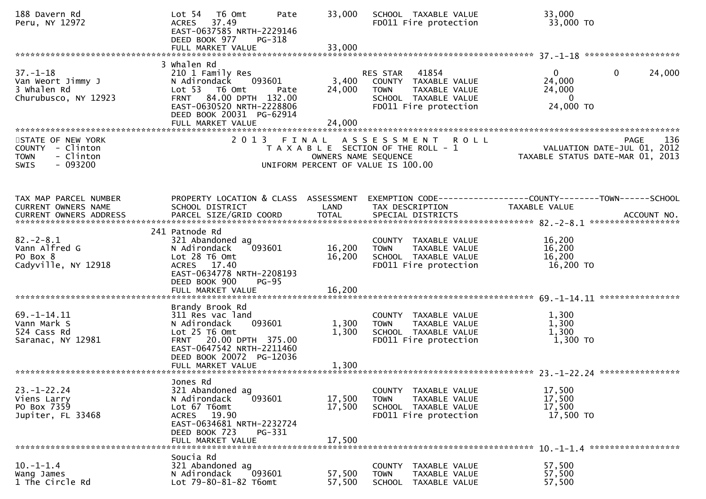| 188 Davern Rd<br>Peru, NY 12972                                                               | Lot <sub>54</sub><br>T6 Omt<br>Pate<br>37.49<br><b>ACRES</b><br>EAST-0637585 NRTH-2229146<br>DEED BOOK 977<br>PG-318                                                                        | 33,000                     | SCHOOL TAXABLE VALUE<br>FD011 Fire protection                                                                           | 33,000<br>33,000 TO                                                                     |
|-----------------------------------------------------------------------------------------------|---------------------------------------------------------------------------------------------------------------------------------------------------------------------------------------------|----------------------------|-------------------------------------------------------------------------------------------------------------------------|-----------------------------------------------------------------------------------------|
|                                                                                               |                                                                                                                                                                                             |                            |                                                                                                                         |                                                                                         |
| $37. - 1 - 18$<br>Van Weort Jimmy J<br>3 Whalen Rd<br>Churubusco, NY 12923                    | 3 Whalen Rd<br>210 1 Family Res<br>093601<br>N Adirondack<br>Lot 53  T6 Omt<br>Pate<br>FRNT 84.00 DPTH 132.00<br>EAST-0630520 NRTH-2228806<br>DEED BOOK 20031 PG-62914<br>FULL MARKET VALUE | 3,400<br>24,000<br>24,000  | RES STAR 41854<br>COUNTY TAXABLE VALUE<br><b>TOWN</b><br>TAXABLE VALUE<br>SCHOOL TAXABLE VALUE<br>FD011 Fire protection | 24,000<br>$\mathbf{0}$<br>$\mathbf{0}$<br>24,000<br>24,000<br>$\mathbf{0}$<br>24,000 TO |
|                                                                                               |                                                                                                                                                                                             |                            |                                                                                                                         |                                                                                         |
| STATE OF NEW YORK<br>COUNTY - Clinton<br><b>TOWN</b><br>- Clinton<br>$-093200$<br><b>SWIS</b> | 2013 FINAL                                                                                                                                                                                  | OWNERS NAME SEQUENCE       | ASSESSMENT ROLL<br>T A X A B L E SECTION OF THE ROLL - 1<br>UNIFORM PERCENT OF VALUE IS 100.00                          | 136<br><b>PAGE</b><br>VALUATION DATE-JUL 01, 2012<br>TAXABLE STATUS DATE-MAR 01, 2013   |
|                                                                                               |                                                                                                                                                                                             |                            |                                                                                                                         |                                                                                         |
| TAX MAP PARCEL NUMBER<br>CURRENT OWNERS NAME                                                  | PROPERTY LOCATION & CLASS ASSESSMENT<br>SCHOOL DISTRICT                                                                                                                                     | LAND                       | TAX DESCRIPTION                                                                                                         | EXEMPTION CODE------------------COUNTY--------TOWN------SCHOOL<br>TAXABLE VALUE         |
|                                                                                               | 241 Patnode Rd                                                                                                                                                                              |                            |                                                                                                                         |                                                                                         |
| $82. - 2 - 8.1$<br>Vann Alfred G<br>PO Box 8<br>Cadyville, NY 12918                           | 321 Abandoned ag<br>093601<br>N Adirondack<br>Lot 28 T6 Omt<br>ACRES 17.40<br>EAST-0634778 NRTH-2208193<br>DEED BOOK 900<br>$PG-95$                                                         | 16,200<br>16,200           | COUNTY TAXABLE VALUE<br><b>TOWN</b><br>TAXABLE VALUE<br>SCHOOL TAXABLE VALUE<br>FD011 Fire protection                   | 16,200<br>16,200<br>16,200<br>16,200 TO                                                 |
|                                                                                               | Brandy Brook Rd                                                                                                                                                                             |                            |                                                                                                                         |                                                                                         |
| $69. -1 - 14.11$<br>Vann Mark S<br>524 Cass Rd<br>Saranac, NY 12981                           | 311 Res vac land<br>093601<br>N Adirondack<br>Lot 25 T6 Omt<br>FRNT 20.00 DPTH 375.00<br>EAST-0647542 NRTH-2211460<br>DEED BOOK 20072 PG-12036                                              | 1,300<br>1,300             | COUNTY TAXABLE VALUE<br>TAXABLE VALUE<br><b>TOWN</b><br>SCHOOL TAXABLE VALUE<br>FD011 Fire protection                   | 1,300<br>1,300<br>1,300<br>1,300 TO                                                     |
|                                                                                               |                                                                                                                                                                                             |                            |                                                                                                                         |                                                                                         |
| $23. - 1 - 22.24$<br>Viens Larry<br>PO Box 7359<br>Jupiter, FL 33468                          | Jones Rd<br>321 Abandoned ag<br>093601<br>N Adirondack<br>Lot 67 T6omt<br>ACRES 19.90<br>EAST-0634681 NRTH-2232724<br>DEED BOOK 723<br>PG-331<br>FULL MARKET VALUE                          | 17,500<br>17,500<br>17,500 | COUNTY TAXABLE VALUE<br>TAXABLE VALUE<br><b>TOWN</b><br>SCHOOL TAXABLE VALUE<br>FD011 Fire protection                   | 17,500<br>17,500<br>17,500<br>17,500 TO                                                 |
|                                                                                               | Soucia Rd                                                                                                                                                                                   |                            |                                                                                                                         |                                                                                         |
| $10. - 1 - 1.4$<br>Wang James<br>1 The Circle Rd                                              | 321 Abandoned ag<br>093601<br>N Adirondack<br>Lot 79-80-81-82 T6omt                                                                                                                         | 57,500<br>57,500           | <b>COUNTY</b><br>TAXABLE VALUE<br>TAXABLE VALUE<br>TOWN<br><b>SCHOOL</b><br>TAXABLE VALUE                               | 57,500<br>57,500<br>57,500                                                              |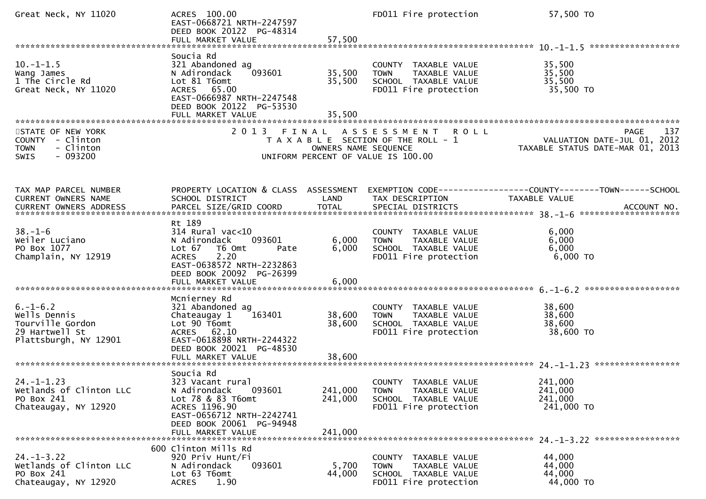| Great Neck, NY 11020                                                                          | ACRES 100.00<br>EAST-0668721 NRTH-2247597<br>DEED BOOK 20122 PG-48314<br>FULL MARKET VALUE                                                      | 57,500               | FD011 Fire protection                                                                                     | 57,500 TO                                                                             |
|-----------------------------------------------------------------------------------------------|-------------------------------------------------------------------------------------------------------------------------------------------------|----------------------|-----------------------------------------------------------------------------------------------------------|---------------------------------------------------------------------------------------|
|                                                                                               |                                                                                                                                                 |                      |                                                                                                           |                                                                                       |
| $10. -1 - 1.5$<br>Wang James<br>1 The Circle Rd<br>Great Neck, NY 11020                       | Soucia Rd<br>321 Abandoned ag<br>093601<br>N Adirondack<br>Lot 81 T6omt<br>ACRES 65.00<br>EAST-0666987 NRTH-2247548<br>DEED BOOK 20122 PG-53530 | 35,500<br>35,500     | COUNTY TAXABLE VALUE<br>TAXABLE VALUE<br><b>TOWN</b><br>SCHOOL TAXABLE VALUE<br>FD011 Fire protection     | 35,500<br>35,500<br>35,500<br>35,500 TO                                               |
|                                                                                               | FULL MARKET VALUE                                                                                                                               | 35,500               |                                                                                                           |                                                                                       |
|                                                                                               |                                                                                                                                                 |                      |                                                                                                           |                                                                                       |
| STATE OF NEW YORK<br>COUNTY - Clinton<br>- Clinton<br><b>TOWN</b><br>$-093200$<br>SWIS        |                                                                                                                                                 | OWNERS NAME SEQUENCE | 2013 FINAL ASSESSMENT ROLL<br>T A X A B L E SECTION OF THE ROLL - 1<br>UNIFORM PERCENT OF VALUE IS 100.00 | 137<br><b>PAGE</b><br>VALUATION DATE-JUL 01, 2012<br>TAXABLE STATUS DATE-MAR 01, 2013 |
|                                                                                               |                                                                                                                                                 |                      |                                                                                                           |                                                                                       |
| TAX MAP PARCEL NUMBER<br>CURRENT OWNERS NAME<br>CURRENT OWNERS ADDRESS                        | PROPERTY LOCATION & CLASS ASSESSMENT<br>SCHOOL DISTRICT                                                                                         | LAND                 | TAX DESCRIPTION                                                                                           | <b>TAXABLE VALUE</b>                                                                  |
|                                                                                               |                                                                                                                                                 |                      |                                                                                                           |                                                                                       |
| $38. - 1 - 6$<br>Weiler Luciano<br>PO Box 1077<br>Champlain, NY 12919                         | Rt 189<br>$314$ Rural vac<10<br>093601<br>N Adirondack<br>Lot $67$<br>T6 Omt<br>Pate<br><b>ACRES</b><br>2.20                                    | 6,000<br>6,000       | COUNTY TAXABLE VALUE<br>TAXABLE VALUE<br><b>TOWN</b><br>SCHOOL TAXABLE VALUE<br>FD011 Fire protection     | 6,000<br>6,000<br>6,000<br>6,000 TO                                                   |
|                                                                                               | EAST-0638572 NRTH-2232863<br>DEED BOOK 20092 PG-26399<br>FULL MARKET VALUE                                                                      | 6,000                |                                                                                                           |                                                                                       |
|                                                                                               | Mcnierney Rd                                                                                                                                    |                      |                                                                                                           |                                                                                       |
| $6. - 1 - 6.2$<br>Wells Dennis<br>Tourville Gordon<br>29 Hartwell St<br>Plattsburgh, NY 12901 | 321 Abandoned ag<br>163401<br>Chateaugay 1<br>Lot 90 T6omt<br>ACRES 62.10<br>EAST-0618898 NRTH-2244322<br>DEED BOOK 20021 PG-48530              | 38,600<br>38,600     | COUNTY TAXABLE VALUE<br>TAXABLE VALUE<br><b>TOWN</b><br>SCHOOL TAXABLE VALUE<br>FD011 Fire protection     | 38,600<br>38,600<br>38,600<br>38,600 TO                                               |
|                                                                                               |                                                                                                                                                 |                      |                                                                                                           |                                                                                       |
|                                                                                               | Soucia Rd                                                                                                                                       |                      |                                                                                                           |                                                                                       |
| $24. - 1 - 1.23$<br>Wetlands of Clinton LLC<br>PO Box 241<br>Chateaugay, NY 12920             | 323 Vacant rural<br>N Adirondack<br>093601<br>Lot 78 & 83 T6omt<br>ACRES 1196.90<br>EAST-0656712 NRTH-2242741<br>DEED BOOK 20061 PG-94948       | 241,000<br>241,000   | COUNTY TAXABLE VALUE<br>TAXABLE VALUE<br><b>TOWN</b><br>SCHOOL TAXABLE VALUE<br>FD011 Fire protection     | 241,000<br>241,000<br>241,000<br>241,000 TO                                           |
|                                                                                               | FULL MARKET VALUE                                                                                                                               | 241,000              |                                                                                                           |                                                                                       |
|                                                                                               | 600 Clinton Mills Rd                                                                                                                            |                      |                                                                                                           |                                                                                       |
| $24. - 1 - 3.22$<br>Wetlands of Clinton LLC<br>PO Box 241<br>Chateaugay, NY 12920             | 920 Priv Hunt/Fi<br>093601<br>N Adirondack<br>Lot 63 T6omt<br>1.90<br><b>ACRES</b>                                                              | 5,700<br>44,000      | COUNTY TAXABLE VALUE<br>TAXABLE VALUE<br><b>TOWN</b><br>SCHOOL TAXABLE VALUE<br>FD011 Fire protection     | 44,000<br>44,000<br>44,000<br>44,000 TO                                               |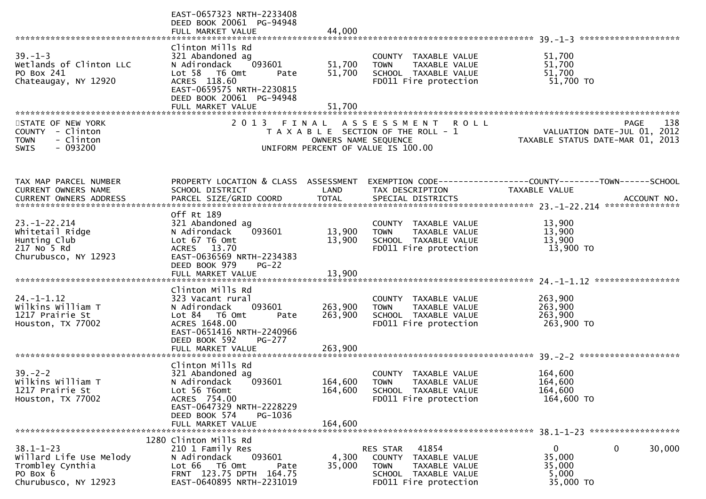|                                                                                                    | EAST-0657323 NRTH-2233408<br>DEED BOOK 20061 PG-94948<br>FULL MARKET VALUE                                                                                                            | 44,000                        |                                                                                                                            |                                                                                       |
|----------------------------------------------------------------------------------------------------|---------------------------------------------------------------------------------------------------------------------------------------------------------------------------------------|-------------------------------|----------------------------------------------------------------------------------------------------------------------------|---------------------------------------------------------------------------------------|
|                                                                                                    |                                                                                                                                                                                       |                               |                                                                                                                            |                                                                                       |
| $39. - 1 - 3$<br>Wetlands of Clinton LLC<br>PO Box 241<br>Chateaugay, NY 12920                     | Clinton Mills Rd<br>321 Abandoned ag<br>093601<br>N Adirondack<br>Lot 58 T6 Omt<br>Pate<br>ACRES 118.60<br>EAST-0659575 NRTH-2230815<br>DEED BOOK 20061 PG-94948<br>FULL MARKET VALUE | 51,700<br>51,700<br>51,700    | COUNTY TAXABLE VALUE<br>TAXABLE VALUE<br><b>TOWN</b><br>SCHOOL TAXABLE VALUE<br>FD011 Fire protection                      | 51,700<br>51,700<br>51,700<br>51,700 TO                                               |
|                                                                                                    |                                                                                                                                                                                       |                               |                                                                                                                            |                                                                                       |
| STATE OF NEW YORK<br>COUNTY - Clinton<br>- Clinton<br><b>TOWN</b><br>$-093200$<br><b>SWIS</b>      |                                                                                                                                                                                       | OWNERS NAME SEQUENCE          | 2013 FINAL ASSESSMENT ROLL<br>T A X A B L E SECTION OF THE ROLL - 1<br>UNIFORM PERCENT OF VALUE IS 100.00                  | 138<br><b>PAGE</b><br>VALUATION DATE-JUL 01, 2012<br>TAXABLE STATUS DATE-MAR 01, 2013 |
| TAX MAP PARCEL NUMBER<br><b>CURRENT OWNERS NAME</b>                                                | PROPERTY LOCATION & CLASS ASSESSMENT<br>SCHOOL DISTRICT                                                                                                                               | LAND                          | TAX DESCRIPTION                                                                                                            | TAXABLE VALUE                                                                         |
| $23. - 1 - 22.214$<br>Whitetail Ridge<br>Hunting Club<br>217 No 5 Rd<br>Churubusco, NY 12923       | Off Rt 189<br>321 Abandoned ag<br>093601<br>N Adirondack<br>Lot 67 T6 Omt<br>ACRES 13.70<br>EAST-0636569 NRTH-2234383<br>DEED BOOK 979<br>$PG-22$<br>FULL MARKET VALUE                | 13,900<br>13,900<br>13,900    | COUNTY TAXABLE VALUE<br><b>TOWN</b><br>TAXABLE VALUE<br>SCHOOL TAXABLE VALUE<br>FD011 Fire protection                      | 13,900<br>13,900<br>13,900<br>13,900 TO                                               |
|                                                                                                    | Clinton Mills Rd                                                                                                                                                                      |                               |                                                                                                                            |                                                                                       |
| $24. -1 - 1.12$<br>Wilkins William T<br>1217 Prairie St<br>Houston, TX 77002                       | 323 Vacant rural<br>N Adirondack<br>093601<br>Lot 84 76 0mt<br>Pate<br>ACRES 1648.00<br>EAST-0651416 NRTH-2240966<br>DEED BOOK 592<br><b>PG-277</b>                                   | 263,900<br>263,900            | COUNTY<br>TAXABLE VALUE<br><b>TOWN</b><br>TAXABLE VALUE<br>SCHOOL TAXABLE VALUE<br>FD011 Fire protection                   | 263,900<br>263,900<br>263,900<br>263,900 TO                                           |
|                                                                                                    | FULL MARKET VALUE                                                                                                                                                                     | 263,900                       |                                                                                                                            |                                                                                       |
| $39 - 2 - 2$<br>Wilkins William T<br>1217 Prairie St<br>Houston, TX 77002                          | Clinton Mills Rd<br>321 Abandoned ag<br>N Adirondack<br>093601<br>Lot 56 T6omt<br>ACRES 754.00<br>EAST-0647329 NRTH-2228229<br>DEED BOOK 574<br>PG-1036<br>FULL MARKET VALUE          | 164,600<br>164,600<br>164,600 | <b>COUNTY</b><br>TAXABLE VALUE<br><b>TOWN</b><br>TAXABLE VALUE<br>SCHOOL TAXABLE VALUE<br>FD011 Fire protection            | 164,600<br>164,600<br>164,600<br>164,600 TO                                           |
|                                                                                                    | 1280 Clinton Mills Rd                                                                                                                                                                 |                               |                                                                                                                            |                                                                                       |
| $38.1 - 1 - 23$<br>Willard Life Use Melody<br>Trombley Cynthia<br>PO Box 6<br>Churubusco, NY 12923 | 210 1 Family Res<br>093601<br>N Adirondack<br>Lot 66 T6 Omt<br>Pate<br>FRNT 123.75 DPTH 164.75<br>EAST-0640895 NRTH-2231019                                                           | 4,300<br>35,000               | 41854<br>RES STAR<br>COUNTY TAXABLE VALUE<br>TAXABLE VALUE<br><b>TOWN</b><br>SCHOOL TAXABLE VALUE<br>FD011 Fire protection | 0<br>0<br>30,000<br>35,000<br>35,000<br>5,000<br>35,000 TO                            |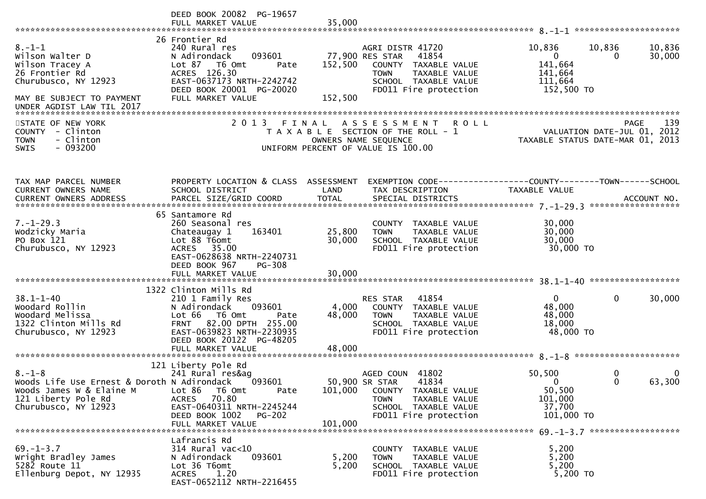|                                                                                                                                        | DEED BOOK 20082 PG-19657<br>FULL MARKET VALUE                                                                                                                                                                  | 35,000                                                                                                                                                                      |                                                                                                          |
|----------------------------------------------------------------------------------------------------------------------------------------|----------------------------------------------------------------------------------------------------------------------------------------------------------------------------------------------------------------|-----------------------------------------------------------------------------------------------------------------------------------------------------------------------------|----------------------------------------------------------------------------------------------------------|
| $8. - 1 - 1$<br>Wilson Walter D<br>Wilson Tracey A<br>26 Frontier Rd<br>Churubusco, NY 12923<br>MAY BE SUBJECT TO PAYMENT              | 26 Frontier Rd<br>240 Rural res<br>093601<br>N Adirondack<br>Lot 87 76 0mt<br>Pate<br>ACRES 126.30<br>EAST-0637173 NRTH-2242742<br>DEED BOOK 20001 PG-20020<br>FULL MARKET VALUE                               | AGRI DISTR 41720<br>77,900 RES STAR<br>41854<br>152,500<br>COUNTY TAXABLE VALUE<br><b>TOWN</b><br>TAXABLE VALUE<br>SCHOOL TAXABLE VALUE<br>FD011 Fire protection<br>152,500 | 10,836<br>10,836<br>10,836<br>$\mathbf{0}$<br>30,000<br>0<br>141,664<br>141,664<br>111,664<br>152,500 TO |
| STATE OF NEW YORK<br>- Clinton<br><b>COUNTY</b><br>- Clinton<br><b>TOWN</b><br>$-093200$<br>SWIS                                       | 2013 FINAL                                                                                                                                                                                                     | ASSESSMENT ROLL<br>T A X A B L E SECTION OF THE ROLL - 1<br>OWNERS NAME SEQUENCE<br>UNIFORM PERCENT OF VALUE IS 100.00                                                      | 139<br>PAGE<br>VALUATION DATE-JUL 01, 2012<br>TAXABLE STATUS DATE-MAR 01, 2013                           |
| TAX MAP PARCEL NUMBER<br>CURRENT OWNERS NAME                                                                                           | PROPERTY LOCATION & CLASS ASSESSMENT<br>SCHOOL DISTRICT                                                                                                                                                        | LAND<br>TAX DESCRIPTION                                                                                                                                                     | EXEMPTION CODE-----------------COUNTY-------TOWN------SCHOOL<br><b>TAXABLE VALUE</b>                     |
| $7. - 1 - 29.3$<br>Wodzicky Maria<br>PO Box 121<br>Churubusco, NY 12923                                                                | 65 Santamore Rd<br>260 Seasonal res<br>163401<br>Chateaugay 1<br>Lot 88 T6omt<br>ACRES 35.00<br>EAST-0628638 NRTH-2240731<br>DEED BOOK 967<br><b>PG-308</b><br>FULL MARKET VALUE                               | COUNTY TAXABLE VALUE<br>25,800<br><b>TOWN</b><br>TAXABLE VALUE<br>30,000<br>SCHOOL TAXABLE VALUE<br>FD011 Fire protection<br>30,000                                         | 30,000<br>30,000<br>30,000<br>30,000 TO                                                                  |
| $38.1 - 1 - 40$<br>Woodard Rollin<br>Woodard Melissa<br>1322 Clinton Mills Rd<br>Churubusco, NY 12923                                  | 1322 Clinton Mills Rd<br>210 1 Family Res<br>093601<br>N Adirondack<br>Lot 66 T6 Omt<br>Pate<br>82.00 DPTH 255.00<br><b>FRNT</b><br>EAST-0639823 NRTH-2230935<br>DEED BOOK 20122 PG-48205<br>FULL MARKET VALUE | 41854<br><b>RES STAR</b><br>4,000<br>COUNTY TAXABLE VALUE<br>48,000<br><b>TOWN</b><br>TAXABLE VALUE<br>SCHOOL TAXABLE VALUE<br>FD011 Fire protection<br>48,000              | 0<br>$\mathbf{0}$<br>30,000<br>48,000<br>48,000<br>18,000<br>48,000 TO                                   |
| $8. - 1 - 8$<br>Woods Life Use Ernest & Doroth N Adirondack<br>Woods James W & Elaine M<br>121 Liberty Pole Rd<br>Churubusco, NY 12923 | 121 Liberty Pole Rd<br>241 Rural res&ag<br>093601<br>Lot 86<br>T6 Omt<br>Pate<br>70.80<br><b>ACRES</b><br>EAST-0640311 NRTH-2245244<br>DEED BOOK 1002<br>PG-202<br>FULL MARKET VALUE                           | 41802<br>AGED COUN<br>50,900 SR STAR<br>41834<br>101,000<br>COUNTY TAXABLE VALUE<br>TAXABLE VALUE<br>TOWN<br>SCHOOL TAXABLE VALUE<br>FD011 Fire protection<br>101,000       | 50,500<br>0<br>0<br>63,300<br>0<br>$\Omega$<br>50,500<br>101,000<br>37,700<br>101,000 TO                 |
| $69. - 1 - 3.7$<br>Wright Bradley James<br>5282 Route 11<br>Ellenburg Depot, NY 12935                                                  | Lafrancis Rd<br>$314$ Rural vac<10<br>093601<br>N Adirondack<br>Lot 36 T6omt<br>1.20<br><b>ACRES</b><br>EAST-0652112 NRTH-2216455                                                                              | COUNTY TAXABLE VALUE<br>5,200<br><b>TOWN</b><br>TAXABLE VALUE<br>5,200<br>SCHOOL TAXABLE VALUE<br>FD011 Fire protection                                                     | 5,200<br>5,200<br>5,200<br>5,200 TO                                                                      |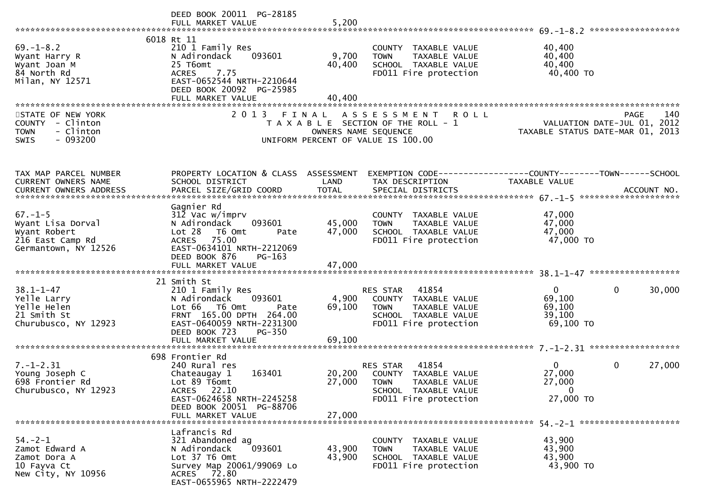|                                                                                                | DEED BOOK 20011 PG-28185                                                                                                                                                                           |                               |                                                                                                                                | ******************                                                                      |
|------------------------------------------------------------------------------------------------|----------------------------------------------------------------------------------------------------------------------------------------------------------------------------------------------------|-------------------------------|--------------------------------------------------------------------------------------------------------------------------------|-----------------------------------------------------------------------------------------|
| $69. - 1 - 8.2$<br>Wyant Harry R<br>Wyant Joan M<br>84 North Rd<br>Milan, NY 12571             | 6018 Rt 11<br>210 1 Family Res<br>N Adirondack<br>093601<br>25 T6omt<br>7.75<br><b>ACRES</b><br>EAST-0652544 NRTH-2210644<br>DEED BOOK 20092 PG-25985<br>FULL MARKET VALUE                         | 9,700<br>40,400<br>40,400     | COUNTY TAXABLE VALUE<br>TAXABLE VALUE<br><b>TOWN</b><br>SCHOOL TAXABLE VALUE<br>FD011 Fire protection                          | 40,400<br>40,400<br>40,400<br>40,400 TO                                                 |
| STATE OF NEW YORK<br>COUNTY - Clinton<br>- Clinton<br><b>TOWN</b><br>$-093200$<br><b>SWIS</b>  | 2 0 1 3                                                                                                                                                                                            | FINAL<br>OWNERS NAME SEQUENCE | A S S E S S M E N T<br><b>ROLL</b><br>T A X A B L E SECTION OF THE ROLL - 1<br>UNIFORM PERCENT OF VALUE IS 100.00              | 140<br><b>PAGE</b><br>VALUATION DATE-JUL 01, 2012<br>TAXABLE STATUS DATE-MAR 01, 2013   |
| TAX MAP PARCEL NUMBER<br>CURRENT OWNERS NAME                                                   | PROPERTY LOCATION & CLASS ASSESSMENT<br>SCHOOL DISTRICT                                                                                                                                            | LAND                          | TAX DESCRIPTION                                                                                                                | EXEMPTION CODE-----------------COUNTY-------TOWN------SCHOOL<br>TAXABLE VALUE           |
| $67. - 1 - 5$<br>Wyant Lisa Dorval<br>Wyant Robert<br>216 East Camp Rd<br>Germantown, NY 12526 | Gagnier Rd<br>312 Vac w/imprv<br>093601<br>N Adirondack<br>Lot 28<br>T6 Omt<br>Pate<br>ACRES 75.00<br>EAST-0634101 NRTH-2212069<br>DEED BOOK 876<br>$PG-163$                                       | 45,000<br>47,000              | COUNTY TAXABLE VALUE<br>TAXABLE VALUE<br><b>TOWN</b><br>SCHOOL TAXABLE VALUE<br>FD011 Fire protection                          | 47,000<br>47,000<br>47,000<br>47,000 TO                                                 |
| $38.1 - 1 - 47$<br>Yelle Larry<br>Yelle Helen<br>21 Smith St<br>Churubusco, NY 12923           | 21 Smith St<br>210 1 Family Res<br>093601<br>N Adirondack<br>Lot 66  T6 0mt<br>Pate<br>FRNT 165.00 DPTH 264.00<br>EAST-0640059 NRTH-2231300<br>DEED BOOK 723<br><b>PG-350</b><br>FULL MARKET VALUE | 4,900<br>69,100<br>69,100     | RES STAR 41854<br>COUNTY TAXABLE VALUE<br><b>TOWN</b><br>TAXABLE VALUE<br>SCHOOL TAXABLE VALUE<br>FD011 Fire protection        | $\overline{0}$<br>$\mathbf 0$<br>30,000<br>69,100<br>69,100<br>39,100<br>69,100 TO      |
| $7. - 1 - 2.31$<br>Young Joseph C<br>698 Frontier Rd<br>Churubusco, NY 12923                   | 698 Frontier Rd<br>240 Rural res<br>Chateaugay 1<br>163401<br>Lot 89 T6omt<br>ACRES 22.10<br>EAST-0624658 NRTH-2245258<br>DEED BOOK 20051 PG-88706<br>FULL MARKET VALUE                            | 27,000<br>27,000              | RES STAR 41854<br>20,200 COUNTY TAXABLE VALUE<br><b>TOWN</b><br>TAXABLE VALUE<br>SCHOOL TAXABLE VALUE<br>FD011 Fire protection | $\mathbf{0}$<br>$\mathbf{0}$<br>27,000<br>27,000<br>27,000<br>$\mathbf{0}$<br>27,000 TO |
| $54. - 2 - 1$<br>Zamot Edward A<br>Zamot Dora A<br>10 Fayva Ct<br>New City, NY 10956           | Lafrancis Rd<br>321 Abandoned ag<br>N Adirondack<br>093601<br>Lot 37 T6 Omt<br>Survey Map 20061/99069 Lo<br>ACRES 72.80<br>EAST-0655965 NRTH-2222479                                               | 43,900<br>43,900              | COUNTY TAXABLE VALUE<br><b>TOWN</b><br>TAXABLE VALUE<br>SCHOOL TAXABLE VALUE<br>FD011 Fire protection                          | 43,900<br>43,900<br>43,900<br>43,900 TO                                                 |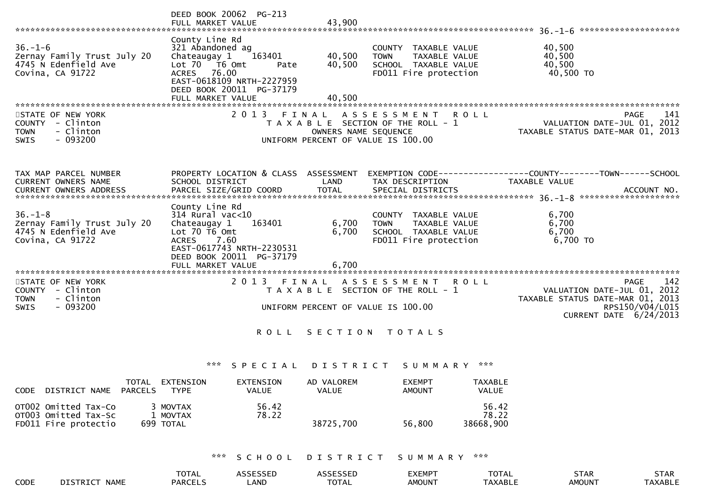|                                                                                               | DEED BOOK 20062 PG-213<br>FULL MARKET VALUE                                                                                                                                             | 43,900                                                                                                       |                                                                                               |                                                                                                                             |
|-----------------------------------------------------------------------------------------------|-----------------------------------------------------------------------------------------------------------------------------------------------------------------------------------------|--------------------------------------------------------------------------------------------------------------|-----------------------------------------------------------------------------------------------|-----------------------------------------------------------------------------------------------------------------------------|
| $36. - 1 - 6$<br>Zernay Family Trust July 20<br>4745 N Edenfield Ave<br>Covina, CA 91722      | County Line Rd<br>321 Abandoned ag<br>Chateaugay 1<br>163401<br>Lot 70 T6 Omt<br>Pate<br>ACRES 76.00<br>EAST-0618109 NRTH-2227959<br>DEED BOOK 20011 PG-37179<br>FULL MARKET VALUE      | 40,500<br><b>TOWN</b><br>40,500<br>40,500                                                                    | COUNTY TAXABLE VALUE<br>TAXABLE VALUE<br>SCHOOL TAXABLE VALUE<br>FD011 Fire protection        | 40,500<br>40,500<br>40,500<br>40,500 TO                                                                                     |
| STATE OF NEW YORK<br>COUNTY - Clinton<br>- Clinton<br><b>TOWN</b><br>$-093200$<br><b>SWIS</b> | 2 0 1 3                                                                                                                                                                                 | FINAL<br>T A X A B L E SECTION OF THE ROLL - 1<br>OWNERS NAME SEQUENCE<br>UNIFORM PERCENT OF VALUE IS 100.00 | A S S E S S M E N T<br>R O L L                                                                | 141<br>PAGE<br>VALUATION DATE-JUL 01, 2012<br>TAXABLE STATUS DATE-MAR 01, 2013                                              |
| TAX MAP PARCEL NUMBER<br><b>CURRENT OWNERS NAME</b><br>CURRENT OWNERS ADDRESS                 | PROPERTY LOCATION & CLASS ASSESSMENT<br>SCHOOL DISTRICT                                                                                                                                 | LAND                                                                                                         | TAX DESCRIPTION                                                                               | EXEMPTION CODE-----------------COUNTY-------TOWN------SCHOOL<br>TAXABLE VALUE                                               |
| $36. - 1 - 8$<br>Zernay Family Trust July 20<br>4745 N Edenfield Ave<br>Covina, CA 91722      | County Line Rd<br>$314$ Rural vac<10<br>Chateaugay 1<br>163401<br>Lot $70$ T6 Omt<br>7.60<br><b>ACRES</b><br>EAST-0617743 NRTH-2230531<br>DEED BOOK 20011 PG-37179<br>FULL MARKET VALUE | 6,700<br><b>TOWN</b><br>6,700<br>6,700                                                                       | COUNTY TAXABLE VALUE<br><b>TAXABLE VALUE</b><br>SCHOOL TAXABLE VALUE<br>FD011 Fire protection | 6,700<br>6,700<br>6,700<br>6,700 TO                                                                                         |
| STATE OF NEW YORK<br>COUNTY - Clinton<br>- Clinton<br><b>TOWN</b><br>$-093200$<br><b>SWIS</b> | 2 0 1 3                                                                                                                                                                                 | FINAL<br>T A X A B L E SECTION OF THE ROLL - 1<br>UNIFORM PERCENT OF VALUE IS 100.00                         | A S S E S S M E N T<br>R O L L                                                                | 142<br>PAGE<br>VALUATION DATE-JUL 01, 2012<br>TAXABLE STATUS DATE-MAR 01, 2013<br>RPS150/V04/L015<br>CURRENT DATE 6/24/2013 |
|                                                                                               |                                                                                                                                                                                         | ROLL SECTION TOTALS                                                                                          |                                                                                               |                                                                                                                             |
|                                                                                               | ***<br>SPECIAL                                                                                                                                                                          | D I S T R I C T                                                                                              | S U M M A R Y                                                                                 | ***                                                                                                                         |
| TOTAL EXTENSION                                                                               | <b>EXTENSION</b>                                                                                                                                                                        | AD VALOREM                                                                                                   | <b>EXEMPT</b>                                                                                 | <b>TAXABLE</b>                                                                                                              |

| CODE DISTRICT NAME PARCELS                                           | TYPF.                             | VALUE          | VALUE     | AMOUNT | VALUE                       |
|----------------------------------------------------------------------|-----------------------------------|----------------|-----------|--------|-----------------------------|
| OTOO2 Omitted Tax-Co<br>OTOO3 Omitted Tax-Sc<br>FD011 Fire protectio | 3 MOVTAX<br>1 MOVTAX<br>699 TOTAL | 56.42<br>78.22 | 38725,700 | 56.800 | 56.42<br>78.22<br>38668,900 |

\*\*\* S C H O O L D I S T R I C T S U M M A R Y \*\*\*

|      |                                | <b>TOTAL</b>   | CCTCCTD<br>-JJEL | $\sim$ $\sim$ $\sim$ $\sim$ $\sim$ $\sim$<br>-JJEL | EXEMP <sup>-</sup> | $T^{\wedge}$<br>VIAL | <b>STAR</b>              | <b>STAR</b> |
|------|--------------------------------|----------------|------------------|----------------------------------------------------|--------------------|----------------------|--------------------------|-------------|
| CODE | <b>DISTRICT</b><br><b>NAME</b> | <b>PARCELS</b> | _AND             | TATAI<br>OTAL                                      | AMOUN <sup>-</sup> | TAXABLE              | <b>AMOUN<sup>T</sup></b> | TAXABLE     |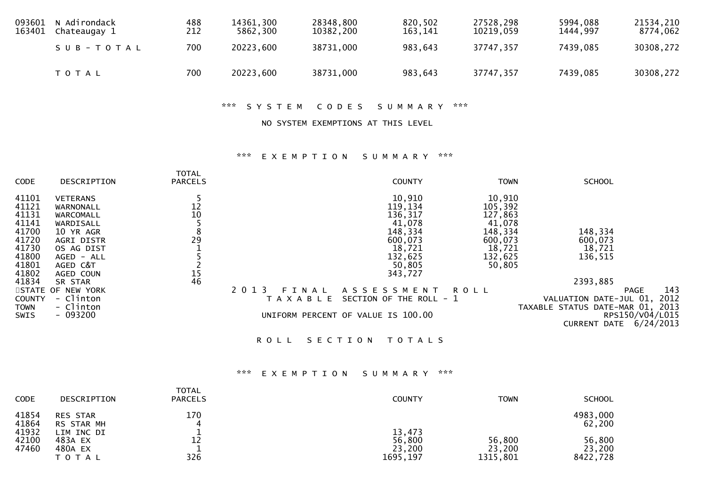| 093601<br>163401 | N Adirondack<br>Chateaugay 1 | 488<br>212 | 14361,300<br>5862,300 | 28348,800<br>10382,200 | 820,502<br>163,141 | 27528,298<br>10219,059 | 5994,088<br>1444,997 | 21534,210<br>8774,062 |
|------------------|------------------------------|------------|-----------------------|------------------------|--------------------|------------------------|----------------------|-----------------------|
|                  | $S \cup B - TO T A L$        | 700        | 20223,600             | 38731,000              | 983,643            | 37747,357              | 7439,085             | 30308,272             |
|                  | T O T A L                    | 700        | 20223,600             | 38731,000              | 983,643            | 37747,357              | 7439,085             | 30308,272             |

\*\*\* S Y S T E M C O D E S S U M M A R Y \*\*\*

NO SYSTEM EXEMPTIONS AT THIS LEVEL

## \*\*\* E X E M P T I O N S U M M A R Y \*\*\*

| <b>CODE</b>         | DESCRIPTION                  | <b>TOTAL</b><br><b>PARCELS</b> |                  | <b>COUNTY</b>                      | <b>TOWN</b>       | <b>SCHOOL</b>                                                      |
|---------------------|------------------------------|--------------------------------|------------------|------------------------------------|-------------------|--------------------------------------------------------------------|
| 41101<br>41121      | <b>VETERANS</b><br>WARNONALL | 12                             |                  | 10,910<br>119,134                  | 10,910<br>105,392 |                                                                    |
| 41131               | WARCOMALL                    | 10                             |                  | 136,317                            | 127,863           |                                                                    |
| 41141               | WARDISALL                    |                                |                  | 41,078                             | 41,078            |                                                                    |
| 41700               | 10 YR AGR                    | 8                              |                  | 148,334                            | 148,334           | 148,334                                                            |
| 41720               | <b>AGRI DISTR</b>            | 29                             |                  | 600,073                            | 600,073           | 600,073                                                            |
| 41730               | OS AG DIST                   |                                |                  | 18,721                             | 18,721            | 18,721                                                             |
| 41800               | AGED - ALL                   |                                |                  | 132,625                            | 132,625           | 136,515                                                            |
| 41801               | AGED C&T                     |                                |                  | 50,805                             | 50,805            |                                                                    |
| 41802               | AGED COUN                    | 15<br>46                       |                  | 343,727                            |                   |                                                                    |
| 41834               | SR STAR                      |                                |                  |                                    |                   | 2393,885                                                           |
|                     | STATE OF NEW YORK            |                                | 2 0 1 3<br>FINAL | ASSESSMENT                         | ROLL              | 143<br><b>PAGE</b>                                                 |
| COUNTY              | - Clinton<br>- Clinton       |                                | T A X A B L E    | SECTION OF THE ROLL - 1            |                   | 2012<br>VALUATION DATE-JUL 01,<br>TAXABLE STATUS DATE-MAR 01, 2013 |
| <b>TOWN</b><br>SWIS | $-093200$                    |                                |                  | UNIFORM PERCENT OF VALUE IS 100.00 |                   | RPS150/V04/L015                                                    |
|                     |                              |                                |                  |                                    |                   | 6/24/2013<br><b>CURRENT DATE</b>                                   |
|                     |                              |                                |                  |                                    |                   |                                                                    |

ROLL SECTION TOTALS

## \*\*\* E X E M P T I O N S U M M A R Y \*\*\*

| <b>CODE</b>             | <b>DESCRIPTION</b>                                 | <b>TOTAL</b><br><b>PARCELS</b> | <b>COUNTY</b>                 | <b>TOWN</b>                  | <b>SCHOOL</b>                |
|-------------------------|----------------------------------------------------|--------------------------------|-------------------------------|------------------------------|------------------------------|
| 41854<br>41864<br>41932 | <b>RES STAR</b><br><b>RS STAR MH</b><br>LIM INC DI | 170<br>4                       | 13,473                        |                              | 4983,000<br>62,200           |
| 42100<br>47460          | 483A EX<br>480A EX<br><b>TOTAL</b>                 | 12<br>326                      | 56,800<br>23,200<br>1695, 197 | 56,800<br>23,200<br>1315,801 | 56,800<br>23,200<br>8422,728 |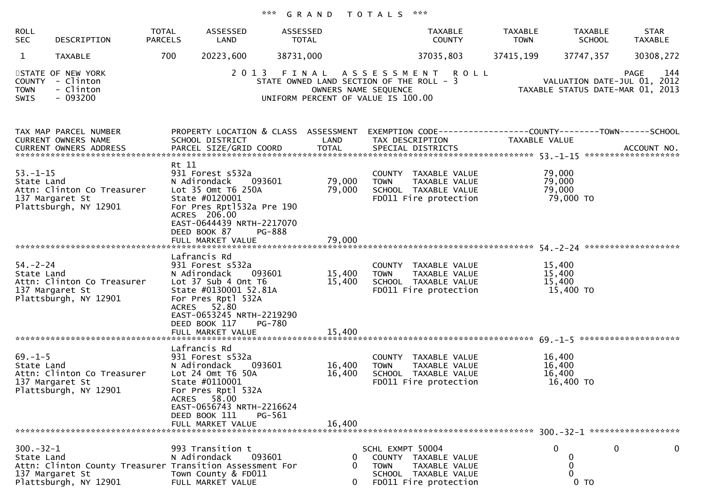## \*\*\* G R A N D T O T A L S \*\*\*

| <b>ROLL</b><br><b>SEC</b>    | DESCRIPTION                                                                                          | TOTAL<br><b>PARCELS</b> | ASSESSED<br>LAND                                                                                                                                                                                | ASSESSED<br>TOTAL |                                                                                                        |                          | TAXABLE<br><b>COUNTY</b>                                                                                                                | <b>TAXABLE</b><br><b>TOWN</b> | <b>TAXABLE</b><br><b>SCHOOL</b>         | <b>STAR</b><br><b>TAXABLE</b>                                                         |
|------------------------------|------------------------------------------------------------------------------------------------------|-------------------------|-------------------------------------------------------------------------------------------------------------------------------------------------------------------------------------------------|-------------------|--------------------------------------------------------------------------------------------------------|--------------------------|-----------------------------------------------------------------------------------------------------------------------------------------|-------------------------------|-----------------------------------------|---------------------------------------------------------------------------------------|
| $\mathbf{1}$                 | <b>TAXABLE</b>                                                                                       | 700                     | 20223,600                                                                                                                                                                                       | 38731,000         |                                                                                                        |                          | 37035,803                                                                                                                               | 37415,199                     | 37747,357                               | 30308,272                                                                             |
| <b>TOWN</b><br>SWIS          | STATE OF NEW YORK<br>COUNTY - Clinton<br>- Clinton<br>$-093200$                                      |                         | 2 0 1 3                                                                                                                                                                                         |                   | STATE OWNED LAND SECTION OF THE ROLL - 3<br>OWNERS NAME SEQUENCE<br>UNIFORM PERCENT OF VALUE IS 100.00 |                          | FINAL ASSESSMENT ROLL                                                                                                                   |                               |                                         | 144<br><b>PAGE</b><br>VALUATION DATE-JUL 01, 2012<br>TAXABLE STATUS DATE-MAR 01, 2013 |
|                              | TAX MAP PARCEL NUMBER<br>CURRENT OWNERS NAME<br>CURRENT OWNERS ADDRESS                               |                         | SCHOOL DISTRICT<br>PARCEL SIZE/GRID COORD                                                                                                                                                       |                   | LAND<br><b>TOTAL</b>                                                                                   |                          | PROPERTY LOCATION & CLASS ASSESSMENT EXEMPTION CODE---------------COUNTY-------TOWN------SCHOOL<br>TAX DESCRIPTION<br>SPECIAL DISTRICTS | TAXABLE VALUE                 |                                         | ACCOUNT NO.                                                                           |
| $53. - 1 - 15$<br>State Land | Attn: Clinton Co Treasurer<br>137 Margaret St<br>Plattsburgh, NY 12901                               | Rt 11                   | 931 Forest s532a<br>N Adirondack<br>Lot 35 Omt T6 250A<br>State #0120001<br>For Pres Rpt1532a Pre 190<br>ACRES 206.00<br>EAST-0644439 NRTH-2217070<br>DEED BOOK 87                              | 093601<br>PG-888  | 79,000<br>79,000                                                                                       | <b>TOWN</b>              | COUNTY TAXABLE VALUE<br>TAXABLE VALUE<br>SCHOOL TAXABLE VALUE<br>FD011 Fire protection                                                  |                               | 79,000<br>79,000<br>79,000<br>79,000 TO |                                                                                       |
|                              |                                                                                                      |                         | FULL MARKET VALUE                                                                                                                                                                               |                   | 79,000                                                                                                 |                          |                                                                                                                                         |                               |                                         |                                                                                       |
| $54. - 2 - 24$<br>State Land | Attn: Clinton Co Treasurer<br>137 Margaret St<br>Plattsburgh, NY 12901                               |                         | Lafrancis Rd<br>931 Forest s532a<br>N Adirondack<br>Lot $37$ Sub 4 Ont T6<br>State #0130001 52.81A<br>For Pres Rptl 532A<br>ACRES 52.80<br>EAST-0653245 NRTH-2219290<br>DEED BOOK 117           | 093601<br>PG-780  | 15,400<br>15,400                                                                                       | <b>TOWN</b>              | COUNTY TAXABLE VALUE<br>TAXABLE VALUE<br>SCHOOL TAXABLE VALUE<br>FD011 Fire protection                                                  |                               | 15,400<br>15,400<br>15,400<br>15,400 TO |                                                                                       |
|                              |                                                                                                      |                         |                                                                                                                                                                                                 |                   |                                                                                                        |                          |                                                                                                                                         |                               |                                         |                                                                                       |
| $69. - 1 - 5$<br>State Land  | Attn: Clinton Co Treasurer<br>137 Margaret St<br>Plattsburgh, NY 12901                               |                         | Lafrancis Rd<br>931 Forest s532a<br>N Adirondack<br>Lot 24 Omt T6 50A<br>State #0110001<br>For Pres Rptl 532A<br>ACRES 58.00<br>EAST-0656743 NRTH-2216624<br>DEED BOOK 111<br>FULL MARKET VALUE | 093601<br>PG-561  | 16,400<br>16,400<br>16,400                                                                             | <b>TOWN</b>              | COUNTY TAXABLE VALUE<br>TAXABLE VALUE<br>SCHOOL TAXABLE VALUE<br>FD011 Fire protection                                                  |                               | 16,400<br>16,400<br>16,400<br>16,400 TO |                                                                                       |
|                              |                                                                                                      |                         |                                                                                                                                                                                                 |                   |                                                                                                        |                          |                                                                                                                                         |                               |                                         |                                                                                       |
| $300 - 32 - 1$<br>State Land | Attn: Clinton County Treasurer Transition Assessment For<br>137 Margaret St<br>Plattsburgh, NY 12901 |                         | 993 Transition t<br>N Adirondack<br>Town County & FD011<br>FULL MARKET VALUE                                                                                                                    | 093601            | 0<br>0<br>0                                                                                            | SCHL EXMPT 50004<br>TOWN | COUNTY TAXABLE VALUE<br>TAXABLE VALUE<br>SCHOOL TAXABLE VALUE<br>FD011 Fire protection                                                  |                               | $\Omega$<br>0<br>0<br>$0$ TO            | 0<br>$\mathbf 0$                                                                      |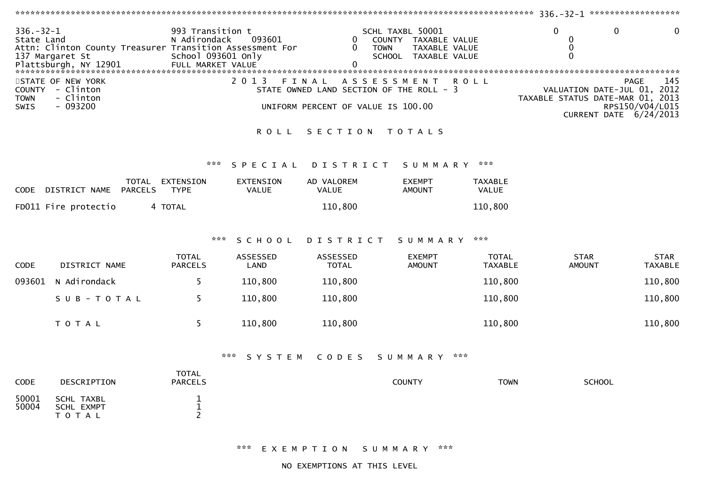| $336. - 32 - 1$<br>State Land               | Attn: Clinton County Treasurer Transition Assessment For<br>137 Margaret St<br>Plattsburgh, NY 12901 FULL MARKET VALUE | 993 Transition t<br>N Adirondack<br>School 093601 only | 093601                           | 0<br>0<br>0                                 | SCHL TAXBL 50001<br>COUNTY TAXABLE VALUE<br><b>TOWN</b><br>TAXABLE VALUE<br>SCHOOL TAXABLE VALUE |                                | $\Omega$<br>0<br>0<br>$\Omega$   | $\Omega$<br>0                                                                           |  |  |
|---------------------------------------------|------------------------------------------------------------------------------------------------------------------------|--------------------------------------------------------|----------------------------------|---------------------------------------------|--------------------------------------------------------------------------------------------------|--------------------------------|----------------------------------|-----------------------------------------------------------------------------------------|--|--|
| <b>COUNTY</b><br><b>TOWN</b><br><b>SWIS</b> | STATE OF NEW YORK<br>- Clinton<br>- Clinton<br>$-093200$                                                               |                                                        | 2 0 1 3                          | FINAL<br>UNIFORM PERCENT OF VALUE IS 100.00 | A S S E S S M E N T<br>STATE OWNED LAND SECTION OF THE ROLL - 3                                  | <b>ROLL</b>                    | TAXABLE STATUS DATE-MAR 01, 2013 | 145<br>PAGE<br>VALUATION DATE-JUL 01, 2012<br>RPS150/V04/L015<br>CURRENT DATE 6/24/2013 |  |  |
|                                             |                                                                                                                        |                                                        | <b>ROLL</b>                      | SECTION                                     | T O T A L S                                                                                      |                                |                                  |                                                                                         |  |  |
|                                             |                                                                                                                        | ***                                                    | SPECIAL                          | DISTRICT                                    | SUMMARY                                                                                          | ***                            |                                  |                                                                                         |  |  |
| <b>CODE</b>                                 | TOTAL EXTENSION<br>DISTRICT NAME<br><b>PARCELS</b>                                                                     | <b>TYPE</b>                                            | <b>EXTENSION</b><br><b>VALUE</b> | AD VALOREM<br><b>VALUE</b>                  | <b>EXEMPT</b><br><b>AMOUNT</b>                                                                   | <b>TAXABLE</b><br><b>VALUE</b> |                                  |                                                                                         |  |  |
|                                             | FD011 Fire protectio                                                                                                   | 4 TOTAL                                                |                                  | 110,800                                     |                                                                                                  | 110,800                        |                                  |                                                                                         |  |  |
|                                             |                                                                                                                        | ***                                                    | SCHOOL                           | DISTRICT                                    | S U M M A R Y                                                                                    | ***                            |                                  |                                                                                         |  |  |
| <b>CODE</b>                                 | DISTRICT NAME                                                                                                          | <b>TOTAL</b><br><b>PARCELS</b>                         | <b>ASSESSED</b><br>LAND          | ASSESSED<br><b>TOTAL</b>                    | <b>EXEMPT</b><br><b>AMOUNT</b>                                                                   | <b>TOTAL</b><br><b>TAXABLE</b> | <b>STAR</b><br><b>AMOUNT</b>     | <b>STAR</b><br><b>TAXABLE</b>                                                           |  |  |
| 093601                                      | N Adirondack                                                                                                           | 5                                                      | 110,800                          | 110,800                                     |                                                                                                  | 110,800                        |                                  | 110,800                                                                                 |  |  |
|                                             | SUB-TOTAL                                                                                                              | 5                                                      | 110,800                          | 110,800                                     |                                                                                                  | 110,800                        |                                  | 110,800                                                                                 |  |  |
|                                             | TOTAL                                                                                                                  | 5                                                      | 110,800                          | 110,800                                     |                                                                                                  | 110,800                        |                                  | 110,800                                                                                 |  |  |
|                                             | ***<br>***<br>CODES<br>SYSTEM<br>SUMMARY                                                                               |                                                        |                                  |                                             |                                                                                                  |                                |                                  |                                                                                         |  |  |
| <b>CODE</b>                                 | DESCRIPTION                                                                                                            | <b>TOTAL</b><br><b>PARCELS</b>                         |                                  |                                             | <b>COUNTY</b>                                                                                    | <b>TOWN</b>                    | <b>SCHOOL</b>                    |                                                                                         |  |  |
| 50001<br>50004                              | SCHL TAXBL<br><b>SCHL EXMPT</b><br>— <u>— — — —</u>                                                                    | $\mathbf 1$<br>$\mathbf 1$<br>$\sim$                   |                                  |                                             |                                                                                                  |                                |                                  |                                                                                         |  |  |

\*\*\* E X E M P T I O N S U M M A R Y \*\*\*

T O T A L <sup>2</sup>

NO EXEMPTIONS AT THIS LEVEL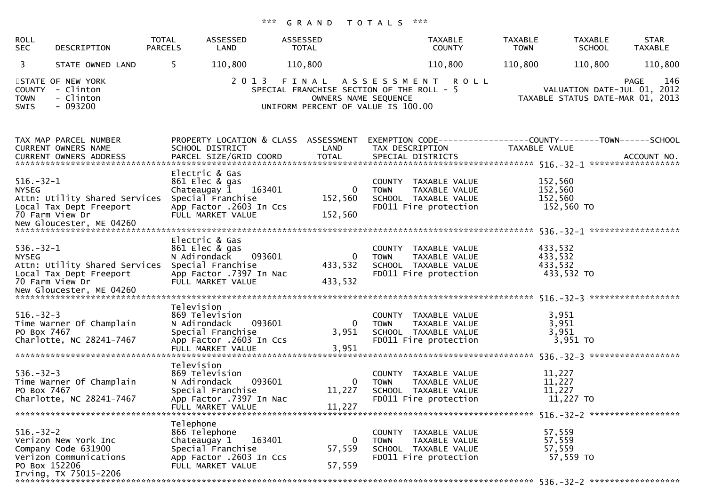## \*\*\* G R A N D T O T A L S \*\*\*

| <b>ROLL</b><br><b>SEC</b>        | DESCRIPTION                                                                                    | TOTAL<br><b>PARCELS</b> | ASSESSED<br>LAND                                                                                                                | ASSESSED<br>TOTAL                                            | <b>TAXABLE</b><br><b>COUNTY</b>                                                                          | <b>TAXABLE</b><br><b>TOWN</b> | <b>TAXABLE</b><br><b>SCHOOL</b>       | <b>STAR</b><br>TAXABLE                                                         |
|----------------------------------|------------------------------------------------------------------------------------------------|-------------------------|---------------------------------------------------------------------------------------------------------------------------------|--------------------------------------------------------------|----------------------------------------------------------------------------------------------------------|-------------------------------|---------------------------------------|--------------------------------------------------------------------------------|
| 3                                | STATE OWNED LAND                                                                               | 5.                      | 110,800                                                                                                                         | 110,800                                                      | 110,800                                                                                                  | 110,800                       | 110,800                               | 110,800                                                                        |
| <b>TOWN</b><br>SWIS              | STATE OF NEW YORK<br>COUNTY - Clinton<br>- Clinton<br>$-093200$                                |                         | 2 0 1 3                                                                                                                         | FINAL<br>UNIFORM PERCENT OF VALUE IS 100.00                  | ASSESSMENT ROLL<br>SPECIAL FRANCHISE SECTION OF THE ROLL - 5<br>OWNERS NAME SEQUENCE                     |                               |                                       | 146<br>PAGE<br>VALUATION DATE-JUL 01, 2012<br>TAXABLE STATUS DATE-MAR 01, 2013 |
|                                  | TAX MAP PARCEL NUMBER<br>CURRENT OWNERS NAME<br>CURRENT OWNERS ADDRESS                         |                         | SCHOOL DISTRICT<br>PARCEL SIZE/GRID COORD                                                                                       | PROPERTY LOCATION & CLASS ASSESSMENT<br>LAND<br><b>TOTAL</b> | EXEMPTION CODE------------------COUNTY--------TOWN------SCHOOL<br>TAX DESCRIPTION<br>SPECIAL DISTRICTS   | <b>TAXABLE VALUE</b>          |                                       | ACCOUNT NO.                                                                    |
| $516.-32-1$<br><b>NYSEG</b>      | Attn: Utility Shared Services<br>Local Tax Dept Freeport<br>70 Farm View Dr                    |                         | Electric & Gas<br>861 Elec & gas<br>163401<br>Chateaugay 1<br>Special Franchise<br>App Factor .2603 In Ccs<br>FULL MARKET VALUE | 0<br>152,560<br>152,560                                      | COUNTY TAXABLE VALUE<br><b>TOWN</b><br>TAXABLE VALUE<br>SCHOOL TAXABLE VALUE<br>FD011 Fire protection    | 152,560<br>152,560<br>152,560 | 152,560 TO                            |                                                                                |
| $536. - 32 - 1$<br><b>NYSEG</b>  | Attn: Utility Shared Services<br>Local Tax Dept Freeport<br>70 Farm View Dr                    |                         | Electric & Gas<br>861 Elec & gas<br>093601<br>N Adirondack<br>Special Franchise<br>App Factor .7397 In Nac<br>FULL MARKET VALUE | 0<br>433,532<br>433,532                                      | COUNTY TAXABLE VALUE<br><b>TOWN</b><br>TAXABLE VALUE<br>SCHOOL TAXABLE VALUE<br>FD011 Fire protection    | 433,532<br>433,532<br>433,532 | 433,532 TO                            |                                                                                |
| $516. - 32 - 3$<br>PO Box 7467   | Time Warner Of Champlain<br>Charlotte, NC 28241-7467                                           | Television              | 869 Television<br>093601<br>N Adirondack<br>Special Franchise<br>App Factor .2603 In Ccs<br>FULL MARKET VALUE                   | $\bf{0}$<br>3,951<br>3,951                                   | COUNTY TAXABLE VALUE<br>TAXABLE VALUE<br><b>TOWN</b><br>SCHOOL TAXABLE VALUE<br>FD011 Fire protection    |                               | 3,951<br>3,951<br>3,951<br>$3,951$ TO |                                                                                |
| $536. - 32 - 3$<br>PO Box 7467   | Time Warner Of Champlain<br>Charlotte, NC 28241-7467                                           | Television              | 869 Television<br>N Adirondack<br>093601<br>Special Franchise<br>App Factor .7397 In Nac<br>FULL MARKET VALUE                   | $\overline{0}$<br>11,227<br>11,227                           | COUNTY<br>TAXABLE VALUE<br><b>TOWN</b><br>TAXABLE VALUE<br>SCHOOL TAXABLE VALUE<br>FD011 Fire protection | 11,227<br>11,227<br>11,227    | 11,227 TO                             |                                                                                |
| $516. - 32 - 2$<br>PO Box 152206 | Verizon New York Inc<br>Company Code 631900<br>Verizon Communications<br>Irving, TX 75015-2206 | Telephone               | 866 Telephone<br>163401<br>Chateaugay 1<br>Special Franchise<br>App Factor .2603 In Ccs<br>FULL MARKET VALUE                    | $\bf{0}$<br>57,559<br>57,559                                 | COUNTY TAXABLE VALUE<br><b>TOWN</b><br>TAXABLE VALUE<br>SCHOOL TAXABLE VALUE<br>FD011 Fire protection    | 57,559<br>57,559<br>57,559    | 57,559 TO                             |                                                                                |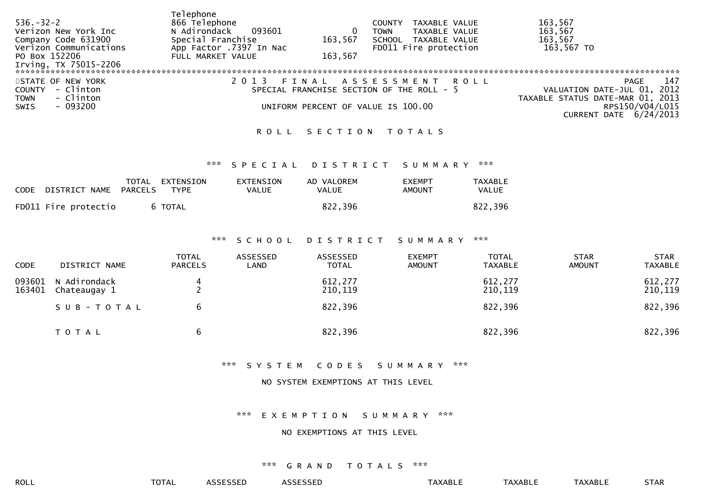| $536. - 32 - 2$<br>Verizon New York Inc<br>Company Code 631900<br>Verizon Communications<br>PO Box 152206<br>Irving, TX 75015-2206 | Telephone<br>866 Telephone<br>N Adirondack<br>093601<br>Special Franchise<br>App Factor .7397 In Nac<br>FULL MARKET VALUE | 163,567<br>163,567 | TAXABLE VALUE<br>COUNTY<br>TAXABLE VALUE<br><b>TOWN</b><br>SCHOOL TAXABLE VALUE<br>FD011 Fire protection | 163,567<br>163,567<br>163,567<br>163,567 TO                                                                                 |
|------------------------------------------------------------------------------------------------------------------------------------|---------------------------------------------------------------------------------------------------------------------------|--------------------|----------------------------------------------------------------------------------------------------------|-----------------------------------------------------------------------------------------------------------------------------|
|                                                                                                                                    |                                                                                                                           |                    |                                                                                                          |                                                                                                                             |
| STATE OF NEW YORK<br>COUNTY - Clinton<br>- Clinton<br><b>TOWN</b><br>- 093200<br>SWIS                                              |                                                                                                                           |                    | FINAL ASSESSMENT ROLL<br>SPECIAL FRANCHISE SECTION OF THE ROLL - 5<br>UNIFORM PERCENT OF VALUE IS 100.00 | 147<br>PAGE<br>VALUATION DATE-JUL 01, 2012<br>TAXABLE STATUS DATE-MAR 01, 2013<br>RPS150/V04/L015<br>CURRENT DATE 6/24/2013 |

## ROLL SECTION TOTALS

## \*\*\* S P E C I A L D I S T R I C T S U M M A R Y \*\*\*

| CODE DISTRICT NAME   | TOTAL<br>PARCELS | EXTENSION<br>TYPE | EXTENSION<br>VALUE | AD VALOREM<br><b>VALUE</b> | EXEMPT<br>AMOUNT | <b>TAXABLE</b><br>VALUE |
|----------------------|------------------|-------------------|--------------------|----------------------------|------------------|-------------------------|
| FD011 Fire protectio |                  | 6 TOTAL           |                    | 822,396                    |                  | 822,396                 |

### \*\*\* S C H O O L D I S T R I C T S U M M A R Y \*\*\*

| <b>CODE</b> | DISTRICT NAME                       | <b>TOTAL</b><br><b>PARCELS</b> | ASSESSED<br>LAND | ASSESSED<br><b>TOTAL</b> | <b>EXEMPT</b><br><b>AMOUNT</b> | <b>TOTAL</b><br>TAXABLE | <b>STAR</b><br><b>AMOUNT</b> | <b>STAR</b><br><b>TAXABLE</b> |
|-------------|-------------------------------------|--------------------------------|------------------|--------------------------|--------------------------------|-------------------------|------------------------------|-------------------------------|
| 163401      | 093601 N Adirondack<br>Chateaugay 1 | 4                              |                  | 612,277<br>210,119       |                                | 612,277<br>210,119      |                              | 612,277<br>210,119            |
|             | SUB-TOTAL                           |                                |                  | 822,396                  |                                | 822,396                 |                              | 822,396                       |
|             | <b>TOTAL</b>                        | b                              |                  | 822,396                  |                                | 822,396                 |                              | 822,396                       |

#### \*\*\* S Y S T E M C O D E S S U M M A R Y \*\*\*

#### NO SYSTEM EXEMPTIONS AT THIS LEVEL

\*\*\* E X E M P T I O N S U M M A R Y \*\*\*

## NO EXEMPTIONS AT THIS LEVEL

### \*\*\* G R A N D T O T A L S \*\*\*

ROLL TOTAL ASSESSED ASSESSED TAXABLE TAXABLE TAXABLE STAR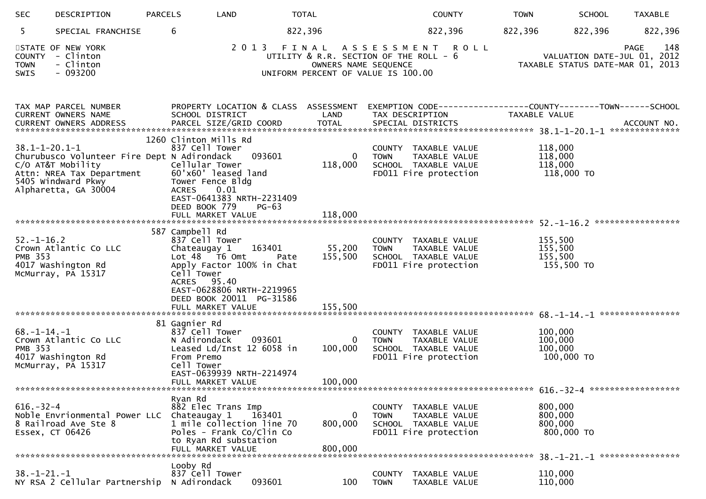| <b>SEC</b>                            | DESCRIPTION                                                                                                                                 | <b>PARCELS</b> | LAND                                                                                                                                                                                            |                   | <b>TOTAL</b>                                                                                                                       |             | <b>COUNTY</b>                                                                          | <b>TOWN</b> | <b>SCHOOL</b>                               | <b>TAXABLE</b>                                                                        |
|---------------------------------------|---------------------------------------------------------------------------------------------------------------------------------------------|----------------|-------------------------------------------------------------------------------------------------------------------------------------------------------------------------------------------------|-------------------|------------------------------------------------------------------------------------------------------------------------------------|-------------|----------------------------------------------------------------------------------------|-------------|---------------------------------------------|---------------------------------------------------------------------------------------|
| 5.                                    | SPECIAL FRANCHISE                                                                                                                           |                | 6                                                                                                                                                                                               |                   | 822,396                                                                                                                            |             | 822,396                                                                                | 822,396     | 822,396                                     | 822,396                                                                               |
| <b>COUNTY</b><br><b>TOWN</b><br>SWIS  | STATE OF NEW YORK<br>- Clinton<br>- Clinton<br>$-093200$                                                                                    |                |                                                                                                                                                                                                 |                   | 2013 FINAL ASSESSMENT ROLL<br>UTILITY & R.R. SECTION OF THE ROLL - 6<br>OWNERS NAME SEQUENCE<br>UNIFORM PERCENT OF VALUE IS 100.00 |             |                                                                                        |             |                                             | 148<br><b>PAGE</b><br>VALUATION DATE-JUL 01, 2012<br>TAXABLE STATUS DATE-MAR 01, 2013 |
|                                       | TAX MAP PARCEL NUMBER<br>CURRENT OWNERS NAME                                                                                                |                | PROPERTY LOCATION & CLASS ASSESSMENT<br>SCHOOL DISTRICT                                                                                                                                         |                   | LAND                                                                                                                               |             | TAX DESCRIPTION                                                                        |             | TAXABLE VALUE                               | EXEMPTION CODE------------------COUNTY--------TOWN------SCHOOL                        |
| $38.1 - 1 - 20.1 - 1$                 | Churubusco Volunteer Fire Dept N Adirondack<br>C/O AT&T Mobility<br>Attn: NREA Tax Department<br>5405 Windward Pkwy<br>Alpharetta, GA 30004 |                | 1260 Clinton Mills Rd<br>837 Cell Tower<br>Cellular Tower<br>60'x60' leased land<br>Tower Fence Bldg<br><b>ACRES</b><br>0.01<br>EAST-0641383 NRTH-2231409<br>DEED BOOK 779<br>FULL MARKET VALUE | 093601<br>$PG-63$ | $\bf{0}$<br>118,000<br>118,000                                                                                                     | <b>TOWN</b> | COUNTY TAXABLE VALUE<br>TAXABLE VALUE<br>SCHOOL TAXABLE VALUE<br>FD011 Fire protection |             | 118,000<br>118,000<br>118,000<br>118,000 TO |                                                                                       |
|                                       |                                                                                                                                             |                |                                                                                                                                                                                                 |                   |                                                                                                                                    |             |                                                                                        |             |                                             |                                                                                       |
| $52. - 1 - 16.2$<br><b>PMB 353</b>    | Crown Atlantic Co LLC<br>4017 Washington Rd<br>McMurray, PA 15317                                                                           |                | 587 Campbell Rd<br>837 Cell Tower<br>Chateaugay 1<br>Lot 48 T6 Omt<br>Apply Factor 100% in Chat<br>Cell Tower<br>ACRES 95.40<br>EAST-0628806 NRTH-2219965<br>DEED BOOK 20011 PG-31586           | 163401<br>Pate    | 55,200<br>155,500                                                                                                                  | <b>TOWN</b> | COUNTY TAXABLE VALUE<br>TAXABLE VALUE<br>SCHOOL TAXABLE VALUE<br>FD011 Fire protection |             | 155,500<br>155,500<br>155,500<br>155,500 TO |                                                                                       |
|                                       |                                                                                                                                             |                | FULL MARKET VALUE                                                                                                                                                                               |                   | 155,500                                                                                                                            |             |                                                                                        |             |                                             |                                                                                       |
| $68. - 1 - 14. - 1$<br><b>PMB 353</b> | Crown Atlantic Co LLC<br>4017 Washington Rd<br>McMurray, PA 15317<br>********************************                                       |                | 81 Gagnier Rd<br>837 Cell Tower<br>N Adirondack<br>Leased Ld/Inst 12 6058 in<br>From Premo<br>Cell Tower<br>EAST-0639939 NRTH-2214974<br>FULL MARKET VALUE                                      | 093601            | 0<br>100,000<br>100,000                                                                                                            | <b>TOWN</b> | COUNTY TAXABLE VALUE<br>TAXABLE VALUE<br>SCHOOL TAXABLE VALUE<br>FD011 Fire protection |             | 100,000<br>100,000<br>100,000<br>100,000 TO |                                                                                       |
|                                       |                                                                                                                                             |                | Ryan Rd                                                                                                                                                                                         |                   |                                                                                                                                    |             |                                                                                        |             |                                             |                                                                                       |
| $616. - 32 - 4$                       | Noble Envrionmental Power LLC<br>8 Railroad Ave Ste 8<br>Essex, CT 06426                                                                    |                | 882 Elec Trans Imp<br>Chateaugay 1<br>1 mile collection line 70<br>Poles - Frank Co/Clin Co<br>to Ryan Rd substation                                                                            | 163401            | 0<br>800,000                                                                                                                       | <b>TOWN</b> | COUNTY TAXABLE VALUE<br>TAXABLE VALUE<br>SCHOOL TAXABLE VALUE<br>FD011 Fire protection |             | 800,000<br>800,000<br>800,000<br>800,000 TO |                                                                                       |
|                                       |                                                                                                                                             |                | FULL MARKET VALUE                                                                                                                                                                               |                   | 800,000                                                                                                                            |             |                                                                                        |             |                                             | 38. -1-21. -1 *****************                                                       |
| $38. - 1 - 21. - 1$                   | NY RSA 2 Cellular Partnership                                                                                                               |                | Looby Rd<br>837 Cell Tower<br>N Adirondack                                                                                                                                                      | 093601            | 100                                                                                                                                | <b>TOWN</b> | COUNTY TAXABLE VALUE<br>TAXABLE VALUE                                                  |             | 110,000<br>110,000                          |                                                                                       |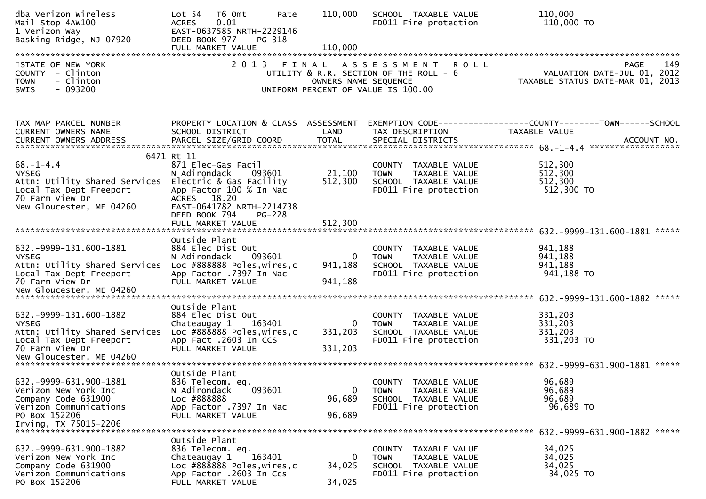| dba Verizon Wireless<br>Mail Stop 4AW100<br>1 Verizon Way<br>Basking Ridge, NJ 07920                                                                     | Lot 54<br>T6 Omt<br>Pate<br>0.01<br><b>ACRES</b><br>EAST-0637585 NRTH-2229146<br>DEED BOOK 977<br>PG-318                                                                                  | 110,000                 | SCHOOL TAXABLE VALUE<br>FD011 Fire protection                                                              | 110,000<br>110,000 TO                                                           |
|----------------------------------------------------------------------------------------------------------------------------------------------------------|-------------------------------------------------------------------------------------------------------------------------------------------------------------------------------------------|-------------------------|------------------------------------------------------------------------------------------------------------|---------------------------------------------------------------------------------|
| STATE OF NEW YORK<br>COUNTY - Clinton<br>- Clinton<br><b>TOWN</b><br>$-093200$<br>SWIS                                                                   |                                                                                                                                                                                           | OWNERS NAME SEQUENCE    | 2013 FINAL ASSESSMENT ROLL<br>UTILITY & R.R. SECTION OF THE ROLL - 6<br>UNIFORM PERCENT OF VALUE IS 100.00 | 149<br>PAGE<br>VALUATION DATE-JUL 01, 2012<br>TAXABLE STATUS DATE-MAR 01, 2013  |
| TAX MAP PARCEL NUMBER<br><b>CURRENT OWNERS NAME</b>                                                                                                      | PROPERTY LOCATION & CLASS ASSESSMENT<br>SCHOOL DISTRICT                                                                                                                                   | LAND                    | TAX DESCRIPTION                                                                                            | EXEMPTION CODE------------------COUNTY--------TOWN------SCHOOL<br>TAXABLE VALUE |
| $68. - 1 - 4.4$<br><b>NYSEG</b><br>Attn: Utility Shared Services<br>Local Tax Dept Freeport<br>70 Farm View Dr<br>New Gloucester, ME 04260               | 6471 Rt 11<br>871 Elec-Gas Facil<br>N Adirondack<br>093601<br>Electric & Gas Facility<br>App Factor 100 % In Nac<br>ACRES 18.20<br>EAST-0641782 NRTH-2214738<br>DEED BOOK 794<br>$PG-228$ | 21,100<br>512,300       | COUNTY TAXABLE VALUE<br>TAXABLE VALUE<br><b>TOWN</b><br>SCHOOL TAXABLE VALUE<br>FD011 Fire protection      | 512,300<br>512,300<br>512,300<br>512,300 TO                                     |
|                                                                                                                                                          | FULL MARKET VALUE                                                                                                                                                                         | 512,300                 |                                                                                                            |                                                                                 |
| 632. - 9999 - 131. 600 - 1881<br><b>NYSEG</b><br>Attn: Utility Shared Services<br>Local Tax Dept Freeport<br>70 Farm View Dr<br>New Gloucester, ME 04260 | Outside Plant<br>884 Elec Dist Out<br>N Adirondack<br>093601<br>Loc #888888 Poles, wires, c<br>App Factor .7397 In Nac<br>FULL MARKET VALUE                                               | 0<br>941,188<br>941,188 | COUNTY TAXABLE VALUE<br>TAXABLE VALUE<br><b>TOWN</b><br>SCHOOL TAXABLE VALUE<br>FD011 Fire protection      | 941,188<br>941,188<br>941,188<br>941,188 TO                                     |
| 632. - 9999 - 131. 600 - 1882<br><b>NYSEG</b><br>Attn: Utility Shared Services<br>Local Tax Dept Freeport<br>70 Farm View Dr                             | Outside Plant<br>884 Elec Dist Out<br>Chateaugay 1<br>163401<br>Loc #888888 Poles, wires, c<br>App Fact .2603 In CCS<br>FULL MARKET VALUE                                                 | 0<br>331,203<br>331,203 | COUNTY TAXABLE VALUE<br><b>TOWN</b><br>TAXABLE VALUE<br>SCHOOL TAXABLE VALUE<br>FD011 Fire protection      | 331,203<br>331,203<br>331,203<br>331,203 TO                                     |
| 632. - 9999 - 631. 900 - 1881<br>Verizon New York Inc<br>Company Code 631900<br>Verizon Communications<br>PO Box 152206<br>Irving, TX 75015-2206         | Outside Plant<br>836 Telecom. eq.<br>093601<br>N Adirondack<br>Loc #888888<br>App Factor .7397 In Nac<br>FULL MARKET VALUE                                                                | 0<br>96,689<br>96,689   | COUNTY TAXABLE VALUE<br>TAXABLE VALUE<br><b>TOWN</b><br>SCHOOL TAXABLE VALUE<br>FD011 Fire protection      | *****<br>96,689<br>96,689<br>96,689<br>96,689 TO                                |
| 632. -9999-631.900-1882<br>Verizon New York Inc<br>Company Code 631900<br>Verizon Communications<br>PO Box 152206                                        | Outside Plant<br>836 Telecom. eq.<br>163401<br>Chateaugay 1<br>Loc #888888 Poles, wires, c<br>App Factor .2603 In Ccs<br>FULL MARKET VALUE                                                | 0<br>34,025<br>34,025   | COUNTY TAXABLE VALUE<br><b>TOWN</b><br>TAXABLE VALUE<br>SCHOOL TAXABLE VALUE<br>FD011 Fire protection      | 34,025<br>34,025<br>34,025<br>34,025 TO                                         |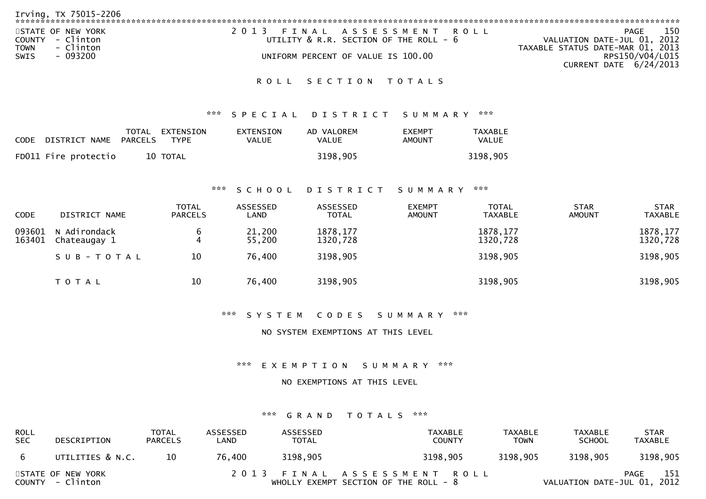| Irving, TX 75015-2206                                             |                                                                      |                                                                                |
|-------------------------------------------------------------------|----------------------------------------------------------------------|--------------------------------------------------------------------------------|
| STATE OF NEW YORK<br>COUNTY - Clinton<br>- Clinton<br><b>TOWN</b> | 2013 FINAL ASSESSMENT ROLL<br>UTILITY & R.R. SECTION OF THE ROLL - 6 | 150<br>PAGE<br>VALUATION DATE-JUL 01, 2012<br>TAXABLE STATUS DATE-MAR 01, 2013 |
| - 093200<br>SWIS                                                  | UNIFORM PERCENT OF VALUE IS 100.00                                   | RPS150/V04/L015<br>CURRENT DATE 6/24/2013                                      |

ROLL SECTION TOTALS

### \*\*\* S P E C I A L D I S T R I C T S U M M A R Y \*\*\*

| CODE DISTRICT NAME PARCELS | TOTAL EXTENSION<br><b>TYPE</b> | EXTENSION<br>VALUE | AD VALOREM<br>VALUE | <b>EXEMPT</b><br>AMOUNT | TAXABLE<br>VALUE |
|----------------------------|--------------------------------|--------------------|---------------------|-------------------------|------------------|
| FD011 Fire protectio       | 10 TOTAL                       |                    | 3198,905            |                         | 3198,905         |

### \*\*\* S C H O O L D I S T R I C T S U M M A R Y \*\*\*

| <b>CODE</b>      | DISTRICT NAME                | <b>TOTAL</b><br><b>PARCELS</b> | ASSESSED<br>LAND | <b>ASSESSED</b><br><b>TOTAL</b> | <b>EXEMPT</b><br><b>AMOUNT</b> | <b>TOTAL</b><br>TAXABLE | <b>STAR</b><br><b>AMOUNT</b> | <b>STAR</b><br>TAXABLE |
|------------------|------------------------------|--------------------------------|------------------|---------------------------------|--------------------------------|-------------------------|------------------------------|------------------------|
| 093601<br>163401 | N Adirondack<br>Chateaugay 1 | 6<br>4                         | 21,200<br>55,200 | 1878, 177<br>1320,728           |                                | 1878, 177<br>1320,728   |                              | 1878, 177<br>1320,728  |
|                  | SUB-TOTAL                    | 10                             | 76,400           | 3198,905                        |                                | 3198,905                |                              | 3198,905               |
|                  | <b>TOTAL</b>                 | 10                             | 76,400           | 3198,905                        |                                | 3198,905                |                              | 3198,905               |

\*\*\* S Y S T E M C O D E S S U M M A R Y \*\*\*

NO SYSTEM EXEMPTIONS AT THIS LEVEL

\*\*\* E X E M P T I O N S U M M A R Y \*\*\*

NO EXEMPTIONS AT THIS LEVEL

#### \*\*\* G R A N D T O T A L S \*\*\*

| ROLL<br><b>SEC</b> | DESCRIPTION                           | <b>TOTAL</b><br><b>PARCELS</b> | ASSESSED<br>LAND | ASSESSED<br><b>TOTAL</b> | TAXABLE<br><b>COUNTY</b>                                              | TAXABLE<br><b>TOWN</b> | TAXABLE<br><b>SCHOOL</b>    | <b>STAR</b><br>TAXABLE |
|--------------------|---------------------------------------|--------------------------------|------------------|--------------------------|-----------------------------------------------------------------------|------------------------|-----------------------------|------------------------|
| - 6                | UTILITIES & N.C.                      | 10                             | 76.400           | 3198.905                 | 3198,905                                                              | 3198,905               | 3198,905                    | 3198,905               |
|                    | STATE OF NEW YORK<br>COUNTY - Clinton |                                |                  |                          | 2013 FINAL ASSESSMENT ROLL<br>WHOLLY EXEMPT SECTION OF THE ROLL - $8$ |                        | VALUATION DATE-JUL 01, 2012 | 151<br>PAGE            |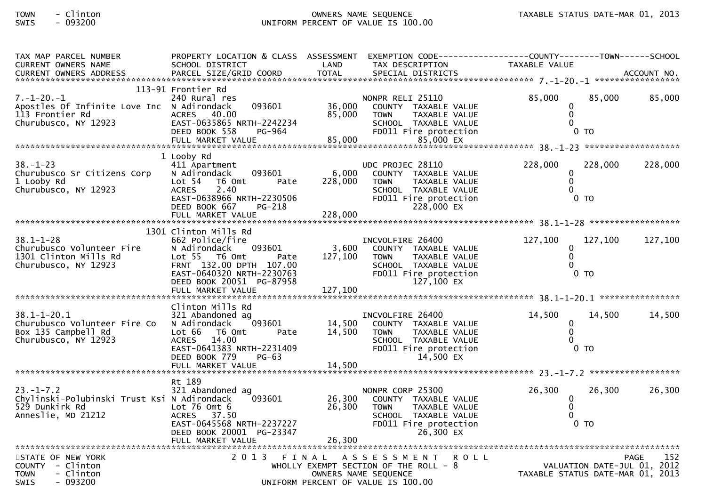# TOWN - Clinton OWNERS NAME SEQUENCE TAXABLE STATUS DATE-MAR 01, 2013SWIS - 093200 UNIFORM PERCENT OF VALUE IS 100.00

| TAX MAP PARCEL NUMBER                         | PROPERTY LOCATION & CLASS ASSESSMENT    |                      | EXEMPTION CODE------------------COUNTY-------TOWN------SCHOOL |                                         |                |                    |
|-----------------------------------------------|-----------------------------------------|----------------------|---------------------------------------------------------------|-----------------------------------------|----------------|--------------------|
| <b>CURRENT OWNERS NAME</b>                    | SCHOOL DISTRICT                         | LAND<br><b>TOTAL</b> | TAX DESCRIPTION                                               | TAXABLE VALUE                           |                |                    |
| <b>CURRENT OWNERS ADDRESS</b>                 | PARCEL SIZE/GRID COORD                  |                      | SPECIAL DISTRICTS                                             |                                         |                | ACCOUNT NO.        |
|                                               | 113-91 Frontier Rd                      |                      |                                                               |                                         |                |                    |
| $7. - 1 - 20. - 1$                            | 240 Rural res                           |                      | NONPR RELI 25110                                              | 85,000                                  | 85.000         | 85,000             |
| Apostles Of Infinite Love Inc N Adirondack    | 093601                                  | 36,000               | COUNTY TAXABLE VALUE                                          | 0                                       |                |                    |
| 113 Frontier Rd                               | 40.00<br><b>ACRES</b>                   | 85,000               | <b>TOWN</b><br>TAXABLE VALUE                                  | $\Omega$                                |                |                    |
| Churubusco, NY 12923                          | EAST-0635865 NRTH-2242234               |                      | SCHOOL TAXABLE VALUE                                          | $\Omega$                                |                |                    |
|                                               | DEED BOOK 558<br>PG-964                 |                      | FD011 Fire protection                                         |                                         | 0 <sub>T</sub> |                    |
|                                               | FULL MARKET VALUE                       | 85,000               | 85,000 EX                                                     |                                         |                |                    |
|                                               |                                         |                      |                                                               |                                         |                |                    |
|                                               | 1 Looby Rd                              |                      |                                                               |                                         |                |                    |
| $38. - 1 - 23$                                | 411 Apartment                           |                      | UDC PROJEC 28110                                              | 228,000                                 | 228,000        | 228,000            |
| Churubusco Sr Citizens Corp                   | 093601<br>N Adirondack                  | 6,000                | COUNTY TAXABLE VALUE                                          | $\mathbf{0}$                            |                |                    |
| 1 Looby Rd                                    | Lot 54 T6 Omt<br>Pate                   | 228,000              | TAXABLE VALUE<br><b>TOWN</b>                                  | $\Omega$                                |                |                    |
| Churubusco, NY 12923                          | <b>ACRES</b><br>2.40                    |                      | SCHOOL TAXABLE VALUE                                          | $\Omega$                                |                |                    |
|                                               | EAST-0638966 NRTH-2230506               |                      | FD011 Fire protection                                         |                                         | 0 <sub>T</sub> |                    |
|                                               | DEED BOOK 667<br>PG-218                 |                      | 228,000 EX                                                    |                                         |                |                    |
|                                               | FULL MARKET VALUE                       | 228,000              |                                                               |                                         |                |                    |
|                                               |                                         |                      |                                                               |                                         |                |                    |
|                                               | 1301 Clinton Mills Rd                   |                      |                                                               |                                         |                |                    |
| $38.1 - 1 - 28$                               | 662 Police/fire                         |                      | INCVOLFIRE 26400                                              | 127,100                                 | 127,100        | 127,100            |
| Churubusco Volunteer Fire                     | 093601<br>N Adirondack<br>Lot 55 T6 Omt | 3,600                | COUNTY TAXABLE VALUE                                          | 0<br>$\Omega$                           |                |                    |
| 1301 Clinton Mills Rd<br>Churubusco, NY 12923 | Pate<br>FRNT 132.00 DPTH 107.00         | 127,100              | <b>TOWN</b><br>TAXABLE VALUE<br>SCHOOL TAXABLE VALUE          |                                         |                |                    |
|                                               | EAST-0640320 NRTH-2230763               |                      | FD011 Fire protection                                         | $0$ TO                                  |                |                    |
|                                               | DEED BOOK 20051 PG-87958                |                      | 127,100 EX                                                    |                                         |                |                    |
|                                               | FULL MARKET VALUE                       | 127,100              |                                                               |                                         |                |                    |
|                                               |                                         |                      |                                                               |                                         |                |                    |
|                                               | Clinton Mills Rd                        |                      |                                                               |                                         |                |                    |
| $38.1 - 1 - 20.1$                             | 321 Abandoned ag                        |                      | INCVOLFIRE 26400                                              | 14,500                                  | 14,500         | 14,500             |
| Churubusco Volunteer Fire Co                  | N Adirondack<br>093601                  | 14,500               | COUNTY TAXABLE VALUE                                          | $\mathbf{0}$                            |                |                    |
| Box 135 Campbell Rd                           | Lot 66 T6 Omt<br>Pate                   | 14,500<br>14,500     | <b>TOWN</b><br>TAXABLE VALUE                                  | $\Omega$                                |                |                    |
| Churubusco, NY 12923                          | ACRES 14.00                             |                      | SCHOOL TAXABLE VALUE                                          | $\Omega$                                |                |                    |
|                                               | EAST-0641383 NRTH-2231409               |                      | FD011 Fire protection                                         |                                         | $0$ TO         |                    |
|                                               | DEED BOOK 779<br><b>PG-63</b>           |                      | 14,500 EX                                                     |                                         |                |                    |
|                                               |                                         |                      |                                                               |                                         |                |                    |
|                                               |                                         |                      |                                                               |                                         |                |                    |
|                                               | Rt 189                                  |                      |                                                               |                                         |                |                    |
| $23. - 1 - 7.2$                               | 321 Abandoned ag                        |                      | NONPR CORP 25300                                              | 26,300                                  | 26,300         | 26,300             |
| Chylinski-Polubinski Trust Ksi N Adirondack   | 093601                                  | 26,300               | COUNTY TAXABLE VALUE                                          | 0                                       |                |                    |
| 529 Dunkirk Rd                                | Lot $76$ Omt $6$                        | 26,300               | TAXABLE VALUE<br><b>TOWN</b>                                  | $\Omega$                                |                |                    |
| Anneslie, MD 21212                            | ACRES 37.50                             |                      | SCHOOL TAXABLE VALUE                                          |                                         |                |                    |
|                                               | EAST-0645568 NRTH-2237227               |                      | FD011 Fire protection                                         |                                         | 0 <sub>T</sub> |                    |
|                                               | DEED BOOK 20001 PG-23347                |                      | 26,300 EX                                                     |                                         |                |                    |
|                                               | FULL MARKET VALUE                       | 26,300               |                                                               |                                         |                |                    |
| STATE OF NEW YORK                             | 2 0 1 3<br>FINAL                        |                      | A S S E S S M E N T<br>R O L L                                |                                         |                | 152<br><b>PAGE</b> |
| COUNTY - Clinton                              |                                         |                      | WHOLLY EXEMPT SECTION OF THE ROLL $-8$                        | 252 PAGE<br>VALUATION DATE-JUL 01, 2012 |                |                    |
| <b>TOWN</b><br>- Clinton                      |                                         |                      | OWNERS NAME SEQUENCE                                          | TAXABLE STATUS DATE-MAR 01, 2013        |                |                    |
| <b>SWIS</b><br>- 093200                       |                                         |                      | UNIFORM PERCENT OF VALUE IS 100.00                            |                                         |                |                    |
|                                               |                                         |                      |                                                               |                                         |                |                    |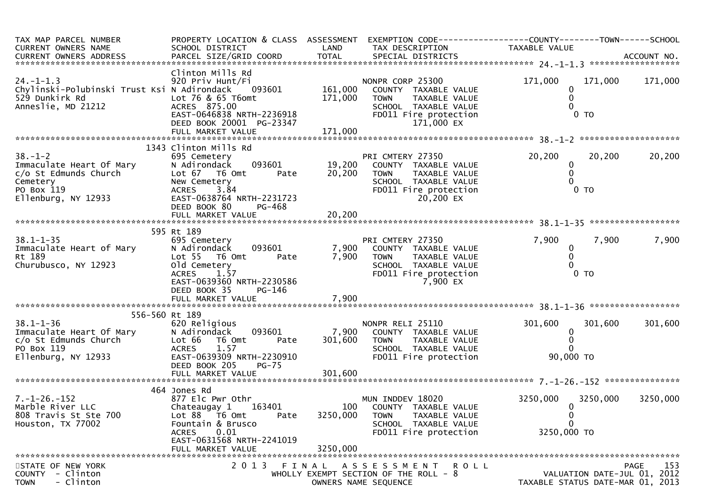| TAX MAP PARCEL NUMBER<br>CURRENT OWNERS NAME<br>CURRENT OWNERS ADDRESS                                              | PROPERTY LOCATION & CLASS ASSESSMENT<br>SCHOOL DISTRICT                                                                                                                                           | LAND                        | EXEMPTION CODE-----------------COUNTY--------TOWN------SCHOOL<br>TAX DESCRIPTION                                                        | TAXABLE VALUE                                                      |                           |                                            |
|---------------------------------------------------------------------------------------------------------------------|---------------------------------------------------------------------------------------------------------------------------------------------------------------------------------------------------|-----------------------------|-----------------------------------------------------------------------------------------------------------------------------------------|--------------------------------------------------------------------|---------------------------|--------------------------------------------|
| $24. - 1 - 1.3$<br>Chylinski-Polubinski Trust Ksi N Adirondack<br>529 Dunkirk Rd<br>Anneslie, MD 21212              | Clinton Mills Rd<br>920 Priv Hunt/Fi<br>093601<br>Lot 76 & 65 T6omt<br>ACRES 875.00<br>EAST-0646838 NRTH-2236918<br>DEED BOOK 20001 PG-23347                                                      | 161,000<br>171,000          | NONPR CORP 25300<br>COUNTY TAXABLE VALUE<br><b>TOWN</b><br>TAXABLE VALUE<br>SCHOOL TAXABLE VALUE<br>FD011 Fire protection<br>171,000 EX | 171,000<br>0<br>0<br>$\Omega$                                      | 171,000<br>0 <sub>T</sub> | 171,000                                    |
|                                                                                                                     | 1343 Clinton Mills Rd                                                                                                                                                                             |                             |                                                                                                                                         |                                                                    |                           |                                            |
| $38. - 1 - 2$<br>Immaculate Heart Of Mary<br>c/o St Edmunds Church<br>Cemetery<br>PO Box 119<br>Ellenburg, NY 12933 | 695 Cemetery<br>093601<br>N Adirondack<br>Lot 67 76 0mt<br>Pate<br>New Cemetery<br><b>ACRES</b><br>3.84<br>EAST-0638764 NRTH-2231723<br>DEED BOOK 80<br>PG-468                                    | 19,200<br>20,200            | PRI CMTERY 27350<br>COUNTY TAXABLE VALUE<br><b>TOWN</b><br>TAXABLE VALUE<br>SCHOOL TAXABLE VALUE<br>FD011 Fire protection<br>20,200 EX  | 20,200<br>0<br>$\mathbf 0$<br>$\Omega$                             | 20,200<br>0 <sub>T</sub>  | 20,200                                     |
|                                                                                                                     | FULL MARKET VALUE                                                                                                                                                                                 | 20,200                      |                                                                                                                                         |                                                                    |                           |                                            |
|                                                                                                                     |                                                                                                                                                                                                   |                             |                                                                                                                                         |                                                                    |                           |                                            |
| $38.1 - 1 - 35$<br>Immaculate Heart of Mary<br>Rt 189<br>Churubusco, NY 12923                                       | 595 Rt 189<br>695 Cemetery<br>N Adirondack<br>093601<br>Lot <sub>55</sub><br>T6 Omt<br>Pate<br>old Cemetery<br><b>ACRES</b><br>1.57<br>EAST-0639360 NRTH-2230586<br><b>PG-146</b><br>DEED BOOK 35 | 7,900<br>7,900              | PRI CMTERY 27350<br>COUNTY TAXABLE VALUE<br>TAXABLE VALUE<br><b>TOWN</b><br>SCHOOL TAXABLE VALUE<br>FD011 Fire protection<br>7,900 EX   | 7,900<br>$\bf{0}$<br>$\mathbf{0}$                                  | 7,900<br>$0$ TO           | 7,900                                      |
| 556-560 Rt 189                                                                                                      |                                                                                                                                                                                                   |                             |                                                                                                                                         |                                                                    |                           |                                            |
| $38.1 - 1 - 36$<br>Immaculate Heart Of Mary<br>c/o St Edmunds Church<br>PO Box 119<br>Ellenburg, NY 12933           | 620 Religious<br>N Adirondack<br>093601<br>Lot 66<br>T6 Omt<br>Pate<br><b>ACRES</b><br>1.57<br>EAST-0639309 NRTH-2230910<br>$PG-75$<br>DEED BOOK 205                                              | 7,900<br>301,600            | NONPR RELI 25110<br>COUNTY TAXABLE VALUE<br>TAXABLE VALUE<br><b>TOWN</b><br>SCHOOL TAXABLE VALUE<br>FD011 Fire protection               | 301,600<br>0<br>$\mathbf{0}$<br>90,000 TO                          | 301,600                   | 301,600                                    |
|                                                                                                                     |                                                                                                                                                                                                   |                             |                                                                                                                                         |                                                                    |                           |                                            |
|                                                                                                                     | 464 Jones Rd                                                                                                                                                                                      |                             |                                                                                                                                         |                                                                    |                           |                                            |
| $7. - 1 - 26. - 152$<br>Marble River LLC<br>808 Travis St Ste 700<br>Houston, TX 77002                              | 877 Elc Pwr Othr<br>163401<br>Chateaugay 1<br>Lot 88 T6 Omt<br>Pate<br>Fountain & Brusco<br><b>ACRES</b><br>0.01<br>EAST-0631568 NRTH-2241019<br>FULL MARKET VALUE                                | 100<br>3250,000<br>3250,000 | MUN INDDEV 18020<br>COUNTY TAXABLE VALUE<br>TAXABLE VALUE<br><b>TOWN</b><br>SCHOOL TAXABLE VALUE<br>FD011 Fire protection               | 3250,000<br>$\mathbf{0}$<br>$\bf{0}$<br>$\mathbf 0$<br>3250,000 TO | 3250,000                  | 3250,000                                   |
|                                                                                                                     |                                                                                                                                                                                                   |                             |                                                                                                                                         |                                                                    |                           |                                            |
| STATE OF NEW YORK<br>- Clinton<br><b>COUNTY</b><br>- Clinton<br><b>TOWN</b>                                         | 2 0 1 3                                                                                                                                                                                           |                             | FINAL ASSESSMENT<br>R O L L<br>WHOLLY EXEMPT SECTION OF THE ROLL - 8<br>OWNERS NAME SEQUENCE                                            | TAXABLE STATUS DATE-MAR 01, 2013                                   |                           | 153<br>PAGE<br>VALUATION DATE-JUL 01, 2012 |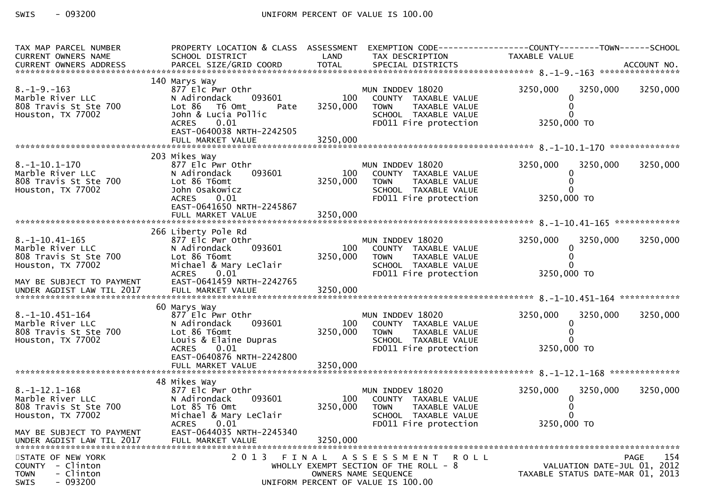$-093200$ SWIS

| TAX MAP PARCEL NUMBER                    | PROPERTY LOCATION & CLASS ASSESSMENT           |          |                                               | EXEMPTION CODE------------------COUNTY--------TOWN------SCHOOL |                    |
|------------------------------------------|------------------------------------------------|----------|-----------------------------------------------|----------------------------------------------------------------|--------------------|
| CURRENT OWNERS NAME                      | SCHOOL DISTRICT                                | LAND     | TAX DESCRIPTION                               | TAXABLE VALUE                                                  |                    |
|                                          |                                                |          |                                               |                                                                |                    |
| $8. - 1 - 9. - 163$                      | 140 Marys Way<br>877 Elc Pwr Othr              |          | MUN INDDEV 18020                              | 3250,000                                                       | 3250,000           |
| Marble River LLC                         | 093601<br>N Adirondack                         | 100      | COUNTY TAXABLE VALUE                          | 3250,000<br>$\Omega$                                           |                    |
| 808 Travis St Ste 700                    | Lot 86<br>T6 Omt<br>Pate                       | 3250,000 | TAXABLE VALUE<br><b>TOWN</b>                  |                                                                |                    |
| Houston, TX 77002                        | John & Lucia Pollic                            |          | SCHOOL TAXABLE VALUE                          |                                                                |                    |
|                                          | 0.01<br>ACRES<br>EAST-0640038 NRTH-2242505     |          | FD011 Fire protection                         | 3250,000 TO                                                    |                    |
|                                          |                                                |          |                                               |                                                                |                    |
|                                          |                                                |          |                                               |                                                                |                    |
|                                          | 203 Mikes Way                                  |          |                                               |                                                                |                    |
| $8. -1 - 10.1 - 170$<br>Marble River LLC | 877 Elc Pwr Othr<br>093601<br>N Adirondack     | 100      | MUN INDDEV 18020<br>COUNTY TAXABLE VALUE      | 3250,000<br>3250,000                                           | 3250,000           |
| 808 Travis St Ste 700                    | Lot 86 T6omt                                   | 3250,000 | <b>TOWN</b><br>TAXABLE VALUE                  |                                                                |                    |
| Houston, TX 77002                        | John Osakowicz                                 |          | SCHOOL TAXABLE VALUE                          |                                                                |                    |
|                                          | ACRES 0.01<br>EAST-0641650 NRTH-2245867        |          | FD011 Fire protection                         | 3250,000 TO                                                    |                    |
|                                          | FULL MARKET VALUE                              | 3250,000 |                                               |                                                                |                    |
|                                          |                                                |          |                                               |                                                                |                    |
| $8.-1-10.41-165$                         | 266 Liberty Pole Rd<br>877 Elc Pwr Othr        |          | MUN INDDEV 18020                              | 3250,000<br>3250,000                                           | 3250,000           |
| Marble River LLC                         | 093601<br>N Adirondack                         | 100      | COUNTY TAXABLE VALUE                          |                                                                |                    |
| 808 Travis St Ste 700                    | Lot 86 T6omt                                   | 3250,000 | TAXABLE VALUE<br>TOWN                         |                                                                |                    |
| Houston, TX 77002                        | Michael & Mary LeClair                         |          | SCHOOL TAXABLE VALUE                          |                                                                |                    |
| MAY BE SUBJECT TO PAYMENT                | ACRES 0.01<br>EAST-0641459 NRTH-2242765        |          | FD011 Fire protection                         | 3250,000 TO                                                    |                    |
| UNDER AGDIST LAW TIL 2017                |                                                |          |                                               |                                                                |                    |
|                                          |                                                |          |                                               |                                                                |                    |
| $8. -1 - 10.451 - 164$                   | 60 Marys Way<br>877 Elc Pwr Othr               |          | MUN INDDEV 18020                              | 3250,000<br>3250,000                                           | 3250,000           |
| Marble River LLC                         | 093601<br>N Adirondack                         | 100      | COUNTY TAXABLE VALUE                          |                                                                |                    |
| 808 Travis St Ste 700                    | Lot 86 T6omt                                   | 3250,000 | <b>TOWN</b><br>TAXABLE VALUE                  |                                                                |                    |
| Houston, TX 77002                        | Louis & Elaine Dupras<br><b>ACRES</b><br>0.01  |          | SCHOOL TAXABLE VALUE                          | 3250,000 TO                                                    |                    |
|                                          | EAST-0640876 NRTH-2242800                      |          | FD011 Fire protection                         |                                                                |                    |
|                                          | FULL MARKET VALUE                              | 3250,000 |                                               |                                                                |                    |
|                                          |                                                |          |                                               |                                                                |                    |
| $8. -1 - 12.1 - 168$                     | 48 Mikes Way<br>877 Elc Pwr Othr               |          | MUN INDDEV 18020                              | 3250,000<br>3250,000                                           | 3250,000           |
| Marble River LLC                         | 093601<br>N Adirondack                         | 100      | COUNTY TAXABLE VALUE                          |                                                                |                    |
| 808 Travis St Ste 700                    | Lot 85 T6 Omt                                  | 3250,000 | <b>TOWN</b><br>TAXABLE VALUE                  |                                                                |                    |
| Houston, TX 77002                        | Michael & Mary LeClair<br><b>ACRES</b><br>0.01 |          | SCHOOL TAXABLE VALUE<br>FD011 Fire protection | 3250,000 TO                                                    |                    |
| MAY BE SUBJECT TO PAYMENT                | EAST-0644035 NRTH-2245340                      |          |                                               |                                                                |                    |
| UNDER AGDIST LAW TIL 2017                | FULL MARKET VALUE                              | 3250,000 |                                               |                                                                |                    |
| STATE OF NEW YORK                        |                                                |          | 2013 FINAL ASSESSMENT ROLL                    |                                                                | 154<br><b>PAGE</b> |
| - Clinton<br><b>COUNTY</b>               |                                                |          | WHOLLY EXEMPT SECTION OF THE ROLL - 8         | VALUATION DATE-JUL 01, 2012                                    |                    |
| <b>TOWN</b><br>- Clinton                 |                                                |          | OWNERS NAME SEQUENCE                          | TAXABLE STATUS DATE-MAR 01, 2013                               |                    |
| $-093200$<br>SWIS                        |                                                |          | UNIFORM PERCENT OF VALUE IS 100.00            |                                                                |                    |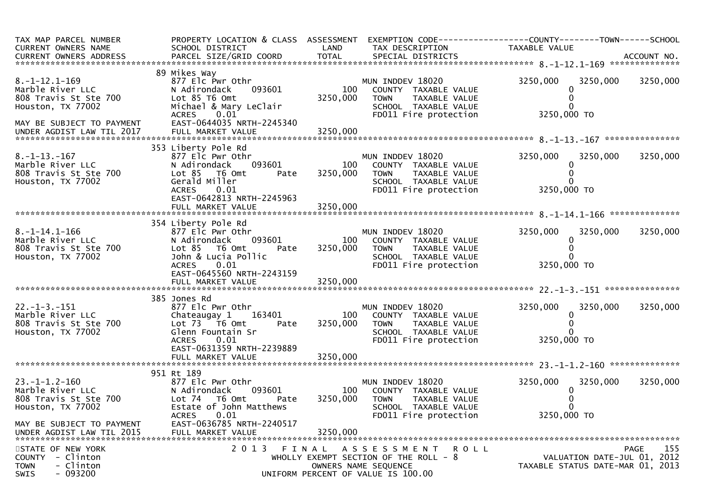| TAX MAP PARCEL NUMBER<br>CURRENT OWNERS NAME                                           | SCHOOL DISTRICT                                                                                                                                                         | LAND            | TAX DESCRIPTION                                                                                                                        | PROPERTY LOCATION & CLASS ASSESSMENT EXEMPTION CODE----------------COUNTY--------TOWN------SCHOOL<br>TAXABLE VALUE |             |
|----------------------------------------------------------------------------------------|-------------------------------------------------------------------------------------------------------------------------------------------------------------------------|-----------------|----------------------------------------------------------------------------------------------------------------------------------------|--------------------------------------------------------------------------------------------------------------------|-------------|
|                                                                                        |                                                                                                                                                                         |                 |                                                                                                                                        |                                                                                                                    |             |
| $8. -1 - 12.1 - 169$<br>Marble River LLC<br>808 Travis St Ste 700<br>Houston, TX 77002 | 89 Mikes Way<br>877 Elc Pwr Othr<br>093601<br>N Adirondack<br>Lot 85 T6 Omt<br>Michael & Mary LeClair<br><b>ACRES</b><br>0.01                                           | 100<br>3250,000 | MUN INDDEV 18020<br>COUNTY TAXABLE VALUE<br>TAXABLE VALUE<br><b>TOWN</b><br>SCHOOL TAXABLE VALUE<br>FD011 Fire protection              | 3250,000<br>3250,000<br>3250,000 TO                                                                                | 3250,000    |
| MAY BE SUBJECT TO PAYMENT<br>UNDER AGDIST LAW TIL 2017                                 | EAST-0644035 NRTH-2245340                                                                                                                                               |                 |                                                                                                                                        |                                                                                                                    |             |
| $8. -1 - 13. - 167$<br>Marble River LLC<br>808 Travis St Ste 700<br>Houston, TX 77002  | 353 Liberty Pole Rd<br>877 Elc Pwr Othr<br>093601<br>N Adirondack<br>Lot 85 T6 Omt<br>Pate<br>Gerald Miller<br>0.01<br><b>ACRES</b><br>EAST-0642813 NRTH-2245963        | 100<br>3250,000 | MUN INDDEV 18020<br>COUNTY TAXABLE VALUE<br><b>TOWN</b><br>TAXABLE VALUE<br>SCHOOL TAXABLE VALUE<br>FD011 Fire protection              | 3250,000<br>3250,000<br>3250,000 TO                                                                                | 3250,000    |
|                                                                                        | FULL MARKET VALUE                                                                                                                                                       | 3250,000        |                                                                                                                                        |                                                                                                                    |             |
| $8. -1 - 14.1 - 166$<br>Marble River LLC<br>808 Travis St Ste 700<br>Houston, TX 77002 | 354 Liberty Pole Rd<br>877 Elc Pwr Othr<br>093601<br>N Adirondack<br>Lot 85  T6 Omt<br>Pate<br>John & Lucia Pollic<br>0.01<br><b>ACRES</b><br>EAST-0645560 NRTH-2243159 | 100<br>3250,000 | MUN INDDEV 18020<br>COUNTY TAXABLE VALUE<br><b>TOWN</b><br>TAXABLE VALUE<br>SCHOOL TAXABLE VALUE<br>FD011 Fire protection              | 3250,000<br>3250,000<br>3250,000 TO                                                                                | 3250,000    |
|                                                                                        |                                                                                                                                                                         |                 |                                                                                                                                        |                                                                                                                    |             |
| $22. -1 - 3. -151$<br>Marble River LLC<br>808 Travis St Ste 700<br>Houston, TX 77002   | 385 Jones Rd<br>877 Elc Pwr Othr<br>163401<br>Chateaugay 1<br>Lot 73  T6 0mt<br>Pate<br>Glenn Fountain Sr<br>0.01<br>ACRES<br>EAST-0631359 NRTH-2239889                 | 100<br>3250,000 | MUN INDDEV 18020<br>COUNTY TAXABLE VALUE<br><b>TOWN</b><br>TAXABLE VALUE<br>SCHOOL TAXABLE VALUE<br>FD011 Fire protection              | 3250,000<br>3250,000<br>3250,000 TO                                                                                | 3250,000    |
|                                                                                        |                                                                                                                                                                         |                 |                                                                                                                                        |                                                                                                                    |             |
| $23. -1 - 1.2 - 160$<br>Marble River LLC<br>808 Travis St Ste 700<br>Houston, TX 77002 | 951 Rt 189<br>877 Elc Pwr Othr<br>093601<br>N Adirondack<br>Lot 74 T6 Omt<br>Pate<br>Estate of John Matthews<br>0.01<br><b>ACRES</b>                                    | 100<br>3250,000 | MUN INDDEV 18020<br>COUNTY TAXABLE VALUE<br><b>TOWN</b><br><b>TAXABLE VALUE</b><br>SCHOOL TAXABLE VALUE<br>FD011 Fire protection       | 3250,000<br>3250,000<br>3250,000 TO                                                                                | 3250,000    |
| MAY BE SUBJECT TO PAYMENT<br>UNDER AGDIST LAW TIL 2015                                 | EAST-0636785 NRTH-2240517<br>FULL MARKET VALUE                                                                                                                          | 3250,000        |                                                                                                                                        |                                                                                                                    |             |
| STATE OF NEW YORK<br>COUNTY - Clinton<br>- Clinton<br><b>TOWN</b><br>$-093200$<br>SWIS | 2013 FINAL                                                                                                                                                              |                 | A S S E S S M E N T<br>R O L L<br>WHOLLY EXEMPT SECTION OF THE ROLL $-8$<br>OWNERS NAME SEQUENCE<br>UNIFORM PERCENT OF VALUE IS 100.00 | VALUATION DATE-JUL 01, 2012<br>TAXABLE STATUS DATE-MAR 01, 2013                                                    | 155<br>PAGE |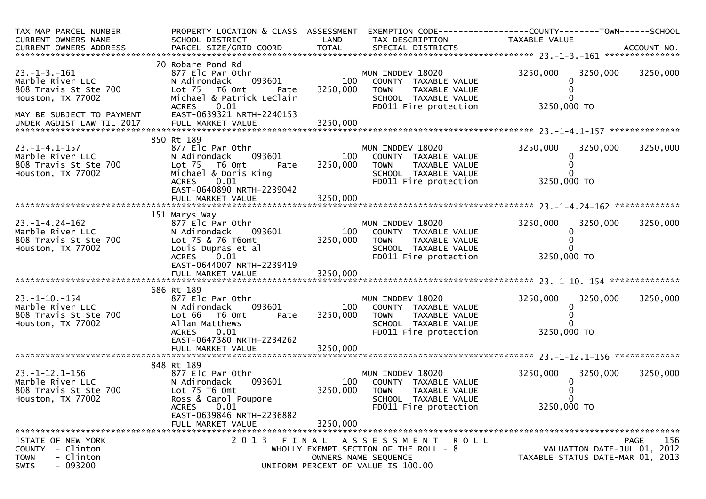| TAX MAP PARCEL NUMBER<br>CURRENT OWNERS NAME                                                  | PROPERTY LOCATION & CLASS ASSESSMENT<br>SCHOOL DISTRICT                                                                           | LAND            | TAX DESCRIPTION                                                                                                           | EXEMPTION CODE------------------COUNTY--------TOWN------SCHOOL<br>TAXABLE VALUE |                    |
|-----------------------------------------------------------------------------------------------|-----------------------------------------------------------------------------------------------------------------------------------|-----------------|---------------------------------------------------------------------------------------------------------------------------|---------------------------------------------------------------------------------|--------------------|
|                                                                                               |                                                                                                                                   |                 |                                                                                                                           |                                                                                 |                    |
| $23. -1 - 3. -161$<br>Marble River LLC<br>808 Travis St Ste 700                               | 70 Robare Pond Rd<br>877 Elc Pwr Othr<br>093601<br>N Adirondack<br>Lot 75  T6 Omt                                                 | 100<br>3250,000 | MUN INDDEV 18020<br>COUNTY TAXABLE VALUE<br>TAXABLE VALUE<br><b>TOWN</b>                                                  | 3250,000<br>3250,000<br>0                                                       | 3250,000           |
| Houston, TX 77002<br>MAY BE SUBJECT TO PAYMENT                                                | Pate<br>Michael & Patrick LeClair<br>0.01<br><b>ACRES</b><br>EAST-0639321 NRTH-2240153                                            |                 | SCHOOL TAXABLE VALUE<br>FD011 Fire protection                                                                             | 3250,000 TO                                                                     |                    |
|                                                                                               |                                                                                                                                   |                 |                                                                                                                           |                                                                                 |                    |
|                                                                                               | 850 Rt 189                                                                                                                        |                 |                                                                                                                           |                                                                                 |                    |
| $23. -1 - 4.1 - 157$<br>Marble River LLC<br>808 Travis St Ste 700<br>Houston, TX 77002        | 877 Elc Pwr Othr<br>093601<br>N Adirondack<br>Lot <sub>75</sub><br>T6 Omt<br>Pate<br>Michael & Doris King<br>0.01<br><b>ACRES</b> | 100<br>3250,000 | MUN INDDEV 18020<br>COUNTY TAXABLE VALUE<br>TAXABLE VALUE<br><b>TOWN</b><br>SCHOOL TAXABLE VALUE<br>FD011 Fire protection | 3250,000<br>3250,000<br>0<br>3250,000 TO                                        | 3250,000           |
|                                                                                               | EAST-0640890 NRTH-2239042                                                                                                         |                 |                                                                                                                           |                                                                                 |                    |
|                                                                                               |                                                                                                                                   |                 |                                                                                                                           |                                                                                 |                    |
| $23. -1 - 4.24 - 162$<br>Marble River LLC<br>808 Travis St Ste 700<br>Houston, TX 77002       | 151 Marys Way<br>877 Elc Pwr Othr<br>093601<br>N Adirondack<br>Lot 75 & 76 T6omt<br>Louis Dupras et al                            | 100<br>3250,000 | MUN INDDEV 18020<br>COUNTY TAXABLE VALUE<br><b>TOWN</b><br>TAXABLE VALUE<br>SCHOOL TAXABLE VALUE                          | 3250,000<br>3250,000<br>0                                                       | 3250,000           |
|                                                                                               | ACRES 0.01<br>EAST-0644007 NRTH-2239419                                                                                           |                 | FD011 Fire protection                                                                                                     | 3250,000 TO                                                                     |                    |
|                                                                                               |                                                                                                                                   |                 |                                                                                                                           |                                                                                 |                    |
| $23. -1 - 10. -154$<br>Marble River LLC<br>808 Travis St Ste 700<br>Houston, TX 77002         | 686 Rt 189<br>877 Elc Pwr Othr<br>N Adirondack<br>093601<br>Lot 66<br>T6 Omt<br>Pate<br>Allan Matthews<br><b>ACRES</b><br>0.01    | 100<br>3250,000 | MUN INDDEV 18020<br>COUNTY TAXABLE VALUE<br>TAXABLE VALUE<br><b>TOWN</b><br>SCHOOL TAXABLE VALUE<br>FD011 Fire protection | 3250,000<br>3250,000<br>0<br>3250,000 TO                                        | 3250,000           |
|                                                                                               | EAST-0647380 NRTH-2234262<br>FULL MARKET VALUE                                                                                    | 3250,000        |                                                                                                                           |                                                                                 |                    |
|                                                                                               | 848 Rt 189                                                                                                                        |                 |                                                                                                                           |                                                                                 |                    |
| $23. -1 - 12.1 - 156$<br>Marble River LLC<br>808 Travis St Ste 700<br>Houston, TX 77002       | 877 Elc Pwr Othr<br>N Adirondack<br>093601<br>Lot 75 T6 Omt<br>Ross & Carol Poupore<br><b>ACRES</b><br>0.01                       | 100<br>3250,000 | MUN INDDEV 18020<br>COUNTY TAXABLE VALUE<br><b>TOWN</b><br>TAXABLE VALUE<br>SCHOOL TAXABLE VALUE                          | 3250,000<br>3250,000<br>0<br>3250,000 TO                                        | 3250,000           |
|                                                                                               | EAST-0639846 NRTH-2236882<br>FULL MARKET VALUE                                                                                    | 3250,000        | FD011 Fire protection                                                                                                     |                                                                                 |                    |
| STATE OF NEW YORK<br>COUNTY - Clinton<br>- Clinton<br><b>TOWN</b><br>$-093200$<br><b>SWIS</b> | 2013 FINAL                                                                                                                        |                 | ASSESSMENT ROLL<br>WHOLLY EXEMPT SECTION OF THE ROLL - 8<br>OWNERS NAME SEQUENCE<br>UNIFORM PERCENT OF VALUE IS 100.00    | VALUATION DATE-JUL 01, 2012<br>TAXABLE STATUS DATE-MAR 01, 2013                 | 156<br><b>PAGE</b> |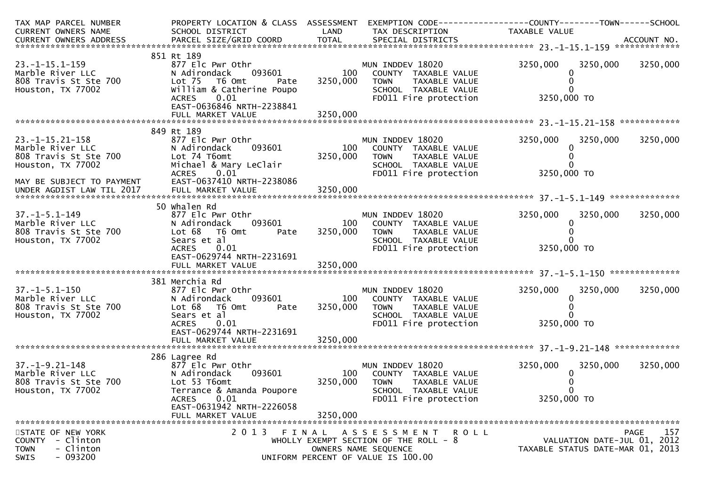| CURRENT OWNERS NAME<br>SCHOOL DISTRICT<br>LAND<br>TAX DESCRIPTION<br>TAXABLE VALUE<br>.4CCOUNT NO . PARCEL SIZE/GRID COORD TOTAL SPECIAL DISTRICTS . ACCOUNT NO . ACCOUNT NO . ACCOUNT NO . بالمحدثة المستوى المستوى المستوى المستوى المستوى المستوى المستوى المستوى المستوى المستوى المستوى المستوى المستوى المستوى<br>851 Rt 189<br>3250,000<br>$23. -1 - 15.1 - 159$<br>877 Elc Pwr Othr<br>MUN INDDEV 18020<br>3250,000<br>3250,000<br>Marble River LLC<br>093601<br>100<br>N Adirondack<br>COUNTY TAXABLE VALUE<br>0<br>808 Travis St Ste 700<br>3250,000<br>Lot 75  T6 Omt<br><b>TOWN</b><br>TAXABLE VALUE<br>Pate<br>William & Catherine Poupo<br>Houston, TX 77002<br>SCHOOL TAXABLE VALUE<br>3250,000 TO<br>0.01<br>FD011 Fire protection<br><b>ACRES</b><br>EAST-0636846 NRTH-2238841<br>849 Rt 189<br>$23. -1 - 15.21 - 158$<br>877 Elc Pwr Othr<br>3250,000<br>3250,000<br>3250,000<br>MUN INDDEV 18020<br>093601<br>100<br>Marble River LLC<br>COUNTY TAXABLE VALUE<br>N Adirondack<br>0<br>808 Travis St Ste 700<br>3250,000<br>Lot 74 T6omt<br><b>TOWN</b><br>TAXABLE VALUE<br>Michael & Mary LeClair<br>SCHOOL TAXABLE VALUE<br>Houston, TX 77002<br>3250,000 TO<br><b>ACRES</b><br>0.01<br>FD011 Fire protection<br>EAST-0637410 NRTH-2238086<br>MAY BE SUBJECT TO PAYMENT<br>3250,000<br>UNDER AGDIST LAW TIL 2017<br>FULL MARKET VALUE<br>50 Whalen Rd<br>3250,000<br>$37. - 1 - 5.1 - 149$<br>877 Elc Pwr Othr<br>MUN INDDEV 18020<br>3250,000<br>3250,000<br>Marble River LLC<br>093601<br>100<br>N Adirondack<br>COUNTY TAXABLE VALUE<br>$\bf{0}$<br>3250,000<br>808 Travis St Ste 700<br>Lot 68<br>T6 Omt<br><b>TOWN</b><br>TAXABLE VALUE<br>Pate<br>Houston, TX 77002<br>Sears et al<br>SCHOOL TAXABLE VALUE<br>3250,000 TO<br><b>ACRES</b><br>FD011 Fire protection<br>0.01<br>EAST-0629744 NRTH-2231691<br>381 Merchia Rd<br>$37. - 1 - 5.1 - 150$<br>MUN INDDEV 18020<br>3250,000<br>3250,000<br>3250,000<br>877 Elc Pwr Othr<br>Marble River LLC<br>093601<br>100<br>COUNTY TAXABLE VALUE<br>N Adirondack<br>0<br>808 Travis St Ste 700<br>3250,000<br>Lot 68<br>T6 Omt<br><b>TOWN</b><br>TAXABLE VALUE<br>Pate<br>Houston, TX 77002<br>Sears et al<br>SCHOOL TAXABLE VALUE<br>3250,000 TO<br>FD011 Fire protection<br><b>ACRES</b><br>0.01 |
|-------------------------------------------------------------------------------------------------------------------------------------------------------------------------------------------------------------------------------------------------------------------------------------------------------------------------------------------------------------------------------------------------------------------------------------------------------------------------------------------------------------------------------------------------------------------------------------------------------------------------------------------------------------------------------------------------------------------------------------------------------------------------------------------------------------------------------------------------------------------------------------------------------------------------------------------------------------------------------------------------------------------------------------------------------------------------------------------------------------------------------------------------------------------------------------------------------------------------------------------------------------------------------------------------------------------------------------------------------------------------------------------------------------------------------------------------------------------------------------------------------------------------------------------------------------------------------------------------------------------------------------------------------------------------------------------------------------------------------------------------------------------------------------------------------------------------------------------------------------------------------------------------------------------------------------------------------------------------------------------------------------------------------------------------------------------------------------------------------------------------------------------------------------------------------------------------------------------------------------------------------------------------|
|                                                                                                                                                                                                                                                                                                                                                                                                                                                                                                                                                                                                                                                                                                                                                                                                                                                                                                                                                                                                                                                                                                                                                                                                                                                                                                                                                                                                                                                                                                                                                                                                                                                                                                                                                                                                                                                                                                                                                                                                                                                                                                                                                                                                                                                                         |
|                                                                                                                                                                                                                                                                                                                                                                                                                                                                                                                                                                                                                                                                                                                                                                                                                                                                                                                                                                                                                                                                                                                                                                                                                                                                                                                                                                                                                                                                                                                                                                                                                                                                                                                                                                                                                                                                                                                                                                                                                                                                                                                                                                                                                                                                         |
|                                                                                                                                                                                                                                                                                                                                                                                                                                                                                                                                                                                                                                                                                                                                                                                                                                                                                                                                                                                                                                                                                                                                                                                                                                                                                                                                                                                                                                                                                                                                                                                                                                                                                                                                                                                                                                                                                                                                                                                                                                                                                                                                                                                                                                                                         |
|                                                                                                                                                                                                                                                                                                                                                                                                                                                                                                                                                                                                                                                                                                                                                                                                                                                                                                                                                                                                                                                                                                                                                                                                                                                                                                                                                                                                                                                                                                                                                                                                                                                                                                                                                                                                                                                                                                                                                                                                                                                                                                                                                                                                                                                                         |
|                                                                                                                                                                                                                                                                                                                                                                                                                                                                                                                                                                                                                                                                                                                                                                                                                                                                                                                                                                                                                                                                                                                                                                                                                                                                                                                                                                                                                                                                                                                                                                                                                                                                                                                                                                                                                                                                                                                                                                                                                                                                                                                                                                                                                                                                         |
|                                                                                                                                                                                                                                                                                                                                                                                                                                                                                                                                                                                                                                                                                                                                                                                                                                                                                                                                                                                                                                                                                                                                                                                                                                                                                                                                                                                                                                                                                                                                                                                                                                                                                                                                                                                                                                                                                                                                                                                                                                                                                                                                                                                                                                                                         |
|                                                                                                                                                                                                                                                                                                                                                                                                                                                                                                                                                                                                                                                                                                                                                                                                                                                                                                                                                                                                                                                                                                                                                                                                                                                                                                                                                                                                                                                                                                                                                                                                                                                                                                                                                                                                                                                                                                                                                                                                                                                                                                                                                                                                                                                                         |
|                                                                                                                                                                                                                                                                                                                                                                                                                                                                                                                                                                                                                                                                                                                                                                                                                                                                                                                                                                                                                                                                                                                                                                                                                                                                                                                                                                                                                                                                                                                                                                                                                                                                                                                                                                                                                                                                                                                                                                                                                                                                                                                                                                                                                                                                         |
|                                                                                                                                                                                                                                                                                                                                                                                                                                                                                                                                                                                                                                                                                                                                                                                                                                                                                                                                                                                                                                                                                                                                                                                                                                                                                                                                                                                                                                                                                                                                                                                                                                                                                                                                                                                                                                                                                                                                                                                                                                                                                                                                                                                                                                                                         |
|                                                                                                                                                                                                                                                                                                                                                                                                                                                                                                                                                                                                                                                                                                                                                                                                                                                                                                                                                                                                                                                                                                                                                                                                                                                                                                                                                                                                                                                                                                                                                                                                                                                                                                                                                                                                                                                                                                                                                                                                                                                                                                                                                                                                                                                                         |
|                                                                                                                                                                                                                                                                                                                                                                                                                                                                                                                                                                                                                                                                                                                                                                                                                                                                                                                                                                                                                                                                                                                                                                                                                                                                                                                                                                                                                                                                                                                                                                                                                                                                                                                                                                                                                                                                                                                                                                                                                                                                                                                                                                                                                                                                         |
|                                                                                                                                                                                                                                                                                                                                                                                                                                                                                                                                                                                                                                                                                                                                                                                                                                                                                                                                                                                                                                                                                                                                                                                                                                                                                                                                                                                                                                                                                                                                                                                                                                                                                                                                                                                                                                                                                                                                                                                                                                                                                                                                                                                                                                                                         |
|                                                                                                                                                                                                                                                                                                                                                                                                                                                                                                                                                                                                                                                                                                                                                                                                                                                                                                                                                                                                                                                                                                                                                                                                                                                                                                                                                                                                                                                                                                                                                                                                                                                                                                                                                                                                                                                                                                                                                                                                                                                                                                                                                                                                                                                                         |
|                                                                                                                                                                                                                                                                                                                                                                                                                                                                                                                                                                                                                                                                                                                                                                                                                                                                                                                                                                                                                                                                                                                                                                                                                                                                                                                                                                                                                                                                                                                                                                                                                                                                                                                                                                                                                                                                                                                                                                                                                                                                                                                                                                                                                                                                         |
|                                                                                                                                                                                                                                                                                                                                                                                                                                                                                                                                                                                                                                                                                                                                                                                                                                                                                                                                                                                                                                                                                                                                                                                                                                                                                                                                                                                                                                                                                                                                                                                                                                                                                                                                                                                                                                                                                                                                                                                                                                                                                                                                                                                                                                                                         |
|                                                                                                                                                                                                                                                                                                                                                                                                                                                                                                                                                                                                                                                                                                                                                                                                                                                                                                                                                                                                                                                                                                                                                                                                                                                                                                                                                                                                                                                                                                                                                                                                                                                                                                                                                                                                                                                                                                                                                                                                                                                                                                                                                                                                                                                                         |
|                                                                                                                                                                                                                                                                                                                                                                                                                                                                                                                                                                                                                                                                                                                                                                                                                                                                                                                                                                                                                                                                                                                                                                                                                                                                                                                                                                                                                                                                                                                                                                                                                                                                                                                                                                                                                                                                                                                                                                                                                                                                                                                                                                                                                                                                         |
|                                                                                                                                                                                                                                                                                                                                                                                                                                                                                                                                                                                                                                                                                                                                                                                                                                                                                                                                                                                                                                                                                                                                                                                                                                                                                                                                                                                                                                                                                                                                                                                                                                                                                                                                                                                                                                                                                                                                                                                                                                                                                                                                                                                                                                                                         |
|                                                                                                                                                                                                                                                                                                                                                                                                                                                                                                                                                                                                                                                                                                                                                                                                                                                                                                                                                                                                                                                                                                                                                                                                                                                                                                                                                                                                                                                                                                                                                                                                                                                                                                                                                                                                                                                                                                                                                                                                                                                                                                                                                                                                                                                                         |
|                                                                                                                                                                                                                                                                                                                                                                                                                                                                                                                                                                                                                                                                                                                                                                                                                                                                                                                                                                                                                                                                                                                                                                                                                                                                                                                                                                                                                                                                                                                                                                                                                                                                                                                                                                                                                                                                                                                                                                                                                                                                                                                                                                                                                                                                         |
|                                                                                                                                                                                                                                                                                                                                                                                                                                                                                                                                                                                                                                                                                                                                                                                                                                                                                                                                                                                                                                                                                                                                                                                                                                                                                                                                                                                                                                                                                                                                                                                                                                                                                                                                                                                                                                                                                                                                                                                                                                                                                                                                                                                                                                                                         |
|                                                                                                                                                                                                                                                                                                                                                                                                                                                                                                                                                                                                                                                                                                                                                                                                                                                                                                                                                                                                                                                                                                                                                                                                                                                                                                                                                                                                                                                                                                                                                                                                                                                                                                                                                                                                                                                                                                                                                                                                                                                                                                                                                                                                                                                                         |
|                                                                                                                                                                                                                                                                                                                                                                                                                                                                                                                                                                                                                                                                                                                                                                                                                                                                                                                                                                                                                                                                                                                                                                                                                                                                                                                                                                                                                                                                                                                                                                                                                                                                                                                                                                                                                                                                                                                                                                                                                                                                                                                                                                                                                                                                         |
|                                                                                                                                                                                                                                                                                                                                                                                                                                                                                                                                                                                                                                                                                                                                                                                                                                                                                                                                                                                                                                                                                                                                                                                                                                                                                                                                                                                                                                                                                                                                                                                                                                                                                                                                                                                                                                                                                                                                                                                                                                                                                                                                                                                                                                                                         |
|                                                                                                                                                                                                                                                                                                                                                                                                                                                                                                                                                                                                                                                                                                                                                                                                                                                                                                                                                                                                                                                                                                                                                                                                                                                                                                                                                                                                                                                                                                                                                                                                                                                                                                                                                                                                                                                                                                                                                                                                                                                                                                                                                                                                                                                                         |
|                                                                                                                                                                                                                                                                                                                                                                                                                                                                                                                                                                                                                                                                                                                                                                                                                                                                                                                                                                                                                                                                                                                                                                                                                                                                                                                                                                                                                                                                                                                                                                                                                                                                                                                                                                                                                                                                                                                                                                                                                                                                                                                                                                                                                                                                         |
|                                                                                                                                                                                                                                                                                                                                                                                                                                                                                                                                                                                                                                                                                                                                                                                                                                                                                                                                                                                                                                                                                                                                                                                                                                                                                                                                                                                                                                                                                                                                                                                                                                                                                                                                                                                                                                                                                                                                                                                                                                                                                                                                                                                                                                                                         |
|                                                                                                                                                                                                                                                                                                                                                                                                                                                                                                                                                                                                                                                                                                                                                                                                                                                                                                                                                                                                                                                                                                                                                                                                                                                                                                                                                                                                                                                                                                                                                                                                                                                                                                                                                                                                                                                                                                                                                                                                                                                                                                                                                                                                                                                                         |
|                                                                                                                                                                                                                                                                                                                                                                                                                                                                                                                                                                                                                                                                                                                                                                                                                                                                                                                                                                                                                                                                                                                                                                                                                                                                                                                                                                                                                                                                                                                                                                                                                                                                                                                                                                                                                                                                                                                                                                                                                                                                                                                                                                                                                                                                         |
|                                                                                                                                                                                                                                                                                                                                                                                                                                                                                                                                                                                                                                                                                                                                                                                                                                                                                                                                                                                                                                                                                                                                                                                                                                                                                                                                                                                                                                                                                                                                                                                                                                                                                                                                                                                                                                                                                                                                                                                                                                                                                                                                                                                                                                                                         |
|                                                                                                                                                                                                                                                                                                                                                                                                                                                                                                                                                                                                                                                                                                                                                                                                                                                                                                                                                                                                                                                                                                                                                                                                                                                                                                                                                                                                                                                                                                                                                                                                                                                                                                                                                                                                                                                                                                                                                                                                                                                                                                                                                                                                                                                                         |
|                                                                                                                                                                                                                                                                                                                                                                                                                                                                                                                                                                                                                                                                                                                                                                                                                                                                                                                                                                                                                                                                                                                                                                                                                                                                                                                                                                                                                                                                                                                                                                                                                                                                                                                                                                                                                                                                                                                                                                                                                                                                                                                                                                                                                                                                         |
|                                                                                                                                                                                                                                                                                                                                                                                                                                                                                                                                                                                                                                                                                                                                                                                                                                                                                                                                                                                                                                                                                                                                                                                                                                                                                                                                                                                                                                                                                                                                                                                                                                                                                                                                                                                                                                                                                                                                                                                                                                                                                                                                                                                                                                                                         |
| EAST-0629744 NRTH-2231691                                                                                                                                                                                                                                                                                                                                                                                                                                                                                                                                                                                                                                                                                                                                                                                                                                                                                                                                                                                                                                                                                                                                                                                                                                                                                                                                                                                                                                                                                                                                                                                                                                                                                                                                                                                                                                                                                                                                                                                                                                                                                                                                                                                                                                               |
| 3250,000<br>FULL MARKET VALUE                                                                                                                                                                                                                                                                                                                                                                                                                                                                                                                                                                                                                                                                                                                                                                                                                                                                                                                                                                                                                                                                                                                                                                                                                                                                                                                                                                                                                                                                                                                                                                                                                                                                                                                                                                                                                                                                                                                                                                                                                                                                                                                                                                                                                                           |
| 286 Lagree Rd                                                                                                                                                                                                                                                                                                                                                                                                                                                                                                                                                                                                                                                                                                                                                                                                                                                                                                                                                                                                                                                                                                                                                                                                                                                                                                                                                                                                                                                                                                                                                                                                                                                                                                                                                                                                                                                                                                                                                                                                                                                                                                                                                                                                                                                           |
| 3250,000<br>$37. - 1 - 9.21 - 148$<br>MUN INDDEV 18020<br>3250,000<br>3250,000<br>877 Elc Pwr Othr                                                                                                                                                                                                                                                                                                                                                                                                                                                                                                                                                                                                                                                                                                                                                                                                                                                                                                                                                                                                                                                                                                                                                                                                                                                                                                                                                                                                                                                                                                                                                                                                                                                                                                                                                                                                                                                                                                                                                                                                                                                                                                                                                                      |
| Marble River LLC<br>093601<br>100<br>N Adirondack<br>COUNTY TAXABLE VALUE<br>0                                                                                                                                                                                                                                                                                                                                                                                                                                                                                                                                                                                                                                                                                                                                                                                                                                                                                                                                                                                                                                                                                                                                                                                                                                                                                                                                                                                                                                                                                                                                                                                                                                                                                                                                                                                                                                                                                                                                                                                                                                                                                                                                                                                          |
| 3250,000<br>808 Travis St Ste 700<br>Lot 53 T6omt<br><b>TOWN</b><br>TAXABLE VALUE                                                                                                                                                                                                                                                                                                                                                                                                                                                                                                                                                                                                                                                                                                                                                                                                                                                                                                                                                                                                                                                                                                                                                                                                                                                                                                                                                                                                                                                                                                                                                                                                                                                                                                                                                                                                                                                                                                                                                                                                                                                                                                                                                                                       |
| Houston, TX 77002<br>Terrance & Amanda Poupore<br>SCHOOL TAXABLE VALUE                                                                                                                                                                                                                                                                                                                                                                                                                                                                                                                                                                                                                                                                                                                                                                                                                                                                                                                                                                                                                                                                                                                                                                                                                                                                                                                                                                                                                                                                                                                                                                                                                                                                                                                                                                                                                                                                                                                                                                                                                                                                                                                                                                                                  |
| 0.01<br>3250,000 TO<br>ACRES<br>FD011 Fire protection                                                                                                                                                                                                                                                                                                                                                                                                                                                                                                                                                                                                                                                                                                                                                                                                                                                                                                                                                                                                                                                                                                                                                                                                                                                                                                                                                                                                                                                                                                                                                                                                                                                                                                                                                                                                                                                                                                                                                                                                                                                                                                                                                                                                                   |
| EAST-0631942 NRTH-2226058                                                                                                                                                                                                                                                                                                                                                                                                                                                                                                                                                                                                                                                                                                                                                                                                                                                                                                                                                                                                                                                                                                                                                                                                                                                                                                                                                                                                                                                                                                                                                                                                                                                                                                                                                                                                                                                                                                                                                                                                                                                                                                                                                                                                                                               |
| 3250,000<br>FULL MARKET VALUE                                                                                                                                                                                                                                                                                                                                                                                                                                                                                                                                                                                                                                                                                                                                                                                                                                                                                                                                                                                                                                                                                                                                                                                                                                                                                                                                                                                                                                                                                                                                                                                                                                                                                                                                                                                                                                                                                                                                                                                                                                                                                                                                                                                                                                           |
|                                                                                                                                                                                                                                                                                                                                                                                                                                                                                                                                                                                                                                                                                                                                                                                                                                                                                                                                                                                                                                                                                                                                                                                                                                                                                                                                                                                                                                                                                                                                                                                                                                                                                                                                                                                                                                                                                                                                                                                                                                                                                                                                                                                                                                                                         |
| 157<br>2013 FINAL<br>STATE OF NEW YORK<br><b>PAGE</b><br>ASSESSMENT ROLL                                                                                                                                                                                                                                                                                                                                                                                                                                                                                                                                                                                                                                                                                                                                                                                                                                                                                                                                                                                                                                                                                                                                                                                                                                                                                                                                                                                                                                                                                                                                                                                                                                                                                                                                                                                                                                                                                                                                                                                                                                                                                                                                                                                                |
| VALUATION DATE-JUL 01, 2012<br>COUNTY - Clinton<br>WHOLLY EXEMPT SECTION OF THE ROLL - 8                                                                                                                                                                                                                                                                                                                                                                                                                                                                                                                                                                                                                                                                                                                                                                                                                                                                                                                                                                                                                                                                                                                                                                                                                                                                                                                                                                                                                                                                                                                                                                                                                                                                                                                                                                                                                                                                                                                                                                                                                                                                                                                                                                                |
| TAXABLE STATUS DATE-MAR 01, 2013<br><b>TOWN</b><br>- Clinton<br>OWNERS NAME SEQUENCE<br>$-093200$<br>SWIS<br>UNIFORM PERCENT OF VALUE IS 100.00                                                                                                                                                                                                                                                                                                                                                                                                                                                                                                                                                                                                                                                                                                                                                                                                                                                                                                                                                                                                                                                                                                                                                                                                                                                                                                                                                                                                                                                                                                                                                                                                                                                                                                                                                                                                                                                                                                                                                                                                                                                                                                                         |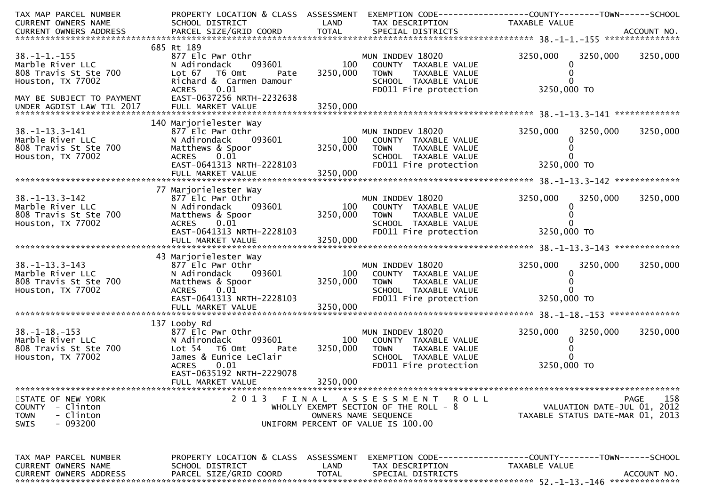| TAX MAP PARCEL NUMBER         | PROPERTY LOCATION & CLASS ASSESSMENT           |              |                                         | EXEMPTION CODE-----------------COUNTY-------TOWN------SCHOOL  |             |
|-------------------------------|------------------------------------------------|--------------|-----------------------------------------|---------------------------------------------------------------|-------------|
| CURRENT OWNERS NAME           | SCHOOL DISTRICT                                | LAND         | TAX DESCRIPTION                         | TAXABLE VALUE                                                 |             |
|                               |                                                |              |                                         |                                                               |             |
|                               | 685 Rt 189                                     |              |                                         |                                                               |             |
| $38. - 1 - 1. - 155$          | 877 Elc Pwr Othr                               |              | MUN INDDEV 18020                        | 3250,000<br>3250,000                                          | 3250,000    |
| Marble River LLC              | 093601<br>N Adirondack                         | 100          | COUNTY TAXABLE VALUE                    | $\Omega$                                                      |             |
| 808 Travis St Ste 700         | Lot 67 76 0mt<br>Pate                          | 3250,000     | TAXABLE VALUE<br><b>TOWN</b>            |                                                               |             |
| Houston, TX 77002             | Richard & Carmen Damour                        |              | SCHOOL TAXABLE VALUE                    |                                                               |             |
|                               | 0.01<br><b>ACRES</b>                           |              | FD011 Fire protection                   | 3250,000 TO                                                   |             |
| MAY BE SUBJECT TO PAYMENT     | EAST-0637256 NRTH-2232638                      |              |                                         |                                                               |             |
|                               |                                                |              |                                         |                                                               |             |
|                               |                                                |              |                                         |                                                               |             |
|                               | 140 Marjorielester Way                         |              |                                         |                                                               |             |
| $38. - 1 - 13.3 - 141$        | 877 Elc Pwr Othr                               |              | MUN INDDEV 18020                        | 3250,000<br>3250,000                                          | 3250,000    |
| Marble River LLC              | N Adirondack<br>093601                         | 100          | COUNTY TAXABLE VALUE                    |                                                               |             |
| 808 Travis St Ste 700         | Matthews & Spoor                               | 3250,000     | <b>TOWN</b><br>TAXABLE VALUE            |                                                               |             |
| Houston, TX 77002             | 0.01<br><b>ACRES</b>                           |              | SCHOOL TAXABLE VALUE                    |                                                               |             |
|                               | EAST-0641313 NRTH-2228103                      | 3250,000     | FD011 Fire protection                   | 3250,000 TO                                                   |             |
|                               | FULL MARKET VALUE                              |              |                                         |                                                               |             |
|                               | 77 Marjorielester Way                          |              |                                         |                                                               |             |
| $38. - 1 - 13.3 - 142$        | 877 Elc Pwr Othr                               |              | MUN INDDEV 18020                        | 3250,000<br>3250,000                                          | 3250,000    |
| Marble River LLC              | N Adirondack<br>093601                         | 100          | COUNTY TAXABLE VALUE                    |                                                               |             |
| 808 Travis St Ste 700         | Matthews & Spoor                               | 3250,000     | <b>TOWN</b><br>TAXABLE VALUE            |                                                               |             |
| Houston, TX 77002             | 0.01<br><b>ACRES</b>                           |              | SCHOOL TAXABLE VALUE                    |                                                               |             |
|                               | EAST-0641313 NRTH-2228103                      |              | FD011 Fire protection                   | 3250,000 TO                                                   |             |
|                               |                                                |              |                                         |                                                               |             |
|                               |                                                |              |                                         |                                                               |             |
|                               | 43 Marjorielester Way                          |              |                                         |                                                               |             |
| $38. -1 - 13.3 - 143$         | 877 Elc Pwr Othr                               |              | MUN INDDEV 18020                        | 3250,000<br>3250,000                                          | 3250,000    |
| Marble River LLC              | 093601<br>N Adirondack                         | 100          | COUNTY TAXABLE VALUE                    |                                                               |             |
| 808 Travis St Ste 700         | Matthews & Spoor                               | 3250,000     | TAXABLE VALUE<br><b>TOWN</b>            |                                                               |             |
| Houston, TX 77002             | 0.01<br><b>ACRES</b>                           |              | SCHOOL TAXABLE VALUE                    |                                                               |             |
|                               | EAST-0641313 NRTH-2228103<br>FULL MARKET VALUE | 3250,000     | FD011 Fire protection                   | 3250,000 TO                                                   |             |
|                               |                                                |              |                                         |                                                               |             |
|                               | 137 Looby Rd                                   |              |                                         |                                                               |             |
| $38. - 1 - 18. - 153$         | 877 Elc Pwr Othr                               |              | MUN INDDEV 18020                        | 3250,000<br>3250,000                                          | 3250,000    |
| Marble River LLC              | 093601<br>N Adirondack                         | 100          | COUNTY TAXABLE VALUE                    | $\Omega$                                                      |             |
| 808 Travis St Ste 700         | Lot <sub>54</sub><br>T6 Omt<br>Pate            | 3250,000     | <b>TOWN</b><br>TAXABLE VALUE            |                                                               |             |
| Houston, TX 77002             | James & Eunice LeClair                         |              | SCHOOL TAXABLE VALUE                    |                                                               |             |
|                               | 0.01<br><b>ACRES</b>                           |              | FD011 Fire protection                   | 3250,000 TO                                                   |             |
|                               | EAST-0635192 NRTH-2229078                      |              |                                         |                                                               |             |
|                               | FULL MARKET VALUE                              | 3250,000     |                                         |                                                               |             |
|                               |                                                |              |                                         |                                                               |             |
| STATE OF NEW YORK             | 2013 FINAL                                     |              | A S S E S S M E N T<br>R O L L          |                                                               | 158<br>PAGE |
| COUNTY - Clinton              |                                                |              | WHOLLY EXEMPT SECTION OF THE ROLL - $8$ | VALUATION DATE-JUL 01, 2012                                   |             |
| <b>TOWN</b><br>- Clinton      |                                                |              | OWNERS NAME SEOUENCE                    | TAXABLE STATUS DATE-MAR 01, 2013                              |             |
| - 093200<br>SWIS              |                                                |              | UNIFORM PERCENT OF VALUE IS 100.00      |                                                               |             |
|                               |                                                |              |                                         |                                                               |             |
|                               |                                                |              |                                         |                                                               |             |
| TAX MAP PARCEL NUMBER         | PROPERTY LOCATION & CLASS ASSESSMENT           |              |                                         | EXEMPTION CODE-----------------COUNTY--------TOWN------SCHOOL |             |
| CURRENT OWNERS NAME           | SCHOOL DISTRICT                                | LAND         | TAX DESCRIPTION                         | TAXABLE VALUE                                                 |             |
| <b>CURRENT OWNERS ADDRESS</b> | PARCEL SIZE/GRID COORD                         | <b>TOTAL</b> | SPECIAL DISTRICTS                       |                                                               | ACCOUNT NO. |
|                               |                                                |              |                                         |                                                               |             |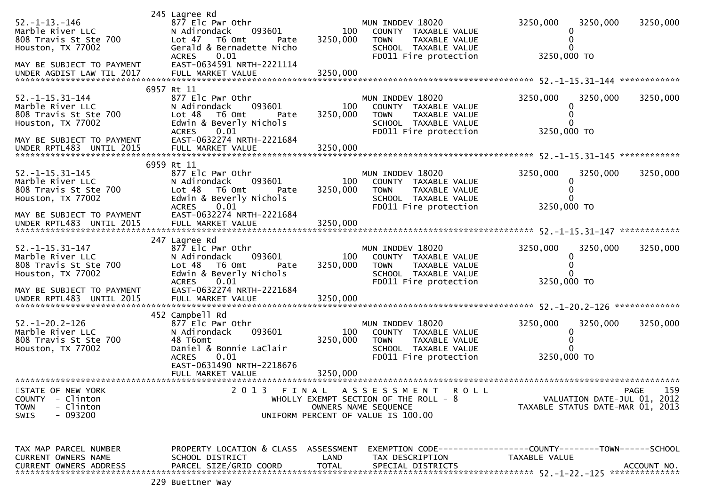| $52. - 1 - 13. - 146$<br>Marble River LLC<br>808 Travis St Ste 700<br>Houston, TX 77002<br>MAY BE SUBJECT TO PAYMENT                              | 245 Lagree Rd<br>877 Elc Pwr Othr<br>N Adirondack<br>093601<br>Lot 47<br>T6 Omt<br>Pate<br>Gerald & Bernadette Nicho<br><b>ACRES</b><br>0.01<br>EAST-0634591 NRTH-2221114                            | 100<br>3250,000             | MUN INDDEV 18020<br>COUNTY TAXABLE VALUE<br>TAXABLE VALUE<br><b>TOWN</b><br>SCHOOL TAXABLE VALUE<br>FD011 Fire protection                   | 3250,000<br>3250,000 TO | 3250,000                                                        | 3250,000           |
|---------------------------------------------------------------------------------------------------------------------------------------------------|------------------------------------------------------------------------------------------------------------------------------------------------------------------------------------------------------|-----------------------------|---------------------------------------------------------------------------------------------------------------------------------------------|-------------------------|-----------------------------------------------------------------|--------------------|
| $52. -1 - 15.31 - 144$<br>Marble River LLC<br>808 Travis St Ste 700<br>Houston, TX 77002<br>MAY BE SUBJECT TO PAYMENT<br>UNDER RPTL483 UNTIL 2015 | 6957 Rt 11<br>877 Elc Pwr Othr<br>N Adirondack<br>093601<br>Lot <sub>48</sub><br>T6 Omt<br>Pate<br>Edwin & Beverly Nichols<br><b>ACRES</b><br>0.01<br>EAST-0632274 NRTH-2221684<br>FULL MARKET VALUE | 100<br>3250,000<br>3250,000 | MUN INDDEV 18020<br>COUNTY TAXABLE VALUE<br><b>TOWN</b><br>TAXABLE VALUE<br>SCHOOL TAXABLE VALUE<br>FD011 Fire protection                   | 3250,000<br>3250,000 TO | 3250,000                                                        | 3250,000           |
|                                                                                                                                                   |                                                                                                                                                                                                      |                             |                                                                                                                                             |                         |                                                                 |                    |
| $52. -1 - 15.31 - 145$<br>Marble River LLC<br>808 Travis St Ste 700<br>Houston, TX 77002<br>MAY BE SUBJECT TO PAYMENT                             | 6959 Rt 11<br>877 Elc Pwr Othr<br>N Adirondack<br>093601<br>Lot 48<br>T6 Omt<br>Pate<br>Edwin & Beverly Nichols<br>0.01<br><b>ACRES</b><br>EAST-0632274 NRTH-2221684                                 | 100<br>3250,000             | MUN INDDEV 18020<br>COUNTY TAXABLE VALUE<br>TAXABLE VALUE<br><b>TOWN</b><br>SCHOOL TAXABLE VALUE<br>FD011 Fire protection                   | 3250,000<br>3250,000 TO | 3250,000<br>0                                                   | 3250,000           |
|                                                                                                                                                   |                                                                                                                                                                                                      |                             |                                                                                                                                             |                         |                                                                 |                    |
|                                                                                                                                                   | 247 Lagree Rd                                                                                                                                                                                        |                             |                                                                                                                                             |                         |                                                                 |                    |
| $52. -1 - 15.31 - 147$<br>Marble River LLC<br>808 Travis St Ste 700<br>Houston, TX 77002<br>MAY BE SUBJECT TO PAYMENT                             | 877 Elc Pwr Othr<br>N Adirondack<br>093601<br>Lot <sub>48</sub><br>T6 Omt<br>Pate<br>Edwin & Beverly Nichols<br>0.01<br><b>ACRES</b><br>EAST-0632274 NRTH-2221684                                    | 100<br>3250,000             | MUN INDDEV 18020<br>COUNTY TAXABLE VALUE<br><b>TOWN</b><br>TAXABLE VALUE<br>SCHOOL TAXABLE VALUE<br>FD011 Fire protection                   | 3250,000<br>3250,000 TO | 3250,000<br>0                                                   | 3250,000           |
| UNDER RPTL483 UNTIL 2015                                                                                                                          | FULL MARKET VALUE                                                                                                                                                                                    | 3250,000                    |                                                                                                                                             |                         |                                                                 |                    |
| $52. - 1 - 20.2 - 126$<br>Marble River LLC<br>808 Travis St Ste 700<br>Houston, TX 77002                                                          | 452 Campbell Rd<br>877 Elc Pwr Othr<br>N Adirondack<br>093601<br>48 T6omt<br>Daniel & Bonnie LaClair<br>0.01<br><b>ACRES</b><br>EAST-0631490 NRTH-2218676<br>FULL MARKET VALUE                       | 100<br>3250,000<br>3250,000 | MUN INDDEV 18020<br>COUNTY TAXABLE VALUE<br><b>TOWN</b><br>TAXABLE VALUE<br>SCHOOL TAXABLE VALUE<br>FD011 Fire protection                   | 3250,000<br>3250,000 TO | 3250,000<br>0                                                   | 3250,000           |
|                                                                                                                                                   |                                                                                                                                                                                                      |                             |                                                                                                                                             |                         |                                                                 |                    |
| STATE OF NEW YORK<br><b>COUNTY</b><br>- Clinton<br><b>TOWN</b><br>- Clinton<br>$-093200$<br><b>SWIS</b>                                           |                                                                                                                                                                                                      |                             | 2013 FINAL ASSESSMENT<br><b>ROLL</b><br>WHOLLY EXEMPT SECTION OF THE ROLL - 8<br>OWNERS NAME SEQUENCE<br>UNIFORM PERCENT OF VALUE IS 100.00 |                         | VALUATION DATE-JUL 01, 2012<br>TAXABLE STATUS DATE-MAR 01, 2013 | 159<br><b>PAGE</b> |
| TAX MAP PARCEL NUMBER<br>CURRENT OWNERS NAME<br><b>CURRENT OWNERS ADDRESS</b>                                                                     | PROPERTY LOCATION & CLASS ASSESSMENT<br>SCHOOL DISTRICT<br>PARCEL SIZE/GRID COORD                                                                                                                    | LAND<br><b>TOTAL</b>        | TAX DESCRIPTION<br>SPECIAL DISTRICTS                                                                                                        | TAXABLE VALUE           |                                                                 | ACCOUNT NO.        |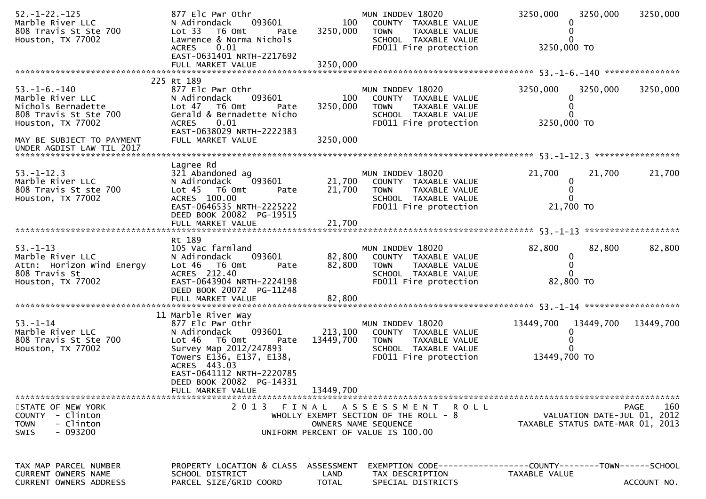| $52. - 1 - 22. - 125$<br>Marble River LLC<br>808 Travis St Ste 700<br>Houston, TX 77002                                                                                | 877 Elc Pwr Othr<br>N Adirondack<br>093601<br>Lot 33 T6 Omt<br>Pate<br>Lawrence & Norma Nichols<br>0.01<br><b>ACRES</b><br>EAST-0631401 NRTH-2217692                                               | 100<br>3250,000                    | MUN INDDEV 18020<br>COUNTY TAXABLE VALUE<br><b>TOWN</b><br>TAXABLE VALUE<br>SCHOOL TAXABLE VALUE<br>FD011 Fire protection     | 3250,000<br>3250,000 TO                      | 3250,000                    | 3250,000           |
|------------------------------------------------------------------------------------------------------------------------------------------------------------------------|----------------------------------------------------------------------------------------------------------------------------------------------------------------------------------------------------|------------------------------------|-------------------------------------------------------------------------------------------------------------------------------|----------------------------------------------|-----------------------------|--------------------|
|                                                                                                                                                                        |                                                                                                                                                                                                    |                                    |                                                                                                                               |                                              |                             |                    |
| $53. - 1 - 6. - 140$<br>Marble River LLC<br>Nichols Bernadette<br>808 Travis St Ste 700<br>Houston, TX 77002<br>MAY BE SUBJECT TO PAYMENT<br>UNDER AGDIST LAW TIL 2017 | 225 Rt 189<br>877 Elc Pwr Othr<br>N Adirondack<br>093601<br>Lot 47 T6 Omt<br>Pate<br>Gerald & Bernadette Nicho<br><b>ACRES</b><br>0.01<br>EAST-0638029 NRTH-2222383<br>FULL MARKET VALUE           | 100<br>3250,000<br>3250,000        | MUN INDDEV 18020<br>COUNTY TAXABLE VALUE<br><b>TOWN</b><br>TAXABLE VALUE<br>SCHOOL TAXABLE VALUE<br>FD011 Fire protection     | 3250,000<br>0<br>$\mathbf{0}$<br>3250,000 TO | 3250,000                    | 3250,000           |
|                                                                                                                                                                        |                                                                                                                                                                                                    |                                    |                                                                                                                               |                                              |                             |                    |
| $53. - 1 - 12.3$<br>Marble River LLC<br>808 Travis St ste 700<br>Houston, TX 77002                                                                                     | Lagree Rd<br>321 Abandoned ag<br>093601<br>N Adirondack<br>Lot 45 T6 Omt<br>Pate<br>ACRES 100.00<br>EAST-0646535 NRTH-2225222<br>DEED BOOK 20082 PG-19515                                          | 21,700<br>21,700                   | MUN INDDEV 18020<br>COUNTY TAXABLE VALUE<br><b>TOWN</b><br>TAXABLE VALUE<br>SCHOOL TAXABLE VALUE<br>FD011 Fire protection     | 21,700<br>$\bf{0}$<br>$\Omega$<br>21,700 TO  | 21,700                      | 21,700             |
|                                                                                                                                                                        |                                                                                                                                                                                                    |                                    |                                                                                                                               |                                              |                             |                    |
| $53. - 1 - 13$<br>Marble River LLC<br>Attn: Horizon Wind Energy<br>808 Travis St<br>Houston, TX 77002                                                                  | Rt 189<br>105 Vac farmland<br>N Adirondack<br>093601<br>Lot 46 T6 Omt<br>Pate<br>ACRES 212.40<br>EAST-0643904 NRTH-2224198<br>DEED BOOK 20072 PG-11248                                             | 82,800<br>82,800                   | MUN INDDEV 18020<br>COUNTY TAXABLE VALUE<br><b>TOWN</b><br>TAXABLE VALUE<br>SCHOOL TAXABLE VALUE<br>FD011 Fire protection     | 82,800<br>0<br>$\mathbf{0}$<br>82,800 TO     | 82,800                      | 82,800             |
|                                                                                                                                                                        | 11 Marble River Way                                                                                                                                                                                |                                    |                                                                                                                               |                                              |                             |                    |
| $53. - 1 - 14$<br>Marble River LLC<br>808 Travis St Ste 700<br>Houston, TX 77002                                                                                       | 877 Elc Pwr Othr<br>093601<br>N Adirondack<br>Lot 46 T6 Omt<br>Pate<br>Survey Map 2012/247893<br>Towers E136, E137, E138,<br>ACRES 443.03<br>EAST-0641112 NRTH-2220785<br>DEED BOOK 20082 PG-14331 | 213,100<br>13449,700               | MUN INDDEV 18020<br>COUNTY TAXABLE VALUE<br>TOWN TAXABLE VALUE<br>SCHOOL TAXABLE VALUE<br>FD011 Fire protection               | 13449,700<br>13449,700 TO                    | 13449,700                   | 13449,700          |
|                                                                                                                                                                        | FULL MARKET VALUE                                                                                                                                                                                  | 13449,700                          |                                                                                                                               |                                              |                             |                    |
| STATE OF NEW YORK<br>COUNTY - Clinton<br><b>TOWN</b><br>- Clinton<br>$-093200$<br><b>SWIS</b>                                                                          | 2 0 1 3                                                                                                                                                                                            |                                    | FINAL ASSESSMENT ROLL<br>WHOLLY EXEMPT SECTION OF THE ROLL $-8$<br>OWNERS NAME SEQUENCE<br>UNIFORM PERCENT OF VALUE IS 100.00 | TAXABLE STATUS DATE-MAR 01, 2013             | VALUATION DATE-JUL 01, 2012 | 160<br><b>PAGE</b> |
| TAX MAP PARCEL NUMBER<br><b>CURRENT OWNERS NAME</b><br>CURRENT OWNERS ADDRESS                                                                                          | PROPERTY LOCATION & CLASS<br>SCHOOL DISTRICT<br>PARCEL SIZE/GRID COORD                                                                                                                             | ASSESSMENT<br>LAND<br><b>TOTAL</b> | EXEMPTION        CODE------------------COUNTY-------TOWN------SCHOOL<br>TAX DESCRIPTION<br>SPECIAL DISTRICTS                  | TAXABLE VALUE                                |                             | ACCOUNT NO.        |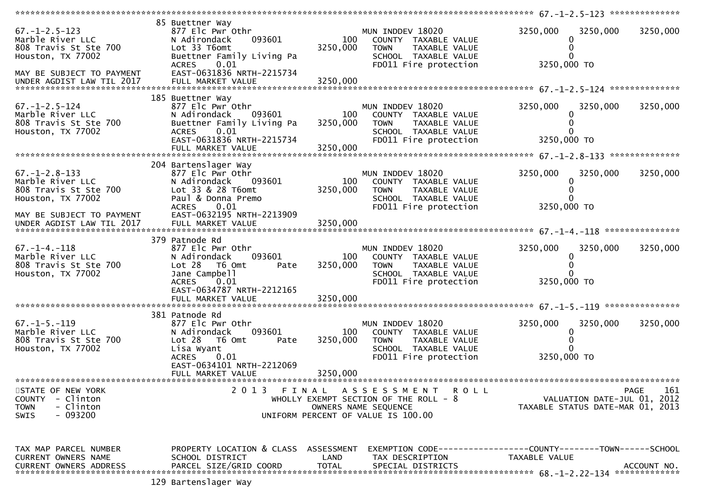|                                                                                                                                                   |                                                                                                                                                                                         |                             |                                                                                                                                 | ************* 67.-1-2.5-123 ***************     |                                            |
|---------------------------------------------------------------------------------------------------------------------------------------------------|-----------------------------------------------------------------------------------------------------------------------------------------------------------------------------------------|-----------------------------|---------------------------------------------------------------------------------------------------------------------------------|-------------------------------------------------|--------------------------------------------|
| $67. - 1 - 2.5 - 123$<br>Marble River LLC<br>808 Travis St Ste 700<br>Houston, TX 77002<br>MAY BE SUBJECT TO PAYMENT                              | 85 Buettner Way<br>877 Elc Pwr Othr<br>093601<br>N Adirondack<br>Lot 33 T6omt<br>Buettner Family Living Pa<br>0.01<br><b>ACRES</b><br>EAST-0631836 NRTH-2215734                         | 100<br>3250,000             | MUN INDDEV 18020<br>COUNTY TAXABLE VALUE<br><b>TOWN</b><br>TAXABLE VALUE<br>SCHOOL TAXABLE VALUE<br>FD011 Fire protection       | 3250,000<br>3250,000<br>3250,000 TO             | 3250,000                                   |
| $67. - 1 - 2.5 - 124$<br>Marble River LLC<br>808 Travis St Ste 700<br>Houston, TX 77002                                                           | 185 Buettner Way<br>877 Elc Pwr Othr<br>093601<br>N Adirondack<br>Buettner Family Living Pa<br>0.01<br><b>ACRES</b><br>EAST-0631836 NRTH-2215734<br>FULL MARKET VALUE                   | 100<br>3250,000<br>3250,000 | MUN INDDEV 18020<br>COUNTY TAXABLE VALUE<br><b>TOWN</b><br>TAXABLE VALUE<br>SCHOOL TAXABLE VALUE<br>FD011 Fire protection       | 3250,000<br>3250,000<br>$\Omega$<br>3250,000 TO | 3250,000                                   |
| $67. - 1 - 2.8 - 133$<br>Marble River LLC<br>808 Travis St Ste 700<br>Houston, TX 77002<br>MAY BE SUBJECT TO PAYMENT<br>UNDER AGDIST LAW TIL 2017 | 204 Bartenslager Way<br>877 Elc Pwr Othr<br>N Adirondack<br>093601<br>Lot 33 & 28 T6omt<br>Paul & Donna Premo<br><b>ACRES</b><br>0.01<br>EAST-0632195 NRTH-2213909<br>FULL MARKET VALUE | 100<br>3250,000<br>3250,000 | MUN INDDEV 18020<br>COUNTY TAXABLE VALUE<br><b>TOWN</b><br>TAXABLE VALUE<br>SCHOOL TAXABLE VALUE<br>FD011 Fire protection       | 3250,000<br>3250,000<br>3250,000 TO             | 3250,000                                   |
| $67. - 1 - 4. - 118$<br>Marble River LLC<br>808 Travis St Ste 700<br>Houston, TX 77002                                                            | 379 Patnode Rd<br>877 Elc Pwr Othr<br>093601<br>N Adirondack<br>$Lot 28$ T6 Omt<br>Pate<br>Jane Campbell<br>0.01<br><b>ACRES</b><br>EAST-0634787 NRTH-2212165                           | 100<br>3250,000             | MUN INDDEV 18020<br>COUNTY TAXABLE VALUE<br><b>TOWN</b><br>TAXABLE VALUE<br>SCHOOL TAXABLE VALUE<br>FD011 Fire protection       | 3250,000<br>3250,000<br>0<br>3250,000 TO        | 3250,000                                   |
| $67. - 1 - 5. - 119$<br>Marble River LLC<br>808 Travis St Ste 700<br>Houston, TX 77002                                                            | 381 Patnode Rd<br>877 Elc Pwr Othr<br>093601<br>N Adirondack<br>Lot 28<br>T6 Omt<br>Pate<br>Lisa Wyant<br><b>ACRES</b><br>0.01<br>EAST-0634101 NRTH-2212069<br>FULL MARKET VALUE        | 100<br>3250,000<br>3250,000 | MUN INDDEV 18020<br>COUNTY TAXABLE VALUE<br>TAXABLE VALUE<br><b>TOWN</b><br>SCHOOL TAXABLE VALUE<br>FD011 Fire protection       | 3250,000<br>3250,000<br>3250,000 TO             | 3250,000                                   |
| STATE OF NEW YORK<br>- Clinton<br><b>COUNTY</b><br><b>TOWN</b><br>- Clinton<br>- 093200<br><b>SWIS</b>                                            | 2013                                                                                                                                                                                    |                             | FINAL ASSESSMENT<br>ROLL<br>WHOLLY EXEMPT SECTION OF THE ROLL - 8<br>OWNERS NAME SEQUENCE<br>UNIFORM PERCENT OF VALUE IS 100.00 | TAXABLE STATUS DATE-MAR 01, 2013                | PAGE<br>161<br>VALUATION DATE-JUL 01, 2012 |
| TAX MAP PARCEL NUMBER<br>CURRENT OWNERS NAME<br>CURRENT OWNERS ADDRESS                                                                            | PROPERTY LOCATION & CLASS ASSESSMENT<br>SCHOOL DISTRICT<br>PARCEL SIZE/GRID COORD<br>$120 \text{ R}$                                                                                    | LAND<br><b>TOTAL</b>        | EXEMPTION CODE-----------------COUNTY-------TOWN------SCHOOL<br>TAX DESCRIPTION<br>SPECIAL DISTRICTS                            | TAXABLE VALUE                                   | ACCOUNT NO.                                |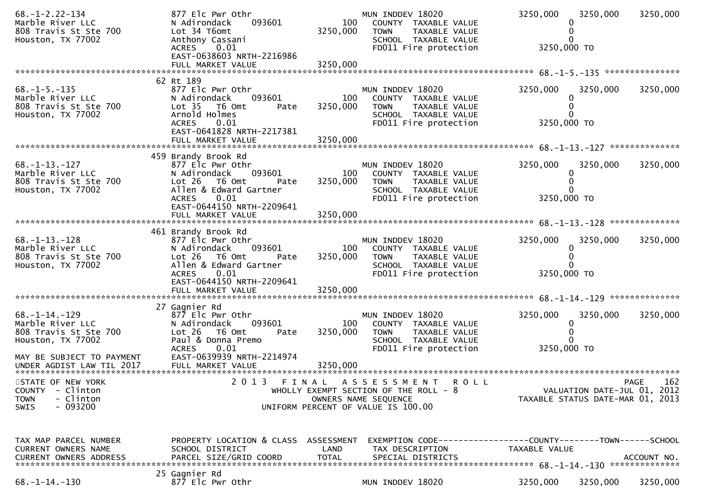| $68. - 1 - 2.22 - 134$<br>Marble River LLC<br>808 Travis St Ste 700<br>Houston, TX 77002                                           | 877 Elc Pwr Othr<br>093601<br>N Adirondack<br>Lot 34 T6omt<br>Anthony Cassani<br>0.01<br><b>ACRES</b><br>EAST-0638603 NRTH-2216986                                           | 100<br>3250,000             | MUN INDDEV 18020<br>COUNTY TAXABLE VALUE<br><b>TOWN</b><br>TAXABLE VALUE<br>SCHOOL TAXABLE VALUE<br>FD011 Fire protection                 | 3250,000<br>3250,000 TO | 3250,000                                                        | 3250,000    |
|------------------------------------------------------------------------------------------------------------------------------------|------------------------------------------------------------------------------------------------------------------------------------------------------------------------------|-----------------------------|-------------------------------------------------------------------------------------------------------------------------------------------|-------------------------|-----------------------------------------------------------------|-------------|
|                                                                                                                                    | 62 Rt 189                                                                                                                                                                    |                             |                                                                                                                                           |                         |                                                                 |             |
| $68. -1 - 5. -135$<br>Marble River LLC<br>808 Travis St Ste 700<br>Houston, TX 77002                                               | 877 Elc Pwr Othr<br>093601<br>N Adirondack<br>Lot <sub>35</sub><br>T6 Omt<br>Pate<br>Arnold Holmes<br>0.01<br><b>ACRES</b><br>EAST-0641828 NRTH-2217381<br>FULL MARKET VALUE | 100<br>3250,000<br>3250,000 | MUN INDDEV 18020<br>COUNTY TAXABLE VALUE<br><b>TOWN</b><br>TAXABLE VALUE<br>SCHOOL TAXABLE VALUE<br>FD011 Fire protection                 | 3250,000<br>3250,000 TO | 3250,000                                                        | 3250,000    |
|                                                                                                                                    | 459 Brandy Brook Rd                                                                                                                                                          |                             |                                                                                                                                           |                         |                                                                 |             |
| $68. -1 - 13. -127$<br>Marble River LLC<br>808 Travis St Ste 700<br>Houston, TX 77002                                              | 877 Elc Pwr Othr<br>093601<br>N Adirondack<br>$Lot 26$ T6 Omt<br>Pate<br>Allen & Edward Gartner<br>0.01<br><b>ACRES</b>                                                      | 100<br>3250,000             | MUN INDDEV 18020<br>COUNTY TAXABLE VALUE<br><b>TOWN</b><br>TAXABLE VALUE<br>SCHOOL TAXABLE VALUE<br>FD011 Fire protection                 | 3250,000<br>3250,000 TO | 3250,000<br>0                                                   | 3250,000    |
|                                                                                                                                    | EAST-0644150 NRTH-2209641<br>FULL MARKET VALUE                                                                                                                               | 3250,000                    |                                                                                                                                           |                         |                                                                 |             |
| $68. - 1 - 13. - 128$<br>Marble River LLC<br>808 Travis St Ste 700<br>Houston, TX 77002                                            | 461 Brandy Brook Rd<br>877 Elc Pwr Othr<br>093601<br>N Adirondack<br>Lot 26 T6 Omt<br>Pate<br>Allen & Edward Gartner<br><b>ACRES</b><br>0.01<br>EAST-0644150 NRTH-2209641    | 100<br>3250,000             | MUN INDDEV 18020<br>COUNTY TAXABLE VALUE<br><b>TOWN</b><br>TAXABLE VALUE<br>SCHOOL TAXABLE VALUE<br>FD011 Fire protection                 | 3250,000<br>3250,000 TO | 3250,000<br>$\Omega$                                            | 3250,000    |
|                                                                                                                                    | FULL MARKET VALUE                                                                                                                                                            | 3250,000                    |                                                                                                                                           |                         |                                                                 |             |
| $68. -1 - 14. -129$<br>Marble River LLC<br>808 Travis St Ste 700<br>Houston, TX 77002<br>MAY BE SUBJECT TO PAYMENT                 | 27 Gagnier Rd<br>877 Elc Pwr Othr<br>N Adirondack<br>093601<br>Lot 26<br>T6 Omt<br>Pate<br>Paul & Donna Premo<br><b>ACRES</b><br>0.01<br>EAST-0639939 NRTH-2214974           | 100<br>3250,000             | MUN INDDEV 18020<br>COUNTY TAXABLE VALUE<br><b>TOWN</b><br>TAXABLE VALUE<br>SCHOOL TAXABLE VALUE<br>FD011 Fire protection                 | 3250,000<br>3250,000 TO | 3250,000<br>0                                                   | 3250,000    |
| UNDER AGDIST LAW TIL 2017                                                                                                          |                                                                                                                                                                              |                             |                                                                                                                                           |                         |                                                                 |             |
| ******************************<br>STATE OF NEW YORK<br><b>COUNTY</b><br>- Clinton<br>- Clinton<br><b>TOWN</b><br>$-093200$<br>SWIS | 2 0 1 3<br>FINAL                                                                                                                                                             |                             | A S S E S S M E N T<br><b>ROLL</b><br>WHOLLY EXEMPT SECTION OF THE ROLL - 8<br>OWNERS NAME SEQUENCE<br>UNIFORM PERCENT OF VALUE IS 100.00 |                         | VALUATION DATE-JUL 01, 2012<br>TAXABLE STATUS DATE-MAR 01, 2013 | 162<br>PAGE |
| TAX MAP PARCEL NUMBER<br>CURRENT OWNERS NAME<br><b>CURRENT OWNERS ADDRESS</b>                                                      | PROPERTY LOCATION & CLASS ASSESSMENT<br>SCHOOL DISTRICT<br>PARCEL SIZE/GRID COORD                                                                                            | LAND<br><b>TOTAL</b>        | EXEMPTION        CODE-----------------COUNTY-------TOWN------SCHOOL<br>TAX DESCRIPTION<br>SPECIAL DISTRICTS                               | TAXABLE VALUE           |                                                                 | ACCOUNT NO. |
| $68. -1 - 14. -130$                                                                                                                | 25 Gagnier Rd<br>877 Elc Pwr Othr                                                                                                                                            |                             | MUN INDDEV 18020                                                                                                                          | 3250,000                | 3250,000                                                        | 3250,000    |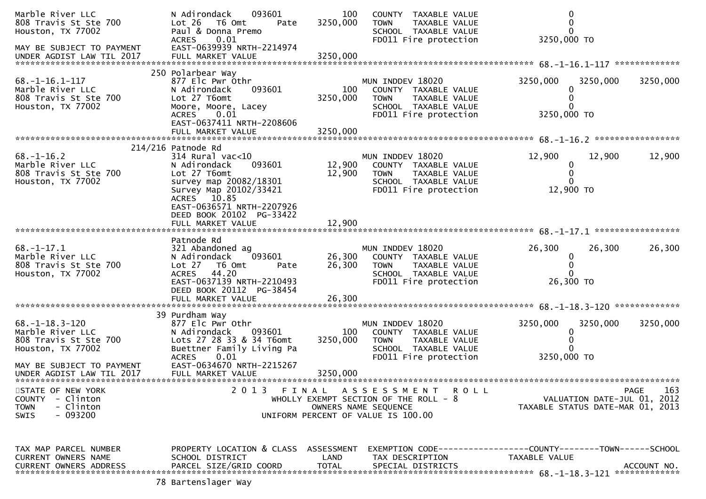| Marble River LLC<br>808 Travis St Ste 700<br>Houston, TX 77002                                                        | 093601<br>N Adirondack<br>Lot 26<br>T6 Omt<br>Pate<br>Paul & Donna Premo<br><b>ACRES</b><br>0.01                                                                                                                                    | 100<br>3250,000            | COUNTY TAXABLE VALUE<br><b>TOWN</b><br>TAXABLE VALUE<br>SCHOOL TAXABLE VALUE<br>FD011 Fire protection                                  | $\Omega$<br>3250,000 TO                                                              |             |
|-----------------------------------------------------------------------------------------------------------------------|-------------------------------------------------------------------------------------------------------------------------------------------------------------------------------------------------------------------------------------|----------------------------|----------------------------------------------------------------------------------------------------------------------------------------|--------------------------------------------------------------------------------------|-------------|
| MAY BE SUBJECT TO PAYMENT<br>UNDER AGDIST LAW TIL 2017                                                                | EAST-0639939 NRTH-2214974                                                                                                                                                                                                           |                            |                                                                                                                                        |                                                                                      |             |
| $68. - 1 - 16.1 - 117$<br>Marble River LLC<br>808 Travis St Ste 700<br>Houston, TX 77002                              | 250 Polarbear Way<br>877 Elc Pwr Othr<br>093601<br>N Adirondack<br>Lot 27 T6omt<br>Moore, Moore, Lacey<br>0.01<br><b>ACRES</b>                                                                                                      | 100<br>3250,000            | MUN INDDEV 18020<br>COUNTY TAXABLE VALUE<br><b>TOWN</b><br>TAXABLE VALUE<br>SCHOOL TAXABLE VALUE<br>FD011 Fire protection              | 3250,000<br>3250,000<br>3250,000 TO                                                  | 3250,000    |
|                                                                                                                       | EAST-0637411 NRTH-2208606<br>FULL MARKET VALUE                                                                                                                                                                                      | 3250,000                   |                                                                                                                                        |                                                                                      |             |
| $68. - 1 - 16.2$<br>Marble River LLC<br>808 Travis St Ste 700<br>Houston, TX 77002                                    | 214/216 Patnode Rd<br>$314$ Rural vac<10<br>093601<br>N Adirondack<br>Lot 27 T6omt<br>survey map 20082/18301<br>Survey Map 20102/33421<br>ACRES 10.85<br>EAST-0636571 NRTH-2207926<br>DEED BOOK 20102 PG-33422<br>FULL MARKET VALUE | 12,900<br>12,900<br>12,900 | MUN INDDEV 18020<br>COUNTY TAXABLE VALUE<br>TAXABLE VALUE<br><b>TOWN</b><br>SCHOOL TAXABLE VALUE<br>FD011 Fire protection              | 12,900<br>12,900<br>$\mathbf 0$<br>0<br>0<br>12,900 TO                               | 12,900      |
|                                                                                                                       |                                                                                                                                                                                                                                     |                            |                                                                                                                                        |                                                                                      |             |
| $68. - 1 - 17.1$<br>Marble River LLC<br>808 Travis St Ste 700<br>Houston, TX 77002                                    | Patnode Rd<br>321 Abandoned ag<br>093601<br>N Adirondack<br>Lot 27 76 0mt<br>Pate<br><b>ACRES</b><br>44.20<br>EAST-0637139 NRTH-2210493<br>DEED BOOK 20112 PG-38454                                                                 | 26,300<br>26,300           | MUN INDDEV 18020<br>COUNTY TAXABLE VALUE<br><b>TOWN</b><br>TAXABLE VALUE<br>SCHOOL TAXABLE VALUE<br>FD011 Fire protection              | 26,300<br>26,300<br>0<br>0<br>0<br>26,300 TO                                         | 26,300      |
|                                                                                                                       |                                                                                                                                                                                                                                     |                            |                                                                                                                                        |                                                                                      |             |
| $68. - 1 - 18.3 - 120$<br>Marble River LLC<br>808 Travis St Ste 700<br>Houston, TX 77002<br>MAY BE SUBJECT TO PAYMENT | 39 Purdham Way<br>877 Elc Pwr Othr<br>N Adirondack<br>093601<br>Lots 27 28 33 & 34 T6omt<br>Buettner Family Living Pa<br><b>ACRES</b><br>0.01<br>EAST-0634670 NRTH-2215267                                                          | 100<br>3250,000            | MUN INDDEV 18020<br>COUNTY TAXABLE VALUE<br>TAXABLE VALUE<br><b>TOWN</b><br>SCHOOL TAXABLE VALUE<br>FD011 Fire protection              | 3250,000<br>3250,000<br>0<br>3250,000 TO                                             | 3250,000    |
| UNDER AGDIST LAW TIL 2017                                                                                             | FULL MARKET VALUE                                                                                                                                                                                                                   | 3250,000                   |                                                                                                                                        |                                                                                      |             |
| STATE OF NEW YORK<br>- Clinton<br><b>COUNTY</b><br>- Clinton<br><b>TOWN</b><br>$-093200$<br><b>SWIS</b>               | 2 0 1 3                                                                                                                                                                                                                             |                            | FINAL ASSESSMENT<br><b>ROLL</b><br>WHOLLY EXEMPT SECTION OF THE ROLL - 8<br>OWNERS NAME SEQUENCE<br>UNIFORM PERCENT OF VALUE IS 100.00 | VALUATION DATE-JUL 01, 2012<br>TAXABLE STATUS DATE-MAR 01, 2013                      | 163<br>PAGE |
| TAX MAP PARCEL NUMBER<br>CURRENT OWNERS NAME<br><b>CURRENT OWNERS ADDRESS</b>                                         | PROPERTY LOCATION & CLASS ASSESSMENT<br>SCHOOL DISTRICT<br>PARCEL SIZE/GRID COORD                                                                                                                                                   | LAND<br><b>TOTAL</b>       | TAX DESCRIPTION<br>SPECIAL DISTRICTS                                                                                                   | EXEMPTION        CODE-----------------COUNTY-------TOWN------SCHOOL<br>TAXABLE VALUE | ACCOUNT NO. |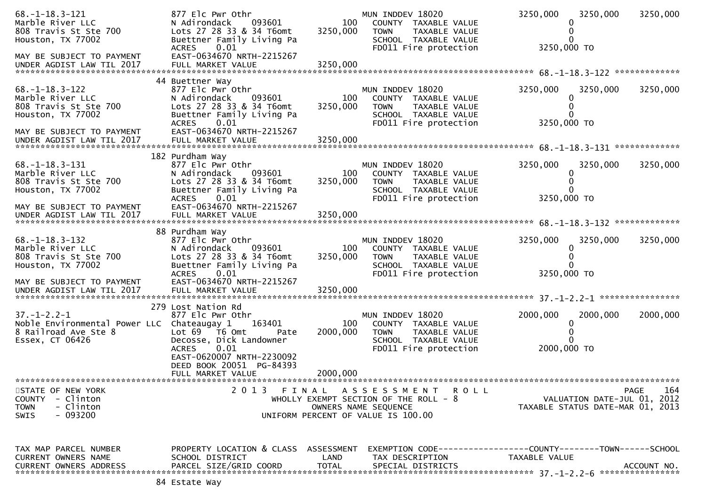| $68. -1 - 18.3 - 121$<br>Marble River LLC<br>808 Travis St Ste 700<br>Houston, TX 77002<br>MAY BE SUBJECT TO PAYMENT  | 877 Elc Pwr Othr<br>N Adirondack<br>093601<br>Lots 27 28 33 & 34 T6omt<br>Buettner Family Living Pa<br>0.01<br><b>ACRES</b><br>EAST-0634670 NRTH-2215267                                                    | 100<br>3250,000             | MUN INDDEV 18020<br>COUNTY TAXABLE VALUE<br><b>TOWN</b><br>TAXABLE VALUE<br>SCHOOL TAXABLE VALUE<br>FD011 Fire protection | 3250,000<br>3250,000 TO          | 3250,000                    | 3250,000    |
|-----------------------------------------------------------------------------------------------------------------------|-------------------------------------------------------------------------------------------------------------------------------------------------------------------------------------------------------------|-----------------------------|---------------------------------------------------------------------------------------------------------------------------|----------------------------------|-----------------------------|-------------|
| UNDER AGDIST LAW TIL 2017                                                                                             |                                                                                                                                                                                                             |                             |                                                                                                                           |                                  |                             |             |
| $68. - 1 - 18.3 - 122$<br>Marble River LLC<br>808 Travis St Ste 700<br>Houston, TX 77002<br>MAY BE SUBJECT TO PAYMENT | 44 Buettner Way<br>877 Elc Pwr Othr<br>093601<br>N Adirondack<br>Lots 27 28 33 & 34 T6omt<br>Buettner Family Living Pa<br><b>ACRES</b><br>0.01<br>EAST-0634670 NRTH-2215267                                 | 100<br>3250,000             | MUN INDDEV 18020<br>COUNTY TAXABLE VALUE<br><b>TOWN</b><br>TAXABLE VALUE<br>SCHOOL TAXABLE VALUE<br>FD011 Fire protection | 3250,000<br>3250,000 TO          | 3250,000                    | 3250,000    |
| UNDER AGDIST LAW TIL 2017                                                                                             |                                                                                                                                                                                                             |                             |                                                                                                                           |                                  |                             |             |
| $68. -1 - 18.3 - 131$<br>Marble River LLC<br>808 Travis St Ste 700<br>Houston, TX 77002<br>MAY BE SUBJECT TO PAYMENT  | 182 Purdham Way<br>877 Elc Pwr Othr<br>N Adirondack<br>093601<br>Lots 27 28 33 & 34 T6omt<br>Buettner Family Living Pa<br>0.01<br><b>ACRES</b><br>EAST-0634670 NRTH-2215267                                 | 100<br>3250,000             | MUN INDDEV 18020<br>COUNTY TAXABLE VALUE<br><b>TOWN</b><br>TAXABLE VALUE<br>SCHOOL TAXABLE VALUE<br>FD011 Fire protection | 3250,000<br>3250,000 TO          | 3250,000                    | 3250,000    |
| UNDER AGDIST LAW TIL 2017                                                                                             | FULL MARKET VALUE                                                                                                                                                                                           | 3250,000                    |                                                                                                                           |                                  |                             |             |
| $68. - 1 - 18.3 - 132$<br>Marble River LLC<br>808 Travis St Ste 700<br>Houston, TX 77002<br>MAY BE SUBJECT TO PAYMENT | 88 Purdham Way<br>877 Elc Pwr Othr<br>N Adirondack<br>093601<br>Lots 27 28 33 & 34 T6omt<br>Buettner Family Living Pa<br><b>ACRES</b><br>0.01<br>EAST-0634670 NRTH-2215267                                  | 100<br>3250,000             | MUN INDDEV 18020<br>COUNTY TAXABLE VALUE<br><b>TOWN</b><br>TAXABLE VALUE<br>SCHOOL TAXABLE VALUE<br>FD011 Fire protection | 3250,000<br>3250,000 TO          | 3250,000                    | 3250,000    |
| UNDER AGDIST LAW TIL 2017                                                                                             | FULL MARKET VALUE                                                                                                                                                                                           | 3250,000                    |                                                                                                                           |                                  |                             |             |
| $37. - 1 - 2.2 - 1$<br>Noble Environmental Power LLC Chateaugay 1<br>8 Railroad Ave Ste 8<br>Essex, CT 06426          | 279 Lost Nation Rd<br>877 Elc Pwr Othr<br>163401<br>Lot 69  T6 0mt<br>Pate<br>Decosse, Dick Landowner<br><b>ACRES</b><br>0.01<br>EAST-0620007 NRTH-2230092<br>DEED BOOK 20051 PG-84393<br>FULL MARKET VALUE | 100<br>2000,000<br>2000,000 | MUN INDDEV 18020<br>COUNTY TAXABLE VALUE<br>TAXABLE VALUE<br><b>TOWN</b><br>SCHOOL TAXABLE VALUE<br>FD011 Fire protection | 2000,000<br>2000,000 TO          | 2000,000                    | 2000,000    |
| STATE OF NEW YORK                                                                                                     | 2013                                                                                                                                                                                                        |                             | FINAL ASSESSMENT<br>R O L L                                                                                               |                                  |                             | 164<br>PAGE |
| COUNTY - Clinton<br>- Clinton<br><b>TOWN</b><br>$-093200$<br><b>SWIS</b>                                              |                                                                                                                                                                                                             |                             | WHOLLY EXEMPT SECTION OF THE ROLL - 8<br>OWNERS NAME SEQUENCE<br>UNIFORM PERCENT OF VALUE IS 100.00                       | TAXABLE STATUS DATE-MAR 01, 2013 | VALUATION DATE-JUL 01, 2012 |             |
| TAX MAP PARCEL NUMBER<br>CURRENT OWNERS NAME<br><b>CURRENT OWNERS ADDRESS</b>                                         | PROPERTY LOCATION & CLASS ASSESSMENT<br>SCHOOL DISTRICT<br>PARCEL SIZE/GRID COORD                                                                                                                           | LAND<br><b>TOTAL</b>        | EXEMPTION CODE------------------COUNTY--------TOWN------SCHOOL<br>TAX DESCRIPTION<br>SPECIAL DISTRICTS                    | TAXABLE VALUE                    |                             | ACCOUNT NO. |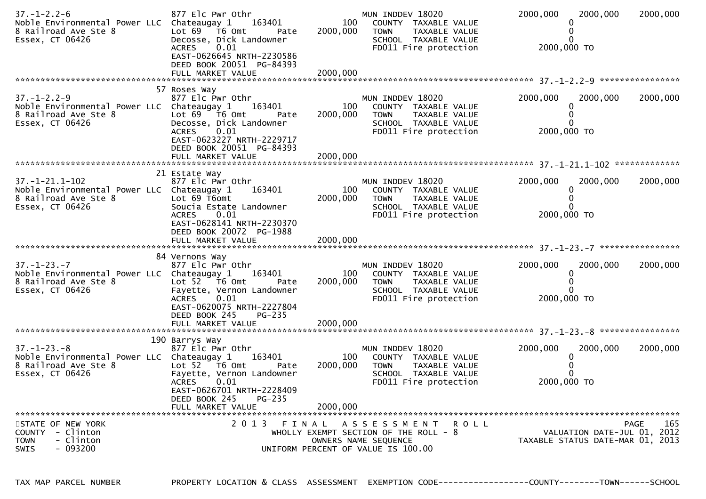| 57 Roses Way<br>$37. - 1 - 2.2 - 9$<br>MUN INDDEV 18020<br>2000,000<br>2000,000<br>877 Elc Pwr Othr<br>Noble Environmental Power LLC Chateaugay 1<br>163401<br>100<br>COUNTY TAXABLE VALUE<br>0<br>Lot $69$ $\overline{76}$ Omt<br>2000,000<br>8 Railroad Ave Ste 8<br>TAXABLE VALUE<br>TOWN<br>Pate<br>Essex, CT 06426<br>Decosse, Dick Landowner<br>SCHOOL TAXABLE VALUE<br>0.01<br>2000,000 TO<br><b>ACRES</b><br>FD011 Fire protection<br>EAST-0623227 NRTH-2229717<br>DEED BOOK 20051 PG-84393<br>21 Estate Way<br>$37. - 1 - 21.1 - 102$<br>877 Elc Pwr Othr<br>2000,000<br>MUN INDDEV 18020<br>2000,000<br>100<br>Noble Environmental Power LLC Chateaugay 1<br>163401<br>COUNTY TAXABLE VALUE<br>0<br>Lot 69 T6omt<br>2000,000<br>8 Railroad Ave Ste 8<br>TAXABLE VALUE<br><b>TOWN</b><br>0<br>Essex, CT 06426<br>Soucia Estate Landowner<br>SCHOOL TAXABLE VALUE<br>2000,000 TO<br>0.01<br>FD011 Fire protection<br><b>ACRES</b><br>EAST-0628141 NRTH-2230370<br>DEED BOOK 20072 PG-1988<br>84 Vernons Way<br>$37. - 1 - 23. - 7$<br>877 Elc Pwr Othr<br>MUN INDDEV 18020<br>2000,000<br>2000,000<br>Noble Environmental Power LLC Chateaugay 1<br>100<br>163401<br>COUNTY TAXABLE VALUE<br>0<br>8 Railroad Ave Ste 8<br>2000,000<br>Lot 52  T6 Omt<br><b>TOWN</b><br>TAXABLE VALUE<br>Pate<br>Essex, CT 06426<br>Fayette, Vernon Landowner<br>SCHOOL TAXABLE VALUE<br>FD011 Fire protection<br>2000,000 TO<br><b>ACRES</b><br>0.01<br>EAST-0620075 NRTH-2227804<br>DEED BOOK 245<br>PG-235<br>2000,000<br>FULL MARKET VALUE<br>190 Barrys Way<br>$37. - 1 - 23. - 8$<br>2000,000<br>2000,000<br>877 Elc Pwr Othr<br>MUN INDDEV 18020<br>163401<br>100<br>Noble Environmental Power LLC Chateaugay 1<br>COUNTY TAXABLE VALUE<br>0<br>8 Railroad Ave Ste 8<br>2000,000<br>Lot 52  T6 Omt<br><b>TOWN</b><br>TAXABLE VALUE<br>Pate<br>Essex, CT 06426<br>Fayette, Vernon Landowner<br>SCHOOL TAXABLE VALUE<br>2000,000 TO<br><b>ACRES</b><br>0.01<br>FD011 Fire protection<br>EAST-0626701 NRTH-2228409<br>DEED BOOK 245<br>$PG-235$<br>FULL MARKET VALUE<br>2000,000<br>2013 FINAL ASSESSMENT<br>STATE OF NEW YORK<br>PAGE<br>R O L L<br>COUNTY - Clinton<br>VALUATION DATE-JUL 01, 2012<br>WHOLLY EXEMPT SECTION OF THE ROLL - 8<br><b>TOWN</b><br>- Clinton<br>TAXABLE STATUS DATE-MAR 01, 2013<br>OWNERS NAME SEQUENCE<br>UNIFORM PERCENT OF VALUE IS 100.00 | $37. - 1 - 2.2 - 6$<br>Noble Environmental Power LLC Chateaugay 1<br>8 Railroad Ave Ste 8<br>Essex, CT 06426 | 877 Elc Pwr Othr<br>163401<br>Lot 69 T6 Omt<br>Pate<br>Decosse, Dick Landowner<br>0.01<br><b>ACRES</b><br>EAST-0626645 NRTH-2230586<br>DEED BOOK 20051 PG-84393<br>FULL MARKET VALUE | 100<br>2000,000<br>2000,000 | MUN INDDEV 18020<br>COUNTY TAXABLE VALUE<br><b>TOWN</b><br>TAXABLE VALUE<br>SCHOOL TAXABLE VALUE<br>FD011 Fire protection | 2000,000<br>0<br>2000,000 TO | 2000,000 | 2000,000 |
|------------------------------------------------------------------------------------------------------------------------------------------------------------------------------------------------------------------------------------------------------------------------------------------------------------------------------------------------------------------------------------------------------------------------------------------------------------------------------------------------------------------------------------------------------------------------------------------------------------------------------------------------------------------------------------------------------------------------------------------------------------------------------------------------------------------------------------------------------------------------------------------------------------------------------------------------------------------------------------------------------------------------------------------------------------------------------------------------------------------------------------------------------------------------------------------------------------------------------------------------------------------------------------------------------------------------------------------------------------------------------------------------------------------------------------------------------------------------------------------------------------------------------------------------------------------------------------------------------------------------------------------------------------------------------------------------------------------------------------------------------------------------------------------------------------------------------------------------------------------------------------------------------------------------------------------------------------------------------------------------------------------------------------------------------------------------------------------------------------------------------------------------------------------------------------------------------------------------------------------------------------------------------------------------------------------------------------------------------------------------|--------------------------------------------------------------------------------------------------------------|--------------------------------------------------------------------------------------------------------------------------------------------------------------------------------------|-----------------------------|---------------------------------------------------------------------------------------------------------------------------|------------------------------|----------|----------|
|                                                                                                                                                                                                                                                                                                                                                                                                                                                                                                                                                                                                                                                                                                                                                                                                                                                                                                                                                                                                                                                                                                                                                                                                                                                                                                                                                                                                                                                                                                                                                                                                                                                                                                                                                                                                                                                                                                                                                                                                                                                                                                                                                                                                                                                                                                                                                                        |                                                                                                              |                                                                                                                                                                                      |                             |                                                                                                                           |                              |          |          |
|                                                                                                                                                                                                                                                                                                                                                                                                                                                                                                                                                                                                                                                                                                                                                                                                                                                                                                                                                                                                                                                                                                                                                                                                                                                                                                                                                                                                                                                                                                                                                                                                                                                                                                                                                                                                                                                                                                                                                                                                                                                                                                                                                                                                                                                                                                                                                                        |                                                                                                              |                                                                                                                                                                                      |                             |                                                                                                                           |                              |          | 2000,000 |
|                                                                                                                                                                                                                                                                                                                                                                                                                                                                                                                                                                                                                                                                                                                                                                                                                                                                                                                                                                                                                                                                                                                                                                                                                                                                                                                                                                                                                                                                                                                                                                                                                                                                                                                                                                                                                                                                                                                                                                                                                                                                                                                                                                                                                                                                                                                                                                        |                                                                                                              |                                                                                                                                                                                      |                             |                                                                                                                           |                              |          |          |
|                                                                                                                                                                                                                                                                                                                                                                                                                                                                                                                                                                                                                                                                                                                                                                                                                                                                                                                                                                                                                                                                                                                                                                                                                                                                                                                                                                                                                                                                                                                                                                                                                                                                                                                                                                                                                                                                                                                                                                                                                                                                                                                                                                                                                                                                                                                                                                        |                                                                                                              |                                                                                                                                                                                      |                             |                                                                                                                           |                              |          | 2000,000 |
|                                                                                                                                                                                                                                                                                                                                                                                                                                                                                                                                                                                                                                                                                                                                                                                                                                                                                                                                                                                                                                                                                                                                                                                                                                                                                                                                                                                                                                                                                                                                                                                                                                                                                                                                                                                                                                                                                                                                                                                                                                                                                                                                                                                                                                                                                                                                                                        |                                                                                                              |                                                                                                                                                                                      |                             |                                                                                                                           |                              |          |          |
|                                                                                                                                                                                                                                                                                                                                                                                                                                                                                                                                                                                                                                                                                                                                                                                                                                                                                                                                                                                                                                                                                                                                                                                                                                                                                                                                                                                                                                                                                                                                                                                                                                                                                                                                                                                                                                                                                                                                                                                                                                                                                                                                                                                                                                                                                                                                                                        |                                                                                                              |                                                                                                                                                                                      |                             |                                                                                                                           |                              |          | 2000,000 |
|                                                                                                                                                                                                                                                                                                                                                                                                                                                                                                                                                                                                                                                                                                                                                                                                                                                                                                                                                                                                                                                                                                                                                                                                                                                                                                                                                                                                                                                                                                                                                                                                                                                                                                                                                                                                                                                                                                                                                                                                                                                                                                                                                                                                                                                                                                                                                                        |                                                                                                              |                                                                                                                                                                                      |                             |                                                                                                                           |                              |          |          |
|                                                                                                                                                                                                                                                                                                                                                                                                                                                                                                                                                                                                                                                                                                                                                                                                                                                                                                                                                                                                                                                                                                                                                                                                                                                                                                                                                                                                                                                                                                                                                                                                                                                                                                                                                                                                                                                                                                                                                                                                                                                                                                                                                                                                                                                                                                                                                                        |                                                                                                              |                                                                                                                                                                                      |                             |                                                                                                                           |                              |          |          |
|                                                                                                                                                                                                                                                                                                                                                                                                                                                                                                                                                                                                                                                                                                                                                                                                                                                                                                                                                                                                                                                                                                                                                                                                                                                                                                                                                                                                                                                                                                                                                                                                                                                                                                                                                                                                                                                                                                                                                                                                                                                                                                                                                                                                                                                                                                                                                                        |                                                                                                              |                                                                                                                                                                                      |                             |                                                                                                                           |                              |          | 2000,000 |
|                                                                                                                                                                                                                                                                                                                                                                                                                                                                                                                                                                                                                                                                                                                                                                                                                                                                                                                                                                                                                                                                                                                                                                                                                                                                                                                                                                                                                                                                                                                                                                                                                                                                                                                                                                                                                                                                                                                                                                                                                                                                                                                                                                                                                                                                                                                                                                        |                                                                                                              |                                                                                                                                                                                      |                             |                                                                                                                           |                              |          |          |
|                                                                                                                                                                                                                                                                                                                                                                                                                                                                                                                                                                                                                                                                                                                                                                                                                                                                                                                                                                                                                                                                                                                                                                                                                                                                                                                                                                                                                                                                                                                                                                                                                                                                                                                                                                                                                                                                                                                                                                                                                                                                                                                                                                                                                                                                                                                                                                        | $-093200$<br>SWIS                                                                                            |                                                                                                                                                                                      |                             |                                                                                                                           |                              |          | 165      |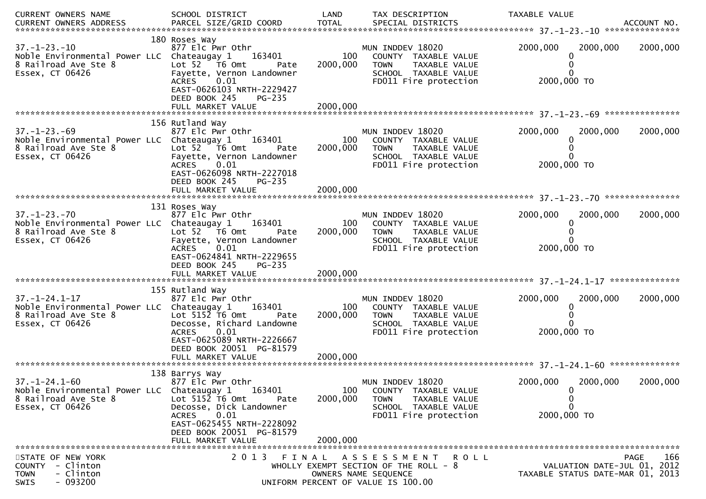| CURRENT OWNERS NAME                                                | SCHOOL DISTRICT                                        | LAND            | TAX DESCRIPTION                                               | TAXABLE VALUE |                                                                 |
|--------------------------------------------------------------------|--------------------------------------------------------|-----------------|---------------------------------------------------------------|---------------|-----------------------------------------------------------------|
| CURRENT OWNERS ADDRESS                                             |                                                        |                 |                                                               |               |                                                                 |
| $37. - 1 - 23. - 10$                                               | 180 Roses Way<br>877 Elc Pwr Othr                      |                 | MUN INDDEV 18020                                              | 2000,000      | 2000,000<br>2000,000                                            |
| Noble Environmental Power LLC Chateaugay 1                         | 163401                                                 | 100             | COUNTY TAXABLE VALUE                                          |               |                                                                 |
| 8 Railroad Ave Ste 8                                               | Lot 52 T6 Omt<br>Pate                                  | 2000,000        | TAXABLE VALUE<br><b>TOWN</b>                                  |               |                                                                 |
| Essex, CT 06426                                                    | Fayette, Vernon Landowner                              |                 | SCHOOL TAXABLE VALUE                                          |               |                                                                 |
|                                                                    | <b>ACRES</b><br>0.01<br>EAST-0626103 NRTH-2229427      |                 | FD011 Fire protection                                         | 2000,000 TO   |                                                                 |
|                                                                    | DEED BOOK 245<br>PG-235                                |                 |                                                               |               |                                                                 |
|                                                                    |                                                        |                 |                                                               |               |                                                                 |
|                                                                    | 156 Rutland Way                                        |                 |                                                               |               |                                                                 |
| $37. - 1 - 23. - 69$                                               | 877 Elc Pwr Othr                                       |                 | MUN INDDEV 18020                                              | 2000,000      | 2000,000<br>2000,000                                            |
| Noble Environmental Power LLC Chateaugay 1<br>8 Railroad Ave Ste 8 | 163401<br>Lot 52  T6 Omt<br>Pate                       | 100<br>2000,000 | COUNTY TAXABLE VALUE<br>TAXABLE VALUE<br><b>TOWN</b>          |               |                                                                 |
| Essex, CT 06426                                                    | Fayette, Vernon Landowner                              |                 | SCHOOL TAXABLE VALUE                                          |               |                                                                 |
|                                                                    | 0.01<br><b>ACRES</b>                                   |                 | FD011 Fire protection                                         | 2000,000 TO   |                                                                 |
|                                                                    | EAST-0626098 NRTH-2227018<br>DEED BOOK 245<br>$PG-235$ |                 |                                                               |               |                                                                 |
|                                                                    | FULL MARKET VALUE                                      | 2000,000        |                                                               |               |                                                                 |
|                                                                    |                                                        |                 |                                                               |               |                                                                 |
| $37. - 1 - 23. - 70$                                               | 131 Roses Way<br>877 Elc Pwr Othr                      |                 | MUN INDDEV 18020                                              | 2000,000      | 2000,000<br>2000,000                                            |
| Noble Environmental Power LLC Chateaugay 1                         | 163401                                                 | 100             | COUNTY TAXABLE VALUE                                          | 0             |                                                                 |
| 8 Railroad Ave Ste 8                                               | Lot 52  T6 0mt<br>Pate                                 | 2000,000        | <b>TOWN</b><br>TAXABLE VALUE                                  |               |                                                                 |
| Essex, CT 06426                                                    | Fayette, Vernon Landowner<br>0.01<br><b>ACRES</b>      |                 | SCHOOL TAXABLE VALUE<br>FD011 Fire protection                 | 2000,000 TO   |                                                                 |
|                                                                    | EAST-0624841 NRTH-2229655                              |                 |                                                               |               |                                                                 |
|                                                                    | DEED BOOK 245<br>PG-235                                |                 |                                                               |               |                                                                 |
|                                                                    |                                                        |                 |                                                               |               |                                                                 |
|                                                                    | 155 Rutland Way                                        |                 |                                                               |               |                                                                 |
| $37. - 1 - 24.1 - 17$                                              | 877 Elc Pwr Othr                                       |                 | MUN INDDEV 18020                                              | 2000,000      | 2000,000<br>2000,000                                            |
| Noble Environmental Power LLC Chateaugay 1<br>8 Railroad Ave Ste 8 | 163401<br>Lot $5152$ T6 Omt<br>Pate                    | 100<br>2000,000 | COUNTY TAXABLE VALUE<br><b>TOWN</b><br>TAXABLE VALUE          |               |                                                                 |
| Essex, CT 06426                                                    | Decosse, Richard Landowne                              |                 | SCHOOL TAXABLE VALUE                                          |               |                                                                 |
|                                                                    | 0.01<br><b>ACRES</b>                                   |                 | FD011 Fire protection                                         | 2000,000 TO   |                                                                 |
|                                                                    | EAST-0625089 NRTH-2226667<br>DEED BOOK 20051 PG-81579  |                 |                                                               |               |                                                                 |
|                                                                    |                                                        |                 |                                                               |               |                                                                 |
|                                                                    |                                                        |                 |                                                               |               |                                                                 |
| $37. - 1 - 24.1 - 60$                                              | 138 Barrys Way<br>877 Elc Pwr Othr                     |                 | MUN INDDEV 18020                                              | 2000,000      | 2000,000<br>2000,000                                            |
| Noble Environmental Power LLC Chateaugay 1                         | 163401                                                 | 100             | COUNTY TAXABLE VALUE                                          | 0             |                                                                 |
| 8 Railroad Ave Ste 8                                               | Lot 5152 T6 Omt<br>Pate<br>Decosse, Dick Landowner     | 2000,000        | <b>TOWN</b><br>TAXABLE VALUE<br>SCHOOL TAXABLE VALUE          | 0<br>0        |                                                                 |
| Essex, CT 06426                                                    | 0.01<br><b>ACRES</b>                                   |                 | FD011 Fire protection                                         | 2000,000 TO   |                                                                 |
|                                                                    | EAST-0625455 NRTH-2228092                              |                 |                                                               |               |                                                                 |
|                                                                    | DEED BOOK 20051 PG-81579<br>FULL MARKET VALUE          | 2000.000        |                                                               |               |                                                                 |
|                                                                    |                                                        |                 |                                                               |               |                                                                 |
| STATE OF NEW YORK                                                  | 2 0 1 3<br>FINAL                                       |                 | A S S E S S M E N T<br>R O L L                                |               | 166<br><b>PAGE</b>                                              |
| COUNTY - Clinton<br>- Clinton<br><b>TOWN</b>                       |                                                        |                 | WHOLLY EXEMPT SECTION OF THE ROLL - 8<br>OWNERS NAME SEQUENCE |               | VALUATION DATE-JUL 01, 2012<br>TAXABLE STATUS DATE-MAR 01, 2013 |
| $-093200$<br>SWIS                                                  |                                                        |                 | UNIFORM PERCENT OF VALUE IS 100.00                            |               |                                                                 |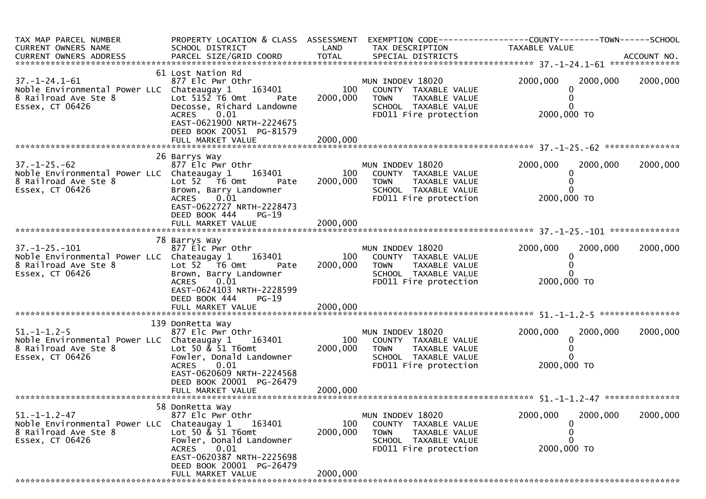| TAX MAP PARCEL NUMBER<br>CURRENT OWNERS NAME<br>CURRENT OWNERS ADDRESS                                         | PROPERTY LOCATION & CLASS ASSESSMENT<br>SCHOOL DISTRICT                                                                                                                                         | LAND            | TAX DESCRIPTION                                                                                                           | TAXABLE VALUE                            |          |
|----------------------------------------------------------------------------------------------------------------|-------------------------------------------------------------------------------------------------------------------------------------------------------------------------------------------------|-----------------|---------------------------------------------------------------------------------------------------------------------------|------------------------------------------|----------|
| $37. - 1 - 24.1 - 61$<br>Noble Environmental Power LLC Chateaugay 1<br>8 Railroad Ave Ste 8<br>Essex, CT 06426 | 61 Lost Nation Rd<br>877 Elc Pwr Othr<br>163401<br>Lot $5152$ T6 Omt<br>Pate<br>Decosse, Richard Landowne<br>0.01<br><b>ACRES</b><br>EAST-0621900 NRTH-2224675<br>DEED BOOK 20051 PG-81579      | 100<br>2000,000 | MUN INDDEV 18020<br>COUNTY TAXABLE VALUE<br><b>TOWN</b><br>TAXABLE VALUE<br>SCHOOL TAXABLE VALUE<br>FD011 Fire protection | 2000,000<br>2000,000<br>2000,000 TO      | 2000,000 |
|                                                                                                                |                                                                                                                                                                                                 |                 |                                                                                                                           |                                          |          |
| $37. - 1 - 25. - 62$<br>Noble Environmental Power LLC Chateaugay 1<br>8 Railroad Ave Ste 8<br>Essex, CT 06426  | 26 Barrys Way<br>877 Elc Pwr Othr<br>163401<br>Lot 52 T6 Omt<br>Pate<br>Brown, Barry Landowner<br>ACRES 0.01<br>EAST-0622727 NRTH-2228473<br>DEED BOOK 444<br>$PG-19$                           | 100<br>2000,000 | MUN INDDEV 18020<br>COUNTY TAXABLE VALUE<br><b>TOWN</b><br>TAXABLE VALUE<br>SCHOOL TAXABLE VALUE<br>FD011 Fire protection | 2000,000<br>2000,000<br>2000,000 TO      | 2000,000 |
|                                                                                                                |                                                                                                                                                                                                 |                 |                                                                                                                           |                                          |          |
|                                                                                                                |                                                                                                                                                                                                 |                 |                                                                                                                           |                                          |          |
| $37. - 1 - 25. - 101$<br>Noble Environmental Power LLC Chateaugay 1<br>8 Railroad Ave Ste 8<br>Essex, CT 06426 | 78 Barrys Way<br>877 Elc Pwr Othr<br>163401<br>Lot 52  T6 Omt<br>Pate<br>Brown, Barry Landowner<br><b>ACRES</b><br>0.01<br>EAST-0624103 NRTH-2228599<br>DEED BOOK 444<br>$PG-19$                | 100<br>2000,000 | MUN INDDEV 18020<br>COUNTY TAXABLE VALUE<br>TAXABLE VALUE<br>TOWN<br>SCHOOL TAXABLE VALUE<br>FD011 Fire protection        | 2000,000<br>2000,000<br>0<br>2000,000 TO | 2000,000 |
|                                                                                                                | FULL MARKET VALUE                                                                                                                                                                               | 2000,000        |                                                                                                                           |                                          |          |
|                                                                                                                |                                                                                                                                                                                                 |                 |                                                                                                                           |                                          |          |
| $51. - 1 - 1.2 - 5$<br>Noble Environmental Power LLC Chateaugay 1<br>8 Railroad Ave Ste 8<br>Essex, CT 06426   | 139 DonRetta Way<br>877 Elc Pwr Othr<br>163401<br>Lot 50 $\&$ 51 T6omt<br>Fowler, Donald Landowner<br>ACRES 0.01<br>EAST-0620609 NRTH-2224568<br>DEED BOOK 20001 PG-26479                       | 100<br>2000,000 | MUN INDDEV 18020<br>COUNTY TAXABLE VALUE<br><b>TOWN</b><br>TAXABLE VALUE<br>SCHOOL TAXABLE VALUE<br>FD011 Fire protection | 2000,000<br>2000,000<br>2000,000 TO      | 2000,000 |
|                                                                                                                |                                                                                                                                                                                                 |                 |                                                                                                                           |                                          |          |
|                                                                                                                |                                                                                                                                                                                                 |                 |                                                                                                                           |                                          |          |
| $51. - 1 - 1.2 - 47$<br>Noble Environmental Power LLC<br>8 Railroad Ave Ste 8<br>Essex, CT 06426               | 58 DonRetta Way<br>877 Elc Pwr Othr<br>Chateaugay 1<br>163401<br>Lot 50 & 51 T6omt<br>Fowler, Donald Landowner<br>0.01<br><b>ACRES</b><br>EAST-0620387 NRTH-2225698<br>DEED BOOK 20001 PG-26479 | 100<br>2000,000 | MUN INDDEV 18020<br>COUNTY TAXABLE VALUE<br><b>TOWN</b><br>TAXABLE VALUE<br>SCHOOL TAXABLE VALUE<br>FD011 Fire protection | 2000,000<br>2000,000<br>2000,000 TO      | 2000,000 |
|                                                                                                                | FULL MARKET VALUE                                                                                                                                                                               | 2000,000        |                                                                                                                           |                                          |          |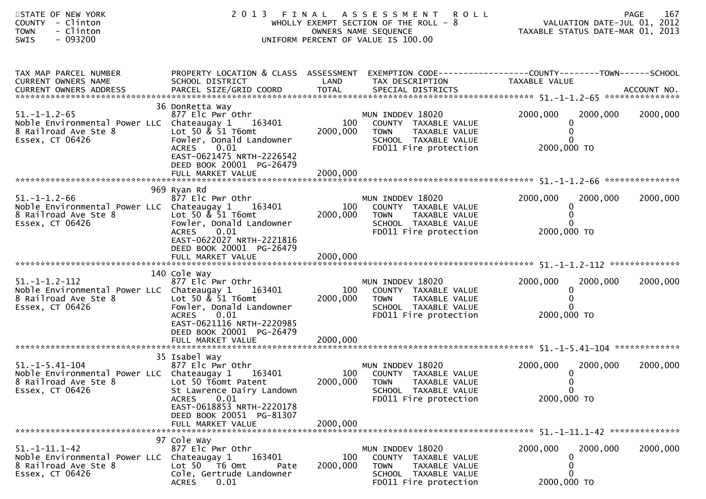| STATE OF NEW YORK<br>COUNTY - Clinton<br>- Clinton<br><b>TOWN</b><br>$-093200$<br><b>SWIS</b>                  |                                                                                                                                                                                                         |                             | 2013 FINAL ASSESSMENT ROLL<br>WHOLLY EXEMPT SECTION OF THE ROLL - 8<br>OWNERS NAME SEQUENCE<br>UNIFORM PERCENT OF VALUE IS 100.00 | VALUATION DATE-JUL 01, 2012<br>TAXABLE STATUS DATE-MAR 01, 2013                                                   | 167<br>PAGE |
|----------------------------------------------------------------------------------------------------------------|---------------------------------------------------------------------------------------------------------------------------------------------------------------------------------------------------------|-----------------------------|-----------------------------------------------------------------------------------------------------------------------------------|-------------------------------------------------------------------------------------------------------------------|-------------|
| TAX MAP PARCEL NUMBER<br>CURRENT OWNERS NAME                                                                   | SCHOOL DISTRICT                                                                                                                                                                                         | LAND                        | TAX DESCRIPTION                                                                                                                   | PROPERTY LOCATION & CLASS ASSESSMENT EXEMPTION CODE----------------COUNTY-------TOWN------SCHOOL<br>TAXABLE VALUE |             |
| $51. - 1 - 1.2 - 65$<br>Noble Environmental Power LLC Chateaugay 1<br>8 Railroad Ave Ste 8<br>Essex, CT 06426  | 36 DonRetta Way<br>877 Elc Pwr Othr<br>163401<br>Lot 50 $\&$ 51 T6omt<br>Fowler, Donald Landowner<br>0.01<br><b>ACRES</b><br>EAST-0621475 NRTH-2226542<br>DEED BOOK 20001 PG-26479<br>FULL MARKET VALUE | 100<br>2000,000<br>2000,000 | MUN INDDEV 18020<br>COUNTY TAXABLE VALUE<br><b>TOWN</b><br>TAXABLE VALUE<br>SCHOOL TAXABLE VALUE<br>FD011 Fire protection         | 2000,000<br>2000,000<br>0<br>0<br>0<br>2000,000 TO                                                                | 2000,000    |
| $51. - 1 - 1.2 - 66$<br>Noble Environmental Power LLC Chateaugay 1<br>8 Railroad Ave Ste 8<br>Essex, CT 06426  | 969 Ryan Rd<br>877 Elc Pwr Othr<br>163401<br>Lot 50 & 51 T6omt<br>Fowler, Donald Landowner<br><b>ACRES</b><br>0.01<br>EAST-0622027 NRTH-2221816<br>DEED BOOK 20001 PG-26479                             | 100<br>2000,000             | MUN INDDEV 18020<br>COUNTY TAXABLE VALUE<br><b>TOWN</b><br>TAXABLE VALUE<br>SCHOOL TAXABLE VALUE<br>FD011 Fire protection         | 2000,000<br>2000,000<br>0<br>0<br>0<br>2000,000 TO                                                                | 2000,000    |
| $51. -1 - 1.2 - 112$<br>Noble Environmental Power LLC Chateaugay 1<br>8 Railroad Ave Ste 8<br>Essex, CT 06426  | 140 Cole Way<br>877 Elc Pwr Othr<br>163401<br>Lot 50 $\&$ 51 T6omt<br>Fowler, Donald Landowner<br>0.01<br><b>ACRES</b><br>EAST-0621116 NRTH-2220985<br>DEED BOOK 20001 PG-26479<br>FULL MARKET VALUE    | 100<br>2000,000<br>2000,000 | MUN INDDEV 18020<br>COUNTY TAXABLE VALUE<br><b>TOWN</b><br>TAXABLE VALUE<br>SCHOOL TAXABLE VALUE<br>FD011 Fire protection         | 2000,000<br>2000,000<br>0<br>0<br>0<br>2000,000 TO                                                                | 2000,000    |
| $51. -1 - 5.41 - 104$<br>Noble Environmental Power LLC Chateaugay 1<br>8 Railroad Ave Ste 8<br>Essex, CT 06426 | 35 Isabel Way<br>877 Elc Pwr Othr<br>163401<br>Lot 50 T6omt Patent<br>St Lawrence Dairy Landown<br>0.01<br><b>ACRES</b><br>EAST-0618853 NRTH-2220178<br>DEED BOOK 20051 PG-81307<br>FULL MARKET VALUE   | 2000,000<br>2000,000        | MUN INDDEV 18020<br>100 COUNTY TAXABLE VALUE<br><b>TOWN</b><br>TAXABLE VALUE<br>SCHOOL TAXABLE VALUE<br>FD011 Fire protection     | 2000,000<br>2000,000<br>$\bf{0}$<br>0<br>$\overline{0}$<br>2000,000 TO                                            | 2000,000    |
| $51. - 1 - 11.1 - 42$<br>Noble Environmental Power LLC Chateaugay 1<br>8 Railroad Ave Ste 8<br>Essex, CT 06426 | 97 Cole Way<br>877 Elc Pwr Othr<br>163401<br>Lot 50  T6 0mt<br>Pate<br>Cole, Gertrude Landowner<br>0.01<br><b>ACRES</b>                                                                                 | 100<br>2000,000             | MUN INDDEV 18020<br>COUNTY TAXABLE VALUE<br><b>TOWN</b><br>TAXABLE VALUE<br>SCHOOL TAXABLE VALUE<br>FD011 Fire protection         | 2000,000<br>2000,000<br>$\bf{0}$<br>0<br>0<br>2000,000 TO                                                         | 2000,000    |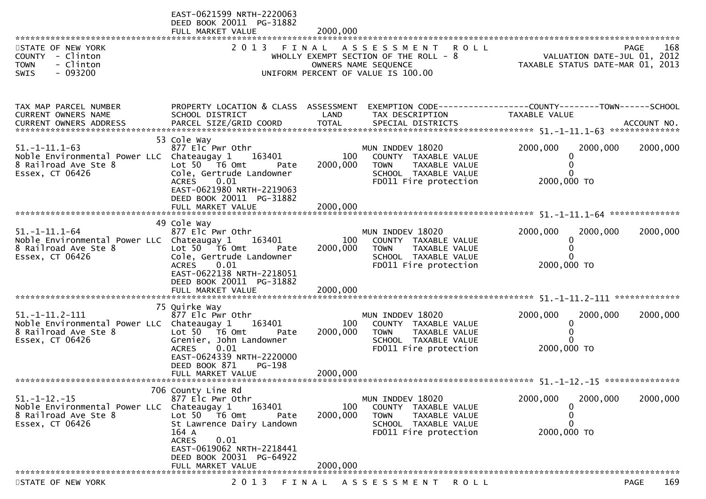| ********************                                                                                                                                               | EAST-0621599 NRTH-2220063<br>DEED BOOK 20011 PG-31882<br>FULL MARKET VALUE                                                                                                                                            | 2000,000                    |                                                                                                                                           |                                                                                       |                    |
|--------------------------------------------------------------------------------------------------------------------------------------------------------------------|-----------------------------------------------------------------------------------------------------------------------------------------------------------------------------------------------------------------------|-----------------------------|-------------------------------------------------------------------------------------------------------------------------------------------|---------------------------------------------------------------------------------------|--------------------|
| STATE OF NEW YORK<br>COUNTY - Clinton<br><b>TOWN</b><br>- Clinton<br>- 093200<br><b>SWIS</b>                                                                       | 2 0 1 3<br>FINAL                                                                                                                                                                                                      |                             | A S S E S S M E N T<br><b>ROLL</b><br>WHOLLY EXEMPT SECTION OF THE ROLL - 8<br>OWNERS NAME SEQUENCE<br>UNIFORM PERCENT OF VALUE IS 100.00 | VALUATION DATE-JUL 01, 2012<br>TAXABLE STATUS DATE-MAR 01, 2013                       | 168<br>PAGE        |
| TAX MAP PARCEL NUMBER<br>CURRENT OWNERS NAME<br>.CURRENT OWNERS ADDRESS PARCEL SIZE/GRID COORD TOTAL SPECIAL DISTRICTS ACCOUNT NO ACCOUNT NO ACCOUNT NO ACCOUNT NO | PROPERTY LOCATION & CLASS ASSESSMENT<br>SCHOOL DISTRICT                                                                                                                                                               | LAND                        | TAX DESCRIPTION                                                                                                                           | EXEMPTION        CODE------------------COUNTY-------TOWN------SCHOOL<br>TAXABLE VALUE |                    |
| $51. -1 - 11.1 - 63$<br>Noble Environmental Power LLC Chateaugay 1<br>8 Railroad Ave Ste 8<br>Essex, CT 06426                                                      | 53 Cole Way<br>877 Elc Pwr Othr<br>163401<br>Lot 50 T6 Omt<br>Pate<br>Cole, Gertrude Landowner<br>0.01<br><b>ACRES</b><br>EAST-0621980 NRTH-2219063<br>DEED BOOK 20011 PG-31882<br>FULL MARKET VALUE                  | 100<br>2000,000<br>2000,000 | MUN INDDEV 18020<br>COUNTY TAXABLE VALUE<br><b>TOWN</b><br>TAXABLE VALUE<br>SCHOOL TAXABLE VALUE<br>FD011 Fire protection                 | 2000,000<br>2000,000<br>0<br>0<br>2000,000 TO                                         | 2000,000           |
| $51. -1 - 11.1 - 64$<br>Noble Environmental Power LLC Chateaugay 1<br>8 Railroad Ave Ste 8<br>Essex, CT 06426                                                      | 49 Cole Way<br>877 Elc Pwr Othr<br>163401<br>Lot $50$ $\overline{76}$ Omt<br>Pate<br>Cole, Gertrude Landowner<br>0.01<br><b>ACRES</b><br>EAST-0622138 NRTH-2218051<br>DEED BOOK 20011 PG-31882<br>FULL MARKET VALUE   | 100<br>2000,000<br>2000.000 | MUN INDDEV 18020<br>COUNTY TAXABLE VALUE<br>TAXABLE VALUE<br><b>TOWN</b><br>SCHOOL TAXABLE VALUE<br>FD011 Fire protection                 | 2000,000<br>2000,000<br>0<br>$\Omega$<br>2000,000 TO                                  | 2000,000           |
| $51. -1 - 11.2 - 111$<br>Noble Environmental Power LLC Chateaugay 1<br>8 Railroad Ave Ste 8<br>Essex, CT 06426<br>*************************                        | 75 Quirke Way<br>877 Elc Pwr Othr<br>163401<br>Lot 50  T6 0mt<br>Pate<br>Grenier, John Landowner<br>0.01<br><b>ACRES</b><br>EAST-0624339 NRTH-2220000<br>DEED BOOK 871<br>PG-198<br>FULL MARKET VALUE                 | 100<br>2000,000<br>2000,000 | MUN INDDEV 18020<br>COUNTY TAXABLE VALUE<br><b>TOWN</b><br>TAXABLE VALUE<br>SCHOOL TAXABLE VALUE<br>FD011 Fire protection                 | 2000,000<br>2000,000<br>0<br>0<br>2000,000 TO                                         | 2000,000           |
| $51. - 1 - 12. - 15$<br>Noble Environmental Power LLC Chateaugay 1<br>8 Railroad Ave Ste 8<br>Essex, CT 06426                                                      | 706 County Line Rd<br>877 Elc Pwr Othr<br>163401<br>Lot 50 T6 Omt<br>Pate<br>St Lawrence Dairy Landown<br>164 A<br>0.01<br><b>ACRES</b><br>EAST-0619062 NRTH-2218441<br>DEED BOOK 20031 PG-64922<br>FULL MARKET VALUE | 100<br>2000,000<br>2000,000 | MUN INDDEV 18020<br>COUNTY TAXABLE VALUE<br><b>TOWN</b><br>TAXABLE VALUE<br>SCHOOL TAXABLE VALUE<br>FD011 Fire protection                 | 2000,000<br>2000,000<br>0<br>0<br>0<br>2000,000 TO                                    | 2000,000           |
| STATE OF NEW YORK                                                                                                                                                  | 2 0 1 3                                                                                                                                                                                                               | FINAL                       | A S S E S S M E N T<br><b>ROLL</b>                                                                                                        |                                                                                       | 169<br><b>PAGE</b> |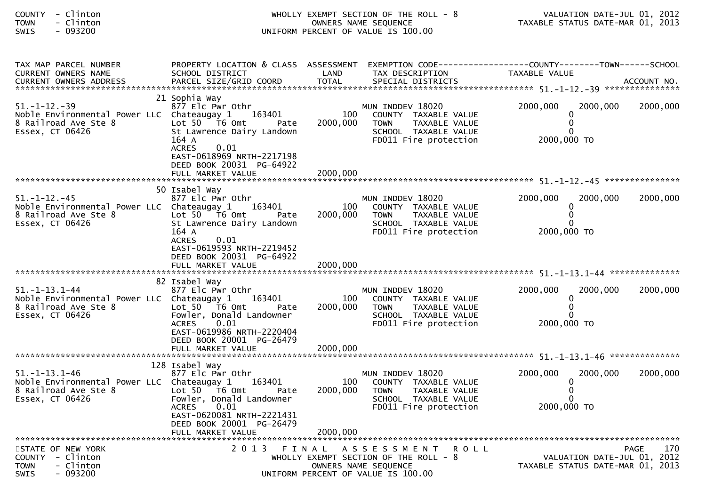| COUNTY - Clinton<br>- Clinton<br><b>TOWN</b><br>$-093200$<br>SWIS                                                    |                                                                                                                                                                                                            |                             | WHOLLY EXEMPT SECTION OF THE ROLL - 8<br>OWNERS NAME SEQUENCE<br>UNIFORM PERCENT OF VALUE IS 100.00                                | TAXABLE STATUS DATE-MAR 01, 2013                     | VALUATION DATE-JUL 01, 2012 |                    |
|----------------------------------------------------------------------------------------------------------------------|------------------------------------------------------------------------------------------------------------------------------------------------------------------------------------------------------------|-----------------------------|------------------------------------------------------------------------------------------------------------------------------------|------------------------------------------------------|-----------------------------|--------------------|
| TAX MAP PARCEL NUMBER<br>CURRENT OWNERS NAME                                                                         | PROPERTY LOCATION & CLASS ASSESSMENT EXEMPTION CODE----------------COUNTY-------TOWN------SCHOOL<br>SCHOOL DISTRICT                                                                                        | LAND                        | TAX DESCRIPTION                                                                                                                    | TAXABLE VALUE                                        |                             |                    |
| $51. - 1 - 12. - 39$<br>Noble Environmental Power LLC Chateaugay 1 163401<br>8 Railroad Ave Ste 8<br>Essex, CT 06426 | 21 Sophia Way<br>877 Elc Pwr Othr<br>Lot 50 T6 Omt<br>Pate<br>St Lawrence Dairy Landown<br>164 A<br><b>ACRES</b><br>0.01<br>EAST-0618969 NRTH-2217198<br>DEED BOOK 20031 PG-64922<br>FULL MARKET VALUE     | 100<br>2000,000<br>2000.000 | MUN INDDEV 18020<br>COUNTY TAXABLE VALUE<br>TAXABLE VALUE<br>TOWN<br>SCHOOL TAXABLE VALUE<br>FD011 Fire protection                 | 2000,000<br>0<br>2000,000 TO                         | 2000,000                    | 2000,000           |
|                                                                                                                      |                                                                                                                                                                                                            |                             |                                                                                                                                    |                                                      |                             |                    |
| $51. - 1 - 12. - 45$<br>Noble Environmental Power LLC Chateaugay 1<br>8 Railroad Ave Ste 8<br>Essex, CT 06426        | 50 Isabel Way<br>877 Elc Pwr Othr<br>163401<br>Lot 50 T6 Omt<br>Pate<br>St Lawrence Dairy Landown<br>164 A<br>0.01<br><b>ACRES</b><br>EAST-0619593 NRTH-2219452                                            | 100<br>2000,000             | MUN INDDEV 18020<br>COUNTY TAXABLE VALUE<br>TAXABLE VALUE<br><b>TOWN</b><br>SCHOOL TAXABLE VALUE<br>FD011 Fire protection          | 2000,000<br>0<br>2000,000 TO                         | 2000,000                    | 2000,000           |
|                                                                                                                      | DEED BOOK 20031 PG-64922                                                                                                                                                                                   |                             |                                                                                                                                    |                                                      |                             |                    |
|                                                                                                                      |                                                                                                                                                                                                            |                             |                                                                                                                                    |                                                      |                             |                    |
| $51. - 1 - 13.1 - 44$<br>Noble Environmental Power LLC Chateaugay 1<br>8 Railroad Ave Ste 8<br>Essex, CT 06426       | 82 Isabel Way<br>877 Elc Pwr Othr<br>163401<br>Lot $50$ $\overline{76}$ Omt<br>Pate<br>Fowler, Donald Landowner<br><b>ACRES</b><br>0.01<br>EAST-0619986 NRTH-2220404<br>DEED BOOK 20001 PG-26479           | 100<br>2000,000             | MUN INDDEV 18020<br>COUNTY TAXABLE VALUE<br><b>TOWN</b><br>TAXABLE VALUE<br>SCHOOL TAXABLE VALUE<br>FD011 Fire protection          | 2000,000<br>0<br>2000,000 TO                         | 2000,000                    | 2000,000           |
|                                                                                                                      |                                                                                                                                                                                                            |                             |                                                                                                                                    |                                                      |                             |                    |
| $51. - 1 - 13.1 - 46$<br>Noble Environmental Power LLC Chateaugay 1<br>8 Railroad Ave Ste 8<br>Essex, CT 06426       | 128 Isabel Way<br>877 Elc Pwr Othr<br>163401<br>Lot 50<br>T6 Omt<br>Pate<br>Fowler, Donald Landowner<br><b>ACRES</b><br>0.01<br>EAST-0620081 NRTH-2221431<br>DEED BOOK 20001 PG-26479<br>FULL MARKET VALUE | 100<br>2000,000<br>2000,000 | MUN INDDEV 18020<br>COUNTY TAXABLE VALUE<br>TAXABLE VALUE<br><b>TOWN</b><br>SCHOOL TAXABLE VALUE<br>FD011 Fire protection          | 2000,000<br>$\Omega$<br>0<br>$\Omega$<br>2000,000 TO | 2000,000                    | 2000,000           |
| STATE OF NEW YORK<br>COUNTY - Clinton<br>- Clinton<br><b>TOWN</b><br>$-093200$<br>SWIS                               | 2013 FINAL                                                                                                                                                                                                 |                             | A S S E S S M E N T<br>ROLL<br>WHOLLY EXEMPT SECTION OF THE ROLL - 8<br>OWNERS NAME SEQUENCE<br>UNIFORM PERCENT OF VALUE IS 100.00 | TAXABLE STATUS DATE-MAR 01, 2013                     | VALUATION DATE-JUL 01, 2012 | 170<br><b>PAGE</b> |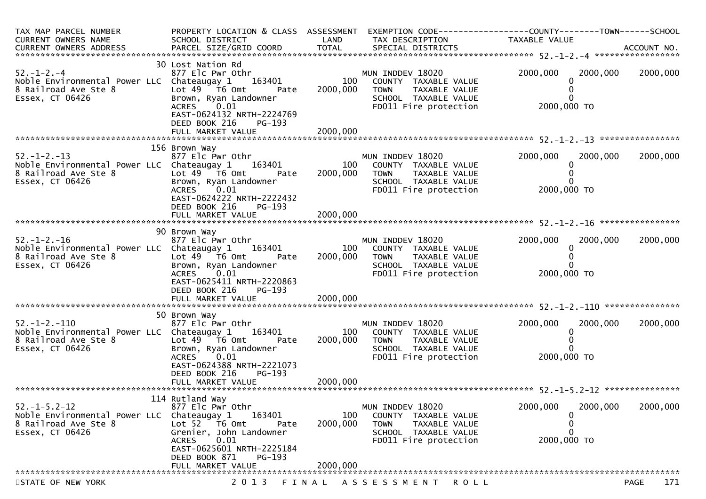| TAX MAP PARCEL NUMBER<br><b>CURRENT OWNERS NAME</b><br>CURRENT OWNERS ADDRESS                                      | PROPERTY LOCATION & CLASS ASSESSMENT<br>SCHOOL DISTRICT                                                                                                                                                         | LAND                        | TAX DESCRIPTION                                                                                                           | EXEMPTION CODE-----------------COUNTY-------TOWN------SCHOOL<br>TAXABLE VALUE |                    |
|--------------------------------------------------------------------------------------------------------------------|-----------------------------------------------------------------------------------------------------------------------------------------------------------------------------------------------------------------|-----------------------------|---------------------------------------------------------------------------------------------------------------------------|-------------------------------------------------------------------------------|--------------------|
|                                                                                                                    |                                                                                                                                                                                                                 |                             |                                                                                                                           |                                                                               |                    |
| $52. - 1 - 2. - 4$<br>Noble Environmental Power LLC Chateaugay 1 163401<br>8 Railroad Ave Ste 8<br>Essex, CT 06426 | 30 Lost Nation Rd<br>877 Elc Pwr Othr<br>Lot 49 76 0mt<br>Pate<br>Brown, Ryan Landowner<br>0.01<br><b>ACRES</b><br>EAST-0624132 NRTH-2224769<br>DEED BOOK 216<br>PG-193<br>FULL MARKET VALUE                    | 100<br>2000,000<br>2000,000 | MUN INDDEV 18020<br>COUNTY TAXABLE VALUE<br><b>TOWN</b><br>TAXABLE VALUE<br>SCHOOL TAXABLE VALUE<br>FD011 Fire protection | 2000,000<br>2000,000<br>2000,000 TO                                           | 2000,000           |
|                                                                                                                    |                                                                                                                                                                                                                 |                             |                                                                                                                           |                                                                               |                    |
| $52. - 1 - 2. - 13$<br>Noble Environmental Power LLC Chateaugay 1<br>8 Railroad Ave Ste 8<br>Essex, CT 06426       | 156 Brown Way<br>877 Elc Pwr Othr<br>163401<br>Lot 49 76 0mt<br>Pate<br>Brown, Ryan Landowner<br>ACRES 0.01<br>EAST-0624222 NRTH-2222432<br>DEED BOOK 216<br>PG-193                                             | 100<br>2000,000             | MUN INDDEV 18020<br>COUNTY TAXABLE VALUE<br><b>TOWN</b><br>TAXABLE VALUE<br>SCHOOL TAXABLE VALUE<br>FD011 Fire protection | 2000,000<br>2000,000<br>2000,000 TO                                           | 2000,000           |
|                                                                                                                    | FULL MARKET VALUE                                                                                                                                                                                               | 2000,000                    |                                                                                                                           |                                                                               |                    |
|                                                                                                                    | 90 Brown Way                                                                                                                                                                                                    |                             |                                                                                                                           |                                                                               |                    |
| $52. - 1 - 2. - 16$<br>Noble Environmental Power LLC Chateaugay 1<br>8 Railroad Ave Ste 8<br>Essex, CT 06426       | 877 Elc Pwr Othr<br>163401<br>Lot $49$ $\overline{76}$ Omt<br>Pate<br>Brown, Ryan Landowner<br>0.01<br>ACRES<br>EAST-0625411 NRTH-2220863<br>DEED BOOK 216<br>PG-193                                            | 100<br>2000,000             | MUN INDDEV 18020<br>COUNTY TAXABLE VALUE<br><b>TOWN</b><br>TAXABLE VALUE<br>SCHOOL TAXABLE VALUE<br>FD011 Fire protection | 2000,000<br>2000,000<br>2000,000 TO                                           | 2000,000           |
|                                                                                                                    |                                                                                                                                                                                                                 |                             |                                                                                                                           |                                                                               |                    |
| $52. - 1 - 2. - 110$<br>Noble Environmental Power LLC Chateaugay 1<br>8 Railroad Ave Ste 8<br>Essex, CT 06426      | 50 Brown Way<br>877 Elc Pwr Othr<br>163401<br>Lot $49$ $\overline{76}$ Omt<br>Pate<br>Brown, Ryan Landowner<br>ACRES 0.01<br>EAST-0624388 NRTH-2221073<br>DEED BOOK 216<br>PG-193                               | 100<br>2000,000             | MUN INDDEV 18020<br>COUNTY TAXABLE VALUE<br>TOWN<br>TAXABLE VALUE<br>SCHOOL TAXABLE VALUE<br>FD011 Fire protection        | 2000,000<br>2000,000<br>2000,000 TO                                           | 2000,000           |
|                                                                                                                    |                                                                                                                                                                                                                 |                             |                                                                                                                           |                                                                               |                    |
| $52. -1 - 5.2 - 12$<br>Noble Environmental Power LLC<br>8 Railroad Ave Ste 8<br>Essex, CT 06426                    | 114 Rutland Way<br>877 Elc Pwr Othr<br>Chateaugay 1<br>163401<br>Lot 52 T6 Omt<br>Pate<br>Grenier, John Landowner<br>0.01<br>ACRES<br>EAST-0625601 NRTH-2225184<br>DEED BOOK 871<br>PG-193<br>FULL MARKET VALUE | 100<br>2000,000<br>2000,000 | MUN INDDEV 18020<br>COUNTY TAXABLE VALUE<br><b>TOWN</b><br>TAXABLE VALUE<br>SCHOOL TAXABLE VALUE<br>FD011 Fire protection | 2000,000<br>2000,000<br>2000,000 TO                                           | 2000,000           |
|                                                                                                                    |                                                                                                                                                                                                                 |                             |                                                                                                                           |                                                                               |                    |
| STATE OF NEW YORK                                                                                                  | 2 0 1 3                                                                                                                                                                                                         | FINAL                       | ASSESSMENT<br><b>ROLL</b>                                                                                                 |                                                                               | 171<br><b>PAGE</b> |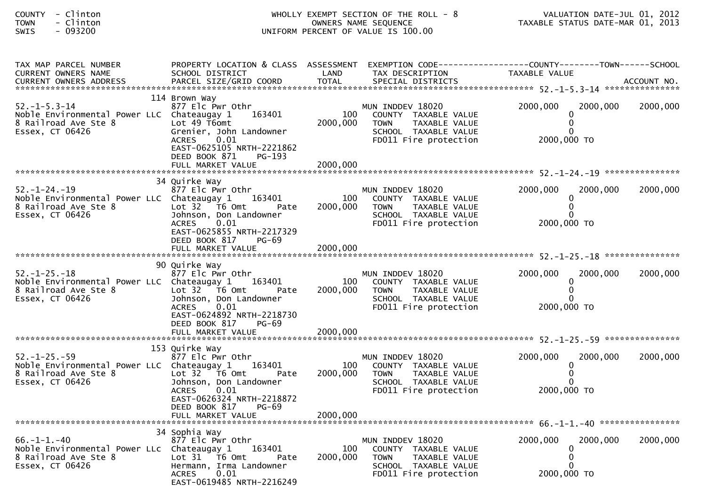| - Clinton<br>COUNTY<br>- Clinton<br><b>TOWN</b><br>$-093200$<br>SWIS                                                 |                                                                                                                                                                                 |                             | WHOLLY EXEMPT SECTION OF THE ROLL - 8<br>OWNERS NAME SEQUENCE<br>UNIFORM PERCENT OF VALUE IS 100.00                       | VALUATION DATE-JUL 01, 2012<br>TAXABLE STATUS DATE-MAR 01, 2013               |          |
|----------------------------------------------------------------------------------------------------------------------|---------------------------------------------------------------------------------------------------------------------------------------------------------------------------------|-----------------------------|---------------------------------------------------------------------------------------------------------------------------|-------------------------------------------------------------------------------|----------|
| TAX MAP PARCEL NUMBER<br>CURRENT OWNERS NAME<br>CURRENT OWNERS ADDRESS                                               | PROPERTY LOCATION & CLASS ASSESSMENT<br>SCHOOL DISTRICT                                                                                                                         | LAND                        | TAX DESCRIPTION                                                                                                           | EXEMPTION CODE-----------------COUNTY-------TOWN------SCHOOL<br>TAXABLE VALUE |          |
| $52. -1 - 5.3 - 14$<br>Noble Environmental Power LLC Chateaugay 1<br>8 Railroad Ave Ste 8<br>Essex, CT 06426         | 114 Brown Way<br>877 Elc Pwr Othr<br>163401<br>Lot 49 T6omt<br>Grenier, John Landowner<br>0.01<br><b>ACRES</b><br>EAST-0625105 NRTH-2221862<br>DEED BOOK 871<br>PG-193          | 100<br>2000,000             | MUN INDDEV 18020<br>COUNTY TAXABLE VALUE<br><b>TOWN</b><br>TAXABLE VALUE<br>SCHOOL TAXABLE VALUE<br>FD011 Fire protection | 2000,000<br>2000,000<br>0<br>2000,000 TO                                      | 2000,000 |
| $52. - 1 - 24. - 19$<br>Noble Environmental Power LLC Chateaugay 1 163401<br>8 Railroad Ave Ste 8<br>Essex, CT 06426 | 34 Quirke Way<br>877 Elc Pwr Othr<br>Lot $32$ T6 Omt<br>Pate<br>Johnson, Don Landowner<br>0.01<br>ACRES<br>EAST-0625855 NRTH-2217329<br>DEED BOOK 817<br>PG-69                  | 100<br>2000,000             | MUN INDDEV 18020<br>COUNTY TAXABLE VALUE<br><b>TOWN</b><br>TAXABLE VALUE<br>SCHOOL TAXABLE VALUE<br>FD011 Fire protection | 2000,000<br>2000,000<br>2000,000 TO                                           | 2000,000 |
| $52. - 1 - 25. - 18$<br>Noble Environmental Power LLC Chateaugay 1<br>8 Railroad Ave Ste 8<br>Essex, CT 06426        | 90 Quirke Way<br>877 Elc Pwr Othr<br>163401<br>Lot 32 T6 Omt<br>Pate<br>Johnson, Don Landowner<br>0.01<br>ACRES<br>EAST-0624892 NRTH-2218730<br>DEED BOOK 817<br>PG-69          | 100<br>2000,000             | MUN INDDEV 18020<br>COUNTY TAXABLE VALUE<br>TOWN TAXABLE VALUE<br>SCHOOL TAXABLE VALUE<br>FD011 Fire protection           | 2000,000<br>2000,000<br>0<br>2000,000 TO                                      | 2000,000 |
| $52. - 1 - 25. - 59$<br>Noble Environmental Power LLC Chateaugay 1 163401<br>8 Railroad Ave Ste 8<br>Essex, CT 06426 | 153 Quirke Way<br>877 Elc Pwr Othr<br>Lot 32 76 0mt<br>Pate<br>Johnson, Don Landowner<br>ACRES 0.01<br>EAST-0626324 NRTH-2218872<br>DEED BOOK 817<br>PG-69<br>FULL MARKET VALUE | 100<br>2000,000<br>2000,000 | MUN INDDEV 18020<br>COUNTY TAXABLE VALUE<br><b>TOWN</b><br>TAXABLE VALUE<br>SCHOOL TAXABLE VALUE<br>FD011 Fire protection | 2000,000<br>2000,000<br>2000,000 TO                                           | 2000,000 |
| $66. - 1 - 1. - 40$<br>Noble Environmental Power LLC<br>8 Railroad Ave Ste 8<br>Essex, CT 06426                      | 34 Sophia Way<br>877 Elc Pwr Othr<br>Chateaugay 1<br>163401<br>Lot 31 76 0mt<br>Pate<br>Hermann, Irma Landowner<br>0.01<br><b>ACRES</b><br>EAST-0619485 NRTH-2216249            | 100<br>2000,000             | MUN INDDEV 18020<br>COUNTY TAXABLE VALUE<br>TAXABLE VALUE<br><b>TOWN</b><br>SCHOOL TAXABLE VALUE<br>FD011 Fire protection | 2000,000<br>2000,000<br>0<br>2000,000 TO                                      | 2000,000 |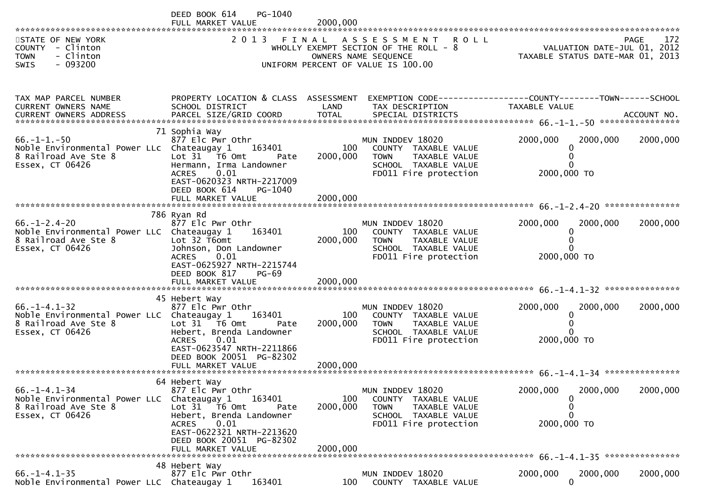|                                                                                                                   | PG-1040<br>DEED BOOK 614<br>FULL MARKET VALUE                                                                                                                                                          | 2000,000                    |                                                                                                                              |                                                                 |                    |
|-------------------------------------------------------------------------------------------------------------------|--------------------------------------------------------------------------------------------------------------------------------------------------------------------------------------------------------|-----------------------------|------------------------------------------------------------------------------------------------------------------------------|-----------------------------------------------------------------|--------------------|
| STATE OF NEW YORK<br>COUNTY - Clinton<br><b>TOWN</b><br>- Clinton<br>$-093200$<br><b>SWIS</b>                     | 2 0 1 3                                                                                                                                                                                                |                             | FINAL ASSESSMENT ROLL<br>WHOLLY EXEMPT SECTION OF THE ROLL - 8<br>OWNERS NAME SEQUENCE<br>UNIFORM PERCENT OF VALUE IS 100.00 | VALUATION DATE-JUL 01, 2012<br>TAXABLE STATUS DATE-MAR 01, 2013 | 172<br><b>PAGE</b> |
| TAX MAP PARCEL NUMBER<br>CURRENT OWNERS NAME                                                                      | PROPERTY LOCATION & CLASS ASSESSMENT<br>SCHOOL DISTRICT                                                                                                                                                | LAND                        | TAX DESCRIPTION                                                                                                              | TAXABLE VALUE                                                   |                    |
| $66. -1 - 1. -50$<br>Noble Environmental Power LLc Chateaugay 1 163401<br>8 Railroad Ave Ste 8<br>Essex, CT 06426 | 71 Sophia Way<br>877 Elc Pwr Othr<br>Lot 31 76 0mt<br>Pate<br>Hermann, Irma Landowner<br><b>ACRES</b><br>0.01<br>EAST-0620323 NRTH-2217009<br>DEED BOOK 614<br>PG-1040                                 | 100<br>2000,000             | MUN INDDEV 18020<br>COUNTY TAXABLE VALUE<br><b>TOWN</b><br>TAXABLE VALUE<br>SCHOOL TAXABLE VALUE<br>FD011 Fire protection    | 2000,000<br>2000,000<br>0<br>2000,000 TO                        | 2000,000           |
| $66. - 1 - 2.4 - 20$<br>Noble Environmental Power LLC Chateaugay 1<br>8 Railroad Ave Ste 8<br>Essex, CT 06426     | 786 Ryan Rd<br>877 Elc Pwr Othr<br>163401<br>Lot 32 T6omt<br>Johnson, Don Landowner<br>0.01<br>ACRES<br>EAST-0625927 NRTH-2215744<br>DEED BOOK 817<br><b>PG-69</b><br>FULL MARKET VALUE                | 100<br>2000,000<br>2000,000 | MUN INDDEV 18020<br>COUNTY TAXABLE VALUE<br><b>TOWN</b><br>TAXABLE VALUE<br>SCHOOL TAXABLE VALUE<br>FD011 Fire protection    | 2000,000<br>2000,000<br>2000,000 TO                             | 2000,000           |
|                                                                                                                   | 45 Hebert Way                                                                                                                                                                                          |                             |                                                                                                                              |                                                                 |                    |
| $66. -1 - 4.1 - 32$<br>Noble Environmental Power LLC Chateaugay 1<br>8 Railroad Ave Ste 8<br>Essex, CT 06426      | 877 Elc Pwr Othr<br>163401<br>Lot $31$ T6 Omt<br>Pate<br>Hebert, Brenda Landowner<br>0.01<br>ACRES<br>EAST-0623547 NRTH-2211866<br>DEED BOOK 20051 PG-82302                                            | 100<br>2000,000             | MUN INDDEV 18020<br>COUNTY TAXABLE VALUE<br>TAXABLE VALUE<br><b>TOWN</b><br>SCHOOL TAXABLE VALUE<br>FD011 Fire protection    | 2000,000<br>2000,000<br>0<br>$\Omega$<br>2000,000 TO            | 2000,000           |
|                                                                                                                   |                                                                                                                                                                                                        |                             |                                                                                                                              |                                                                 |                    |
| $66. - 1 - 4.1 - 34$<br>Noble Environmental Power LLC Chateaugay 1<br>8 Railroad Ave Ste 8<br>Essex, CT 06426     | 64 Hebert Way<br>877 Elc Pwr Othr<br>163401<br>Lot 31 T6 Omt<br>Pate<br>Hebert, Brenda Landowner<br>0.01<br><b>ACRES</b><br>EAST-0622321 NRTH-2213620<br>DEED BOOK 20051 PG-82302<br>FULL MARKET VALUE | 100<br>2000,000<br>2000,000 | MUN INDDEV 18020<br>COUNTY TAXABLE VALUE<br><b>TOWN</b><br>TAXABLE VALUE<br>SCHOOL TAXABLE VALUE<br>FD011 Fire protection    | 2000,000<br>2000,000<br>0<br>0<br>2000,000 TO                   | 2000,000           |
| $66. - 1 - 4.1 - 35$                                                                                              | 48 Hebert Way<br>877 Elc Pwr Othr                                                                                                                                                                      |                             | MUN INDDEV 18020                                                                                                             | 2000,000<br>2000,000                                            | 2000,000           |
| Noble Environmental Power LLC Chateaugay 1                                                                        | 163401                                                                                                                                                                                                 | 100                         | COUNTY TAXABLE VALUE                                                                                                         | $\Omega$                                                        |                    |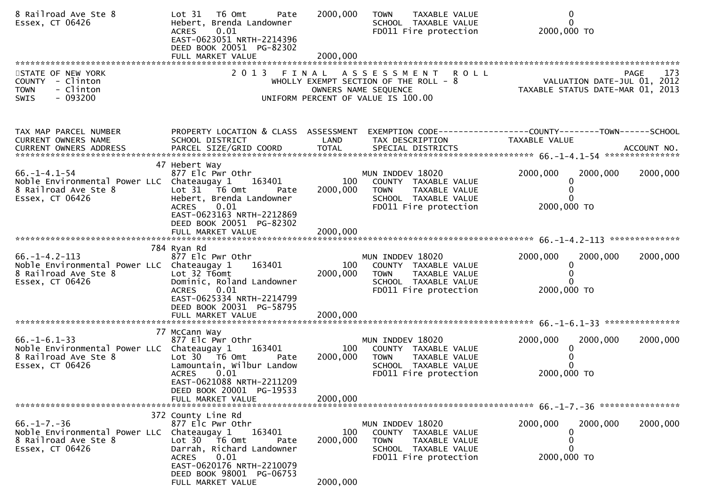| 8 Railroad Ave Ste 8<br>Essex, CT 06426                                                                       | Lot 31 76 0mt<br>Pate<br>Hebert, Brenda Landowner<br>0.01<br><b>ACRES</b><br>EAST-0623051 NRTH-2214396<br>DEED BOOK 20051 PG-82302                                                                    | 2000,000                    | TAXABLE VALUE<br><b>TOWN</b><br>SCHOOL TAXABLE VALUE<br>FD011 Fire protection                                                               | $\mathbf{0}$<br>$\Omega$<br>2000,000 TO                                                                                         |          |
|---------------------------------------------------------------------------------------------------------------|-------------------------------------------------------------------------------------------------------------------------------------------------------------------------------------------------------|-----------------------------|---------------------------------------------------------------------------------------------------------------------------------------------|---------------------------------------------------------------------------------------------------------------------------------|----------|
|                                                                                                               |                                                                                                                                                                                                       |                             |                                                                                                                                             |                                                                                                                                 |          |
| STATE OF NEW YORK<br>COUNTY - Clinton<br>- Clinton<br><b>TOWN</b><br>$-093200$<br><b>SWIS</b>                 |                                                                                                                                                                                                       |                             | 2013 FINAL ASSESSMENT<br><b>ROLL</b><br>WHOLLY EXEMPT SECTION OF THE ROLL - 8<br>OWNERS NAME SEQUENCE<br>UNIFORM PERCENT OF VALUE IS 100.00 | <b>PAGE</b><br>PAGE 173<br>VALUATION DATE-JUL 01, 2012<br>TAXARLE STATUS DATE :::- 21, 2012<br>TAXABLE STATUS DATE-MAR 01, 2013 | 173      |
| TAX MAP PARCEL NUMBER<br>CURRENT OWNERS NAME                                                                  | PROPERTY LOCATION & CLASS ASSESSMENT<br>SCHOOL DISTRICT                                                                                                                                               | LAND                        | TAX DESCRIPTION                                                                                                                             | EXEMPTION CODE------------------COUNTY--------TOWN------SCHOOL<br>TAXABLE VALUE                                                 |          |
| $66. - 1 - 4.1 - 54$<br>Noble Environmental Power LLC Chateaugay 1<br>8 Railroad Ave Ste 8<br>Essex, CT 06426 | 47 Hebert Way<br>877 Elc Pwr Othr<br>163401<br>Lot $31 - 76$ Omt<br>Pate<br>Hebert, Brenda Landowner<br>0.01<br><b>ACRES</b><br>EAST-0623163 NRTH-2212869<br>DEED BOOK 20051 PG-82302                 | 100<br>2000,000             | MUN INDDEV 18020<br>COUNTY TAXABLE VALUE<br><b>TOWN</b><br>TAXABLE VALUE<br>SCHOOL TAXABLE VALUE<br>FD011 Fire protection                   | 2000,000<br>2000,000<br>0<br>$\Omega$<br>2000,000 TO                                                                            | 2000,000 |
|                                                                                                               | FULL MARKET VALUE                                                                                                                                                                                     | 2000,000                    |                                                                                                                                             |                                                                                                                                 |          |
|                                                                                                               |                                                                                                                                                                                                       |                             |                                                                                                                                             |                                                                                                                                 |          |
| $66. -1 - 4.2 - 113$<br>Noble Environmental Power LLC Chateaugay 1<br>8 Railroad Ave Ste 8<br>Essex, CT 06426 | 784 Ryan Rd<br>877 Elc Pwr Othr<br>163401<br>Lot 32 T6omt<br>Dominic, Roland Landowner<br><b>ACRES</b><br>0.01<br>EAST-0625334 NRTH-2214799<br>DEED BOOK 20031 PG-58795                               | 100<br>2000,000             | MUN INDDEV 18020<br>COUNTY TAXABLE VALUE<br><b>TOWN</b><br>TAXABLE VALUE<br>SCHOOL TAXABLE VALUE<br>FD011 Fire protection                   | 2000,000<br>2000,000<br>0<br>0<br>2000,000 TO                                                                                   | 2000,000 |
|                                                                                                               |                                                                                                                                                                                                       |                             |                                                                                                                                             |                                                                                                                                 |          |
| $66. - 1 - 6.1 - 33$<br>Noble Environmental Power LLC Chateaugay 1<br>8 Railroad Ave Ste 8<br>Essex, CT 06426 | 77 McCann Way<br>877 Elc Pwr Othr<br>163401<br>Lot 30 76 0<br>Pate<br>Lamountain, Wilbur Landow<br><b>ACRES</b><br>0.01<br>EAST-0621088 NRTH-2211209<br>DEED BOOK 20001 PG-19533<br>FULL MARKET VALUE | 100<br>2000,000<br>2000,000 | MUN INDDEV 18020<br>COUNTY TAXABLE VALUE<br><b>TOWN</b><br>TAXABLE VALUE<br>SCHOOL TAXABLE VALUE<br>FD011 Fire protection                   | 2000,000<br>2000,000<br>0<br>$\Omega$<br>2000,000 TO                                                                            | 2000,000 |
|                                                                                                               | 372 County Line Rd                                                                                                                                                                                    |                             |                                                                                                                                             |                                                                                                                                 |          |
| $66. -1 - 7. -36$<br>Noble Environmental Power LLC<br>8 Railroad Ave Ste 8<br>Essex, CT 06426                 | 877 Elc Pwr Othr<br>163401<br>Chateaugay 1<br>Lot 30 76 0mt<br>Pate<br>Darrah, Richard Landowner<br>0.01<br><b>ACRES</b><br>EAST-0620176 NRTH-2210079<br>DEED BOOK 98001 PG-06753                     | 100<br>2000,000             | MUN INDDEV 18020<br>COUNTY TAXABLE VALUE<br>TAXABLE VALUE<br><b>TOWN</b><br>SCHOOL TAXABLE VALUE<br>FD011 Fire protection                   | 2000,000<br>2000,000<br>0<br>0<br>0<br>2000,000 TO                                                                              | 2000,000 |
|                                                                                                               | FULL MARKET VALUE                                                                                                                                                                                     | 2000,000                    |                                                                                                                                             |                                                                                                                                 |          |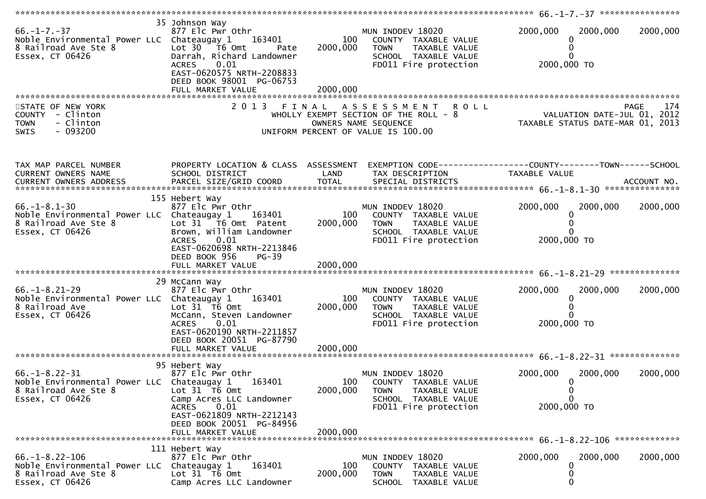| $66. - 1 - 7. - 37$<br>Noble Environmental Power LLC Chateaugay 1<br>8 Railroad Ave Ste 8<br>Essex, CT 06426  | 35 Johnson Way<br>877 Elc Pwr Othr<br>163401<br>Lot 30<br>T6 Omt<br>Pate<br>Darrah, Richard Landowner<br>0.01<br><b>ACRES</b><br>EAST-0620575 NRTH-2208833<br>DEED BOOK 98001 PG-06753<br>FULL MARKET VALUE | 100<br>2000,000<br>2000,000 | MUN INDDEV 18020<br>COUNTY TAXABLE VALUE<br><b>TOWN</b><br>TAXABLE VALUE<br>SCHOOL TAXABLE VALUE<br>FD011 Fire protection | 2000,000<br>2000,000<br>2000,000 TO                                             | 2000,000    |
|---------------------------------------------------------------------------------------------------------------|-------------------------------------------------------------------------------------------------------------------------------------------------------------------------------------------------------------|-----------------------------|---------------------------------------------------------------------------------------------------------------------------|---------------------------------------------------------------------------------|-------------|
| STATE OF NEW YORK<br>COUNTY - Clinton                                                                         |                                                                                                                                                                                                             |                             | 2013 FINAL ASSESSMENT<br><b>ROLL</b><br>WHOLLY EXEMPT SECTION OF THE ROLL - 8                                             | VALUATION DATE-JUL 01, 2012                                                     | 174<br>PAGE |
| - Clinton<br><b>TOWN</b><br>$-093200$<br><b>SWIS</b>                                                          |                                                                                                                                                                                                             |                             | OWNERS NAME SEQUENCE<br>UNIFORM PERCENT OF VALUE IS 100.00                                                                | TAXABLE STATUS DATE-MAR 01, 2013                                                |             |
| TAX MAP PARCEL NUMBER<br>CURRENT OWNERS NAME                                                                  | PROPERTY LOCATION & CLASS ASSESSMENT<br>SCHOOL DISTRICT                                                                                                                                                     | LAND                        | TAX DESCRIPTION                                                                                                           | EXEMPTION CODE------------------COUNTY--------TOWN------SCHOOL<br>TAXABLE VALUE |             |
|                                                                                                               |                                                                                                                                                                                                             |                             |                                                                                                                           |                                                                                 |             |
| $66. - 1 - 8.1 - 30$                                                                                          | 155 Hebert Way<br>877 Elc Pwr Othr                                                                                                                                                                          |                             | MUN INDDEV 18020                                                                                                          | 2000,000<br>2000,000                                                            | 2000,000    |
| Noble Environmental Power LLC Chateaugay 1<br>8 Railroad Ave Ste 8<br>Essex, CT 06426                         | 163401<br>Lot 31 T6 Omt Patent<br>Brown, William Landowner                                                                                                                                                  | 100<br>2000,000             | COUNTY TAXABLE VALUE<br><b>TOWN</b><br>TAXABLE VALUE<br>SCHOOL TAXABLE VALUE                                              | 0                                                                               |             |
|                                                                                                               | 0.01<br><b>ACRES</b><br>EAST-0620698 NRTH-2213846<br>DEED BOOK 956<br>$PG-39$<br>FULL MARKET VALUE                                                                                                          | 2000,000                    | FD011 Fire protection                                                                                                     | 2000,000 TO                                                                     |             |
|                                                                                                               |                                                                                                                                                                                                             |                             |                                                                                                                           |                                                                                 |             |
| $66. - 1 - 8.21 - 29$<br>Noble Environmental Power LLC Chateaugay 1<br>8 Railroad Ave<br>Essex, CT 06426      | 29 McCann Way<br>877 Elc Pwr Othr<br>163401<br>Lot $31$ T6 Omt<br>McCann, Steven Landowner<br>0.01<br><b>ACRES</b><br>EAST-0620190 NRTH-2211857<br>DEED BOOK 20051 PG-87790                                 | 100<br>2000,000             | MUN INDDEV 18020<br>COUNTY TAXABLE VALUE<br><b>TOWN</b><br>TAXABLE VALUE<br>SCHOOL TAXABLE VALUE<br>FD011 Fire protection | 2000,000<br>2000,000<br>2000,000 TO                                             | 2000,000    |
|                                                                                                               |                                                                                                                                                                                                             |                             |                                                                                                                           |                                                                                 |             |
| $66. -1 - 8.22 - 31$<br>Noble Environmental Power LLC Chateaugay 1<br>8 Railroad Ave Ste 8<br>Essex, CT 06426 | 95 Hebert Way<br>877 Elc Pwr Othr<br>163401<br>Lot 31 T6 Omt<br>Camp Acres LLC Landowner                                                                                                                    | 100<br>2000,000             | MUN INDDEV 18020<br>COUNTY TAXABLE VALUE<br>TOWN<br>TAXABLE VALUE<br>SCHOOL TAXABLE VALUE                                 | 2000,000<br>2000,000<br>0<br>$\mathbf 0$<br>$\Omega$                            | 2000,000    |
|                                                                                                               | 0.01<br><b>ACRES</b><br>EAST-0621809 NRTH-2212143<br>DEED BOOK 20051 PG-84956<br>FULL MARKET VALUE                                                                                                          | 2000.000                    | FD011 Fire protection                                                                                                     | 2000,000 TO                                                                     |             |
|                                                                                                               | 111 Hebert Way                                                                                                                                                                                              |                             |                                                                                                                           |                                                                                 |             |
| $66. - 1 - 8.22 - 106$<br>Noble Environmental Power LLC<br>8 Railroad Ave Ste 8<br>Essex, CT 06426            | 877 Elc Pwr Othr<br>Chateaugay 1<br>163401<br>Lot 31 T6 Omt<br>Camp Acres LLC Landowner                                                                                                                     | 100<br>2000,000             | MUN INDDEV 18020<br>COUNTY TAXABLE VALUE<br><b>TOWN</b><br>TAXABLE VALUE<br>SCHOOL TAXABLE VALUE                          | 2000,000<br>2000,000<br>0                                                       | 2000,000    |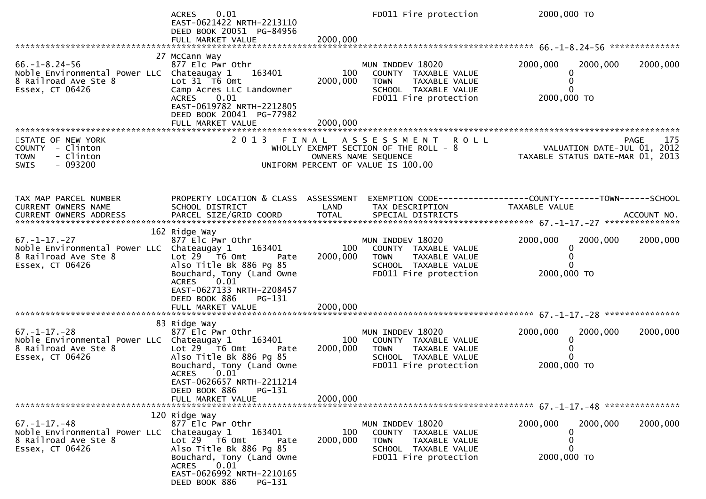|                                                                                                                      | 0.01<br><b>ACRES</b><br>EAST-0621422 NRTH-2213110<br>DEED BOOK 20051 PG-84956<br>FULL MARKET VALUE                                                                        | 2000,000        | FD011 Fire protection                                                                                                              | 2000,000 TO                                                                    |                    |
|----------------------------------------------------------------------------------------------------------------------|---------------------------------------------------------------------------------------------------------------------------------------------------------------------------|-----------------|------------------------------------------------------------------------------------------------------------------------------------|--------------------------------------------------------------------------------|--------------------|
|                                                                                                                      |                                                                                                                                                                           |                 |                                                                                                                                    |                                                                                |                    |
| $66. - 1 - 8.24 - 56$<br>Noble Environmental Power LLC Chateaugay 1<br>8 Railroad Ave Ste 8<br>Essex, CT 06426       | 27 McCann Way<br>877 Elc Pwr Othr<br>163401<br>Lot 31 T6 Omt<br>Camp Acres LLC Landowner<br>0.01<br><b>ACRES</b><br>EAST-0619782 NRTH-2212805<br>DEED BOOK 20041 PG-77982 | 100<br>2000,000 | MUN INDDEV 18020<br>COUNTY TAXABLE VALUE<br><b>TOWN</b><br>TAXABLE VALUE<br>SCHOOL TAXABLE VALUE<br>FD011 Fire protection          | 2000,000<br>2000,000<br>2000,000 TO                                            | 2000,000           |
|                                                                                                                      |                                                                                                                                                                           |                 |                                                                                                                                    |                                                                                |                    |
|                                                                                                                      |                                                                                                                                                                           |                 |                                                                                                                                    |                                                                                |                    |
| STATE OF NEW YORK<br>COUNTY - Clinton<br>- Clinton<br><b>TOWN</b><br>$-093200$<br>SWIS                               |                                                                                                                                                                           |                 | 2013 FINAL ASSESSMENT ROLL<br>WHOLLY EXEMPT SECTION OF THE ROLL $-8$<br>OWNERS NAME SEQUENCE<br>UNIFORM PERCENT OF VALUE IS 100.00 | VALUATION DATE-JUL 01, 2012<br>TAXABLE STATUS DATE-MAR 01, 2013                | <b>PAGE</b><br>175 |
|                                                                                                                      |                                                                                                                                                                           |                 |                                                                                                                                    |                                                                                |                    |
| TAX MAP PARCEL NUMBER<br>CURRENT OWNERS NAME                                                                         | PROPERTY LOCATION & CLASS ASSESSMENT<br>SCHOOL DISTRICT                                                                                                                   | LAND            | TAX DESCRIPTION                                                                                                                    | EXEMPTION CODE-----------------COUNTY--------TOWN------SCHOOL<br>TAXABLE VALUE |                    |
|                                                                                                                      |                                                                                                                                                                           |                 |                                                                                                                                    |                                                                                |                    |
|                                                                                                                      |                                                                                                                                                                           |                 |                                                                                                                                    |                                                                                |                    |
|                                                                                                                      | 162 Ridge Way                                                                                                                                                             |                 |                                                                                                                                    |                                                                                |                    |
| $67. - 1 - 17. - 27$<br>Noble Environmental Power LLC Chateaugay 1<br>8 Railroad Ave Ste 8<br>Essex, CT 06426        | 877 Elc Pwr Othr<br>163401<br>Lot 29 T6 Omt<br>Pate<br>Also Title Bk 886 Pg 85<br>Bouchard, Tony (Land Owne<br>$\left[0.01\right]$<br>ACRES                               | 100<br>2000,000 | MUN INDDEV 18020<br>COUNTY TAXABLE VALUE<br>TAXABLE VALUE<br>TOWN<br>SCHOOL TAXABLE VALUE<br>FD011 Fire protection                 | 2000,000<br>2000,000<br>2000,000 TO                                            | 2000,000           |
|                                                                                                                      | EAST-0627133 NRTH-2208457<br>DEED BOOK 886<br>PG-131                                                                                                                      |                 |                                                                                                                                    |                                                                                |                    |
|                                                                                                                      |                                                                                                                                                                           |                 |                                                                                                                                    |                                                                                |                    |
|                                                                                                                      | 83 Ridge Way                                                                                                                                                              |                 |                                                                                                                                    |                                                                                |                    |
| $67. - 1 - 17. - 28$<br>Noble Environmental Power LLC Chateaugay 1 163401<br>8 Railroad Ave Ste 8<br>Essex, CT 06426 | 877 Elc Pwr Othr<br>Lot $29$ $\overline{16}$ Omt<br>Pate<br>Also Title Bk 886 Pg 85<br>Bouchard, Tony (Land Owne<br><b>ACRES</b><br>0.01                                  | 100<br>2000,000 | MUN INDDEV 18020<br>COUNTY TAXABLE VALUE<br>TOWN TAXABLE VALUE<br>SCHOOL TAXABLE VALUE<br>FD011 Fire protection                    | 2000,000<br>2000,000<br>$\mathbf{0}$<br>2000,000 TO                            | 2000,000           |
|                                                                                                                      | EAST-0626657 NRTH-2211214                                                                                                                                                 |                 |                                                                                                                                    |                                                                                |                    |
|                                                                                                                      | DEED BOOK 886<br>$PG-131$                                                                                                                                                 |                 |                                                                                                                                    |                                                                                |                    |
|                                                                                                                      | FULL MARKET VALUE                                                                                                                                                         | 2000,000        |                                                                                                                                    |                                                                                |                    |
|                                                                                                                      |                                                                                                                                                                           |                 |                                                                                                                                    |                                                                                |                    |
| $67. - 1 - 17. - 48$                                                                                                 | 120 Ridge Way<br>877 Elc Pwr Othr                                                                                                                                         |                 | MUN INDDEV 18020                                                                                                                   | 2000,000<br>2000,000                                                           | 2000,000           |
| Noble Environmental Power LLC<br>8 Railroad Ave Ste 8<br>Essex, CT 06426                                             | 163401<br>Chateaugay 1<br>Lot 29  T6 Omt<br>Pate<br>Also Title Bk 886 Pg 85                                                                                               | 100<br>2000,000 | COUNTY TAXABLE VALUE<br><b>TOWN</b><br>TAXABLE VALUE<br>SCHOOL TAXABLE VALUE                                                       | 0                                                                              |                    |
|                                                                                                                      | Bouchard, Tony (Land Owne<br><b>ACRES</b><br>0.01<br>EAST-0626992 NRTH-2210165<br>DEED BOOK 886<br>PG-131                                                                 |                 | FD011 Fire protection                                                                                                              | 2000,000 TO                                                                    |                    |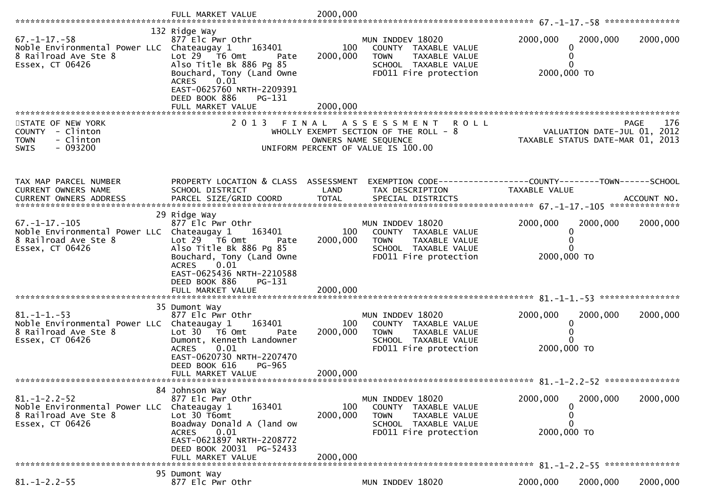|                                                                                                                | FULL MARKET VALUE                                                                                                                                  | 2000,000                                                                                                                                     |                                                                                 |          |
|----------------------------------------------------------------------------------------------------------------|----------------------------------------------------------------------------------------------------------------------------------------------------|----------------------------------------------------------------------------------------------------------------------------------------------|---------------------------------------------------------------------------------|----------|
|                                                                                                                | 132 Ridge Way                                                                                                                                      |                                                                                                                                              |                                                                                 |          |
| $67. - 1 - 17. - 58$<br>Noble Environmental Power LLC Chateaugay 1<br>8 Railroad Ave Ste 8<br>Essex, CT 06426  | 877 Elc Pwr Othr<br>163401<br>Lot $29$ $\overline{16}$ Omt<br>Pate<br>Also Title Bk 886 Pg 85<br>Bouchard, Tony (Land Owne<br><b>ACRES</b><br>0.01 | MUN INDDEV 18020<br>100<br>COUNTY TAXABLE VALUE<br>2000,000<br><b>TOWN</b><br>TAXABLE VALUE<br>SCHOOL TAXABLE VALUE<br>FD011 Fire protection | 2000,000<br>2000,000<br>2000,000 TO                                             | 2000,000 |
|                                                                                                                | EAST-0625760 NRTH-2209391<br>DEED BOOK 886<br>PG-131                                                                                               |                                                                                                                                              |                                                                                 |          |
| STATE OF NEW YORK<br>COUNTY - Clinton<br>- Clinton<br><b>TOWN</b><br>$-093200$<br>SWIS                         | 2013 FINAL                                                                                                                                         | A S S E S S M E N T<br><b>ROLL</b><br>WHOLLY EXEMPT SECTION OF THE ROLL $-8$<br>OWNERS NAME SEQUENCE<br>UNIFORM PERCENT OF VALUE IS 100.00   | <b>PAGE</b><br>VALUATION DATE-JUL 01, 2012<br>TAXABLE STATUS DATE-MAR 01, 2013  | 176      |
| TAX MAP PARCEL NUMBER<br>CURRENT OWNERS NAME<br>CURRENT OWNERS ADDRESS                                         | PROPERTY LOCATION & CLASS ASSESSMENT<br>SCHOOL DISTRICT                                                                                            | LAND<br>TAX DESCRIPTION                                                                                                                      | EXEMPTION CODE------------------COUNTY--------TOWN------SCHOOL<br>TAXABLE VALUE |          |
|                                                                                                                | 29 Ridge Way                                                                                                                                       |                                                                                                                                              |                                                                                 |          |
| $67. - 1 - 17. - 105$<br>Noble Environmental Power LLC Chateaugay 1<br>8 Railroad Ave Ste 8<br>Essex, CT 06426 | 877 Elc Pwr Othr<br>163401<br>Lot 29 T6 Omt<br>Pate<br>Also Title Bk 886 Pg 85                                                                     | MUN INDDEV 18020<br>100<br>COUNTY TAXABLE VALUE<br>2000,000<br>TAXABLE VALUE<br><b>TOWN</b><br>SCHOOL TAXABLE VALUE                          | 2000,000<br>2000,000                                                            | 2000,000 |
|                                                                                                                | Bouchard, Tony (Land Owne<br>0.01<br><b>ACRES</b><br>EAST-0625436 NRTH-2210588<br>DEED BOOK 886<br>PG-131<br>FULL MARKET VALUE                     | FD011 Fire protection<br>2000,000                                                                                                            | 2000,000 TO                                                                     |          |
|                                                                                                                | 35 Dumont Way                                                                                                                                      |                                                                                                                                              |                                                                                 |          |
| $81. - 1 - 1. - 53$<br>Noble Environmental Power LLC<br>8 Railroad Ave Ste 8<br>Essex, CT 06426                | 877 Elc Pwr Othr<br>Chateaugay 1<br>163401<br>Lot 30 76 0mt<br>Pate<br>Dumont, Kenneth Landowner<br>0.01<br><b>ACRES</b>                           | MUN INDDEV 18020<br>100<br>COUNTY TAXABLE VALUE<br>2000,000<br><b>TOWN</b><br>TAXABLE VALUE<br>SCHOOL TAXABLE VALUE<br>FD011 Fire protection | 2000,000<br>2000,000<br>2000,000 TO                                             | 2000,000 |
|                                                                                                                | EAST-0620730 NRTH-2207470<br>DEED BOOK 616<br>PG-965<br>FULL MARKET VALUE                                                                          | 2000,000                                                                                                                                     |                                                                                 |          |
|                                                                                                                | 84 Johnson Way                                                                                                                                     |                                                                                                                                              |                                                                                 |          |
| $81. - 1 - 2.2 - 52$<br>Noble Environmental Power LLC<br>8 Railroad Ave Ste 8<br>Essex, CT 06426               | 877 Elc Pwr Othr<br>Chateaugay 1<br>163401<br>Lot 30 T6omt<br>Boadway Donald A (land ow<br>0.01<br><b>ACRES</b>                                    | MUN INDDEV 18020<br>100<br>COUNTY TAXABLE VALUE<br>2000,000<br>TAXABLE VALUE<br><b>TOWN</b><br>SCHOOL TAXABLE VALUE<br>FD011 Fire protection | 2000,000<br>2000,000<br>2000,000 TO                                             | 2000,000 |
|                                                                                                                | EAST-0621897 NRTH-2208772<br>DEED BOOK 20031 PG-52433<br>FULL MARKET VALUE                                                                         | 2000,000                                                                                                                                     |                                                                                 |          |
| $81. - 1 - 2.2 - 55$                                                                                           | 95 Dumont Way<br>877 Elc Pwr Othr                                                                                                                  | MUN INDDEV 18020                                                                                                                             | 2000,000<br>2000,000                                                            | 2000,000 |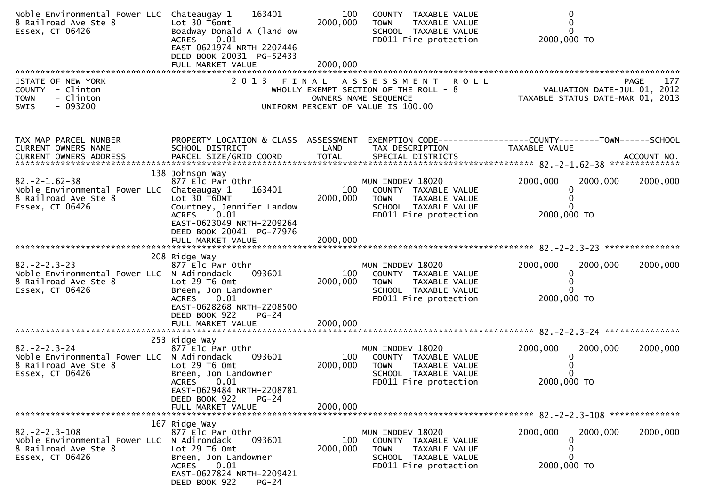| Noble Environmental Power LLC Chateaugay 1<br>8 Railroad Ave Ste 8<br>Essex, CT 06426                          | 163401<br>Lot 30 T6omt<br>Boadway Donald A (land ow<br>0.01<br><b>ACRES</b><br>EAST-0621974 NRTH-2207446<br>DEED BOOK 20031 PG-52433<br>FULL MARKET VALUE             | 100<br>2000,000<br>2000,000 | COUNTY TAXABLE VALUE<br>TAXABLE VALUE<br><b>TOWN</b><br>SCHOOL TAXABLE VALUE<br>FD011 Fire protection                                     | $\Omega$<br>2000,000 TO                                                       |          |
|----------------------------------------------------------------------------------------------------------------|-----------------------------------------------------------------------------------------------------------------------------------------------------------------------|-----------------------------|-------------------------------------------------------------------------------------------------------------------------------------------|-------------------------------------------------------------------------------|----------|
| STATE OF NEW YORK<br>COUNTY - Clinton<br>- Clinton<br><b>TOWN</b><br>$-093200$<br>SWIS                         | 2 0 1 3                                                                                                                                                               | FINAL                       | A S S E S S M E N T<br><b>ROLL</b><br>WHOLLY EXEMPT SECTION OF THE ROLL - 8<br>OWNERS NAME SEQUENCE<br>UNIFORM PERCENT OF VALUE IS 100.00 | PAGE<br>VALUATION DATE-JUL 01, 2012<br>TAXABLE STATUS DATE-MAR 01, 2013       | 177      |
| TAX MAP PARCEL NUMBER<br>CURRENT OWNERS NAME                                                                   | PROPERTY LOCATION & CLASS ASSESSMENT<br>SCHOOL DISTRICT                                                                                                               | LAND                        | TAX DESCRIPTION                                                                                                                           | EXEMPTION CODE-----------------COUNTY-------TOWN------SCHOOL<br>TAXABLE VALUE |          |
| $82. -2 - 1.62 - 38$<br>Noble Environmental Power LLC Chateaugay 1<br>8 Railroad Ave Ste 8<br>Essex, CT 06426  | 138 Johnson Way<br>877 Elc Pwr Othr<br>163401<br>Lot 30 T60MT<br>Courtney, Jennifer Landow<br>0.01<br>ACRES<br>EAST-0623049 NRTH-2209264<br>DEED BOOK 20041 PG-77976  | 100<br>2000,000             | MUN INDDEV 18020<br>COUNTY TAXABLE VALUE<br>TAXABLE VALUE<br><b>TOWN</b><br>SCHOOL TAXABLE VALUE<br>FD011 Fire protection                 | 2000,000<br>2000,000<br>2000,000 TO                                           | 2000,000 |
|                                                                                                                |                                                                                                                                                                       |                             |                                                                                                                                           |                                                                               |          |
| $82 - 2 - 2 - 3 - 23$<br>Noble Environmental Power LLC N Adirondack<br>8 Railroad Ave Ste 8<br>Essex, CT 06426 | 208 Ridge Way<br>877 Elc Pwr Othr<br>093601<br>Lot 29 T6 Omt<br>Breen, Jon Landowner<br>0.01<br><b>ACRES</b><br>EAST-0628268 NRTH-2208500<br>DEED BOOK 922<br>$PG-24$ | 100<br>2000,000             | MUN INDDEV 18020<br>COUNTY TAXABLE VALUE<br>TAXABLE VALUE<br><b>TOWN</b><br>SCHOOL TAXABLE VALUE<br>FD011 Fire protection                 | 2000,000<br>2000,000<br>0<br>2000,000 TO                                      | 2000,000 |
|                                                                                                                | FULL MARKET VALUE                                                                                                                                                     | 2000,000                    |                                                                                                                                           |                                                                               |          |
| $82 - 2 - 2 - 3 - 24$<br>Noble Environmental Power LLC N Adirondack<br>8 Railroad Ave Ste 8<br>Essex, CT 06426 | 253 Ridge Way<br>877 Elc Pwr Othr<br>093601<br>Lot 29 T6 Omt<br>Breen, Jon Landowner<br><b>ACRES</b><br>0.01<br>EAST-0629484 NRTH-2208781                             | 100<br>2000,000             | MUN INDDEV 18020<br>COUNTY TAXABLE VALUE<br><b>TOWN</b><br>TAXABLE VALUE<br>SCHOOL TAXABLE VALUE<br>FD011 Fire protection                 | 2000,000<br>2000,000<br>2000,000 TO                                           | 2000,000 |
|                                                                                                                | DEED BOOK 922<br>$PG-24$<br>FULL MARKET VALUE                                                                                                                         | 2000,000                    |                                                                                                                                           |                                                                               |          |
|                                                                                                                | 167 Ridge Way                                                                                                                                                         |                             |                                                                                                                                           |                                                                               |          |
| $82 - 2 - 2 - 3 - 108$<br>Noble Environmental Power LLC<br>8 Railroad Ave Ste 8<br>Essex, CT 06426             | 877 Elc Pwr Othr<br>N Adirondack<br>093601<br>Lot 29 T6 Omt<br>Breen, Jon Landowner<br>0.01<br><b>ACRES</b><br>EAST-0627824 NRTH-2209421<br>DEED BOOK 922<br>$PG-24$  | 100<br>2000,000             | MUN INDDEV 18020<br>COUNTY TAXABLE VALUE<br><b>TOWN</b><br>TAXABLE VALUE<br>SCHOOL TAXABLE VALUE<br>FD011 Fire protection                 | 2000,000<br>2000,000<br>0<br>0<br>0<br>2000,000 TO                            | 2000,000 |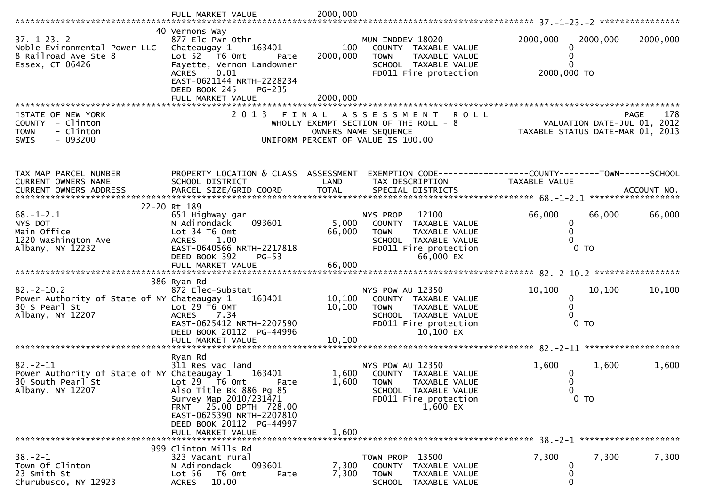|                                                                                                       | FULL MARKET VALUE                                                                                                                                                                                      | 2000,000                    |                                                                                                                                             |                           |                                                                                       |
|-------------------------------------------------------------------------------------------------------|--------------------------------------------------------------------------------------------------------------------------------------------------------------------------------------------------------|-----------------------------|---------------------------------------------------------------------------------------------------------------------------------------------|---------------------------|---------------------------------------------------------------------------------------|
|                                                                                                       | 40 Vernons Way                                                                                                                                                                                         |                             |                                                                                                                                             |                           |                                                                                       |
| $37. - 1 - 23. - 2$<br>Noble Evironmental Power LLC<br>8 Railroad Ave Ste 8<br>Essex, CT 06426        | 877 Elc Pwr Othr<br>Chateaugay 1<br>163401<br>Lot 52  T6 Omt<br>Pate<br>Fayette, Vernon Landowner<br><b>ACRES</b><br>0.01<br>EAST-0621144 NRTH-2228234                                                 | 100<br>2000,000             | MUN INDDEV 18020<br>COUNTY TAXABLE VALUE<br><b>TOWN</b><br>TAXABLE VALUE<br>SCHOOL TAXABLE VALUE<br>FD011 Fire protection                   | 2000,000<br>2000,000 TO   | 2000,000<br>2000,000                                                                  |
|                                                                                                       | DEED BOOK 245<br>$PG-235$<br>FULL MARKET VALUE                                                                                                                                                         | 2000,000                    |                                                                                                                                             |                           |                                                                                       |
| STATE OF NEW YORK<br>COUNTY - Clinton<br>- Clinton<br><b>TOWN</b><br>$-093200$<br><b>SWIS</b>         |                                                                                                                                                                                                        |                             | 2013 FINAL ASSESSMENT<br><b>ROLL</b><br>WHOLLY EXEMPT SECTION OF THE ROLL - 8<br>OWNERS NAME SEQUENCE<br>UNIFORM PERCENT OF VALUE IS 100.00 |                           | <b>PAGE</b><br>178<br>VALUATION DATE-JUL 01, 2012<br>TAXABLE STATUS DATE-MAR 01, 2013 |
| TAX MAP PARCEL NUMBER<br>CURRENT OWNERS NAME                                                          | PROPERTY LOCATION & CLASS ASSESSMENT<br>SCHOOL DISTRICT                                                                                                                                                | LAND                        | EXEMPTION CODE------------------COUNTY--------TOWN------SCHOOL<br>TAX DESCRIPTION                                                           | TAXABLE VALUE             | ACCOUNT NO.<br>******************                                                     |
|                                                                                                       | 22-20 Rt 189                                                                                                                                                                                           |                             |                                                                                                                                             |                           |                                                                                       |
| $68. - 1 - 2.1$<br>NYS DOT<br>Main Office<br>1220 Washington Ave<br>Albany, NY 12232                  | 651 Highway gar<br>N Adirondack<br>093601<br>Lot 34 T6 Omt<br>1.00<br><b>ACRES</b><br>EAST-0640566 NRTH-2217818<br>DEED BOOK 392<br>$PG-53$                                                            | 5,000<br>66,000             | 12100<br>NYS PROP<br>COUNTY TAXABLE VALUE<br><b>TOWN</b><br>TAXABLE VALUE<br>SCHOOL TAXABLE VALUE<br>FD011 Fire protection<br>66,000 EX     | 66,000<br>0               | 66,000<br>66,000<br>$0$ TO                                                            |
|                                                                                                       | FULL MARKET VALUE                                                                                                                                                                                      | 66,000                      |                                                                                                                                             |                           |                                                                                       |
|                                                                                                       | 386 Ryan Rd                                                                                                                                                                                            |                             |                                                                                                                                             |                           |                                                                                       |
| $82 - 2 - 10.2$<br>Power Authority of State of NY Chateaugay 1<br>30 S Pearl St<br>Albany, NY 12207   | 872 Elec-Substat<br>163401<br>Lot $29$ T6 OMT<br>ACRES 7.34<br>EAST-0625412 NRTH-2207590<br>DEED BOOK 20112 PG-44996<br>FULL MARKET VALUE                                                              | 10,100<br>10, 100<br>10,100 | NYS POW AU 12350<br>COUNTY TAXABLE VALUE<br><b>TOWN</b><br>TAXABLE VALUE<br>SCHOOL TAXABLE VALUE<br>FD011 Fire protection<br>10,100 EX      | 10,100<br>0<br>0          | 10,100<br>10,100<br>$0$ TO                                                            |
|                                                                                                       |                                                                                                                                                                                                        |                             |                                                                                                                                             |                           |                                                                                       |
| $82 - 2 - 11$<br>Power Authority of State of NY Chateaugay 1<br>30 South Pearl St<br>Albany, NY 12207 | Ryan Rd<br>311 Res vac land<br>163401<br>Lot 29 76 0mt<br>Pate<br>Also Title Bk 886 Pg 85<br>Survey Map 2010/231471<br>FRNT 25.00 DPTH 728.00<br>EAST-0625390 NRTH-2207810<br>DEED BOOK 20112 PG-44997 | 1,600<br>1,600              | NYS POW AU 12350<br>COUNTY TAXABLE VALUE<br><b>TOWN</b><br>TAXABLE VALUE<br>SCHOOL TAXABLE VALUE<br>FD011 Fire protection<br>1,600 EX       | 1,600<br>$\mathbf 0$<br>0 | 1,600<br>1,600<br>$0$ TO                                                              |
|                                                                                                       | FULL MARKET VALUE                                                                                                                                                                                      | 1,600                       |                                                                                                                                             |                           |                                                                                       |
|                                                                                                       | 999 Clinton Mills Rd                                                                                                                                                                                   |                             |                                                                                                                                             |                           |                                                                                       |
| $38 - 2 - 1$<br>Town Of Clinton<br>23 Smith St<br>Churubusco, NY 12923                                | 323 Vacant rural<br>093601<br>N Adirondack<br>Lot 56<br>T6 Omt<br>Pate<br>10.00<br><b>ACRES</b>                                                                                                        | 7,300<br>7,300              | TOWN PROP 13500<br><b>COUNTY</b><br>TAXABLE VALUE<br><b>TOWN</b><br>TAXABLE VALUE<br><b>SCHOOL</b><br>TAXABLE VALUE                         | 7,300                     | 7,300<br>7,300                                                                        |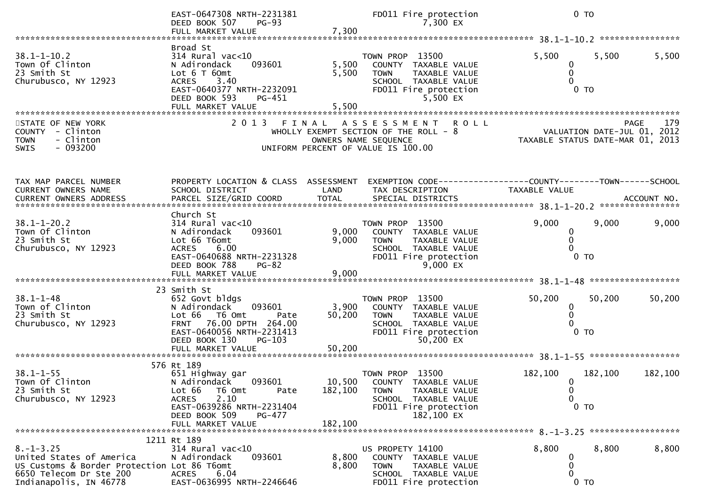|                                                                                                                                                 | EAST-0647308 NRTH-2231381<br>DEED BOOK 507<br>$PG-93$<br>FULL MARKET VALUE                                                                                                                             | 7,300                        | FD011 Fire protection<br>7,300 EX                                                                                                                  |                                              | 0 <sub>T</sub>                                                  |                  |
|-------------------------------------------------------------------------------------------------------------------------------------------------|--------------------------------------------------------------------------------------------------------------------------------------------------------------------------------------------------------|------------------------------|----------------------------------------------------------------------------------------------------------------------------------------------------|----------------------------------------------|-----------------------------------------------------------------|------------------|
|                                                                                                                                                 |                                                                                                                                                                                                        |                              |                                                                                                                                                    |                                              |                                                                 | **************** |
| $38.1 - 1 - 10.2$<br>Town Of Clinton<br>23 Smith St<br>Churubusco, NY 12923                                                                     | Broad St<br>$314$ Rural vac<10<br>093601<br>N Adirondack<br>Lot 6 T 60 m t<br>3.40<br><b>ACRES</b><br>EAST-0640377 NRTH-2232091<br>DEED BOOK 593<br>PG-451<br>FULL MARKET VALUE                        | 5,500<br>5,500<br>5,500      | TOWN PROP 13500<br>COUNTY<br>TAXABLE VALUE<br>TAXABLE VALUE<br><b>TOWN</b><br>SCHOOL TAXABLE VALUE<br>FD011 Fire protection<br>5,500 EX            | 5,500<br>0                                   | 5,500<br>0 <sub>T</sub>                                         | 5,500            |
| STATE OF NEW YORK<br><b>COUNTY</b><br>- Clinton<br>- Clinton<br><b>TOWN</b><br>$-093200$<br><b>SWIS</b>                                         | 2013 FINAL                                                                                                                                                                                             |                              | A S S E S S M E N T<br><b>ROLL</b><br>WHOLLY EXEMPT SECTION OF THE ROLL - 8<br>OWNERS NAME SEQUENCE<br>UNIFORM PERCENT OF VALUE IS 100.00          |                                              | VALUATION DATE-JUL 01, 2012<br>TAXABLE STATUS DATE-MAR 01, 2013 | 179<br>PAGE      |
| TAX MAP PARCEL NUMBER<br>CURRENT OWNERS NAME                                                                                                    | PROPERTY LOCATION & CLASS ASSESSMENT<br>SCHOOL DISTRICT                                                                                                                                                | LAND                         | TAX DESCRIPTION                                                                                                                                    | <b>TAXABLE VALUE</b>                         |                                                                 |                  |
| $38.1 - 1 - 20.2$<br>Town Of Clinton<br>23 Smith St<br>Churubusco, NY 12923                                                                     | Church St<br>314 Rural vac<10<br>093601<br>N Adirondack<br>Lot 66 T6omt<br>6.00<br><b>ACRES</b><br>EAST-0640688 NRTH-2231328<br>DEED BOOK 788<br>$PG-82$<br>FULL MARKET VALUE                          | 9,000<br>9,000<br>9,000      | TOWN PROP 13500<br>COUNTY TAXABLE VALUE<br><b>TOWN</b><br>TAXABLE VALUE<br>SCHOOL TAXABLE VALUE<br>FD011 Fire protection<br>9,000 EX               | 9,000<br>0                                   | 9,000<br>0 <sub>T</sub><br>*************                        | 9,000            |
| $38.1 - 1 - 48$<br>Town of Clinton<br>23 Smith St<br>Churubusco, NY 12923                                                                       | 23 Smith St<br>652 Govt bldgs<br>093601<br>N Adirondack<br>Lot 66<br>T6 Omt<br>Pate<br>76.00 DPTH 264.00<br><b>FRNT</b><br>EAST-0640056 NRTH-2231413<br>DEED BOOK 130<br>$PG-103$<br>FULL MARKET VALUE | 3,900<br>50,200<br>50,200    | TOWN PROP<br>13500<br><b>COUNTY</b><br>TAXABLE VALUE<br>TAXABLE VALUE<br><b>TOWN</b><br>SCHOOL TAXABLE VALUE<br>FD011 Fire protection<br>50,200 EX | 50,200<br>0                                  | 50,200<br>$0$ TO                                                | 50,200           |
|                                                                                                                                                 | 576 Rt 189                                                                                                                                                                                             |                              |                                                                                                                                                    |                                              |                                                                 |                  |
| $38.1 - 1 - 55$<br>Town Of Clinton<br>23 Smith St<br>Churubusco, NY 12923                                                                       | 651 Highway gar<br>N Adirondack<br>093601<br>Lot 66<br>T6 Omt<br>Pate<br>2.10<br><b>ACRES</b><br>EAST-0639286 NRTH-2231404<br>DEED BOOK 509<br>PG-477<br>FULL MARKET VALUE                             | 10,500<br>182,100<br>182,100 | TOWN PROP 13500<br>COUNTY TAXABLE VALUE<br>TAXABLE VALUE<br><b>TOWN</b><br>SCHOOL TAXABLE VALUE<br>FD011 Fire protection<br>182,100 EX             | 182,100<br>$\mathbf{0}$<br>0<br>$\mathbf{0}$ | 182,100<br>0 <sub>T</sub>                                       | 182,100          |
|                                                                                                                                                 |                                                                                                                                                                                                        |                              |                                                                                                                                                    |                                              |                                                                 |                  |
| $8. - 1 - 3.25$<br>United States of America<br>US Customs & Border Protection Lot 86 T6omt<br>6650 Telecom Dr Ste 200<br>Indianapolis, IN 46778 | 1211 Rt 189<br>314 Rural vac<10<br>093601<br>N Adirondack<br><b>ACRES</b><br>6.04<br>EAST-0636995 NRTH-2246646                                                                                         | 8,800<br>8,800               | US PROPETY 14100<br>COUNTY TAXABLE VALUE<br><b>TOWN</b><br>TAXABLE VALUE<br>SCHOOL TAXABLE VALUE<br>FD011 Fire protection                          | 8,800<br>0<br>0<br>0                         | 8,800<br>$0$ TO                                                 | 8,800            |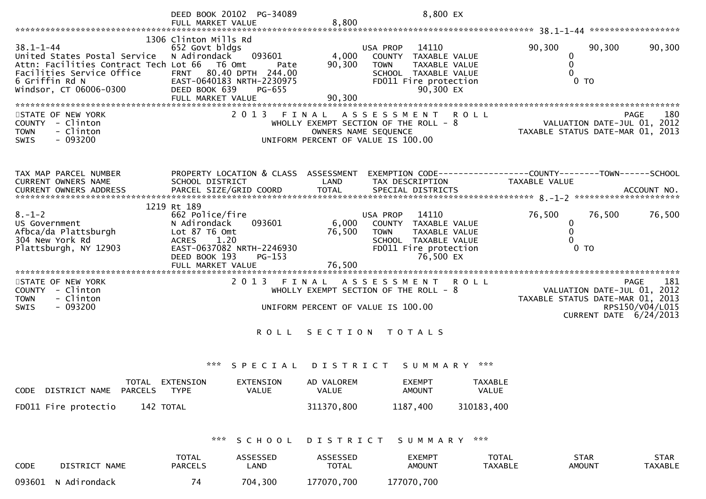|                                                                                                                                                                   | DEED BOOK 20102 PG-34089                                                                                                                                                                             |                                                                                                     | 8,800 EX                                                                                                                                                 |                                |                                                                                                                             |                               |
|-------------------------------------------------------------------------------------------------------------------------------------------------------------------|------------------------------------------------------------------------------------------------------------------------------------------------------------------------------------------------------|-----------------------------------------------------------------------------------------------------|----------------------------------------------------------------------------------------------------------------------------------------------------------|--------------------------------|-----------------------------------------------------------------------------------------------------------------------------|-------------------------------|
|                                                                                                                                                                   | FULL MARKET VALUE                                                                                                                                                                                    | 8,800                                                                                               |                                                                                                                                                          |                                |                                                                                                                             |                               |
| $38.1 - 1 - 44$<br>United States Postal Service<br>Attn: Facilities Contract Tech Lot 66<br>Facilities Service Office<br>6 Griffin Rd N<br>Windsor, CT 06006-0300 | 1306 Clinton Mills Rd<br>652 Govt bldgs<br>093601<br>N Adirondack<br>T6 Omt<br>Pate<br>80.40 DPTH 244.00<br><b>FRNT</b><br>EAST-0640183 NRTH-2230975<br>DEED BOOK 639<br>PG-655<br>FULL MARKET VALUE | 4,000<br>90,300<br>90,300                                                                           | 14110<br>USA PROP<br>TAXABLE VALUE<br><b>COUNTY</b><br><b>TOWN</b><br><b>TAXABLE VALUE</b><br>SCHOOL TAXABLE VALUE<br>FD011 Fire protection<br>90,300 EX | 90,300                         | 90,300<br>0<br>0<br>0<br>0 <sub>T</sub>                                                                                     | 90,300                        |
| STATE OF NEW YORK<br>COUNTY - Clinton<br>- Clinton<br><b>TOWN</b><br>$-093200$<br><b>SWIS</b>                                                                     | 2013 FINAL                                                                                                                                                                                           | WHOLLY EXEMPT SECTION OF THE ROLL - 8<br>OWNERS NAME SEQUENCE<br>UNIFORM PERCENT OF VALUE IS 100.00 | A S S E S S M E N T<br><b>ROLL</b>                                                                                                                       |                                | PAGE<br>VALUATION DATE-JUL 01, 2012<br>TAXABLE STATUS DATE-MAR 01, 2013                                                     | 180                           |
| TAX MAP PARCEL NUMBER<br>CURRENT OWNERS NAME                                                                                                                      | PROPERTY LOCATION & CLASS ASSESSMENT<br>SCHOOL DISTRICT                                                                                                                                              | LAND                                                                                                | EXEMPTION CODE------------------COUNTY--------TOWN------SCHOOL<br>TAX DESCRIPTION                                                                        | <b>TAXABLE VALUE</b>           |                                                                                                                             |                               |
| $8. - 1 - 2$<br>US Government<br>Afbca/da Plattsburgh<br>304 New York Rd<br>Plattsburgh, NY 12903                                                                 | 1219 Rt 189<br>662 Police/fire<br>093601<br>N Adirondack<br>Lot 87 T6 Omt<br>1.20<br><b>ACRES</b><br>EAST-0637082 NRTH-2246930<br>DEED BOOK 193<br>$PG-153$<br>FULL MARKET VALUE                     | 6,000<br>76,500<br>76,500                                                                           | 14110<br>USA PROP<br>COUNTY TAXABLE VALUE<br><b>TOWN</b><br>TAXABLE VALUE<br>SCHOOL TAXABLE VALUE<br>FD011 Fire protection<br>76,500 EX                  | 76,500                         | 76,500<br>$\bf{0}$<br>0<br>$0$ TO                                                                                           | 76,500                        |
| STATE OF NEW YORK<br>COUNTY - Clinton<br>- Clinton<br><b>TOWN</b><br>$-093200$<br><b>SWIS</b>                                                                     | 2 0 1 3                                                                                                                                                                                              | F I N A L<br>WHOLLY EXEMPT SECTION OF THE ROLL - 8<br>UNIFORM PERCENT OF VALUE IS 100.00            | A S S E S S M E N T<br><b>ROLL</b>                                                                                                                       |                                | <b>PAGE</b><br>VALUATION DATE-JUL 01, 2012<br>TAXABLE STATUS DATE-MAR 01, 2013<br>RPS150/V04/L015<br>CURRENT DATE 6/24/2013 | 181                           |
|                                                                                                                                                                   | <b>ROLL</b>                                                                                                                                                                                          | SECTION TOTALS                                                                                      |                                                                                                                                                          |                                |                                                                                                                             |                               |
| TOTAL EXTENSION                                                                                                                                                   | ***<br>SPECIAL<br><b>EXTENSION</b>                                                                                                                                                                   | D I S T R I C T<br>AD VALOREM                                                                       | S U M M A R Y<br><b>EXEMPT</b>                                                                                                                           | ***<br>TAXABLE                 |                                                                                                                             |                               |
| DISTRICT NAME PARCELS<br>CODE                                                                                                                                     | VALUE<br><b>TYPE</b>                                                                                                                                                                                 | VALUE                                                                                               | <b>AMOUNT</b>                                                                                                                                            | VALUE                          |                                                                                                                             |                               |
| FD011 Fire protectio<br>142 TOTAL                                                                                                                                 |                                                                                                                                                                                                      | 311370,800                                                                                          | 1187,400                                                                                                                                                 | 310183,400                     |                                                                                                                             |                               |
|                                                                                                                                                                   | ***<br>SCHOOL                                                                                                                                                                                        | DISTRICT                                                                                            | SUMMARY                                                                                                                                                  | ***                            |                                                                                                                             |                               |
| CODE<br>DISTRICT NAME                                                                                                                                             | <b>TOTAL</b><br>ASSESSED<br><b>PARCELS</b><br>LAND                                                                                                                                                   | ASSESSED<br><b>TOTAL</b>                                                                            | <b>EXEMPT</b><br><b>AMOUNT</b>                                                                                                                           | <b>TOTAL</b><br><b>TAXABLE</b> | <b>STAR</b><br><b>AMOUNT</b>                                                                                                | <b>STAR</b><br><b>TAXABLE</b> |
| 093601<br>N Adirondack                                                                                                                                            | 74<br>704,300                                                                                                                                                                                        | 177070,700                                                                                          | 177070,700                                                                                                                                               |                                |                                                                                                                             |                               |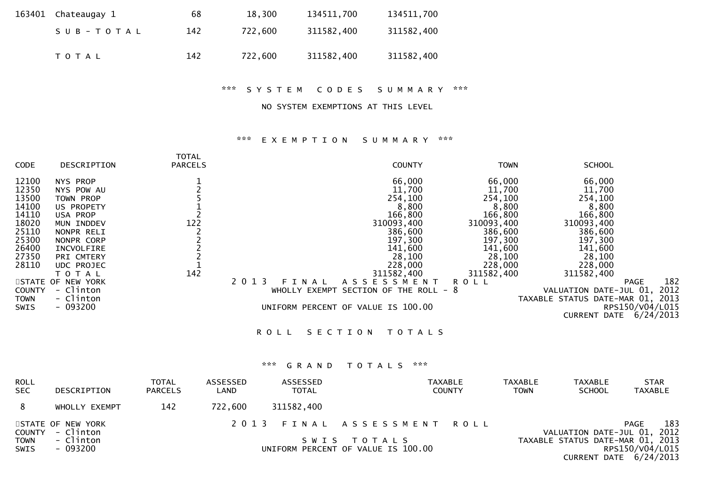| 163401 Chateaugay 1 | 68  | 18,300  | 134511,700 | 134511,700 |
|---------------------|-----|---------|------------|------------|
| SUB-TOTAL           | 142 | 722.600 | 311582,400 | 311582,400 |
| T O T A L           | 142 | 722,600 | 311582,400 | 311582,400 |

\*\*\* S Y S T E M C O D E S S U M M A R Y \*\*\*

## NO SYSTEM EXEMPTIONS AT THIS LEVEL

### \*\*\* E X E M P T I O N S U M M A R Y \*\*\*

| <b>CODE</b>                                                                                                              | DESCRIPTION                                                                                                                                                                                               | <b>TOTAL</b><br><b>PARCELS</b>                            |                          | <b>COUNTY</b>                                                                                                                                                                                     | <b>TOWN</b>                                                                                                                                      | <b>SCHOOL</b>                                                                                                                                                                                                                 |
|--------------------------------------------------------------------------------------------------------------------------|-----------------------------------------------------------------------------------------------------------------------------------------------------------------------------------------------------------|-----------------------------------------------------------|--------------------------|---------------------------------------------------------------------------------------------------------------------------------------------------------------------------------------------------|--------------------------------------------------------------------------------------------------------------------------------------------------|-------------------------------------------------------------------------------------------------------------------------------------------------------------------------------------------------------------------------------|
| 12100<br>12350<br>13500<br>14100<br>14110<br>18020<br>25110<br>25300<br>26400<br>27350<br>28110<br>COUNTY<br><b>TOWN</b> | NYS PROP<br>NYS POW AU<br>TOWN PROP<br>US PROPETY<br>USA PROP<br>MUN INDDEV<br>NONPR RELI<br>NONPR CORP<br>INCVOLFIRE<br>PRI CMTERY<br>UDC PROJEC<br>TOTAL<br>STATE OF NEW YORK<br>- Clinton<br>- Clinton | 1<br>2<br>5<br>1<br>2<br>122<br>$2222$<br>$21$<br>142     | 2 0 1 3<br>FINAL         | 66,000<br>11,700<br>254,100<br>8,800<br>166,800<br>310093,400<br>386,600<br>197,300<br>141,600<br>28,100<br>228,000<br>311582,400<br>A S S E S S M E N T<br>WHOLLY EXEMPT SECTION OF THE ROLL - 8 | 66,000<br>11,700<br>254,100<br>8,800<br>166,800<br>310093,400<br>386,600<br>197,300<br>141,600<br>28,100<br>228,000<br>311582,400<br><b>ROLL</b> | 66,000<br>11,700<br>254,100<br>8,800<br>166,800<br>310093,400<br>386,600<br>197,300<br>141,600<br>28,100<br>228,000<br>311582,400<br>182<br><b>PAGE</b><br>2012<br>VALUATION DATE-JUL 01,<br>TAXABLE STATUS DATE-MAR 01, 2013 |
| SWIS                                                                                                                     | $-093200$                                                                                                                                                                                                 |                                                           |                          | UNIFORM PERCENT OF VALUE IS 100.00                                                                                                                                                                |                                                                                                                                                  | RPS150/V04/L015<br>CURRENT DATE 6/24/2013                                                                                                                                                                                     |
|                                                                                                                          |                                                                                                                                                                                                           |                                                           | <b>ROLL</b>              | SECTION<br><b>TOTALS</b>                                                                                                                                                                          |                                                                                                                                                  |                                                                                                                                                                                                                               |
|                                                                                                                          |                                                                                                                                                                                                           |                                                           | $* * *$<br>GRAND         | $\mathbf{x} \times \mathbf{x}$<br>TOTALS                                                                                                                                                          |                                                                                                                                                  |                                                                                                                                                                                                                               |
| <b>ROLL</b><br><b>SEC</b>                                                                                                | DESCRIPTION                                                                                                                                                                                               | <b>TOTAL</b><br><b>ASSESSED</b><br><b>PARCELS</b><br>LAND | ASSESSED<br><b>TOTAL</b> | <b>TAXABLE</b><br><b>COUNTY</b>                                                                                                                                                                   | <b>TAXABLE</b><br><b>TOWN</b>                                                                                                                    | <b>TAXABLE</b><br><b>STAR</b><br><b>SCHOOL</b><br><b>TAXABLE</b>                                                                                                                                                              |
| 8                                                                                                                        | WHOLLY EXEMPT                                                                                                                                                                                             | 142<br>722,600                                            | 311582,400               |                                                                                                                                                                                                   |                                                                                                                                                  |                                                                                                                                                                                                                               |
| <b>COUNTY</b><br><b>TOWN</b><br>SWIS                                                                                     | STATE OF NEW YORK<br>- Clinton<br>- Clinton<br>$-093200$                                                                                                                                                  |                                                           | 2 0 1 3<br>FINAL<br>SWIS | A S S E S S M E N T<br>TOTALS<br>UNIFORM PERCENT OF VALUE IS 100.00                                                                                                                               | <b>ROLL</b>                                                                                                                                      | 183<br>PAGE<br>2012<br>VALUATION DATE-JUL 01,<br>TAXABLE STATUS DATE-MAR 01, 2013<br>RPS150/V04/L015<br>CURRENT DATE 6/24/2013                                                                                                |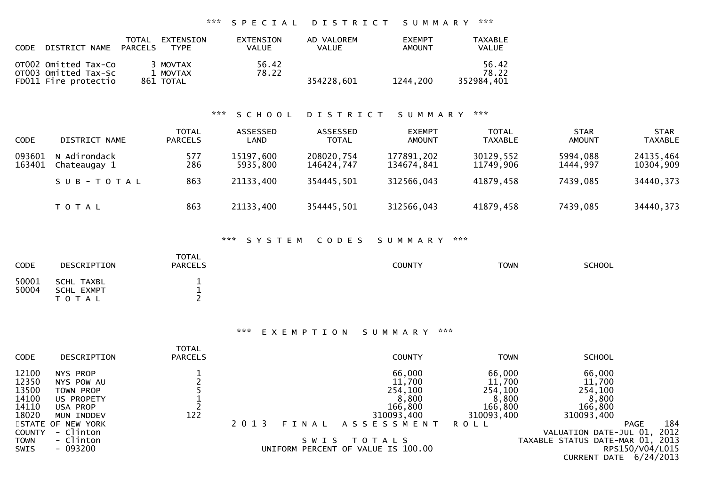## \*\*\* S P E C I A L D I S T R I C T S U M M A R Y \*\*\*

| <b>CODE</b> | DISTRICT NAME                                                        | <b>TOTAL</b><br>PARCELS | <b>EXTENSION</b><br><b>TYPF</b>   | <b>EXTENSTON</b><br>VALUE | AD VALOREM<br><b>VALUE</b> | <b>EXEMPT</b><br>AMOUNT | <b>TAXABLE</b><br><b>VALUE</b> |
|-------------|----------------------------------------------------------------------|-------------------------|-----------------------------------|---------------------------|----------------------------|-------------------------|--------------------------------|
|             | OT002 Omitted Tax-Co<br>OT003 Omitted Tax-Sc<br>FD011 Fire protectio |                         | 3 MOVTAX<br>1 MOVTAX<br>861 TOTAL | 56.42<br>78.22            | 354228.601                 | 1244.200                | 56.42<br>78.22<br>352984.401   |

# \*\*\* S C H O O L D I S T R I C T S U M M A R Y \*\*\*

| <b>CODE</b>      | DISTRICT NAME                | <b>TOTAL</b><br><b>PARCELS</b> | ASSESSED<br>LAND      | ASSESSED<br><b>TOTAL</b> | <b>EXEMPT</b><br><b>AMOUNT</b> | <b>TOTAL</b><br><b>TAXABLE</b> | <b>STAR</b><br><b>AMOUNT</b> | <b>STAR</b><br><b>TAXABLE</b> |
|------------------|------------------------------|--------------------------------|-----------------------|--------------------------|--------------------------------|--------------------------------|------------------------------|-------------------------------|
| 093601<br>163401 | N Adirondack<br>Chateaugay 1 | 577<br>286                     | 15197,600<br>5935,800 | 208020,754<br>146424.747 | 177891,202<br>134674.841       | 30129,552<br>11749.906         | 5994,088<br>1444.997         | 24135,464<br>10304,909        |
|                  | SUB-TOTAL                    | 863                            | 21133,400             | 354445,501               | 312566,043                     | 41879,458                      | 7439,085                     | 34440, 373                    |
|                  | T O T A L                    | 863                            | 21133,400             | 354445,501               | 312566,043                     | 41879,458                      | 7439,085                     | 34440, 373                    |

## \*\*\* S Y S T E M C O D E S S U M M A R Y \*\*\*

| <b>CODE</b>    | DESCRIPTION                           | <b>TOTAL</b><br><b>PARCELS</b> | <b>COUNTY</b> | <b>TOWN</b> | <b>SCHOOL</b> |
|----------------|---------------------------------------|--------------------------------|---------------|-------------|---------------|
| 50001<br>50004 | SCHL TAXBL<br>SCHL EXMPT<br>T O T A L |                                |               |             |               |

## \*\*\* E X E M P T I O N S U M M A R Y \*\*\*

| <b>CODE</b>             | DESCRIPTION                         | TOTAL<br><b>PARCELS</b> |         |         | <b>COUNTY</b>                                     | <b>TOWN</b>                 | <b>SCHOOL</b>                                                         |                   |
|-------------------------|-------------------------------------|-------------------------|---------|---------|---------------------------------------------------|-----------------------------|-----------------------------------------------------------------------|-------------------|
| 12100<br>12350          | NYS PROP<br>NYS POW AU              |                         |         |         | 66,000<br>11,700                                  | 66,000<br>11,700            | 66,000<br>11,700                                                      |                   |
| 13500<br>14100<br>14110 | TOWN PROP<br>US PROPETY<br>USA PROP |                         |         |         | 254,100<br>8,800<br>166,800                       | 254,100<br>8,800<br>166,800 | 254,100<br>8,800<br>166,800                                           |                   |
| 18020                   | MUN INDDEV<br>STATE OF NEW YORK     | 122                     | 2 0 1 3 | FINAL   | 310093,400<br>A S S E S S M E N T                 | 310093,400<br>ROLL          | 310093,400<br><b>PAGE</b>                                             | 184               |
| <b>COUNTY</b>           | - Clinton                           |                         |         |         |                                                   |                             | VALUATION DATE-JUL 01,                                                | 2012              |
| <b>TOWN</b><br>SWIS     | - Clinton<br>- 093200               |                         |         | S W I S | T O T A L S<br>UNIFORM PERCENT OF VALUE IS 100.00 |                             | TAXABLE STATUS DATE-MAR 01,<br>RPS150/V04/L015<br><b>CURRENT DATE</b> | 2013<br>6/24/2013 |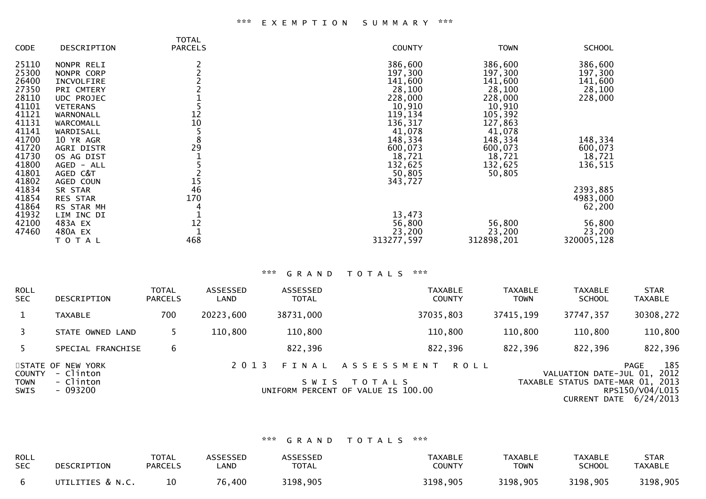|             |                 | <b>TOTAL</b>    |               |             |               |
|-------------|-----------------|-----------------|---------------|-------------|---------------|
| <b>CODE</b> | DESCRIPTION     | <b>PARCELS</b>  | <b>COUNTY</b> | <b>TOWN</b> | <b>SCHOOL</b> |
| 25110       | NONPR RELI      |                 | 386,600       | 386,600     | 386,600       |
| 25300       | NONPR CORP      |                 | 197,300       | 197,300     | 197,300       |
| 26400       | INCVOLFIRE      |                 | 141,600       | 141,600     | 141,600       |
| 27350       | PRI CMTERY      |                 | 28,100        | 28,100      | 28,100        |
| 28110       | UDC PROJEC      |                 | 228,000       | 228,000     | 228,000       |
| 41101       | <b>VETERANS</b> |                 | 10,910        | 10,910      |               |
| 41121       | WARNONALL       | 12              | 119,134       | 105,392     |               |
| 41131       | WARCOMALL       | 10              | 136,317       | 127,863     |               |
| 41141       | WARDISALL       | 5               | 41,078        | 41,078      |               |
| 41700       | 10 YR AGR       | 8               | 148,334       | 148,334     | 148,334       |
| 41720       | AGRI DISTR      | $2\overline{9}$ | 600,073       | 600,073     | 600,073       |
| 41730       | OS AG DIST      |                 | 18,721        | 18,721      | 18,721        |
| 41800       | AGED - ALL      |                 | 132,625       | 132,625     | 136,515       |
| 41801       | AGED C&T        |                 | 50,805        | 50,805      |               |
| 41802       | AGED COUN       | 15              | 343,727       |             |               |
| 41834       | SR STAR         | 46              |               |             | 2393,885      |
| 41854       | <b>RES STAR</b> | 170             |               |             | 4983,000      |
| 41864       | RS STAR MH      |                 |               |             | 62,200        |
| 41932       | LIM INC DI      |                 | 13,473        |             |               |
| 42100       | 483A EX         | 12              | 56,800        | 56,800      | 56,800        |
| 47460       | 480A EX         |                 | 23,200        | 23,200      | 23,200        |
|             | T O T A L       | 468             | 313277,597    | 312898,201  | 320005,128    |

## \*\*\* G R A N D T O T A L S \*\*\*

| <b>ROLL</b><br>SEC.                         | DESCRIPTION                                             | TOTAL<br><b>PARCELS</b> | ASSESSED<br>LAND | ASSESSED<br><b>TOTAL</b> | <b>TAXABLE</b><br><b>COUNTY</b>                                                         | <b>TAXABLE</b><br><b>TOWN</b> | <b>TAXABLE</b><br><b>SCHOOL</b>                            | <b>STAR</b><br><b>TAXABLE</b>                                                  |
|---------------------------------------------|---------------------------------------------------------|-------------------------|------------------|--------------------------|-----------------------------------------------------------------------------------------|-------------------------------|------------------------------------------------------------|--------------------------------------------------------------------------------|
| $\mathbf{1}$                                | <b>TAXABLE</b>                                          | 700                     | 20223,600        | 38731,000                | 37035,803                                                                               | 37415,199                     | 37747,357                                                  | 30308,272                                                                      |
| 3                                           | STATE OWNED LAND                                        |                         | 110,800          | 110,800                  | 110,800                                                                                 | 110,800                       | 110,800                                                    | 110,800                                                                        |
| 5.                                          | SPECIAL FRANCHISE                                       | 6                       |                  | 822,396                  | 822,396                                                                                 | 822,396                       | 822,396                                                    | 822,396                                                                        |
| <b>COUNTY</b><br><b>TOWN</b><br><b>SWIS</b> | STATE OF NEW YORK<br>- Clinton<br>- Clinton<br>- 093200 |                         | 2 0 1 3          | FINAL<br>S W I S         | A S S E S S M E N T<br><b>ROLL</b><br>T O T A L S<br>UNIFORM PERCENT OF VALUE IS 100.00 |                               | VALUATION DATE-JUL 01,<br>TAXABLE STATUS DATE-MAR 01, 2013 | 185<br><b>PAGE</b><br>2012<br>RPS150/V04/L015<br><b>CURRENT DATE 6/24/2013</b> |

### \*\*\* G R A N D T O T A L S \*\*\*

| <b>ROLL</b> | DESCRIPTION      | <b>TOTAL</b>   | <b>ASSESSED</b> | <b>ASSESSED</b> | <b>TAXABLE</b> | <b>TAXABLE</b> | <b>TAXABLE</b> | STAR           |
|-------------|------------------|----------------|-----------------|-----------------|----------------|----------------|----------------|----------------|
| <b>SEC</b>  |                  | <b>PARCELS</b> | ∟AND            | <b>TOTAL</b>    | <b>COUNTY</b>  | <b>TOWN</b>    | <b>SCHOOL</b>  | <b>TAXABLE</b> |
|             | UTILITIES & N.C. |                | 76,400          | 3198,905        | 3198,905       | 3198,905       | 3198,905       | 3198,905       |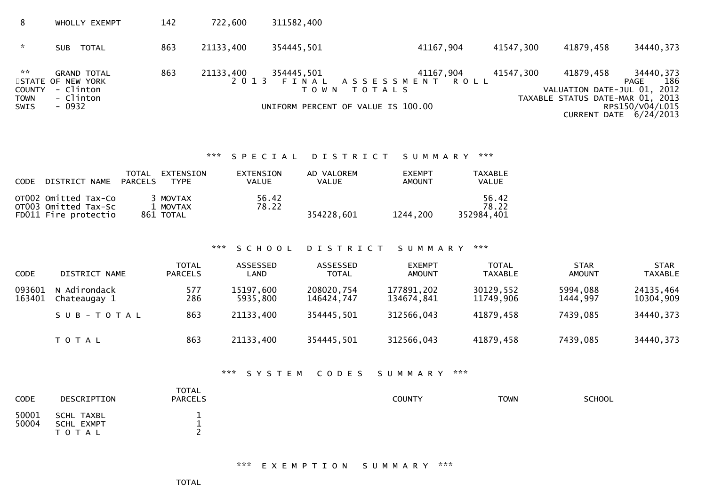| 8                                                      | WHOLLY EXEMPT                                                               | 142 | 722,600              | 311582,400                     |                                                                                   |           |                                                                              |                                                                       |
|--------------------------------------------------------|-----------------------------------------------------------------------------|-----|----------------------|--------------------------------|-----------------------------------------------------------------------------------|-----------|------------------------------------------------------------------------------|-----------------------------------------------------------------------|
| $\mathcal{H}$                                          | <b>TOTAL</b><br>SUB.                                                        | 863 | 21133,400            | 354445,501                     | 41167,904                                                                         | 41547,300 | 41879,458                                                                    | 34440, 373                                                            |
| $\mathbb{R}^n$<br><b>COUNTY</b><br><b>TOWN</b><br>SWIS | <b>GRAND TOTAL</b><br>STATE OF NEW YORK<br>- Clinton<br>- Clinton<br>- 0932 | 863 | 21133,400<br>2 0 1 3 | 354445,501<br>FINAL<br>T O W N | 41167,904<br>ASSESSMENT ROLL<br>T O T A L S<br>UNIFORM PERCENT OF VALUE IS 100.00 | 41547,300 | 41879,458<br>VALUATION DATE-JUL 01, 2012<br>TAXABLE STATUS DATE-MAR 01, 2013 | 34440,373<br>186<br>PAGE<br>RPS150/V04/L015<br>CURRENT DATE 6/24/2013 |

#### \*\*\* S P E C I A L D I S T R I C T S U M M A R Y \*\*\*

| <b>CODE</b> | DISTRICT NAME                                                        | TOTAL<br>PARCELS | EXTENSION<br><b>TYPE</b>          | EXTENSION<br>VALUE | AD VALOREM<br>VALUE | <b>EXEMPT</b><br><b>AMOUNT</b> | <b>TAXABLE</b><br>VALUE      |
|-------------|----------------------------------------------------------------------|------------------|-----------------------------------|--------------------|---------------------|--------------------------------|------------------------------|
|             | OT002 Omitted Tax-Co<br>OTO03 Omitted Tax-Sc<br>FD011 Fire protectio |                  | 3 MOVTAX<br>1 MOVTAX<br>861 TOTAL | 56.42<br>78.22     | 354228.601          | 1244,200                       | 56.42<br>78.22<br>352984.401 |

# \*\*\* S C H O O L D I S T R I C T S U M M A R Y \*\*\*

| <b>CODE</b>      | DISTRICT NAME                | <b>TOTAL</b><br><b>PARCELS</b> | ASSESSED<br>LAND      | ASSESSED<br><b>TOTAL</b> | <b>EXEMPT</b><br>AMOUNT  | <b>TOTAL</b><br>TAXABLE | <b>STAR</b><br><b>AMOUNT</b> | <b>STAR</b><br><b>TAXABLE</b> |
|------------------|------------------------------|--------------------------------|-----------------------|--------------------------|--------------------------|-------------------------|------------------------------|-------------------------------|
| 093601<br>163401 | N Adirondack<br>Chateaugay 1 | 577<br>286                     | 15197,600<br>5935,800 | 208020,754<br>146424,747 | 177891,202<br>134674,841 | 30129,552<br>11749,906  | 5994,088<br>1444,997         | 24135,464<br>10304,909        |
|                  | SUB-TOTAL                    | 863                            | 21133,400             | 354445,501               | 312566,043               | 41879,458               | 7439,085                     | 34440, 373                    |
|                  | <b>TOTAL</b>                 | 863                            | 21133,400             | 354445,501               | 312566,043               | 41879,458               | 7439,085                     | 34440, 373                    |

## \*\*\* S Y S T E M C O D E S S U M M A R Y \*\*\*

| <b>CODE</b>    | DESCRIPTION                           | <b>TOTAL</b><br><b>PARCELS</b> | <b>COUNTY</b> | <b>TOWN</b> | SCHOOL |
|----------------|---------------------------------------|--------------------------------|---------------|-------------|--------|
| 50001<br>50004 | SCHL TAXBL<br>SCHL EXMPT<br>T O T A L | --                             |               |             |        |

#### \*\*\* E X E M P T I O N S U M M A R Y \*\*\*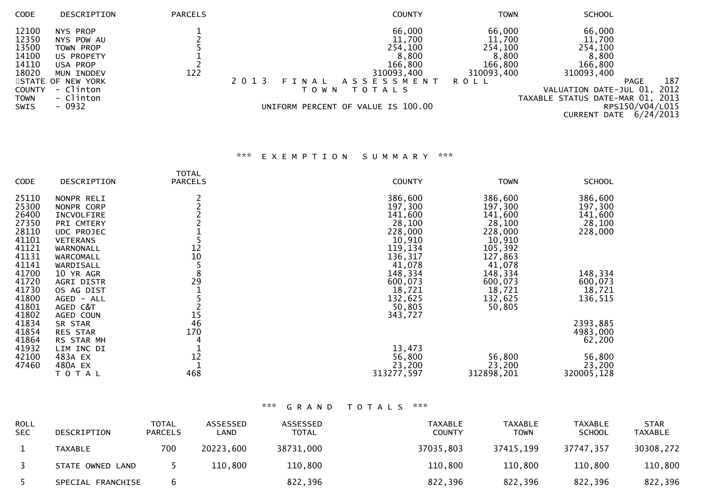| <b>CODE</b>   | DESCRIPTION       | <b>PARCELS</b> | <b>COUNTY</b>                           | TOWN        | <b>SCHOOL</b>                    |                          |
|---------------|-------------------|----------------|-----------------------------------------|-------------|----------------------------------|--------------------------|
| 12100         | NYS PROP          |                | 66,000                                  | 66,000      | 66,000                           |                          |
| 12350         | NYS POW AU        |                | 11,700                                  | 11,700      | 11,700                           |                          |
| 13500         | TOWN PROP         |                | 254,100                                 | 254,100     |                                  |                          |
| 14100         | US PROPETY        |                | 8,800                                   | 8,800       | 254,100<br>8,800                 |                          |
| 14110         | USA PROP          |                | 166,800                                 | 166,800     | 166,800                          |                          |
| 18020         | MUN INDDEV        | 122            | 310093,400                              | 310093,400  | 310093,400                       |                          |
|               | STATE OF NEW YORK |                | A S S E S S M E N T<br>2 0 1 3<br>FINAL | <b>ROLL</b> |                                  | 187<br>PAGE              |
| <b>COUNTY</b> | - Clinton         |                | T O T A L S<br>T O W N                  |             | VALUATION DATE-JUL 01,           | 2012                     |
| <b>TOWN</b>   | - Clinton         |                |                                         |             | TAXABLE STATUS DATE-MAR 01, 2013 |                          |
| SWIS          | - 0932            |                | UNIFORM PERCENT OF VALUE IS 100.00      |             |                                  | RPS150/V04/L015          |
|               |                   |                |                                         |             |                                  | CURRENT DATE $6/24/2013$ |

# \*\*\* E X E M P T I O N S U M M A R Y \*\*\*

|             |                 | <b>TOTAL</b>   |               |             |               |
|-------------|-----------------|----------------|---------------|-------------|---------------|
| <b>CODE</b> | DESCRIPTION     | <b>PARCELS</b> | <b>COUNTY</b> | <b>TOWN</b> | <b>SCHOOL</b> |
| 25110       | NONPR RELI      |                | 386,600       | 386,600     | 386,600       |
| 25300       | NONPR CORP      |                | 197,300       | 197,300     | 197,300       |
| 26400       | INCVOLFIRE      |                | 141,600       | 141,600     | 141,600       |
| 27350       | PRI CMTERY      |                | 28,100        | 28,100      | 28,100        |
| 28110       | UDC PROJEC      |                | 228,000       | 228,000     | 228,000       |
| 41101       | <b>VETERANS</b> |                | 10,910        | 10,910      |               |
| 41121       | WARNONALL       | 12             | 119,134       | 105,392     |               |
| 41131       | WARCOMALL       | 10             | 136,317       | 127,863     |               |
| 41141       | WARDISALL       | 5              | 41,078        | 41,078      |               |
| 41700       | 10 YR AGR       | 8              | 148,334       | 148,334     | 148,334       |
| 41720       | AGRI DISTR      | 29             | 600,073       | 600,073     | 600,073       |
| 41730       | OS AG DIST      |                | 18,721        | 18,721      | 18,721        |
| 41800       | AGED - ALL      |                | 132,625       | 132,625     | 136,515       |
| 41801       | AGED C&T        |                | 50,805        | 50,805      |               |
| 41802       | AGED COUN       | 15             | 343,727       |             |               |
| 41834       | SR STAR         | 46             |               |             | 2393,885      |
| 41854       | <b>RES STAR</b> | 170            |               |             | 4983,000      |
| 41864       | RS STAR MH      |                |               |             | 62,200        |
| 41932       | LIM INC DI      |                | 13,473        |             |               |
| 42100       | 483A EX         | 12             | 56,800        | 56,800      | 56,800        |
| 47460       | 480A EX         |                | 23,200        | 23,200      | 23,200        |
|             | TOTAL           | 468            | 313277,597    | 312898,201  | 320005,128    |

# \*\*\* G R A N D T O T A L S \*\*\*

| <b>ROLL</b><br><b>SEC</b> | DESCRIPTION       | <b>TOTAL</b><br><b>PARCELS</b> | ASSESSED<br>∟AND | ASSESSED<br><b>TOTAL</b> | <b>TAXABLE</b><br><b>COUNTY</b> | <b>TAXABLE</b><br><b>TOWN</b> | <b>TAXABLE</b><br><b>SCHOOL</b> | <b>STAR</b><br><b>TAXABLE</b> |
|---------------------------|-------------------|--------------------------------|------------------|--------------------------|---------------------------------|-------------------------------|---------------------------------|-------------------------------|
|                           | <b>TAXABLE</b>    | 700                            | 20223,600        | 38731,000                | 37035,803                       | 37415,199                     | 37747,357                       | 30308,272                     |
|                           | STATE OWNED LAND  |                                | 110,800          | 110,800                  | 110,800                         | 110,800                       | 110,800                         | 110,800                       |
|                           | SPECIAL FRANCHISE |                                |                  | 822,396                  | 822,396                         | 822,396                       | 822,396                         | 822,396                       |